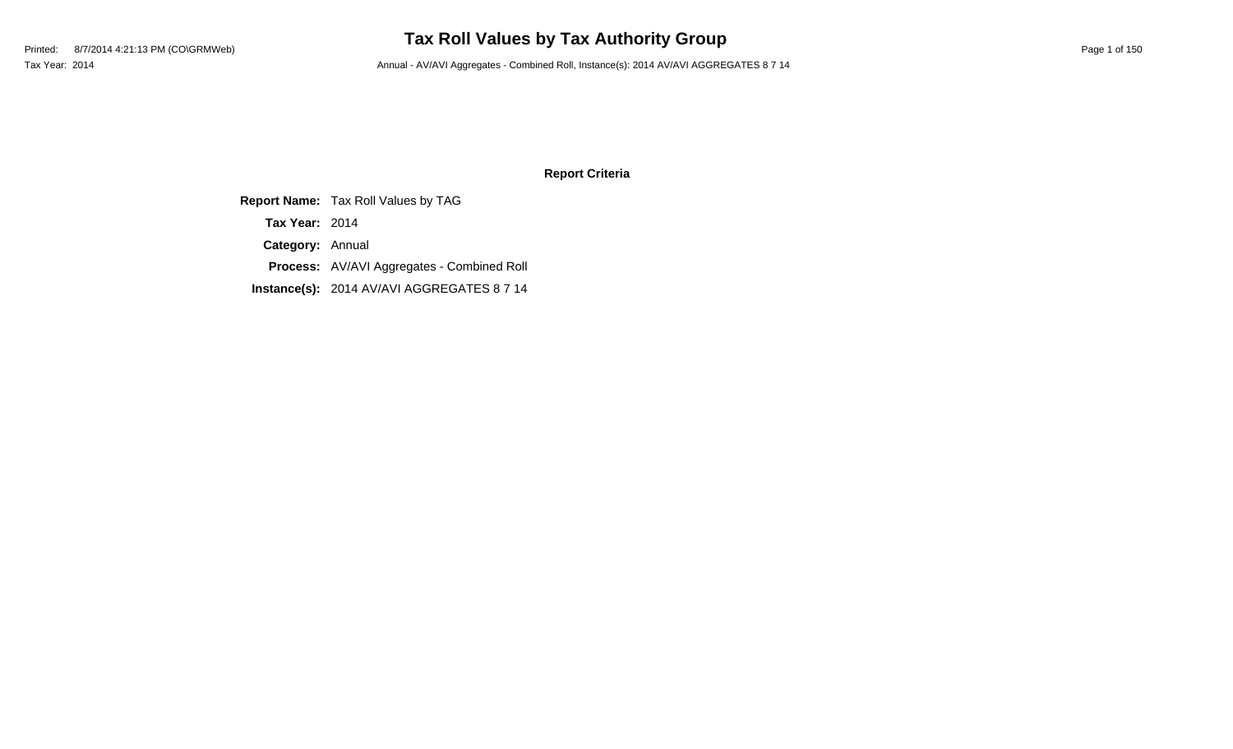# **Tax Roll Values by Tax Authority Group**

Tax Year: 2014 **Annual - AV/AVI Aggregates - Combined Roll, Instance(s): 2014 AV/AVI AGGREGATES 8 7 14** 

### **Report Criteria**

**Report Name:** Tax Roll Values by TAG **Category:** Annual **Process:** AV/AVI Aggregates - Combined Roll **Instance(s):** 2014 AV/AVI AGGREGATES 8 7 14 **Tax Year:** 2014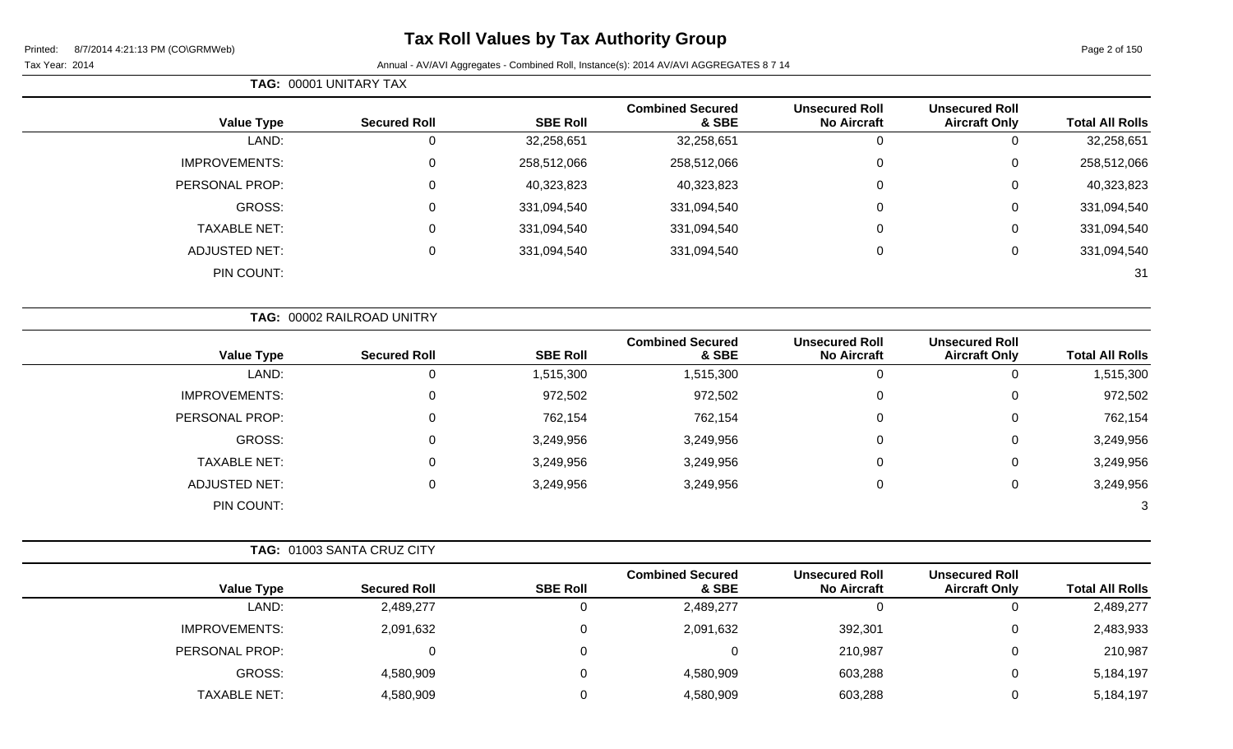|                        |                                               |                                             |                                  |                 | TAG: 00001 UNITARY TAX     |                      |  |  |
|------------------------|-----------------------------------------------|---------------------------------------------|----------------------------------|-----------------|----------------------------|----------------------|--|--|
| <b>Total All Rolls</b> | <b>Unsecured Roll</b><br><b>Aircraft Only</b> | <b>Unsecured Roll</b><br><b>No Aircraft</b> | <b>Combined Secured</b><br>& SBE | <b>SBE Roll</b> | <b>Secured Roll</b>        | <b>Value Type</b>    |  |  |
| 32,258,651             | $\mathbf 0$                                   | $\overline{0}$                              | 32,258,651                       | 32,258,651      | 0                          | LAND:                |  |  |
| 258,512,066            | $\mathbf 0$                                   | 0                                           | 258,512,066                      | 258,512,066     | 0                          | <b>IMPROVEMENTS:</b> |  |  |
| 40,323,823             | $\mathbf 0$                                   | 0                                           | 40,323,823                       | 40,323,823      | 0                          | PERSONAL PROP:       |  |  |
| 331,094,540            | 0                                             | $\Omega$                                    | 331,094,540                      | 331,094,540     | $\mathbf 0$                | GROSS:               |  |  |
| 331,094,540            | $\mathbf 0$                                   | 0                                           | 331,094,540                      | 331,094,540     | 0                          | <b>TAXABLE NET:</b>  |  |  |
| 331,094,540            | $\mathbf 0$                                   | 0                                           | 331,094,540                      | 331,094,540     | 0                          | <b>ADJUSTED NET:</b> |  |  |
| 31                     |                                               |                                             |                                  |                 |                            | PIN COUNT:           |  |  |
|                        |                                               |                                             |                                  |                 | TAG: 00002 RAILROAD UNITRY |                      |  |  |
| <b>Total All Rolls</b> | <b>Unsecured Roll</b><br><b>Aircraft Only</b> | <b>Unsecured Roll</b><br><b>No Aircraft</b> | <b>Combined Secured</b><br>& SBE | <b>SBE Roll</b> | <b>Secured Roll</b>        | <b>Value Type</b>    |  |  |
| 1,515,300              | $\mathbf 0$                                   | $\mathbf 0$                                 | 1,515,300                        | 1,515,300       | $\mathbf 0$                | LAND:                |  |  |
| 972,502                | $\mathbf 0$                                   | 0                                           | 972,502                          | 972,502         | 0                          | <b>IMPROVEMENTS:</b> |  |  |
| 762,154                | $\mathbf 0$                                   | 0                                           | 762,154                          | 762,154         | $\mathbf 0$                | PERSONAL PROP:       |  |  |
| 3,249,956              | $\pmb{0}$                                     | 0                                           | 3,249,956                        | 3,249,956       | 0                          | <b>GROSS:</b>        |  |  |
| 3,249,956              | $\mathbf 0$                                   | 0                                           | 3,249,956                        | 3,249,956       | $\mathbf 0$                | <b>TAXABLE NET:</b>  |  |  |
| 3,249,956              | $\pmb{0}$                                     | 0                                           | 3,249,956                        | 3,249,956       | 0                          | <b>ADJUSTED NET:</b> |  |  |
| 3                      |                                               |                                             |                                  |                 |                            | PIN COUNT:           |  |  |

|                      | TAG: 01003 SANTA CRUZ CITY |                 |                                  |                                             |                                               |                        |
|----------------------|----------------------------|-----------------|----------------------------------|---------------------------------------------|-----------------------------------------------|------------------------|
| <b>Value Type</b>    | <b>Secured Roll</b>        | <b>SBE Roll</b> | <b>Combined Secured</b><br>& SBE | <b>Unsecured Roll</b><br><b>No Aircraft</b> | <b>Unsecured Roll</b><br><b>Aircraft Only</b> | <b>Total All Rolls</b> |
| LAND:                | 2,489,277                  | O               | 2,489,277                        | 0                                           |                                               | 2,489,277              |
| <b>IMPROVEMENTS:</b> | 2,091,632                  | 0               | 2,091,632                        | 392,301                                     |                                               | 2,483,933              |
| PERSONAL PROP:       |                            |                 |                                  | 210,987                                     |                                               | 210,987                |
| GROSS:               | 4,580,909                  |                 | 4,580,909                        | 603,288                                     |                                               | 5,184,197              |
| TAXABLE NET:         | 4,580,909                  |                 | 4,580,909                        | 603,288                                     |                                               | 5,184,197              |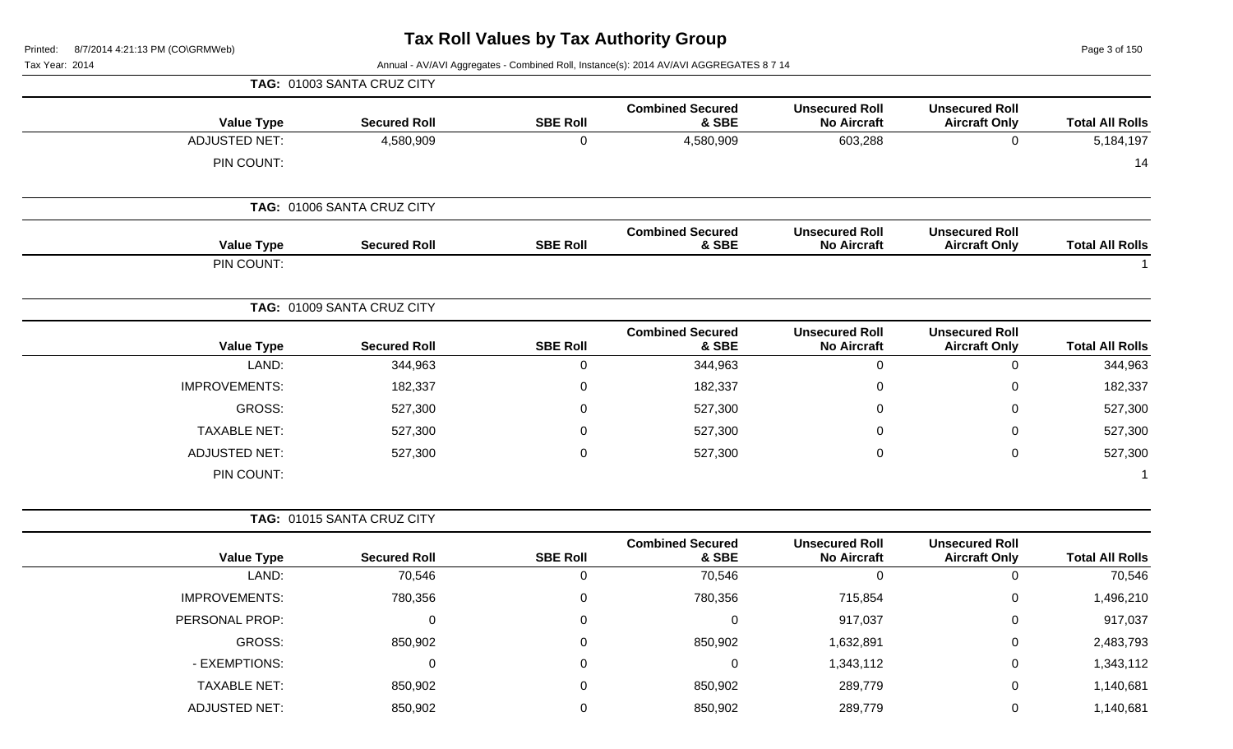Page 3 of 150

|                        |                                               |                                             |                                  |                 | TAG: 01003 SANTA CRUZ CITY |                      |
|------------------------|-----------------------------------------------|---------------------------------------------|----------------------------------|-----------------|----------------------------|----------------------|
| <b>Total All Rolls</b> | <b>Unsecured Roll</b><br><b>Aircraft Only</b> | <b>Unsecured Roll</b><br><b>No Aircraft</b> | <b>Combined Secured</b><br>& SBE | <b>SBE Roll</b> | <b>Secured Roll</b>        | <b>Value Type</b>    |
| 5,184,197              | $\mathbf 0$                                   | 603,288                                     | 4,580,909                        | $\mathbf 0$     | 4,580,909                  | <b>ADJUSTED NET:</b> |
| 14                     |                                               |                                             |                                  |                 |                            | PIN COUNT:           |
|                        |                                               |                                             |                                  |                 | TAG: 01006 SANTA CRUZ CITY |                      |
| <b>Total All Rolls</b> | <b>Unsecured Roll</b><br><b>Aircraft Only</b> | <b>Unsecured Roll</b><br><b>No Aircraft</b> | <b>Combined Secured</b><br>& SBE | <b>SBE Roll</b> | <b>Secured Roll</b>        | <b>Value Type</b>    |
|                        |                                               |                                             |                                  |                 |                            | PIN COUNT:           |
|                        |                                               |                                             |                                  |                 | TAG: 01009 SANTA CRUZ CITY |                      |
| <b>Total All Rolls</b> | <b>Unsecured Roll</b><br><b>Aircraft Only</b> | <b>Unsecured Roll</b><br><b>No Aircraft</b> | <b>Combined Secured</b><br>& SBE | <b>SBE Roll</b> | <b>Secured Roll</b>        | <b>Value Type</b>    |
| 344,963                | 0                                             | $\mathbf 0$                                 | 344,963                          | $\mathbf 0$     | 344,963                    | LAND:                |
| 182,337                | $\mathbf 0$                                   | 0                                           | 182,337                          | 0               | 182,337                    | <b>IMPROVEMENTS:</b> |
| 527,300                | 0                                             | 0                                           | 527,300                          | $\mathbf 0$     | 527,300                    | <b>GROSS:</b>        |
| 527,300                | $\mathbf 0$                                   | 0                                           | 527,300                          | $\mathbf 0$     | 527,300                    | <b>TAXABLE NET:</b>  |
| 527,300                | $\mathbf 0$                                   | 0                                           | 527,300                          | $\mathbf 0$     | 527,300                    | <b>ADJUSTED NET:</b> |
|                        |                                               |                                             |                                  |                 |                            | PIN COUNT:           |
|                        |                                               |                                             |                                  |                 | TAG: 01015 SANTA CRUZ CITY |                      |
| <b>Total All Rolls</b> | <b>Unsecured Roll</b><br><b>Aircraft Only</b> | <b>Unsecured Roll</b><br><b>No Aircraft</b> | <b>Combined Secured</b><br>& SBE | <b>SBE Roll</b> | <b>Secured Roll</b>        | <b>Value Type</b>    |
| 70,546                 | $\mathbf 0$                                   | $\mathbf 0$                                 | 70,546                           | 0               | 70,546                     | LAND:                |
| 1,496,210              | 0                                             | 715,854                                     | 780,356                          | 0               | 780,356                    | IMPROVEMENTS:        |
| 917,037                | 0                                             | 917,037                                     | 0                                | 0               | 0                          | PERSONAL PROP:       |
| 2,483,793              | $\pmb{0}$                                     | 1,632,891                                   | 850,902                          | $\mathbf 0$     | 850,902                    | <b>GROSS:</b>        |
| 1,343,112              | $\pmb{0}$                                     | 1,343,112                                   | $\pmb{0}$                        | 0               | 0                          | - EXEMPTIONS:        |
| 1,140,681              | $\pmb{0}$                                     | 289,779                                     | 850,902                          | 0               | 850,902                    | <b>TAXABLE NET:</b>  |
| 1,140,681              | $\pmb{0}$                                     | 289,779                                     | 850,902                          | $\mathbf 0$     | 850,902                    | <b>ADJUSTED NET:</b> |
|                        |                                               |                                             |                                  |                 |                            |                      |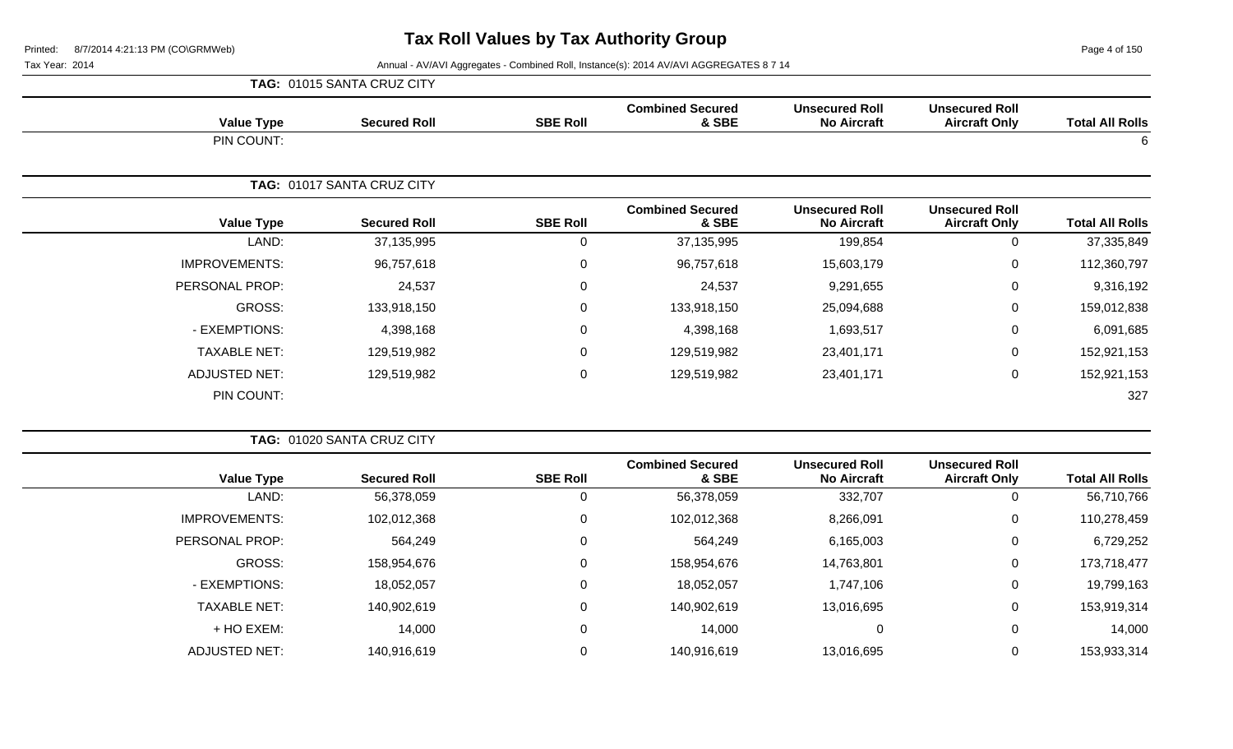Page 4 of 150

|                        |                                               |                                             |                                  |                  | TAG: 01015 SANTA CRUZ CITY |                      |
|------------------------|-----------------------------------------------|---------------------------------------------|----------------------------------|------------------|----------------------------|----------------------|
| <b>Total All Rolls</b> | <b>Unsecured Roll</b><br><b>Aircraft Only</b> | <b>Unsecured Roll</b><br><b>No Aircraft</b> | <b>Combined Secured</b><br>& SBE | <b>SBE Roll</b>  | <b>Secured Roll</b>        | <b>Value Type</b>    |
| 6                      |                                               |                                             |                                  |                  |                            | PIN COUNT:           |
|                        |                                               |                                             |                                  |                  | TAG: 01017 SANTA CRUZ CITY |                      |
| <b>Total All Rolls</b> | <b>Unsecured Roll</b><br><b>Aircraft Only</b> | <b>Unsecured Roll</b><br><b>No Aircraft</b> | <b>Combined Secured</b><br>& SBE | <b>SBE Roll</b>  | <b>Secured Roll</b>        | <b>Value Type</b>    |
| 37,335,849             | 0                                             | 199,854                                     | 37,135,995                       | 0                | 37,135,995                 | LAND:                |
| 112,360,797            | $\mathbf 0$                                   | 15,603,179                                  | 96,757,618                       | $\pmb{0}$        | 96,757,618                 | <b>IMPROVEMENTS:</b> |
| 9,316,192              | 0                                             | 9,291,655                                   | 24,537                           | $\mathbf 0$      | 24,537                     | PERSONAL PROP:       |
| 159,012,838            | $\mathbf 0$                                   | 25,094,688                                  | 133,918,150                      | $\mathbf 0$      | 133,918,150                | GROSS:               |
| 6,091,685              | $\mathbf 0$                                   | 1,693,517                                   | 4,398,168                        | $\mathbf 0$      | 4,398,168                  | - EXEMPTIONS:        |
| 152,921,153            | $\overline{0}$                                | 23,401,171                                  | 129,519,982                      | $\mathbf 0$      | 129,519,982                | <b>TAXABLE NET:</b>  |
| 152,921,153            | $\mathbf 0$                                   | 23,401,171                                  | 129,519,982                      | $\boldsymbol{0}$ | 129,519,982                | <b>ADJUSTED NET:</b> |
| 327                    |                                               |                                             |                                  |                  |                            | PIN COUNT:           |

|                      | TAG: 01020 SANTA CRUZ CITY |                 |                                  |                                             |                                               |                        |
|----------------------|----------------------------|-----------------|----------------------------------|---------------------------------------------|-----------------------------------------------|------------------------|
| <b>Value Type</b>    | <b>Secured Roll</b>        | <b>SBE Roll</b> | <b>Combined Secured</b><br>& SBE | <b>Unsecured Roll</b><br><b>No Aircraft</b> | <b>Unsecured Roll</b><br><b>Aircraft Only</b> | <b>Total All Rolls</b> |
| LAND:                | 56,378,059                 | U               | 56,378,059                       | 332,707                                     | 0                                             | 56,710,766             |
| <b>IMPROVEMENTS:</b> | 102,012,368                | $\Omega$        | 102,012,368                      | 8,266,091                                   | 0                                             | 110,278,459            |
| PERSONAL PROP:       | 564,249                    | $\Omega$        | 564,249                          | 6,165,003                                   | 0                                             | 6,729,252              |
| GROSS:               | 158,954,676                | 0               | 158,954,676                      | 14,763,801                                  | 0                                             | 173,718,477            |
| - EXEMPTIONS:        | 18,052,057                 | 0               | 18,052,057                       | 1,747,106                                   | 0                                             | 19,799,163             |
| <b>TAXABLE NET:</b>  | 140,902,619                | $\Omega$        | 140,902,619                      | 13,016,695                                  | 0                                             | 153,919,314            |
| + HO EXEM:           | 14,000                     | $\Omega$        | 14,000                           | 0                                           | 0                                             | 14,000                 |
| <b>ADJUSTED NET:</b> | 140,916,619                |                 | 140,916,619                      | 13,016,695                                  | 0                                             | 153,933,314            |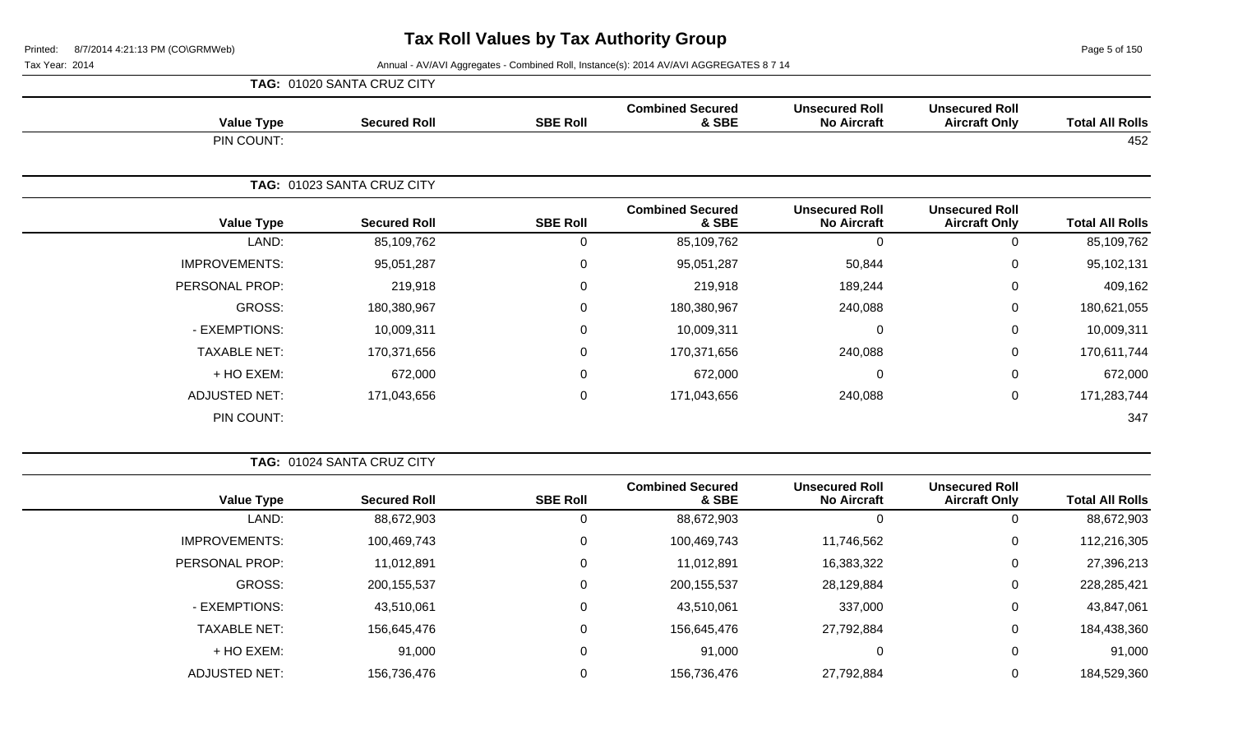Page 5 of 150

|                      | TAG: 01020 SANTA CRUZ CITY |                     |                 |                                  |                                             |                                               |                        |
|----------------------|----------------------------|---------------------|-----------------|----------------------------------|---------------------------------------------|-----------------------------------------------|------------------------|
| <b>Value Type</b>    |                            | <b>Secured Roll</b> | <b>SBE Roll</b> | <b>Combined Secured</b><br>& SBE | <b>Unsecured Roll</b><br><b>No Aircraft</b> | <b>Unsecured Roll</b><br><b>Aircraft Only</b> | <b>Total All Rolls</b> |
| PIN COUNT:           |                            |                     |                 |                                  |                                             |                                               | 452                    |
|                      | TAG: 01023 SANTA CRUZ CITY |                     |                 |                                  |                                             |                                               |                        |
| <b>Value Type</b>    |                            | <b>Secured Roll</b> | <b>SBE Roll</b> | <b>Combined Secured</b><br>& SBE | <b>Unsecured Roll</b><br><b>No Aircraft</b> | <b>Unsecured Roll</b><br><b>Aircraft Only</b> | <b>Total All Rolls</b> |
| LAND:                |                            | 85,109,762          | 0               | 85,109,762                       | $\Omega$                                    | 0                                             | 85,109,762             |
| <b>IMPROVEMENTS:</b> |                            | 95,051,287          | 0               | 95,051,287                       | 50,844                                      | 0                                             | 95,102,131             |
| PERSONAL PROP:       |                            | 219,918             | $\mathbf 0$     | 219,918                          | 189,244                                     | $\mathbf 0$                                   | 409,162                |
| GROSS:               |                            | 180,380,967         | 0               | 180,380,967                      | 240,088                                     | 0                                             | 180,621,055            |
| - EXEMPTIONS:        |                            | 10,009,311          | $\mathbf 0$     | 10,009,311                       | $\Omega$                                    | $\mathbf 0$                                   | 10,009,311             |
| <b>TAXABLE NET:</b>  |                            | 170,371,656         | $\mathbf 0$     | 170,371,656                      | 240,088                                     | $\mathbf 0$                                   | 170,611,744            |
| + HO EXEM:           |                            | 672,000             | 0               | 672,000                          | $\Omega$                                    | 0                                             | 672,000                |
| <b>ADJUSTED NET:</b> |                            | 171,043,656         | $\mathbf 0$     | 171,043,656                      | 240,088                                     | $\mathbf 0$                                   | 171,283,744            |
| PIN COUNT:           |                            |                     |                 |                                  |                                             |                                               | 347                    |

|                        |                                               |                                             |                                  |                 | <b>TAG: 01024 SANTA CRUZ CITY</b> |                      |  |  |  |
|------------------------|-----------------------------------------------|---------------------------------------------|----------------------------------|-----------------|-----------------------------------|----------------------|--|--|--|
| <b>Total All Rolls</b> | <b>Unsecured Roll</b><br><b>Aircraft Only</b> | <b>Unsecured Roll</b><br><b>No Aircraft</b> | <b>Combined Secured</b><br>& SBE | <b>SBE Roll</b> | <b>Secured Roll</b>               | <b>Value Type</b>    |  |  |  |
| 88,672,903             | 0                                             |                                             | 88,672,903                       |                 | 88,672,903                        | LAND:                |  |  |  |
| 112,216,305            | 0                                             | 11,746,562                                  | 100,469,743                      | 0               | 100,469,743                       | <b>IMPROVEMENTS:</b> |  |  |  |
| 27,396,213             | 0                                             | 16,383,322                                  | 11,012,891                       | 0               | 11,012,891                        | PERSONAL PROP:       |  |  |  |
| 228,285,421            | 0                                             | 28,129,884                                  | 200, 155, 537                    | 0               | 200, 155, 537                     | GROSS:               |  |  |  |
| 43,847,061             | 0                                             | 337,000                                     | 43,510,061                       | 0               | 43,510,061                        | - EXEMPTIONS:        |  |  |  |
| 184,438,360            | 0                                             | 27,792,884                                  | 156,645,476                      | $\Omega$        | 156,645,476                       | <b>TAXABLE NET:</b>  |  |  |  |
| 91,000                 | 0                                             | 0                                           | 91,000                           | 0               | 91,000                            | $+$ HO EXEM:         |  |  |  |
| 184,529,360            |                                               | 27,792,884                                  | 156,736,476                      |                 | 156,736,476                       | <b>ADJUSTED NET:</b> |  |  |  |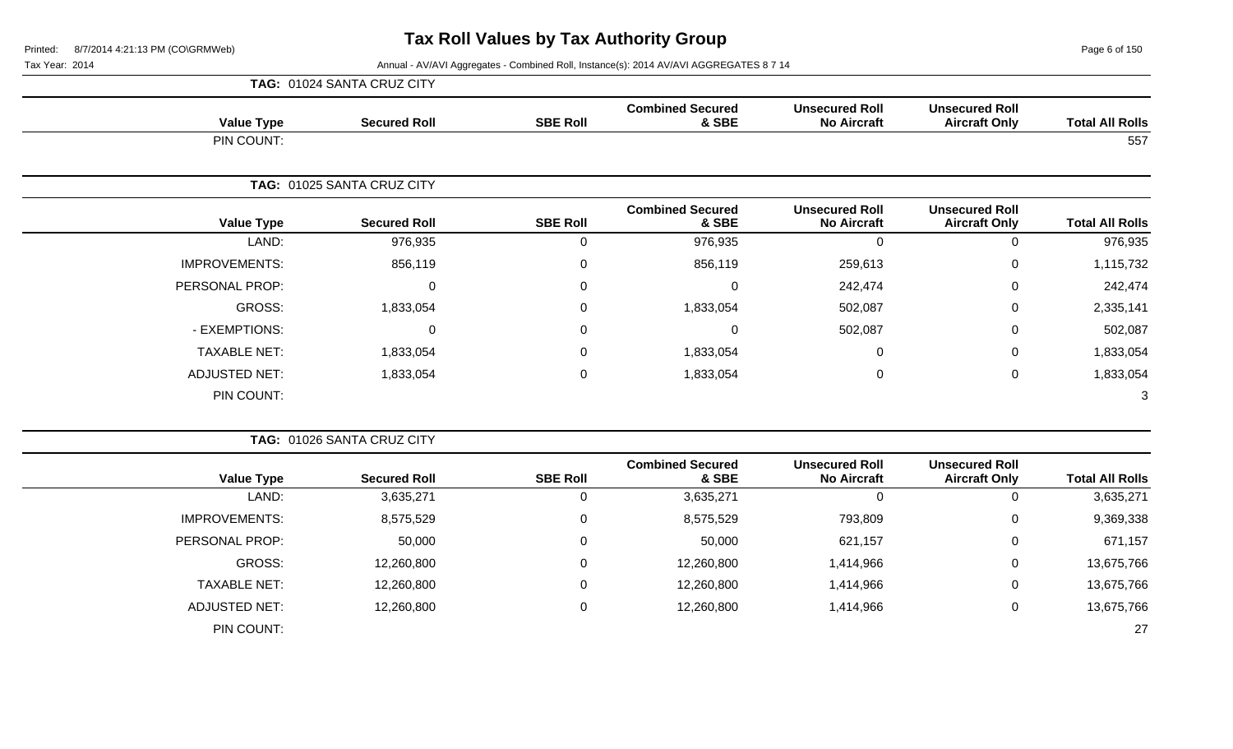Page 6 of 150

Tax Year: 2014 **Annual - AV/AVI Aggregates - Combined Roll**, Instance(s): 2014 AV/AVI AGGREGATES 8 7 14

|                        |                                               |                                             |                                  |                 | TAG: 01024 SANTA CRUZ CITY |                      |  |  |  |
|------------------------|-----------------------------------------------|---------------------------------------------|----------------------------------|-----------------|----------------------------|----------------------|--|--|--|
| <b>Total All Rolls</b> | <b>Unsecured Roll</b><br><b>Aircraft Only</b> | <b>Unsecured Roll</b><br><b>No Aircraft</b> | <b>Combined Secured</b><br>& SBE | <b>SBE Roll</b> | <b>Secured Roll</b>        | <b>Value Type</b>    |  |  |  |
| 557                    |                                               |                                             |                                  |                 |                            | PIN COUNT:           |  |  |  |
|                        |                                               |                                             |                                  |                 | TAG: 01025 SANTA CRUZ CITY |                      |  |  |  |
| <b>Total All Rolls</b> | <b>Unsecured Roll</b><br><b>Aircraft Only</b> | <b>Unsecured Roll</b><br><b>No Aircraft</b> | <b>Combined Secured</b><br>& SBE | <b>SBE Roll</b> | <b>Secured Roll</b>        | <b>Value Type</b>    |  |  |  |
| 976,935                | 0                                             | $\Omega$                                    | 976,935                          | 0               | 976,935                    | LAND:                |  |  |  |
| 1,115,732              | 0                                             | 259,613                                     | 856,119                          | 0               | 856,119                    | <b>IMPROVEMENTS:</b> |  |  |  |
| 242,474                | 0                                             | 242,474                                     | 0                                | $\Omega$        | $\Omega$                   | PERSONAL PROP:       |  |  |  |
| 2,335,141              | $\mathbf 0$                                   | 502,087                                     | 1,833,054                        | 0               | 1,833,054                  | <b>GROSS:</b>        |  |  |  |
| 502,087                | $\mathbf 0$                                   | 502,087                                     | $\mathbf 0$                      | 0               | $\Omega$                   | - EXEMPTIONS:        |  |  |  |
| 1,833,054              | $\mathbf 0$                                   | 0                                           | 1,833,054                        | 0               | 1,833,054                  | <b>TAXABLE NET:</b>  |  |  |  |
| 1,833,054              | $\mathsf 0$                                   | $\mathbf 0$                                 | 1,833,054                        | $\mathbf 0$     | 1,833,054                  | <b>ADJUSTED NET:</b> |  |  |  |
| 3                      |                                               |                                             |                                  |                 |                            | PIN COUNT:           |  |  |  |
|                        |                                               |                                             |                                  |                 | TAG: 01026 SANTA CRUZ CITY |                      |  |  |  |
| <b>Total All Rolls</b> | <b>Unsecured Roll</b><br><b>Aircraft Only</b> | <b>Unsecured Roll</b><br><b>No Aircraft</b> | <b>Combined Secured</b><br>& SBE | <b>SBE Roll</b> | <b>Secured Roll</b>        | <b>Value Type</b>    |  |  |  |
| 3,635,271              | $\mathbf 0$                                   | $\mathbf 0$                                 | 3,635,271                        | 0               | 3,635,271                  | LAND:                |  |  |  |
| 9,369,338              | $\mathbf 0$                                   | 793,809                                     | 8,575,529                        | 0               | 8,575,529                  | <b>IMPROVEMENTS:</b> |  |  |  |
| 671,157                | $\mathbf 0$                                   | 621,157                                     | 50,000                           | $\mathbf 0$     | 50,000                     | PERSONAL PROP:       |  |  |  |
| 13,675,766             | $\pmb{0}$                                     | 1,414,966                                   | 12,260,800                       | 0               | 12,260,800                 | <b>GROSS:</b>        |  |  |  |
| 13,675,766             | $\mathbf 0$                                   | 1,414,966                                   | 12,260,800                       | 0               | 12,260,800                 | <b>TAXABLE NET:</b>  |  |  |  |
| 13,675,766             | $\mathbf 0$                                   | 1,414,966                                   | 12,260,800                       | 0               | 12,260,800                 | <b>ADJUSTED NET:</b> |  |  |  |

PIN COUNT: 27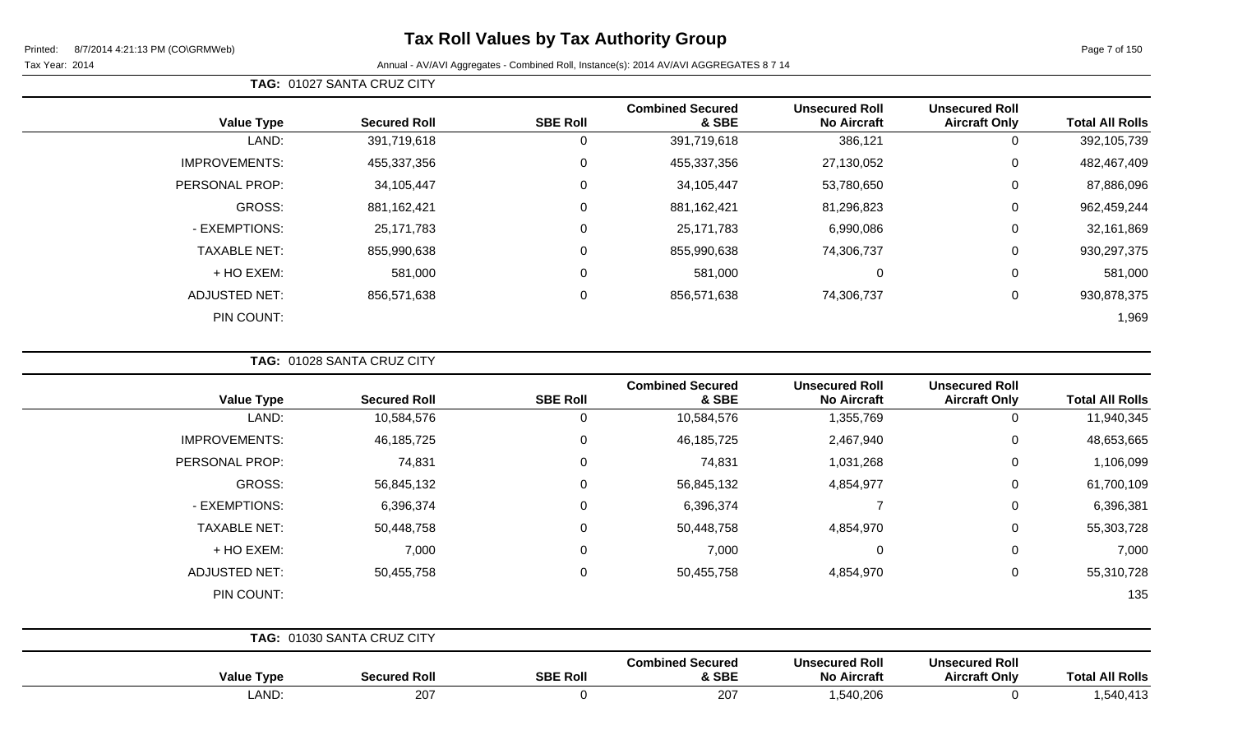Page 7 of 150

### Tax Year: 2014 **Annual - AV/AVI Aggregates - Combined Roll**, Instance(s): 2014 AV/AVI AGGREGATES 8 7 14

|                      |                     |                 | <b>Combined Secured</b> | <b>Unsecured Roll</b> | <b>Unsecured Roll</b> |                        |
|----------------------|---------------------|-----------------|-------------------------|-----------------------|-----------------------|------------------------|
| <b>Value Type</b>    | <b>Secured Roll</b> | <b>SBE Roll</b> | & SBE                   | <b>No Aircraft</b>    | <b>Aircraft Only</b>  | <b>Total All Rolls</b> |
| LAND:                | 391,719,618         |                 | 391,719,618             | 386,121               | 0                     | 392,105,739            |
| <b>IMPROVEMENTS:</b> | 455,337,356         | 0               | 455,337,356             | 27,130,052            | $\mathbf 0$           | 482,467,409            |
| PERSONAL PROP:       | 34,105,447          | 0               | 34,105,447              | 53,780,650            | 0                     | 87,886,096             |
| <b>GROSS:</b>        | 881, 162, 421       | 0               | 881,162,421             | 81,296,823            | $\overline{0}$        | 962,459,244            |
| - EXEMPTIONS:        | 25,171,783          | $\overline{0}$  | 25,171,783              | 6,990,086             | $\mathbf 0$           | 32,161,869             |
| <b>TAXABLE NET:</b>  | 855,990,638         | $\mathbf 0$     | 855,990,638             | 74,306,737            | $\overline{0}$        | 930,297,375            |
| + HO EXEM:           | 581,000             | $\mathbf 0$     | 581,000                 | $\mathbf 0$           | $\mathbf 0$           | 581,000                |
| <b>ADJUSTED NET:</b> | 856,571,638         | 0               | 856,571,638             | 74,306,737            | 0                     | 930,878,375            |
| PIN COUNT:           |                     |                 |                         |                       |                       | 1,969                  |

**TAG:** 01028 SANTA CRUZ CITY

**TAG:** 01027 SANTA CRUZ CITY

| <b>Total All Rolls</b> | <b>Unsecured Roll</b><br><b>Aircraft Only</b> | <b>Unsecured Roll</b><br><b>No Aircraft</b> | <b>Combined Secured</b><br>& SBE | <b>SBE Roll</b> | <b>Secured Roll</b>               | <b>Value Type</b>    |
|------------------------|-----------------------------------------------|---------------------------------------------|----------------------------------|-----------------|-----------------------------------|----------------------|
| 11,940,345             | 0                                             | 1,355,769                                   | 10,584,576                       | 0               | 10,584,576                        | LAND:                |
| 48,653,665             | $\mathbf 0$                                   | 2,467,940                                   | 46, 185, 725                     | 0               | 46, 185, 725                      | <b>IMPROVEMENTS:</b> |
| 1,106,099              | $\mathbf 0$                                   | 1,031,268                                   | 74,831                           | 0               | 74,831                            | PERSONAL PROP:       |
| 61,700,109             | $\mathbf 0$                                   | 4,854,977                                   | 56,845,132                       | $\Omega$        | 56,845,132                        | GROSS:               |
| 6,396,381              | $\mathbf 0$                                   |                                             | 6,396,374                        | $\Omega$        | 6,396,374                         | - EXEMPTIONS:        |
| 55,303,728             | $\mathbf 0$                                   | 4,854,970                                   | 50,448,758                       | 0               | 50,448,758                        | <b>TAXABLE NET:</b>  |
| 7,000                  | $\mathbf 0$                                   | $\overline{0}$                              | 7,000                            | 0               | 7,000                             | + HO EXEM:           |
| 55,310,728             | $\mathbf 0$                                   | 4,854,970                                   | 50,455,758                       | 0               | 50,455,758                        | <b>ADJUSTED NET:</b> |
| 135                    |                                               |                                             |                                  |                 |                                   | PIN COUNT:           |
|                        |                                               |                                             |                                  |                 | <b>TAG: 01030 SANTA CRUZ CITY</b> |                      |
|                        | <b>Ilneacurad Roll</b>                        | <b>Ilnegetired Roll</b>                     | Combined Secured                 |                 |                                   |                      |

| <b>Total All Rolls</b>           | <b>Unsecured Roll</b><br><b>Aircraft Only</b> | <b>Unsecured Roll</b><br><b>No Aircraft</b> | <b>Combined Secured</b><br>& SBE | <b>SBE Roll</b> | <b>Secured Roll</b> | $10 - 111$<br>Type |
|----------------------------------|-----------------------------------------------|---------------------------------------------|----------------------------------|-----------------|---------------------|--------------------|
| $\overline{110}$<br>−,∪+∪,−<br>ື |                                               | 1,540,206                                   | ־∩ר<br>ZU.                       |                 | 207                 | LAND:              |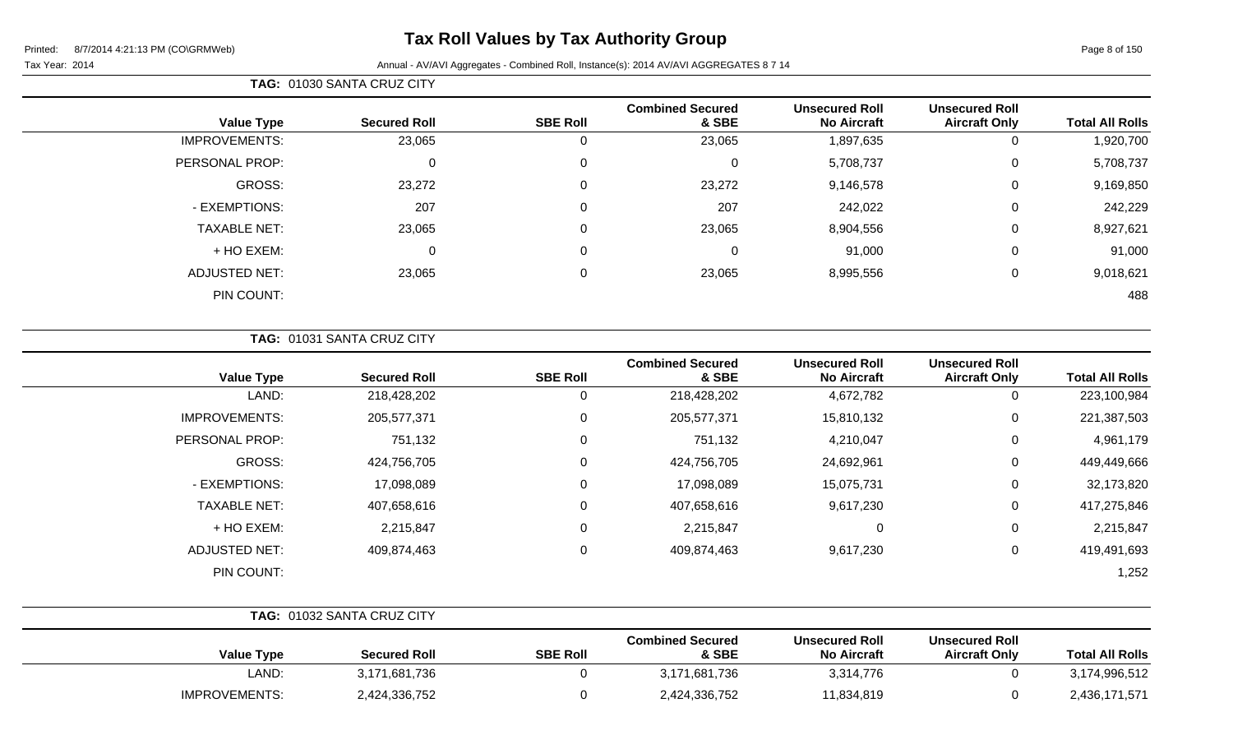# **Tax Roll Values by Tax Authority Group**

### Tax Year: 2014 **Annual - AV/AVI Aggregates - Combined Roll**, Instance(s): 2014 AV/AVI AGGREGATES 8 7 14

### **TAG:** 01030 SANTA CRUZ CITY

| <b>Total All Rolls</b> | <b>Unsecured Roll</b><br><b>Aircraft Only</b> | <b>Unsecured Roll</b><br><b>No Aircraft</b> | <b>Combined Secured</b><br>& SBE | <b>SBE Roll</b> | <b>Secured Roll</b> | <b>Value Type</b>    |
|------------------------|-----------------------------------------------|---------------------------------------------|----------------------------------|-----------------|---------------------|----------------------|
| 1,920,700              | 0                                             | 1,897,635                                   | 23,065                           | 0               | 23,065              | <b>IMPROVEMENTS:</b> |
| 5,708,737              | 0                                             | 5,708,737                                   | 0                                | $\overline{0}$  | $\mathbf 0$         | PERSONAL PROP:       |
| 9,169,850              | 0                                             | 9,146,578                                   | 23,272                           | $\overline{0}$  | 23,272              | GROSS:               |
| 242,229                | $\mathbf 0$                                   | 242,022                                     | 207                              | $\mathbf 0$     | 207                 | - EXEMPTIONS:        |
| 8,927,621              | 0                                             | 8,904,556                                   | 23,065                           | $\mathbf 0$     | 23,065              | <b>TAXABLE NET:</b>  |
| 91,000                 | 0                                             | 91,000                                      | 0                                | $\mathbf 0$     | $\mathbf 0$         | + HO EXEM:           |
| 9,018,621              | 0                                             | 8,995,556                                   | 23,065                           | $\overline{0}$  | 23,065              | <b>ADJUSTED NET:</b> |
| 488                    |                                               |                                             |                                  |                 |                     | PIN COUNT:           |

### **TAG:** 01031 SANTA CRUZ CITY

| <b>Value Type</b>    | <b>Secured Roll</b> | <b>SBE Roll</b> | <b>Combined Secured</b><br>& SBE | <b>Unsecured Roll</b><br><b>No Aircraft</b> | <b>Unsecured Roll</b><br><b>Aircraft Only</b> | <b>Total All Rolls</b> |
|----------------------|---------------------|-----------------|----------------------------------|---------------------------------------------|-----------------------------------------------|------------------------|
| LAND:                | 218,428,202         | 0               | 218,428,202                      | 4,672,782                                   | 0                                             | 223,100,984            |
| <b>IMPROVEMENTS:</b> | 205,577,371         | 0               | 205,577,371                      | 15,810,132                                  | 0                                             | 221,387,503            |
| PERSONAL PROP:       | 751,132             | 0               | 751,132                          | 4,210,047                                   | 0                                             | 4,961,179              |
| <b>GROSS:</b>        | 424,756,705         | 0               | 424,756,705                      | 24,692,961                                  | 0                                             | 449,449,666            |
| - EXEMPTIONS:        | 17,098,089          | 0               | 17,098,089                       | 15,075,731                                  | 0                                             | 32,173,820             |
| <b>TAXABLE NET:</b>  | 407,658,616         | 0               | 407,658,616                      | 9,617,230                                   | 0                                             | 417,275,846            |
| + HO EXEM:           | 2,215,847           | 0               | 2,215,847                        | $\overline{0}$                              | 0                                             | 2,215,847              |
| <b>ADJUSTED NET:</b> | 409,874,463         | 0               | 409,874,463                      | 9,617,230                                   | 0                                             | 419,491,693            |
| PIN COUNT:           |                     |                 |                                  |                                             |                                               | 1,252                  |

|                      | <b>TAG: 01032 SANTA CRUZ CITY</b> |                 |                                  |                                             |                                        |                        |
|----------------------|-----------------------------------|-----------------|----------------------------------|---------------------------------------------|----------------------------------------|------------------------|
| <b>Value Type</b>    | <b>Secured Roll</b>               | <b>SBE Roll</b> | <b>Combined Secured</b><br>& SBE | <b>Unsecured Roll</b><br><b>No Aircraft</b> | Unsecured Roll<br><b>Aircraft Only</b> | <b>Total All Rolls</b> |
| LAND:                | 3,171,681,736                     |                 | 3,171,681,736                    | 3,314,776                                   |                                        | 3,174,996,512          |
| <b>IMPROVEMENTS:</b> | 2,424,336,752                     |                 | 2,424,336,752                    | 11,834,819                                  |                                        | 2,436,171,571          |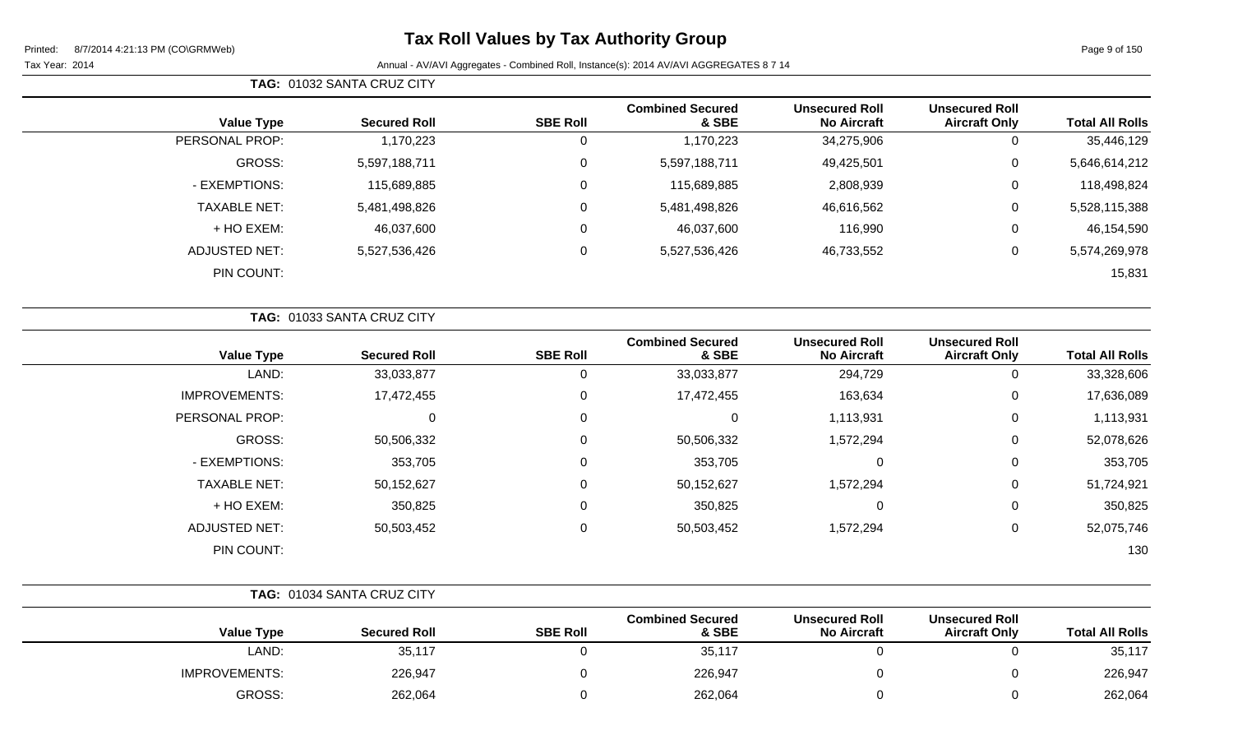# **Tax Roll Values by Tax Authority Group**

### Tax Year: 2014 **Annual - AV/AVI Aggregates - Combined Roll**, Instance(s): 2014 AV/AVI AGGREGATES 8 7 14

**TAG:** 01032 SANTA CRUZ CITY

| <b>Total All Rolls</b> | <b>Unsecured Roll</b><br><b>Aircraft Only</b> | <b>Unsecured Roll</b><br><b>No Aircraft</b> | <b>Combined Secured</b><br>& SBE | <b>SBE Roll</b> | <b>Secured Roll</b> | <b>Value Type</b>   |
|------------------------|-----------------------------------------------|---------------------------------------------|----------------------------------|-----------------|---------------------|---------------------|
| 35,446,129             | 0                                             | 34,275,906                                  | 1,170,223                        | 0               | 1,170,223           | PERSONAL PROP:      |
| 5,646,614,212          | $\mathbf 0$                                   | 49,425,501                                  | 5,597,188,711                    | 0               | 5,597,188,711       | GROSS:              |
| 118,498,824            | 0                                             | 2,808,939                                   | 115,689,885                      | 0               | 115,689,885         | - EXEMPTIONS:       |
| 5,528,115,388          | $\mathbf 0$                                   | 46,616,562                                  | 5,481,498,826                    | 0               | 5,481,498,826       | <b>TAXABLE NET:</b> |
| 46,154,590             | 0                                             | 116,990                                     | 46,037,600                       | 0               | 46,037,600          | + HO EXEM:          |
| 5,574,269,978          | $\mathbf 0$                                   | 46,733,552                                  | 5,527,536,426                    | 0               | 5,527,536,426       | ADJUSTED NET:       |
| 15,831                 |                                               |                                             |                                  |                 |                     | PIN COUNT:          |
|                        |                                               |                                             |                                  |                 |                     |                     |

|                      | TAG: 01033 SANTA CRUZ CITY |                 |                                  |                                             |                                               |                        |
|----------------------|----------------------------|-----------------|----------------------------------|---------------------------------------------|-----------------------------------------------|------------------------|
| <b>Value Type</b>    | <b>Secured Roll</b>        | <b>SBE Roll</b> | <b>Combined Secured</b><br>& SBE | <b>Unsecured Roll</b><br><b>No Aircraft</b> | <b>Unsecured Roll</b><br><b>Aircraft Only</b> | <b>Total All Rolls</b> |
| LAND:                | 33,033,877                 | 0               | 33,033,877                       | 294,729                                     | 0                                             | 33,328,606             |
| <b>IMPROVEMENTS:</b> | 17,472,455                 | 0               | 17,472,455                       | 163,634                                     | 0                                             | 17,636,089             |
| PERSONAL PROP:       | 0                          | 0               | 0                                | 1,113,931                                   | 0                                             | 1,113,931              |
| GROSS:               | 50,506,332                 | 0               | 50,506,332                       | 1,572,294                                   | 0                                             | 52,078,626             |
| - EXEMPTIONS:        | 353,705                    | 0               | 353,705                          | 0                                           | 0                                             | 353,705                |
| <b>TAXABLE NET:</b>  | 50,152,627                 | 0               | 50,152,627                       | 1,572,294                                   | 0                                             | 51,724,921             |
| + HO EXEM:           | 350,825                    | 0               | 350,825                          | 0                                           | 0                                             | 350,825                |
| <b>ADJUSTED NET:</b> | 50,503,452                 | 0               | 50,503,452                       | 1,572,294                                   | 0                                             | 52,075,746             |
| PIN COUNT:           |                            |                 |                                  |                                             |                                               | 130                    |

|                      | <b>TAG: 01034 SANTA CRUZ CITY</b> |                 |                                  |                                             |                                               |                        |
|----------------------|-----------------------------------|-----------------|----------------------------------|---------------------------------------------|-----------------------------------------------|------------------------|
| <b>Value Type</b>    | <b>Secured Roll</b>               | <b>SBE Roll</b> | <b>Combined Secured</b><br>& SBE | <b>Unsecured Roll</b><br><b>No Aircraft</b> | <b>Unsecured Roll</b><br><b>Aircraft Only</b> | <b>Total All Rolls</b> |
| LAND:                | 35,117                            |                 | 35,117                           |                                             |                                               | 35,117                 |
| <b>IMPROVEMENTS:</b> | 226,947                           |                 | 226,947                          |                                             |                                               | 226,947                |
| GROSS:               | 262,064                           |                 | 262,064                          |                                             |                                               | 262,064                |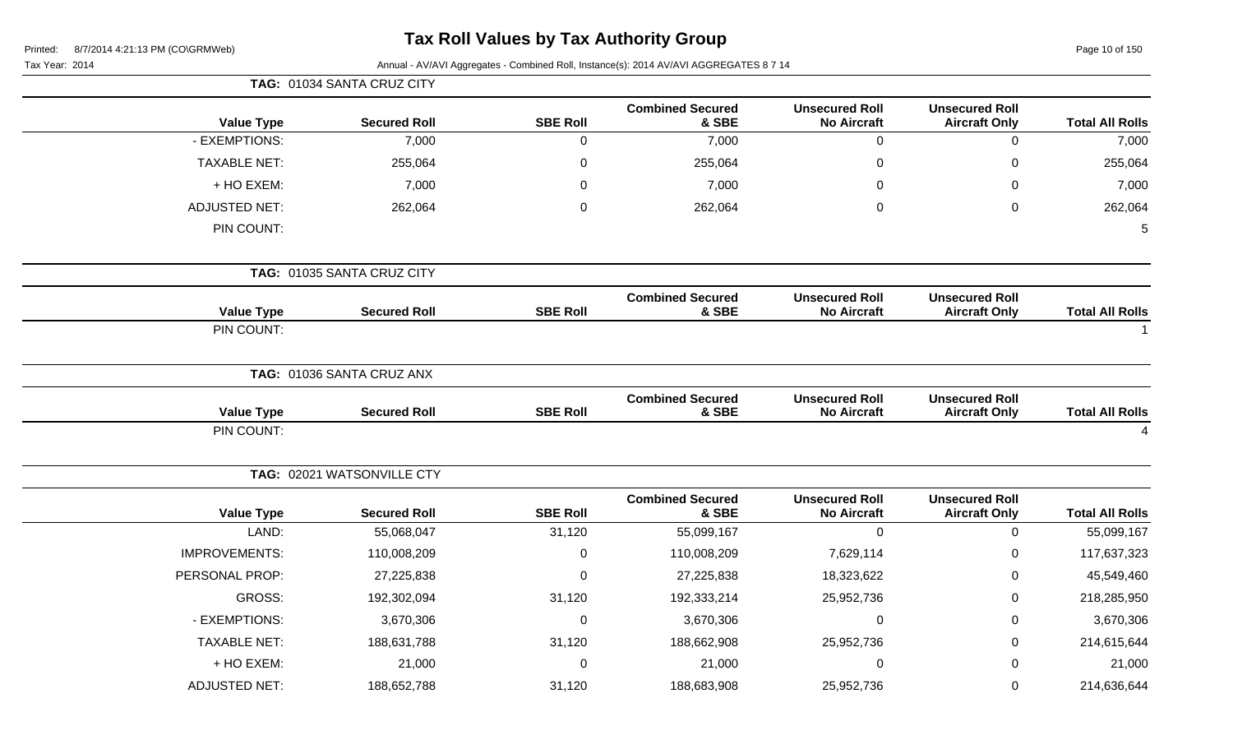Page 10 of 150

|                      | TAG: 01034 SANTA CRUZ CITY |                 |                                  |                                             |                                               |                        |  |
|----------------------|----------------------------|-----------------|----------------------------------|---------------------------------------------|-----------------------------------------------|------------------------|--|
| <b>Value Type</b>    | <b>Secured Roll</b>        | <b>SBE Roll</b> | <b>Combined Secured</b><br>& SBE | <b>Unsecured Roll</b><br><b>No Aircraft</b> | <b>Unsecured Roll</b><br><b>Aircraft Only</b> | <b>Total All Rolls</b> |  |
| - EXEMPTIONS:        | 7,000                      | $\mathbf 0$     | 7,000                            | $\mathbf 0$                                 | $\mathbf 0$                                   | 7,000                  |  |
| <b>TAXABLE NET:</b>  | 255,064                    | $\pmb{0}$       | 255,064                          | $\mathbf 0$                                 | $\mathbf 0$                                   | 255,064                |  |
| + HO EXEM:           | 7,000                      | 0               | 7,000                            | $\Omega$                                    | 0                                             | 7,000                  |  |
| <b>ADJUSTED NET:</b> | 262,064                    | $\pmb{0}$       | 262,064                          | $\mathbf 0$                                 | 0                                             | 262,064                |  |
| PIN COUNT:           |                            |                 |                                  |                                             |                                               | 5                      |  |
|                      | TAG: 01035 SANTA CRUZ CITY |                 |                                  |                                             |                                               |                        |  |
| <b>Value Type</b>    | <b>Secured Roll</b>        | <b>SBE Roll</b> | <b>Combined Secured</b><br>& SBE | <b>Unsecured Roll</b><br><b>No Aircraft</b> | <b>Unsecured Roll</b><br><b>Aircraft Only</b> | <b>Total All Rolls</b> |  |
| PIN COUNT:           |                            |                 |                                  |                                             |                                               |                        |  |
|                      | TAG: 01036 SANTA CRUZ ANX  |                 |                                  |                                             |                                               |                        |  |
| <b>Value Type</b>    | <b>Secured Roll</b>        | <b>SBE Roll</b> | <b>Combined Secured</b><br>& SBE | <b>Unsecured Roll</b><br><b>No Aircraft</b> | <b>Unsecured Roll</b><br><b>Aircraft Only</b> | <b>Total All Rolls</b> |  |
| PIN COUNT:           |                            |                 |                                  |                                             |                                               |                        |  |
|                      | TAG: 02021 WATSONVILLE CTY |                 |                                  |                                             |                                               |                        |  |
| <b>Value Type</b>    | <b>Secured Roll</b>        | <b>SBE Roll</b> | <b>Combined Secured</b><br>& SBE | <b>Unsecured Roll</b><br><b>No Aircraft</b> | <b>Unsecured Roll</b><br><b>Aircraft Only</b> | <b>Total All Rolls</b> |  |
| LAND:                | 55,068,047                 | 31,120          | 55,099,167                       | $\mathbf 0$                                 | $\mathbf 0$                                   | 55,099,167             |  |
| <b>IMPROVEMENTS:</b> | 110,008,209                | $\pmb{0}$       | 110,008,209                      | 7,629,114                                   | $\pmb{0}$                                     | 117,637,323            |  |
| PERSONAL PROP:       | 27,225,838                 | $\mathbf 0$     | 27,225,838                       | 18,323,622                                  | 0                                             | 45,549,460             |  |
| GROSS:               | 192,302,094                | 31,120          | 192,333,214                      | 25,952,736                                  | 0                                             | 218,285,950            |  |
| - EXEMPTIONS:        | 3,670,306                  | $\pmb{0}$       | 3,670,306                        | $\mathbf 0$                                 | 0                                             | 3,670,306              |  |
| <b>TAXABLE NET:</b>  | 188,631,788                | 31,120          | 188,662,908                      | 25,952,736                                  | 0                                             | 214,615,644            |  |
| + HO EXEM:           | 21,000                     | $\mathbf 0$     | 21,000                           | $\mathbf 0$                                 | 0                                             | 21,000                 |  |
| <b>ADJUSTED NET:</b> | 188,652,788                | 31,120          | 188,683,908                      | 25,952,736                                  | 0                                             | 214,636,644            |  |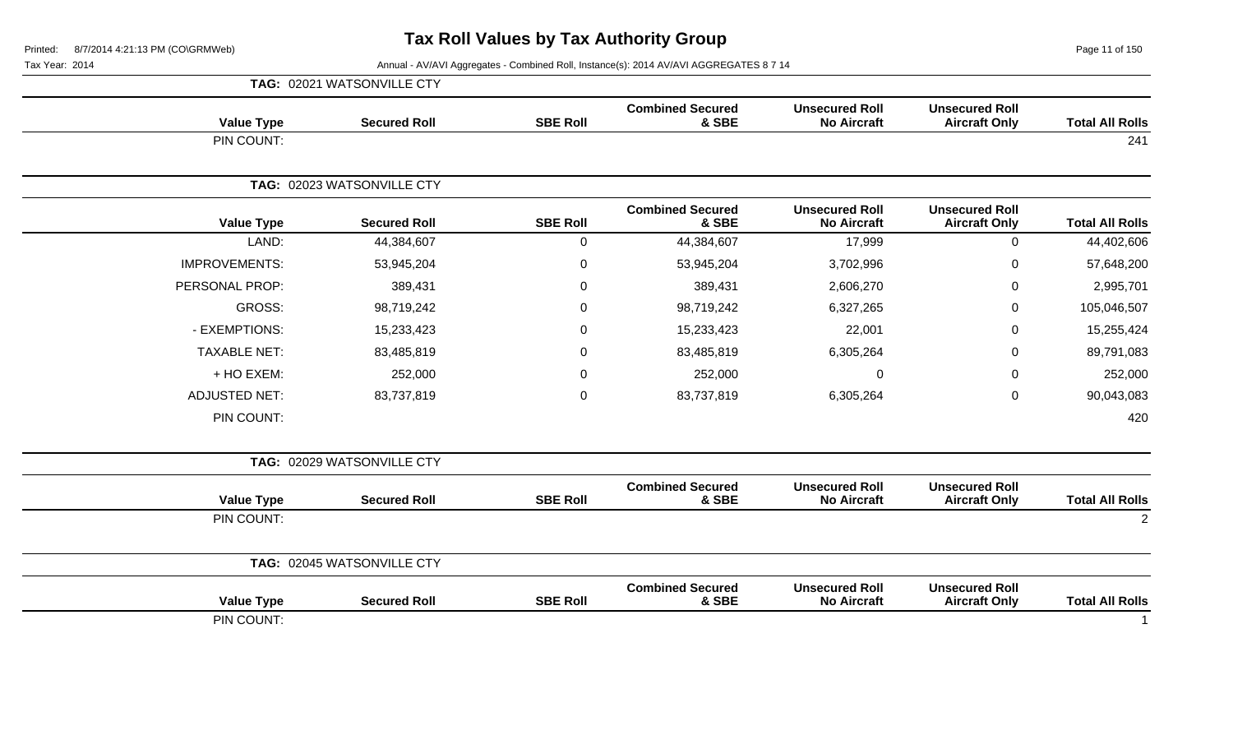Page 11 of 150

|                        |                                               |                                             |                                  |                 | TAG: 02021 WATSONVILLE CTY |                      |
|------------------------|-----------------------------------------------|---------------------------------------------|----------------------------------|-----------------|----------------------------|----------------------|
| <b>Total All Rolls</b> | <b>Unsecured Roll</b><br><b>Aircraft Only</b> | <b>Unsecured Roll</b><br><b>No Aircraft</b> | <b>Combined Secured</b><br>& SBE | <b>SBE Roll</b> | <b>Secured Roll</b>        | <b>Value Type</b>    |
| 241                    |                                               |                                             |                                  |                 |                            | PIN COUNT:           |
|                        |                                               |                                             |                                  |                 | TAG: 02023 WATSONVILLE CTY |                      |
| <b>Total All Rolls</b> | <b>Unsecured Roll</b><br><b>Aircraft Only</b> | <b>Unsecured Roll</b><br><b>No Aircraft</b> | <b>Combined Secured</b><br>& SBE | <b>SBE Roll</b> | <b>Secured Roll</b>        | <b>Value Type</b>    |
| 44,402,606             | $\mathbf 0$                                   | 17,999                                      | 44,384,607                       | $\mathbf 0$     | 44,384,607                 | LAND:                |
| 57,648,200             | 0                                             | 3,702,996                                   | 53,945,204                       | $\mathsf 0$     | 53,945,204                 | <b>IMPROVEMENTS:</b> |
| 2,995,701              | $\mathsf 0$                                   | 2,606,270                                   | 389,431                          | $\mathsf 0$     | 389,431                    | PERSONAL PROP:       |
| 105,046,507            | $\mathbf 0$                                   | 6,327,265                                   | 98,719,242                       | $\mathbf 0$     | 98,719,242                 | <b>GROSS:</b>        |
| 15,255,424             | 0                                             | 22,001                                      | 15,233,423                       | $\mathbf 0$     | 15,233,423                 | - EXEMPTIONS:        |
| 89,791,083             | $\mathsf 0$                                   | 6,305,264                                   | 83,485,819                       | $\mathsf 0$     | 83,485,819                 | <b>TAXABLE NET:</b>  |
| 252,000                | 0                                             | $\mathbf 0$                                 | 252,000                          | 0               | 252,000                    | + HO EXEM:           |
| 90,043,083             | $\mathsf 0$                                   | 6,305,264                                   | 83,737,819                       | $\mathsf 0$     | 83,737,819                 | <b>ADJUSTED NET:</b> |
| 420                    |                                               |                                             |                                  |                 |                            | PIN COUNT:           |
|                        |                                               |                                             |                                  |                 | TAG: 02029 WATSONVILLE CTY |                      |
| <b>Total All Rolls</b> | <b>Unsecured Roll</b><br><b>Aircraft Only</b> | <b>Unsecured Roll</b><br><b>No Aircraft</b> | <b>Combined Secured</b><br>& SBE | <b>SBE Roll</b> | <b>Secured Roll</b>        | <b>Value Type</b>    |
| $\overline{2}$         |                                               |                                             |                                  |                 |                            | PIN COUNT:           |
|                        |                                               |                                             |                                  |                 | TAG: 02045 WATSONVILLE CTY |                      |
| <b>Total All Rolls</b> | <b>Unsecured Roll</b><br><b>Aircraft Only</b> | <b>Unsecured Roll</b><br><b>No Aircraft</b> | <b>Combined Secured</b><br>& SBE | <b>SBE Roll</b> | <b>Secured Roll</b>        | <b>Value Type</b>    |
|                        |                                               |                                             |                                  |                 |                            | PIN COUNT:           |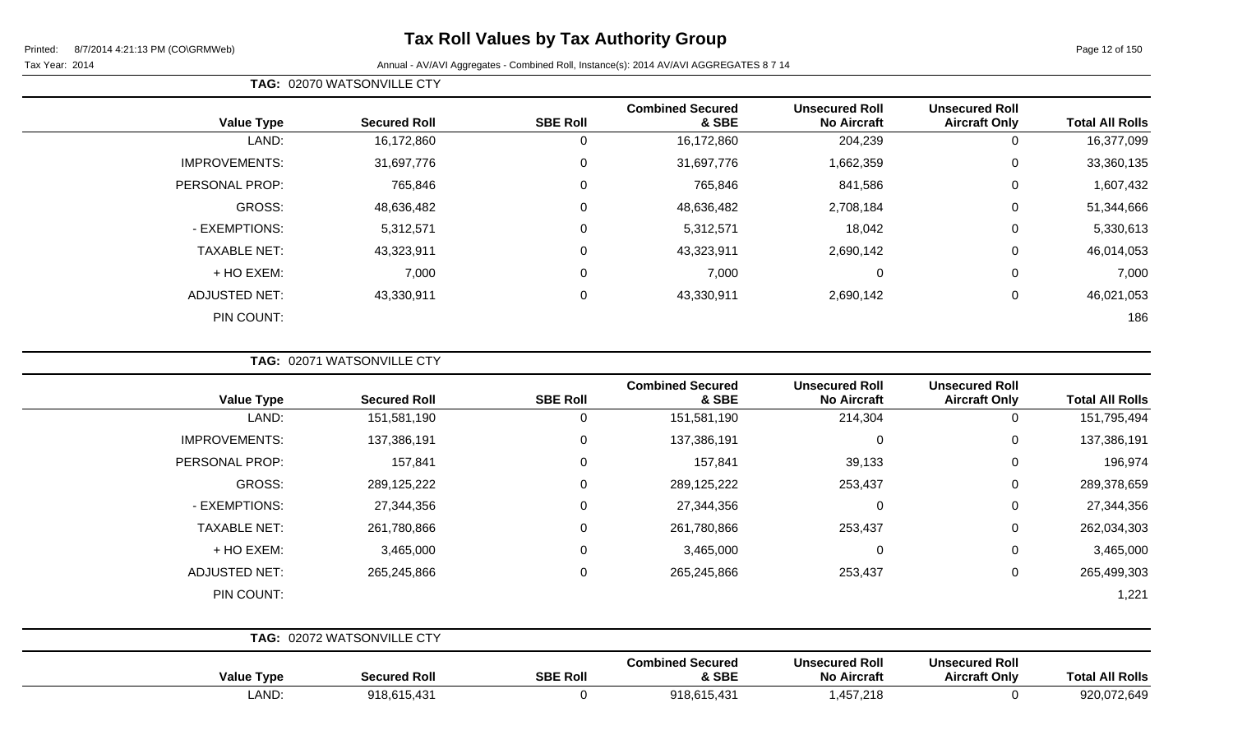Page 12 of 150

Tax Year: 2014 **Annual - AV/AVI Aggregates - Combined Roll**, Instance(s): 2014 AV/AVI AGGREGATES 8 7 14

| <b>Value Type</b>    | <b>Secured Roll</b> | <b>SBE Roll</b> | <b>Combined Secured</b><br>& SBE | <b>Unsecured Roll</b><br><b>No Aircraft</b> | <b>Unsecured Roll</b><br><b>Aircraft Only</b> | <b>Total All Rolls</b> |
|----------------------|---------------------|-----------------|----------------------------------|---------------------------------------------|-----------------------------------------------|------------------------|
| LAND:                | 16,172,860          | 0               | 16,172,860                       | 204,239                                     | 0                                             | 16,377,099             |
| <b>IMPROVEMENTS:</b> | 31,697,776          | 0               | 31,697,776                       | 1,662,359                                   | 0                                             | 33,360,135             |
| PERSONAL PROP:       | 765,846             | 0               | 765,846                          | 841,586                                     | $\overline{0}$                                | 1,607,432              |
| GROSS:               | 48,636,482          | 0               | 48,636,482                       | 2,708,184                                   | 0                                             | 51,344,666             |
| - EXEMPTIONS:        | 5,312,571           | 0               | 5,312,571                        | 18,042                                      | 0                                             | 5,330,613              |
| <b>TAXABLE NET:</b>  | 43,323,911          | 0               | 43,323,911                       | 2,690,142                                   | 0                                             | 46,014,053             |
| + HO EXEM:           | 7,000               | $\mathbf 0$     | 7,000                            | 0                                           | $\mathbf 0$                                   | 7,000                  |
| <b>ADJUSTED NET:</b> | 43,330,911          | $\pmb{0}$       | 43,330,911                       | 2,690,142                                   | 0                                             | 46,021,053             |
| PIN COUNT:           |                     |                 |                                  |                                             |                                               | 186                    |

**TAG:** 02071 WATSONVILLE CTY

**TAG:** 02070 WATSONVILLE CTY

| <b>Value Type</b>    | <b>Secured Roll</b>        | <b>SBE Roll</b> | <b>Combined Secured</b><br>& SBE | <b>Unsecured Roll</b><br><b>No Aircraft</b> | <b>Unsecured Roll</b><br><b>Aircraft Only</b> | <b>Total All Rolls</b> |
|----------------------|----------------------------|-----------------|----------------------------------|---------------------------------------------|-----------------------------------------------|------------------------|
| LAND:                | 151,581,190                | 0               | 151,581,190                      | 214,304                                     | 0                                             | 151,795,494            |
| <b>IMPROVEMENTS:</b> | 137,386,191                | $\mathbf 0$     | 137,386,191                      | $\mathbf 0$                                 | $\mathbf 0$                                   | 137,386,191            |
| PERSONAL PROP:       | 157,841                    | $\mathbf 0$     | 157,841                          | 39,133                                      | $\mathbf 0$                                   | 196,974                |
| GROSS:               | 289,125,222                | $\mathbf 0$     | 289,125,222                      | 253,437                                     | $\mathbf 0$                                   | 289,378,659            |
| - EXEMPTIONS:        | 27,344,356                 | $\mathbf 0$     | 27,344,356                       | $\mathbf 0$                                 | $\mathbf 0$                                   | 27,344,356             |
| <b>TAXABLE NET:</b>  | 261,780,866                | $\mathbf 0$     | 261,780,866                      | 253,437                                     | $\mathbf 0$                                   | 262,034,303            |
| + HO EXEM:           | 3,465,000                  | $\mathbf 0$     | 3,465,000                        | 0                                           | 0                                             | 3,465,000              |
| <b>ADJUSTED NET:</b> | 265,245,866                | $\mathbf 0$     | 265,245,866                      | 253,437                                     | $\mathbf 0$                                   | 265,499,303            |
| PIN COUNT:           |                            |                 |                                  |                                             |                                               | 1,221                  |
|                      |                            |                 |                                  |                                             |                                               |                        |
|                      | TAG: 02072 WATSONVILLE CTY |                 |                                  |                                             |                                               |                        |

| <b>Value Type</b> | <b>Secured Roll</b> | <b>SBE Roll</b> | <b>Combined Secured</b><br>& SBE | <b>Unsecured Roll</b><br><b>No Aircraft</b> | <b>Unsecured Roll</b><br><b>Aircraft Only</b> | <b>All Rolls</b><br>Tota |
|-------------------|---------------------|-----------------|----------------------------------|---------------------------------------------|-----------------------------------------------|--------------------------|
| LAND              | 918,615,431         |                 | 918,615,431                      | ,457,218                                    |                                               | 920,0.<br>72,649         |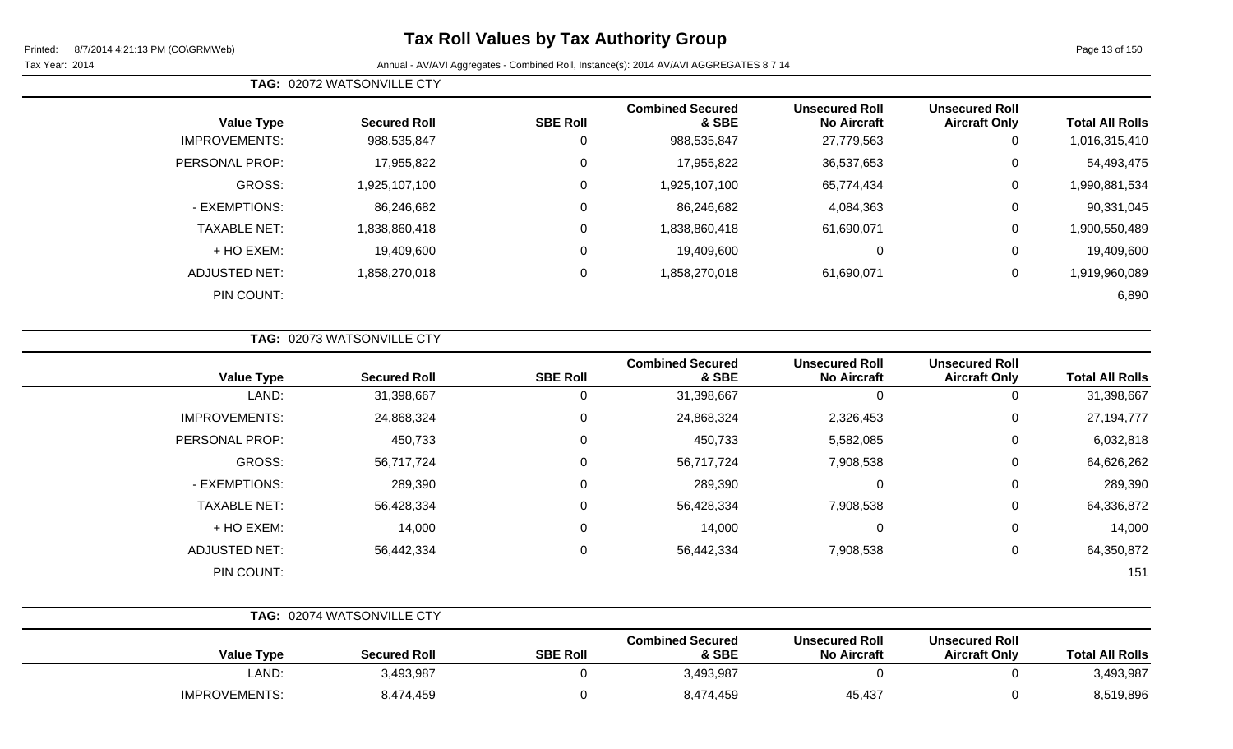**TAG:** 02072 WATSONVILLE CTY

Page 13 of 150

| <b>Total All Rolls</b> | <b>Unsecured Roll</b><br><b>Aircraft Only</b> | <b>Unsecured Roll</b><br><b>No Aircraft</b> | <b>Combined Secured</b><br>& SBE | <b>SBE Roll</b> | <b>Secured Roll</b> | <b>Value Type</b>    |  |
|------------------------|-----------------------------------------------|---------------------------------------------|----------------------------------|-----------------|---------------------|----------------------|--|
| 1,016,315,410          | 0                                             | 27,779,563                                  | 988,535,847                      | 0               | 988,535,847         | <b>IMPROVEMENTS:</b> |  |
| 54,493,475             | 0                                             | 36,537,653                                  | 17,955,822                       | 0               | 17,955,822          | PERSONAL PROP:       |  |
| 990,881,534            | 0                                             | 65,774,434                                  | 1,925,107,100                    | 0               | ,925,107,100        | GROSS:               |  |
| 90,331,045             | 0                                             | 4,084,363                                   | 86,246,682                       | 0               | 86,246,682          | - EXEMPTIONS:        |  |
| 900,550,489            | 0                                             | 61,690,071                                  | 1,838,860,418                    | 0               | 838,860,418         | <b>TAXABLE NET:</b>  |  |
| 19,409,600             | 0                                             | 0                                           | 19,409,600                       | 0               | 19,409,600          | + HO EXEM:           |  |
| 919,960,089,           | 0                                             | 61,690,071                                  | 1,858,270,018                    | $\mathbf 0$     | 1,858,270,018       | <b>ADJUSTED NET:</b> |  |
| 6,890                  |                                               |                                             |                                  |                 |                     | PIN COUNT:           |  |
|                        |                                               |                                             |                                  |                 |                     |                      |  |

|                      | TAG: 02073 WATSONVILLE CTY |                 |                                  |                                             |                                               |                        |
|----------------------|----------------------------|-----------------|----------------------------------|---------------------------------------------|-----------------------------------------------|------------------------|
| <b>Value Type</b>    | <b>Secured Roll</b>        | <b>SBE Roll</b> | <b>Combined Secured</b><br>& SBE | <b>Unsecured Roll</b><br><b>No Aircraft</b> | <b>Unsecured Roll</b><br><b>Aircraft Only</b> | <b>Total All Rolls</b> |
| LAND:                | 31,398,667                 | 0               | 31,398,667                       | 0                                           | 0                                             | 31,398,667             |
| <b>IMPROVEMENTS:</b> | 24,868,324                 | 0               | 24,868,324                       | 2,326,453                                   | 0                                             | 27,194,777             |
| PERSONAL PROP:       | 450,733                    | 0               | 450,733                          | 5,582,085                                   | 0                                             | 6,032,818              |
| GROSS:               | 56,717,724                 | 0               | 56,717,724                       | 7,908,538                                   | 0                                             | 64,626,262             |
| - EXEMPTIONS:        | 289,390                    | 0               | 289,390                          | 0                                           | 0                                             | 289,390                |
| <b>TAXABLE NET:</b>  | 56,428,334                 | 0               | 56,428,334                       | 7,908,538                                   | 0                                             | 64,336,872             |
| + HO EXEM:           | 14,000                     | 0               | 14,000                           | 0                                           | 0                                             | 14,000                 |
| <b>ADJUSTED NET:</b> | 56,442,334                 | 0               | 56,442,334                       | 7,908,538                                   | 0                                             | 64,350,872             |
| PIN COUNT:           |                            |                 |                                  |                                             |                                               | 151                    |

|                      | <b>TAG: 02074 WATSONVILLE CTY</b> |                 |                                  |                                             |                                               |                        |
|----------------------|-----------------------------------|-----------------|----------------------------------|---------------------------------------------|-----------------------------------------------|------------------------|
| <b>Value Type</b>    | <b>Secured Roll</b>               | <b>SBE Roll</b> | <b>Combined Secured</b><br>& SBE | <b>Unsecured Roll</b><br><b>No Aircraft</b> | <b>Unsecured Roll</b><br><b>Aircraft Only</b> | <b>Total All Rolls</b> |
| ∟AND:                | 3,493,987                         |                 | 3,493,987                        |                                             |                                               | 3,493,987              |
| <b>IMPROVEMENTS:</b> | 8,474,459                         |                 | 8,474,459                        | 45,437                                      |                                               | 8,519,896              |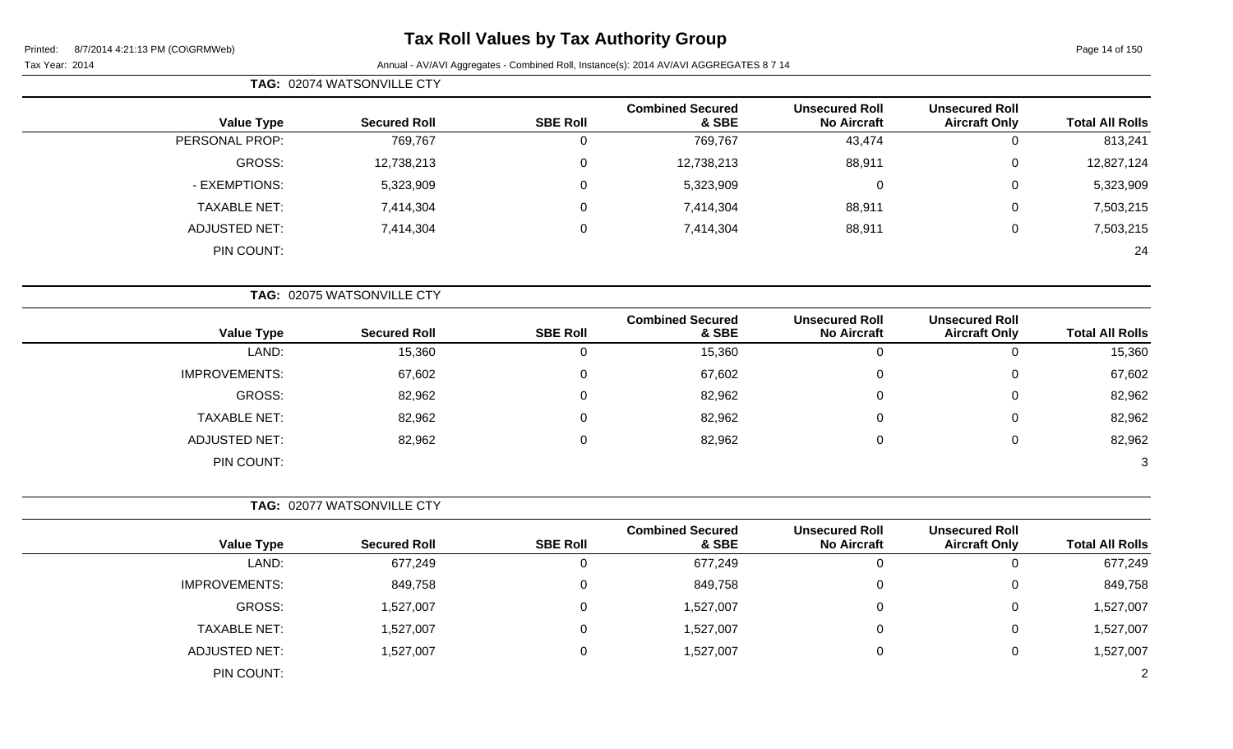# **Tax Roll Values by Tax Authority Group**

| TAG: 02074 WATSONVILLE CTY |
|----------------------------|

| <b>Total All Rolls</b> | <b>Unsecured Roll</b><br><b>Aircraft Only</b> | <b>Unsecured Roll</b><br><b>No Aircraft</b> | <b>Combined Secured</b><br>& SBE | <b>SBE Roll</b> | <b>Secured Roll</b> | <b>Value Type</b>    |
|------------------------|-----------------------------------------------|---------------------------------------------|----------------------------------|-----------------|---------------------|----------------------|
| 813,241                | 0                                             | 43,474                                      | 769,767                          | 0               | 769,767             | PERSONAL PROP:       |
| 12,827,124             | 0                                             | 88,911                                      | 12,738,213                       | 0               | 12,738,213          | GROSS:               |
| 5,323,909              | 0                                             |                                             | 5,323,909                        | 0               | 5,323,909           | - EXEMPTIONS:        |
| 7,503,215              | 0                                             | 88,911                                      | 7,414,304                        | 0               | 7,414,304           | <b>TAXABLE NET:</b>  |
| 7,503,215              | 0                                             | 88,911                                      | 7,414,304                        | 0               | 7,414,304           | <b>ADJUSTED NET:</b> |
| 24                     |                                               |                                             |                                  |                 |                     | PIN COUNT:           |

| TAG: 02075 WATSONVILLE CTY |                     |                 |                                  |                                             |                                               |                        |
|----------------------------|---------------------|-----------------|----------------------------------|---------------------------------------------|-----------------------------------------------|------------------------|
| <b>Value Type</b>          | <b>Secured Roll</b> | <b>SBE Roll</b> | <b>Combined Secured</b><br>& SBE | <b>Unsecured Roll</b><br><b>No Aircraft</b> | <b>Unsecured Roll</b><br><b>Aircraft Only</b> | <b>Total All Rolls</b> |
| LAND:                      | 15,360              |                 | 15,360                           | 0                                           | 0                                             | 15,360                 |
| <b>IMPROVEMENTS:</b>       | 67,602              |                 | 67,602                           | 0                                           | 0                                             | 67,602                 |
| GROSS:                     | 82,962              |                 | 82,962                           | 0                                           | 0                                             | 82,962                 |
| <b>TAXABLE NET:</b>        | 82,962              |                 | 82,962                           | 0                                           | 0                                             | 82,962                 |
| ADJUSTED NET:              | 82,962              |                 | 82,962                           | 0                                           | 0                                             | 82,962                 |
| PIN COUNT:                 |                     |                 |                                  |                                             |                                               | 3                      |

| TAG: 02077 WATSONVILLE CTY |  |  |
|----------------------------|--|--|
|----------------------------|--|--|

| <b>Value Type</b>    | <b>Secured Roll</b> | <b>SBE Roll</b> | <b>Combined Secured</b><br>& SBE | <b>Unsecured Roll</b><br><b>No Aircraft</b> | <b>Unsecured Roll</b><br><b>Aircraft Only</b> | <b>Total All Rolls</b> |
|----------------------|---------------------|-----------------|----------------------------------|---------------------------------------------|-----------------------------------------------|------------------------|
| LAND:                | 677,249             |                 | 677,249                          | 0                                           | ν                                             | 677,249                |
| <b>IMPROVEMENTS:</b> | 849,758             | υ               | 849,758                          | 0                                           | U                                             | 849,758                |
| GROSS:               | 1,527,007           | υ               | 1,527,007                        | 0                                           | U                                             | 1,527,007              |
| <b>TAXABLE NET:</b>  | 1,527,007           | υ               | 1,527,007                        | 0                                           | 0                                             | 1,527,007              |
| <b>ADJUSTED NET:</b> | 1,527,007           | 0               | 1,527,007                        | 0                                           | ◡                                             | 1,527,007              |
| PIN COUNT:           |                     |                 |                                  |                                             |                                               | $\mathcal{D}$          |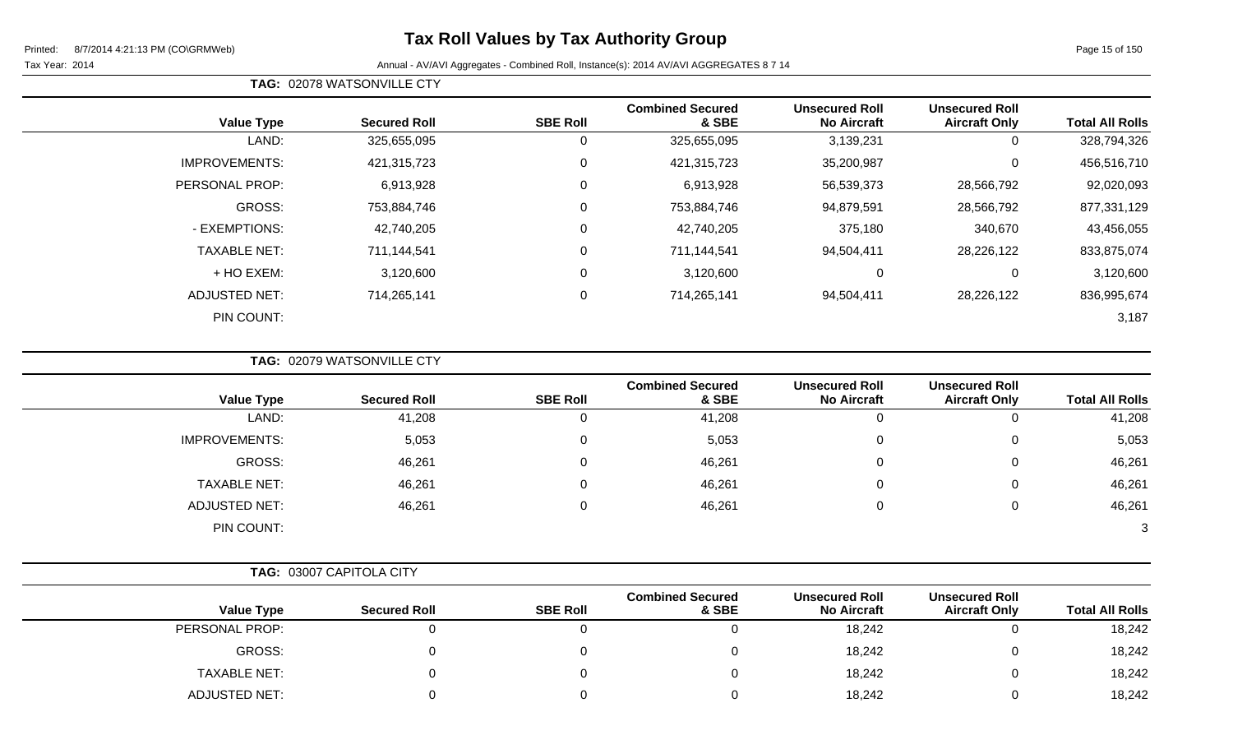Page 15 of 150

Tax Year: 2014 **Annual - AV/AVI Aggregates - Combined Roll**, Instance(s): 2014 AV/AVI AGGREGATES 8 7 14

| <b>Total All Rolls</b> | <b>Unsecured Roll</b><br><b>Aircraft Only</b> | <b>Unsecured Roll</b><br><b>No Aircraft</b> | <b>Combined Secured</b><br>& SBE | <b>SBE Roll</b> | <b>Secured Roll</b> | <b>Value Type</b>    |
|------------------------|-----------------------------------------------|---------------------------------------------|----------------------------------|-----------------|---------------------|----------------------|
| 328,794,326            | 0                                             | 3,139,231                                   | 325,655,095                      | υ               | 325,655,095         | LAND:                |
| 456,516,710            | 0                                             | 35,200,987                                  | 421,315,723                      | 0               | 421,315,723         | <b>IMPROVEMENTS:</b> |
| 92,020,093             | 28,566,792                                    | 56,539,373                                  | 6,913,928                        | 0               | 6,913,928           | PERSONAL PROP:       |
| 877,331,129            | 28,566,792                                    | 94,879,591                                  | 753,884,746                      | 0               | 753,884,746         | GROSS:               |
| 43,456,055             | 340,670                                       | 375,180                                     | 42,740,205                       | 0               | 42,740,205          | - EXEMPTIONS:        |
| 833,875,074            | 28,226,122                                    | 94,504,411                                  | 711,144,541                      | 0               | 711,144,541         | <b>TAXABLE NET:</b>  |
| 3,120,600              | 0                                             | 0                                           | 3,120,600                        | 0               | 3,120,600           | + HO EXEM:           |
| 836,995,674            | 28,226,122                                    | 94,504,411                                  | 714,265,141                      | 0               | 714,265,141         | <b>ADJUSTED NET:</b> |
| 3,187                  |                                               |                                             |                                  |                 |                     | PIN COUNT:           |

**TAG:** 02079 WATSONVILLE CTY

**TAG:** 02078 WATSONVILLE CTY

| <b>Total All Rolls</b> | <b>Unsecured Roll</b><br><b>Aircraft Only</b> | <b>Unsecured Roll</b><br><b>No Aircraft</b> | <b>Combined Secured</b><br>& SBE | <b>SBE Roll</b> | <b>Secured Roll</b> | <b>Value Type</b>    |
|------------------------|-----------------------------------------------|---------------------------------------------|----------------------------------|-----------------|---------------------|----------------------|
| 41,208                 | 0                                             |                                             | 41,208                           | υ               | 41,208              | LAND:                |
| 5,053                  | 0                                             |                                             | 5,053                            | 0               | 5,053               | <b>IMPROVEMENTS:</b> |
| 46,261                 | 0                                             |                                             | 46,261                           | 0               | 46,261              | GROSS:               |
| 46,261                 | 0                                             |                                             | 46,261                           | 0               | 46,261              | <b>TAXABLE NET:</b>  |
| 46,261                 | 0                                             |                                             | 46,261                           | 0               | 46,261              | <b>ADJUSTED NET:</b> |
| $\mathbf{3}$           |                                               |                                             |                                  |                 |                     | PIN COUNT:           |

|  | <b>TAG: 03007 CAPITOLA CITY</b> |  |
|--|---------------------------------|--|
|--|---------------------------------|--|

|                      |                     |                 | <b>Combined Secured</b> | <b>Unsecured Roll</b> | <b>Unsecured Roll</b> |                        |
|----------------------|---------------------|-----------------|-------------------------|-----------------------|-----------------------|------------------------|
| <b>Value Type</b>    | <b>Secured Roll</b> | <b>SBE Roll</b> | & SBE                   | <b>No Aircraft</b>    | <b>Aircraft Only</b>  | <b>Total All Rolls</b> |
| PERSONAL PROP:       |                     |                 |                         | 18,242                |                       | 18,242                 |
| GROSS:               |                     |                 |                         | 18,242                |                       | 18,242                 |
| <b>TAXABLE NET:</b>  |                     |                 |                         | 18,242                |                       | 18,242                 |
| <b>ADJUSTED NET:</b> |                     |                 |                         | 18,242                |                       | 18,242                 |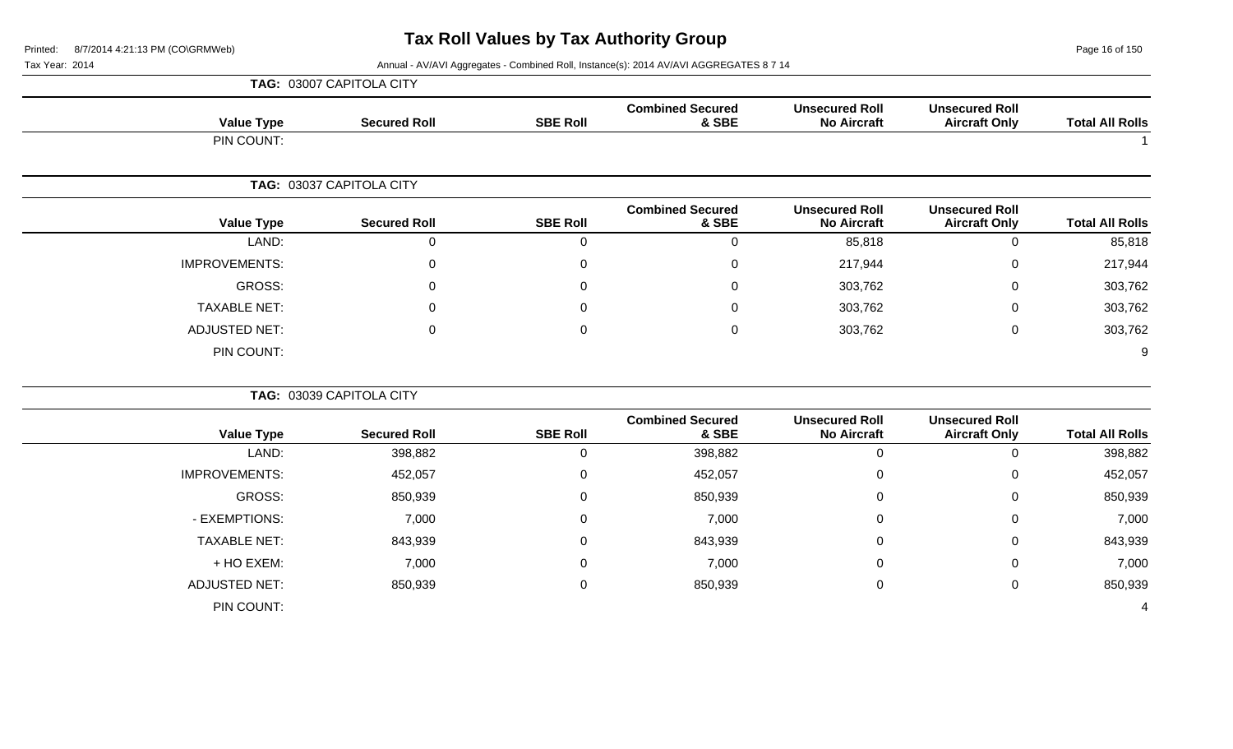Page 16 of 150

|                        |                                               |                                             |                                  |                  | TAG: 03007 CAPITOLA CITY |                      |
|------------------------|-----------------------------------------------|---------------------------------------------|----------------------------------|------------------|--------------------------|----------------------|
| <b>Total All Rolls</b> | <b>Unsecured Roll</b><br><b>Aircraft Only</b> | <b>Unsecured Roll</b><br><b>No Aircraft</b> | <b>Combined Secured</b><br>& SBE | <b>SBE Roll</b>  | <b>Secured Roll</b>      | <b>Value Type</b>    |
|                        |                                               |                                             |                                  |                  |                          | PIN COUNT:           |
|                        |                                               |                                             |                                  |                  | TAG: 03037 CAPITOLA CITY |                      |
| <b>Total All Rolls</b> | <b>Unsecured Roll</b><br><b>Aircraft Only</b> | <b>Unsecured Roll</b><br><b>No Aircraft</b> | <b>Combined Secured</b><br>& SBE | <b>SBE Roll</b>  | <b>Secured Roll</b>      | <b>Value Type</b>    |
| 85,818                 | $\mathsf 0$                                   | 85,818                                      | 0                                | $\mathbf 0$      | $\boldsymbol{0}$         | LAND:                |
| 217,944                | $\mathbf 0$                                   | 217,944                                     | $\Omega$                         | 0                | $\Omega$                 | <b>IMPROVEMENTS:</b> |
| 303,762                | 0                                             | 303,762                                     | $\Omega$                         | 0                | ∩                        | GROSS:               |
| 303,762                | $\mathsf 0$                                   | 303,762                                     | $\Omega$                         | $\overline{0}$   | $\Omega$                 | <b>TAXABLE NET:</b>  |
| 303,762                | $\pmb{0}$                                     | 303,762                                     | 0                                | $\mathbf 0$      | $\mathbf{0}$             | <b>ADJUSTED NET:</b> |
| 9                      |                                               |                                             |                                  |                  |                          | PIN COUNT:           |
|                        |                                               |                                             |                                  |                  | TAG: 03039 CAPITOLA CITY |                      |
| <b>Total All Rolls</b> | <b>Unsecured Roll</b><br><b>Aircraft Only</b> | <b>Unsecured Roll</b><br><b>No Aircraft</b> | <b>Combined Secured</b><br>& SBE | <b>SBE Roll</b>  | <b>Secured Roll</b>      | <b>Value Type</b>    |
| 398,882                | $\mathbf 0$                                   | $\boldsymbol{0}$                            | 398,882                          | $\overline{0}$   | 398,882                  | LAND:                |
| 452,057                | $\mathsf 0$                                   | $\mathbf 0$                                 | 452,057                          | $\boldsymbol{0}$ | 452,057                  | IMPROVEMENTS:        |
| 850,939                | $\mathbf 0$                                   | 0                                           | 850,939                          | $\overline{0}$   | 850,939                  | <b>GROSS:</b>        |
| 7,000                  | $\mathsf 0$                                   | $\mathbf 0$                                 | 7,000                            | $\overline{0}$   | 7,000                    | - EXEMPTIONS:        |
| 843,939                | $\mathsf 0$                                   | $\Omega$                                    | 843,939                          | $\overline{0}$   | 843,939                  | <b>TAXABLE NET:</b>  |
| 7,000                  | $\pmb{0}$                                     | $\mathbf 0$                                 | 7,000                            | $\boldsymbol{0}$ | 7,000                    | + HO EXEM:           |
| 850,939                | $\pmb{0}$                                     | $\pmb{0}$                                   | 850,939                          | $\boldsymbol{0}$ | 850,939                  | <b>ADJUSTED NET:</b> |
| 4                      |                                               |                                             |                                  |                  |                          | PIN COUNT:           |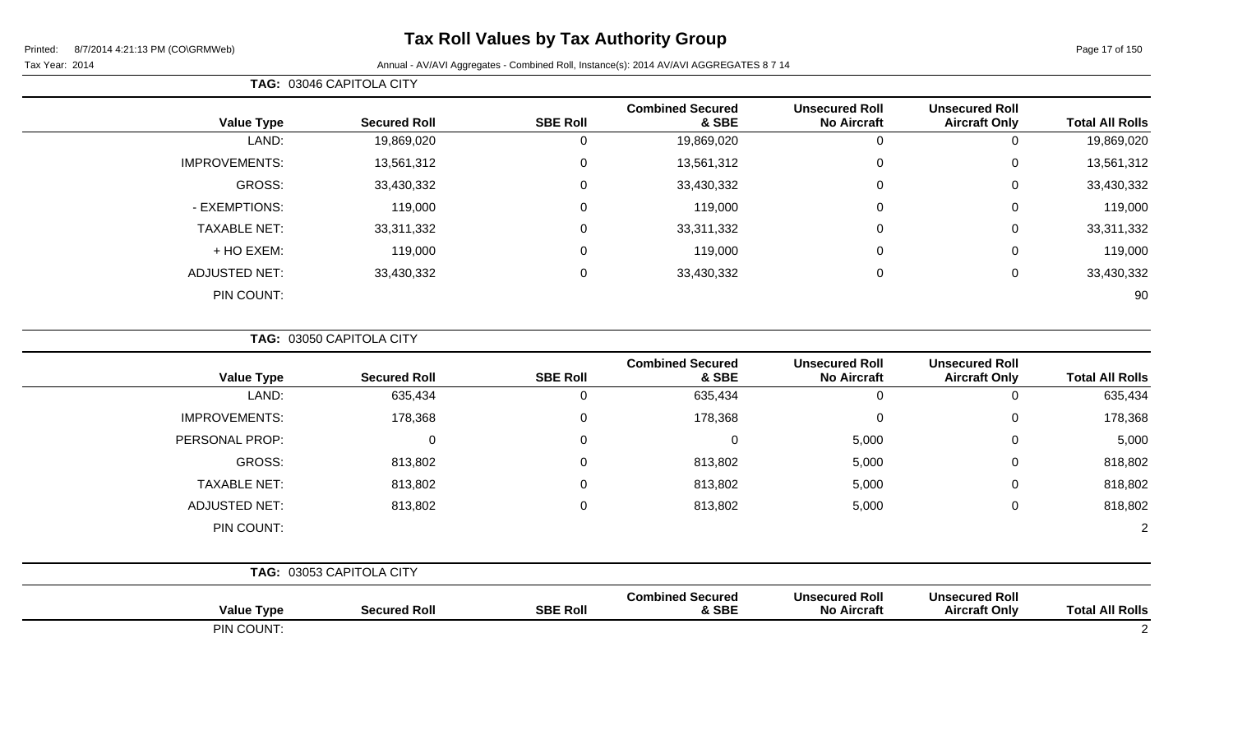Page 17 of 150

### Tax Year: 2014 **Annual - AV/AVI Aggregates - Combined Roll**, Instance(s): 2014 AV/AVI AGGREGATES 8 7 14

| <b>Total All Rolls</b> | <b>Unsecured Roll</b><br><b>Aircraft Only</b> | <b>Unsecured Roll</b><br><b>No Aircraft</b> | <b>Combined Secured</b><br>& SBE | <b>SBE Roll</b> | <b>Secured Roll</b> | <b>Value Type</b>    |
|------------------------|-----------------------------------------------|---------------------------------------------|----------------------------------|-----------------|---------------------|----------------------|
| 19,869,020             | O                                             | U                                           | 19,869,020                       | 0               | 19,869,020          | LAND:                |
| 13,561,312             | 0                                             | 0                                           | 13,561,312                       | 0               | 13,561,312          | <b>IMPROVEMENTS:</b> |
| 33,430,332             | 0                                             | 0                                           | 33,430,332                       | 0               | 33,430,332          | GROSS:               |
| 119,000                | 0                                             | 0                                           | 119,000                          | 0               | 119,000             | - EXEMPTIONS:        |
| 33,311,332             | 0                                             | 0                                           | 33,311,332                       | 0               | 33,311,332          | <b>TAXABLE NET:</b>  |
| 119,000                | 0                                             | 0                                           | 119,000                          | 0               | 119,000             | + HO EXEM:           |
| 33,430,332             | 0                                             | 0                                           | 33,430,332                       | 0               | 33,430,332          | <b>ADJUSTED NET:</b> |
| 90                     |                                               |                                             |                                  |                 |                     | PIN COUNT:           |
|                        |                                               |                                             |                                  |                 |                     |                      |

**TAG:** 03050 CAPITOLA CITY

**TAG:** 03046 CAPITOLA CITY

| <b>Value Type</b>    | <b>Secured Roll</b>      | <b>SBE Roll</b> | <b>Combined Secured</b><br>& SBE | <b>Unsecured Roll</b><br><b>No Aircraft</b> | <b>Unsecured Roll</b><br><b>Aircraft Only</b> | <b>Total All Rolls</b> |
|----------------------|--------------------------|-----------------|----------------------------------|---------------------------------------------|-----------------------------------------------|------------------------|
| LAND:                | 635,434                  | 0               | 635,434                          | 0                                           | 0                                             | 635,434                |
| <b>IMPROVEMENTS:</b> | 178,368                  | $\mathbf 0$     | 178,368                          | 0                                           | $\mathbf 0$                                   | 178,368                |
| PERSONAL PROP:       | 0                        | 0               | $\Omega$                         | 5,000                                       | $\mathbf 0$                                   | 5,000                  |
| GROSS:               | 813,802                  | $\mathbf 0$     | 813,802                          | 5,000                                       | $\overline{0}$                                | 818,802                |
| <b>TAXABLE NET:</b>  | 813,802                  | 0               | 813,802                          | 5,000                                       | $\mathbf 0$                                   | 818,802                |
| <b>ADJUSTED NET:</b> | 813,802                  | $\mathbf 0$     | 813,802                          | 5,000                                       | $\mathbf 0$                                   | 818,802                |
| PIN COUNT:           |                          |                 |                                  |                                             |                                               | $\overline{2}$         |
|                      | TAG: 03053 CAPITOLA CITY |                 |                                  |                                             |                                               |                        |
| <b>Value Type</b>    | <b>Secured Roll</b>      | <b>SBE Roll</b> | <b>Combined Secured</b><br>& SBE | <b>Unsecured Roll</b><br><b>No Aircraft</b> | <b>Unsecured Roll</b><br><b>Aircraft Only</b> | <b>Total All Rolls</b> |

PIN COUNT: 2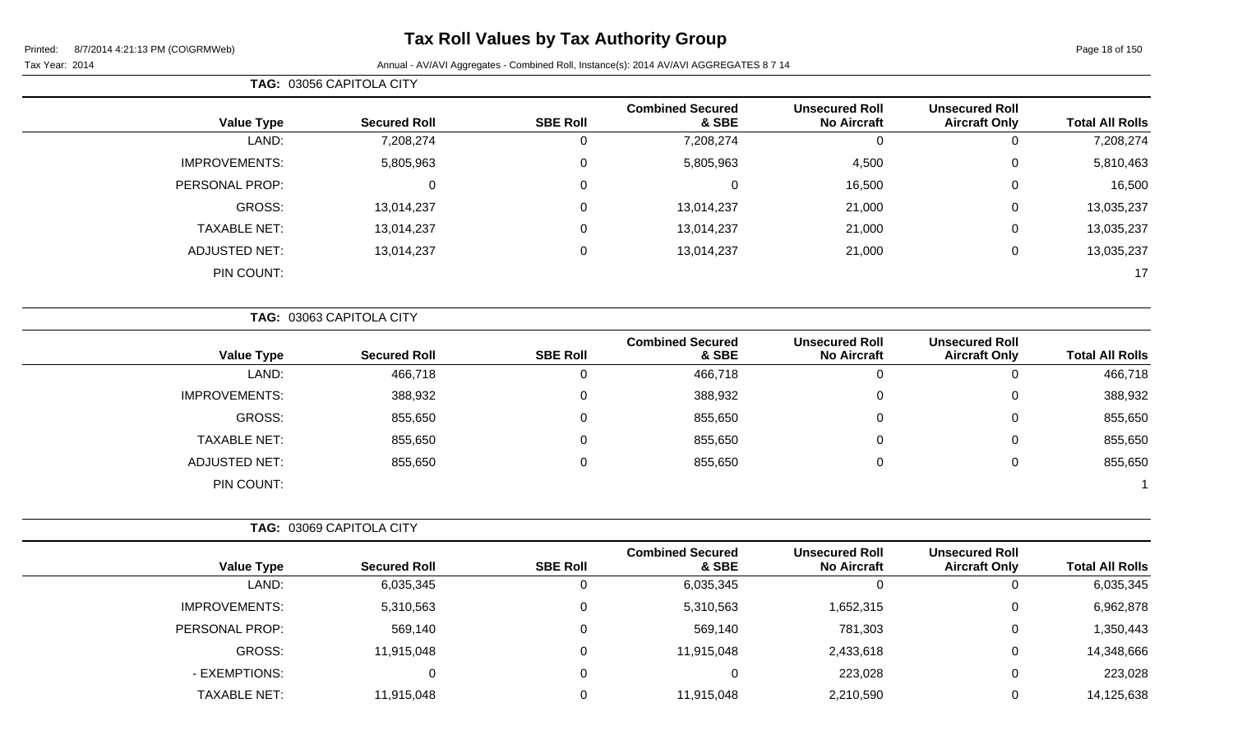# **Tax Roll Values by Tax Authority Group**

### Tax Year: 2014 Annual - AV/AVI Aggregates - Combined Roll, Instance(s): 2014 AV/AVI AGGREGATES 8 7 14

|                        | <b>Unsecured Roll</b>                         | <b>Unsecured Roll</b>                       | <b>Combined Secured</b>          |                  |                          |                      |
|------------------------|-----------------------------------------------|---------------------------------------------|----------------------------------|------------------|--------------------------|----------------------|
| <b>Total All Rolls</b> | <b>Aircraft Only</b>                          | <b>No Aircraft</b>                          | & SBE                            | <b>SBE Roll</b>  | <b>Secured Roll</b>      | <b>Value Type</b>    |
| 7,208,274              | $\mathbf 0$                                   | $\mathbf 0$                                 | 7,208,274                        | $\mathbf 0$      | 7,208,274                | LAND:                |
| 5,810,463              | 0                                             | 4,500                                       | 5,805,963                        | $\mathbf 0$      | 5,805,963                | <b>IMPROVEMENTS:</b> |
| 16,500                 | 0                                             | 16,500                                      | 0                                | $\mathbf 0$      | $\mathbf 0$              | PERSONAL PROP:       |
| 13,035,237             | 0                                             | 21,000                                      | 13,014,237                       | $\mathbf 0$      | 13,014,237               | GROSS:               |
| 13,035,237             | 0                                             | 21,000                                      | 13,014,237                       | $\mathbf 0$      | 13,014,237               | <b>TAXABLE NET:</b>  |
| 13,035,237             | 0                                             | 21,000                                      | 13,014,237                       | $\mathbf 0$      | 13,014,237               | <b>ADJUSTED NET:</b> |
| 17                     |                                               |                                             |                                  |                  |                          | PIN COUNT:           |
|                        |                                               |                                             |                                  |                  | TAG: 03063 CAPITOLA CITY |                      |
| <b>Total All Rolls</b> | <b>Unsecured Roll</b><br><b>Aircraft Only</b> | <b>Unsecured Roll</b><br><b>No Aircraft</b> | <b>Combined Secured</b><br>& SBE | <b>SBE Roll</b>  | <b>Secured Roll</b>      | <b>Value Type</b>    |
| 466,718                | 0                                             | $\mathbf 0$                                 | 466,718                          | $\boldsymbol{0}$ | 466,718                  | LAND:                |
| 388,932                | 0                                             | 0                                           | 388,932                          | $\mathbf 0$      | 388,932                  | <b>IMPROVEMENTS:</b> |
| 855,650                | 0                                             | $\mathbf 0$                                 | 855,650                          | $\boldsymbol{0}$ | 855,650                  | GROSS:               |
| 855,650                | 0                                             | $\mathbf 0$                                 | 855,650                          | $\mathbf 0$      | 855,650                  | <b>TAXABLE NET:</b>  |
| 855,650                | 0                                             | $\mathbf 0$                                 | 855,650                          | $\mathbf 0$      | 855,650                  | <b>ADJUSTED NET:</b> |
|                        |                                               |                                             |                                  |                  |                          | PIN COUNT:           |
|                        |                                               |                                             |                                  |                  | TAG: 03069 CAPITOLA CITY |                      |
| <b>Total All Rolls</b> | <b>Unsecured Roll</b><br><b>Aircraft Only</b> | <b>Unsecured Roll</b><br><b>No Aircraft</b> | <b>Combined Secured</b><br>& SBE | <b>SBE Roll</b>  | <b>Secured Roll</b>      | <b>Value Type</b>    |
|                        | 0                                             | $\mathbf 0$                                 | 6,035,345                        | 0                | 6,035,345                | LAND:                |
| 6,035,345              |                                               |                                             |                                  |                  |                          |                      |

PERSONAL PROP: 659,140 569,140 0 569,140 569,140 569,140 781,303 0 1,350,443

- EXEMPTIONS: 0 0 0 223,028 0 223,028 TAXABLE NET: 11,915,048 0 11,915,048 2,210,590 0 14,125,638

GROSS: 11,915,048 0 11,915,048 2,433,618 0 14,348,666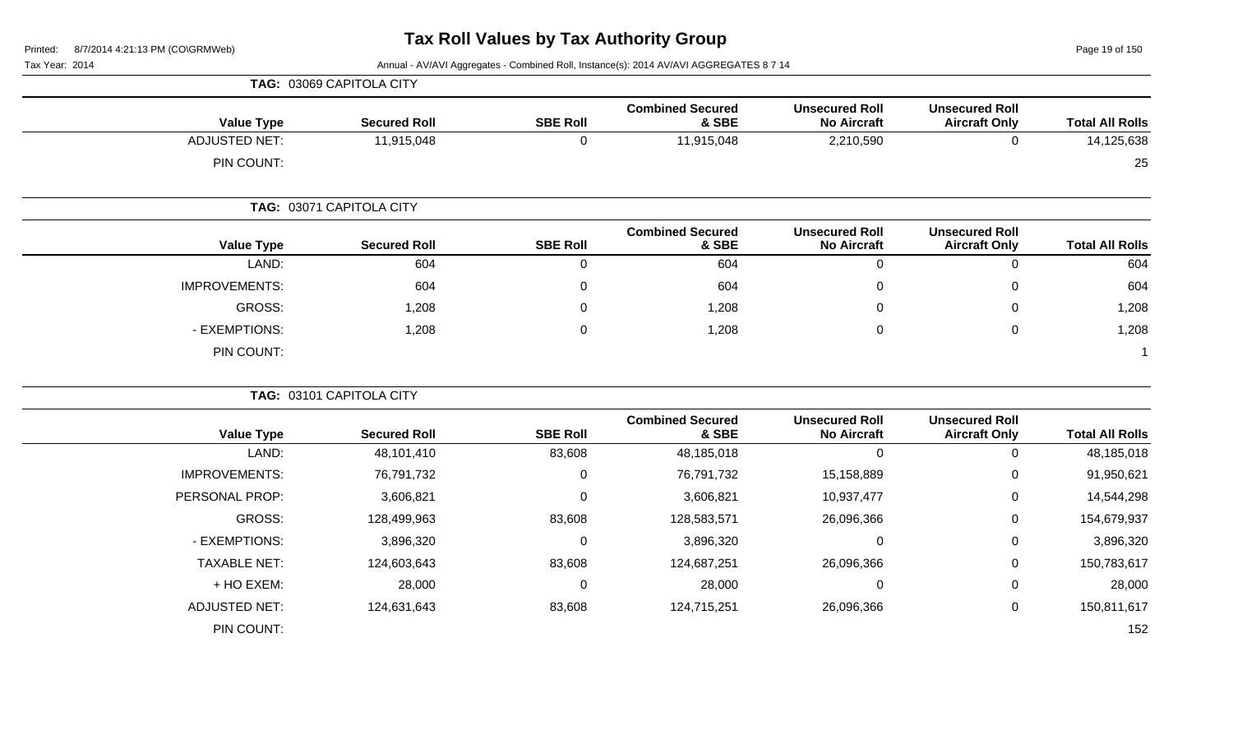**TAG:** 03069 CAPITOLA CITY

Page 19 of 150

| <b>Value Type</b>    | <b>Secured Roll</b>      | <b>SBE Roll</b> | <b>Combined Secured</b><br>& SBE | <b>Unsecured Roll</b><br><b>No Aircraft</b> | <b>Unsecured Roll</b><br><b>Aircraft Only</b> | <b>Total All Rolls</b> |
|----------------------|--------------------------|-----------------|----------------------------------|---------------------------------------------|-----------------------------------------------|------------------------|
| <b>ADJUSTED NET:</b> | 11,915,048               | $\mathbf 0$     | 11,915,048                       | 2,210,590                                   | $\mathbf 0$                                   | 14,125,638             |
| PIN COUNT:           |                          |                 |                                  |                                             |                                               | 25                     |
|                      | TAG: 03071 CAPITOLA CITY |                 |                                  |                                             |                                               |                        |
| <b>Value Type</b>    | <b>Secured Roll</b>      | <b>SBE Roll</b> | <b>Combined Secured</b><br>& SBE | <b>Unsecured Roll</b><br><b>No Aircraft</b> | <b>Unsecured Roll</b><br><b>Aircraft Only</b> | <b>Total All Rolls</b> |
| LAND:                | 604                      | 0               | 604                              | $\mathbf 0$                                 | $\mathbf 0$                                   | 604                    |
| <b>IMPROVEMENTS:</b> | 604                      | 0               | 604                              | $\mathbf 0$                                 | $\boldsymbol{0}$                              | 604                    |
| <b>GROSS:</b>        | 1,208                    | 0               | 1,208                            | $\mathbf 0$                                 | $\mathbf 0$                                   | 1,208                  |
| - EXEMPTIONS:        | 1,208                    | $\mathbf 0$     | 1,208                            | $\mathbf 0$                                 | $\mathbf 0$                                   | 1,208                  |
| PIN COUNT:           |                          |                 |                                  |                                             |                                               | $\overline{1}$         |
|                      | TAG: 03101 CAPITOLA CITY |                 |                                  |                                             |                                               |                        |
| <b>Value Type</b>    | <b>Secured Roll</b>      | <b>SBE Roll</b> | <b>Combined Secured</b><br>& SBE | <b>Unsecured Roll</b><br><b>No Aircraft</b> | <b>Unsecured Roll</b><br><b>Aircraft Only</b> | <b>Total All Rolls</b> |
| LAND:                | 48,101,410               | 83,608          | 48,185,018                       | $\overline{0}$                              | $\mathbf 0$                                   | 48,185,018             |
| <b>IMPROVEMENTS:</b> | 76,791,732               | $\pmb{0}$       | 76,791,732                       | 15,158,889                                  | $\boldsymbol{0}$                              | 91,950,621             |
| PERSONAL PROP:       | 3,606,821                | 0               | 3,606,821                        | 10,937,477                                  | 0                                             | 14,544,298             |
| <b>GROSS:</b>        | 128,499,963              | 83,608          | 128,583,571                      | 26,096,366                                  | 0                                             | 154,679,937            |
| - EXEMPTIONS:        | 3,896,320                | 0               | 3,896,320                        | $\mathbf 0$                                 | 0                                             | 3,896,320              |
| <b>TAXABLE NET:</b>  | 124,603,643              | 83,608          | 124,687,251                      | 26,096,366                                  | $\boldsymbol{0}$                              | 150,783,617            |
| + HO EXEM:           | 28,000                   | $\mathbf 0$     | 28,000                           | $\mathbf 0$                                 | 0                                             | 28,000                 |
| <b>ADJUSTED NET:</b> | 124,631,643              | 83,608          | 124,715,251                      | 26,096,366                                  | 0                                             | 150,811,617            |
| PIN COUNT:           |                          |                 |                                  |                                             |                                               | 152                    |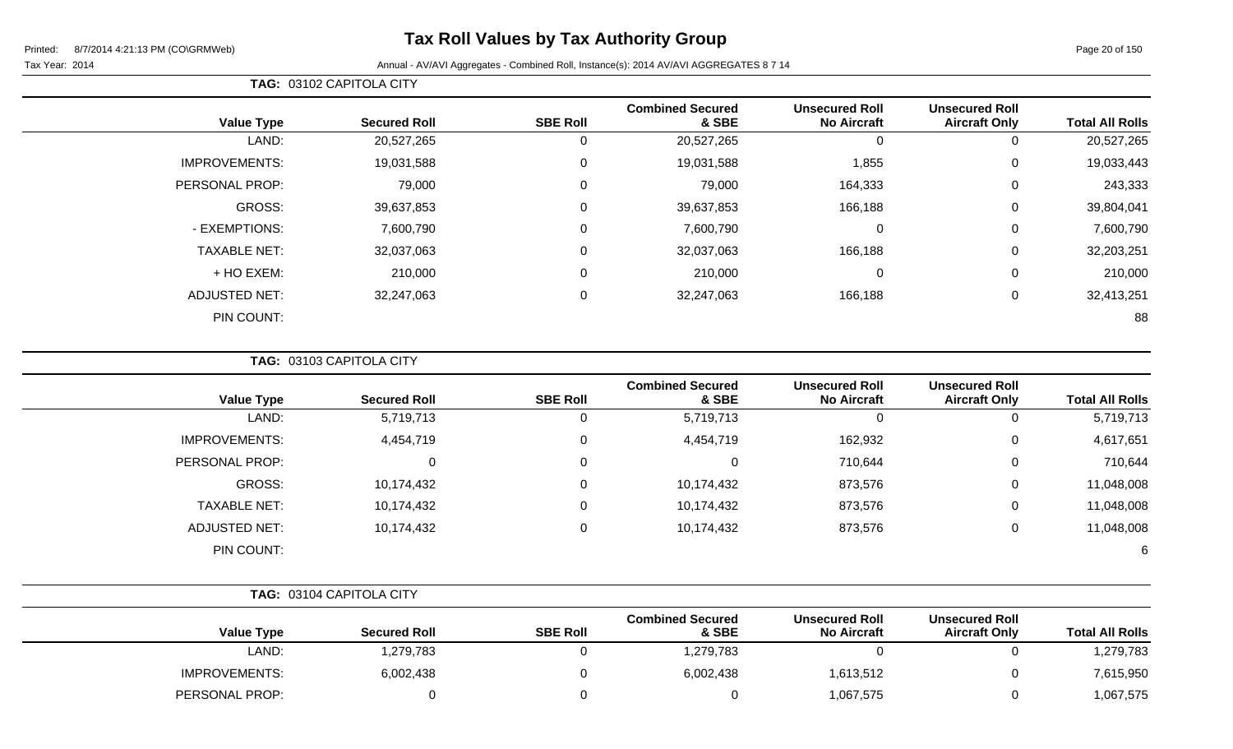**TAG:** 03102 CAPITOLA CITY

| <b>Total All Rolls</b> | <b>Unsecured Roll</b><br><b>Aircraft Only</b> | <b>Unsecured Roll</b><br><b>No Aircraft</b> | <b>Combined Secured</b><br>& SBE | <b>SBE Roll</b> | <b>Secured Roll</b> | <b>Value Type</b>    |
|------------------------|-----------------------------------------------|---------------------------------------------|----------------------------------|-----------------|---------------------|----------------------|
| 20,527,265             | 0                                             | 0                                           | 20,527,265                       | υ               | 20,527,265          | LAND:                |
| 19,033,443             | $\mathbf 0$                                   | 1,855                                       | 19,031,588                       | 0               | 19,031,588          | <b>IMPROVEMENTS:</b> |
| 243,333                | $\overline{0}$                                | 164,333                                     | 79,000                           | 0               | 79,000              | PERSONAL PROP:       |
| 39,804,041             | 0                                             | 166,188                                     | 39,637,853                       | 0               | 39,637,853          | GROSS:               |
| 7,600,790              | 0                                             | 0                                           | 7,600,790                        | 0               | 7,600,790           | - EXEMPTIONS:        |
| 32,203,251             | $\mathbf 0$                                   | 166,188                                     | 32,037,063                       | 0               | 32,037,063          | <b>TAXABLE NET:</b>  |
| 210,000                | $\mathbf 0$                                   | 0                                           | 210,000                          | 0               | 210,000             | + HO EXEM:           |
| 32,413,251             | $\mathbf 0$                                   | 166,188                                     | 32,247,063                       | 0               | 32,247,063          | <b>ADJUSTED NET:</b> |
| 88                     |                                               |                                             |                                  |                 |                     | PIN COUNT:           |
|                        |                                               |                                             |                                  |                 |                     |                      |

**TAG:** 03103 CAPITOLA CITY

| <b>Value Type</b>    | <b>Secured Roll</b> | <b>SBE Roll</b> | <b>Combined Secured</b><br>& SBE | <b>Unsecured Roll</b><br><b>No Aircraft</b> | <b>Unsecured Roll</b><br><b>Aircraft Only</b> | <b>Total All Rolls</b> |
|----------------------|---------------------|-----------------|----------------------------------|---------------------------------------------|-----------------------------------------------|------------------------|
| LAND:                | 5,719,713           | 0               | 5,719,713                        | 0                                           | 0                                             | 5,719,713              |
| <b>IMPROVEMENTS:</b> | 4,454,719           | $\mathbf{0}$    | 4,454,719                        | 162,932                                     | 0                                             | 4,617,651              |
| PERSONAL PROP:       | 0                   | 0               |                                  | 710,644                                     | 0                                             | 710,644                |
| <b>GROSS:</b>        | 10,174,432          | 0               | 10,174,432                       | 873,576                                     | 0                                             | 11,048,008             |
| <b>TAXABLE NET:</b>  | 10,174,432          | 0               | 10,174,432                       | 873,576                                     | 0                                             | 11,048,008             |
| <b>ADJUSTED NET:</b> | 10,174,432          | 0               | 10,174,432                       | 873,576                                     | 0                                             | 11,048,008             |
| PIN COUNT:           |                     |                 |                                  |                                             |                                               | 6                      |

|                      | TAG: 03104 CAPITOLA CITY |                 |                                  |                                             |                                               |                        |
|----------------------|--------------------------|-----------------|----------------------------------|---------------------------------------------|-----------------------------------------------|------------------------|
| <b>Value Type</b>    | <b>Secured Roll</b>      | <b>SBE Roll</b> | <b>Combined Secured</b><br>& SBE | <b>Unsecured Roll</b><br><b>No Aircraft</b> | <b>Unsecured Roll</b><br><b>Aircraft Only</b> | <b>Total All Rolls</b> |
| LAND:                | 1,279,783                |                 | 1,279,783                        |                                             |                                               | 1,279,783              |
| <b>IMPROVEMENTS:</b> | 6,002,438                |                 | 6,002,438                        | 1,613,512                                   |                                               | 7,615,950              |
| PERSONAL PROP:       |                          |                 |                                  | 1,067,575                                   |                                               | 1,067,575              |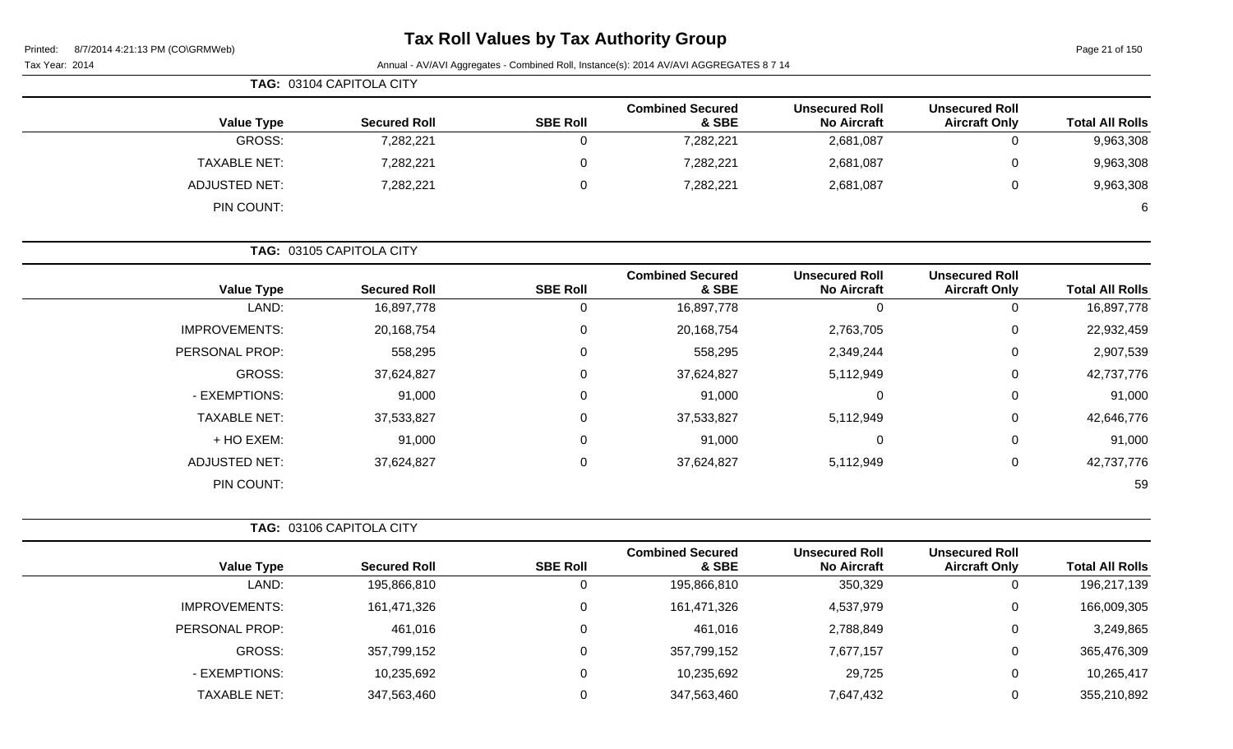### **Tax Roll Values by Tax Authority Group**

| 8/7/2014 4:21:13 PM (CO\GRMWeb)<br>Printed: | Tax Roll values by Tax Authority Group |                 |                                                                                        |                                             |                                               | Page 21 of 150         |
|---------------------------------------------|----------------------------------------|-----------------|----------------------------------------------------------------------------------------|---------------------------------------------|-----------------------------------------------|------------------------|
| Tax Year: 2014                              |                                        |                 | Annual - AV/AVI Aggregates - Combined Roll, Instance(s): 2014 AV/AVI AGGREGATES 8 7 14 |                                             |                                               |                        |
|                                             | TAG: 03104 CAPITOLA CITY               |                 |                                                                                        |                                             |                                               |                        |
| <b>Value Type</b>                           | <b>Secured Roll</b>                    | <b>SBE Roll</b> | <b>Combined Secured</b><br>& SBE                                                       | <b>Unsecured Roll</b><br><b>No Aircraft</b> | <b>Unsecured Roll</b><br><b>Aircraft Only</b> | <b>Total All Rolls</b> |
| <b>GROSS:</b>                               | 7,282,221                              | $\mathbf 0$     | 7,282,221                                                                              | 2,681,087                                   | $\mathbf 0$                                   | 9,963,308              |
| <b>TAXABLE NET:</b>                         | 7,282,221                              | 0               | 7,282,221                                                                              | 2,681,087                                   | $\Omega$                                      | 9,963,308              |
| <b>ADJUSTED NET:</b>                        | 7,282,221                              | $\overline{0}$  | 7,282,221                                                                              | 2,681,087                                   | $\Omega$                                      | 9,963,308              |
| PIN COUNT:                                  |                                        |                 |                                                                                        |                                             |                                               | 6                      |
|                                             | TAG: 03105 CAPITOLA CITY               |                 |                                                                                        |                                             |                                               |                        |
| <b>Value Type</b>                           | <b>Secured Roll</b>                    | <b>SBE Roll</b> | <b>Combined Secured</b><br>& SBE                                                       | <b>Unsecured Roll</b><br><b>No Aircraft</b> | <b>Unsecured Roll</b><br><b>Aircraft Only</b> | <b>Total All Rolls</b> |
| LAND:                                       | 16,897,778                             | $\mathbf 0$     | 16,897,778                                                                             | $\mathbf 0$                                 | $\mathbf 0$                                   | 16,897,778             |
| <b>IMPROVEMENTS:</b>                        | 20,168,754                             | $\mathbf 0$     | 20,168,754                                                                             | 2,763,705                                   | $\mathbf 0$                                   | 22,932,459             |
| PERSONAL PROP:                              | 558,295                                | $\Omega$        | 558,295                                                                                | 2,349,244                                   | $\Omega$                                      | 2,907,539              |
| <b>GROSS:</b>                               | 37,624,827                             | 0               | 37,624,827                                                                             | 5,112,949                                   | 0                                             | 42,737,776             |
| - EXEMPTIONS:                               | 91,000                                 | 0               | 91,000                                                                                 | $\pmb{0}$                                   | $\Omega$                                      | 91,000                 |
| <b>TAXABLE NET:</b>                         | 37,533,827                             | 0               | 37,533,827                                                                             | 5,112,949                                   | 0                                             | 42,646,776             |
| + HO EXEM:                                  | 91,000                                 | $\Omega$        | 91,000                                                                                 | $\pmb{0}$                                   | $\Omega$                                      | 91,000                 |
| <b>ADJUSTED NET:</b>                        | 37,624,827                             | 0               | 37,624,827                                                                             | 5,112,949                                   | 0                                             | 42,737,776             |
| PIN COUNT:                                  |                                        |                 |                                                                                        |                                             |                                               | 59                     |
|                                             | TAG: 03106 CAPITOLA CITY               |                 |                                                                                        |                                             |                                               |                        |
| <b>Value Type</b>                           | <b>Secured Roll</b>                    | <b>SBE Roll</b> | <b>Combined Secured</b><br>& SBE                                                       | <b>Unsecured Roll</b><br><b>No Aircraft</b> | <b>Unsecured Roll</b><br><b>Aircraft Only</b> | <b>Total All Rolls</b> |
| LAND:                                       | 195,866,810                            | $\mathbf 0$     | 195,866,810                                                                            | 350,329                                     | $\mathbf 0$                                   | 196,217,139            |
| <b>IMPROVEMENTS:</b>                        | 161,471,326                            | 0               | 161,471,326                                                                            | 4,537,979                                   |                                               | 166,009,305            |
| PERSONAL PROP:                              | 461,016                                | 0               | 461,016                                                                                | 2,788,849                                   | 0                                             | 3,249,865              |

GROSS: 357,799,152 0 357,799,152 7,677,157 0 365,476,309

- EXEMPTIONS: 10,235,692 0 10,235,692 29,725 0 10,265,417 TAXABLE NET: 347,563,460 0 347,563,460 7,647,432 0 355,210,892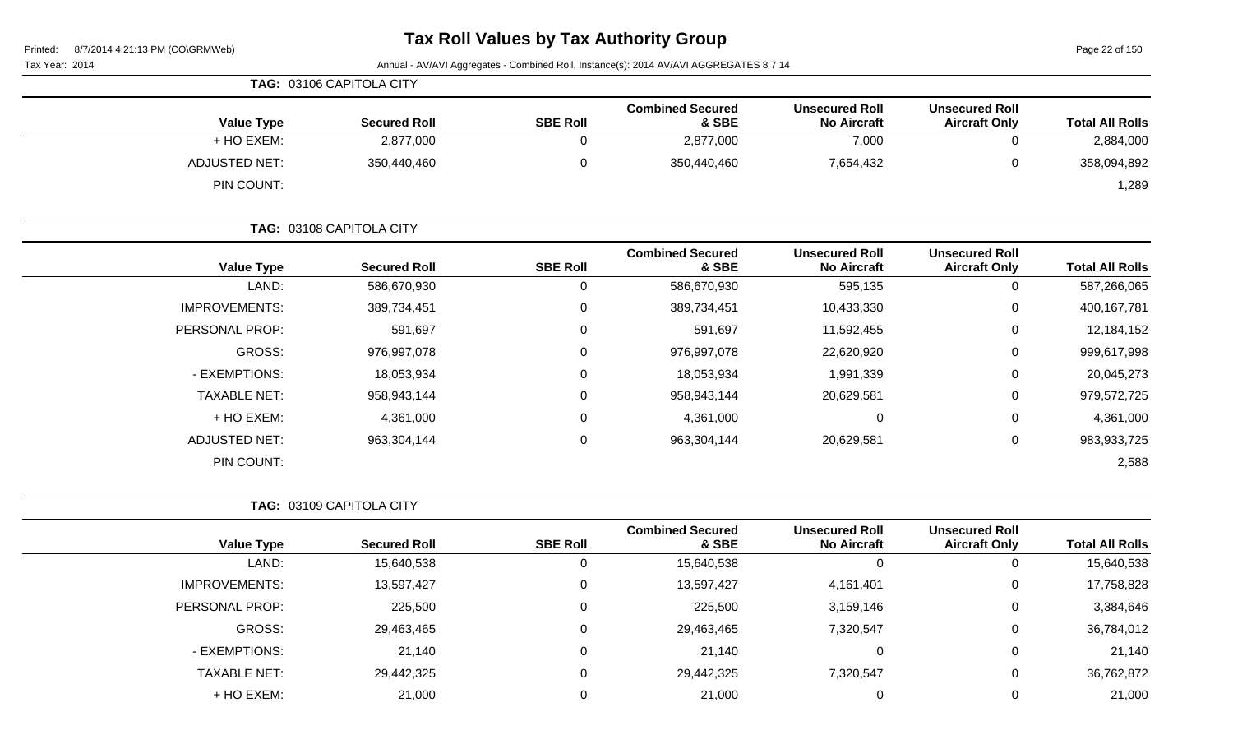Page 22 of 150

|                      | TAG: 03106 CAPITOLA CITY |                 |                                  |                                             |                                               |                        |
|----------------------|--------------------------|-----------------|----------------------------------|---------------------------------------------|-----------------------------------------------|------------------------|
| <b>Value Type</b>    | <b>Secured Roll</b>      | <b>SBE Roll</b> | <b>Combined Secured</b><br>& SBE | <b>Unsecured Roll</b><br><b>No Aircraft</b> | <b>Unsecured Roll</b><br><b>Aircraft Only</b> | <b>Total All Rolls</b> |
| + HO EXEM:           | 2,877,000                |                 | 2,877,000                        | 7,000                                       | 0                                             | 2,884,000              |
| <b>ADJUSTED NET:</b> | 350,440,460              |                 | 350,440,460                      | 7,654,432                                   | 0                                             | 358,094,892            |
| PIN COUNT:           |                          |                 |                                  |                                             |                                               | 1,289                  |

|                      | TAG: 03108 CAPITOLA CITY |                 |                                  |                                             |                                               |                        |
|----------------------|--------------------------|-----------------|----------------------------------|---------------------------------------------|-----------------------------------------------|------------------------|
| <b>Value Type</b>    | <b>Secured Roll</b>      | <b>SBE Roll</b> | <b>Combined Secured</b><br>& SBE | <b>Unsecured Roll</b><br><b>No Aircraft</b> | <b>Unsecured Roll</b><br><b>Aircraft Only</b> | <b>Total All Rolls</b> |
| LAND:                | 586,670,930              | 0               | 586,670,930                      | 595,135                                     | 0                                             | 587,266,065            |
| <b>IMPROVEMENTS:</b> | 389,734,451              | 0               | 389,734,451                      | 10,433,330                                  | 0                                             | 400,167,781            |
| PERSONAL PROP:       | 591,697                  | 0               | 591,697                          | 11,592,455                                  | 0                                             | 12,184,152             |
| GROSS:               | 976,997,078              | 0               | 976,997,078                      | 22,620,920                                  | 0                                             | 999,617,998            |
| - EXEMPTIONS:        | 18,053,934               | 0               | 18,053,934                       | 1,991,339                                   | 0                                             | 20,045,273             |
| <b>TAXABLE NET:</b>  | 958,943,144              | 0               | 958,943,144                      | 20,629,581                                  | 0                                             | 979,572,725            |
| + HO EXEM:           | 4,361,000                | 0               | 4,361,000                        | 0                                           | 0                                             | 4,361,000              |
| <b>ADJUSTED NET:</b> | 963,304,144              | 0               | 963,304,144                      | 20,629,581                                  | 0                                             | 983,933,725            |
| PIN COUNT:           |                          |                 |                                  |                                             |                                               | 2,588                  |

|                      |                     |                 | <b>Combined Secured</b> | <b>Unsecured Roll</b> | <b>Unsecured Roll</b> |                        |
|----------------------|---------------------|-----------------|-------------------------|-----------------------|-----------------------|------------------------|
| <b>Value Type</b>    | <b>Secured Roll</b> | <b>SBE Roll</b> | & SBE                   | <b>No Aircraft</b>    | <b>Aircraft Only</b>  | <b>Total All Rolls</b> |
| LAND:                | 15,640,538          | υ               | 15,640,538              | 0                     | υ                     | 15,640,538             |
| <b>IMPROVEMENTS:</b> | 13,597,427          | $\Omega$        | 13,597,427              | 4,161,401             | 0                     | 17,758,828             |
| PERSONAL PROP:       | 225,500             | 0               | 225,500                 | 3,159,146             | 0                     | 3,384,646              |
| GROSS:               | 29,463,465          | 0               | 29,463,465              | 7,320,547             | 0                     | 36,784,012             |
| - EXEMPTIONS:        | 21,140              | 0               | 21,140                  | 0                     | 0                     | 21,140                 |
| <b>TAXABLE NET:</b>  | 29,442,325          | 0               | 29,442,325              | 7,320,547             | 0                     | 36,762,872             |
| + HO EXEM:           | 21,000              |                 | 21,000                  |                       | 0                     | 21,000                 |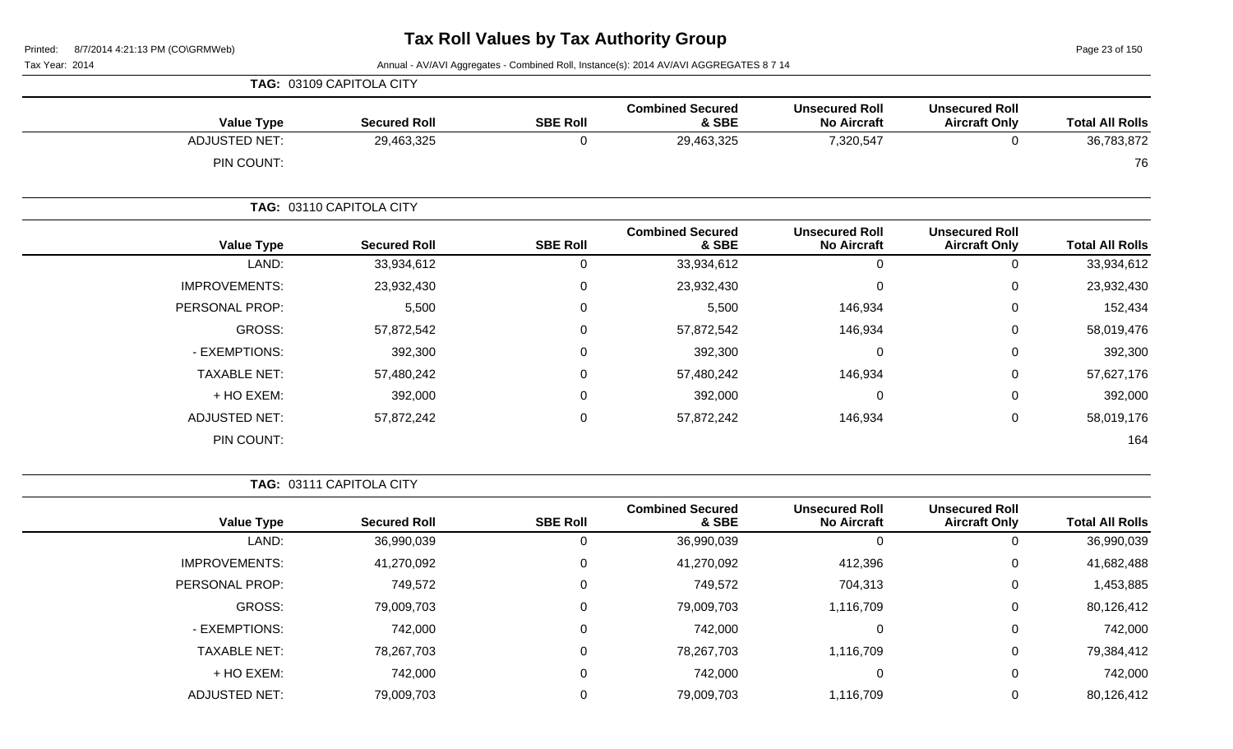Page 23 of 150

Tax Year: 2014 **Annual - AV/AVI Aggregates - Combined Roll**, Instance(s): 2014 AV/AVI AGGREGATES 8 7 14

| <b>Value Type</b>    | <b>Secured Roll</b>      | <b>SBE Roll</b> | <b>Combined Secured</b><br>& SBE | <b>Unsecured Roll</b><br><b>No Aircraft</b> | <b>Unsecured Roll</b><br><b>Aircraft Only</b> | <b>Total All Rolls</b> |
|----------------------|--------------------------|-----------------|----------------------------------|---------------------------------------------|-----------------------------------------------|------------------------|
| <b>ADJUSTED NET:</b> | 29,463,325               | 0               | 29,463,325                       | 7,320,547                                   | 0                                             | 36,783,872             |
| PIN COUNT:           |                          |                 |                                  |                                             |                                               | 76                     |
|                      | TAG: 03110 CAPITOLA CITY |                 |                                  |                                             |                                               |                        |
| <b>Value Type</b>    | <b>Secured Roll</b>      | <b>SBE Roll</b> | <b>Combined Secured</b><br>& SBE | <b>Unsecured Roll</b><br><b>No Aircraft</b> | <b>Unsecured Roll</b><br><b>Aircraft Only</b> | <b>Total All Rolls</b> |
| LAND:                | 33,934,612               | 0               | 33,934,612                       | $\mathbf 0$                                 | 0                                             | 33,934,612             |
| <b>IMPROVEMENTS:</b> | 23,932,430               | 0               | 23,932,430                       | $\Omega$                                    | 0                                             | 23,932,430             |
| PERSONAL PROP:       | 5,500                    | 0               | 5,500                            | 146,934                                     | 0                                             | 152,434                |
| GROSS:               | 57,872,542               | 0               | 57,872,542                       | 146,934                                     | 0                                             | 58,019,476             |
| - EXEMPTIONS:        | 392,300                  | 0               | 392,300                          | $\mathbf 0$                                 | $\pmb{0}$                                     | 392,300                |
| <b>TAXABLE NET:</b>  | 57,480,242               | 0               | 57,480,242                       | 146,934                                     | 0                                             | 57,627,176             |
| + HO EXEM:           | 392,000                  | 0               | 392,000                          | $\mathbf 0$                                 | 0                                             | 392,000                |
| <b>ADJUSTED NET:</b> | 57,872,242               | 0               | 57,872,242                       | 146,934                                     | 0                                             | 58,019,176             |
| PIN COUNT:           |                          |                 |                                  |                                             |                                               | 164                    |

**TAG:** 03111 CAPITOLA CITY

**TAG:** 03109 CAPITOLA CITY

|                      |                     |                 | <b>Combined Secured</b> | <b>Unsecured Roll</b> | <b>Unsecured Roll</b> |                        |
|----------------------|---------------------|-----------------|-------------------------|-----------------------|-----------------------|------------------------|
| <b>Value Type</b>    | <b>Secured Roll</b> | <b>SBE Roll</b> | & SBE                   | <b>No Aircraft</b>    | <b>Aircraft Only</b>  | <b>Total All Rolls</b> |
| LAND:                | 36,990,039          |                 | 36,990,039              |                       | 0                     | 36,990,039             |
| <b>IMPROVEMENTS:</b> | 41,270,092          | 0               | 41,270,092              | 412,396               | $\mathbf 0$           | 41,682,488             |
| PERSONAL PROP:       | 749,572             | $\Omega$        | 749,572                 | 704,313               | 0                     | 1,453,885              |
| GROSS:               | 79,009,703          |                 | 79,009,703              | 1,116,709             | 0                     | 80,126,412             |
| - EXEMPTIONS:        | 742,000             |                 | 742,000                 |                       | 0                     | 742,000                |
| <b>TAXABLE NET:</b>  | 78,267,703          |                 | 78,267,703              | 1,116,709             | 0                     | 79,384,412             |
| + HO EXEM:           | 742,000             |                 | 742,000                 |                       | 0                     | 742,000                |
| <b>ADJUSTED NET:</b> | 79,009,703          |                 | 79,009,703              | 1,116,709             | 0                     | 80,126,412             |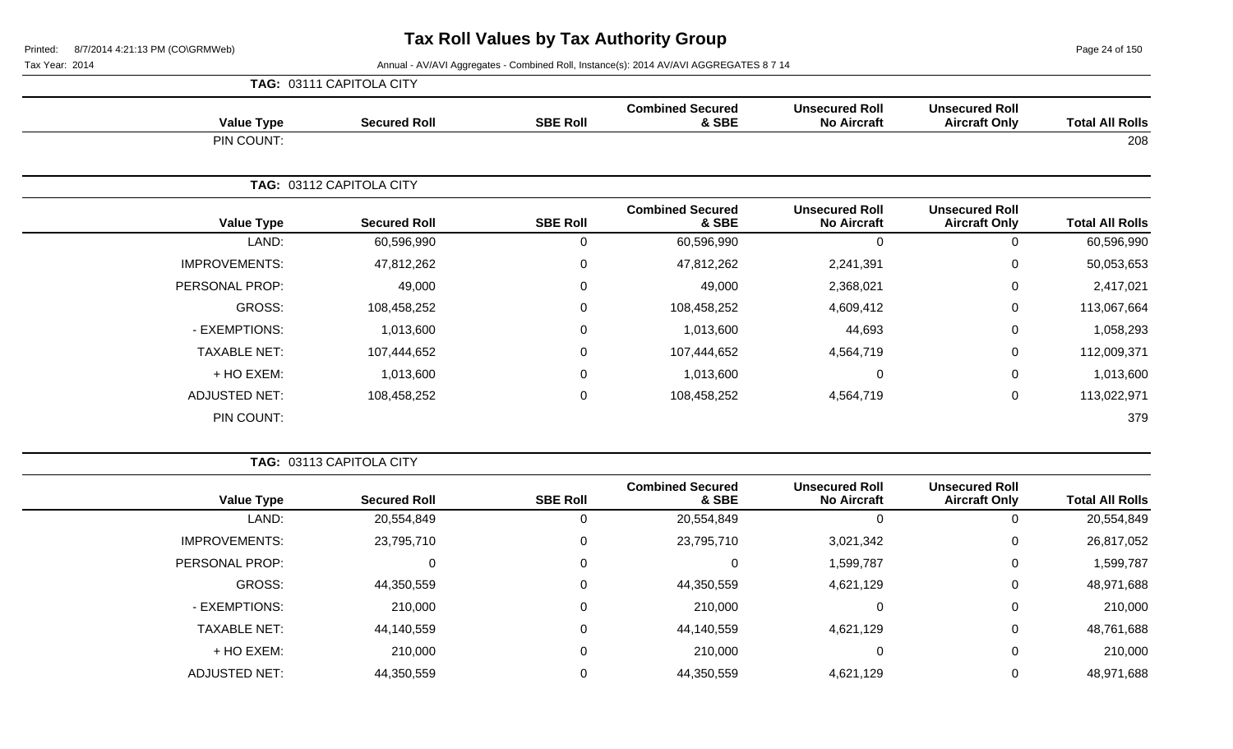Page 24 of 150

|                      | TAG: 03111 CAPITOLA CITY |                 |                                  |                                             |                                               |                        |
|----------------------|--------------------------|-----------------|----------------------------------|---------------------------------------------|-----------------------------------------------|------------------------|
| <b>Value Type</b>    | <b>Secured Roll</b>      | <b>SBE Roll</b> | <b>Combined Secured</b><br>& SBE | <b>Unsecured Roll</b><br><b>No Aircraft</b> | <b>Unsecured Roll</b><br><b>Aircraft Only</b> | <b>Total All Rolls</b> |
| PIN COUNT:           |                          |                 |                                  |                                             |                                               | 208                    |
|                      | TAG: 03112 CAPITOLA CITY |                 |                                  |                                             |                                               |                        |
| <b>Value Type</b>    | <b>Secured Roll</b>      | <b>SBE Roll</b> | <b>Combined Secured</b><br>& SBE | <b>Unsecured Roll</b><br><b>No Aircraft</b> | <b>Unsecured Roll</b><br><b>Aircraft Only</b> | <b>Total All Rolls</b> |
| LAND:                | 60,596,990               | $\Omega$        | 60,596,990                       | $\mathbf{0}$                                | 0                                             | 60,596,990             |
| <b>IMPROVEMENTS:</b> | 47,812,262               | $\Omega$        | 47,812,262                       | 2,241,391                                   | $\mathbf 0$                                   | 50,053,653             |
| PERSONAL PROP:       | 49,000                   | $\mathbf 0$     | 49,000                           | 2,368,021                                   | $\mathbf 0$                                   | 2,417,021              |
| <b>GROSS:</b>        | 108,458,252              | $\mathbf{0}$    | 108,458,252                      | 4,609,412                                   | $\mathbf 0$                                   | 113,067,664            |
| - EXEMPTIONS:        | 1,013,600                | $\overline{0}$  | 1,013,600                        | 44,693                                      | 0                                             | 1,058,293              |
| <b>TAXABLE NET:</b>  | 107,444,652              | 0               | 107,444,652                      | 4,564,719                                   | 0                                             | 112,009,371            |
| + HO EXEM:           | 1,013,600                | $\Omega$        | 1,013,600                        | 0                                           | $\mathbf 0$                                   | 1,013,600              |
| <b>ADJUSTED NET:</b> | 108,458,252              | $\mathbf 0$     | 108,458,252                      | 4,564,719                                   | $\mathbf 0$                                   | 113,022,971            |
| PIN COUNT:           |                          |                 |                                  |                                             |                                               | 379                    |

|                        |                                               |                                             | <b>TAG: 03113 CAPITOLA CITY</b>  |                 |                     |                      |
|------------------------|-----------------------------------------------|---------------------------------------------|----------------------------------|-----------------|---------------------|----------------------|
| <b>Total All Rolls</b> | <b>Unsecured Roll</b><br><b>Aircraft Only</b> | <b>Unsecured Roll</b><br><b>No Aircraft</b> | <b>Combined Secured</b><br>& SBE | <b>SBE Roll</b> | <b>Secured Roll</b> | <b>Value Type</b>    |
| 20,554,849             |                                               |                                             | 20,554,849                       |                 | 20,554,849          | LAND:                |
| 26,817,052             | 0                                             | 3,021,342                                   | 23,795,710                       | 0               | 23,795,710          | <b>IMPROVEMENTS:</b> |
| 1,599,787              | 0                                             | 1,599,787                                   | 0                                | 0               | 0                   | PERSONAL PROP:       |
| 48,971,688             | 0                                             | 4,621,129                                   | 44,350,559                       | 0               | 44,350,559          | GROSS:               |
| 210,000                | 0                                             |                                             | 210,000                          | 0               | 210,000             | - EXEMPTIONS:        |
| 48,761,688             | 0                                             | 4,621,129                                   | 44,140,559                       |                 | 44,140,559          | <b>TAXABLE NET:</b>  |
| 210,000                | 0                                             | C                                           | 210,000                          | 0               | 210,000             | $+$ HO EXEM:         |
| 48,971,688             |                                               | 4,621,129                                   | 44,350,559                       |                 | 44,350,559          | <b>ADJUSTED NET:</b> |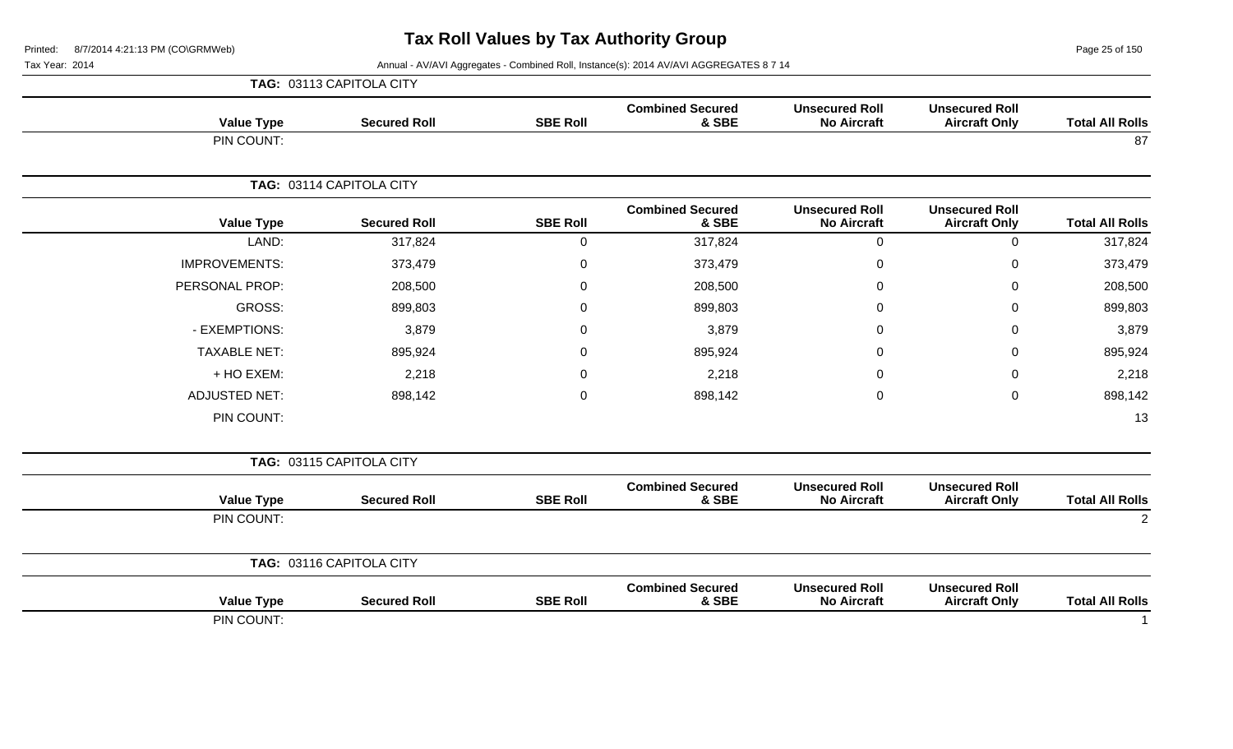Page 25 of 150

|                        |                                               |                                             |                                  |                 | TAG: 03113 CAPITOLA CITY |                      |
|------------------------|-----------------------------------------------|---------------------------------------------|----------------------------------|-----------------|--------------------------|----------------------|
| <b>Total All Rolls</b> | <b>Unsecured Roll</b><br><b>Aircraft Only</b> | <b>Unsecured Roll</b><br><b>No Aircraft</b> | <b>Combined Secured</b><br>& SBE | <b>SBE Roll</b> | <b>Secured Roll</b>      | <b>Value Type</b>    |
| 87                     |                                               |                                             |                                  |                 |                          | PIN COUNT:           |
|                        |                                               |                                             |                                  |                 | TAG: 03114 CAPITOLA CITY |                      |
| <b>Total All Rolls</b> | <b>Unsecured Roll</b><br><b>Aircraft Only</b> | <b>Unsecured Roll</b><br><b>No Aircraft</b> | <b>Combined Secured</b><br>& SBE | <b>SBE Roll</b> | <b>Secured Roll</b>      | <b>Value Type</b>    |
| 317,824                | 0                                             | $\mathbf 0$                                 | 317,824                          | $\mathbf 0$     | 317,824                  | LAND:                |
| 373,479                | 0                                             | 0                                           | 373,479                          | 0               | 373,479                  | <b>IMPROVEMENTS:</b> |
| 208,500                | 0                                             | $\Omega$                                    | 208,500                          | $\mathbf 0$     | 208,500                  | PERSONAL PROP:       |
| 899,803                | 0                                             | $\Omega$                                    | 899,803                          | 0               | 899,803                  | <b>GROSS:</b>        |
| 3,879                  | 0                                             | $\Omega$                                    | 3,879                            | $\mathbf 0$     | 3,879                    | - EXEMPTIONS:        |
| 895,924                | 0                                             | 0                                           | 895,924                          | 0               | 895,924                  | <b>TAXABLE NET:</b>  |
| 2,218                  | 0                                             | 0                                           | 2,218                            | 0               | 2,218                    | + HO EXEM:           |
| 898,142                | 0                                             | 0                                           | 898,142                          | $\mathbf 0$     | 898,142                  | <b>ADJUSTED NET:</b> |
| 13                     |                                               |                                             |                                  |                 |                          | PIN COUNT:           |
|                        |                                               |                                             |                                  |                 | TAG: 03115 CAPITOLA CITY |                      |
| <b>Total All Rolls</b> | <b>Unsecured Roll</b><br><b>Aircraft Only</b> | <b>Unsecured Roll</b><br><b>No Aircraft</b> | <b>Combined Secured</b><br>& SBE | <b>SBE Roll</b> | <b>Secured Roll</b>      | <b>Value Type</b>    |
| $\overline{2}$         |                                               |                                             |                                  |                 |                          | PIN COUNT:           |
|                        |                                               |                                             |                                  |                 | TAG: 03116 CAPITOLA CITY |                      |
| <b>Total All Rolls</b> | <b>Unsecured Roll</b><br><b>Aircraft Only</b> | <b>Unsecured Roll</b><br><b>No Aircraft</b> | <b>Combined Secured</b><br>& SBE | <b>SBE Roll</b> | <b>Secured Roll</b>      | <b>Value Type</b>    |
|                        |                                               |                                             |                                  |                 |                          | PIN COUNT:           |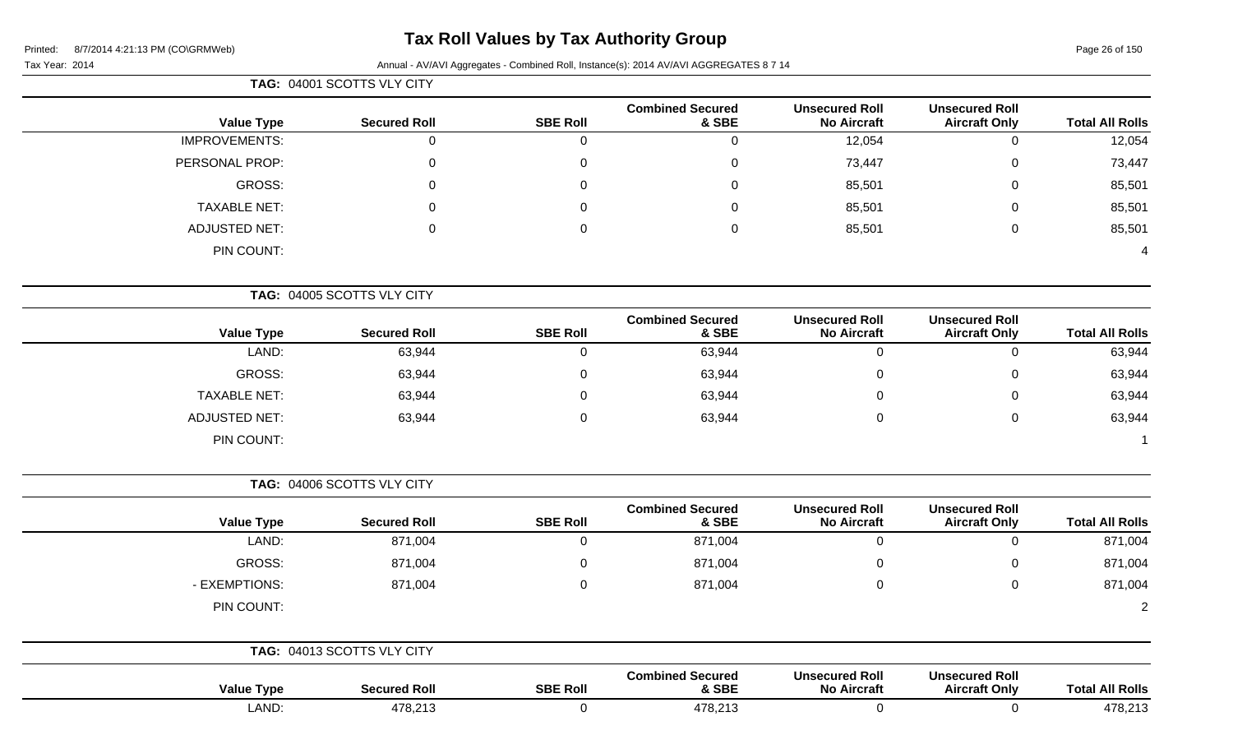# **Tax Roll Values by Tax Authority Group**

### Tax Year: 2014 **Annual - AV/AVI Aggregates - Combined Roll, Instance(s): 2014 AV/AVI AGGREGATES 8 7 14**

| <b>TAG: 04001 SCOTTS VLY CITY</b> |
|-----------------------------------|

| <b>Total All Rolls</b> | <b>Unsecured Roll</b><br><b>Aircraft Only</b> | <b>Unsecured Roll</b><br><b>No Aircraft</b> | <b>Combined Secured</b><br>& SBE | <b>SBE Roll</b> | <b>Secured Roll</b>        | <b>Value Type</b>    |
|------------------------|-----------------------------------------------|---------------------------------------------|----------------------------------|-----------------|----------------------------|----------------------|
| 12,054                 | U                                             | 12,054                                      | 0                                |                 | O                          | <b>IMPROVEMENTS:</b> |
| 73,447                 | 0                                             | 73,447                                      | 0                                | 0               | 0                          | PERSONAL PROP:       |
| 85,501                 | 0                                             | 85,501                                      | $\Omega$                         | 0               | $\Omega$                   | GROSS:               |
| 85,501                 | 0                                             | 85,501                                      | 0                                | 0               | 0                          | <b>TAXABLE NET:</b>  |
| 85,501                 | 0                                             | 85,501                                      | 0                                | 0               | 0                          | <b>ADJUSTED NET:</b> |
| 4                      |                                               |                                             |                                  |                 |                            | PIN COUNT:           |
|                        |                                               |                                             |                                  |                 | TAG: 04005 SCOTTS VLY CITY |                      |

|                      |                     |                 | <b>Combined Secured</b> | <b>Unsecured Roll</b> | <b>Unsecured Roll</b> |                        |
|----------------------|---------------------|-----------------|-------------------------|-----------------------|-----------------------|------------------------|
| <b>Value Type</b>    | <b>Secured Roll</b> | <b>SBE Roll</b> | & SBE                   | <b>No Aircraft</b>    | <b>Aircraft Only</b>  | <b>Total All Rolls</b> |
| LAND:                | 63,944              |                 | 63,944                  |                       |                       | 63,944                 |
| GROSS:               | 63,944              |                 | 63,944                  |                       |                       | 63,944                 |
| <b>TAXABLE NET:</b>  | 63,944              |                 | 63,944                  |                       |                       | 63,944                 |
| <b>ADJUSTED NET:</b> | 63,944              |                 | 63,944                  |                       |                       | 63,944                 |
| PIN COUNT:           |                     |                 |                         |                       |                       |                        |

**TAG:** 04006 SCOTTS VLY CITY

|                   |                     |                 | <b>Combined Secured</b> | <b>Unsecured Roll</b> | <b>Unsecured Roll</b> |                        |
|-------------------|---------------------|-----------------|-------------------------|-----------------------|-----------------------|------------------------|
| <b>Value Type</b> | <b>Secured Roll</b> | <b>SBE Roll</b> | & SBE                   | <b>No Aircraft</b>    | <b>Aircraft Only</b>  | <b>Total All Rolls</b> |
| LAND:             | 871,004             |                 | 871,004                 |                       | 0                     | 871,004                |
| GROSS:            | 871,004             |                 | 871,004                 |                       | 0                     | 871,004                |
| - EXEMPTIONS:     | 871,004             |                 | 871,004                 |                       | 0                     | 871,004                |
| PIN COUNT:        |                     |                 |                         |                       |                       | $\overline{2}$         |
|                   |                     |                 |                         |                       |                       |                        |

|                   | TAG: 04013 SCOTTS VLY CITY |                 |                                  |                                             |                                               |                        |
|-------------------|----------------------------|-----------------|----------------------------------|---------------------------------------------|-----------------------------------------------|------------------------|
| <b>Value Type</b> | <b>Secured Roll</b>        | <b>SBE Roll</b> | <b>Combined Secured</b><br>& SBE | <b>Unsecured Roll</b><br><b>No Aircraft</b> | <b>Unsecured Roll</b><br><b>Aircraft Only</b> | <b>Total All Rolls</b> |
| LAND:             | 478,213                    |                 | 478,213                          |                                             |                                               | 478,213                |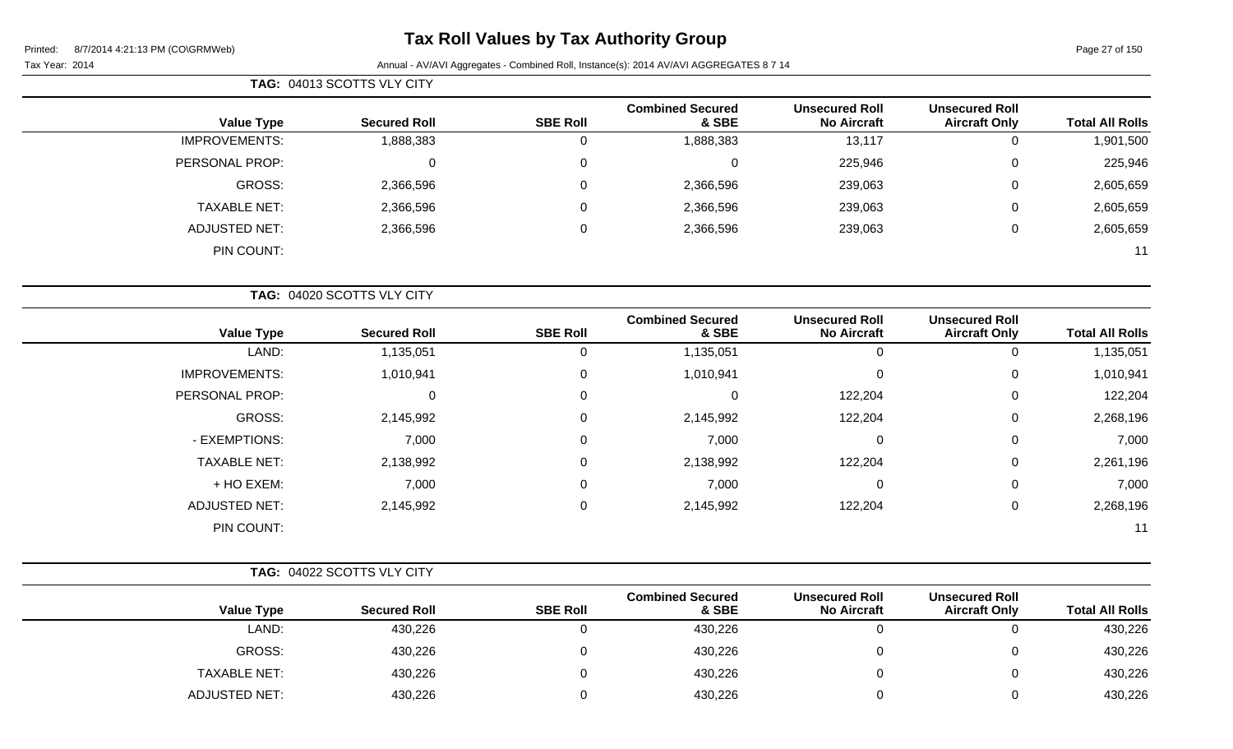# **Tax Roll Values by Tax Authority Group**

### Tax Year: 2014 **Annual - AV/AVI Aggregates - Combined Roll, Instance(s): 2014 AV/AVI AGGREGATES 8 7 14**

| <b>TAG: 04013 SCOTTS VLY CITY</b> |
|-----------------------------------|
|-----------------------------------|

| <b>Total All Rolls</b> | <b>Unsecured Roll</b><br><b>Aircraft Only</b> | <b>Unsecured Roll</b><br><b>No Aircraft</b> | <b>Combined Secured</b><br>& SBE | <b>SBE Roll</b> | <b>Secured Roll</b> | <b>Value Type</b>    |
|------------------------|-----------------------------------------------|---------------------------------------------|----------------------------------|-----------------|---------------------|----------------------|
| 1,901,500              | U                                             | 13,117                                      | 1,888,383                        | O               | 1,888,383           | <b>IMPROVEMENTS:</b> |
| 225,946                | 0                                             | 225,946                                     |                                  |                 | 0                   | PERSONAL PROP:       |
| 2,605,659              | 0                                             | 239,063                                     | 2,366,596                        |                 | 2,366,596           | GROSS:               |
| 2,605,659              | 0                                             | 239,063                                     | 2,366,596                        | 0               | 2,366,596           | <b>TAXABLE NET:</b>  |
| 2,605,659              | 0                                             | 239,063                                     | 2,366,596                        | 0               | 2,366,596           | <b>ADJUSTED NET:</b> |
| 11                     |                                               |                                             |                                  |                 |                     | PIN COUNT:           |

|                        |                                               |                                             |                                  |                 | TAG: 04020 SCOTTS VLY CITY |                      |
|------------------------|-----------------------------------------------|---------------------------------------------|----------------------------------|-----------------|----------------------------|----------------------|
| <b>Total All Rolls</b> | <b>Unsecured Roll</b><br><b>Aircraft Only</b> | <b>Unsecured Roll</b><br><b>No Aircraft</b> | <b>Combined Secured</b><br>& SBE | <b>SBE Roll</b> | <b>Secured Roll</b>        | <b>Value Type</b>    |
| 1,135,051              |                                               | 0                                           | 1,135,051                        | 0               | 1,135,051                  | LAND:                |
| 1,010,941              | 0                                             | 0                                           | 1,010,941                        | 0               | 1,010,941                  | <b>IMPROVEMENTS:</b> |
| 122,204                | 0                                             | 122,204                                     | 0                                | $\Omega$        | 0                          | PERSONAL PROP:       |
| 2,268,196              | 0                                             | 122,204                                     | 2,145,992                        | $\Omega$        | 2,145,992                  | GROSS:               |
| 7,000                  | 0                                             | $\mathbf 0$                                 | 7,000                            | 0               | 7,000                      | - EXEMPTIONS:        |
| 2,261,196              | $\mathbf 0$                                   | 122,204                                     | 2,138,992                        | 0               | 2,138,992                  | <b>TAXABLE NET:</b>  |
| 7,000                  | 0                                             | $\mathbf 0$                                 | 7,000                            | 0               | 7,000                      | + HO EXEM:           |
| 2,268,196              | 0                                             | 122,204                                     | 2,145,992                        | $\Omega$        | 2,145,992                  | <b>ADJUSTED NET:</b> |
| 11                     |                                               |                                             |                                  |                 |                            | PIN COUNT:           |

ADJUSTED NET: 430,226 0 430,226 0 0 430,226

|                     | TAG: 04022 SCOTTS VLY CITY |                 |                                  |                                             |                                               |                        |
|---------------------|----------------------------|-----------------|----------------------------------|---------------------------------------------|-----------------------------------------------|------------------------|
| <b>Value Type</b>   | <b>Secured Roll</b>        | <b>SBE Roll</b> | <b>Combined Secured</b><br>& SBE | <b>Unsecured Roll</b><br><b>No Aircraft</b> | <b>Unsecured Roll</b><br><b>Aircraft Only</b> | <b>Total All Rolls</b> |
| LAND:               | 430,226                    |                 | 430,226                          |                                             |                                               | 430,226                |
| <b>GROSS:</b>       | 430,226                    |                 | 430,226                          |                                             |                                               | 430,226                |
| <b>TAXABLE NET:</b> | 430,226                    |                 | 430,226                          |                                             |                                               | 430,226                |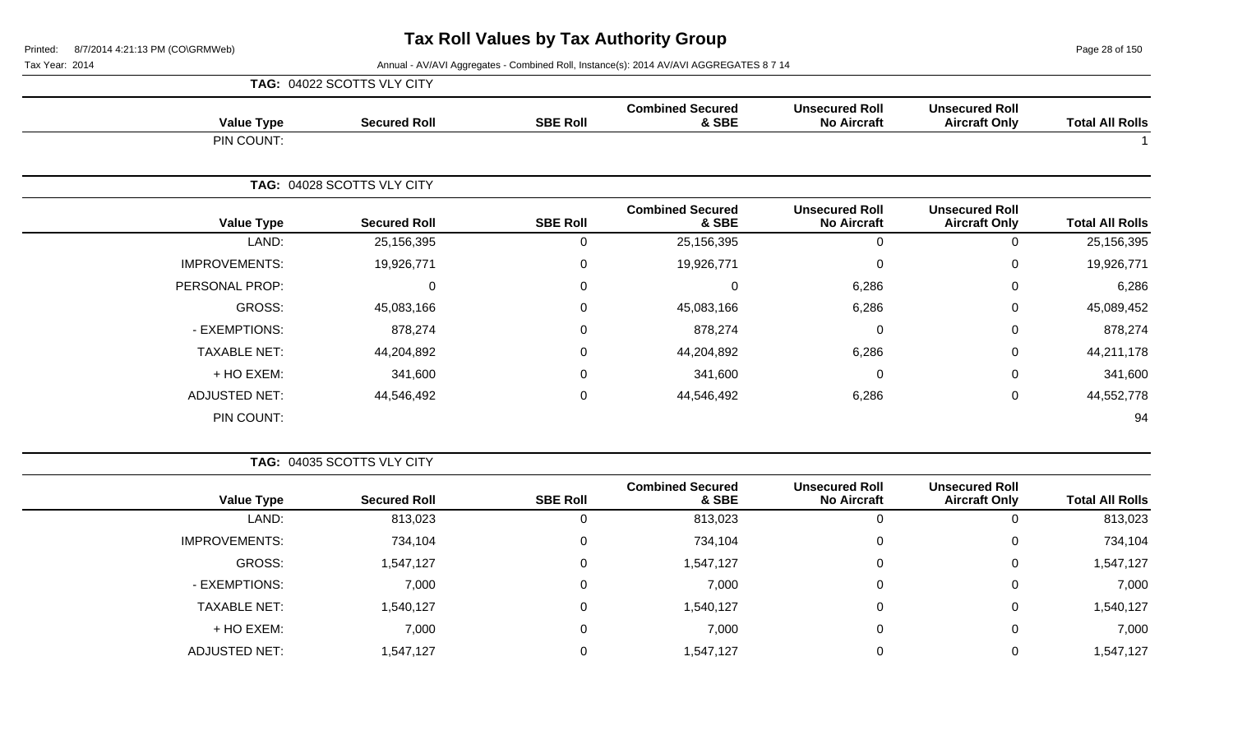Page 28 of 150

|                      | TAG: 04022 SCOTTS VLY CITY |                 |                                  |                                             |                                               |                        |
|----------------------|----------------------------|-----------------|----------------------------------|---------------------------------------------|-----------------------------------------------|------------------------|
| <b>Value Type</b>    | <b>Secured Roll</b>        | <b>SBE Roll</b> | <b>Combined Secured</b><br>& SBE | <b>Unsecured Roll</b><br><b>No Aircraft</b> | <b>Unsecured Roll</b><br><b>Aircraft Only</b> | <b>Total All Rolls</b> |
| PIN COUNT:           |                            |                 |                                  |                                             |                                               |                        |
|                      | TAG: 04028 SCOTTS VLY CITY |                 |                                  |                                             |                                               |                        |
| <b>Value Type</b>    | <b>Secured Roll</b>        | <b>SBE Roll</b> | <b>Combined Secured</b><br>& SBE | <b>Unsecured Roll</b><br><b>No Aircraft</b> | <b>Unsecured Roll</b><br><b>Aircraft Only</b> | <b>Total All Rolls</b> |
| LAND:                | 25,156,395                 | $\Omega$        | 25,156,395                       | $\mathbf 0$                                 | $\mathbf 0$                                   | 25,156,395             |
| <b>IMPROVEMENTS:</b> | 19,926,771                 | $\Omega$        | 19,926,771                       | $\mathbf{0}$                                | $\Omega$                                      | 19,926,771             |
| PERSONAL PROP:       | $\overline{0}$             | $\Omega$        | 0                                | 6,286                                       | 0                                             | 6,286                  |
| GROSS:               | 45,083,166                 | $\Omega$        | 45,083,166                       | 6,286                                       | $\mathbf 0$                                   | 45,089,452             |
| - EXEMPTIONS:        | 878,274                    | $\pmb{0}$       | 878,274                          | 0                                           | $\mathbf 0$                                   | 878,274                |
| <b>TAXABLE NET:</b>  | 44,204,892                 | $\Omega$        | 44,204,892                       | 6,286                                       | 0                                             | 44,211,178             |
| + HO EXEM:           | 341,600                    | $\Omega$        | 341,600                          | $\Omega$                                    | 0                                             | 341,600                |
| <b>ADJUSTED NET:</b> | 44,546,492                 | 0               | 44,546,492                       | 6,286                                       | 0                                             | 44,552,778             |
| PIN COUNT:           |                            |                 |                                  |                                             |                                               | 94                     |

|                      | TAG: 04035 SCOTTS VLY CITY |                 |                                  |                                             |                                               |                        |
|----------------------|----------------------------|-----------------|----------------------------------|---------------------------------------------|-----------------------------------------------|------------------------|
| <b>Value Type</b>    | <b>Secured Roll</b>        | <b>SBE Roll</b> | <b>Combined Secured</b><br>& SBE | <b>Unsecured Roll</b><br><b>No Aircraft</b> | <b>Unsecured Roll</b><br><b>Aircraft Only</b> | <b>Total All Rolls</b> |
| LAND:                | 813,023                    |                 | 813,023                          | 0                                           |                                               | 813,023                |
| <b>IMPROVEMENTS:</b> | 734,104                    | 0               | 734,104                          | 0                                           | 0                                             | 734,104                |
| GROSS:               | 1,547,127                  | $\mathbf{0}$    | 1,547,127                        | 0                                           | 0                                             | 1,547,127              |
| - EXEMPTIONS:        | 7,000                      | $\mathbf{0}$    | 7,000                            | 0                                           | 0                                             | 7,000                  |
| <b>TAXABLE NET:</b>  | 1,540,127                  | $\mathbf{0}$    | 1,540,127                        | 0                                           | 0                                             | 1,540,127              |
| + HO EXEM:           | 7,000                      | $\mathbf{0}$    | 7,000                            | 0                                           | 0                                             | 7,000                  |
| <b>ADJUSTED NET:</b> | 1,547,127                  |                 | 1,547,127                        | 0                                           | 0                                             | 1,547,127              |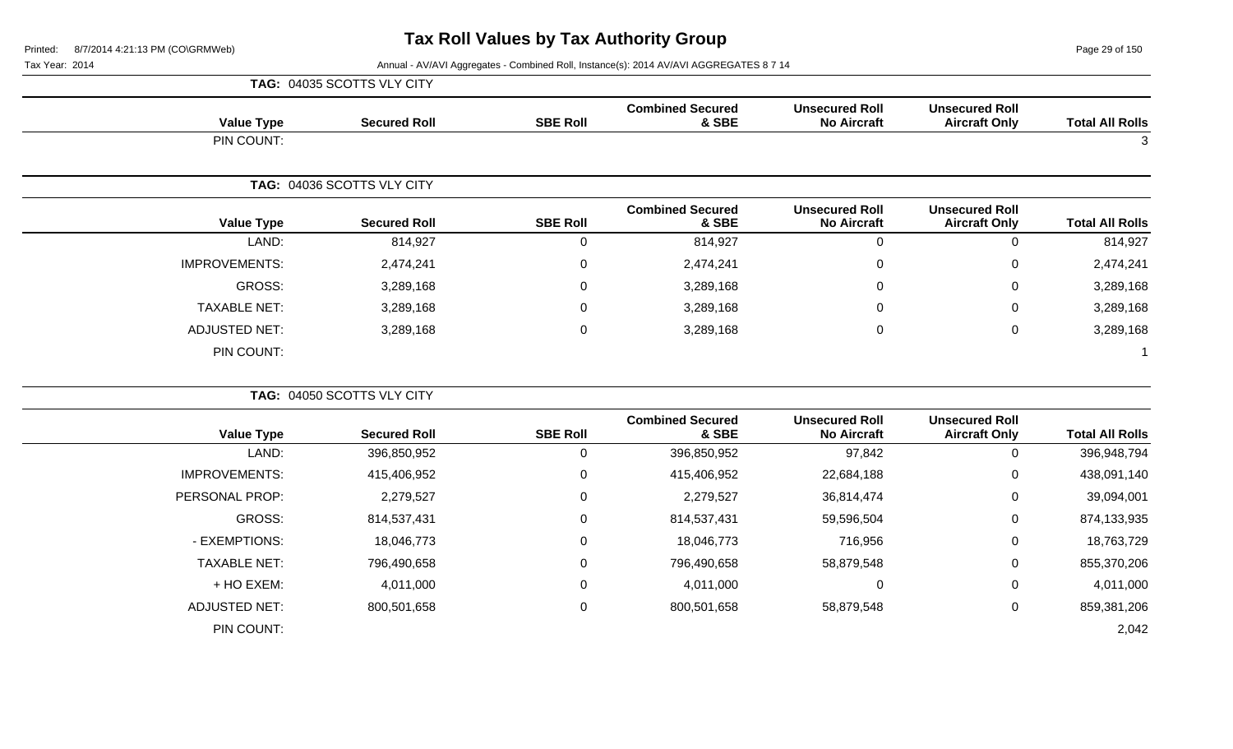Page 29 of 150

|                      | TAG: 04035 SCOTTS VLY CITY |                 |                                  |                                             |                                               |                        |
|----------------------|----------------------------|-----------------|----------------------------------|---------------------------------------------|-----------------------------------------------|------------------------|
| <b>Value Type</b>    | <b>Secured Roll</b>        | <b>SBE Roll</b> | <b>Combined Secured</b><br>& SBE | <b>Unsecured Roll</b><br><b>No Aircraft</b> | <b>Unsecured Roll</b><br><b>Aircraft Only</b> | <b>Total All Rolls</b> |
| PIN COUNT:           |                            |                 |                                  |                                             |                                               | $\mathbf{3}$           |
|                      | TAG: 04036 SCOTTS VLY CITY |                 |                                  |                                             |                                               |                        |
| <b>Value Type</b>    | <b>Secured Roll</b>        | <b>SBE Roll</b> | <b>Combined Secured</b><br>& SBE | <b>Unsecured Roll</b><br><b>No Aircraft</b> | <b>Unsecured Roll</b><br><b>Aircraft Only</b> | <b>Total All Rolls</b> |
| LAND:                | 814,927                    | 0               | 814,927                          | $\boldsymbol{0}$                            | $\mathbf 0$                                   | 814,927                |
| <b>IMPROVEMENTS:</b> | 2,474,241                  | $\pmb{0}$       | 2,474,241                        | $\mathbf 0$                                 | $\mathbf 0$                                   | 2,474,241              |
| <b>GROSS:</b>        | 3,289,168                  | $\pmb{0}$       | 3,289,168                        | 0                                           | $\mathbf 0$                                   | 3,289,168              |
| <b>TAXABLE NET:</b>  | 3,289,168                  | $\pmb{0}$       | 3,289,168                        | $\Omega$                                    | 0                                             | 3,289,168              |
| <b>ADJUSTED NET:</b> | 3,289,168                  | $\mathbf 0$     | 3,289,168                        | 0                                           | $\mathbf 0$                                   | 3,289,168              |
| PIN COUNT:           |                            |                 |                                  |                                             |                                               | $\mathbf 1$            |
|                      | TAG: 04050 SCOTTS VLY CITY |                 |                                  |                                             |                                               |                        |
| <b>Value Type</b>    | <b>Secured Roll</b>        | <b>SBE Roll</b> | <b>Combined Secured</b><br>& SBE | <b>Unsecured Roll</b><br><b>No Aircraft</b> | <b>Unsecured Roll</b><br><b>Aircraft Only</b> | <b>Total All Rolls</b> |
| LAND:                | 396,850,952                | $\mathbf 0$     | 396,850,952                      | 97,842                                      | $\mathbf 0$                                   | 396,948,794            |
| <b>IMPROVEMENTS:</b> | 415,406,952                | $\pmb{0}$       | 415,406,952                      | 22,684,188                                  | $\mathbf 0$                                   | 438,091,140            |
| PERSONAL PROP:       | 2,279,527                  | $\pmb{0}$       | 2,279,527                        | 36,814,474                                  | 0                                             | 39,094,001             |
| <b>GROSS:</b>        | 814,537,431                | 0               | 814,537,431                      | 59,596,504                                  | $\mathbf 0$                                   | 874,133,935            |
| - EXEMPTIONS:        | 18,046,773                 | $\pmb{0}$       | 18,046,773                       | 716,956                                     | $\pmb{0}$                                     | 18,763,729             |
| <b>TAXABLE NET:</b>  | 796,490,658                | $\mathbf 0$     | 796,490,658                      | 58,879,548                                  | $\mathbf 0$                                   | 855,370,206            |
| + HO EXEM:           | 4,011,000                  | $\mathbf 0$     | 4,011,000                        | 0                                           | $\mathbf 0$                                   | 4,011,000              |
| <b>ADJUSTED NET:</b> | 800,501,658                | 0               | 800,501,658                      | 58,879,548                                  | $\mathbf 0$                                   | 859,381,206            |
| PIN COUNT:           |                            |                 |                                  |                                             |                                               | 2,042                  |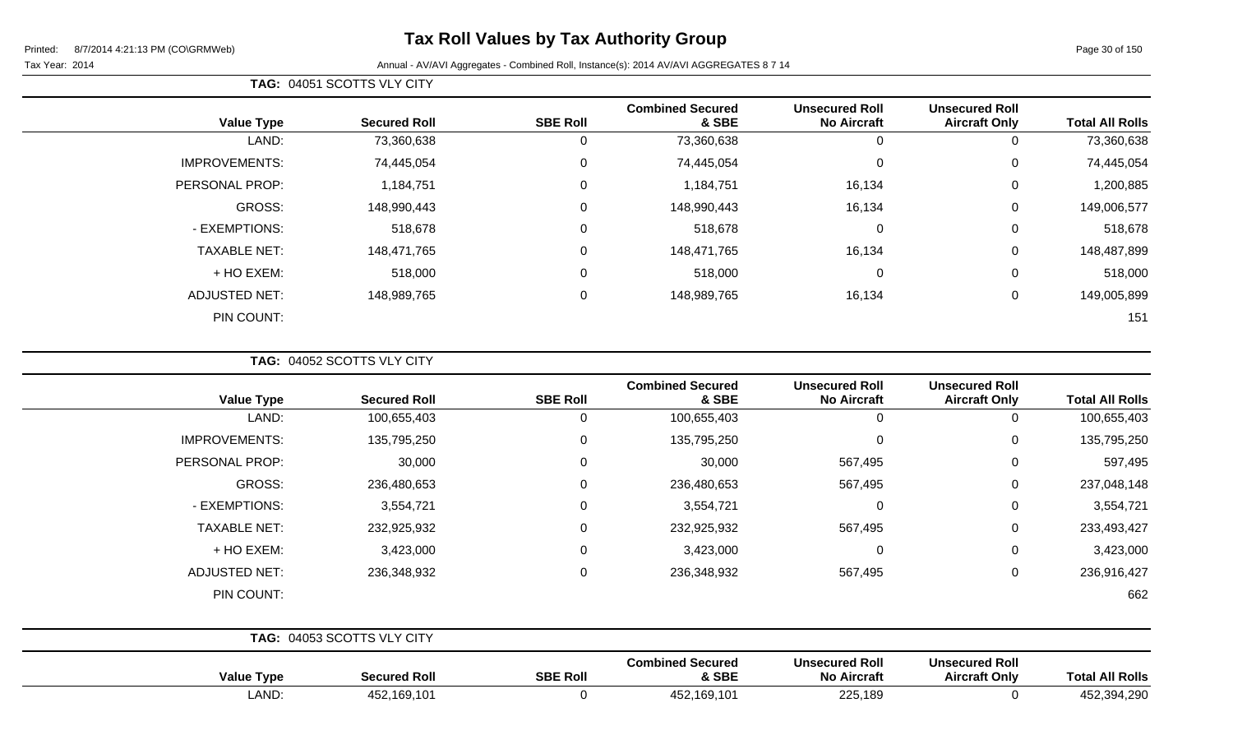Page 30 of 150

### Tax Year: 2014 **Annual - AV/AVI Aggregates - Combined Roll**, Instance(s): 2014 AV/AVI AGGREGATES 8 7 14

| <b>Value Type</b>    |       | <b>Secured Roll</b> | <b>SBE Roll</b> | <b>Combined Secured</b><br>& SBE | <b>Unsecured Roll</b><br><b>No Aircraft</b> | <b>Unsecured Roll</b><br><b>Aircraft Only</b> | <b>Total All Rolls</b> |
|----------------------|-------|---------------------|-----------------|----------------------------------|---------------------------------------------|-----------------------------------------------|------------------------|
|                      | LAND: | 73,360,638          |                 | 73,360,638                       | 0                                           | 0                                             | 73,360,638             |
| <b>IMPROVEMENTS:</b> |       | 74,445,054          | 0               | 74,445,054                       | 0                                           | $\mathbf 0$                                   | 74,445,054             |
| PERSONAL PROP:       |       | 1,184,751           | $\mathbf 0$     | 1,184,751                        | 16,134                                      | $\mathbf 0$                                   | 1,200,885              |
| GROSS:               |       | 148,990,443         | $\overline{0}$  | 148,990,443                      | 16,134                                      | $\mathbf 0$                                   | 149,006,577            |
| - EXEMPTIONS:        |       | 518,678             | $\mathbf{0}$    | 518,678                          | 0                                           | $\mathbf 0$                                   | 518,678                |
| <b>TAXABLE NET:</b>  |       | 148,471,765         | $\mathbf{0}$    | 148,471,765                      | 16,134                                      | 0                                             | 148,487,899            |
| + HO EXEM:           |       | 518,000             | $\mathbf{0}$    | 518,000                          | 0                                           | $\mathbf 0$                                   | 518,000                |
| <b>ADJUSTED NET:</b> |       | 148,989,765         | $\mathbf 0$     | 148,989,765                      | 16,134                                      | $\mathbf 0$                                   | 149,005,899            |
| PIN COUNT:           |       |                     |                 |                                  |                                             |                                               | 151                    |

**TAG:** 04052 SCOTTS VLY CITY

**TAG:** 04051 SCOTTS VLY CITY

| <b>Value Type</b>    | <b>Secured Roll</b>        | <b>SBE Roll</b> | <b>Combined Secured</b><br>& SBE | <b>Unsecured Roll</b><br><b>No Aircraft</b> | <b>Unsecured Roll</b><br><b>Aircraft Only</b> | <b>Total All Rolls</b> |
|----------------------|----------------------------|-----------------|----------------------------------|---------------------------------------------|-----------------------------------------------|------------------------|
| LAND:                | 100,655,403                | 0               | 100,655,403                      | $\mathbf 0$                                 | 0                                             | 100,655,403            |
| <b>IMPROVEMENTS:</b> | 135,795,250                | 0               | 135,795,250                      | 0                                           | 0                                             | 135,795,250            |
| PERSONAL PROP:       | 30,000                     | $\Omega$        | 30,000                           | 567,495                                     | $\mathbf 0$                                   | 597,495                |
| GROSS:               | 236,480,653                | 0               | 236,480,653                      | 567,495                                     | $\mathbf 0$                                   | 237,048,148            |
| - EXEMPTIONS:        | 3,554,721                  | $\Omega$        | 3,554,721                        | $\mathbf 0$                                 | 0                                             | 3,554,721              |
| <b>TAXABLE NET:</b>  | 232,925,932                | $\Omega$        | 232,925,932                      | 567,495                                     | $\mathbf 0$                                   | 233,493,427            |
| + HO EXEM:           | 3,423,000                  | 0               | 3,423,000                        | $\mathbf 0$                                 | $\mathbf 0$                                   | 3,423,000              |
| <b>ADJUSTED NET:</b> | 236,348,932                | 0               | 236,348,932                      | 567,495                                     | $\mathbf 0$                                   | 236,916,427            |
| PIN COUNT:           |                            |                 |                                  |                                             |                                               | 662                    |
|                      | TAG: 04053 SCOTTS VLY CITY |                 |                                  |                                             |                                               |                        |
|                      |                            |                 | <b>Combined Secured</b>          | <b>Unsecured Roll</b>                       | <b>Unsecured Roll</b>                         |                        |

| value | l Roll<br><b>Secureo</b>     | <b>SBE Roll</b> | oomonica occarca<br>$\boldsymbol{\mathsf{x}}$ SBF        | onscouted iton<br>יי ה<br><b>Aircraft</b> | <b>UNUVURU KUR</b><br>∵Onlv<br>Aircrat | ΔIΙ<br>⊺ota<br>. Rolls                  |
|-------|------------------------------|-----------------|----------------------------------------------------------|-------------------------------------------|----------------------------------------|-----------------------------------------|
| טיור. | .10 <sup>4</sup><br>- -<br>. |                 | $\overline{A}$<br>. –<br>$\lambda$<br>4ວ∠<br>n:<br>1 U L | $\sim$ $\sim$<br>22J.IU<br>$\sim$ $\sim$  |                                        | $\sim$ 204 2012 $\sim$<br>-45∠<br>−⊤.∠∪ |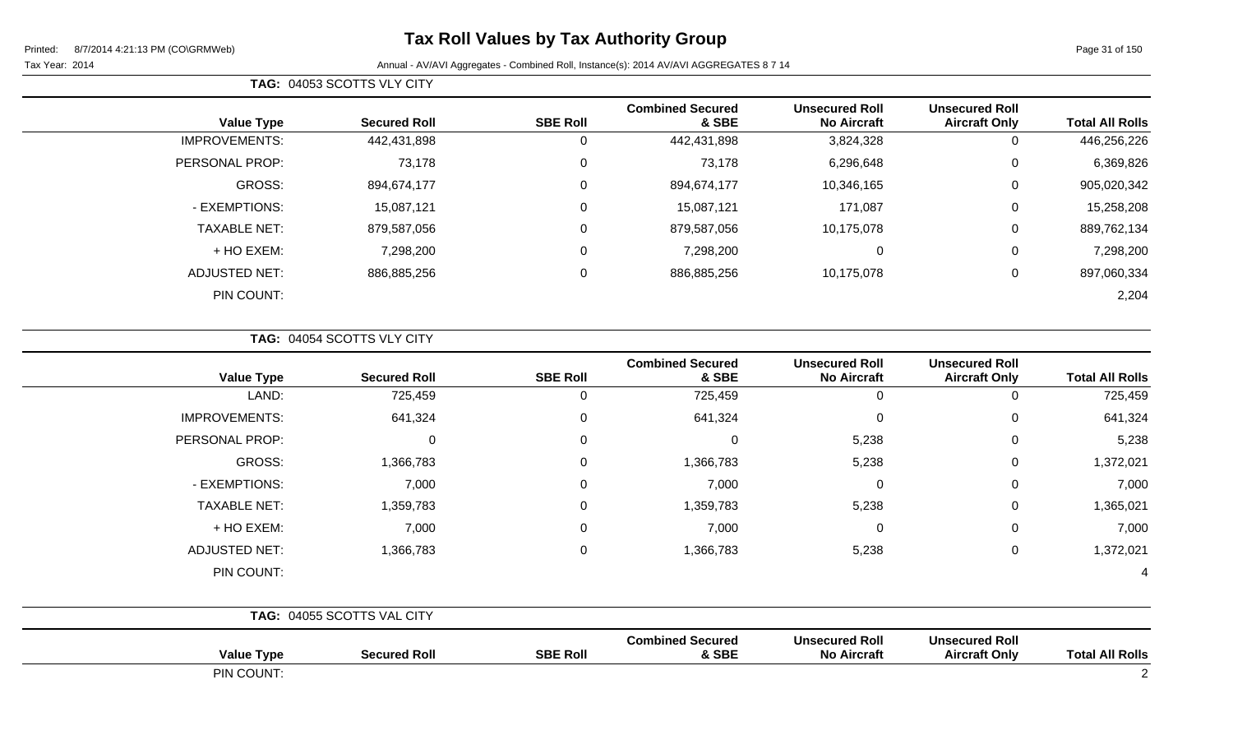Page 31 of 150

| TAG: 04053 SCOTTS VLY CITY |                      |                     |                 |                                  |                                             |                                               |                        |  |  |
|----------------------------|----------------------|---------------------|-----------------|----------------------------------|---------------------------------------------|-----------------------------------------------|------------------------|--|--|
|                            | <b>Value Type</b>    | <b>Secured Roll</b> | <b>SBE Roll</b> | <b>Combined Secured</b><br>& SBE | <b>Unsecured Roll</b><br><b>No Aircraft</b> | <b>Unsecured Roll</b><br><b>Aircraft Only</b> | <b>Total All Rolls</b> |  |  |
| <b>IMPROVEMENTS:</b>       |                      | 442,431,898         | 0               | 442,431,898                      | 3,824,328                                   | 0                                             | 446,256,226            |  |  |
| PERSONAL PROP:             |                      | 73,178              | 0               | 73,178                           | 6,296,648                                   | 0                                             | 6,369,826              |  |  |
|                            | GROSS:               | 894,674,177         | 0               | 894,674,177                      | 10,346,165                                  | 0                                             | 905,020,342            |  |  |
|                            | - EXEMPTIONS:        | 15,087,121          | 0               | 15,087,121                       | 171,087                                     | 0                                             | 15,258,208             |  |  |
|                            | <b>TAXABLE NET:</b>  | 879,587,056         | 0               | 879,587,056                      | 10,175,078                                  | 0                                             | 889,762,134            |  |  |
|                            | + HO EXEM:           | 7,298,200           | 0               | 7,298,200                        | 0                                           | 0                                             | 7,298,200              |  |  |
|                            | <b>ADJUSTED NET:</b> | 886,885,256         | 0               | 886,885,256                      | 10,175,078                                  | 0                                             | 897,060,334            |  |  |
|                            | PIN COUNT:           |                     |                 |                                  |                                             |                                               | 2,204                  |  |  |

|  | <b>TAG: 04054 SCOTTS VLY CITY</b> |
|--|-----------------------------------|
|  |                                   |

| <b>Total All Rolls</b> | <b>Unsecured Roll</b><br><b>Aircraft Only</b> | <b>Unsecured Roll</b><br><b>No Aircraft</b> | <b>Combined Secured</b><br>& SBE | <b>SBE Roll</b> | <b>Secured Roll</b>        | <b>Value Type</b>    |
|------------------------|-----------------------------------------------|---------------------------------------------|----------------------------------|-----------------|----------------------------|----------------------|
| 725,459                | $\mathbf 0$                                   | $\mathbf 0$                                 | 725,459                          | 0               | 725,459                    | LAND:                |
| 641,324                | $\mathbf 0$                                   | $\mathbf 0$                                 | 641,324                          | 0               | 641,324                    | <b>IMPROVEMENTS:</b> |
| 5,238                  | $\mathbf 0$                                   | 5,238                                       | $\Omega$                         | 0               | 0                          | PERSONAL PROP:       |
| 1,372,021              | $\mathbf 0$                                   | 5,238                                       | 1,366,783                        |                 | 1,366,783                  | GROSS:               |
| 7,000                  | $\mathbf 0$                                   | $\mathbf 0$                                 | 7,000                            | $\mathbf 0$     | 7,000                      | - EXEMPTIONS:        |
| 1,365,021              | $\pmb{0}$                                     | 5,238                                       | 1,359,783                        | $\mathbf 0$     | 1,359,783                  | <b>TAXABLE NET:</b>  |
| 7,000                  | $\mathbf 0$                                   | $\mathbf 0$                                 | 7,000                            | $\mathbf 0$     | 7,000                      | + HO EXEM:           |
| 1,372,021              | $\mathbf 0$                                   | 5,238                                       | 1,366,783                        | $\mathbf 0$     | 1,366,783                  | <b>ADJUSTED NET:</b> |
| 4                      |                                               |                                             |                                  |                 |                            | PIN COUNT:           |
|                        |                                               |                                             |                                  |                 | TAG: 04055 SCOTTS VAL CITY |                      |
| <b>Total All Rolls</b> | <b>Unsecured Roll</b><br><b>Aircraft Only</b> | <b>Unsecured Roll</b><br><b>No Aircraft</b> | <b>Combined Secured</b><br>& SBE | <b>SBE Roll</b> | <b>Secured Roll</b>        | <b>Value Type</b>    |
| 2                      |                                               |                                             |                                  |                 |                            | PIN COUNT:           |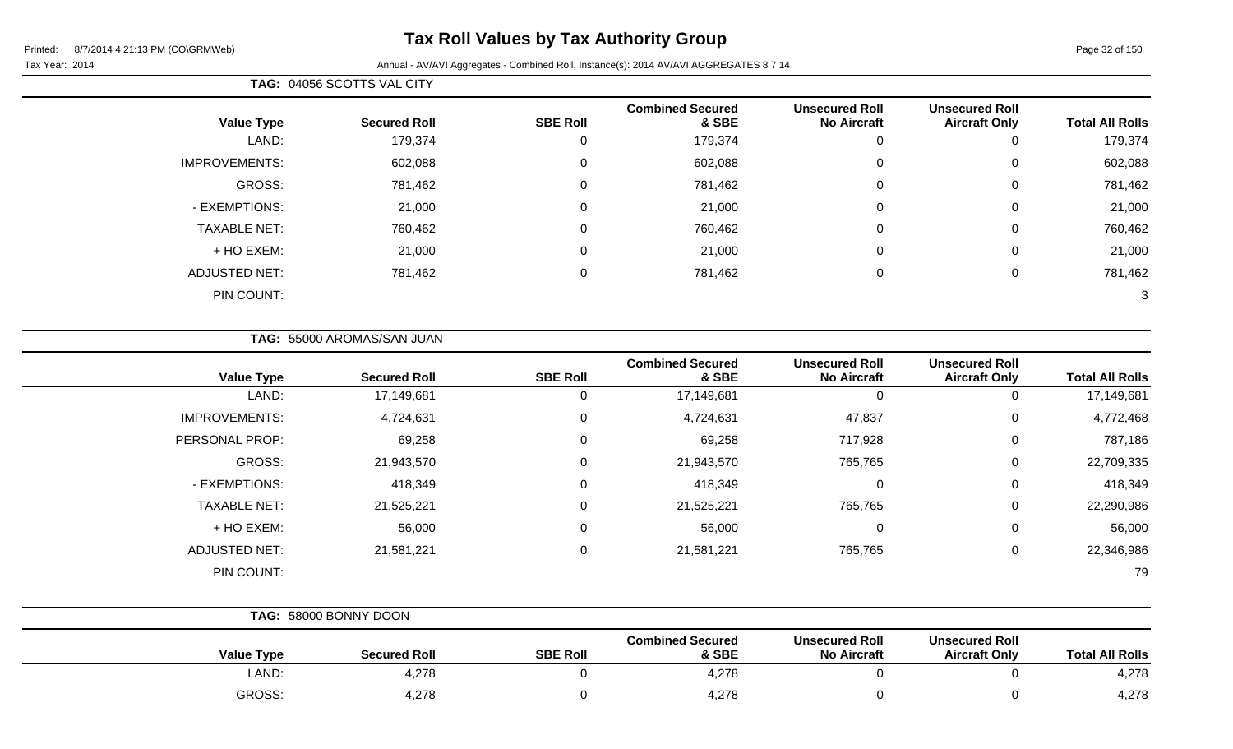Page 32 of 150

÷

|                      | TAG: 04056 SCOTTS VAL CITY |                 |                                  |                                             |                                               |                        |
|----------------------|----------------------------|-----------------|----------------------------------|---------------------------------------------|-----------------------------------------------|------------------------|
| <b>Value Type</b>    | <b>Secured Roll</b>        | <b>SBE Roll</b> | <b>Combined Secured</b><br>& SBE | <b>Unsecured Roll</b><br><b>No Aircraft</b> | <b>Unsecured Roll</b><br><b>Aircraft Only</b> | <b>Total All Rolls</b> |
| LAND:                | 179,374                    |                 | 179,374                          | 0                                           |                                               | 179,374                |
| <b>IMPROVEMENTS:</b> | 602,088                    | 0               | 602,088                          | 0                                           | 0                                             | 602,088                |
| GROSS:               | 781,462                    | 0               | 781,462                          | $\mathbf 0$                                 | 0                                             | 781,462                |
| - EXEMPTIONS:        | 21,000                     | $\mathbf{0}$    | 21,000                           | $\mathbf 0$                                 | 0                                             | 21,000                 |
| <b>TAXABLE NET:</b>  | 760,462                    | 0               | 760,462                          | $\mathbf 0$                                 | 0                                             | 760,462                |
| + HO EXEM:           | 21,000                     | 0               | 21,000                           | $\mathbf 0$                                 | $\Omega$                                      | 21,000                 |
| <b>ADJUSTED NET:</b> | 781,462                    | 0               | 781,462                          | $\mathbf 0$                                 | $\Omega$                                      | 781,462                |
| PIN COUNT:           |                            |                 |                                  |                                             |                                               | 3                      |

| <b>Value Type</b>    | <b>Secured Roll</b> | <b>SBE Roll</b> | <b>Combined Secured</b><br>& SBE | <b>Unsecured Roll</b><br><b>No Aircraft</b> | <b>Unsecured Roll</b><br><b>Aircraft Only</b> | <b>Total All Rolls</b> |
|----------------------|---------------------|-----------------|----------------------------------|---------------------------------------------|-----------------------------------------------|------------------------|
| LAND:                | 17,149,681          | 0               | 17,149,681                       | 0                                           | U                                             | 17,149,681             |
| <b>IMPROVEMENTS:</b> | 4,724,631           | 0               | 4,724,631                        | 47,837                                      | 0                                             | 4,772,468              |
| PERSONAL PROP:       | 69,258              | 0               | 69,258                           | 717,928                                     | 0                                             | 787,186                |
| GROSS:               | 21,943,570          | $\Omega$        | 21,943,570                       | 765,765                                     | 0                                             | 22,709,335             |
| - EXEMPTIONS:        | 418,349             | 0               | 418,349                          | 0                                           | 0                                             | 418,349                |
| <b>TAXABLE NET:</b>  | 21,525,221          | $\Omega$        | 21,525,221                       | 765,765                                     | 0                                             | 22,290,986             |
| + HO EXEM:           | 56,000              | 0               | 56,000                           | 0                                           | 0                                             | 56,000                 |
| ADJUSTED NET:        | 21,581,221          | $\Omega$        | 21,581,221                       | 765,765                                     | 0                                             | 22,346,986             |
| PIN COUNT:           |                     |                 |                                  |                                             |                                               | 79                     |

| TAG: 58000 BONNY DOON |                     |                 |                                  |                                             |                                               |                        |
|-----------------------|---------------------|-----------------|----------------------------------|---------------------------------------------|-----------------------------------------------|------------------------|
| <b>Value Type</b>     | <b>Secured Roll</b> | <b>SBE Roll</b> | <b>Combined Secured</b><br>& SBE | <b>Unsecured Roll</b><br><b>No Aircraft</b> | <b>Unsecured Roll</b><br><b>Aircraft Only</b> | <b>Total All Rolls</b> |
| LAND:                 | 4,278               |                 | 4,278                            |                                             |                                               | 4,278                  |
| <b>GROSS:</b>         | 4,278               |                 | 4,278                            |                                             |                                               | 4,278                  |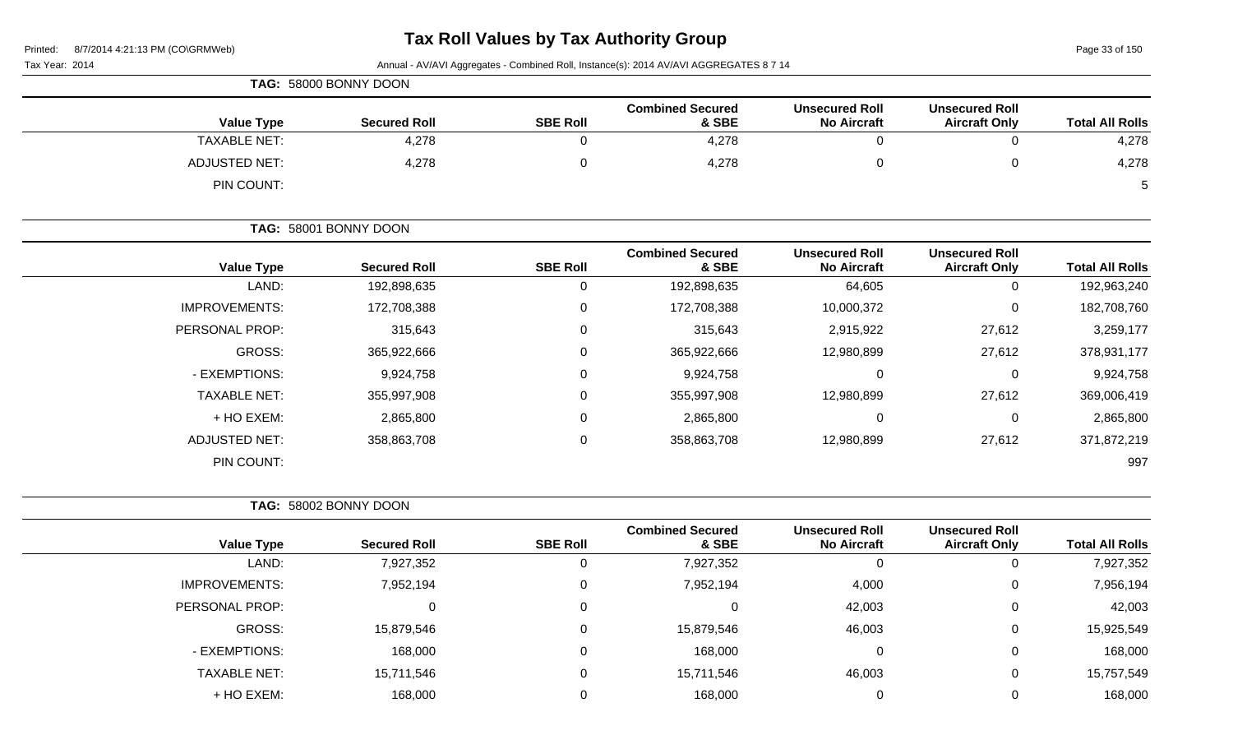Page 33 of 150

| TAG: 58000 BONNY DOON |                     |                 |                                  |                                             |                                               |                        |  |
|-----------------------|---------------------|-----------------|----------------------------------|---------------------------------------------|-----------------------------------------------|------------------------|--|
| <b>Value Type</b>     | <b>Secured Roll</b> | <b>SBE Roll</b> | <b>Combined Secured</b><br>& SBE | <b>Unsecured Roll</b><br><b>No Aircraft</b> | <b>Unsecured Roll</b><br><b>Aircraft Only</b> | <b>Total All Rolls</b> |  |
| <b>TAXABLE NET:</b>   | 4,278               |                 | 4,278                            | ັ                                           |                                               | 4,278                  |  |
| <b>ADJUSTED NET:</b>  | 4,278               |                 | 4,278                            |                                             |                                               | 4,278                  |  |
| PIN COUNT:            |                     |                 |                                  |                                             |                                               | 5                      |  |

|                       | TAG: 58001 BONNY DOON |                  |                                  |                                             |                                               |                        |
|-----------------------|-----------------------|------------------|----------------------------------|---------------------------------------------|-----------------------------------------------|------------------------|
| <b>Value Type</b>     | <b>Secured Roll</b>   | <b>SBE Roll</b>  | <b>Combined Secured</b><br>& SBE | <b>Unsecured Roll</b><br><b>No Aircraft</b> | <b>Unsecured Roll</b><br><b>Aircraft Only</b> | <b>Total All Rolls</b> |
| LAND:                 | 192,898,635           | 0                | 192,898,635                      | 64,605                                      | 0                                             | 192,963,240            |
| <b>IMPROVEMENTS:</b>  | 172,708,388           | $\pmb{0}$        | 172,708,388                      | 10,000,372                                  | 0                                             | 182,708,760            |
| <b>PERSONAL PROP:</b> | 315,643               | $\boldsymbol{0}$ | 315,643                          | 2,915,922                                   | 27,612                                        | 3,259,177              |
| GROSS:                | 365,922,666           | $\pmb{0}$        | 365,922,666                      | 12,980,899                                  | 27,612                                        | 378,931,177            |
| - EXEMPTIONS:         | 9,924,758             | $\mathbf 0$      | 9,924,758                        | 0                                           | 0                                             | 9,924,758              |
| <b>TAXABLE NET:</b>   | 355,997,908           | $\boldsymbol{0}$ | 355,997,908                      | 12,980,899                                  | 27,612                                        | 369,006,419            |
| + HO EXEM:            | 2,865,800             | $\mathbf 0$      | 2,865,800                        | 0                                           | 0                                             | 2,865,800              |
| <b>ADJUSTED NET:</b>  | 358,863,708           | $\boldsymbol{0}$ | 358,863,708                      | 12,980,899                                  | 27,612                                        | 371,872,219            |
| PIN COUNT:            |                       |                  |                                  |                                             |                                               | 997                    |

| TAG: 58002 BONNY DOON |  |
|-----------------------|--|
|                       |  |

|                      |                     |                 | <b>Combined Secured</b> | <b>Unsecured Roll</b> | <b>Unsecured Roll</b> |                        |
|----------------------|---------------------|-----------------|-------------------------|-----------------------|-----------------------|------------------------|
| <b>Value Type</b>    | <b>Secured Roll</b> | <b>SBE Roll</b> | & SBE                   | <b>No Aircraft</b>    | <b>Aircraft Only</b>  | <b>Total All Rolls</b> |
| LAND:                | 7,927,352           | 0               | 7,927,352               |                       | 0                     | 7,927,352              |
| <b>IMPROVEMENTS:</b> | 7,952,194           | $\Omega$        | 7,952,194               | 4,000                 | $\mathbf 0$           | 7,956,194              |
| PERSONAL PROP:       |                     | $\Omega$        |                         | 42,003                | $\mathbf 0$           | 42,003                 |
| GROSS:               | 15,879,546          | 0               | 15,879,546              | 46,003                | $\mathbf 0$           | 15,925,549             |
| - EXEMPTIONS:        | 168,000             | 0               | 168,000                 |                       | $\mathbf 0$           | 168,000                |
| <b>TAXABLE NET:</b>  | 15,711,546          | $\Omega$        | 15,711,546              | 46,003                | $\mathbf{0}$          | 15,757,549             |
| + HO EXEM:           | 168,000             | 0               | 168,000                 |                       | 0                     | 168,000                |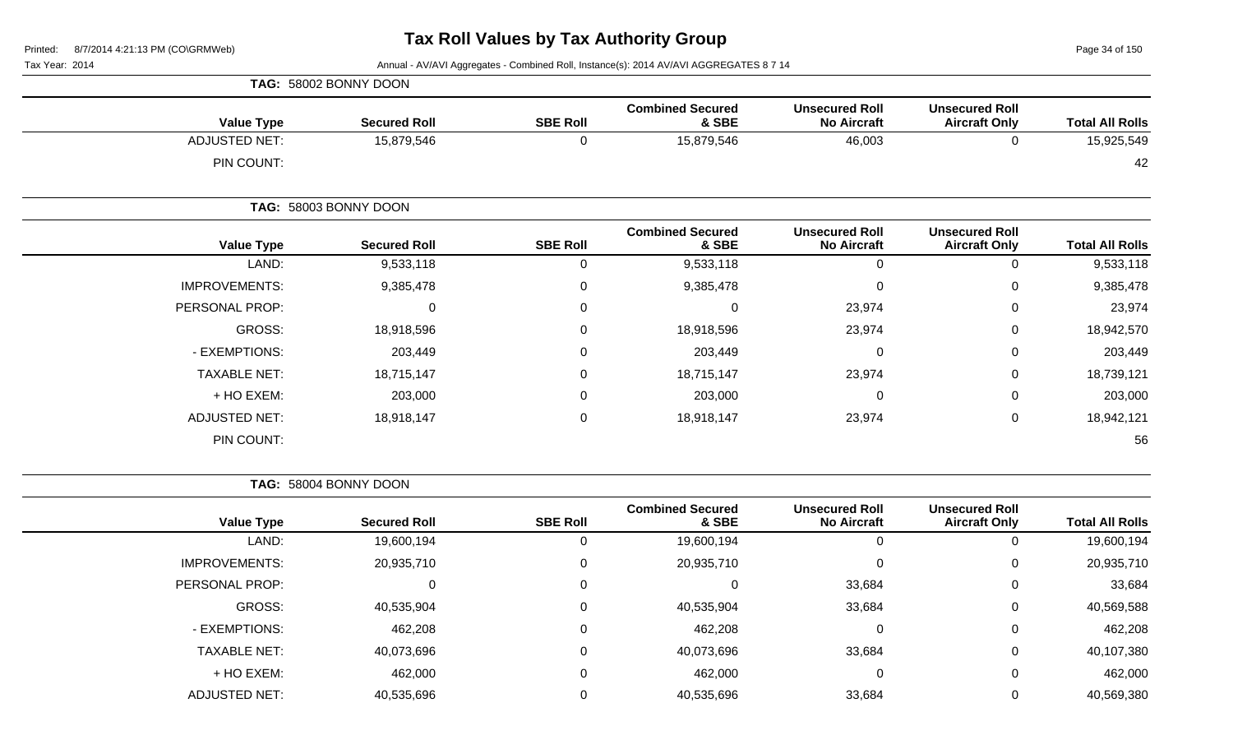Page 34 of 150

### Tax Year: 2014 **Annual - AV/AVI Aggregates - Combined Roll**, Instance(s): 2014 AV/AVI AGGREGATES 8 7 14

|                      | TAG: 58002 BONNY DOON |                 |                                  |                                             |                                               |                        |
|----------------------|-----------------------|-----------------|----------------------------------|---------------------------------------------|-----------------------------------------------|------------------------|
| <b>Value Type</b>    | <b>Secured Roll</b>   | <b>SBE Roll</b> | <b>Combined Secured</b><br>& SBE | <b>Unsecured Roll</b><br><b>No Aircraft</b> | <b>Unsecured Roll</b><br><b>Aircraft Only</b> | <b>Total All Rolls</b> |
| <b>ADJUSTED NET:</b> | 15,879,546            | $\Omega$        | 15,879,546                       | 46,003                                      | 0                                             | 15,925,549             |
| PIN COUNT:           |                       |                 |                                  |                                             |                                               | 42                     |
|                      | TAG: 58003 BONNY DOON |                 |                                  |                                             |                                               |                        |
| <b>Value Type</b>    | <b>Secured Roll</b>   | <b>SBE Roll</b> | <b>Combined Secured</b><br>& SBE | <b>Unsecured Roll</b><br><b>No Aircraft</b> | <b>Unsecured Roll</b><br><b>Aircraft Only</b> | <b>Total All Rolls</b> |
| LAND:                | 9,533,118             | $\Omega$        | 9,533,118                        | 0                                           | 0                                             | 9,533,118              |
| <b>IMPROVEMENTS:</b> | 9,385,478             | 0               | 9,385,478                        | 0                                           | 0                                             | 9,385,478              |
| PERSONAL PROP:       | $\mathbf 0$           | $\mathbf 0$     | 0                                | 23,974                                      | 0                                             | 23,974                 |
| GROSS:               | 18,918,596            | 0               | 18,918,596                       | 23,974                                      | 0                                             | 18,942,570             |
| - EXEMPTIONS:        | 203,449               | $\Omega$        | 203,449                          | 0                                           | 0                                             | 203,449                |
| <b>TAXABLE NET:</b>  | 18,715,147            | 0               | 18,715,147                       | 23,974                                      | 0                                             | 18,739,121             |
| + HO EXEM:           | 203,000               | $\Omega$        | 203,000                          | $\mathbf{0}$                                | 0                                             | 203,000                |
| <b>ADJUSTED NET:</b> | 18,918,147            | $\mathbf 0$     | 18,918,147                       | 23,974                                      | 0                                             | 18,942,121             |
| PIN COUNT:           |                       |                 |                                  |                                             |                                               | 56                     |

**TAG:** 58004 BONNY DOON

|                      |                     |                 | <b>Combined Secured</b> | <b>Unsecured Roll</b> | <b>Unsecured Roll</b> |                        |
|----------------------|---------------------|-----------------|-------------------------|-----------------------|-----------------------|------------------------|
| <b>Value Type</b>    | <b>Secured Roll</b> | <b>SBE Roll</b> | & SBE                   | <b>No Aircraft</b>    | <b>Aircraft Only</b>  | <b>Total All Rolls</b> |
| LAND:                | 19,600,194          | 0               | 19,600,194              | 0                     | 0                     | 19,600,194             |
| <b>IMPROVEMENTS:</b> | 20,935,710          | 0               | 20,935,710              | $\mathbf 0$           | 0                     | 20,935,710             |
| PERSONAL PROP:       | 0                   | $\mathbf 0$     | $\Omega$                | 33,684                | 0                     | 33,684                 |
| <b>GROSS:</b>        | 40,535,904          | 0               | 40,535,904              | 33,684                | 0                     | 40,569,588             |
| - EXEMPTIONS:        | 462,208             | 0               | 462,208                 | $\mathbf 0$           | 0                     | 462,208                |
| <b>TAXABLE NET:</b>  | 40,073,696          | 0               | 40,073,696              | 33,684                | 0                     | 40,107,380             |
| + HO EXEM:           | 462,000             | $\mathbf 0$     | 462,000                 | 0                     | 0                     | 462,000                |
| <b>ADJUSTED NET:</b> | 40,535,696          | $\Omega$        | 40,535,696              | 33,684                | 0                     | 40,569,380             |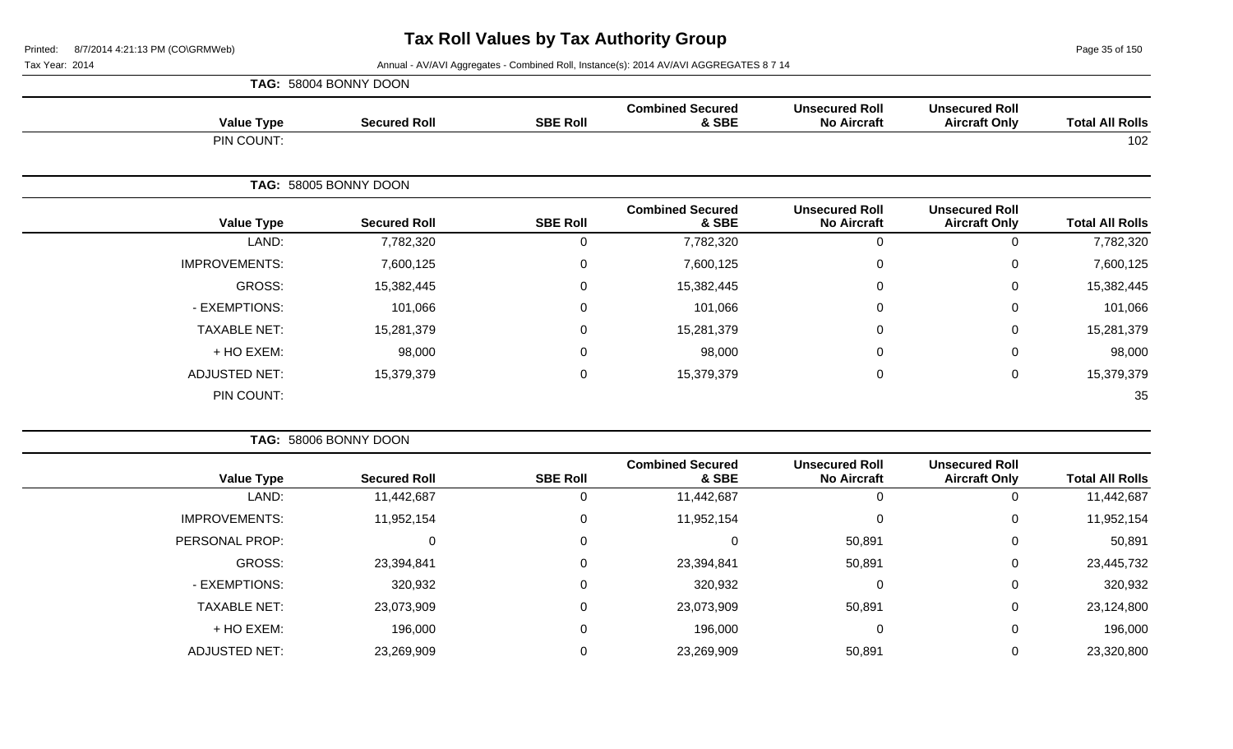Page 35 of 150

|                      | TAG: 58004 BONNY DOON |                 |                                  |                                             |                                               |                        |
|----------------------|-----------------------|-----------------|----------------------------------|---------------------------------------------|-----------------------------------------------|------------------------|
| <b>Value Type</b>    | <b>Secured Roll</b>   | <b>SBE Roll</b> | <b>Combined Secured</b><br>& SBE | <b>Unsecured Roll</b><br><b>No Aircraft</b> | <b>Unsecured Roll</b><br><b>Aircraft Only</b> | <b>Total All Rolls</b> |
| PIN COUNT:           |                       |                 |                                  |                                             |                                               | 102                    |
|                      | TAG: 58005 BONNY DOON |                 |                                  |                                             |                                               |                        |
| <b>Value Type</b>    | <b>Secured Roll</b>   | <b>SBE Roll</b> | <b>Combined Secured</b><br>& SBE | <b>Unsecured Roll</b><br><b>No Aircraft</b> | <b>Unsecured Roll</b><br><b>Aircraft Only</b> | <b>Total All Rolls</b> |
| LAND:                | 7,782,320             | 0               | 7,782,320                        | $\Omega$                                    | 0                                             | 7,782,320              |
| <b>IMPROVEMENTS:</b> | 7,600,125             | $\mathbf 0$     | 7,600,125                        | 0                                           | $\mathbf 0$                                   | 7,600,125              |
| GROSS:               | 15,382,445            | 0               | 15,382,445                       | $\Omega$                                    | $\mathbf 0$                                   | 15,382,445             |
| - EXEMPTIONS:        | 101,066               | 0               | 101,066                          | $\Omega$                                    | $\mathbf 0$                                   | 101,066                |
| <b>TAXABLE NET:</b>  | 15,281,379            | $\mathbf 0$     | 15,281,379                       | $\Omega$                                    | $\mathbf 0$                                   | 15,281,379             |
| + HO EXEM:           | 98,000                | $\mathbf 0$     | 98,000                           | $\Omega$                                    | $\mathbf 0$                                   | 98,000                 |
| <b>ADJUSTED NET:</b> | 15,379,379            | $\mathbf 0$     | 15,379,379                       | $\mathbf 0$                                 | $\mathbf 0$                                   | 15,379,379             |
| PIN COUNT:           |                       |                 |                                  |                                             |                                               | 35                     |

|                      | TAG: 58006 BONNY DOON |                 |                                  |                                             |                                               |                        |
|----------------------|-----------------------|-----------------|----------------------------------|---------------------------------------------|-----------------------------------------------|------------------------|
| <b>Value Type</b>    | <b>Secured Roll</b>   | <b>SBE Roll</b> | <b>Combined Secured</b><br>& SBE | <b>Unsecured Roll</b><br><b>No Aircraft</b> | <b>Unsecured Roll</b><br><b>Aircraft Only</b> | <b>Total All Rolls</b> |
| LAND:                | 11,442,687            |                 | 11,442,687                       | 0                                           | 0                                             | 11,442,687             |
| <b>IMPROVEMENTS:</b> | 11,952,154            |                 | 11,952,154                       | $\Omega$                                    | $\mathbf 0$                                   | 11,952,154             |
| PERSONAL PROP:       | 0                     | $\Omega$        | 0                                | 50,891                                      | 0                                             | 50,891                 |
| GROSS:               | 23,394,841            | $\Omega$        | 23,394,841                       | 50,891                                      | 0                                             | 23,445,732             |
| - EXEMPTIONS:        | 320,932               |                 | 320,932                          | 0                                           | 0                                             | 320,932                |
| <b>TAXABLE NET:</b>  | 23,073,909            | $\Omega$        | 23,073,909                       | 50,891                                      | $\mathbf 0$                                   | 23,124,800             |
| + HO EXEM:           | 196,000               | $\Omega$        | 196,000                          | 0                                           | $\mathbf 0$                                   | 196,000                |
| <b>ADJUSTED NET:</b> | 23,269,909            |                 | 23,269,909                       | 50,891                                      | 0                                             | 23,320,800             |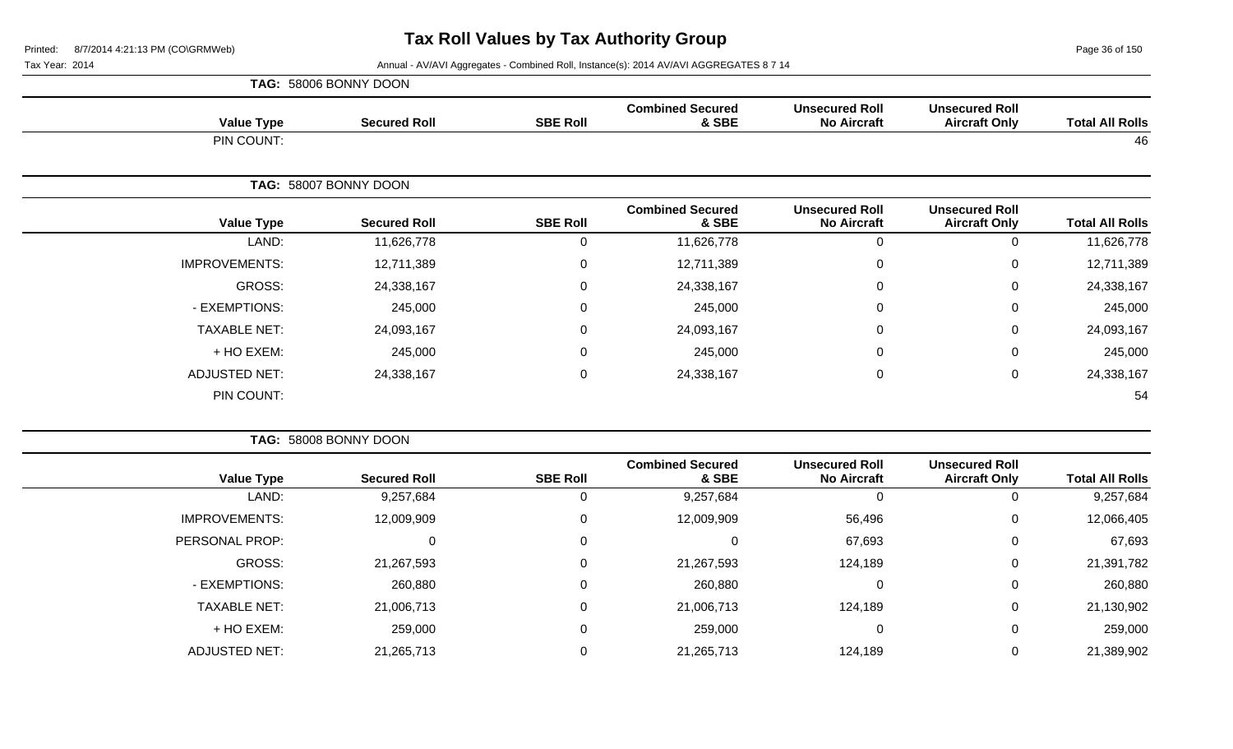Page 36 of 150

|                      | TAG: 58006 BONNY DOON |                  |                                  |                                             |                                               |                        |
|----------------------|-----------------------|------------------|----------------------------------|---------------------------------------------|-----------------------------------------------|------------------------|
| <b>Value Type</b>    | <b>Secured Roll</b>   | <b>SBE Roll</b>  | <b>Combined Secured</b><br>& SBE | <b>Unsecured Roll</b><br><b>No Aircraft</b> | <b>Unsecured Roll</b><br><b>Aircraft Only</b> | <b>Total All Rolls</b> |
| PIN COUNT:           |                       |                  |                                  |                                             |                                               | 46                     |
|                      | TAG: 58007 BONNY DOON |                  |                                  |                                             |                                               |                        |
| <b>Value Type</b>    | <b>Secured Roll</b>   | <b>SBE Roll</b>  | <b>Combined Secured</b><br>& SBE | <b>Unsecured Roll</b><br><b>No Aircraft</b> | <b>Unsecured Roll</b><br><b>Aircraft Only</b> | <b>Total All Rolls</b> |
| LAND:                | 11,626,778            | 0                | 11,626,778                       | $\Omega$                                    | $\mathbf 0$                                   | 11,626,778             |
| <b>IMPROVEMENTS:</b> | 12,711,389            | $\boldsymbol{0}$ | 12,711,389                       | $\Omega$                                    | $\mathbf 0$                                   | 12,711,389             |
| GROSS:               | 24,338,167            | $\mathbf 0$      | 24,338,167                       | $\Omega$                                    | $\mathbf 0$                                   | 24,338,167             |
| - EXEMPTIONS:        | 245,000               | $\mathbf 0$      | 245,000                          | $\mathbf{0}$                                | $\mathbf 0$                                   | 245,000                |
| <b>TAXABLE NET:</b>  | 24,093,167            | $\boldsymbol{0}$ | 24,093,167                       | $\mathbf{0}$                                | $\mathbf 0$                                   | 24,093,167             |
| + HO EXEM:           | 245,000               | $\boldsymbol{0}$ | 245,000                          | $\mathbf 0$                                 | $\mathbf 0$                                   | 245,000                |
| <b>ADJUSTED NET:</b> | 24,338,167            | $\mathbf 0$      | 24,338,167                       | 0                                           | $\mathbf 0$                                   | 24,338,167             |
| PIN COUNT:           |                       |                  |                                  |                                             |                                               | 54                     |

|                      | TAG: 58008 BONNY DOON |                 |                                  |                                             |                                               |                        |
|----------------------|-----------------------|-----------------|----------------------------------|---------------------------------------------|-----------------------------------------------|------------------------|
| <b>Value Type</b>    | <b>Secured Roll</b>   | <b>SBE Roll</b> | <b>Combined Secured</b><br>& SBE | <b>Unsecured Roll</b><br><b>No Aircraft</b> | <b>Unsecured Roll</b><br><b>Aircraft Only</b> | <b>Total All Rolls</b> |
| LAND:                | 9,257,684             |                 | 9,257,684                        |                                             | 0                                             | 9,257,684              |
| <b>IMPROVEMENTS:</b> | 12,009,909            | 0               | 12,009,909                       | 56,496                                      | $\mathbf{0}$                                  | 12,066,405             |
| PERSONAL PROP:       | C                     | 0               | 0                                | 67,693                                      | 0                                             | 67,693                 |
| GROSS:               | 21,267,593            | 0               | 21,267,593                       | 124,189                                     | 0                                             | 21,391,782             |
| - EXEMPTIONS:        | 260,880               |                 | 260,880                          | $\Omega$                                    | $\overline{0}$                                | 260,880                |
| <b>TAXABLE NET:</b>  | 21,006,713            |                 | 21,006,713                       | 124,189                                     | 0                                             | 21,130,902             |
| + HO EXEM:           | 259,000               | 0               | 259,000                          |                                             | 0                                             | 259,000                |
| <b>ADJUSTED NET:</b> | 21,265,713            |                 | 21,265,713                       | 124,189                                     | 0                                             | 21,389,902             |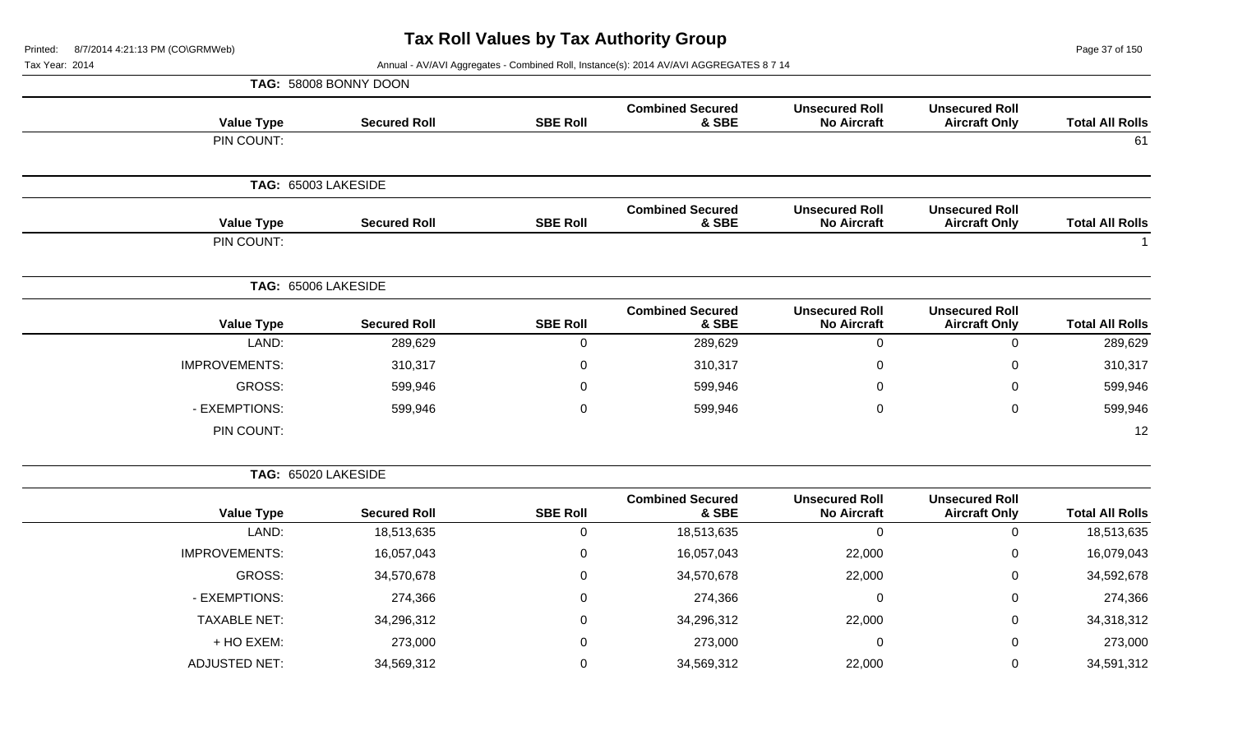Page 37 of 150

Tax Year: 2014 **Annual - AV/AVI Aggregates - Combined Roll**, Instance(s): 2014 AV/AVI AGGREGATES 8 7 14

|                      | TAG: 58008 BONNY DOON |                 |                                  |                                             |                                               |                        |
|----------------------|-----------------------|-----------------|----------------------------------|---------------------------------------------|-----------------------------------------------|------------------------|
| <b>Value Type</b>    | <b>Secured Roll</b>   | <b>SBE Roll</b> | <b>Combined Secured</b><br>& SBE | <b>Unsecured Roll</b><br><b>No Aircraft</b> | <b>Unsecured Roll</b><br><b>Aircraft Only</b> | <b>Total All Rolls</b> |
| PIN COUNT:           |                       |                 |                                  |                                             |                                               | 61                     |
|                      | TAG: 65003 LAKESIDE   |                 |                                  |                                             |                                               |                        |
| <b>Value Type</b>    | <b>Secured Roll</b>   | <b>SBE Roll</b> | <b>Combined Secured</b><br>& SBE | <b>Unsecured Roll</b><br><b>No Aircraft</b> | <b>Unsecured Roll</b><br><b>Aircraft Only</b> | <b>Total All Rolls</b> |
| PIN COUNT:           |                       |                 |                                  |                                             |                                               |                        |
|                      | TAG: 65006 LAKESIDE   |                 |                                  |                                             |                                               |                        |
| <b>Value Type</b>    | <b>Secured Roll</b>   | <b>SBE Roll</b> | <b>Combined Secured</b><br>& SBE | <b>Unsecured Roll</b><br><b>No Aircraft</b> | <b>Unsecured Roll</b><br><b>Aircraft Only</b> | <b>Total All Rolls</b> |
| LAND:                | 289,629               | 0               | 289,629                          | $\Omega$                                    | $\Omega$                                      | 289,629                |
| <b>IMPROVEMENTS:</b> | 310,317               | 0               | 310,317                          | $\mathbf{0}$                                | 0                                             | 310,317                |
| GROSS:               | 599,946               | 0               | 599,946                          | $\mathbf{0}$                                | $\mathbf 0$                                   | 599,946                |
| - EXEMPTIONS:        | 599,946               | $\mathbf 0$     | 599,946                          | $\mathbf 0$                                 | $\mathbf 0$                                   | 599,946                |
| PIN COUNT:           |                       |                 |                                  |                                             |                                               | 12                     |

**TAG:** 65020 LAKESIDE

|                      |                     |                 | <b>Combined Secured</b> | <b>Unsecured Roll</b> | <b>Unsecured Roll</b> |                        |
|----------------------|---------------------|-----------------|-------------------------|-----------------------|-----------------------|------------------------|
| <b>Value Type</b>    | <b>Secured Roll</b> | <b>SBE Roll</b> | & SBE                   | <b>No Aircraft</b>    | <b>Aircraft Only</b>  | <b>Total All Rolls</b> |
| LAND:                | 18,513,635          | 0               | 18,513,635              | 0                     | O                     | 18,513,635             |
| <b>IMPROVEMENTS:</b> | 16,057,043          | 0               | 16,057,043              | 22,000                | 0                     | 16,079,043             |
| GROSS:               | 34,570,678          | 0               | 34,570,678              | 22,000                | 0                     | 34,592,678             |
| - EXEMPTIONS:        | 274,366             | $\mathbf 0$     | 274,366                 | $\overline{0}$        | 0                     | 274,366                |
| <b>TAXABLE NET:</b>  | 34,296,312          | 0               | 34,296,312              | 22,000                | 0                     | 34,318,312             |
| + HO EXEM:           | 273,000             | 0               | 273,000                 | 0                     | 0                     | 273,000                |
| <b>ADJUSTED NET:</b> | 34,569,312          | $\Omega$        | 34,569,312              | 22,000                | O                     | 34,591,312             |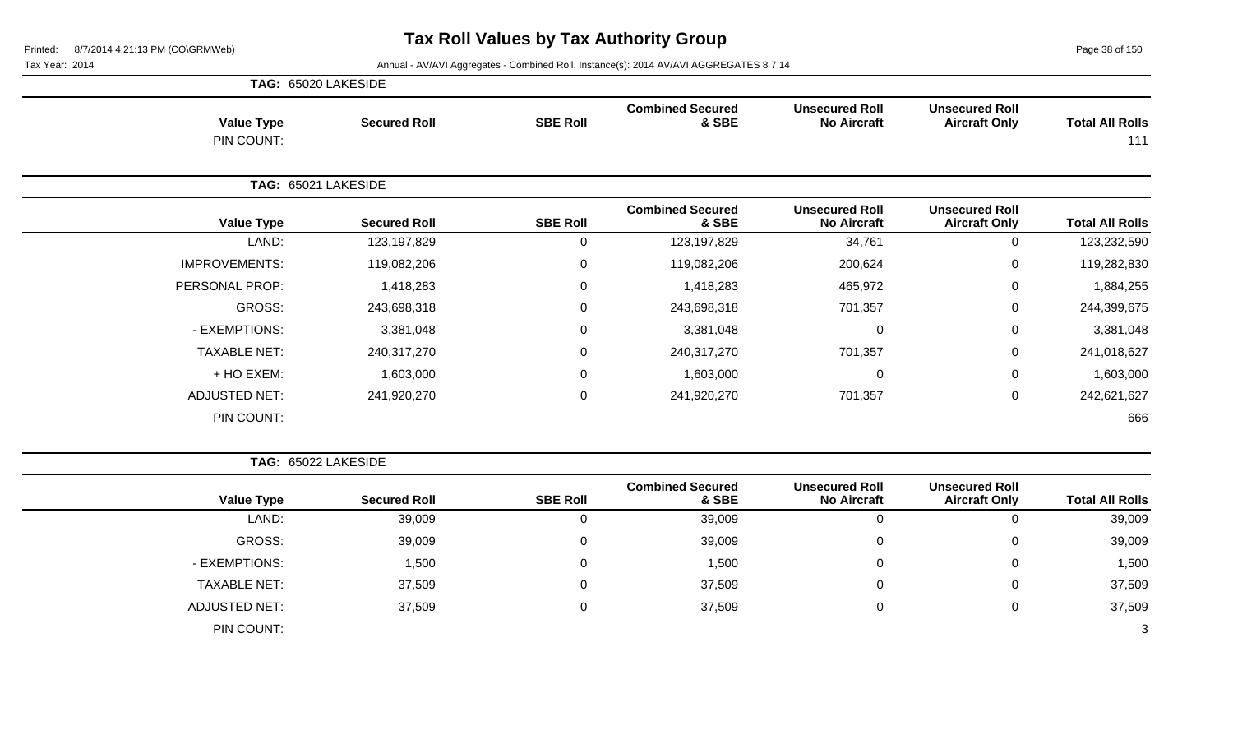Page 38 of 150

|                      | TAG: 65020 LAKESIDE |                 |                                  |                                             |                                               |                        |
|----------------------|---------------------|-----------------|----------------------------------|---------------------------------------------|-----------------------------------------------|------------------------|
| <b>Value Type</b>    | <b>Secured Roll</b> | <b>SBE Roll</b> | <b>Combined Secured</b><br>& SBE | <b>Unsecured Roll</b><br><b>No Aircraft</b> | <b>Unsecured Roll</b><br><b>Aircraft Only</b> | <b>Total All Rolls</b> |
| PIN COUNT:           |                     |                 |                                  |                                             |                                               | 111                    |
|                      | TAG: 65021 LAKESIDE |                 |                                  |                                             |                                               |                        |
| <b>Value Type</b>    | <b>Secured Roll</b> | <b>SBE Roll</b> | <b>Combined Secured</b><br>& SBE | <b>Unsecured Roll</b><br><b>No Aircraft</b> | <b>Unsecured Roll</b><br><b>Aircraft Only</b> | <b>Total All Rolls</b> |
| LAND:                | 123,197,829         | 0               | 123,197,829                      | 34,761                                      | 0                                             | 123,232,590            |
| <b>IMPROVEMENTS:</b> | 119,082,206         | $\overline{0}$  | 119,082,206                      | 200,624                                     | 0                                             | 119,282,830            |
| PERSONAL PROP:       | 1,418,283           | 0               | 1,418,283                        | 465,972                                     | $\mathbf 0$                                   | 1,884,255              |
| <b>GROSS:</b>        | 243,698,318         | $\mathbf 0$     | 243,698,318                      | 701,357                                     | 0                                             | 244,399,675            |
| - EXEMPTIONS:        | 3,381,048           | 0               | 3,381,048                        | $\mathbf 0$                                 | $\mathbf 0$                                   | 3,381,048              |
| <b>TAXABLE NET:</b>  | 240,317,270         | $\mathbf 0$     | 240,317,270                      | 701,357                                     | $\mathbf 0$                                   | 241,018,627            |
| + HO EXEM:           | 1,603,000           | $\overline{0}$  | 1,603,000                        | $\mathbf 0$                                 | 0                                             | 1,603,000              |
| ADJUSTED NET:        | 241,920,270         | $\mathbf 0$     | 241,920,270                      | 701,357                                     | 0                                             | 242,621,627            |
| PIN COUNT:           |                     |                 |                                  |                                             |                                               | 666                    |

| <b>Total All Rolls</b> | <b>Unsecured Roll</b><br><b>Aircraft Only</b> | <b>Unsecured Roll</b><br><b>No Aircraft</b> | <b>Combined Secured</b><br>& SBE | <b>SBE Roll</b> | <b>Secured Roll</b> | <b>Value Type</b>    |
|------------------------|-----------------------------------------------|---------------------------------------------|----------------------------------|-----------------|---------------------|----------------------|
| 39,009                 | v                                             | 0                                           | 39,009                           | 0               | 39,009              | LAND:                |
| 39,009                 | 0                                             | 0                                           | 39,009                           | $\Omega$        | 39,009              | GROSS:               |
| 1,500                  | U                                             | 0                                           | 1,500                            | 0               | 1,500               | - EXEMPTIONS:        |
| 37,509                 | Ü                                             | 0                                           | 37,509                           | 0               | 37,509              | <b>TAXABLE NET:</b>  |
| 37,509                 | U                                             | 0                                           | 37,509                           | 0               | 37,509              | <b>ADJUSTED NET:</b> |
| 3                      |                                               |                                             |                                  |                 |                     | PIN COUNT:           |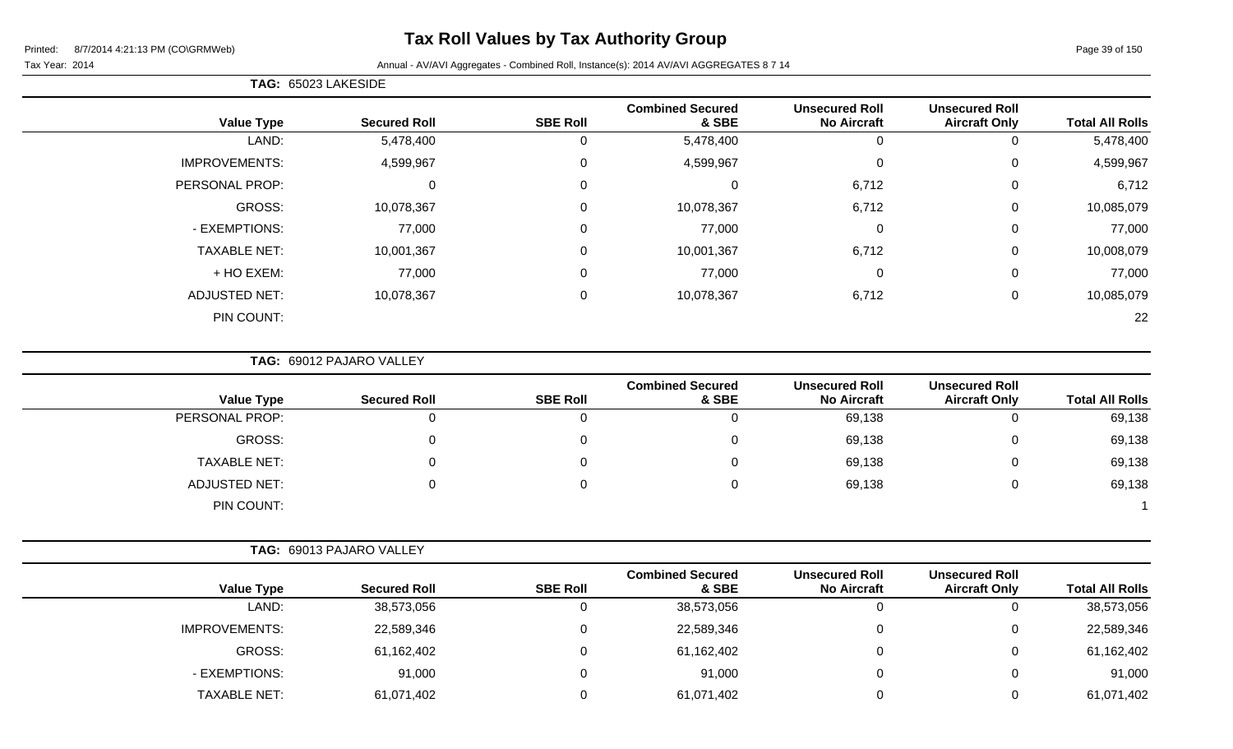# **Tax Roll Values by Tax Authority Group**

Tax Year: 2014 **Annual - AV/AVI Aggregates - Combined Roll**, Instance(s): 2014 AV/AVI AGGREGATES 8 7 14

| <b>Total All Rolls</b> | <b>Unsecured Roll</b><br><b>Aircraft Only</b> | <b>Unsecured Roll</b><br><b>No Aircraft</b> | <b>Combined Secured</b><br>& SBE | <b>SBE Roll</b> | <b>Secured Roll</b> | <b>Value Type</b>    |
|------------------------|-----------------------------------------------|---------------------------------------------|----------------------------------|-----------------|---------------------|----------------------|
| 5,478,400              | O                                             | 0                                           | 5,478,400                        | 0               | 5,478,400           | LAND:                |
| 4,599,967              | 0                                             | $\mathbf 0$                                 | 4,599,967                        | 0               | 4,599,967           | <b>IMPROVEMENTS:</b> |
| 6,712                  | 0                                             | 6,712                                       | 0                                | 0               | 0                   | PERSONAL PROP:       |
| 10,085,079             | 0                                             | 6,712                                       | 10,078,367                       | 0               | 10,078,367          | GROSS:               |
| 77,000                 | 0                                             | $\mathbf 0$                                 | 77,000                           | 0               | 77,000              | - EXEMPTIONS:        |
| 10,008,079             | 0                                             | 6,712                                       | 10,001,367                       | 0               | 10,001,367          | <b>TAXABLE NET:</b>  |
| 77,000                 | 0                                             | 0                                           | 77,000                           | 0               | 77,000              | + HO EXEM:           |
| 10,085,079             | 0                                             | 6,712                                       | 10,078,367                       | 0               | 10,078,367          | <b>ADJUSTED NET:</b> |
| 22                     |                                               |                                             |                                  |                 |                     | PIN COUNT:           |

**TAG:** 69012 PAJARO VALLEY

**TAG:** 65023 LAKESIDE

| <b>Value Type</b>    | <b>Secured Roll</b> | <b>SBE Roll</b> | <b>Combined Secured</b><br>& SBE | <b>Unsecured Roll</b><br><b>No Aircraft</b> | <b>Unsecured Roll</b><br><b>Aircraft Only</b> | <b>Total All Rolls</b> |
|----------------------|---------------------|-----------------|----------------------------------|---------------------------------------------|-----------------------------------------------|------------------------|
| PERSONAL PROP:       |                     |                 |                                  | 69,138                                      | $\Omega$                                      | 69,138                 |
| GROSS:               |                     |                 |                                  | 69,138                                      | 0                                             | 69,138                 |
| <b>TAXABLE NET:</b>  |                     |                 |                                  | 69,138                                      | 0                                             | 69,138                 |
| <b>ADJUSTED NET:</b> |                     |                 |                                  | 69,138                                      | 0                                             | 69,138                 |
| PIN COUNT:           |                     |                 |                                  |                                             |                                               |                        |

|                      | TAG: 69013 PAJARO VALLEY |                 |                                  |                                             |                                               |                        |
|----------------------|--------------------------|-----------------|----------------------------------|---------------------------------------------|-----------------------------------------------|------------------------|
| <b>Value Type</b>    | <b>Secured Roll</b>      | <b>SBE Roll</b> | <b>Combined Secured</b><br>& SBE | <b>Unsecured Roll</b><br><b>No Aircraft</b> | <b>Unsecured Roll</b><br><b>Aircraft Only</b> | <b>Total All Rolls</b> |
| LAND:                | 38,573,056               |                 | 38,573,056                       | ັ                                           |                                               | 38,573,056             |
| <b>IMPROVEMENTS:</b> | 22,589,346               | 0               | 22,589,346                       | v                                           | 0                                             | 22,589,346             |
| GROSS:               | 61,162,402               | 0               | 61,162,402                       | v                                           | 0                                             | 61,162,402             |
| - EXEMPTIONS:        | 91,000                   |                 | 91,000                           | v                                           | 0                                             | 91,000                 |
| TAXABLE NET:         | 61,071,402               |                 | 61,071,402                       |                                             |                                               | 61,071,402             |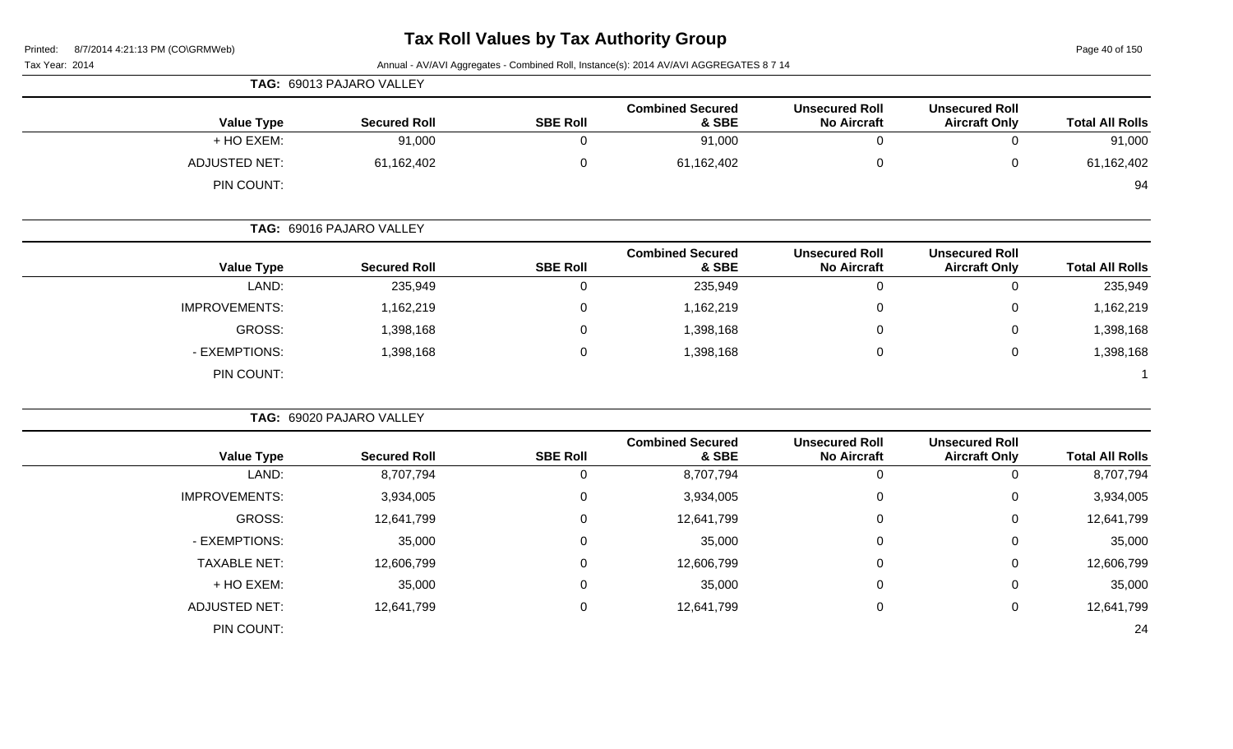Page 40 of 150

|                             | TAG: 69013 PAJARO VALLEY |                 |                                  |                                             |                                               |                        |
|-----------------------------|--------------------------|-----------------|----------------------------------|---------------------------------------------|-----------------------------------------------|------------------------|
| <b>Value Type</b>           | <b>Secured Roll</b>      | <b>SBE Roll</b> | <b>Combined Secured</b><br>& SBE | <b>Unsecured Roll</b><br><b>No Aircraft</b> | <b>Unsecured Roll</b><br><b>Aircraft Only</b> | <b>Total All Rolls</b> |
| + HO EXEM:                  | 91,000                   |                 | 91,000                           | U                                           | 0                                             | 91,000                 |
| ADJUSTED NET:<br>PIN COUNT: | 61,162,402               |                 | 61,162,402                       | 0                                           | 0                                             | 61,162,402<br>94       |

|                      | TAG: 69016 PAJARO VALLEY |                 |                                  |                                             |                                               |                        |
|----------------------|--------------------------|-----------------|----------------------------------|---------------------------------------------|-----------------------------------------------|------------------------|
| <b>Value Type</b>    | <b>Secured Roll</b>      | <b>SBE Roll</b> | <b>Combined Secured</b><br>& SBE | <b>Unsecured Roll</b><br><b>No Aircraft</b> | <b>Unsecured Roll</b><br><b>Aircraft Only</b> | <b>Total All Rolls</b> |
| LAND:                | 235,949                  | 0               | 235,949                          | υ                                           |                                               | 235,949                |
| <b>IMPROVEMENTS:</b> | 1,162,219                | 0               | 1,162,219                        | 0                                           | 0                                             | 1,162,219              |
| GROSS:               | 1,398,168                | 0               | 1,398,168                        | 0                                           | 0                                             | 1,398,168              |
| - EXEMPTIONS:        | 1,398,168                | 0               | 1,398,168                        | 0                                           | 0                                             | 1,398,168              |
| PIN COUNT:           |                          |                 |                                  |                                             |                                               |                        |

|                      | TAG: 69020 PAJARO VALLEY |                 |                                  |                                             |                                               |                        |
|----------------------|--------------------------|-----------------|----------------------------------|---------------------------------------------|-----------------------------------------------|------------------------|
| <b>Value Type</b>    | <b>Secured Roll</b>      | <b>SBE Roll</b> | <b>Combined Secured</b><br>& SBE | <b>Unsecured Roll</b><br><b>No Aircraft</b> | <b>Unsecured Roll</b><br><b>Aircraft Only</b> | <b>Total All Rolls</b> |
| LAND:                | 8,707,794                | 0               | 8,707,794                        | 0                                           | 0                                             | 8,707,794              |
| <b>IMPROVEMENTS:</b> | 3,934,005                | 0               | 3,934,005                        | 0                                           | 0                                             | 3,934,005              |
| GROSS:               | 12,641,799               | 0               | 12,641,799                       | $\mathbf 0$                                 | 0                                             | 12,641,799             |
| - EXEMPTIONS:        | 35,000                   | 0               | 35,000                           | 0                                           | 0                                             | 35,000                 |
| <b>TAXABLE NET:</b>  | 12,606,799               | 0               | 12,606,799                       | 0                                           | 0                                             | 12,606,799             |
| + HO EXEM:           | 35,000                   | $\mathbf 0$     | 35,000                           | $\mathbf 0$                                 | 0                                             | 35,000                 |
| <b>ADJUSTED NET:</b> | 12,641,799               | 0               | 12,641,799                       | 0                                           | 0                                             | 12,641,799             |
| PIN COUNT:           |                          |                 |                                  |                                             |                                               | 24                     |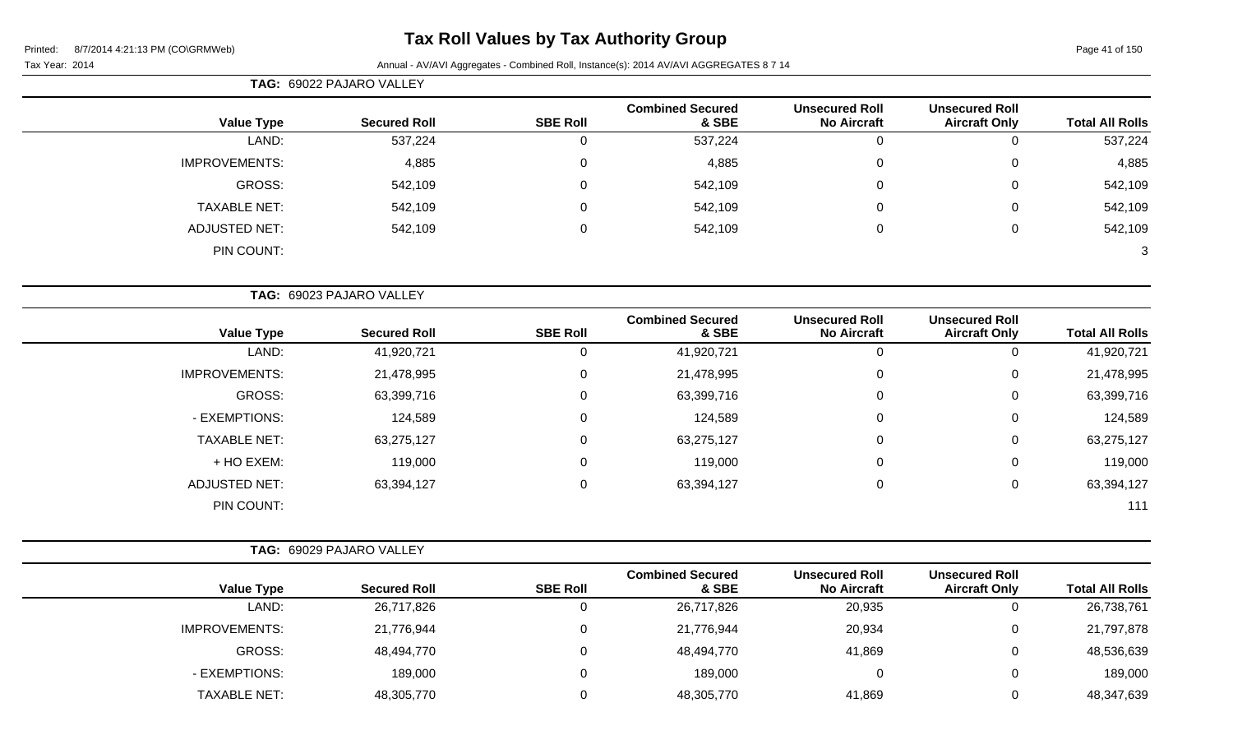**TAG:** 69022 PAJARO VALLEY

Page 41 of 150

| <b>Value Type</b>    |                          | <b>Secured Roll</b> | <b>SBE Roll</b> | <b>Combined Secured</b><br>& SBE | <b>Unsecured Roll</b><br><b>No Aircraft</b> | <b>Unsecured Roll</b><br><b>Aircraft Only</b> | <b>Total All Rolls</b> |
|----------------------|--------------------------|---------------------|-----------------|----------------------------------|---------------------------------------------|-----------------------------------------------|------------------------|
| LAND:                |                          | 537,224             | 0               | 537,224                          | $\Omega$                                    | $\mathbf 0$                                   | 537,224                |
| <b>IMPROVEMENTS:</b> |                          | 4,885               | 0               | 4,885                            | $\Omega$                                    | 0                                             | 4,885                  |
| GROSS:               |                          | 542,109             | 0               | 542,109                          |                                             | 0                                             | 542,109                |
| <b>TAXABLE NET:</b>  |                          | 542,109             | $\mathbf 0$     | 542,109                          | $\Omega$                                    | $\mathbf 0$                                   | 542,109                |
| <b>ADJUSTED NET:</b> |                          | 542,109             | 0               | 542,109                          | 0                                           | 0                                             | 542,109                |
| PIN COUNT:           |                          |                     |                 |                                  |                                             |                                               | 3                      |
|                      | TAG: 69023 PAJARO VALLEY |                     |                 |                                  |                                             |                                               |                        |
| <b>Value Type</b>    |                          | <b>Secured Roll</b> | <b>SBE Roll</b> | <b>Combined Secured</b><br>& SBE | <b>Unsecured Roll</b><br><b>No Aircraft</b> | <b>Unsecured Roll</b><br><b>Aircraft Only</b> | <b>Total All Rolls</b> |
| LAND:                |                          | 41,920,721          | 0               | 41,920,721                       | $\Omega$                                    | $\mathbf 0$                                   | 41,920,721             |
| <b>IMPROVEMENTS:</b> |                          | 21,478,995          | $\mathbf 0$     | 21,478,995                       |                                             | 0                                             | 21,478,995             |
| GROSS:               |                          | 63,399,716          | 0               | 63,399,716                       | $\Omega$                                    | 0                                             | 63,399,716             |
| - EXEMPTIONS:        |                          | 124,589             | 0               | 124,589                          | $\Omega$                                    | 0                                             | 124,589                |
| <b>TAXABLE NET:</b>  |                          | 63,275,127          | $\mathbf 0$     | 63,275,127                       | $\Omega$                                    | 0                                             | 63,275,127             |
| + HO EXEM:           |                          | 119,000             | $\mathbf 0$     | 119,000                          | $\Omega$                                    | 0                                             | 119,000                |
| <b>ADJUSTED NET:</b> |                          | 63,394,127          | 0               | 63,394,127                       | $\pmb{0}$                                   | $\mathbf 0$                                   | 63,394,127             |
| PIN COUNT:           |                          |                     |                 |                                  |                                             |                                               | 111                    |

|                      | <b>TAG: 69029 PAJARO VALLEY</b> |                 |                                  |                                             |                                               |                        |
|----------------------|---------------------------------|-----------------|----------------------------------|---------------------------------------------|-----------------------------------------------|------------------------|
| <b>Value Type</b>    | <b>Secured Roll</b>             | <b>SBE Roll</b> | <b>Combined Secured</b><br>& SBE | <b>Unsecured Roll</b><br><b>No Aircraft</b> | <b>Unsecured Roll</b><br><b>Aircraft Only</b> | <b>Total All Rolls</b> |
| LAND:                | 26,717,826                      |                 | 26,717,826                       | 20,935                                      | 0                                             | 26,738,761             |
| <b>IMPROVEMENTS:</b> | 21,776,944                      |                 | 21,776,944                       | 20,934                                      | $\overline{0}$                                | 21,797,878             |
| GROSS:               | 48,494,770                      |                 | 48,494,770                       | 41,869                                      | $\overline{0}$                                | 48,536,639             |
| - EXEMPTIONS:        | 189,000                         |                 | 189,000                          | 0                                           | $\mathbf{0}$                                  | 189,000                |
| TAXABLE NET:         | 48,305,770                      |                 | 48,305,770                       | 41,869                                      | 0                                             | 48,347,639             |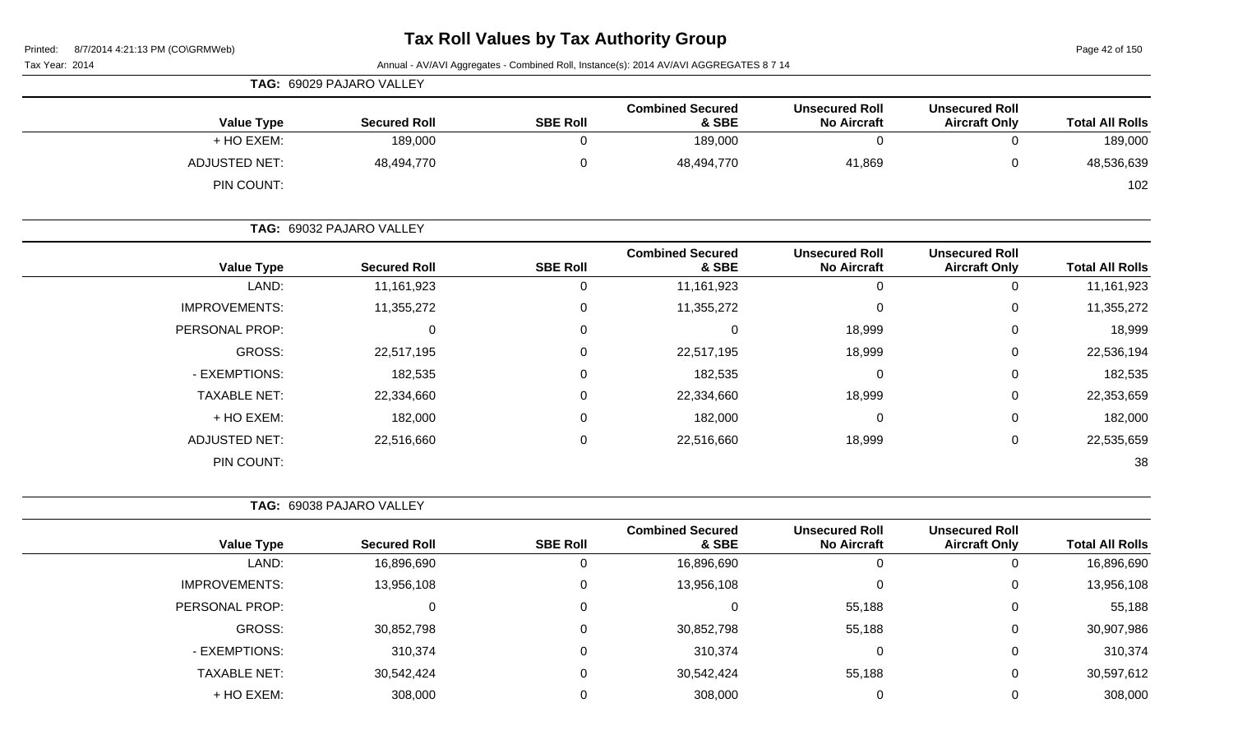Page 42 of 150

Tax Year: 2014 **Annual - AV/AVI Aggregates - Combined Roll**, Instance(s): 2014 AV/AVI AGGREGATES 8 7 14

|                      | TAG: 69029 PAJARO VALLEY |                 |                                  |                                             |                                               |                        |
|----------------------|--------------------------|-----------------|----------------------------------|---------------------------------------------|-----------------------------------------------|------------------------|
| <b>Value Type</b>    | <b>Secured Roll</b>      | <b>SBE Roll</b> | <b>Combined Secured</b><br>& SBE | <b>Unsecured Roll</b><br><b>No Aircraft</b> | <b>Unsecured Roll</b><br><b>Aircraft Only</b> | <b>Total All Rolls</b> |
| + HO EXEM:           | 189,000                  |                 | 189,000                          |                                             |                                               | 189,000                |
| <b>ADJUSTED NET:</b> | 48,494,770               | 0               | 48,494,770                       | 41,869                                      |                                               | 48,536,639             |
| PIN COUNT:           |                          |                 |                                  |                                             |                                               | 102                    |

| <b>Total All Rolls</b> | <b>Unsecured Roll</b><br><b>Aircraft Only</b> | <b>Unsecured Roll</b><br><b>No Aircraft</b> | <b>Combined Secured</b><br>& SBE | <b>SBE Roll</b> | <b>Secured Roll</b> | <b>Value Type</b>    |
|------------------------|-----------------------------------------------|---------------------------------------------|----------------------------------|-----------------|---------------------|----------------------|
| 11,161,923             | 0                                             | 0                                           | 11,161,923                       | 0               | 11,161,923          | LAND:                |
| 11,355,272             | 0                                             | 0                                           | 11,355,272                       | 0               | 11,355,272          | <b>IMPROVEMENTS:</b> |
| 18,999                 | 0                                             | 18,999                                      |                                  | 0               | 0                   | PERSONAL PROP:       |
| 22,536,194             | 0                                             | 18,999                                      | 22,517,195                       | 0               | 22,517,195          | GROSS:               |
| 182,535                | 0                                             | 0                                           | 182,535                          | $\Omega$        | 182,535             | - EXEMPTIONS:        |
| 22,353,659             | 0                                             | 18,999                                      | 22,334,660                       | 0               | 22,334,660          | <b>TAXABLE NET:</b>  |
| 182,000                | 0                                             | 0                                           | 182,000                          | 0               | 182,000             | + HO EXEM:           |
| 22,535,659             | 0                                             | 18,999                                      | 22,516,660                       | $\mathbf 0$     | 22,516,660          | <b>ADJUSTED NET:</b> |
| 38                     |                                               |                                             |                                  |                 |                     | PIN COUNT:           |
|                        |                                               |                                             |                                  |                 |                     |                      |

| <b>TAG: 69038 PAJARO VALLEY</b> |
|---------------------------------|

**TAG:** 69032 PAJARO VALLEY

| <b>Value Type</b>    | <b>Secured Roll</b> | <b>SBE Roll</b> | <b>Combined Secured</b><br>& SBE | <b>Unsecured Roll</b><br><b>No Aircraft</b> | <b>Unsecured Roll</b><br><b>Aircraft Only</b> | <b>Total All Rolls</b> |
|----------------------|---------------------|-----------------|----------------------------------|---------------------------------------------|-----------------------------------------------|------------------------|
| LAND:                | 16,896,690          | U               | 16,896,690                       | 0                                           |                                               | 16,896,690             |
| <b>IMPROVEMENTS:</b> | 13,956,108          | 0               | 13,956,108                       | $\Omega$                                    | O                                             | 13,956,108             |
| PERSONAL PROP:       |                     |                 |                                  | 55,188                                      |                                               | 55,188                 |
| GROSS:               | 30,852,798          | 0               | 30,852,798                       | 55,188                                      |                                               | 30,907,986             |
| - EXEMPTIONS:        | 310,374             | 0               | 310,374                          | 0                                           | 0                                             | 310,374                |
| <b>TAXABLE NET:</b>  | 30,542,424          | 0               | 30,542,424                       | 55,188                                      | U                                             | 30,597,612             |
| + HO EXEM:           | 308,000             |                 | 308,000                          | C                                           |                                               | 308,000                |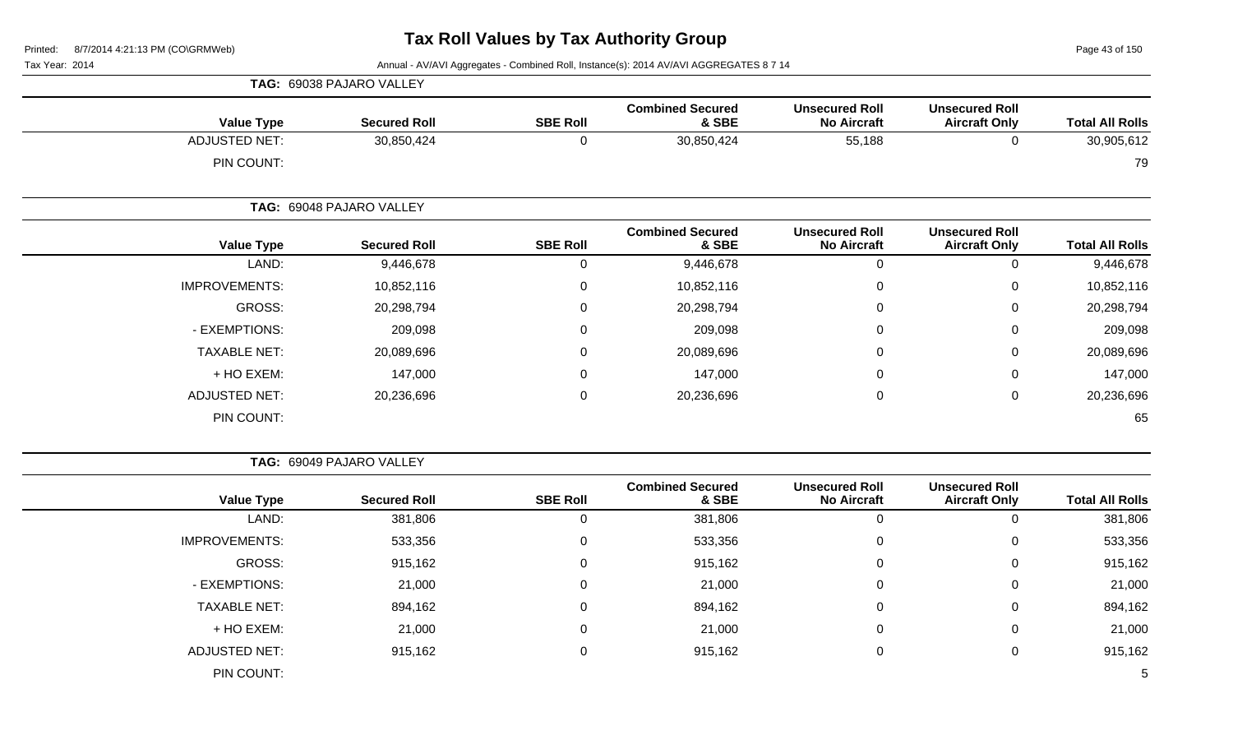Page 43 of 150

Tax Year: 2014 **Annual - AV/AVI Aggregates - Combined Roll**, Instance(s): 2014 AV/AVI AGGREGATES 8 7 14

|                      | TAG: 69038 PAJARO VALLEY |                 |                                  |                                             |                                               |                        |
|----------------------|--------------------------|-----------------|----------------------------------|---------------------------------------------|-----------------------------------------------|------------------------|
| <b>Value Type</b>    | <b>Secured Roll</b>      | <b>SBE Roll</b> | <b>Combined Secured</b><br>& SBE | <b>Unsecured Roll</b><br><b>No Aircraft</b> | <b>Unsecured Roll</b><br><b>Aircraft Only</b> | <b>Total All Rolls</b> |
| <b>ADJUSTED NET:</b> | 30,850,424               | 0               | 30,850,424                       | 55,188                                      | $\pmb{0}$                                     | 30,905,612             |
| PIN COUNT:           |                          |                 |                                  |                                             |                                               | 79                     |
|                      | TAG: 69048 PAJARO VALLEY |                 |                                  |                                             |                                               |                        |
| <b>Value Type</b>    | <b>Secured Roll</b>      | <b>SBE Roll</b> | <b>Combined Secured</b><br>& SBE | <b>Unsecured Roll</b><br><b>No Aircraft</b> | <b>Unsecured Roll</b><br><b>Aircraft Only</b> | <b>Total All Rolls</b> |
| LAND:                | 9,446,678                | 0               | 9,446,678                        | 0                                           | 0                                             | 9,446,678              |
| <b>IMPROVEMENTS:</b> | 10,852,116               | 0               | 10,852,116                       | 0                                           | 0                                             | 10,852,116             |
| GROSS:               | 20,298,794               | 0               | 20,298,794                       | 0                                           | $\mathbf 0$                                   | 20,298,794             |
| - EXEMPTIONS:        | 209,098                  | 0               | 209,098                          | 0                                           | $\mathbf 0$                                   | 209,098                |
| <b>TAXABLE NET:</b>  | 20,089,696               | $\mathbf 0$     | 20,089,696                       | 0                                           | 0                                             | 20,089,696             |
| + HO EXEM:           | 147,000                  | 0               | 147,000                          | 0                                           | $\pmb{0}$                                     | 147,000                |
| <b>ADJUSTED NET:</b> | 20,236,696               | 0               | 20,236,696                       | 0                                           | $\mathbf 0$                                   | 20,236,696             |
| PIN COUNT:           |                          |                 |                                  |                                             |                                               | 65                     |

**TAG:** 69049 PAJARO VALLEY

| <b>Total All Rolls</b> | <b>Unsecured Roll</b><br><b>Aircraft Only</b> | <b>Unsecured Roll</b><br><b>No Aircraft</b> | <b>Combined Secured</b><br>& SBE | <b>SBE Roll</b> | <b>Secured Roll</b> | <b>Value Type</b>    |
|------------------------|-----------------------------------------------|---------------------------------------------|----------------------------------|-----------------|---------------------|----------------------|
| 381,806                | U                                             | 0                                           | 381,806                          | 0               | 381,806             | LAND:                |
| 533,356                | 0                                             | $\mathbf 0$                                 | 533,356                          | 0               | 533,356             | <b>IMPROVEMENTS:</b> |
| 915,162                | 0                                             | $\mathbf 0$                                 | 915,162                          | 0               | 915,162             | GROSS:               |
| 21,000                 | 0                                             | $\mathbf 0$                                 | 21,000                           | 0               | 21,000              | - EXEMPTIONS:        |
| 894,162                | 0                                             | $\mathbf 0$                                 | 894,162                          | 0               | 894,162             | <b>TAXABLE NET:</b>  |
| 21,000                 | 0                                             | 0                                           | 21,000                           | 0               | 21,000              | + HO EXEM:           |
| 915,162                | 0                                             | 0                                           | 915,162                          | $\mathbf 0$     | 915,162             | <b>ADJUSTED NET:</b> |
| 5                      |                                               |                                             |                                  |                 |                     | PIN COUNT:           |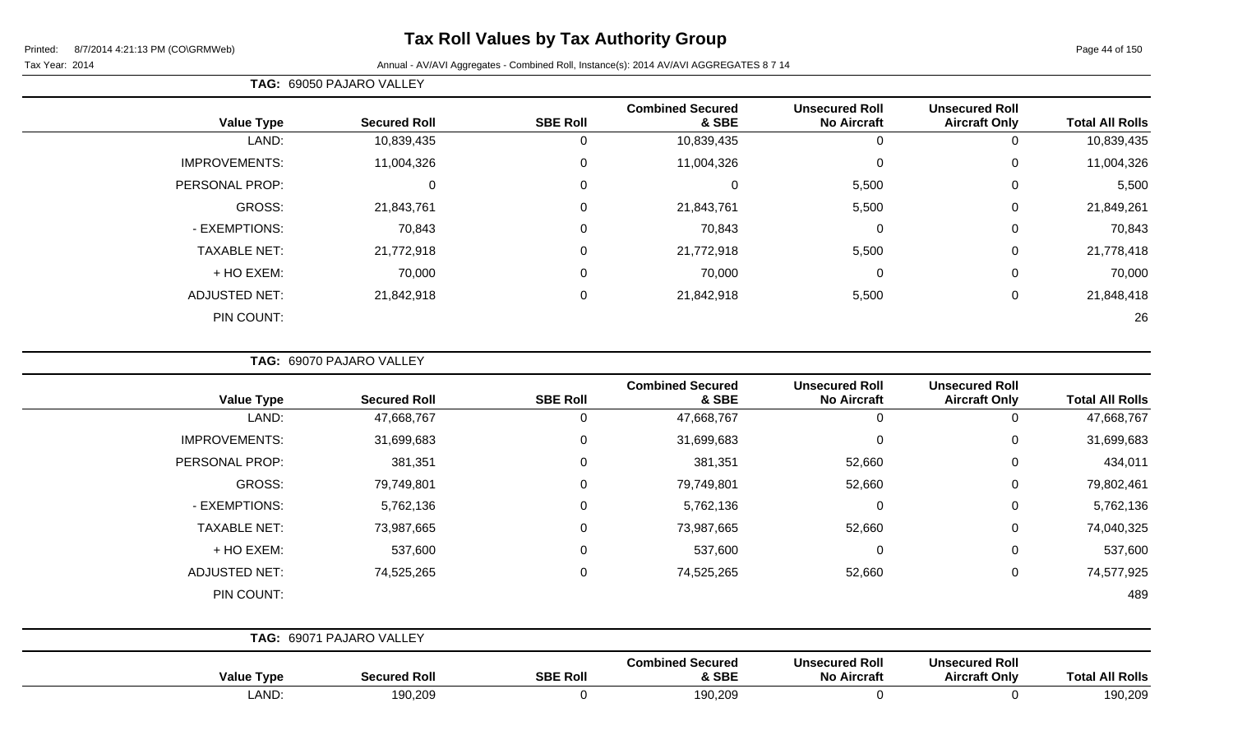#### Tax Year: 2014 Annual - AV/AVI Aggregates - Combined Roll, Instance(s): 2014 AV/AVI AGGREGATES 8 7 14

# **TAG:** 69050 PAJARO VALLEY

| <b>Value Type</b>    | <b>Secured Roll</b> | <b>SBE Roll</b> | <b>Combined Secured</b><br>& SBE | <b>Unsecured Roll</b><br><b>No Aircraft</b> | <b>Unsecured Roll</b><br><b>Aircraft Only</b> | <b>Total All Rolls</b> |
|----------------------|---------------------|-----------------|----------------------------------|---------------------------------------------|-----------------------------------------------|------------------------|
| LAND:                | 10,839,435          | 0               | 10,839,435                       | 0                                           |                                               | 10,839,435             |
| <b>IMPROVEMENTS:</b> | 11,004,326          | 0               | 11,004,326                       | 0                                           | 0                                             | 11,004,326             |
| PERSONAL PROP:       | 0                   | 0               | 0                                | 5,500                                       | 0                                             | 5,500                  |
| GROSS:               | 21,843,761          | 0               | 21,843,761                       | 5,500                                       | $\mathbf 0$                                   | 21,849,261             |
| - EXEMPTIONS:        | 70,843              | 0               | 70,843                           | 0                                           | 0                                             | 70,843                 |
| <b>TAXABLE NET:</b>  | 21,772,918          | $\mathbf 0$     | 21,772,918                       | 5,500                                       | 0                                             | 21,778,418             |
| + HO EXEM:           | 70,000              | $\mathbf 0$     | 70,000                           | $\overline{0}$                              | 0                                             | 70,000                 |
| <b>ADJUSTED NET:</b> | 21,842,918          | 0               | 21,842,918                       | 5,500                                       | 0                                             | 21,848,418             |
| PIN COUNT:           |                     |                 |                                  |                                             |                                               | 26                     |

**TAG:** 69070 PAJARO VALLEY

| <b>Value Type</b>    | <b>Secured Roll</b>      | <b>SBE Roll</b> | <b>Combined Secured</b><br>& SBE | <b>Unsecured Roll</b><br><b>No Aircraft</b> | <b>Unsecured Roll</b><br><b>Aircraft Only</b> | <b>Total All Rolls</b> |
|----------------------|--------------------------|-----------------|----------------------------------|---------------------------------------------|-----------------------------------------------|------------------------|
| LAND:                | 47,668,767               | $\mathbf 0$     | 47,668,767                       | 0                                           | 0                                             | 47,668,767             |
| <b>IMPROVEMENTS:</b> | 31,699,683               | $\mathbf 0$     | 31,699,683                       | 0                                           | 0                                             | 31,699,683             |
| PERSONAL PROP:       | 381,351                  | $\mathbf 0$     | 381,351                          | 52,660                                      | 0                                             | 434,011                |
| GROSS:               | 79,749,801               | $\mathbf 0$     | 79,749,801                       | 52,660                                      | 0                                             | 79,802,461             |
| - EXEMPTIONS:        | 5,762,136                | $\mathbf 0$     | 5,762,136                        | $\mathbf 0$                                 | $\mathbf 0$                                   | 5,762,136              |
| <b>TAXABLE NET:</b>  | 73,987,665               | $\mathbf 0$     | 73,987,665                       | 52,660                                      | 0                                             | 74,040,325             |
| + HO EXEM:           | 537,600                  | $\mathbf 0$     | 537,600                          | $\mathbf 0$                                 | 0                                             | 537,600                |
| <b>ADJUSTED NET:</b> | 74,525,265               | $\mathbf 0$     | 74,525,265                       | 52,660                                      | 0                                             | 74,577,925             |
| PIN COUNT:           |                          |                 |                                  |                                             |                                               | 489                    |
|                      | TAG: 69071 PAJARO VALLEY |                 |                                  |                                             |                                               |                        |
| <b>Value Type</b>    | <b>Secured Roll</b>      | <b>SBE Roll</b> | <b>Combined Secured</b><br>& SBE | <b>Unsecured Roll</b><br><b>No Aircraft</b> | <b>Unsecured Roll</b><br><b>Aircraft Only</b> | <b>Total All Rolls</b> |

LAND: 190,209 0 190,209 0 0 190,209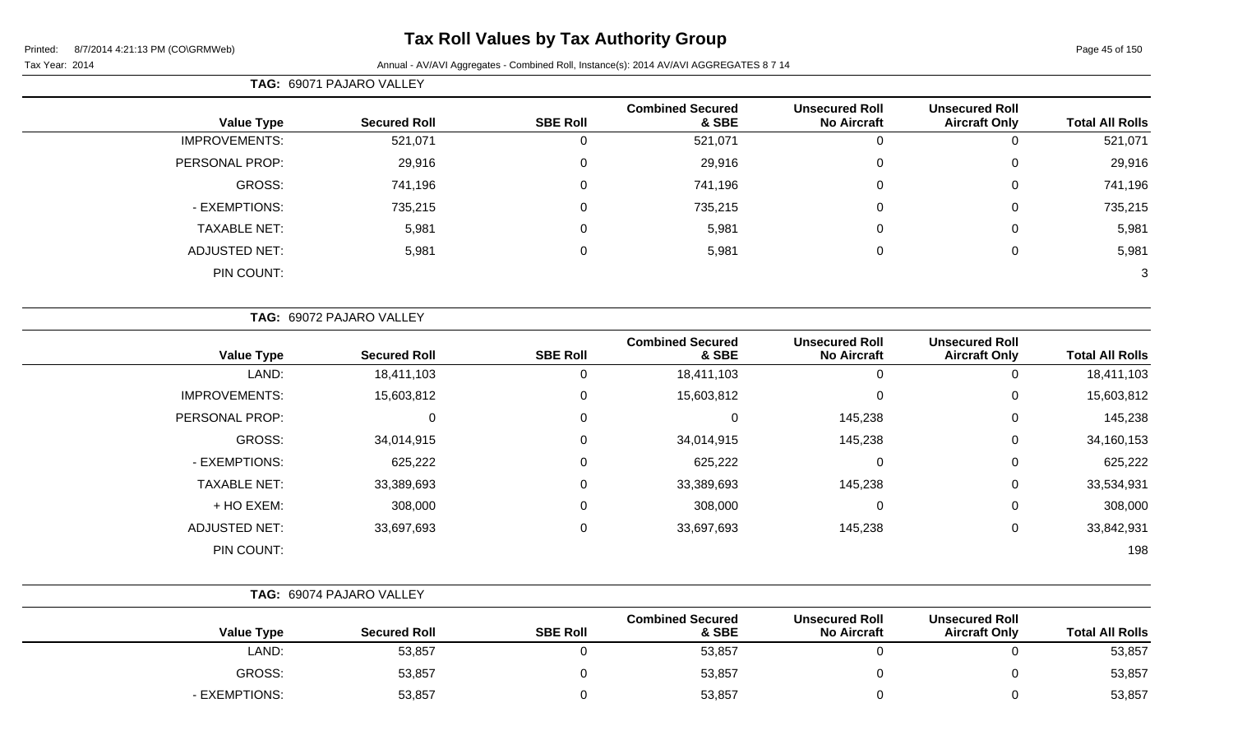# **Tax Roll Values by Tax Authority Group**

#### Tax Year: 2014 **Annual - AV/AVI Aggregates - Combined Roll, Instance(s): 2014 AV/AVI AGGREGATES 8 7 14**

|                        |                                               |                                             |                                  |                 | TAG: 69071 PAJARO VALLEY |                      |
|------------------------|-----------------------------------------------|---------------------------------------------|----------------------------------|-----------------|--------------------------|----------------------|
| <b>Total All Rolls</b> | <b>Unsecured Roll</b><br><b>Aircraft Only</b> | <b>Unsecured Roll</b><br><b>No Aircraft</b> | <b>Combined Secured</b><br>& SBE | <b>SBE Roll</b> | <b>Secured Roll</b>      | <b>Value Type</b>    |
| 521,071                |                                               |                                             | 521,071                          |                 | 521,071                  | <b>IMPROVEMENTS:</b> |
| 29,916                 | 0                                             | $\Omega$                                    | 29,916                           | 0               | 29,916                   | PERSONAL PROP:       |
| 741,196                | 0                                             | 0                                           | 741,196                          | 0               | 741,196                  | GROSS:               |
| 735,215                | 0                                             | 0                                           | 735,215                          | 0               | 735,215                  | - EXEMPTIONS:        |
| 5,981                  | 0                                             | $\Omega$                                    | 5,981                            | 0               | 5,981                    | <b>TAXABLE NET:</b>  |
| 5,981                  | 0                                             |                                             | 5,981                            | 0               | 5,981                    | <b>ADJUSTED NET:</b> |
| 3                      |                                               |                                             |                                  |                 |                          | PIN COUNT:           |

|                        | <b>Unsecured Roll</b> | <b>Unsecured Roll</b> | <b>Combined Secured</b> |                 |                     |                      |
|------------------------|-----------------------|-----------------------|-------------------------|-----------------|---------------------|----------------------|
| <b>Total All Rolls</b> | <b>Aircraft Only</b>  | <b>No Aircraft</b>    | & SBE                   | <b>SBE Roll</b> | <b>Secured Roll</b> | <b>Value Type</b>    |
| 18,411,103             | 0                     | $\Omega$              | 18,411,103              | $\overline{0}$  | 18,411,103          | LAND:                |
| 15,603,812             | 0                     | $\mathbf{0}$          | 15,603,812              | $\mathbf 0$     | 15,603,812          | <b>IMPROVEMENTS:</b> |
| 145,238                | 0                     | 145,238               | $\Omega$                | $\mathbf 0$     | $\mathbf 0$         | PERSONAL PROP:       |
| 34,160,153             | 0                     | 145,238               | 34,014,915              | $\mathbf 0$     | 34,014,915          | <b>GROSS:</b>        |
| 625,222                | 0                     | 0                     | 625,222                 | $\mathbf 0$     | 625,222             | - EXEMPTIONS:        |
| 33,534,931             | 0                     | 145,238               | 33,389,693              | $\mathbf 0$     | 33,389,693          | <b>TAXABLE NET:</b>  |
| 308,000                | 0                     | $\mathbf{0}$          | 308,000                 | $\mathbf 0$     | 308,000             | + HO EXEM:           |
| 33,842,931             | 0                     | 145,238               | 33,697,693              | $\mathbf 0$     | 33,697,693          | <b>ADJUSTED NET:</b> |
| 198                    |                       |                       |                         |                 |                     | PIN COUNT:           |

| <b>Value Type</b>  | <b>Secured Roll</b> | <b>SBE Roll</b> | <b>Combined Secured</b><br>& SBE | <b>Unsecured Roll</b><br><b>No Aircraft</b> | <b>Unsecured Roll</b><br><b>Aircraft Only</b> | <b>Total All Rolls</b> |
|--------------------|---------------------|-----------------|----------------------------------|---------------------------------------------|-----------------------------------------------|------------------------|
| LAND:              | 53,857              |                 | 53,857                           |                                             |                                               | 53,857                 |
| GROSS:             | 53,857              |                 | 53,857                           |                                             |                                               | 53,857                 |
| <b>EXEMPTIONS:</b> | 53,857              |                 | 53,857                           |                                             |                                               | 53,857                 |

**TAG:** 69074 PAJARO VALLEY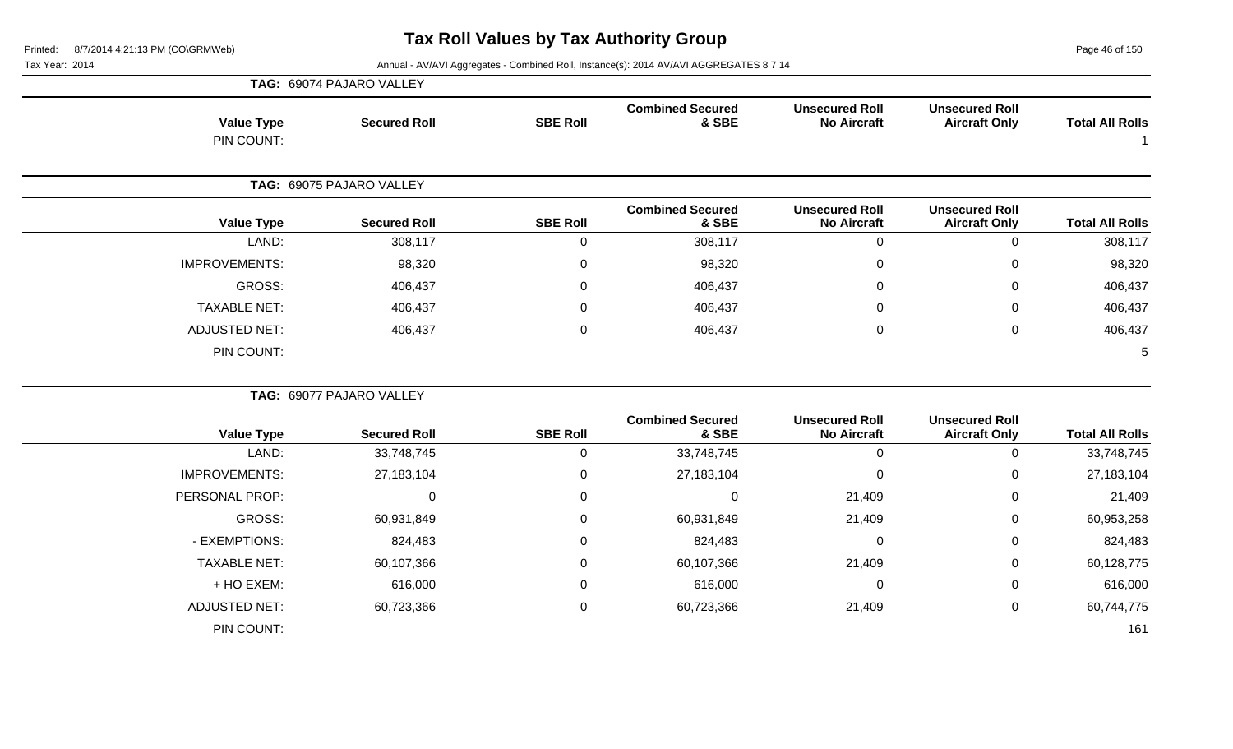Page 46 of 150

|                      | TAG: 69074 PAJARO VALLEY |                  |                                  |                                             |                                               |                        |
|----------------------|--------------------------|------------------|----------------------------------|---------------------------------------------|-----------------------------------------------|------------------------|
| <b>Value Type</b>    | <b>Secured Roll</b>      | <b>SBE Roll</b>  | <b>Combined Secured</b><br>& SBE | <b>Unsecured Roll</b><br><b>No Aircraft</b> | <b>Unsecured Roll</b><br><b>Aircraft Only</b> | <b>Total All Rolls</b> |
| PIN COUNT:           |                          |                  |                                  |                                             |                                               |                        |
|                      | TAG: 69075 PAJARO VALLEY |                  |                                  |                                             |                                               |                        |
| <b>Value Type</b>    | <b>Secured Roll</b>      | <b>SBE Roll</b>  | <b>Combined Secured</b><br>& SBE | <b>Unsecured Roll</b><br><b>No Aircraft</b> | <b>Unsecured Roll</b><br><b>Aircraft Only</b> | <b>Total All Rolls</b> |
| LAND:                | 308,117                  | $\boldsymbol{0}$ | 308,117                          | $\mathbf 0$                                 | $\pmb{0}$                                     | 308,117                |
| <b>IMPROVEMENTS:</b> | 98,320                   | $\mathsf 0$      | 98,320                           | $\mathbf 0$                                 | $\pmb{0}$                                     | 98,320                 |
| <b>GROSS:</b>        | 406,437                  | $\mathbf 0$      | 406,437                          | $\Omega$                                    | $\pmb{0}$                                     | 406,437                |
| <b>TAXABLE NET:</b>  | 406,437                  | $\mathbf 0$      | 406,437                          | $\Omega$                                    | $\mathbf 0$                                   | 406,437                |
| <b>ADJUSTED NET:</b> | 406,437                  | 0                | 406,437                          | 0                                           | 0                                             | 406,437                |
| PIN COUNT:           |                          |                  |                                  |                                             |                                               | 5                      |
|                      | TAG: 69077 PAJARO VALLEY |                  |                                  |                                             |                                               |                        |
| <b>Value Type</b>    | <b>Secured Roll</b>      | <b>SBE Roll</b>  | <b>Combined Secured</b><br>& SBE | <b>Unsecured Roll</b><br><b>No Aircraft</b> | <b>Unsecured Roll</b><br><b>Aircraft Only</b> | <b>Total All Rolls</b> |
| LAND:                | 33,748,745               | $\mathbf 0$      | 33,748,745                       | $\mathbf 0$                                 | $\pmb{0}$                                     | 33,748,745             |
| <b>IMPROVEMENTS:</b> | 27, 183, 104             | $\mathsf 0$      | 27, 183, 104                     | $\overline{0}$                              | $\pmb{0}$                                     | 27, 183, 104           |
| PERSONAL PROP:       | $\pmb{0}$                | $\mathbf 0$      | 0                                | 21,409                                      | $\pmb{0}$                                     | 21,409                 |
| <b>GROSS:</b>        | 60,931,849               | $\overline{0}$   | 60,931,849                       | 21,409                                      | 0                                             | 60,953,258             |
| - EXEMPTIONS:        | 824,483                  | $\mathbf 0$      | 824,483                          | $\mathbf 0$                                 | 0                                             | 824,483                |
| <b>TAXABLE NET:</b>  | 60,107,366               | 0                | 60,107,366                       | 21,409                                      | 0                                             | 60,128,775             |
| + HO EXEM:           | 616,000                  | $\mathbf 0$      | 616,000                          | $\Omega$                                    | 0                                             | 616,000                |
| <b>ADJUSTED NET:</b> | 60,723,366               | $\mathbf 0$      | 60,723,366                       | 21,409                                      | $\mathbf 0$                                   | 60,744,775             |
| PIN COUNT:           |                          |                  |                                  |                                             |                                               | 161                    |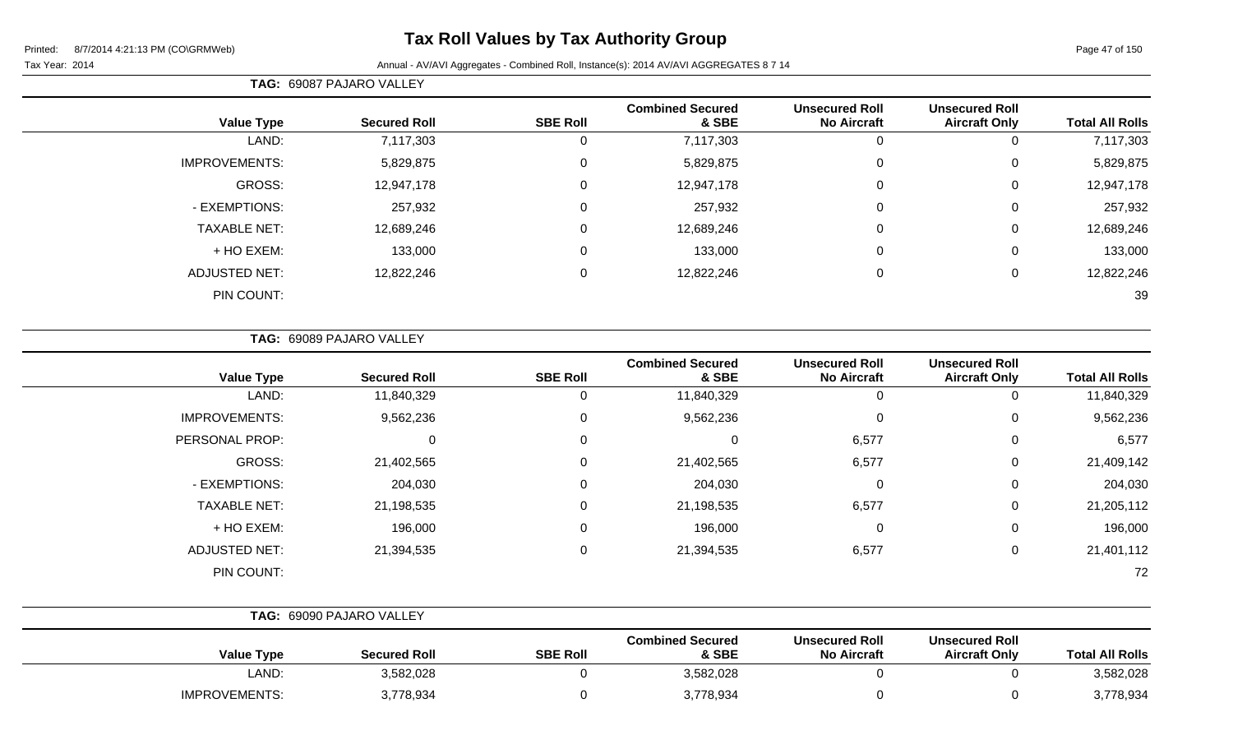# **Tax Roll Values by Tax Authority Group**

#### Tax Year: 2014 **Annual - AV/AVI Aggregates - Combined Roll**, Instance(s): 2014 AV/AVI AGGREGATES 8 7 14

**TAG:** 69087 PAJARO VALLEY

|                        | <b>Unsecured Roll</b> | <b>Unsecured Roll</b> | <b>Combined Secured</b> |                 |                     |                      |
|------------------------|-----------------------|-----------------------|-------------------------|-----------------|---------------------|----------------------|
| <b>Total All Rolls</b> | <b>Aircraft Only</b>  | <b>No Aircraft</b>    | & SBE                   | <b>SBE Roll</b> | <b>Secured Roll</b> | <b>Value Type</b>    |
| 7,117,303              | 0                     |                       | 7,117,303               |                 | 7,117,303           | LAND:                |
| 5,829,875              | 0                     | $\Omega$              | 5,829,875               | $\Omega$        | 5,829,875           | <b>IMPROVEMENTS:</b> |
| 12,947,178             | 0                     | 0                     | 12,947,178              | $\Omega$        | 12,947,178          | GROSS:               |
| 257,932                | 0                     | 0                     | 257,932                 | $\Omega$        | 257,932             | - EXEMPTIONS:        |
| 12,689,246             | 0                     | $\Omega$              | 12,689,246              | $\Omega$        | 12,689,246          | <b>TAXABLE NET:</b>  |
| 133,000                | 0                     | $\overline{0}$        | 133,000                 | $\Omega$        | 133,000             | + HO EXEM:           |
| 12,822,246             | 0                     | 0                     | 12,822,246              | $\Omega$        | 12,822,246          | <b>ADJUSTED NET:</b> |
| 39                     |                       |                       |                         |                 |                     | PIN COUNT:           |
|                        |                       |                       |                         |                 |                     |                      |

**TAG:** 69089 PAJARO VALLEY

| <b>Value Type</b>    | <b>Secured Roll</b> | <b>SBE Roll</b> | <b>Combined Secured</b><br>& SBE | <b>Unsecured Roll</b><br><b>No Aircraft</b> | <b>Unsecured Roll</b><br><b>Aircraft Only</b> | <b>Total All Rolls</b> |
|----------------------|---------------------|-----------------|----------------------------------|---------------------------------------------|-----------------------------------------------|------------------------|
| LAND:                | 11,840,329          | 0               | 11,840,329                       |                                             | 0                                             | 11,840,329             |
| <b>IMPROVEMENTS:</b> | 9,562,236           | 0               | 9,562,236                        | $\Omega$                                    | 0                                             | 9,562,236              |
| PERSONAL PROP:       | 0                   | 0               | 0                                | 6,577                                       | 0                                             | 6,577                  |
| GROSS:               | 21,402,565          | $\Omega$        | 21,402,565                       | 6,577                                       | 0                                             | 21,409,142             |
| - EXEMPTIONS:        | 204,030             | 0               | 204,030                          | 0                                           | 0                                             | 204,030                |
| <b>TAXABLE NET:</b>  | 21,198,535          | $\Omega$        | 21,198,535                       | 6,577                                       | $\mathbf 0$                                   | 21,205,112             |
| + HO EXEM:           | 196,000             | 0               | 196,000                          | 0                                           | 0                                             | 196,000                |
| <b>ADJUSTED NET:</b> | 21,394,535          | $\Omega$        | 21,394,535                       | 6,577                                       | 0                                             | 21,401,112             |
| PIN COUNT:           |                     |                 |                                  |                                             |                                               | 72                     |

|                      | <b>TAG: 69090 PAJARO VALLEY</b> |                 |                                  |                                             |                                               |                        |
|----------------------|---------------------------------|-----------------|----------------------------------|---------------------------------------------|-----------------------------------------------|------------------------|
| <b>Value Type</b>    | <b>Secured Roll</b>             | <b>SBE Roll</b> | <b>Combined Secured</b><br>& SBE | <b>Unsecured Roll</b><br><b>No Aircraft</b> | <b>Unsecured Roll</b><br><b>Aircraft Only</b> | <b>Total All Rolls</b> |
| LAND:                | 3,582,028                       |                 | 3,582,028                        |                                             |                                               | 3,582,028              |
| <b>IMPROVEMENTS:</b> | 3,778,934                       |                 | 3,778,934                        |                                             |                                               | 3,778,934              |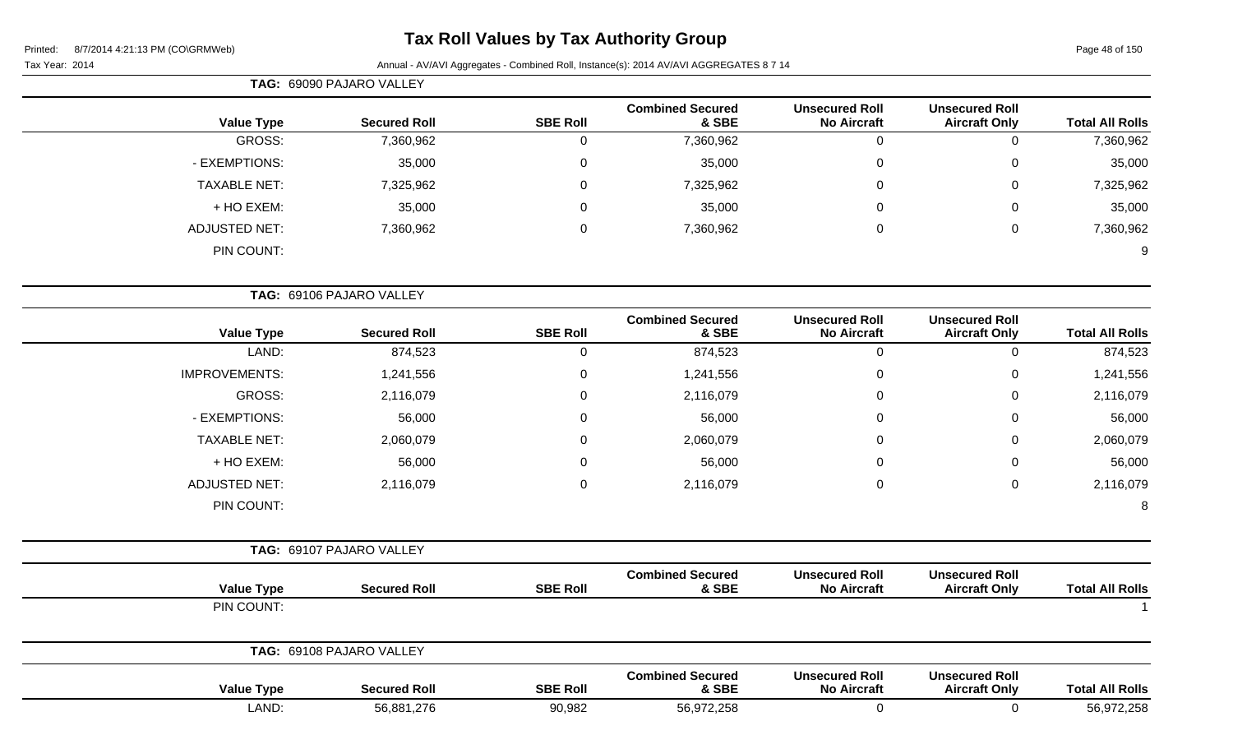# **Tax Roll Values by Tax Authority Group**

# Tax Year: 2014 **Annual - AV/AVI Aggregates - Combined Roll**, Instance(s): 2014 AV/AVI AGGREGATES 8 7 14

| rear: 2014 S | Annual - AV/AVI Aggregates - Combined Roll, Instance(s). 2014 AV/AVI AGGREGATES 67 14 |                          |                 |                                  |                                             |                                               |                        |  |  |
|--------------|---------------------------------------------------------------------------------------|--------------------------|-----------------|----------------------------------|---------------------------------------------|-----------------------------------------------|------------------------|--|--|
|              |                                                                                       | TAG: 69090 PAJARO VALLEY |                 |                                  |                                             |                                               |                        |  |  |
|              | <b>Value Type</b>                                                                     | <b>Secured Roll</b>      | <b>SBE Roll</b> | <b>Combined Secured</b><br>& SBE | <b>Unsecured Roll</b><br><b>No Aircraft</b> | <b>Unsecured Roll</b><br><b>Aircraft Only</b> | <b>Total All Rolls</b> |  |  |
|              | GROSS:                                                                                | 7,360,962                | 0               | 7,360,962                        |                                             | 0                                             | 7,360,962              |  |  |
|              | - EXEMPTIONS:                                                                         | 35,000                   | 0               | 35,000                           | 0                                           | 0                                             | 35,000                 |  |  |
|              | <b>TAXABLE NET:</b>                                                                   | 7,325,962                | 0               | 7,325,962                        | 0                                           | 0                                             | 7,325,962              |  |  |
|              | + HO EXEM:                                                                            | 35,000                   | 0               | 35,000                           | $\mathbf{0}$                                | $\mathbf 0$                                   | 35,000                 |  |  |
|              | <b>ADJUSTED NET:</b>                                                                  | 7,360,962                | 0               | 7,360,962                        | 0                                           | 0                                             | 7,360,962              |  |  |
|              | PIN COUNT:                                                                            |                          |                 |                                  |                                             |                                               | 9                      |  |  |
|              |                                                                                       | TAG: 69106 PAJARO VALLEY |                 |                                  |                                             |                                               |                        |  |  |
|              | <b>Value Type</b>                                                                     | <b>Secured Roll</b>      | <b>SBE Roll</b> | <b>Combined Secured</b><br>& SBE | <b>Unsecured Roll</b><br><b>No Aircraft</b> | <b>Unsecured Roll</b><br><b>Aircraft Only</b> | <b>Total All Rolls</b> |  |  |

| <b>Value Type</b>    | <b>Secured Roll</b>      | <b>SBE Roll</b> | & SBE     | <b>No Aircraft</b> | <b>Aircraft Only</b> | <b>Total All Rolls</b> |
|----------------------|--------------------------|-----------------|-----------|--------------------|----------------------|------------------------|
| LAND:                | 874,523                  | $\mathbf{0}$    | 874,523   | 0                  | 0                    | 874,523                |
| <b>IMPROVEMENTS:</b> | 1,241,556                | $\mathbf 0$     | 1,241,556 | 0                  | 0                    | 1,241,556              |
| GROSS:               | 2,116,079                | $\mathbf 0$     | 2,116,079 | 0                  | 0                    | 2,116,079              |
| - EXEMPTIONS:        | 56,000                   | 0               | 56,000    | 0                  | 0                    | 56,000                 |
| <b>TAXABLE NET:</b>  | 2,060,079                | $\mathbf 0$     | 2,060,079 | 0                  | $\mathbf 0$          | 2,060,079              |
| + HO EXEM:           | 56,000                   | $\mathbf 0$     | 56,000    | 0                  | $\mathbf 0$          | 56,000                 |
| <b>ADJUSTED NET:</b> | 2,116,079                | $\overline{0}$  | 2,116,079 | $\mathbf 0$        | $\mathbf 0$          | 2,116,079              |
| PIN COUNT:           |                          |                 |           |                    |                      | 8                      |
|                      |                          |                 |           |                    |                      |                        |
|                      | TAG: 69107 PAJARO VALLEY |                 |           |                    |                      |                        |

| <b>Value Type</b> | <b>Secured Roll</b>      | <b>SBE Roll</b> | <b>Combined Secured</b><br>& SBE | <b>Unsecured Roll</b><br><b>No Aircraft</b> | <b>Unsecured Roll</b><br><b>Aircraft Only</b> | <b>Total All Rolls</b> |
|-------------------|--------------------------|-----------------|----------------------------------|---------------------------------------------|-----------------------------------------------|------------------------|
| PIN COUNT:        |                          |                 |                                  |                                             |                                               |                        |
|                   | TAG: 69108 PAJARO VALLEY |                 |                                  |                                             |                                               |                        |
| <b>Value Type</b> | <b>Secured Roll</b>      | <b>SBE Roll</b> | <b>Combined Secured</b><br>& SBE | <b>Unsecured Roll</b><br><b>No Aircraft</b> | <b>Unsecured Roll</b><br><b>Aircraft Only</b> | <b>Total All Rolls</b> |

LAND: 56,881,276 90,982 56,972,258 0 0 56,972,258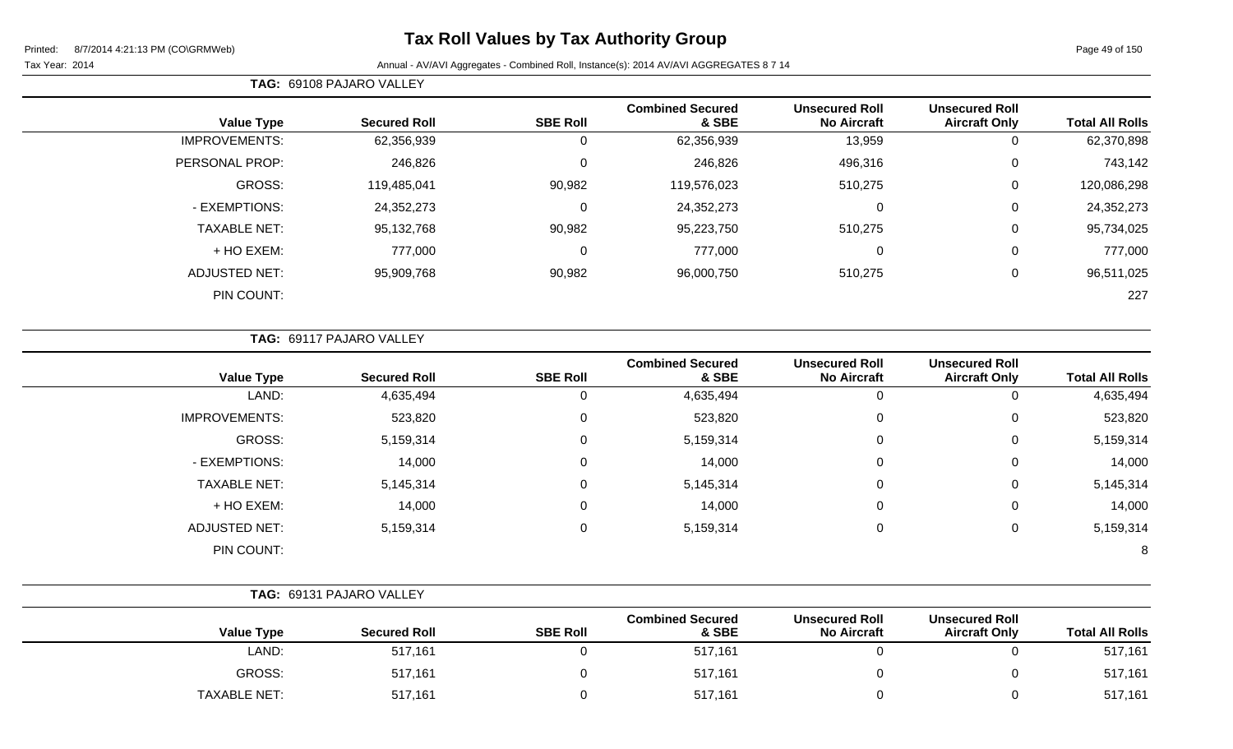#### Tax Year: 2014 **Annual - AV/AVI Aggregates - Combined Roll**, Instance(s): 2014 AV/AVI AGGREGATES 8 7 14

**TAG:** 69108 PAJARO VALLEY

| <b>Total All Rolls</b> | <b>Unsecured Roll</b><br><b>Aircraft Only</b> | <b>Unsecured Roll</b><br><b>No Aircraft</b> | <b>Combined Secured</b><br>& SBE | <b>SBE Roll</b> | <b>Secured Roll</b> | <b>Value Type</b>    |
|------------------------|-----------------------------------------------|---------------------------------------------|----------------------------------|-----------------|---------------------|----------------------|
| 62,370,898             | 0                                             | 13,959                                      | 62,356,939                       | 0               | 62,356,939          | <b>IMPROVEMENTS:</b> |
| 743,142                | 0                                             | 496,316                                     | 246,826                          | 0               | 246,826             | PERSONAL PROP:       |
| 120,086,298            | 0                                             | 510,275                                     | 119,576,023                      | 90,982          | 119,485,041         | <b>GROSS:</b>        |
| 24,352,273             | 0                                             | 0                                           | 24,352,273                       | 0               | 24,352,273          | - EXEMPTIONS:        |
| 95,734,025             | 0                                             | 510,275                                     | 95,223,750                       | 90,982          | 95,132,768          | <b>TAXABLE NET:</b>  |
| 777,000                | 0                                             | 0                                           | 777,000                          | 0               | 777,000             | + HO EXEM:           |
| 96,511,025             | 0                                             | 510,275                                     | 96,000,750                       | 90,982          | 95,909,768          | <b>ADJUSTED NET:</b> |
| 227                    |                                               |                                             |                                  |                 |                     | PIN COUNT:           |
|                        |                                               |                                             |                                  |                 |                     |                      |

|  |  |  | <b>TAG: 69117 PAJARO VALLEY</b> |  |
|--|--|--|---------------------------------|--|
|--|--|--|---------------------------------|--|

| <b>Value Type</b>    | <b>Secured Roll</b> | <b>SBE Roll</b> | <b>Combined Secured</b><br>& SBE | <b>Unsecured Roll</b><br><b>No Aircraft</b> | <b>Unsecured Roll</b><br><b>Aircraft Only</b> | <b>Total All Rolls</b> |
|----------------------|---------------------|-----------------|----------------------------------|---------------------------------------------|-----------------------------------------------|------------------------|
| LAND:                | 4,635,494           | 0               | 4,635,494                        | 0                                           | 0                                             | 4,635,494              |
| <b>IMPROVEMENTS:</b> | 523,820             | 0               | 523,820                          | $\mathbf 0$                                 | 0                                             | 523,820                |
| GROSS:               | 5,159,314           | 0               | 5,159,314                        | 0                                           | 0                                             | 5,159,314              |
| - EXEMPTIONS:        | 14,000              | 0               | 14,000                           | 0                                           | 0                                             | 14,000                 |
| <b>TAXABLE NET:</b>  | 5,145,314           | 0               | 5,145,314                        | $\mathbf 0$                                 | 0                                             | 5,145,314              |
| + HO EXEM:           | 14,000              | 0               | 14,000                           | $\mathbf 0$                                 | 0                                             | 14,000                 |
| ADJUSTED NET:        | 5,159,314           | 0               | 5,159,314                        | $\mathbf 0$                                 | 0                                             | 5,159,314              |
| PIN COUNT:           |                     |                 |                                  |                                             |                                               | 8                      |

|                     | TAG: 69131 PAJARO VALLEY |                 |                                  |                                             |                                               |                        |
|---------------------|--------------------------|-----------------|----------------------------------|---------------------------------------------|-----------------------------------------------|------------------------|
| <b>Value Type</b>   | <b>Secured Roll</b>      | <b>SBE Roll</b> | <b>Combined Secured</b><br>& SBE | <b>Unsecured Roll</b><br><b>No Aircraft</b> | <b>Unsecured Roll</b><br><b>Aircraft Only</b> | <b>Total All Rolls</b> |
| LAND:               | 517,161                  |                 | 517,161                          |                                             |                                               | 517,161                |
| GROSS:              | 517,161                  |                 | 517,161                          |                                             |                                               | 517,161                |
| <b>TAXABLE NET:</b> | 517,161                  |                 | 517,161                          |                                             |                                               | 517,161                |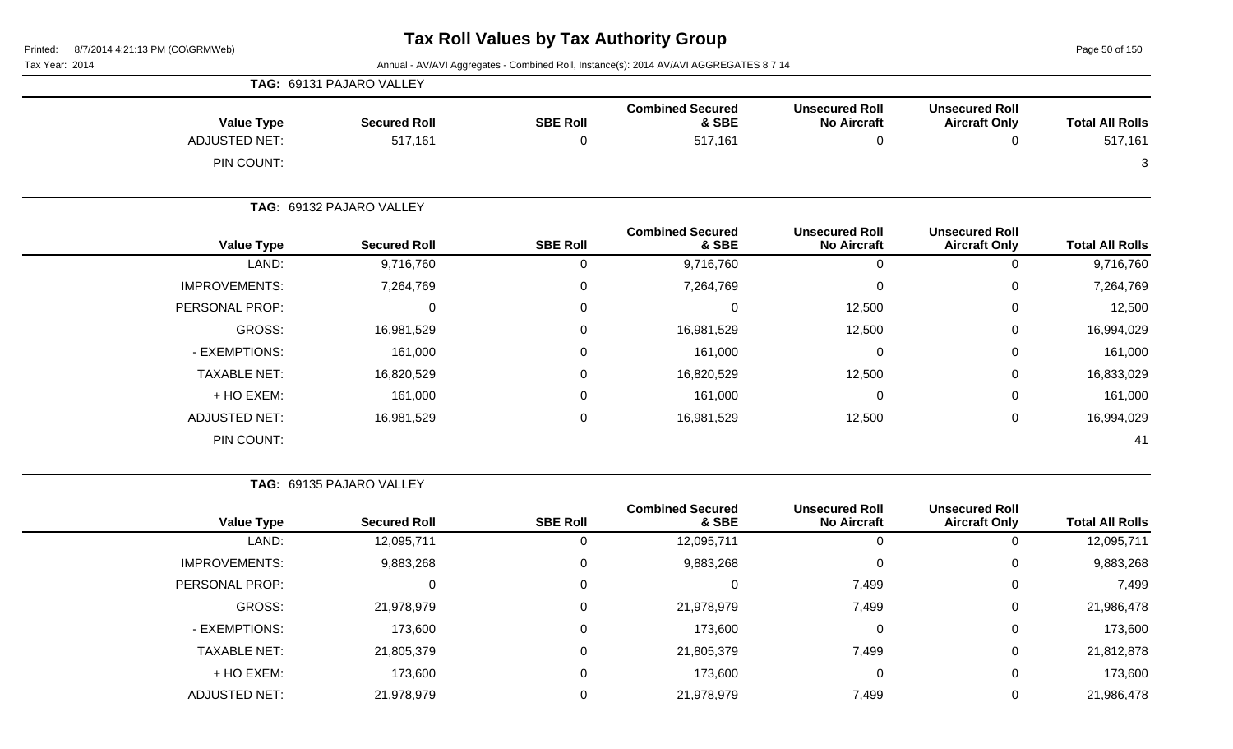Page 50 of 150

Tax Year: 2014 **Annual - AV/AVI Aggregates - Combined Roll**, Instance(s): 2014 AV/AVI AGGREGATES 8 7 14

|                      | <b>Value Type</b> | <b>Secured Roll</b>      | <b>SBE Roll</b> | <b>Combined Secured</b><br>& SBE | <b>Unsecured Roll</b><br><b>No Aircraft</b> | <b>Unsecured Roll</b><br><b>Aircraft Only</b> | <b>Total All Rolls</b> |
|----------------------|-------------------|--------------------------|-----------------|----------------------------------|---------------------------------------------|-----------------------------------------------|------------------------|
| <b>ADJUSTED NET:</b> |                   | 517,161                  | 0               | 517,161                          | 0                                           | 0                                             | 517,161                |
|                      | PIN COUNT:        |                          |                 |                                  |                                             |                                               | 3                      |
|                      |                   | TAG: 69132 PAJARO VALLEY |                 |                                  |                                             |                                               |                        |
|                      | <b>Value Type</b> | <b>Secured Roll</b>      | <b>SBE Roll</b> | <b>Combined Secured</b><br>& SBE | <b>Unsecured Roll</b><br><b>No Aircraft</b> | <b>Unsecured Roll</b><br><b>Aircraft Only</b> | <b>Total All Rolls</b> |
|                      | LAND:             | 9,716,760                | 0               | 9,716,760                        | 0                                           | 0                                             | 9,716,760              |
| <b>IMPROVEMENTS:</b> |                   | 7,264,769                | 0               | 7,264,769                        | $\mathbf 0$                                 | 0                                             | 7,264,769              |
| PERSONAL PROP:       |                   | 0                        | 0               | 0                                | 12,500                                      | 0                                             | 12,500                 |
|                      | GROSS:            | 16,981,529               | 0               | 16,981,529                       | 12,500                                      | 0                                             | 16,994,029             |
| - EXEMPTIONS:        |                   | 161,000                  | 0               | 161,000                          | 0                                           | 0                                             | 161,000                |
| <b>TAXABLE NET:</b>  |                   | 16,820,529               | 0               | 16,820,529                       | 12,500                                      | 0                                             | 16,833,029             |
|                      | + HO EXEM:        | 161,000                  | 0               | 161,000                          | $\mathbf 0$                                 | 0                                             | 161,000                |
| <b>ADJUSTED NET:</b> |                   | 16,981,529               | 0               | 16,981,529                       | 12,500                                      | 0                                             | 16,994,029             |
|                      | PIN COUNT:        |                          |                 |                                  |                                             |                                               | 41                     |

**TAG:** 69135 PAJARO VALLEY

**TAG:** 69131 PAJARO VALLEY

|                      |                     |                 | <b>Combined Secured</b> | <b>Unsecured Roll</b> | <b>Unsecured Roll</b> |                        |
|----------------------|---------------------|-----------------|-------------------------|-----------------------|-----------------------|------------------------|
| <b>Value Type</b>    | <b>Secured Roll</b> | <b>SBE Roll</b> | & SBE                   | <b>No Aircraft</b>    | <b>Aircraft Only</b>  | <b>Total All Rolls</b> |
| LAND:                | 12,095,711          | 0               | 12,095,711              |                       | 0                     | 12,095,711             |
| <b>IMPROVEMENTS:</b> | 9,883,268           | 0               | 9,883,268               |                       | 0                     | 9,883,268              |
| PERSONAL PROP:       |                     | 0               | 0                       | 7,499                 | $\mathbf 0$           | 7,499                  |
| GROSS:               | 21,978,979          | 0               | 21,978,979              | 7,499                 | 0                     | 21,986,478             |
| - EXEMPTIONS:        | 173,600             | 0               | 173,600                 | 0                     | $\mathbf 0$           | 173,600                |
| <b>TAXABLE NET:</b>  | 21,805,379          | $\mathbf 0$     | 21,805,379              | 7,499                 | 0                     | 21,812,878             |
| + HO EXEM:           | 173,600             | $\mathbf 0$     | 173,600                 | 0                     | 0                     | 173,600                |
| <b>ADJUSTED NET:</b> | 21,978,979          | 0               | 21,978,979              | 7,499                 | 0                     | 21,986,478             |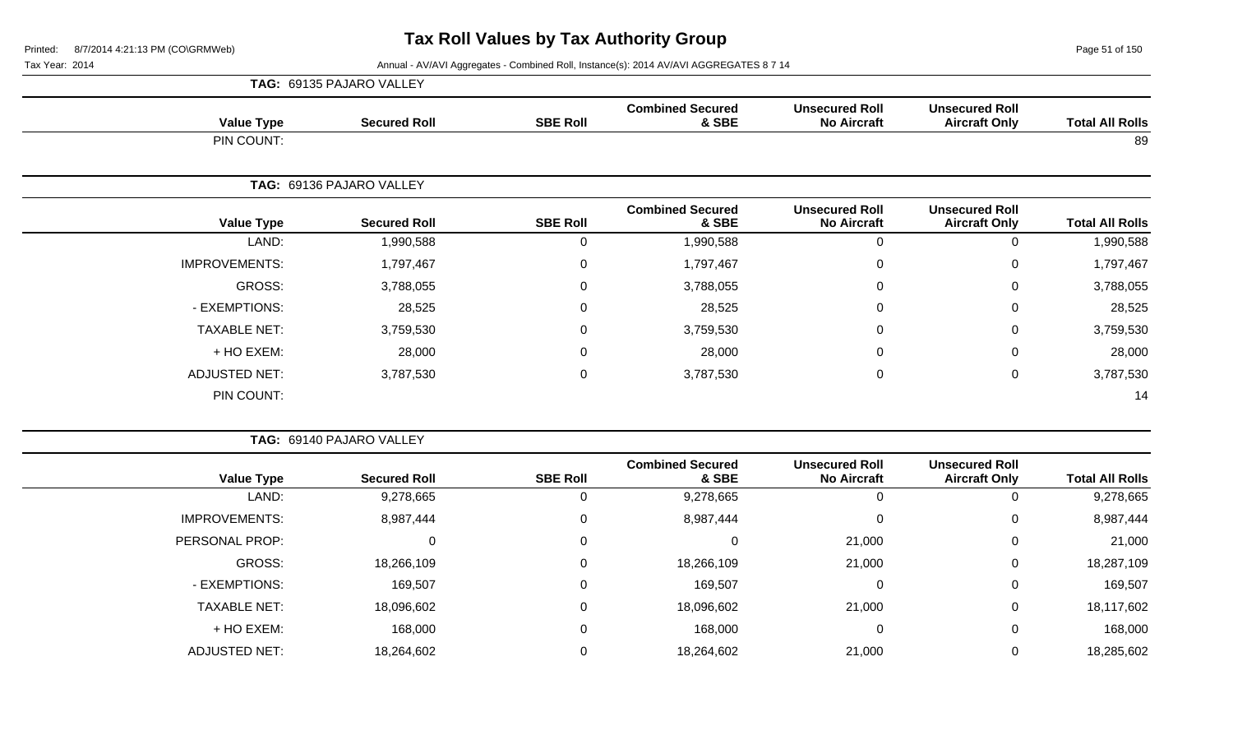Page 51 of 150

Tax Year: 2014 **Annual - AV/AVI Aggregates - Combined Roll, Instance(s): 2014 AV/AVI AGGREGATES 8 7 14** 

|                        |                                               |                                             |                                  |                 | TAG: 69135 PAJARO VALLEY |                      |
|------------------------|-----------------------------------------------|---------------------------------------------|----------------------------------|-----------------|--------------------------|----------------------|
| <b>Total All Rolls</b> | <b>Unsecured Roll</b><br><b>Aircraft Only</b> | <b>Unsecured Roll</b><br><b>No Aircraft</b> | <b>Combined Secured</b><br>& SBE | <b>SBE Roll</b> | <b>Secured Roll</b>      | <b>Value Type</b>    |
| 89                     |                                               |                                             |                                  |                 |                          | PIN COUNT:           |
|                        |                                               |                                             |                                  |                 | TAG: 69136 PAJARO VALLEY |                      |
| <b>Total All Rolls</b> | <b>Unsecured Roll</b><br><b>Aircraft Only</b> | <b>Unsecured Roll</b><br><b>No Aircraft</b> | <b>Combined Secured</b><br>& SBE | <b>SBE Roll</b> | <b>Secured Roll</b>      | <b>Value Type</b>    |
| 1,990,588              | $\pmb{0}$                                     | $\mathbf 0$                                 | 1,990,588                        | $\mathbf 0$     | 1,990,588                | LAND:                |
| 1,797,467              | $\pmb{0}$                                     | $\Omega$                                    | 1,797,467                        | $\mathsf 0$     | 1,797,467                | <b>IMPROVEMENTS:</b> |
| 3,788,055              | 0                                             | 0                                           | 3,788,055                        | $\pmb{0}$       | 3,788,055                | GROSS:               |
| 28,525                 | 0                                             | 0                                           | 28,525                           | 0               | 28,525                   | - EXEMPTIONS:        |
| 3,759,530              | 0                                             | 0                                           | 3,759,530                        | $\mathsf 0$     | 3,759,530                | <b>TAXABLE NET:</b>  |
| 28,000                 | 0                                             | $\Omega$                                    | 28,000                           | 0               | 28,000                   | + HO EXEM:           |
| 3,787,530              | $\mathbf 0$                                   | $\mathbf 0$                                 | 3,787,530                        | $\pmb{0}$       | 3,787,530                | <b>ADJUSTED NET:</b> |
| 14                     |                                               |                                             |                                  |                 |                          | PIN COUNT:           |
|                        |                                               |                                             |                                  |                 | TAG: 69140 PAJARO VALLEY |                      |
| <b>Total All Rolls</b> | <b>Unsecured Roll</b><br><b>Aircraft Only</b> | <b>Unsecured Roll</b><br><b>No Aircraft</b> | <b>Combined Secured</b><br>& SBE | <b>SBE Roll</b> | <b>Secured Roll</b>      | <b>Value Type</b>    |
| 9,278,665              | $\mathbf 0$                                   | $\mathbf{0}$                                | 9,278,665                        | $\mathbf 0$     | 9,278,665                | LAND:                |
| 8,987,444              | 0                                             | $\Omega$                                    | 8,987,444                        | $\mathbf 0$     | 8,987,444                | <b>IMPROVEMENTS:</b> |
| 21,000                 | $\mathbf 0$                                   | 21,000                                      | $\pmb{0}$                        | $\mathbf 0$     | $\pmb{0}$                | PERSONAL PROP:       |
| 18,287,109             | $\pmb{0}$                                     | 21,000                                      | 18,266,109                       | $\mathbf 0$     | 18,266,109               | GROSS:               |
| 169,507                | 0                                             | 0                                           | 169,507                          | 0               | 169,507                  | - EXEMPTIONS:        |

TAXABLE NET: 18,096,602 0 18,096,602 21,000 0 18,117,602 + HO EXEM: 168,000 0 168,000 0 0 168,000

ADJUSTED NET: 18,264,602 0 18,264,602 21,000 0 18,285,602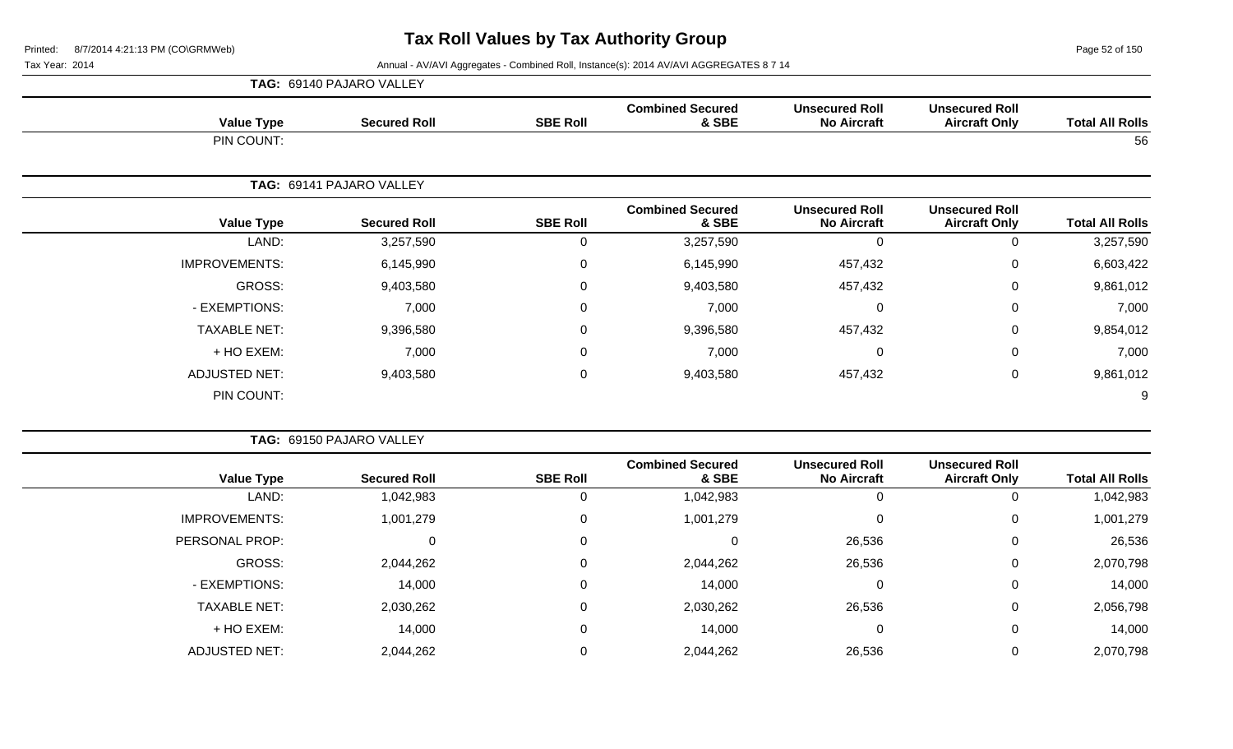Page 52 of 150

|                        |                                               |                                             |                                  |                  | TAG: 69140 PAJARO VALLEY |                      |
|------------------------|-----------------------------------------------|---------------------------------------------|----------------------------------|------------------|--------------------------|----------------------|
| <b>Total All Rolls</b> | <b>Unsecured Roll</b><br><b>Aircraft Only</b> | <b>Unsecured Roll</b><br><b>No Aircraft</b> | <b>Combined Secured</b><br>& SBE | <b>SBE Roll</b>  | <b>Secured Roll</b>      | <b>Value Type</b>    |
| 56                     |                                               |                                             |                                  |                  |                          | PIN COUNT:           |
|                        |                                               |                                             |                                  |                  | TAG: 69141 PAJARO VALLEY |                      |
| <b>Total All Rolls</b> | <b>Unsecured Roll</b><br><b>Aircraft Only</b> | <b>Unsecured Roll</b><br><b>No Aircraft</b> | <b>Combined Secured</b><br>& SBE | <b>SBE Roll</b>  | <b>Secured Roll</b>      | <b>Value Type</b>    |
| 3,257,590              | $\mathbf 0$                                   | 0                                           | 3,257,590                        | 0                | 3,257,590                | LAND:                |
| 6,603,422              | $\mathbf 0$                                   | 457,432                                     | 6,145,990                        | $\boldsymbol{0}$ | 6,145,990                | <b>IMPROVEMENTS:</b> |
| 9,861,012              | 0                                             | 457,432                                     | 9,403,580                        | $\mathbf 0$      | 9,403,580                | GROSS:               |
| 7,000                  | $\mathbf 0$                                   | 0                                           | 7,000                            | $\mathbf 0$      | 7,000                    | - EXEMPTIONS:        |
| 9,854,012              | $\mathbf 0$                                   | 457,432                                     | 9,396,580                        | $\pmb{0}$        | 9,396,580                | <b>TAXABLE NET:</b>  |
| 7,000                  | 0                                             | 0                                           | 7,000                            | $\mathbf 0$      | 7,000                    | + HO EXEM:           |
| 9,861,012              | $\mathbf 0$                                   | 457,432                                     | 9,403,580                        | $\mathbf 0$      | 9,403,580                | <b>ADJUSTED NET:</b> |
| 9                      |                                               |                                             |                                  |                  |                          | PIN COUNT:           |
|                        |                                               |                                             |                                  |                  | TAG: 69150 PAJARO VALLEY |                      |

| <b>Value Type</b>    | <b>Secured Roll</b> | <b>SBE Roll</b> | <b>Combined Secured</b><br>& SBE | <b>Unsecured Roll</b><br><b>No Aircraft</b> | <b>Unsecured Roll</b><br><b>Aircraft Only</b> | <b>Total All Rolls</b> |
|----------------------|---------------------|-----------------|----------------------------------|---------------------------------------------|-----------------------------------------------|------------------------|
| LAND:                | 1,042,983           | O               | 1,042,983                        | 0                                           |                                               | 1,042,983              |
| <b>IMPROVEMENTS:</b> | 1,001,279           | 0               | 1,001,279                        | 0                                           | 0                                             | 1,001,279              |
| PERSONAL PROP:       | 0                   | 0               | υ                                | 26,536                                      | 0                                             | 26,536                 |
| GROSS:               | 2,044,262           | 0               | 2,044,262                        | 26,536                                      | 0                                             | 2,070,798              |
| - EXEMPTIONS:        | 14,000              | 0               | 14,000                           | 0                                           | 0                                             | 14,000                 |
| <b>TAXABLE NET:</b>  | 2,030,262           | $\Omega$        | 2,030,262                        | 26,536                                      | 0                                             | 2,056,798              |
| + HO EXEM:           | 14,000              | $\Omega$        | 14,000                           | 0                                           | 0                                             | 14,000                 |
| <b>ADJUSTED NET:</b> | 2,044,262           | 0               | 2,044,262                        | 26,536                                      | 0                                             | 2,070,798              |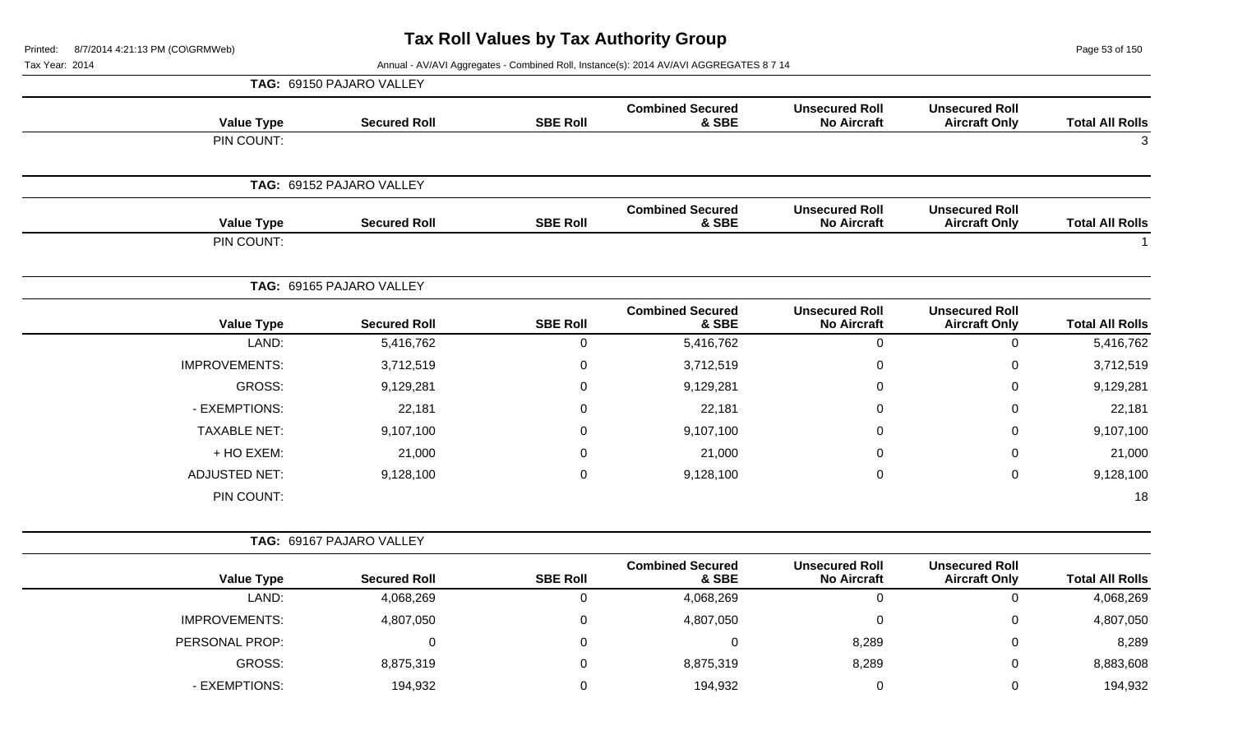Page 53 of 150

|                      | TAG: 69150 PAJARO VALLEY |                     |                                  |                                             |                                               |                        |
|----------------------|--------------------------|---------------------|----------------------------------|---------------------------------------------|-----------------------------------------------|------------------------|
| <b>Value Type</b>    | <b>Secured Roll</b>      | <b>SBE Roll</b>     | <b>Combined Secured</b><br>& SBE | <b>Unsecured Roll</b><br><b>No Aircraft</b> | <b>Unsecured Roll</b><br><b>Aircraft Only</b> | <b>Total All Rolls</b> |
| PIN COUNT:           |                          |                     |                                  |                                             |                                               | $\mathbf{3}$           |
|                      | TAG: 69152 PAJARO VALLEY |                     |                                  |                                             |                                               |                        |
| <b>Value Type</b>    | <b>Secured Roll</b>      | <b>SBE Roll</b>     | <b>Combined Secured</b><br>& SBE | <b>Unsecured Roll</b><br><b>No Aircraft</b> | <b>Unsecured Roll</b><br><b>Aircraft Only</b> | <b>Total All Rolls</b> |
| PIN COUNT:           |                          |                     |                                  |                                             |                                               | $\mathbf{1}$           |
|                      | TAG: 69165 PAJARO VALLEY |                     |                                  |                                             |                                               |                        |
| <b>Value Type</b>    | <b>Secured Roll</b>      | <b>SBE Roll</b>     | <b>Combined Secured</b><br>& SBE | <b>Unsecured Roll</b><br><b>No Aircraft</b> | <b>Unsecured Roll</b><br><b>Aircraft Only</b> | <b>Total All Rolls</b> |
| LAND:                | 5,416,762                | $\mathsf{O}\xspace$ | 5,416,762                        | $\mathbf 0$                                 | $\pmb{0}$                                     | 5,416,762              |
| <b>IMPROVEMENTS:</b> | 3,712,519                | $\mathbf 0$         | 3,712,519                        | $\Omega$                                    | $\mathbf 0$                                   | 3,712,519              |
| <b>GROSS:</b>        | 9,129,281                | 0                   | 9,129,281                        | 0                                           | 0                                             | 9,129,281              |
| - EXEMPTIONS:        | 22,181                   | $\boldsymbol{0}$    | 22,181                           | $\Omega$                                    | $\overline{0}$                                | 22,181                 |
| <b>TAXABLE NET:</b>  | 9,107,100                | 0                   | 9,107,100                        | $\Omega$                                    | 0                                             | 9,107,100              |
| + HO EXEM:           | 21,000                   | $\pmb{0}$           | 21,000                           | $\Omega$                                    | $\Omega$                                      | 21,000                 |
| <b>ADJUSTED NET:</b> | 9,128,100                | $\boldsymbol{0}$    | 9,128,100                        | 0                                           | $\mathbf 0$                                   | 9,128,100              |
| PIN COUNT:           |                          |                     |                                  |                                             |                                               | 18                     |
|                      | TAG: 69167 PAJARO VALLEY |                     |                                  |                                             |                                               |                        |
| <b>Value Type</b>    | <b>Secured Roll</b>      | <b>SBE Roll</b>     | <b>Combined Secured</b><br>& SBE | <b>Unsecured Roll</b><br><b>No Aircraft</b> | <b>Unsecured Roll</b><br><b>Aircraft Only</b> | <b>Total All Rolls</b> |
| LAND:                | 4,068,269                | $\boldsymbol{0}$    | 4,068,269                        | $\mathbf 0$                                 | $\pmb{0}$                                     | 4,068,269              |
| <b>IMPROVEMENTS:</b> | 4,807,050                | $\pmb{0}$           | 4,807,050                        | $\mathbf 0$                                 | $\mathbf 0$                                   | 4,807,050              |
| PERSONAL PROP:       | $\pmb{0}$                | $\overline{0}$      | $\mathbf 0$                      | 8,289                                       | $\overline{0}$                                | 8,289                  |
| GROSS:               | 8,875,319                | 0                   | 8,875,319                        | 8,289                                       | $\Omega$                                      | 8,883,608              |
| - EXEMPTIONS:        | 194,932                  | $\mathbf 0$         | 194,932                          | $\mathbf 0$                                 | $\mathbf 0$                                   | 194,932                |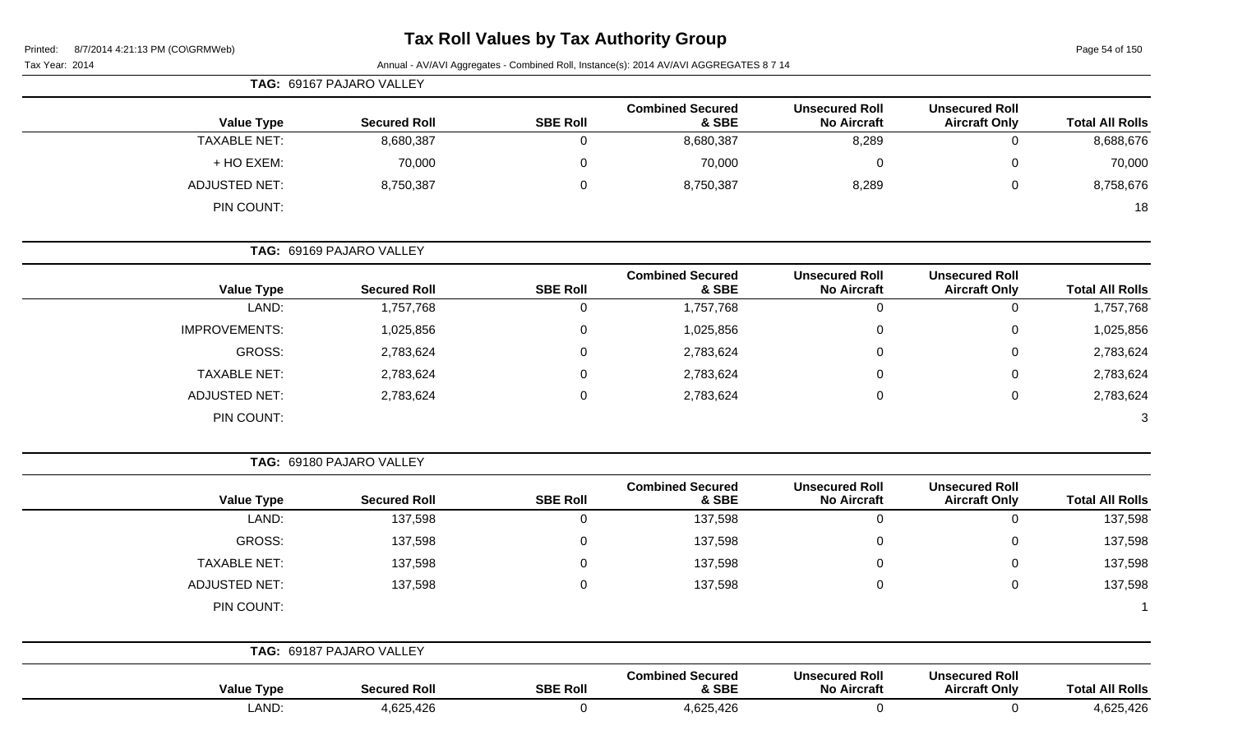Page 54 of 150

Tax Year: 2014 **Annual - AV/AVI Aggregates - Combined Roll**, Instance(s): 2014 AV/AVI AGGREGATES 8 7 14

|                      | <b>TAG: 69167 PAJARO VALLEY</b> |                 |                                  |                                             |                                               |                        |
|----------------------|---------------------------------|-----------------|----------------------------------|---------------------------------------------|-----------------------------------------------|------------------------|
| <b>Value Type</b>    | <b>Secured Roll</b>             | <b>SBE Roll</b> | <b>Combined Secured</b><br>& SBE | <b>Unsecured Roll</b><br><b>No Aircraft</b> | <b>Unsecured Roll</b><br><b>Aircraft Only</b> | <b>Total All Rolls</b> |
| <b>TAXABLE NET:</b>  | 8,680,387                       | 0               | 8,680,387                        | 8,289                                       | 0                                             | 8,688,676              |
| + HO EXEM:           | 70,000                          | $\mathbf 0$     | 70,000                           | 0                                           | 0                                             | 70,000                 |
| <b>ADJUSTED NET:</b> | 8,750,387                       | 0               | 8,750,387                        | 8,289                                       | 0                                             | 8,758,676              |
| PIN COUNT:           |                                 |                 |                                  |                                             |                                               | 18                     |
|                      | TAG: 69169 PAJARO VALLEY        |                 |                                  |                                             |                                               |                        |
| <b>Value Type</b>    | <b>Secured Roll</b>             | <b>SBE Roll</b> | <b>Combined Secured</b><br>& SBE | <b>Unsecured Roll</b><br><b>No Aircraft</b> | <b>Unsecured Roll</b><br><b>Aircraft Only</b> | <b>Total All Rolls</b> |

| <b>Value Type</b>    | <b>Secured Roll</b> | <b>SBE Roll</b> | & SBE     | <b>No Aircraft</b> | <b>Aircraft Only</b> | <b>Total All Rolls</b> |
|----------------------|---------------------|-----------------|-----------|--------------------|----------------------|------------------------|
| LAND:                | 1,757,768           | <b>U</b>        | 1,757,768 | 0                  | 0                    | 1,757,768              |
| <b>IMPROVEMENTS:</b> | 1,025,856           | υ               | 1,025,856 | 0                  | $\mathbf{0}$         | 1,025,856              |
| GROSS:               | 2,783,624           | υ               | 2,783,624 | 0                  | 0                    | 2,783,624              |
| <b>TAXABLE NET:</b>  | 2,783,624           | υ               | 2,783,624 | 0                  | 0                    | 2,783,624              |
| <b>ADJUSTED NET:</b> | 2,783,624           | U               | 2,783,624 | 0                  | 0                    | 2,783,624              |
| PIN COUNT:           |                     |                 |           |                    |                      |                        |

**TAG:** 69180 PAJARO VALLEY

| <b>Value Type</b>    | <b>Secured Roll</b>      | <b>SBE Roll</b> | <b>Combined Secured</b><br>& SBE | <b>Unsecured Roll</b><br><b>No Aircraft</b> | <b>Unsecured Roll</b><br><b>Aircraft Only</b> | <b>Total All Rolls</b> |
|----------------------|--------------------------|-----------------|----------------------------------|---------------------------------------------|-----------------------------------------------|------------------------|
| LAND:                | 137,598                  | U               | 137,598                          | 0                                           |                                               | 137,598                |
| GROSS:               | 137,598                  | 0               | 137,598                          | 0                                           | 0                                             | 137,598                |
| <b>TAXABLE NET:</b>  | 137,598                  | 0               | 137,598                          | 0                                           | 0                                             | 137,598                |
| <b>ADJUSTED NET:</b> | 137,598                  | 0               | 137,598                          | 0                                           | 0                                             | 137,598                |
| PIN COUNT:           |                          |                 |                                  |                                             |                                               |                        |
|                      |                          |                 |                                  |                                             |                                               |                        |
|                      | TAG: 69187 PAJARO VALLEY |                 |                                  |                                             |                                               |                        |

| <b>Value Type</b> | <b>Secured Roll</b> | <b>SBE Roll</b> | <b>Combined Secured</b><br>& SBE | <b>Unsecured Roll</b><br><b>No Aircraft</b> | <b>Unsecured Roll</b><br><b>Aircraft Only</b> | <b>Total All Rolls</b> |
|-------------------|---------------------|-----------------|----------------------------------|---------------------------------------------|-----------------------------------------------|------------------------|
| LAND:             | 4,625,426           |                 | 4,625,426                        |                                             |                                               | 4,625,426              |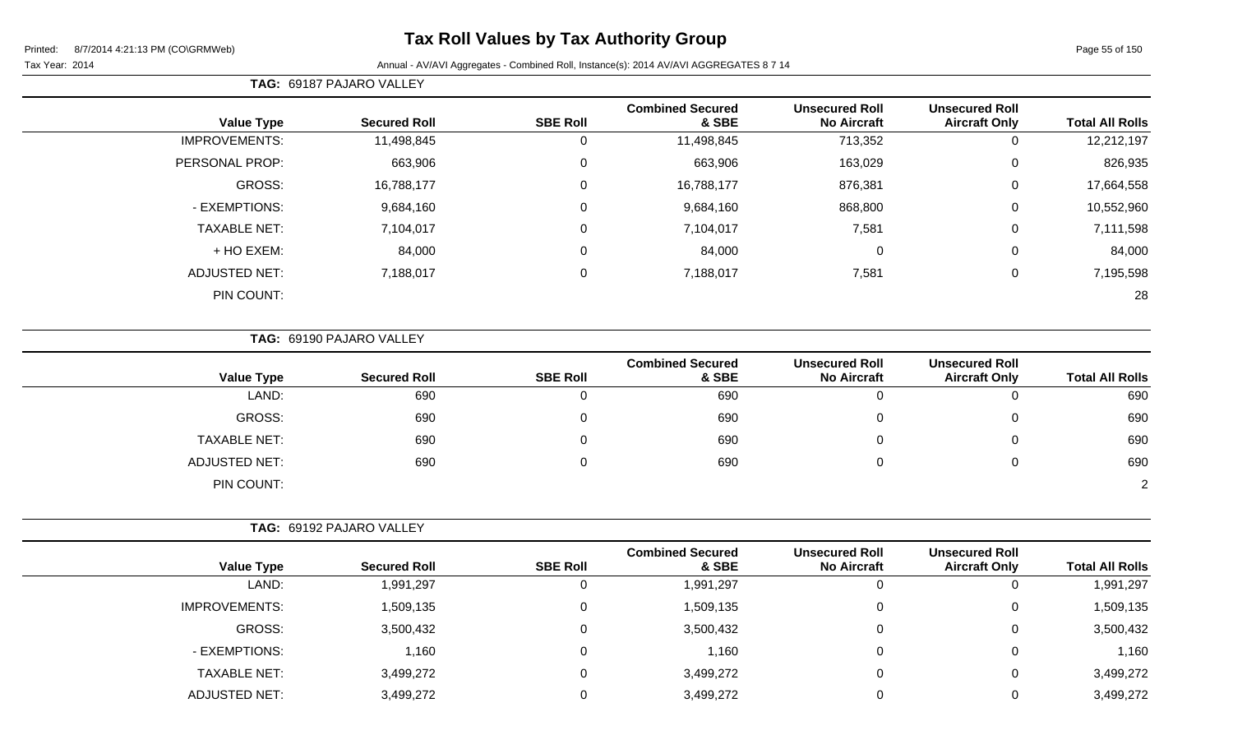#### Tax Year: 2014 **Annual - AV/AVI Aggregates - Combined Roll**, Instance(s): 2014 AV/AVI AGGREGATES 8 7 14

**TAG:** 69187 PAJARO VALLEY

| <b>Total All Rolls</b> | <b>Unsecured Roll</b><br><b>Aircraft Only</b> | <b>Unsecured Roll</b><br><b>No Aircraft</b> | <b>Combined Secured</b><br>& SBE | <b>SBE Roll</b> | <b>Secured Roll</b> |                      |
|------------------------|-----------------------------------------------|---------------------------------------------|----------------------------------|-----------------|---------------------|----------------------|
|                        |                                               |                                             |                                  |                 |                     | <b>Value Type</b>    |
| 12,212,197             | 0                                             | 713,352                                     | 11,498,845                       |                 | 11,498,845          | <b>IMPROVEMENTS:</b> |
| 826,935                | 0                                             | 163,029                                     | 663,906                          | 0               | 663,906             | PERSONAL PROP:       |
| 17,664,558             | 0                                             | 876,381                                     | 16,788,177                       | 0               | 16,788,177          | GROSS:               |
| 10,552,960             | 0                                             | 868,800                                     | 9,684,160                        | $\mathbf{0}$    | 9,684,160           | - EXEMPTIONS:        |
| 7,111,598              | 0                                             | 7,581                                       | 7,104,017                        | $\mathbf{0}$    | 7,104,017           | <b>TAXABLE NET:</b>  |
| 84,000                 | 0                                             | $\mathbf 0$                                 | 84,000                           | $\Omega$        | 84,000              | + HO EXEM:           |
| 7,195,598              | 0                                             | 7,581                                       | 7,188,017                        | 0               | 7,188,017           | <b>ADJUSTED NET:</b> |
| 28                     |                                               |                                             |                                  |                 |                     | PIN COUNT:           |
|                        |                                               |                                             |                                  |                 |                     |                      |

**TAG:** 69190 PAJARO VALLEY

| <b>Value Type</b>    | <b>Secured Roll</b> | <b>SBE Roll</b> | <b>Combined Secured</b><br>& SBE | <b>Unsecured Roll</b><br><b>No Aircraft</b> | <b>Unsecured Roll</b><br><b>Aircraft Only</b> | <b>Total All Rolls</b> |
|----------------------|---------------------|-----------------|----------------------------------|---------------------------------------------|-----------------------------------------------|------------------------|
| LAND:                | 690                 | 0               | 690                              |                                             | 0                                             | 690                    |
| GROSS:               | 690                 | 0               | 690                              |                                             | 0                                             | 690                    |
| <b>TAXABLE NET:</b>  | 690                 | 0               | 690                              |                                             | 0                                             | 690                    |
| <b>ADJUSTED NET:</b> | 690                 | 0               | 690                              |                                             | 0                                             | 690                    |
| PIN COUNT:           |                     |                 |                                  |                                             |                                               | $\Omega$               |

| TAG: 69192 PAJARO VALLEY |                     |                 |                                  |                                             |                                               |                        |
|--------------------------|---------------------|-----------------|----------------------------------|---------------------------------------------|-----------------------------------------------|------------------------|
| <b>Value Type</b>        | <b>Secured Roll</b> | <b>SBE Roll</b> | <b>Combined Secured</b><br>& SBE | <b>Unsecured Roll</b><br><b>No Aircraft</b> | <b>Unsecured Roll</b><br><b>Aircraft Only</b> | <b>Total All Rolls</b> |
| LAND:                    | 1,991,297           | υ               | 1,991,297                        | 0                                           |                                               | 1,991,297              |
| <b>IMPROVEMENTS:</b>     | 1,509,135           | 0               | 1,509,135                        | 0                                           | 0                                             | 1,509,135              |
| GROSS:                   | 3,500,432           | 0               | 3,500,432                        | 0                                           | 0                                             | 3,500,432              |
| - EXEMPTIONS:            | 1,160               |                 | 1,160                            | $\Omega$                                    | 0                                             | 1,160                  |
| <b>TAXABLE NET:</b>      | 3,499,272           | 0               | 3,499,272                        | $\mathbf 0$                                 | 0                                             | 3,499,272              |
| <b>ADJUSTED NET:</b>     | 3,499,272           |                 | 3,499,272                        |                                             | 0                                             | 3,499,272              |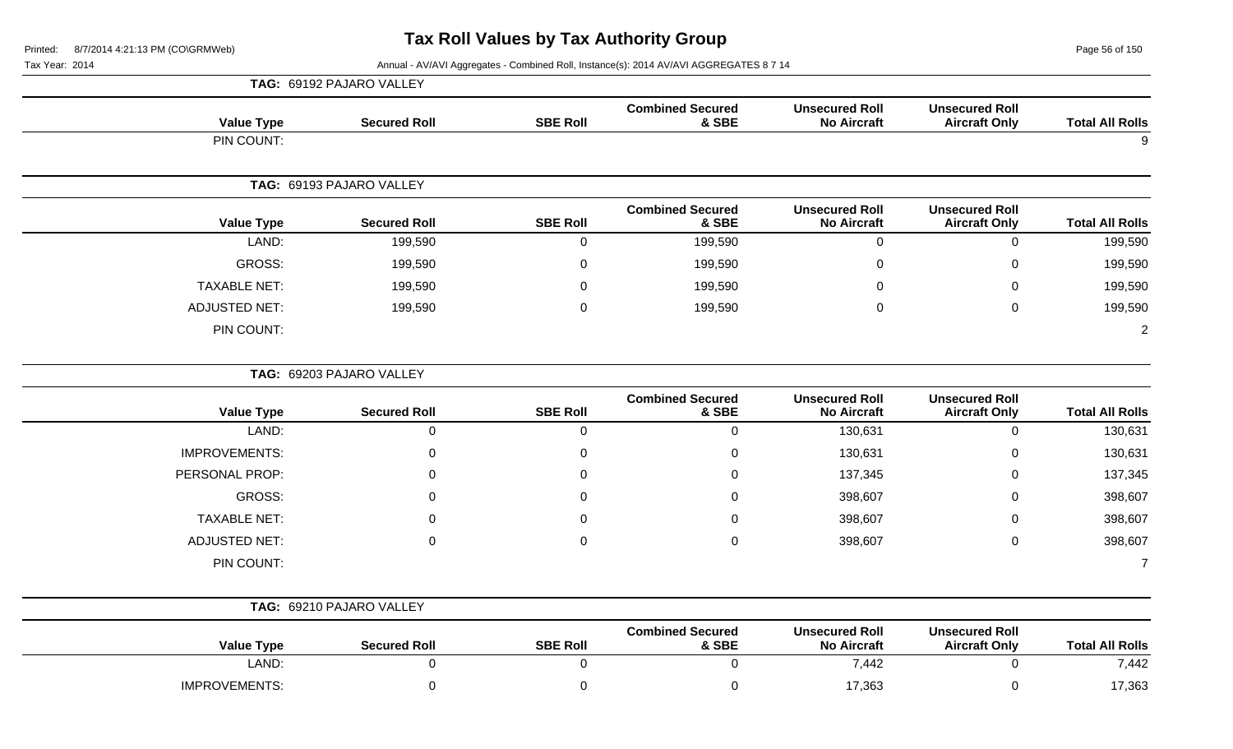Page 56 of 150

|                        |                                               |                                             |                                  |                  | TAG: 69192 PAJARO VALLEY |                      |
|------------------------|-----------------------------------------------|---------------------------------------------|----------------------------------|------------------|--------------------------|----------------------|
| <b>Total All Rolls</b> | <b>Unsecured Roll</b><br><b>Aircraft Only</b> | <b>Unsecured Roll</b><br><b>No Aircraft</b> | <b>Combined Secured</b><br>& SBE | <b>SBE Roll</b>  | <b>Secured Roll</b>      | <b>Value Type</b>    |
| 9                      |                                               |                                             |                                  |                  |                          | PIN COUNT:           |
|                        |                                               |                                             |                                  |                  | TAG: 69193 PAJARO VALLEY |                      |
| <b>Total All Rolls</b> | <b>Unsecured Roll</b><br><b>Aircraft Only</b> | <b>Unsecured Roll</b><br><b>No Aircraft</b> | <b>Combined Secured</b><br>& SBE | <b>SBE Roll</b>  | <b>Secured Roll</b>      | <b>Value Type</b>    |
| 199,590                | $\mathbf 0$                                   | $\mathbf 0$                                 | 199,590                          | $\boldsymbol{0}$ | 199,590                  | LAND:                |
| 199,590                | $\mathbf 0$                                   | $\boldsymbol{0}$                            | 199,590                          | $\pmb{0}$        | 199,590                  | <b>GROSS:</b>        |
| 199,590                | 0                                             | 0                                           | 199,590                          | 0                | 199,590                  | <b>TAXABLE NET:</b>  |
| 199,590                | $\mathbf 0$                                   | $\mathbf 0$                                 | 199,590                          | 0                | 199,590                  | <b>ADJUSTED NET:</b> |
| $\overline{2}$         |                                               |                                             |                                  |                  |                          | PIN COUNT:           |
|                        | TAG: 69203 PAJARO VALLEY                      |                                             |                                  |                  |                          |                      |
| <b>Total All Rolls</b> | <b>Unsecured Roll</b><br><b>Aircraft Only</b> | <b>Unsecured Roll</b><br><b>No Aircraft</b> | <b>Combined Secured</b><br>& SBE | <b>SBE Roll</b>  | <b>Secured Roll</b>      | <b>Value Type</b>    |
| 130,631                | $\mathbf 0$                                   | 130,631                                     | 0                                | $\mathbf 0$      | $\mathbf 0$              | LAND:                |
| 130,631                | 0                                             | 130,631                                     | 0                                | $\mathsf 0$      | $\Omega$                 | <b>IMPROVEMENTS:</b> |
| 137,345                | $\mathbf 0$                                   | 137,345                                     | 0                                | 0                | $\Omega$                 | PERSONAL PROP:       |
| 398,607                | 0                                             | 398,607                                     | 0                                | 0                | $\Omega$                 | GROSS:               |
| 398,607                | 0                                             | 398,607                                     | 0                                | 0                | ∩                        | <b>TAXABLE NET:</b>  |
| 398,607                | $\mathbf 0$                                   | 398,607                                     | $\mathbf 0$                      | $\mathbf 0$      | 0                        | <b>ADJUSTED NET:</b> |
| $\overline{7}$         |                                               |                                             |                                  |                  |                          | PIN COUNT:           |
|                        |                                               |                                             |                                  |                  | TAG: 69210 PAJARO VALLEY |                      |
| <b>Total All Rolls</b> | <b>Unsecured Roll</b><br><b>Aircraft Only</b> | <b>Unsecured Roll</b><br><b>No Aircraft</b> | <b>Combined Secured</b><br>& SBE | <b>SBE Roll</b>  | <b>Secured Roll</b>      | <b>Value Type</b>    |
| 7,442                  | $\mathbf 0$                                   | 7,442                                       | 0                                | $\mathbf 0$      | $\boldsymbol{0}$         | LAND:                |
| 17,363                 | $\mathbf 0$                                   | 17,363                                      | 0                                | 0                | $\mathbf 0$              | <b>IMPROVEMENTS:</b> |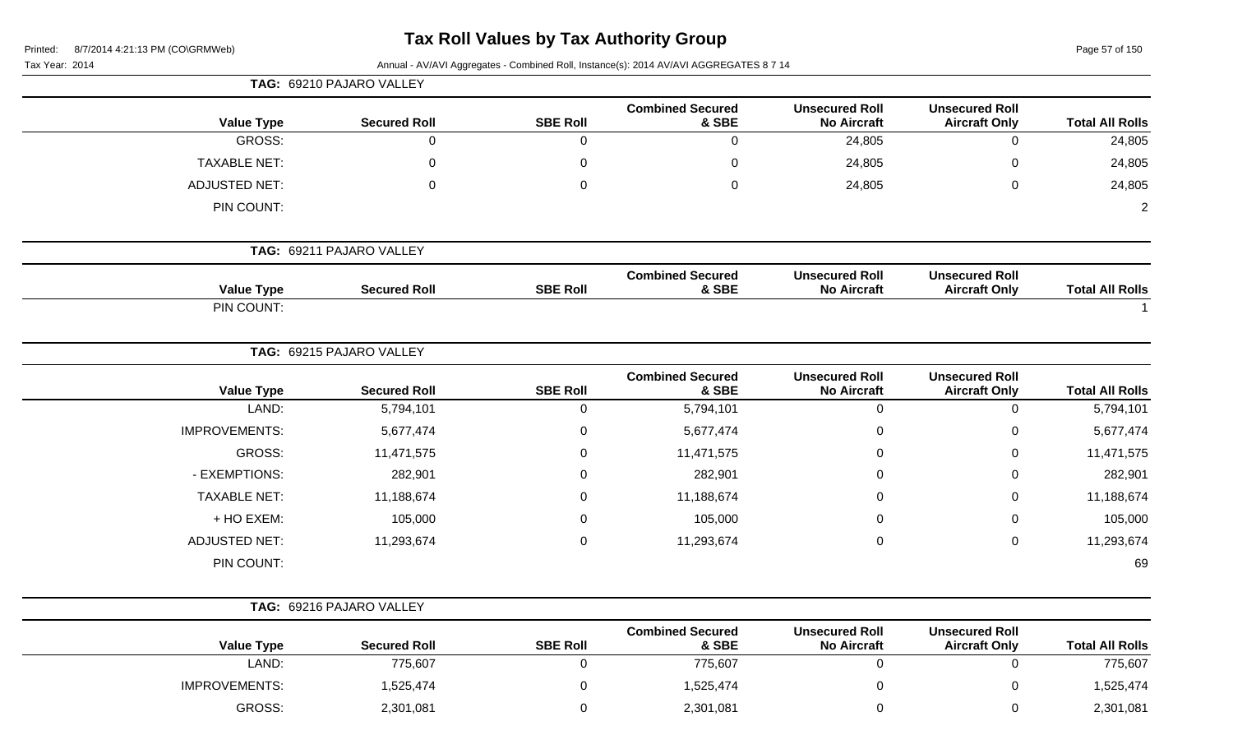Page 57 of 150

|  |  | Tax Year: 2014 |  |
|--|--|----------------|--|
|--|--|----------------|--|

|                      | TAG: 69210 PAJARO VALLEY |                 |                                  |                                             |                                               |                        |
|----------------------|--------------------------|-----------------|----------------------------------|---------------------------------------------|-----------------------------------------------|------------------------|
| <b>Value Type</b>    | <b>Secured Roll</b>      | <b>SBE Roll</b> | <b>Combined Secured</b><br>& SBE | <b>Unsecured Roll</b><br><b>No Aircraft</b> | <b>Unsecured Roll</b><br><b>Aircraft Only</b> | <b>Total All Rolls</b> |
| GROSS:               | $\mathsf{O}\xspace$      | $\mathbf 0$     | $\mathbf 0$                      | 24,805                                      | $\pmb{0}$                                     | 24,805                 |
| <b>TAXABLE NET:</b>  | 0                        | 0               | $\mathbf 0$                      | 24,805                                      | $\mathbf 0$                                   | 24,805                 |
| <b>ADJUSTED NET:</b> | $\mathbf 0$              | $\mathbf 0$     | $\pmb{0}$                        | 24,805                                      | $\pmb{0}$                                     | 24,805                 |
| PIN COUNT:           |                          |                 |                                  |                                             |                                               | $\overline{2}$         |
|                      | TAG: 69211 PAJARO VALLEY |                 |                                  |                                             |                                               |                        |
| <b>Value Type</b>    | <b>Secured Roll</b>      | <b>SBE Roll</b> | <b>Combined Secured</b><br>& SBE | <b>Unsecured Roll</b><br><b>No Aircraft</b> | <b>Unsecured Roll</b><br><b>Aircraft Only</b> | <b>Total All Rolls</b> |
| PIN COUNT:           |                          |                 |                                  |                                             |                                               |                        |
|                      | TAG: 69215 PAJARO VALLEY |                 |                                  |                                             |                                               |                        |
| <b>Value Type</b>    | <b>Secured Roll</b>      | <b>SBE Roll</b> | <b>Combined Secured</b><br>& SBE | <b>Unsecured Roll</b><br><b>No Aircraft</b> | <b>Unsecured Roll</b><br><b>Aircraft Only</b> | <b>Total All Rolls</b> |
| LAND:                | 5,794,101                | $\mathbf 0$     | 5,794,101                        | $\mathbf 0$                                 | $\mathbf 0$                                   | 5,794,101              |
| <b>IMPROVEMENTS:</b> | 5,677,474                | $\mathbf 0$     | 5,677,474                        | $\mathbf 0$                                 | $\mathbf 0$                                   | 5,677,474              |
| GROSS:               | 11,471,575               | 0               | 11,471,575                       | $\Omega$                                    | 0                                             | 11,471,575             |
| - EXEMPTIONS:        | 282,901                  | 0               | 282,901                          | $\Omega$                                    | 0                                             | 282,901                |
| <b>TAXABLE NET:</b>  | 11,188,674               | $\mathbf 0$     | 11,188,674                       | $\mathbf 0$                                 | $\mathbf 0$                                   | 11,188,674             |
| + HO EXEM:           | 105,000                  | 0               | 105,000                          | 0                                           | $\mathbf 0$                                   | 105,000                |
| <b>ADJUSTED NET:</b> | 11,293,674               | $\mathbf 0$     | 11,293,674                       | $\pmb{0}$                                   | $\mathsf 0$                                   | 11,293,674             |
| PIN COUNT:           |                          |                 |                                  |                                             |                                               | 69                     |
|                      | TAG: 69216 PAJARO VALLEY |                 |                                  |                                             |                                               |                        |
| <b>Value Type</b>    | <b>Secured Roll</b>      | <b>SBE Roll</b> | <b>Combined Secured</b><br>& SBE | <b>Unsecured Roll</b><br><b>No Aircraft</b> | <b>Unsecured Roll</b><br><b>Aircraft Only</b> | <b>Total All Rolls</b> |

| TOTAL AIL ROIIS | Aircraft Univ | <b>NO AIRCRITE</b> | $\alpha$ ode | SBE ROIL | <b>Secured Roll</b> | value Type           |
|-----------------|---------------|--------------------|--------------|----------|---------------------|----------------------|
| 775,607         |               |                    | 775,607      |          | 775,607             | LAND:                |
| ,525,474        |               |                    | 525,474,     |          | ,525,474            | <b>IMPROVEMENTS:</b> |
| 2,301,081       |               |                    | 2,301,081    |          | 2,301,081           | <b>GROSS:</b>        |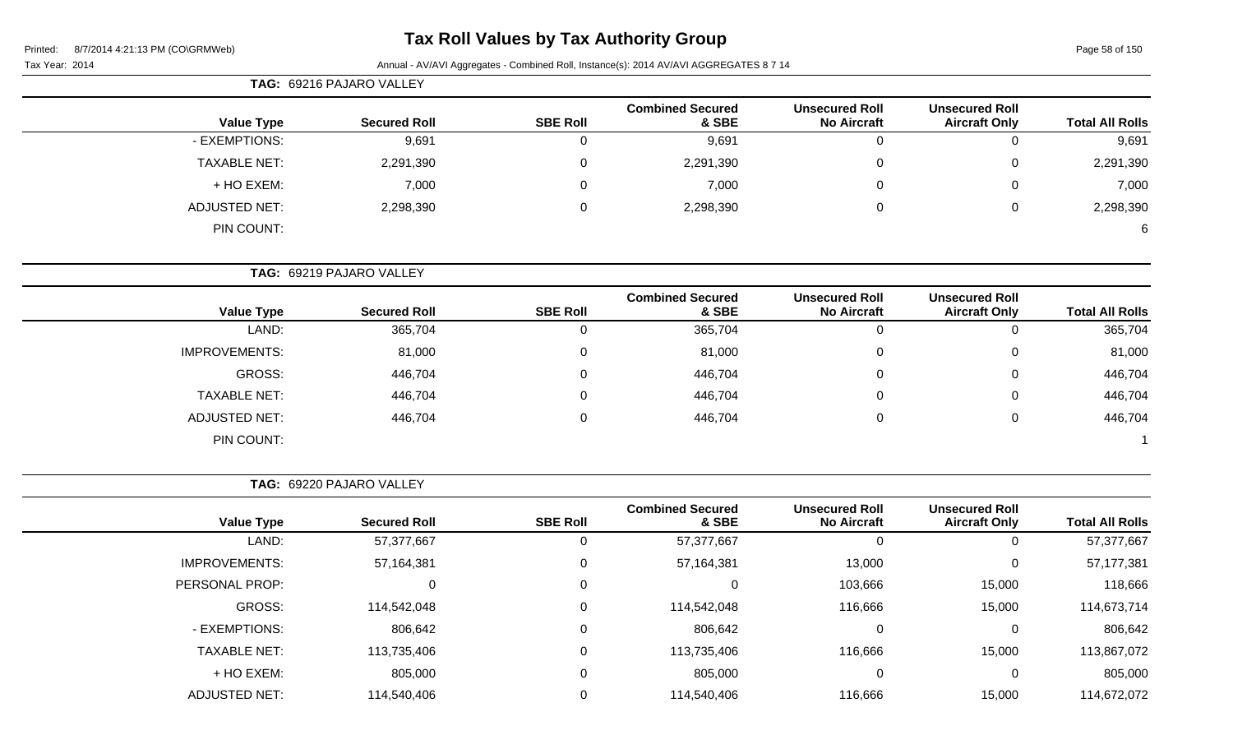Page 58 of 150

Tax Year: 2014 **Annual - AV/AVI Aggregates - Combined Roll**, Instance(s): 2014 AV/AVI AGGREGATES 8 7 14

| <b>Total All Rolls</b> | <b>Unsecured Roll</b><br><b>Aircraft Only</b> | <b>Unsecured Roll</b><br><b>No Aircraft</b> | <b>Combined Secured</b><br>& SBE | <b>SBE Roll</b> | <b>Secured Roll</b> | <b>Value Type</b>    |  |
|------------------------|-----------------------------------------------|---------------------------------------------|----------------------------------|-----------------|---------------------|----------------------|--|
| 9,691                  | 0                                             |                                             | 9,691                            | O               | 9,691               | - EXEMPTIONS:        |  |
| 2,291,390              | 0                                             | $\overline{0}$                              | 2,291,390                        | 0               | 2,291,390           | <b>TAXABLE NET:</b>  |  |
| 7,000                  | 0                                             | 0                                           | 7,000                            | 0               | 7,000               | + HO EXEM:           |  |
| 2,298,390              | 0                                             | 0                                           | 2,298,390                        | 0               | 2,298,390           | <b>ADJUSTED NET:</b> |  |
| 6                      |                                               |                                             |                                  |                 |                     | PIN COUNT:           |  |

**TAG:** 69219 PAJARO VALLEY

|                      |                     |                 | <b>Combined Secured</b> | <b>Unsecured Roll</b> | <b>Unsecured Roll</b> |                        |
|----------------------|---------------------|-----------------|-------------------------|-----------------------|-----------------------|------------------------|
| <b>Value Type</b>    | <b>Secured Roll</b> | <b>SBE Roll</b> | & SBE                   | <b>No Aircraft</b>    | <b>Aircraft Only</b>  | <b>Total All Rolls</b> |
| LAND:                | 365,704             |                 | 365,704                 |                       |                       | 365,704                |
| <b>IMPROVEMENTS:</b> | 81,000              |                 | 81,000                  | C                     | 0                     | 81,000                 |
| <b>GROSS:</b>        | 446,704             |                 | 446,704                 | 0                     |                       | 446,704                |
| <b>TAXABLE NET:</b>  | 446,704             |                 | 446,704                 | C                     | 0                     | 446,704                |
| <b>ADJUSTED NET:</b> | 446,704             |                 | 446,704                 | 0                     | 0                     | 446,704                |
| PIN COUNT:           |                     |                 |                         |                       |                       |                        |

**TAG:** 69220 PAJARO VALLEY

|                      |                     |                 | <b>Combined Secured</b> | <b>Unsecured Roll</b> | <b>Unsecured Roll</b> |                        |
|----------------------|---------------------|-----------------|-------------------------|-----------------------|-----------------------|------------------------|
| <b>Value Type</b>    | <b>Secured Roll</b> | <b>SBE Roll</b> | & SBE                   | <b>No Aircraft</b>    | <b>Aircraft Only</b>  | <b>Total All Rolls</b> |
| LAND:                | 57,377,667          |                 | 57,377,667              | 0                     |                       | 57,377,667             |
| <b>IMPROVEMENTS:</b> | 57,164,381          |                 | 57,164,381              | 13,000                |                       | 57,177,381             |
| PERSONAL PROP:       | 0                   |                 |                         | 103,666               | 15,000                | 118,666                |
| GROSS:               | 114,542,048         |                 | 114,542,048             | 116,666               | 15,000                | 114,673,714            |
| - EXEMPTIONS:        | 806,642             |                 | 806,642                 | 0                     |                       | 806,642                |
| <b>TAXABLE NET:</b>  | 113,735,406         |                 | 113,735,406             | 116,666               | 15,000                | 113,867,072            |
| + HO EXEM:           | 805,000             |                 | 805,000                 | 0                     | 0                     | 805,000                |
| <b>ADJUSTED NET:</b> | 114,540,406         |                 | 114,540,406             | 116,666               | 15,000                | 114,672,072            |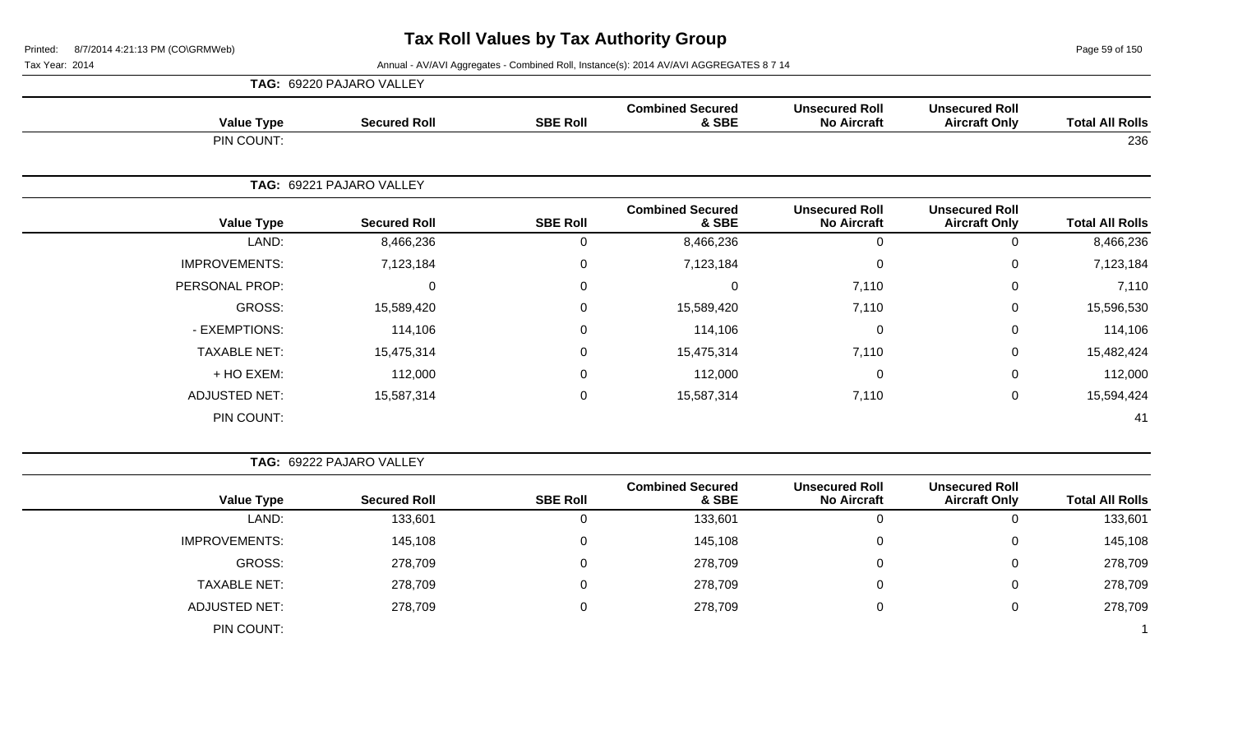Page 59 of 150

|                        |                                               |                                             |                                  |                 |                          | TAG: 69220 PAJARO VALLEY |  |  |
|------------------------|-----------------------------------------------|---------------------------------------------|----------------------------------|-----------------|--------------------------|--------------------------|--|--|
| <b>Total All Rolls</b> | <b>Unsecured Roll</b><br><b>Aircraft Only</b> | <b>Unsecured Roll</b><br><b>No Aircraft</b> | <b>Combined Secured</b><br>& SBE | <b>SBE Roll</b> | <b>Secured Roll</b>      | <b>Value Type</b>        |  |  |
| 236                    |                                               |                                             |                                  |                 |                          | PIN COUNT:               |  |  |
|                        |                                               |                                             |                                  |                 | TAG: 69221 PAJARO VALLEY |                          |  |  |
| <b>Total All Rolls</b> | <b>Unsecured Roll</b><br><b>Aircraft Only</b> | <b>Unsecured Roll</b><br><b>No Aircraft</b> | <b>Combined Secured</b><br>& SBE | <b>SBE Roll</b> | <b>Secured Roll</b>      | <b>Value Type</b>        |  |  |
| 8,466,236              | $\mathbf 0$                                   | $\Omega$                                    | 8,466,236                        | 0               | 8,466,236                | LAND:                    |  |  |
| 7,123,184              | 0                                             | $\Omega$                                    | 7,123,184                        | 0               | 7,123,184                | <b>IMPROVEMENTS:</b>     |  |  |
| 7,110                  | 0                                             | 7,110                                       | $\Omega$                         | 0               | $\Omega$                 | PERSONAL PROP:           |  |  |
| 15,596,530             | $\mathbf 0$                                   | 7,110                                       | 15,589,420                       | 0               | 15,589,420               | GROSS:                   |  |  |
| 114,106                | 0                                             | $\Omega$                                    | 114,106                          | 0               | 114,106                  | - EXEMPTIONS:            |  |  |
| 15,482,424             | 0                                             | 7,110                                       | 15,475,314                       | 0               | 15,475,314               | <b>TAXABLE NET:</b>      |  |  |
| 112,000                | 0                                             | $\Omega$                                    | 112,000                          | 0               | 112,000                  | + HO EXEM:               |  |  |
| 15,594,424             | $\mathbf 0$                                   | 7,110                                       | 15,587,314                       | 0               | 15,587,314               | <b>ADJUSTED NET:</b>     |  |  |
| 41                     |                                               |                                             |                                  |                 |                          | PIN COUNT:               |  |  |

|                      | TAG: 69222 PAJARO VALLEY |                 |                                  |                                             |                                               |                        |
|----------------------|--------------------------|-----------------|----------------------------------|---------------------------------------------|-----------------------------------------------|------------------------|
| <b>Value Type</b>    | <b>Secured Roll</b>      | <b>SBE Roll</b> | <b>Combined Secured</b><br>& SBE | <b>Unsecured Roll</b><br><b>No Aircraft</b> | <b>Unsecured Roll</b><br><b>Aircraft Only</b> | <b>Total All Rolls</b> |
| LAND:                | 133,601                  | 0               | 133,601                          |                                             | υ                                             | 133,601                |
| <b>IMPROVEMENTS:</b> | 145,108                  | 0               | 145,108                          | 0                                           | 0                                             | 145,108                |
| GROSS:               | 278,709                  | 0               | 278,709                          | $\Omega$                                    | 0                                             | 278,709                |
| <b>TAXABLE NET:</b>  | 278,709                  | 0               | 278,709                          | 0                                           | U                                             | 278,709                |
| <b>ADJUSTED NET:</b> | 278,709                  | $\Omega$        | 278,709                          | $\Omega$                                    | υ                                             | 278,709                |
| PIN COUNT:           |                          |                 |                                  |                                             |                                               |                        |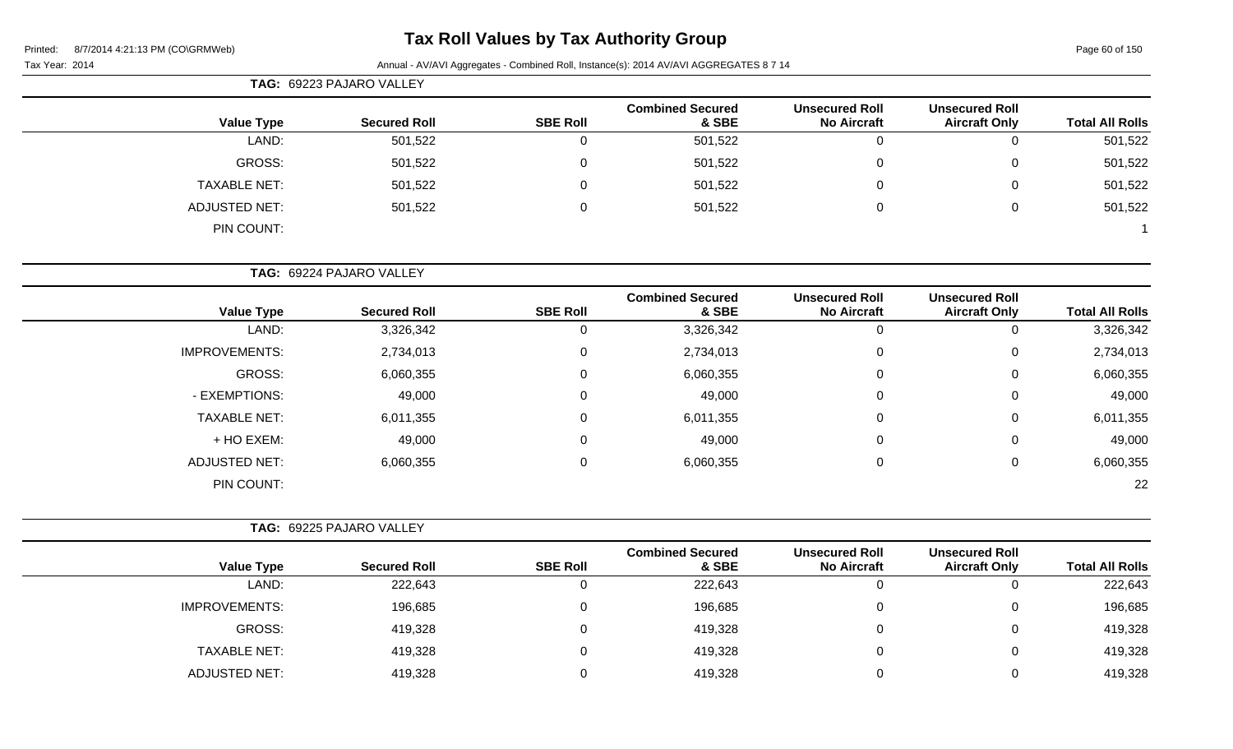Page 60 of 150

#### Tax Year: 2014 **Annual - AV/AVI Aggregates - Combined Roll**, Instance(s): 2014 AV/AVI AGGREGATES 8 7 14

|                      | TAG: 69223 PAJARO VALLEY |                 |                                  |                                             |                                               |                        |
|----------------------|--------------------------|-----------------|----------------------------------|---------------------------------------------|-----------------------------------------------|------------------------|
| <b>Value Type</b>    | <b>Secured Roll</b>      | <b>SBE Roll</b> | <b>Combined Secured</b><br>& SBE | <b>Unsecured Roll</b><br><b>No Aircraft</b> | <b>Unsecured Roll</b><br><b>Aircraft Only</b> | <b>Total All Rolls</b> |
| LAND:                | 501,522                  |                 | 501,522                          | 0                                           | $\Omega$                                      | 501,522                |
| GROSS:               | 501,522                  |                 | 501,522                          | 0                                           | 0                                             | 501,522                |
| <b>TAXABLE NET:</b>  | 501,522                  |                 | 501,522                          | $\mathbf 0$                                 | 0                                             | 501,522                |
| <b>ADJUSTED NET:</b> | 501,522                  |                 | 501,522                          | 0                                           | 0                                             | 501,522                |
| PIN COUNT:           |                          |                 |                                  |                                             |                                               |                        |

**TAG:** 69224 PAJARO VALLEY

| <b>Value Type</b>    | <b>Secured Roll</b> | <b>SBE Roll</b> | <b>Combined Secured</b><br>& SBE | <b>Unsecured Roll</b><br><b>No Aircraft</b> | <b>Unsecured Roll</b><br><b>Aircraft Only</b> | <b>Total All Rolls</b> |
|----------------------|---------------------|-----------------|----------------------------------|---------------------------------------------|-----------------------------------------------|------------------------|
| LAND:                | 3,326,342           | 0               | 3,326,342                        |                                             | 0                                             | 3,326,342              |
| <b>IMPROVEMENTS:</b> | 2,734,013           | 0               | 2,734,013                        | 0                                           | 0                                             | 2,734,013              |
| GROSS:               | 6,060,355           | 0               | 6,060,355                        | 0                                           | 0                                             | 6,060,355              |
| - EXEMPTIONS:        | 49,000              | 0               | 49,000                           | 0                                           | 0                                             | 49,000                 |
| <b>TAXABLE NET:</b>  | 6,011,355           | 0               | 6,011,355                        | 0                                           | 0                                             | 6,011,355              |
| + HO EXEM:           | 49,000              | 0               | 49,000                           | 0                                           | 0                                             | 49,000                 |
| <b>ADJUSTED NET:</b> | 6,060,355           | 0               | 6,060,355                        | 0                                           | 0                                             | 6,060,355              |
| PIN COUNT:           |                     |                 |                                  |                                             |                                               | 22                     |

|                        |                                               |                                             |                                  | <b>TAG: 69225 PAJARO VALLEY</b> |                     |                      |  |  |
|------------------------|-----------------------------------------------|---------------------------------------------|----------------------------------|---------------------------------|---------------------|----------------------|--|--|
| <b>Total All Rolls</b> | <b>Unsecured Roll</b><br><b>Aircraft Only</b> | <b>Unsecured Roll</b><br><b>No Aircraft</b> | <b>Combined Secured</b><br>& SBE | <b>SBE Roll</b>                 | <b>Secured Roll</b> | <b>Value Type</b>    |  |  |
| 222,643                |                                               | 0                                           | 222,643                          |                                 | 222,643             | LAND:                |  |  |
| 196,685                |                                               | $\Omega$                                    | 196,685                          |                                 | 196,685             | <b>IMPROVEMENTS:</b> |  |  |
| 419,328                |                                               | 0                                           | 419,328                          |                                 | 419,328             | GROSS:               |  |  |
| 419,328                |                                               | $\Omega$                                    | 419,328                          |                                 | 419,328             | <b>TAXABLE NET:</b>  |  |  |
| 419,328                |                                               |                                             | 419,328                          |                                 | 419,328             | <b>ADJUSTED NET:</b> |  |  |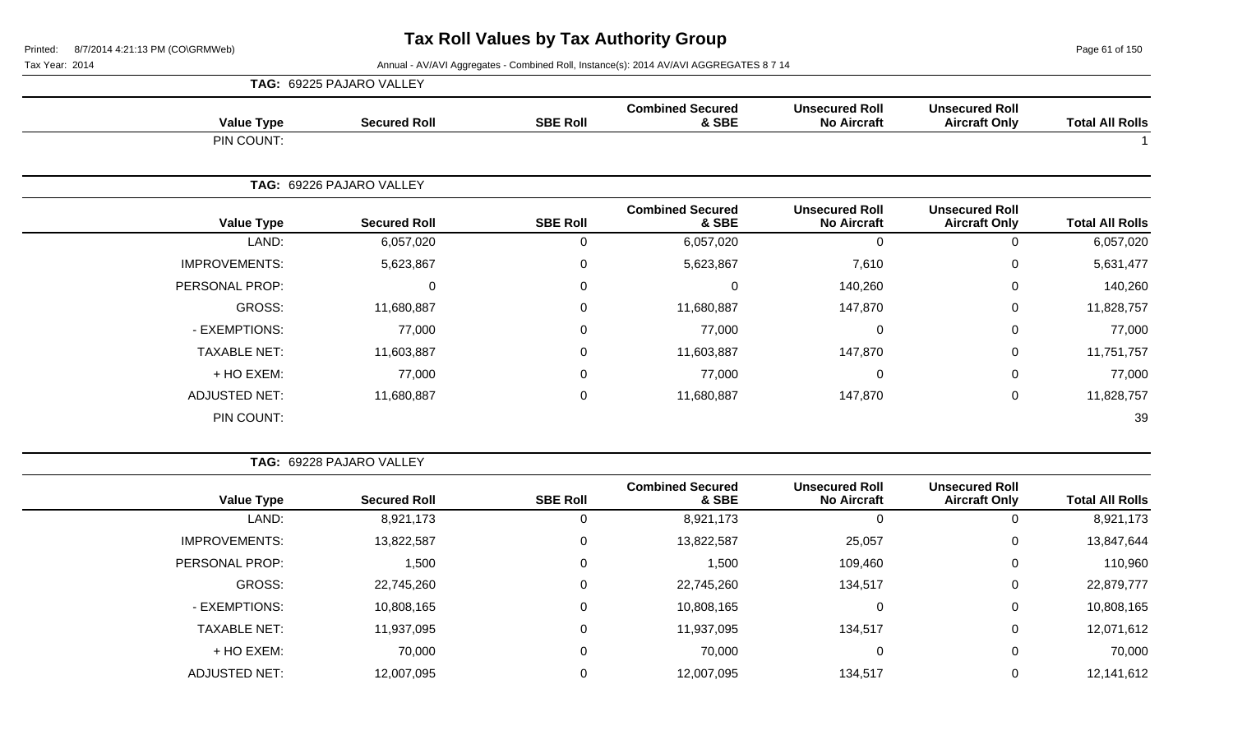Page 61 of 150

|                      |                   | TAG: 69225 PAJARO VALLEY |                 |                                  |                                             |                                               |                        |
|----------------------|-------------------|--------------------------|-----------------|----------------------------------|---------------------------------------------|-----------------------------------------------|------------------------|
|                      | <b>Value Type</b> | <b>Secured Roll</b>      | <b>SBE Roll</b> | <b>Combined Secured</b><br>& SBE | <b>Unsecured Roll</b><br><b>No Aircraft</b> | <b>Unsecured Roll</b><br><b>Aircraft Only</b> | <b>Total All Rolls</b> |
| PIN COUNT:           |                   |                          |                 |                                  |                                             |                                               |                        |
|                      |                   | TAG: 69226 PAJARO VALLEY |                 |                                  |                                             |                                               |                        |
|                      | <b>Value Type</b> | <b>Secured Roll</b>      | <b>SBE Roll</b> | <b>Combined Secured</b><br>& SBE | <b>Unsecured Roll</b><br><b>No Aircraft</b> | <b>Unsecured Roll</b><br><b>Aircraft Only</b> | <b>Total All Rolls</b> |
|                      | LAND:             | 6,057,020                | 0               | 6,057,020                        | $\Omega$                                    | $\Omega$                                      | 6,057,020              |
| <b>IMPROVEMENTS:</b> |                   | 5,623,867                | $\mathbf 0$     | 5,623,867                        | 7,610                                       | 0                                             | 5,631,477              |
| PERSONAL PROP:       |                   | $\mathbf 0$              | $\mathbf 0$     | $\mathbf 0$                      | 140,260                                     | $\mathbf 0$                                   | 140,260                |
|                      | GROSS:            | 11,680,887               | $\mathbf 0$     | 11,680,887                       | 147,870                                     | 0                                             | 11,828,757             |
| - EXEMPTIONS:        |                   | 77,000                   | $\mathbf 0$     | 77,000                           | $\Omega$                                    | $\mathbf 0$                                   | 77,000                 |
| <b>TAXABLE NET:</b>  |                   | 11,603,887               | $\mathbf 0$     | 11,603,887                       | 147,870                                     | $\mathbf 0$                                   | 11,751,757             |
| + HO EXEM:           |                   | 77,000                   | 0               | 77,000                           | $\overline{0}$                              | 0                                             | 77,000                 |
| <b>ADJUSTED NET:</b> |                   | 11,680,887               | $\mathbf 0$     | 11,680,887                       | 147,870                                     | 0                                             | 11,828,757             |
| PIN COUNT:           |                   |                          |                 |                                  |                                             |                                               | 39                     |

|                      | <b>Value Type</b> | <b>Secured Roll</b> | <b>SBE Roll</b> | <b>Combined Secured</b><br>& SBE | <b>Unsecured Roll</b><br><b>No Aircraft</b> | <b>Unsecured Roll</b><br><b>Aircraft Only</b> | <b>Total All Rolls</b> |
|----------------------|-------------------|---------------------|-----------------|----------------------------------|---------------------------------------------|-----------------------------------------------|------------------------|
|                      | LAND:             | 8,921,173           | U               | 8,921,173                        | 0                                           |                                               | 8,921,173              |
| <b>IMPROVEMENTS:</b> |                   | 13,822,587          | $\Omega$        | 13,822,587                       | 25,057                                      | 0                                             | 13,847,644             |
| PERSONAL PROP:       |                   | 1,500               | $\Omega$        | 1,500                            | 109,460                                     | 0                                             | 110,960                |
|                      | GROSS:            | 22,745,260          | $\Omega$        | 22,745,260                       | 134,517                                     | 0                                             | 22,879,777             |
| - EXEMPTIONS:        |                   | 10,808,165          | 0               | 10,808,165                       | 0                                           | 0                                             | 10,808,165             |
| <b>TAXABLE NET:</b>  |                   | 11,937,095          | $\mathbf 0$     | 11,937,095                       | 134,517                                     |                                               | 12,071,612             |
|                      | + HO EXEM:        | 70,000              | 0               | 70,000                           | 0                                           |                                               | 70,000                 |
| ADJUSTED NET:        |                   | 12,007,095          |                 | 12,007,095                       | 134,517                                     |                                               | 12,141,612             |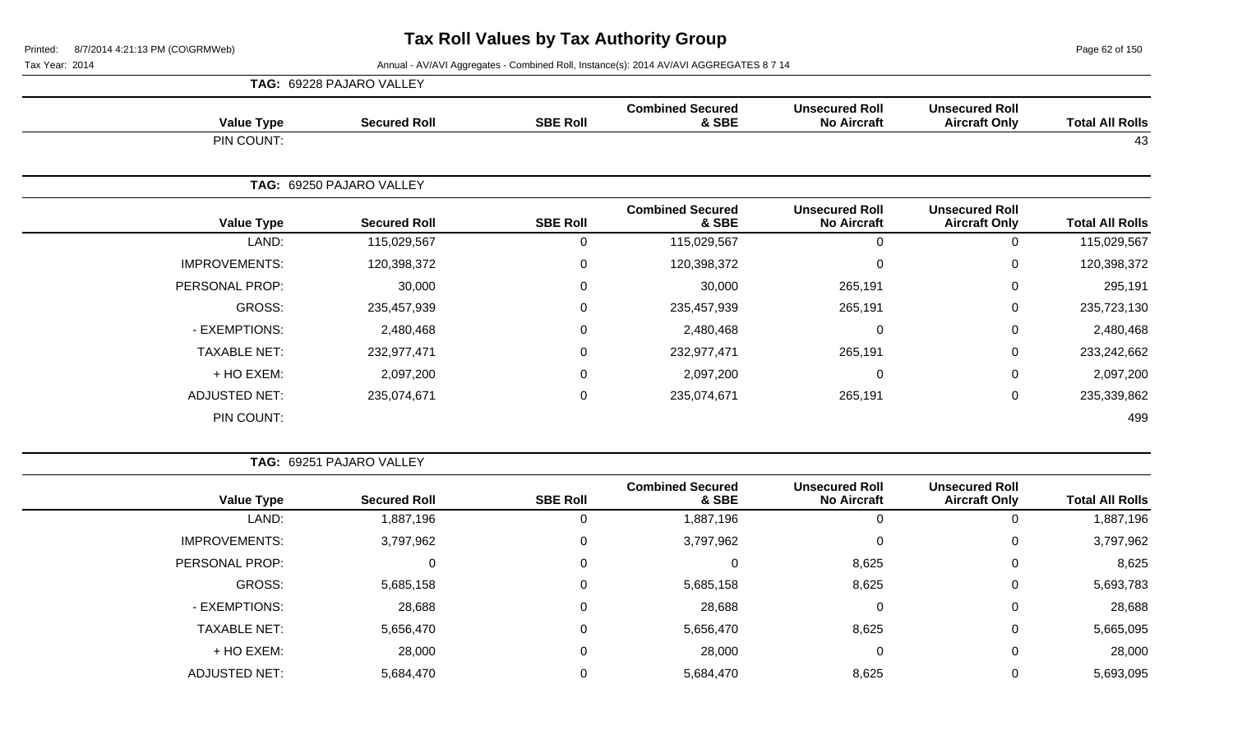Page 62 of 150

|                        |                                               |                                             |                                  |                 | TAG: 69228 PAJARO VALLEY |                      |
|------------------------|-----------------------------------------------|---------------------------------------------|----------------------------------|-----------------|--------------------------|----------------------|
| <b>Total All Rolls</b> | <b>Unsecured Roll</b><br><b>Aircraft Only</b> | <b>Unsecured Roll</b><br><b>No Aircraft</b> | <b>Combined Secured</b><br>& SBE | <b>SBE Roll</b> | <b>Secured Roll</b>      | <b>Value Type</b>    |
| 43                     |                                               |                                             |                                  |                 |                          | PIN COUNT:           |
|                        |                                               |                                             |                                  |                 | TAG: 69250 PAJARO VALLEY |                      |
| <b>Total All Rolls</b> | <b>Unsecured Roll</b><br><b>Aircraft Only</b> | <b>Unsecured Roll</b><br><b>No Aircraft</b> | <b>Combined Secured</b><br>& SBE | <b>SBE Roll</b> | <b>Secured Roll</b>      | <b>Value Type</b>    |
| 115,029,567            | $\mathbf 0$                                   | $\Omega$                                    | 115,029,567                      | $\mathbf 0$     | 115,029,567              | LAND:                |
| 120,398,372            | $\mathbf 0$                                   | 0                                           | 120,398,372                      | 0               | 120,398,372              | <b>IMPROVEMENTS:</b> |
| 295,191                | $\mathbf 0$                                   | 265,191                                     | 30,000                           | $\mathbf 0$     | 30,000                   | PERSONAL PROP:       |
| 235,723,130            | $\mathbf 0$                                   | 265,191                                     | 235,457,939                      | 0               | 235,457,939              | GROSS:               |
| 2,480,468              | $\mathbf 0$                                   | $\Omega$                                    | 2,480,468                        | $\mathbf 0$     | 2,480,468                | - EXEMPTIONS:        |
| 233,242,662            | $\mathbf 0$                                   | 265,191                                     | 232,977,471                      | 0               | 232,977,471              | <b>TAXABLE NET:</b>  |
| 2,097,200              | $\mathbf 0$                                   | 0                                           | 2,097,200                        | 0               | 2,097,200                | + HO EXEM:           |
| 235,339,862            | $\mathbf 0$                                   | 265,191                                     | 235,074,671                      | 0               | 235,074,671              | <b>ADJUSTED NET:</b> |
| 499                    |                                               |                                             |                                  |                 |                          | PIN COUNT:           |

| <b>TAG: 69251 PAJARO VALLEY</b> |
|---------------------------------|
|                                 |

|                      |                     |                 | <b>Combined Secured</b> | <b>Unsecured Roll</b> | <b>Unsecured Roll</b> |                        |
|----------------------|---------------------|-----------------|-------------------------|-----------------------|-----------------------|------------------------|
| <b>Value Type</b>    | <b>Secured Roll</b> | <b>SBE Roll</b> | & SBE                   | <b>No Aircraft</b>    | <b>Aircraft Only</b>  | <b>Total All Rolls</b> |
| LAND:                | 1,887,196           | O               | 1,887,196               |                       | 0                     | 1,887,196              |
| <b>IMPROVEMENTS:</b> | 3,797,962           | 0               | 3,797,962               |                       | 0                     | 3,797,962              |
| PERSONAL PROP:       | 0                   | 0               | 0                       | 8,625                 | 0                     | 8,625                  |
| GROSS:               | 5,685,158           | 0               | 5,685,158               | 8,625                 | 0                     | 5,693,783              |
| - EXEMPTIONS:        | 28,688              | 0               | 28,688                  | 0                     | 0                     | 28,688                 |
| <b>TAXABLE NET:</b>  | 5,656,470           | 0               | 5,656,470               | 8,625                 | 0                     | 5,665,095              |
| + HO EXEM:           | 28,000              | 0               | 28,000                  | 0                     | 0                     | 28,000                 |
| <b>ADJUSTED NET:</b> | 5,684,470           |                 | 5,684,470               | 8,625                 | 0                     | 5,693,095              |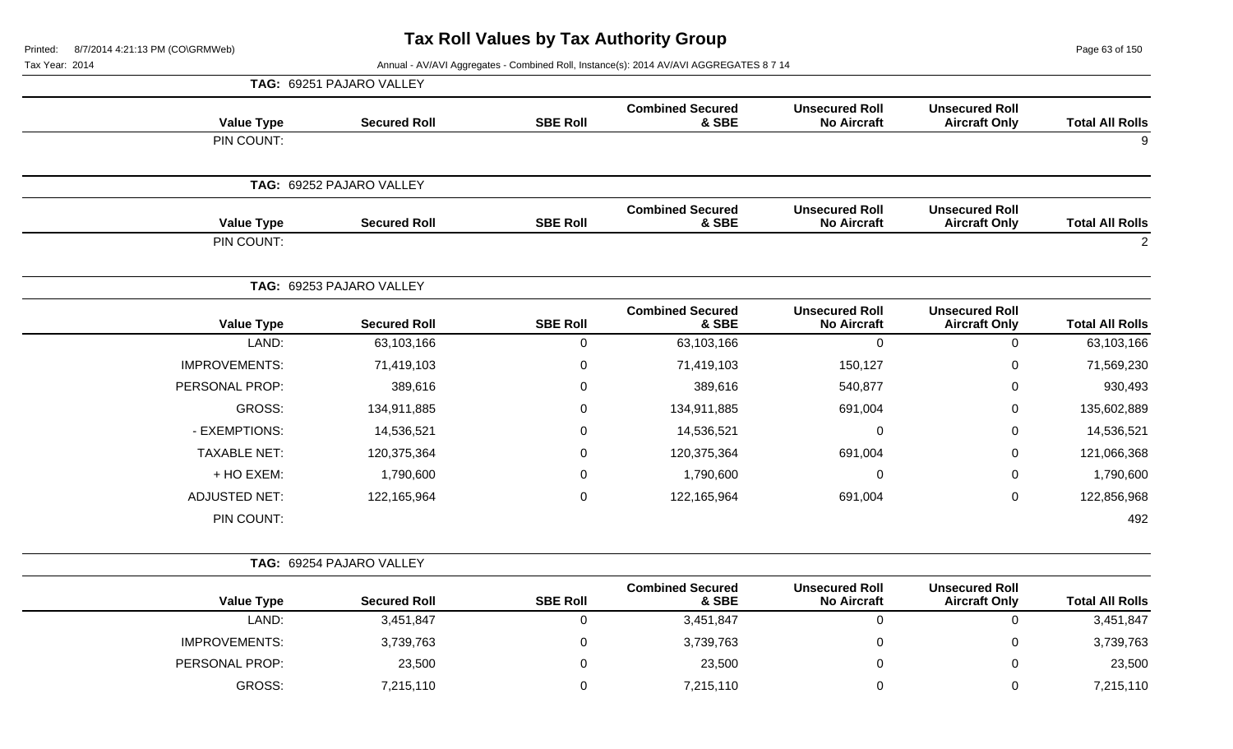Page 63 of 150

Tax Year: 2014 **Annual - AV/AVI Aggregates - Combined Roll, Instance(s): 2014 AV/AVI AGGREGATES 8 7 14** 

|                      | TAG: 69251 PAJARO VALLEY |                 |                                  |                                             |                                               |                        |
|----------------------|--------------------------|-----------------|----------------------------------|---------------------------------------------|-----------------------------------------------|------------------------|
| <b>Value Type</b>    | <b>Secured Roll</b>      | <b>SBE Roll</b> | <b>Combined Secured</b><br>& SBE | <b>Unsecured Roll</b><br><b>No Aircraft</b> | <b>Unsecured Roll</b><br><b>Aircraft Only</b> | <b>Total All Rolls</b> |
| PIN COUNT:           |                          |                 |                                  |                                             |                                               | 9                      |
|                      | TAG: 69252 PAJARO VALLEY |                 |                                  |                                             |                                               |                        |
| <b>Value Type</b>    | <b>Secured Roll</b>      | <b>SBE Roll</b> | <b>Combined Secured</b><br>& SBE | <b>Unsecured Roll</b><br><b>No Aircraft</b> | <b>Unsecured Roll</b><br><b>Aircraft Only</b> | <b>Total All Rolls</b> |
| PIN COUNT:           |                          |                 |                                  |                                             |                                               | $\overline{2}$         |
|                      | TAG: 69253 PAJARO VALLEY |                 |                                  |                                             |                                               |                        |
| <b>Value Type</b>    | <b>Secured Roll</b>      | <b>SBE Roll</b> | <b>Combined Secured</b><br>& SBE | <b>Unsecured Roll</b><br><b>No Aircraft</b> | <b>Unsecured Roll</b><br><b>Aircraft Only</b> | <b>Total All Rolls</b> |
| LAND:                | 63,103,166               | 0               | 63,103,166                       | $\mathbf 0$                                 | 0                                             | 63,103,166             |
| <b>IMPROVEMENTS:</b> | 71,419,103               | 0               | 71,419,103                       | 150,127                                     | 0                                             | 71,569,230             |
| PERSONAL PROP:       | 389,616                  | 0               | 389,616                          | 540,877                                     | 0                                             | 930,493                |
| <b>GROSS:</b>        | 134,911,885              | 0               | 134,911,885                      | 691,004                                     | 0                                             | 135,602,889            |
| - EXEMPTIONS:        | 14,536,521               | 0               | 14,536,521                       | $\mathbf 0$                                 | 0                                             | 14,536,521             |
| <b>TAXABLE NET:</b>  | 120,375,364              | 0               | 120,375,364                      | 691,004                                     | 0                                             | 121,066,368            |
| + HO EXEM:           | 1,790,600                | 0               | 1,790,600                        | $\mathbf 0$                                 | 0                                             | 1,790,600              |
| <b>ADJUSTED NET:</b> | 122,165,964              | 0               | 122,165,964                      | 691,004                                     | 0                                             | 122,856,968            |
| PIN COUNT:           |                          |                 |                                  |                                             |                                               | 492                    |
|                      | TAG: 69254 PAJARO VALLEY |                 |                                  |                                             |                                               |                        |
| <b>Value Type</b>    | <b>Secured Roll</b>      | <b>SBE Roll</b> | <b>Combined Secured</b><br>& SBE | <b>Unsecured Roll</b><br><b>No Aircraft</b> | <b>Unsecured Roll</b><br><b>Aircraft Only</b> | <b>Total All Rolls</b> |
| LAND:                | 3,451,847                | 0               | 3,451,847                        | $\mathbf 0$                                 | 0                                             | 3,451,847              |
| <b>IMPROVEMENTS:</b> | 3,739,763                | 0               | 3,739,763                        | $\mathbf 0$                                 | 0                                             | 3,739,763              |
| PERSONAL PROP:       | 23,500                   | 0               | 23,500                           | $\pmb{0}$                                   | 0                                             | 23,500                 |

GROSS: 7,215,110 0 7,215,110 0 0 7,215,110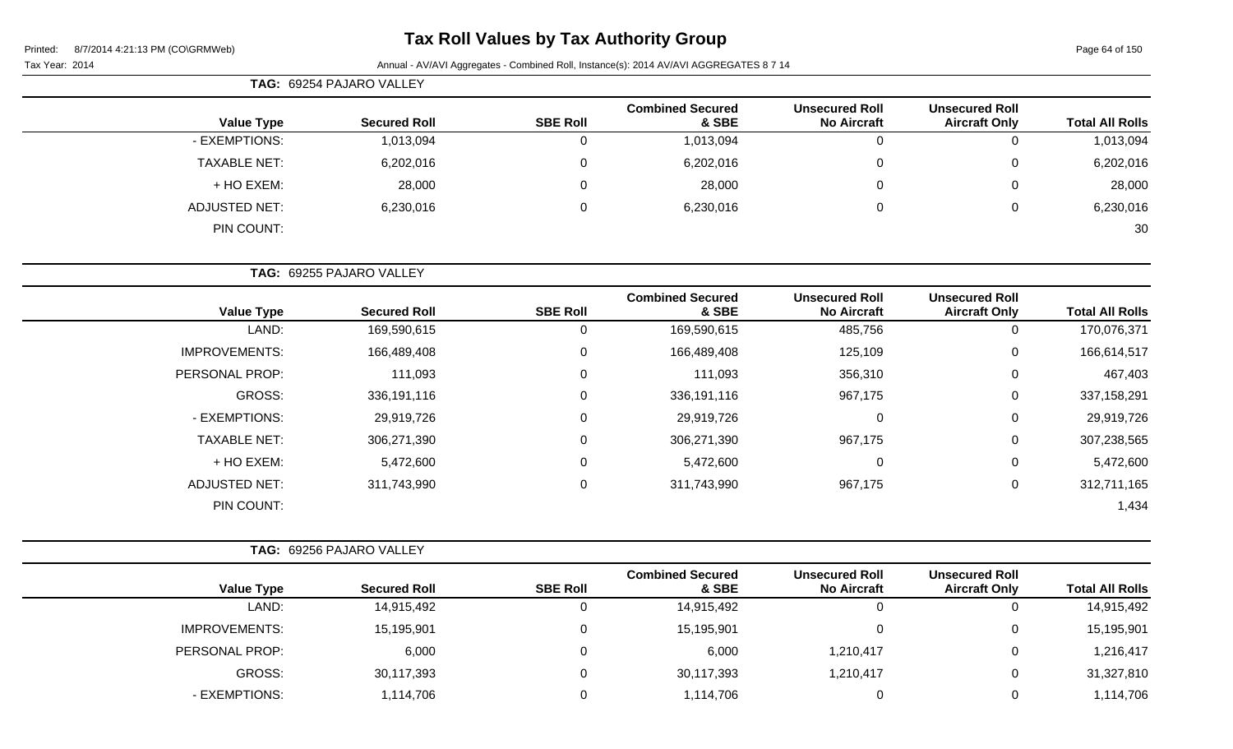Page 64 of 150

| <b>TAG: 69254 PAJARO VALLEY</b> |                     |                 |                                  |                                             |                                               |                        |
|---------------------------------|---------------------|-----------------|----------------------------------|---------------------------------------------|-----------------------------------------------|------------------------|
| <b>Value Type</b>               | <b>Secured Roll</b> | <b>SBE Roll</b> | <b>Combined Secured</b><br>& SBE | <b>Unsecured Roll</b><br><b>No Aircraft</b> | <b>Unsecured Roll</b><br><b>Aircraft Only</b> | <b>Total All Rolls</b> |
| - EXEMPTIONS:                   | 1,013,094           |                 | 1,013,094                        | 0                                           |                                               | 1,013,094              |
| <b>TAXABLE NET:</b>             | 6,202,016           | $\Omega$        | 6,202,016                        | 0                                           | 0                                             | 6,202,016              |
| + HO EXEM:                      | 28,000              |                 | 28,000                           | $\overline{0}$                              | $\overline{0}$                                | 28,000                 |
| ADJUSTED NET:                   | 6,230,016           | $\Omega$        | 6,230,016                        | 0                                           | 0                                             | 6,230,016              |
| PIN COUNT:                      |                     |                 |                                  |                                             |                                               | 30                     |

| <b>TAG: 69255 PAJARO VALLEY</b> |                      |                     |                 |                                  |                                             |                                               |                        |  |
|---------------------------------|----------------------|---------------------|-----------------|----------------------------------|---------------------------------------------|-----------------------------------------------|------------------------|--|
|                                 | <b>Value Type</b>    | <b>Secured Roll</b> | <b>SBE Roll</b> | <b>Combined Secured</b><br>& SBE | <b>Unsecured Roll</b><br><b>No Aircraft</b> | <b>Unsecured Roll</b><br><b>Aircraft Only</b> | <b>Total All Rolls</b> |  |
|                                 | LAND:                | 169,590,615         | 0               | 169,590,615                      | 485,756                                     | 0                                             | 170,076,371            |  |
|                                 | <b>IMPROVEMENTS:</b> | 166,489,408         | $\Omega$        | 166,489,408                      | 125,109                                     | 0                                             | 166,614,517            |  |
|                                 | PERSONAL PROP:       | 111,093             | $\mathbf 0$     | 111,093                          | 356,310                                     | 0                                             | 467,403                |  |
|                                 | GROSS:               | 336,191,116         | $\mathbf 0$     | 336,191,116                      | 967,175                                     | 0                                             | 337, 158, 291          |  |
|                                 | - EXEMPTIONS:        | 29,919,726          | $\mathbf{0}$    | 29,919,726                       |                                             | 0                                             | 29,919,726             |  |
|                                 | <b>TAXABLE NET:</b>  | 306,271,390         | $\mathbf 0$     | 306,271,390                      | 967,175                                     | 0                                             | 307,238,565            |  |
|                                 | + HO EXEM:           | 5,472,600           | 0               | 5,472,600                        |                                             | 0                                             | 5,472,600              |  |
|                                 | <b>ADJUSTED NET:</b> | 311,743,990         | $\mathbf 0$     | 311,743,990                      | 967,175                                     | 0                                             | 312,711,165            |  |
|                                 | PIN COUNT:           |                     |                 |                                  |                                             |                                               | 1,434                  |  |

| <b>TAG: 69256 PAJARO VALLEY</b> |                     |                 |                                  |                                             |                                               |                        |
|---------------------------------|---------------------|-----------------|----------------------------------|---------------------------------------------|-----------------------------------------------|------------------------|
| <b>Value Type</b>               | <b>Secured Roll</b> | <b>SBE Roll</b> | <b>Combined Secured</b><br>& SBE | <b>Unsecured Roll</b><br><b>No Aircraft</b> | <b>Unsecured Roll</b><br><b>Aircraft Only</b> | <b>Total All Rolls</b> |
| LAND:                           | 14,915,492          | υ               | 14,915,492                       |                                             | 0                                             | 14,915,492             |
| <b>IMPROVEMENTS:</b>            | 15,195,901          | 0               | 15,195,901                       |                                             | 0                                             | 15,195,901             |
| PERSONAL PROP:                  | 6,000               | 0               | 6,000                            | 1,210,417                                   | $\mathbf{0}$                                  | 1,216,417              |
| GROSS:                          | 30,117,393          | 0               | 30,117,393                       | 1,210,417                                   | 0                                             | 31,327,810             |
| - EXEMPTIONS:                   | 1,114,706           |                 | 1,114,706                        |                                             | $\overline{0}$                                | 1,114,706              |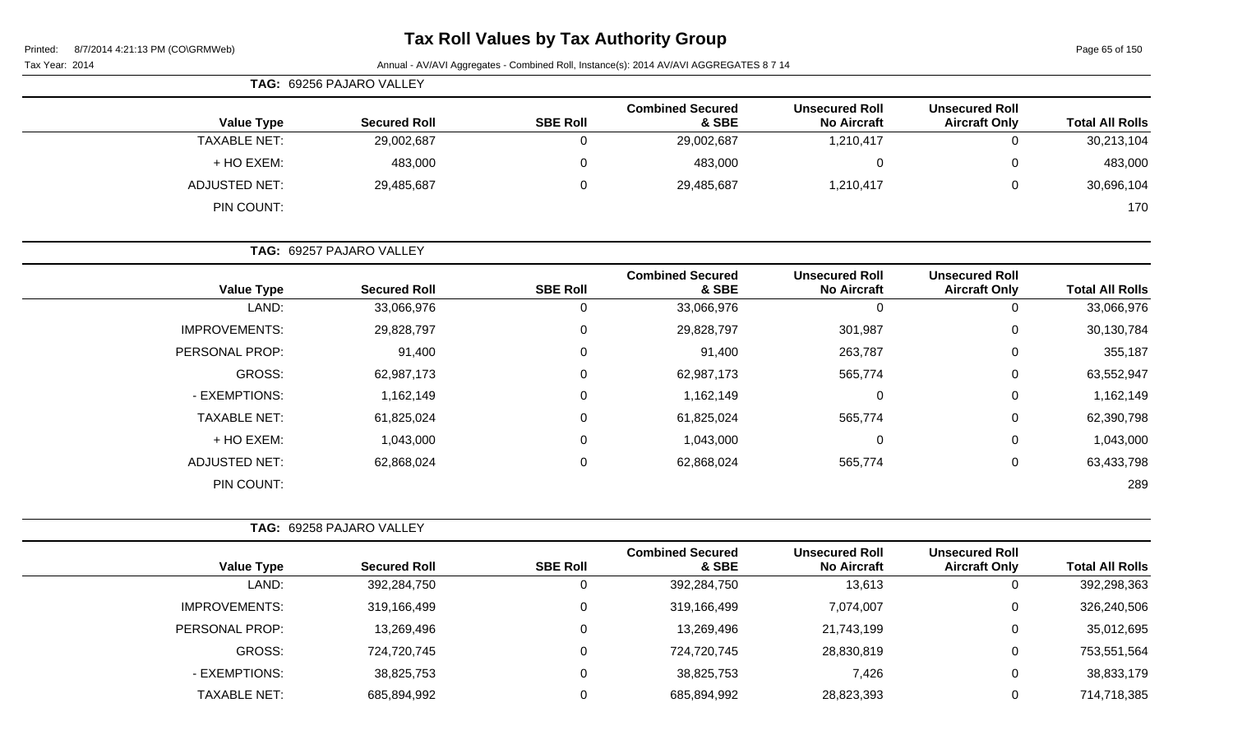# **Tax Roll Values by Tax Authority Group**

Page 65 of 150

| TAG: 69256 PAJARO VALLEY |                          |                 |                                  |                                             |                                               |                        |
|--------------------------|--------------------------|-----------------|----------------------------------|---------------------------------------------|-----------------------------------------------|------------------------|
| <b>Value Type</b>        | <b>Secured Roll</b>      | <b>SBE Roll</b> | <b>Combined Secured</b><br>& SBE | <b>Unsecured Roll</b><br><b>No Aircraft</b> | <b>Unsecured Roll</b><br><b>Aircraft Only</b> | <b>Total All Rolls</b> |
| <b>TAXABLE NET:</b>      | 29,002,687               |                 | 29,002,687                       | 1,210,417                                   | 0                                             | 30,213,104             |
| + HO EXEM:               | 483,000                  |                 | 483,000                          | 0                                           | $\mathbf 0$                                   | 483,000                |
| ADJUSTED NET:            | 29,485,687               | $\Omega$        | 29,485,687                       | 1,210,417                                   | 0                                             | 30,696,104             |
| PIN COUNT:               |                          |                 |                                  |                                             |                                               | 170                    |
|                          | TAG: 69257 PAJARO VALLEY |                 |                                  |                                             |                                               |                        |

|                      |                     |                 | <b>Combined Secured</b> | <b>Unsecured Roll</b> | <b>Unsecured Roll</b> |                        |
|----------------------|---------------------|-----------------|-------------------------|-----------------------|-----------------------|------------------------|
| <b>Value Type</b>    | <b>Secured Roll</b> | <b>SBE Roll</b> | & SBE                   | <b>No Aircraft</b>    | <b>Aircraft Only</b>  | <b>Total All Rolls</b> |
| LAND:                | 33,066,976          | 0               | 33,066,976              | $\Omega$              | 0                     | 33,066,976             |
| <b>IMPROVEMENTS:</b> | 29,828,797          | $\mathbf 0$     | 29,828,797              | 301,987               | $\mathbf 0$           | 30,130,784             |
| PERSONAL PROP:       | 91,400              | $\mathbf 0$     | 91,400                  | 263,787               | $\mathbf 0$           | 355,187                |
| GROSS:               | 62,987,173          | 0               | 62,987,173              | 565,774               | 0                     | 63,552,947             |
| - EXEMPTIONS:        | 1,162,149           | $\mathbf 0$     | 1,162,149               | 0                     | $\mathbf 0$           | 1,162,149              |
| <b>TAXABLE NET:</b>  | 61,825,024          | $\mathbf 0$     | 61,825,024              | 565,774               | $\mathbf 0$           | 62,390,798             |
| + HO EXEM:           | 1,043,000           | $\mathbf 0$     | 1,043,000               | 0                     | $\mathbf 0$           | 1,043,000              |
| <b>ADJUSTED NET:</b> | 62,868,024          | 0               | 62,868,024              | 565,774               | 0                     | 63,433,798             |
| PIN COUNT:           |                     |                 |                         |                       |                       | 289                    |

|                       | TAG: 69258 PAJARO VALLEY |                 |                                  |                                             |                                               |                        |
|-----------------------|--------------------------|-----------------|----------------------------------|---------------------------------------------|-----------------------------------------------|------------------------|
| <b>Value Type</b>     | <b>Secured Roll</b>      | <b>SBE Roll</b> | <b>Combined Secured</b><br>& SBE | <b>Unsecured Roll</b><br><b>No Aircraft</b> | <b>Unsecured Roll</b><br><b>Aircraft Only</b> | <b>Total All Rolls</b> |
| LAND:                 | 392,284,750              |                 | 392,284,750                      | 13,613                                      | 0                                             | 392,298,363            |
| <b>IMPROVEMENTS:</b>  | 319,166,499              |                 | 319,166,499                      | 7,074,007                                   | $\mathbf{0}$                                  | 326,240,506            |
| <b>PERSONAL PROP:</b> | 13,269,496               |                 | 13,269,496                       | 21,743,199                                  | 0                                             | 35,012,695             |
| <b>GROSS:</b>         | 724,720,745              |                 | 724,720,745                      | 28,830,819                                  | $\mathbf 0$                                   | 753,551,564            |
| - EXEMPTIONS:         | 38,825,753               |                 | 38,825,753                       | 7,426                                       | 0                                             | 38,833,179             |
| <b>TAXABLE NET:</b>   | 685,894,992              |                 | 685,894,992                      | 28,823,393                                  | 0                                             | 714,718,385            |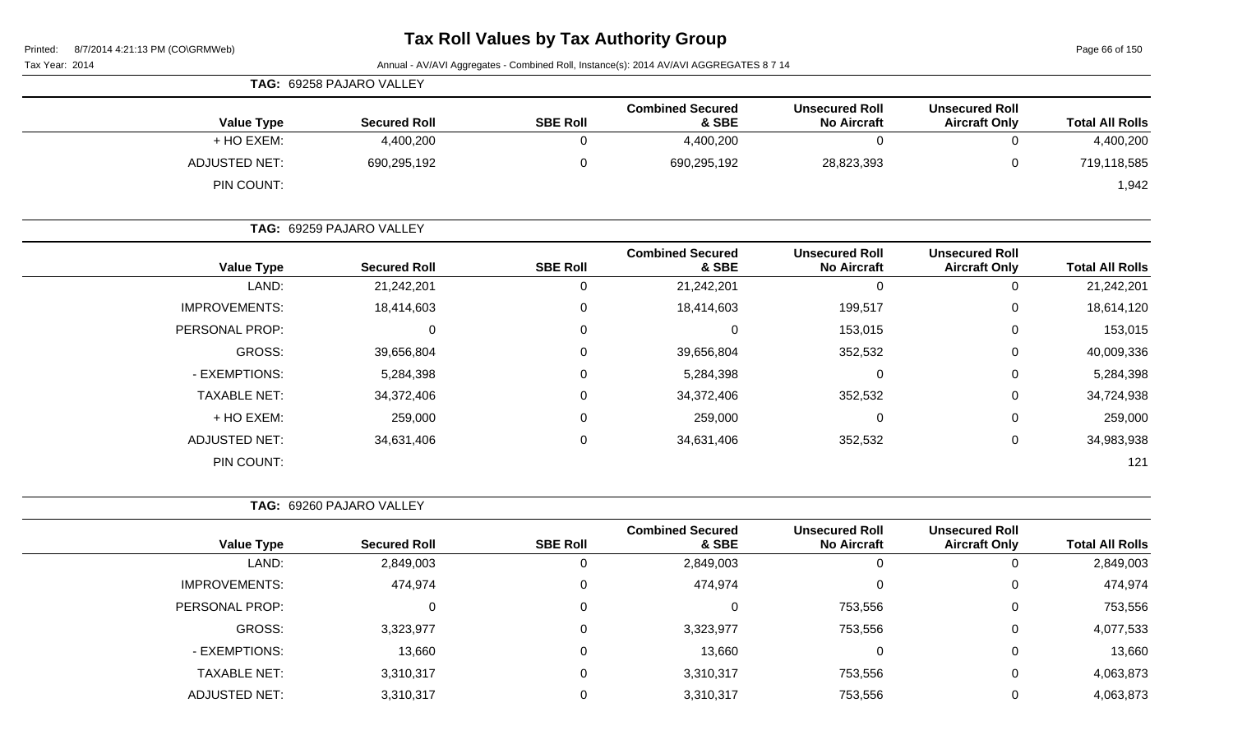Page 66 of 150

|                      | <b>TAG: 69258 PAJARO VALLEY</b> |                 |                                  |                                             |                                               |                        |  |
|----------------------|---------------------------------|-----------------|----------------------------------|---------------------------------------------|-----------------------------------------------|------------------------|--|
| <b>Value Type</b>    | <b>Secured Roll</b>             | <b>SBE Roll</b> | <b>Combined Secured</b><br>& SBE | <b>Unsecured Roll</b><br><b>No Aircraft</b> | <b>Unsecured Roll</b><br><b>Aircraft Only</b> | <b>Total All Rolls</b> |  |
| + HO EXEM:           | 4,400,200                       |                 | 4,400,200                        |                                             | ັ                                             | 4,400,200              |  |
| <b>ADJUSTED NET:</b> | 690,295,192                     |                 | 690,295,192                      | 28,823,393                                  | ν                                             | 719,118,585            |  |
| PIN COUNT:           |                                 |                 |                                  |                                             |                                               | 1,942                  |  |

|                      | TAG: 69259 PAJARO VALLEY |                 |                                  |                                             |                                               |                        |
|----------------------|--------------------------|-----------------|----------------------------------|---------------------------------------------|-----------------------------------------------|------------------------|
| <b>Value Type</b>    | <b>Secured Roll</b>      | <b>SBE Roll</b> | <b>Combined Secured</b><br>& SBE | <b>Unsecured Roll</b><br><b>No Aircraft</b> | <b>Unsecured Roll</b><br><b>Aircraft Only</b> | <b>Total All Rolls</b> |
| LAND:                | 21,242,201               |                 | 21,242,201                       | 0                                           | U                                             | 21,242,201             |
| <b>IMPROVEMENTS:</b> | 18,414,603               | $\Omega$        | 18,414,603                       | 199,517                                     | 0                                             | 18,614,120             |
| PERSONAL PROP:       | 0                        | $\Omega$        |                                  | 153,015                                     | 0                                             | 153,015                |
| GROSS:               | 39,656,804               | $\Omega$        | 39,656,804                       | 352,532                                     | 0                                             | 40,009,336             |
| - EXEMPTIONS:        | 5,284,398                | $\Omega$        | 5,284,398                        | 0                                           | 0                                             | 5,284,398              |
| <b>TAXABLE NET:</b>  | 34,372,406               | $\mathbf{0}$    | 34,372,406                       | 352,532                                     | 0                                             | 34,724,938             |
| + HO EXEM:           | 259,000                  | 0               | 259,000                          | 0                                           | 0                                             | 259,000                |
| <b>ADJUSTED NET:</b> | 34,631,406               | 0               | 34,631,406                       | 352,532                                     | 0                                             | 34,983,938             |
| PIN COUNT:           |                          |                 |                                  |                                             |                                               | 121                    |

|                      |                     |                 | <b>Combined Secured</b> | <b>Unsecured Roll</b> | <b>Unsecured Roll</b> |                        |
|----------------------|---------------------|-----------------|-------------------------|-----------------------|-----------------------|------------------------|
| <b>Value Type</b>    | <b>Secured Roll</b> | <b>SBE Roll</b> | & SBE                   | <b>No Aircraft</b>    | <b>Aircraft Only</b>  | <b>Total All Rolls</b> |
| LAND:                | 2,849,003           | U               | 2,849,003               | 0                     | O                     | 2,849,003              |
| <b>IMPROVEMENTS:</b> | 474,974             | 0               | 474,974                 | 0                     | $\mathbf 0$           | 474,974                |
| PERSONAL PROP:       | 0                   | 0               | 0                       | 753,556               | $\Omega$              | 753,556                |
| GROSS:               | 3,323,977           | 0               | 3,323,977               | 753,556               | $\Omega$              | 4,077,533              |
| - EXEMPTIONS:        | 13,660              | 0               | 13,660                  | 0                     | 0                     | 13,660                 |
| <b>TAXABLE NET:</b>  | 3,310,317           | 0               | 3,310,317               | 753,556               | 0                     | 4,063,873              |
| <b>ADJUSTED NET:</b> | 3,310,317           |                 | 3,310,317               | 753,556               | 0                     | 4,063,873              |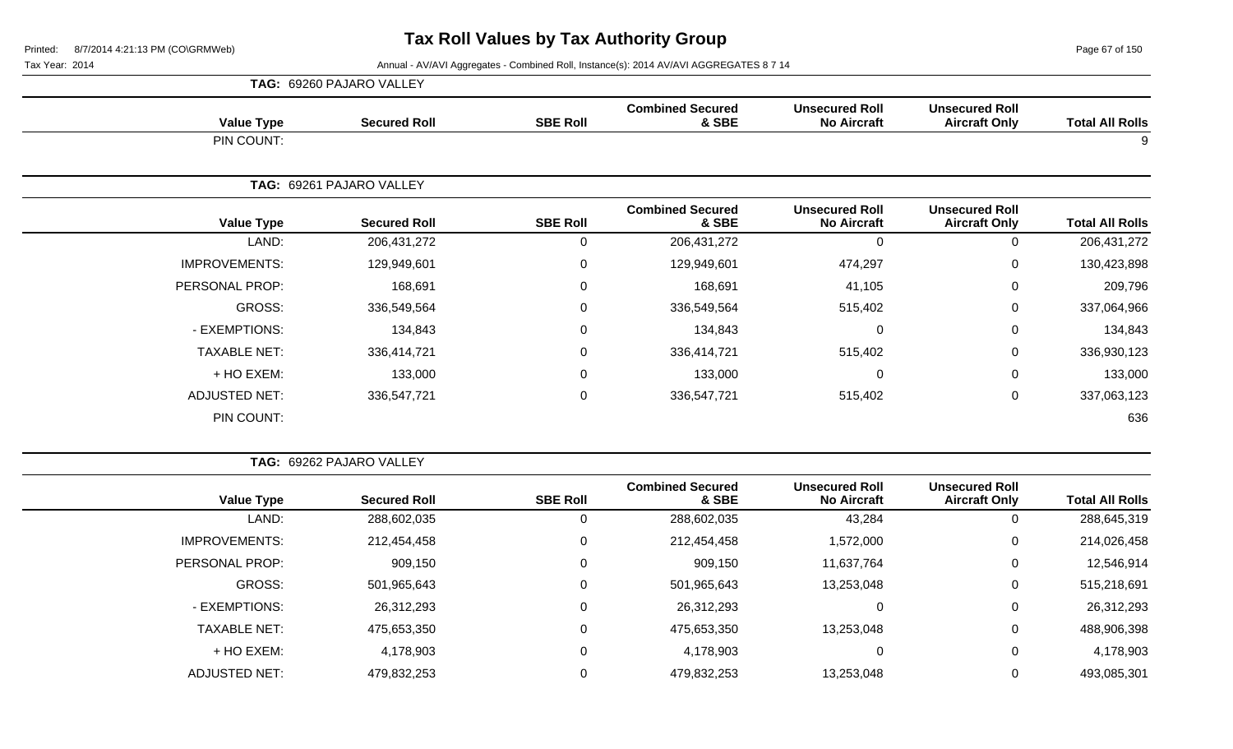Page 67 of 150

|                      | <b>TAG: 69260 PAJARO VALLEY</b> |                     |                 |                                  |                                             |                                               |                        |  |  |
|----------------------|---------------------------------|---------------------|-----------------|----------------------------------|---------------------------------------------|-----------------------------------------------|------------------------|--|--|
| <b>Value Type</b>    |                                 | <b>Secured Roll</b> | <b>SBE Roll</b> | <b>Combined Secured</b><br>& SBE | <b>Unsecured Roll</b><br><b>No Aircraft</b> | <b>Unsecured Roll</b><br><b>Aircraft Only</b> | <b>Total All Rolls</b> |  |  |
| PIN COUNT:           |                                 |                     |                 |                                  |                                             |                                               | 9                      |  |  |
|                      | TAG: 69261 PAJARO VALLEY        |                     |                 |                                  |                                             |                                               |                        |  |  |
| <b>Value Type</b>    |                                 | <b>Secured Roll</b> | <b>SBE Roll</b> | <b>Combined Secured</b><br>& SBE | <b>Unsecured Roll</b><br><b>No Aircraft</b> | <b>Unsecured Roll</b><br><b>Aircraft Only</b> | <b>Total All Rolls</b> |  |  |
| LAND:                |                                 | 206, 431, 272       | 0               | 206, 431, 272                    | $\Omega$                                    | 0                                             | 206, 431, 272          |  |  |
| <b>IMPROVEMENTS:</b> |                                 | 129,949,601         | $\pmb{0}$       | 129,949,601                      | 474,297                                     | $\mathbf 0$                                   | 130,423,898            |  |  |
| PERSONAL PROP:       |                                 | 168,691             | 0               | 168,691                          | 41,105                                      | $\mathbf 0$                                   | 209,796                |  |  |
| GROSS:               |                                 | 336,549,564         | $\mathbf 0$     | 336,549,564                      | 515,402                                     | $\overline{0}$                                | 337,064,966            |  |  |
| - EXEMPTIONS:        |                                 | 134,843             | 0               | 134,843                          | $\mathbf{0}$                                | $\mathbf 0$                                   | 134,843                |  |  |
| <b>TAXABLE NET:</b>  |                                 | 336,414,721         | $\mathsf 0$     | 336,414,721                      | 515,402                                     | $\mathbf 0$                                   | 336,930,123            |  |  |
| + HO EXEM:           |                                 | 133,000             | $\mathbf 0$     | 133,000                          | $\Omega$                                    | $\mathbf 0$                                   | 133,000                |  |  |
| <b>ADJUSTED NET:</b> |                                 | 336,547,721         | $\mathbf 0$     | 336,547,721                      | 515,402                                     | $\pmb{0}$                                     | 337,063,123            |  |  |
| PIN COUNT:           |                                 |                     |                 |                                  |                                             |                                               | 636                    |  |  |

|                        | TAG: 69262 PAJARO VALLEY                      |                                             |                                  |                 |                     |                      |
|------------------------|-----------------------------------------------|---------------------------------------------|----------------------------------|-----------------|---------------------|----------------------|
| <b>Total All Rolls</b> | <b>Unsecured Roll</b><br><b>Aircraft Only</b> | <b>Unsecured Roll</b><br><b>No Aircraft</b> | <b>Combined Secured</b><br>& SBE | <b>SBE Roll</b> | <b>Secured Roll</b> | <b>Value Type</b>    |
| 288,645,319            | $\mathbf{0}$                                  | 43,284                                      | 288,602,035                      | 0               | 288,602,035         | LAND:                |
| 214,026,458            | 0                                             | 1,572,000                                   | 212,454,458                      | 0               | 212,454,458         | <b>IMPROVEMENTS:</b> |
| 12,546,914             | 0                                             | 11,637,764                                  | 909,150                          | 0               | 909,150             | PERSONAL PROP:       |
| 515,218,691            | 0                                             | 13,253,048                                  | 501,965,643                      | 0               | 501,965,643         | GROSS:               |
| 26,312,293             | 0                                             |                                             | 26,312,293                       | 0               | 26,312,293          | - EXEMPTIONS:        |
| 488,906,398            | 0                                             | 13,253,048                                  | 475,653,350                      | 0               | 475,653,350         | <b>TAXABLE NET:</b>  |
| 4,178,903              | 0                                             |                                             | 4,178,903                        | 0               | 4,178,903           | + HO EXEM:           |
| 493,085,301            | 0                                             | 13,253,048                                  | 479,832,253                      | 0               | 479,832,253         | ADJUSTED NET:        |
|                        |                                               |                                             |                                  |                 |                     |                      |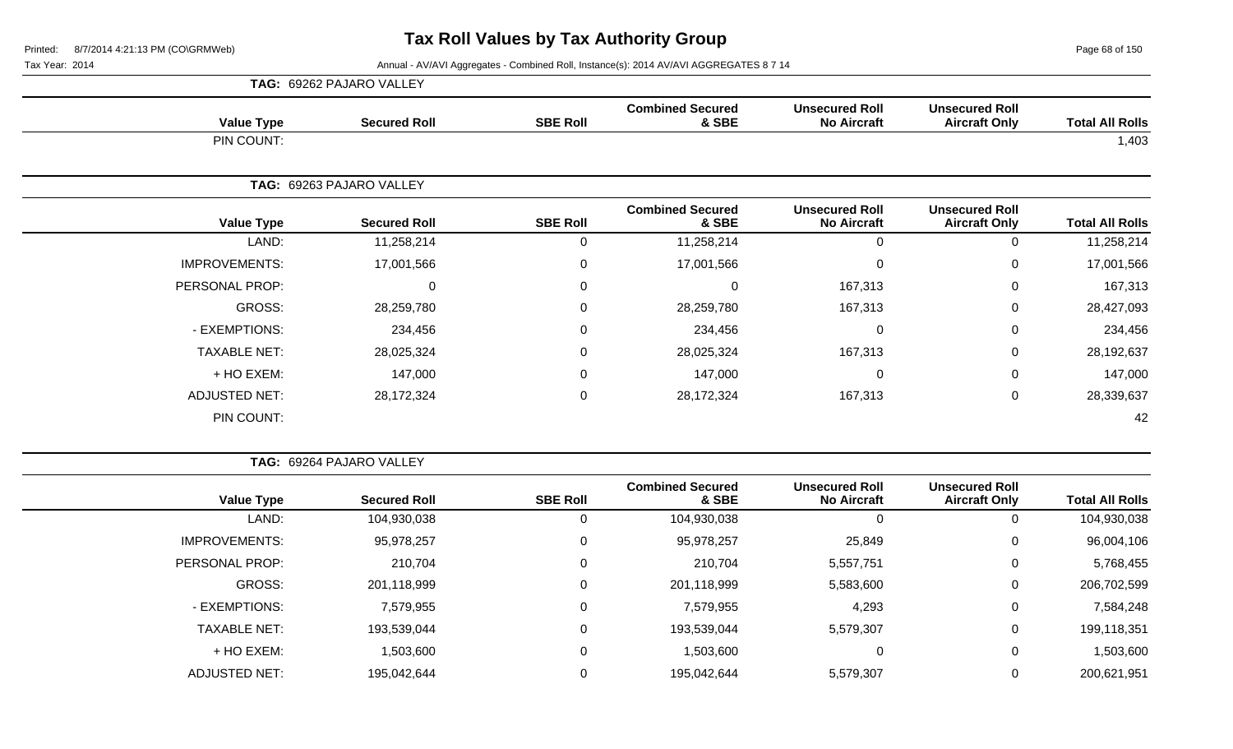Page 68 of 150

|                      | TAG: 69262 PAJARO VALLEY |                 |                                  |                                             |                                               |                        |  |  |
|----------------------|--------------------------|-----------------|----------------------------------|---------------------------------------------|-----------------------------------------------|------------------------|--|--|
| <b>Value Type</b>    | <b>Secured Roll</b>      | <b>SBE Roll</b> | <b>Combined Secured</b><br>& SBE | <b>Unsecured Roll</b><br><b>No Aircraft</b> | <b>Unsecured Roll</b><br><b>Aircraft Only</b> | <b>Total All Rolls</b> |  |  |
| PIN COUNT:           |                          |                 |                                  |                                             |                                               | 1,403                  |  |  |
|                      | TAG: 69263 PAJARO VALLEY |                 |                                  |                                             |                                               |                        |  |  |
| <b>Value Type</b>    | <b>Secured Roll</b>      | <b>SBE Roll</b> | <b>Combined Secured</b><br>& SBE | <b>Unsecured Roll</b><br><b>No Aircraft</b> | <b>Unsecured Roll</b><br><b>Aircraft Only</b> | <b>Total All Rolls</b> |  |  |
| LAND:                | 11,258,214               | 0               | 11,258,214                       | $\Omega$                                    | 0                                             | 11,258,214             |  |  |
| <b>IMPROVEMENTS:</b> | 17,001,566               | $\mathbf 0$     | 17,001,566                       | 0                                           | $\mathbf 0$                                   | 17,001,566             |  |  |
| PERSONAL PROP:       | 0                        | 0               | $\Omega$                         | 167,313                                     | $\mathbf 0$                                   | 167,313                |  |  |
| GROSS:               | 28,259,780               | 0               | 28,259,780                       | 167,313                                     | 0                                             | 28,427,093             |  |  |
| - EXEMPTIONS:        | 234,456                  | $\mathbf 0$     | 234,456                          | 0                                           | $\mathbf 0$                                   | 234,456                |  |  |
| <b>TAXABLE NET:</b>  | 28,025,324               | 0               | 28,025,324                       | 167,313                                     | $\mathbf 0$                                   | 28,192,637             |  |  |
| + HO EXEM:           | 147,000                  | $\mathbf 0$     | 147,000                          | $\Omega$                                    | $\mathbf 0$                                   | 147,000                |  |  |
| ADJUSTED NET:        | 28,172,324               | $\mathbf 0$     | 28,172,324                       | 167,313                                     | 0                                             | 28,339,637             |  |  |
| PIN COUNT:           |                          |                 |                                  |                                             |                                               | 42                     |  |  |

| <b>TAG: 69264 PAJARO VALLEY</b> |
|---------------------------------|
|                                 |

| <b>Total All Rolls</b> | <b>Unsecured Roll</b><br><b>Aircraft Only</b> | <b>Unsecured Roll</b><br><b>No Aircraft</b> | <b>Combined Secured</b><br>& SBE | <b>SBE Roll</b> | <b>Secured Roll</b> | <b>Value Type</b>    |
|------------------------|-----------------------------------------------|---------------------------------------------|----------------------------------|-----------------|---------------------|----------------------|
| 104,930,038            |                                               | 0                                           | 104,930,038                      | 0               | 104,930,038         | LAND:                |
| 96,004,106             | 0                                             | 25,849                                      | 95,978,257                       | 0               | 95,978,257          | <b>IMPROVEMENTS:</b> |
| 5,768,455              | 0                                             | 5,557,751                                   | 210,704                          | 0               | 210,704             | PERSONAL PROP:       |
| 206,702,599            | 0                                             | 5,583,600                                   | 201,118,999                      | 0               | 201,118,999         | GROSS:               |
| 7,584,248              | 0                                             | 4,293                                       | 7,579,955                        | 0               | 7,579,955           | - EXEMPTIONS:        |
| 199,118,351            | 0                                             | 5,579,307                                   | 193,539,044                      | 0               | 193,539,044         | <b>TAXABLE NET:</b>  |
| 1,503,600              |                                               | 0                                           | 1,503,600                        | 0               | 1,503,600           | + HO EXEM:           |
| 200,621,951            |                                               | 5,579,307                                   | 195,042,644                      | 0               | 195,042,644         | <b>ADJUSTED NET:</b> |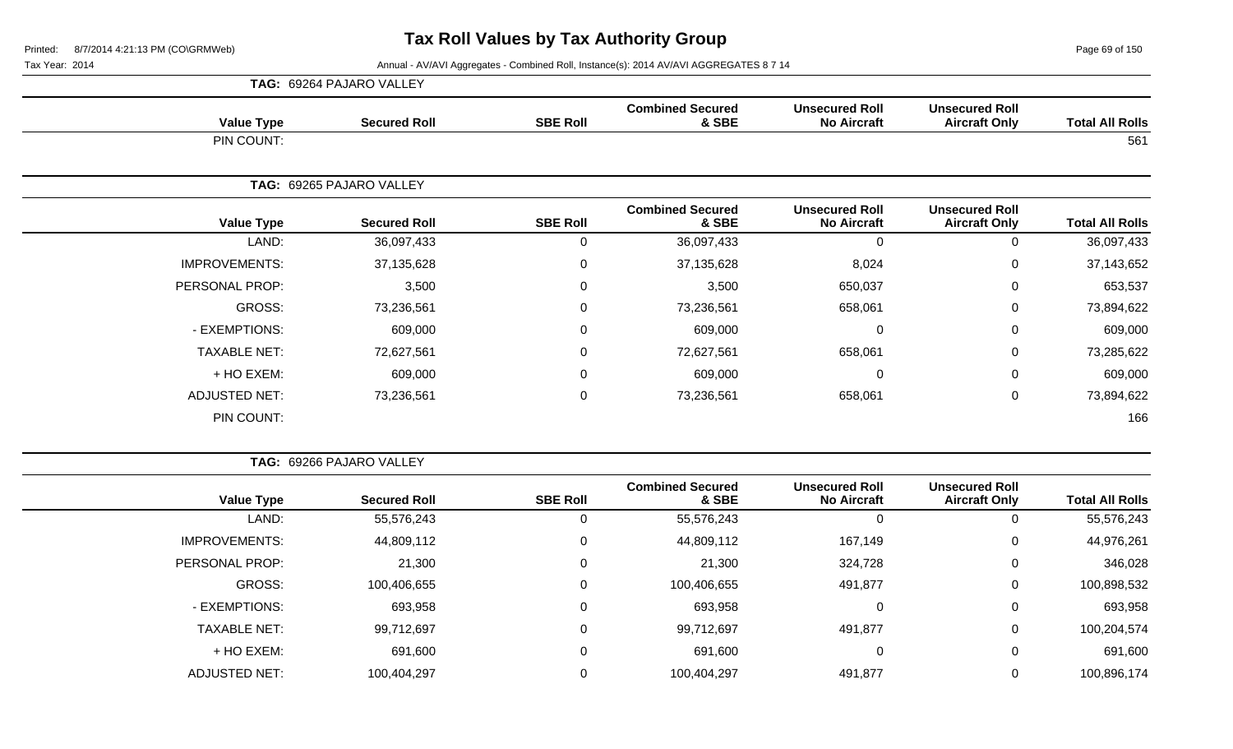Page 69 of 150

Tax Year: 2014 **Annual - AV/AVI Aggregates - Combined Roll**, Instance(s): 2014 AV/AVI AGGREGATES 8 7 14

|                      | <b>TAG: 69264 PAJARO VALLEY</b> |                 |                                  |                                             |                                               |                        |
|----------------------|---------------------------------|-----------------|----------------------------------|---------------------------------------------|-----------------------------------------------|------------------------|
| <b>Value Type</b>    | <b>Secured Roll</b>             | <b>SBE Roll</b> | <b>Combined Secured</b><br>& SBE | <b>Unsecured Roll</b><br><b>No Aircraft</b> | <b>Unsecured Roll</b><br><b>Aircraft Only</b> | <b>Total All Rolls</b> |
| PIN COUNT:           |                                 |                 |                                  |                                             |                                               | 561                    |
|                      | TAG: 69265 PAJARO VALLEY        |                 |                                  |                                             |                                               |                        |
| <b>Value Type</b>    | <b>Secured Roll</b>             | <b>SBE Roll</b> | <b>Combined Secured</b><br>& SBE | <b>Unsecured Roll</b><br><b>No Aircraft</b> | <b>Unsecured Roll</b><br><b>Aircraft Only</b> | <b>Total All Rolls</b> |
| LAND:                | 36,097,433                      | $\mathbf 0$     | 36,097,433                       | $\Omega$                                    | 0                                             | 36,097,433             |
| <b>IMPROVEMENTS:</b> | 37,135,628                      | $\mathbf 0$     | 37,135,628                       | 8,024                                       | 0                                             | 37,143,652             |
| PERSONAL PROP:       | 3,500                           | 0               | 3,500                            | 650,037                                     | $\mathbf 0$                                   | 653,537                |
| GROSS:               | 73,236,561                      | $\Omega$        | 73,236,561                       | 658,061                                     | $\mathbf 0$                                   | 73,894,622             |
| - EXEMPTIONS:        | 609,000                         | 0               | 609,000                          | 0                                           | 0                                             | 609,000                |
| <b>TAXABLE NET:</b>  | 72,627,561                      | $\mathbf 0$     | 72,627,561                       | 658,061                                     | $\mathbf 0$                                   | 73,285,622             |
| + HO EXEM:           | 609,000                         | 0               | 609,000                          | $\Omega$                                    | $\mathbf 0$                                   | 609,000                |
| <b>ADJUSTED NET:</b> | 73,236,561                      | 0               | 73,236,561                       | 658,061                                     | $\mathbf 0$                                   | 73,894,622             |
| PIN COUNT:           |                                 |                 |                                  |                                             |                                               | 166                    |

**TAG:** 69266 PAJARO VALLEY

| <b>Total All Rolls</b> | <b>Unsecured Roll</b><br><b>Aircraft Only</b> | <b>Unsecured Roll</b><br><b>No Aircraft</b> | <b>Combined Secured</b><br>& SBE | <b>SBE Roll</b> | <b>Secured Roll</b> | <b>Value Type</b>    |
|------------------------|-----------------------------------------------|---------------------------------------------|----------------------------------|-----------------|---------------------|----------------------|
| 55,576,243             | 0                                             | 0                                           | 55,576,243                       | 0               | 55,576,243          | LAND:                |
| 44,976,261             | 0                                             | 167,149                                     | 44,809,112                       | 0               | 44,809,112          | <b>IMPROVEMENTS:</b> |
| 346,028                | 0                                             | 324,728                                     | 21,300                           | 0               | 21,300              | PERSONAL PROP:       |
| 100,898,532            | 0                                             | 491,877                                     | 100,406,655                      | $\mathbf 0$     | 100,406,655         | GROSS:               |
| 693,958                | 0                                             | 0                                           | 693,958                          | 0               | 693,958             | - EXEMPTIONS:        |
| 100,204,574            | 0                                             | 491,877                                     | 99,712,697                       | 0               | 99,712,697          | <b>TAXABLE NET:</b>  |
| 691,600                | 0                                             | 0                                           | 691,600                          | $\pmb{0}$       | 691,600             | + HO EXEM:           |
| 100,896,174            | 0                                             | 491,877                                     | 100,404,297                      | 0               | 100,404,297         | <b>ADJUSTED NET:</b> |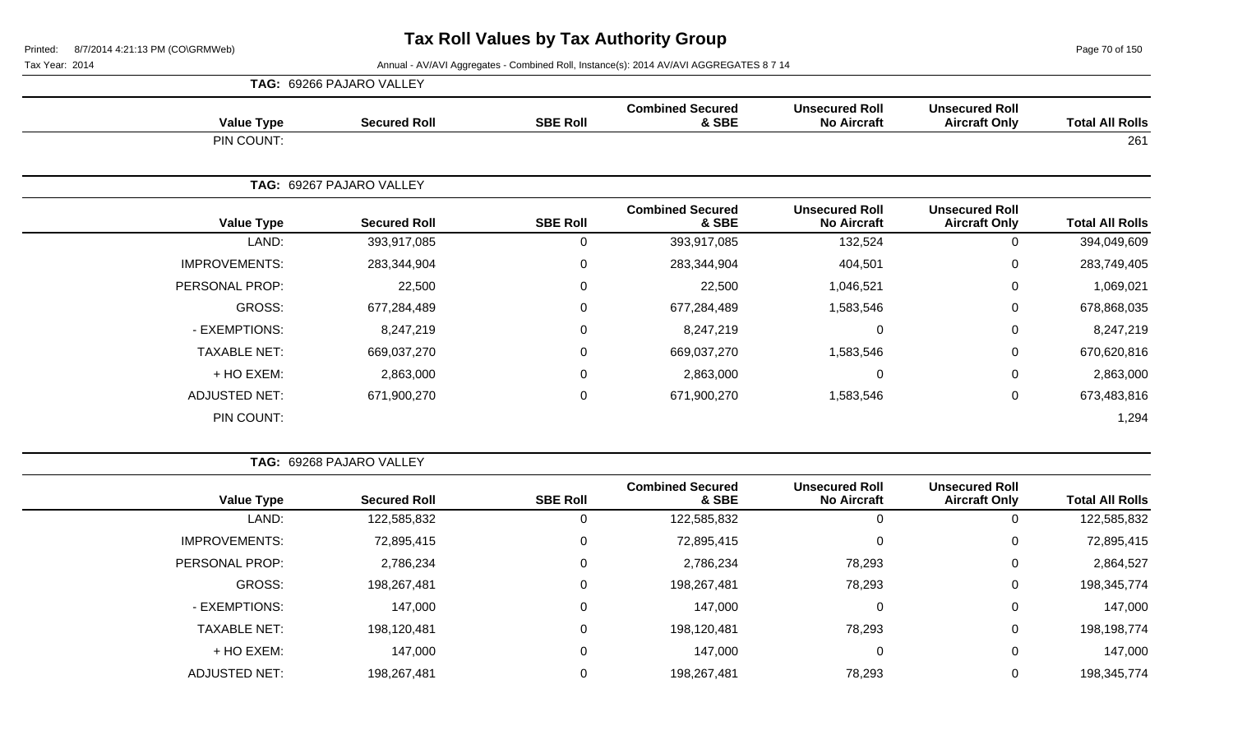Page 70 of 150

| <b>TAG: 69266 PAJARO VALLEY</b> |                          |                 |                                  |                                             |                                               |                        |
|---------------------------------|--------------------------|-----------------|----------------------------------|---------------------------------------------|-----------------------------------------------|------------------------|
| <b>Value Type</b>               | <b>Secured Roll</b>      | <b>SBE Roll</b> | <b>Combined Secured</b><br>& SBE | <b>Unsecured Roll</b><br><b>No Aircraft</b> | <b>Unsecured Roll</b><br><b>Aircraft Only</b> | <b>Total All Rolls</b> |
| PIN COUNT:                      |                          |                 |                                  |                                             |                                               | 261                    |
|                                 | TAG: 69267 PAJARO VALLEY |                 |                                  |                                             |                                               |                        |
| <b>Value Type</b>               | <b>Secured Roll</b>      | <b>SBE Roll</b> | <b>Combined Secured</b><br>& SBE | <b>Unsecured Roll</b><br><b>No Aircraft</b> | <b>Unsecured Roll</b><br><b>Aircraft Only</b> | <b>Total All Rolls</b> |
| LAND:                           | 393,917,085              | $\mathbf 0$     | 393,917,085                      | 132,524                                     | 0                                             | 394,049,609            |
| <b>IMPROVEMENTS:</b>            | 283,344,904              | $\mathbf 0$     | 283,344,904                      | 404,501                                     | 0                                             | 283,749,405            |
| PERSONAL PROP:                  | 22,500                   | $\mathbf 0$     | 22,500                           | 1,046,521                                   | $\mathbf 0$                                   | 1,069,021              |
| GROSS:                          | 677,284,489              | 0               | 677,284,489                      | 1,583,546                                   | $\mathbf 0$                                   | 678,868,035            |
| - EXEMPTIONS:                   | 8,247,219                | 0               | 8,247,219                        | 0                                           | $\mathbf 0$                                   | 8,247,219              |
| <b>TAXABLE NET:</b>             | 669,037,270              | 0               | 669,037,270                      | 1,583,546                                   | $\mathbf 0$                                   | 670,620,816            |
| + HO EXEM:                      | 2,863,000                | 0               | 2,863,000                        | $\Omega$                                    | $\mathbf 0$                                   | 2,863,000              |
| <b>ADJUSTED NET:</b>            | 671,900,270              | 0               | 671,900,270                      | 1,583,546                                   | $\mathbf 0$                                   | 673,483,816            |
| PIN COUNT:                      |                          |                 |                                  |                                             |                                               | 1,294                  |

|                        |                                               |                                             |                                  |                 | TAG: 69268 PAJARO VALLEY |                      |  |
|------------------------|-----------------------------------------------|---------------------------------------------|----------------------------------|-----------------|--------------------------|----------------------|--|
| <b>Total All Rolls</b> | <b>Unsecured Roll</b><br><b>Aircraft Only</b> | <b>Unsecured Roll</b><br><b>No Aircraft</b> | <b>Combined Secured</b><br>& SBE | <b>SBE Roll</b> | <b>Secured Roll</b>      | <b>Value Type</b>    |  |
| 122,585,832            | 0                                             | 0                                           | 122,585,832                      | 0               | 122,585,832              | LAND:                |  |
| 72,895,415             | $\mathbf 0$                                   | 0                                           | 72,895,415                       | 0               | 72,895,415               | <b>IMPROVEMENTS:</b> |  |
| 2,864,527              | 0                                             | 78,293                                      | 2,786,234                        | 0               | 2,786,234                | PERSONAL PROP:       |  |
| 198,345,774            | $\mathbf 0$                                   | 78,293                                      | 198,267,481                      | $\mathbf 0$     | 198,267,481              | GROSS:               |  |
| 147,000                | $\mathbf 0$                                   | $\mathbf 0$                                 | 147,000                          | 0               | 147,000                  | - EXEMPTIONS:        |  |
| 198,198,774            | 0                                             | 78,293                                      | 198,120,481                      | 0               | 198,120,481              | <b>TAXABLE NET:</b>  |  |
| 147,000                | $\mathbf 0$                                   | 0                                           | 147,000                          | 0               | 147,000                  | + HO EXEM:           |  |
| 198,345,774            | 0                                             | 78,293                                      | 198,267,481                      | $\mathbf 0$     | 198,267,481              | <b>ADJUSTED NET:</b> |  |
|                        |                                               |                                             |                                  |                 |                          |                      |  |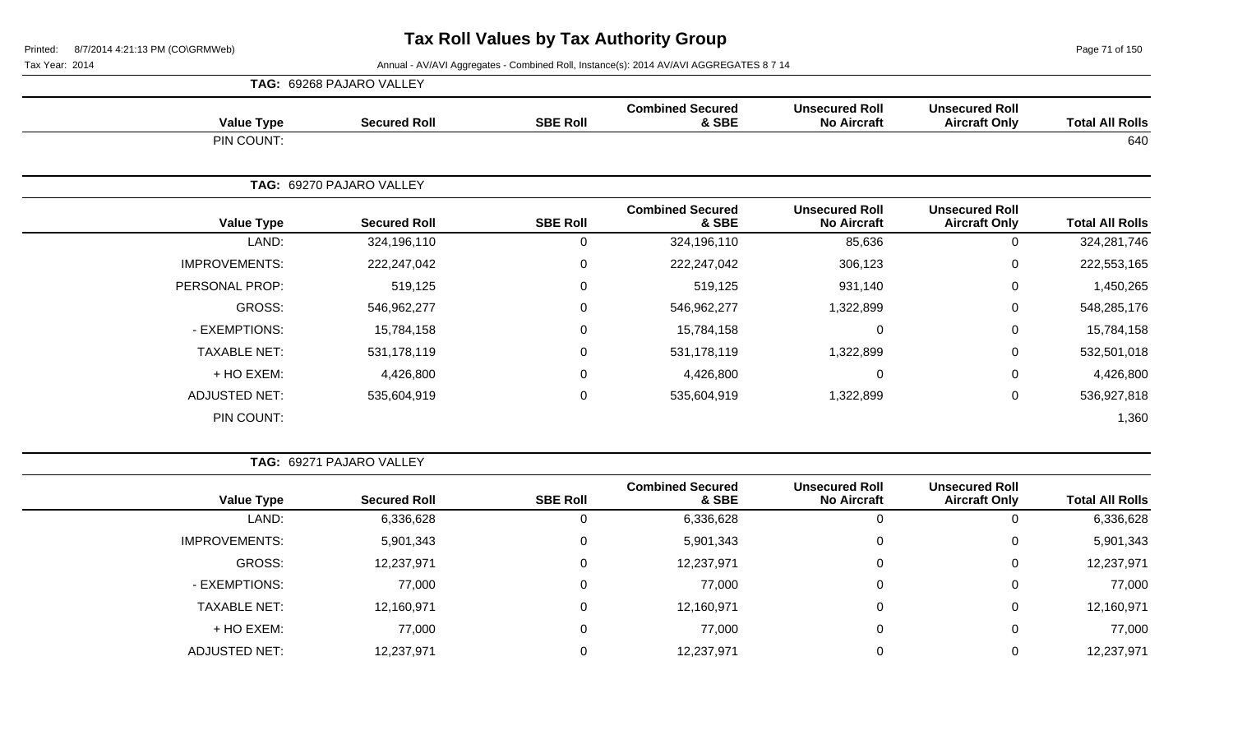Page 71 of 150

|                      | TAG: 69268 PAJARO VALLEY |                 |                                  |                                             |                                               |                        |
|----------------------|--------------------------|-----------------|----------------------------------|---------------------------------------------|-----------------------------------------------|------------------------|
| <b>Value Type</b>    | <b>Secured Roll</b>      | <b>SBE Roll</b> | <b>Combined Secured</b><br>& SBE | <b>Unsecured Roll</b><br><b>No Aircraft</b> | <b>Unsecured Roll</b><br><b>Aircraft Only</b> | <b>Total All Rolls</b> |
| PIN COUNT:           |                          |                 |                                  |                                             |                                               | 640                    |
|                      | TAG: 69270 PAJARO VALLEY |                 |                                  |                                             |                                               |                        |
| <b>Value Type</b>    | <b>Secured Roll</b>      | <b>SBE Roll</b> | <b>Combined Secured</b><br>& SBE | <b>Unsecured Roll</b><br><b>No Aircraft</b> | <b>Unsecured Roll</b><br><b>Aircraft Only</b> | <b>Total All Rolls</b> |
| LAND:                | 324,196,110              | 0               | 324,196,110                      | 85,636                                      | 0                                             | 324,281,746            |
| <b>IMPROVEMENTS:</b> | 222,247,042              | 0               | 222,247,042                      | 306,123                                     | $\mathbf 0$                                   | 222,553,165            |
| PERSONAL PROP:       | 519,125                  | 0               | 519,125                          | 931,140                                     | $\mathbf 0$                                   | 1,450,265              |
| GROSS:               | 546,962,277              | 0               | 546,962,277                      | 1,322,899                                   | $\mathbf 0$                                   | 548,285,176            |
| - EXEMPTIONS:        | 15,784,158               | 0               | 15,784,158                       | $\mathbf{0}$                                | $\mathbf 0$                                   | 15,784,158             |
| <b>TAXABLE NET:</b>  | 531, 178, 119            | 0               | 531,178,119                      | 1,322,899                                   | 0                                             | 532,501,018            |
| + HO EXEM:           | 4,426,800                | 0               | 4,426,800                        | 0                                           | $\mathbf 0$                                   | 4,426,800              |
| <b>ADJUSTED NET:</b> | 535,604,919              | 0               | 535,604,919                      | 1,322,899                                   | $\mathbf 0$                                   | 536,927,818            |
| PIN COUNT:           |                          |                 |                                  |                                             |                                               | 1,360                  |

|                      | <b>TAG: 69271 PAJARO VALLEY</b> |                 |                                  |                                             |                                               |                        |
|----------------------|---------------------------------|-----------------|----------------------------------|---------------------------------------------|-----------------------------------------------|------------------------|
| <b>Value Type</b>    | <b>Secured Roll</b>             | <b>SBE Roll</b> | <b>Combined Secured</b><br>& SBE | <b>Unsecured Roll</b><br><b>No Aircraft</b> | <b>Unsecured Roll</b><br><b>Aircraft Only</b> | <b>Total All Rolls</b> |
| LAND:                | 6,336,628                       | 0               | 6,336,628                        |                                             | 0                                             | 6,336,628              |
| <b>IMPROVEMENTS:</b> | 5,901,343                       | 0               | 5,901,343                        |                                             | 0                                             | 5,901,343              |
| GROSS:               | 12,237,971                      | 0               | 12,237,971                       |                                             | 0                                             | 12,237,971             |
| - EXEMPTIONS:        | 77,000                          | 0               | 77,000                           |                                             | 0                                             | 77,000                 |
| <b>TAXABLE NET:</b>  | 12,160,971                      | 0               | 12,160,971                       |                                             | 0                                             | 12,160,971             |
| + HO EXEM:           | 77,000                          | 0               | 77,000                           |                                             | 0                                             | 77,000                 |
| <b>ADJUSTED NET:</b> | 12,237,971                      | 0               | 12,237,971                       |                                             | 0                                             | 12,237,971             |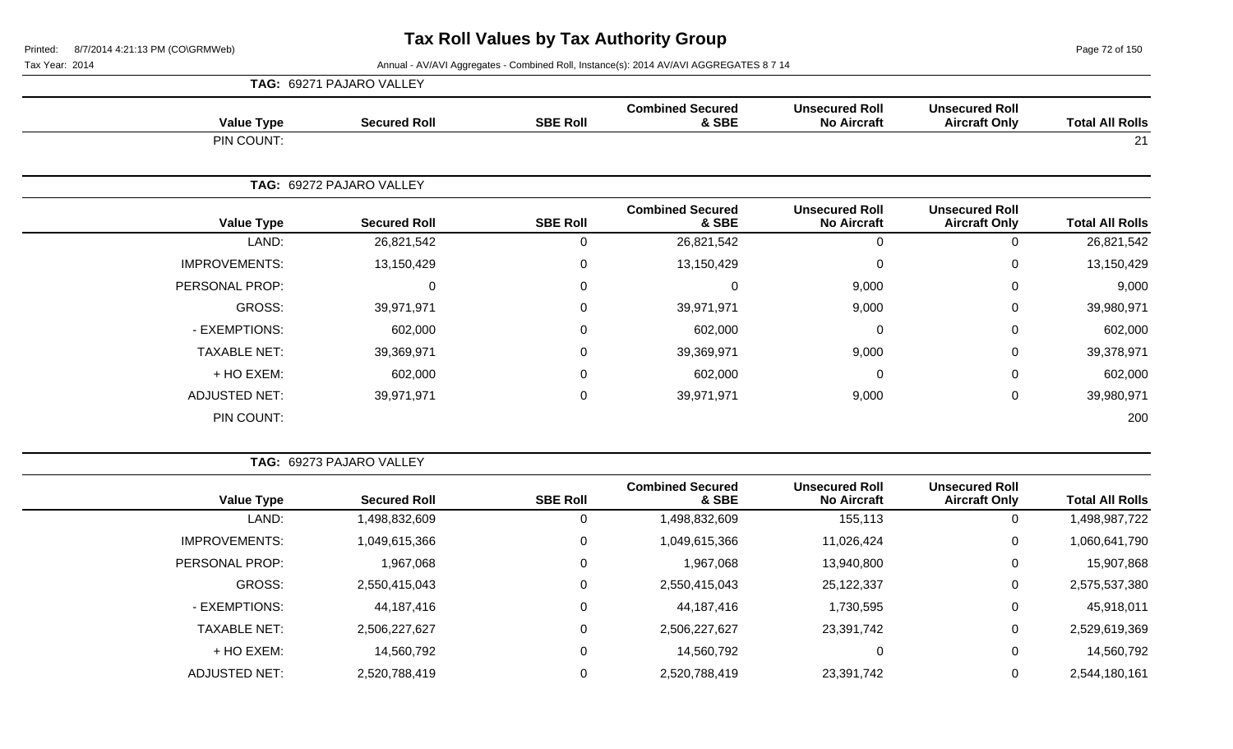Page 72 of 150

|                        |                                               |                                             |                                  |                 | TAG: 69271 PAJARO VALLEY |                      |
|------------------------|-----------------------------------------------|---------------------------------------------|----------------------------------|-----------------|--------------------------|----------------------|
| <b>Total All Rolls</b> | <b>Unsecured Roll</b><br><b>Aircraft Only</b> | <b>Unsecured Roll</b><br><b>No Aircraft</b> | <b>Combined Secured</b><br>& SBE | <b>SBE Roll</b> | <b>Secured Roll</b>      | <b>Value Type</b>    |
| 21                     |                                               |                                             |                                  |                 |                          | PIN COUNT:           |
|                        |                                               |                                             |                                  |                 | TAG: 69272 PAJARO VALLEY |                      |
| <b>Total All Rolls</b> | <b>Unsecured Roll</b><br><b>Aircraft Only</b> | <b>Unsecured Roll</b><br><b>No Aircraft</b> | <b>Combined Secured</b><br>& SBE | <b>SBE Roll</b> | <b>Secured Roll</b>      | <b>Value Type</b>    |
| 26,821,542             | $\mathbf 0$                                   | 0                                           | 26,821,542                       | 0               | 26,821,542               | LAND:                |
| 13,150,429             | 0                                             | 0                                           | 13,150,429                       | 0               | 13,150,429               | <b>IMPROVEMENTS:</b> |
| 9,000                  | $\mathbf 0$                                   | 9,000                                       | 0                                | 0               | $\Omega$                 | PERSONAL PROP:       |
| 39,980,971             | $\mathbf 0$                                   | 9,000                                       | 39,971,971                       | 0               | 39,971,971               | GROSS:               |
| 602,000                | $\mathbf 0$                                   | $\Omega$                                    | 602,000                          | 0               | 602,000                  | - EXEMPTIONS:        |
| 39,378,971             | $\mathbf 0$                                   | 9,000                                       | 39,369,971                       | 0               | 39,369,971               | <b>TAXABLE NET:</b>  |
| 602,000                | 0                                             | $\Omega$                                    | 602,000                          | 0               | 602,000                  | + HO EXEM:           |
| 39,980,971             | 0                                             | 9,000                                       | 39,971,971                       | 0               | 39,971,971               | <b>ADJUSTED NET:</b> |
| 200                    |                                               |                                             |                                  |                 |                          | PIN COUNT:           |

| <b>Total All Rolls</b> | <b>Unsecured Roll</b><br><b>Aircraft Only</b> | <b>Unsecured Roll</b><br><b>No Aircraft</b> | <b>Combined Secured</b><br>& SBE | <b>SBE Roll</b> | <b>Secured Roll</b> | <b>Value Type</b>    |
|------------------------|-----------------------------------------------|---------------------------------------------|----------------------------------|-----------------|---------------------|----------------------|
| ,498,987,722           | U                                             | 155,113                                     | 1,498,832,609                    |                 | 1,498,832,609       | LAND:                |
| 1,060,641,790          | 0                                             | 11,026,424                                  | 1,049,615,366                    | 0               | 1,049,615,366       | <b>IMPROVEMENTS:</b> |
| 15,907,868             | 0                                             | 13,940,800                                  | 1,967,068                        | $\Omega$        | 1,967,068           | PERSONAL PROP:       |
| 2,575,537,380          | 0                                             | 25,122,337                                  | 2,550,415,043                    | 0               | 2,550,415,043       | GROSS:               |
| 45,918,011             | 0                                             | 1,730,595                                   | 44,187,416                       | 0               | 44,187,416          | - EXEMPTIONS:        |
| 2,529,619,369          | 0                                             | 23,391,742                                  | 2,506,227,627                    | $\Omega$        | 2,506,227,627       | <b>TAXABLE NET:</b>  |
| 14,560,792             | 0                                             | 0                                           | 14,560,792                       | 0               | 14,560,792          | + HO EXEM:           |
| 2,544,180,161          | 0                                             | 23,391,742                                  | 2,520,788,419                    |                 | 2,520,788,419       | <b>ADJUSTED NET:</b> |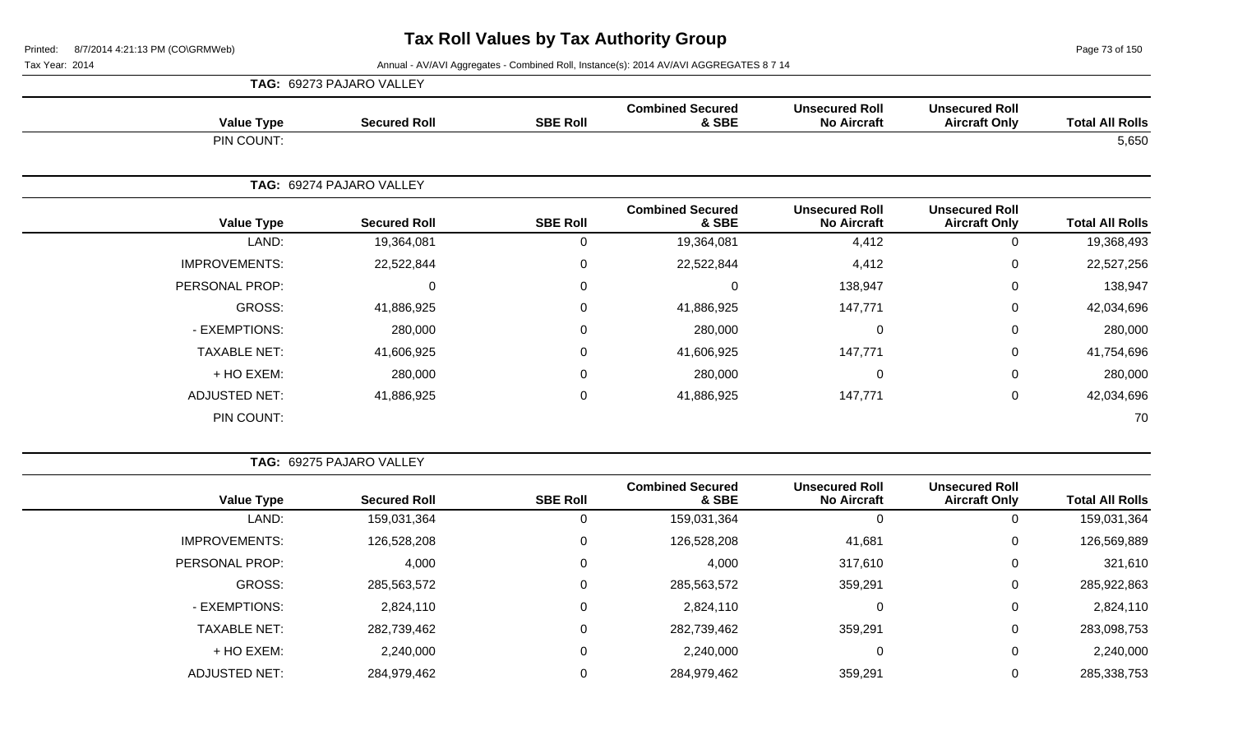Page 73 of 150

|                      | TAG: 69273 PAJARO VALLEY |                 |                                  |                                             |                                               |                        |
|----------------------|--------------------------|-----------------|----------------------------------|---------------------------------------------|-----------------------------------------------|------------------------|
| <b>Value Type</b>    | <b>Secured Roll</b>      | <b>SBE Roll</b> | <b>Combined Secured</b><br>& SBE | <b>Unsecured Roll</b><br><b>No Aircraft</b> | <b>Unsecured Roll</b><br><b>Aircraft Only</b> | <b>Total All Rolls</b> |
| PIN COUNT:           |                          |                 |                                  |                                             |                                               | 5,650                  |
|                      | TAG: 69274 PAJARO VALLEY |                 |                                  |                                             |                                               |                        |
| <b>Value Type</b>    | <b>Secured Roll</b>      | <b>SBE Roll</b> | <b>Combined Secured</b><br>& SBE | <b>Unsecured Roll</b><br><b>No Aircraft</b> | <b>Unsecured Roll</b><br><b>Aircraft Only</b> | <b>Total All Rolls</b> |
| LAND:                | 19,364,081               | 0               | 19,364,081                       | 4,412                                       | 0                                             | 19,368,493             |
| <b>IMPROVEMENTS:</b> | 22,522,844               | 0               | 22,522,844                       | 4,412                                       | 0                                             | 22,527,256             |
| PERSONAL PROP:       | $\Omega$                 | 0               | 0                                | 138,947                                     | 0                                             | 138,947                |
| GROSS:               | 41,886,925               | 0               | 41,886,925                       | 147,771                                     | $\mathbf 0$                                   | 42,034,696             |
| - EXEMPTIONS:        | 280,000                  | 0               | 280,000                          | 0                                           | $\mathbf 0$                                   | 280,000                |
| <b>TAXABLE NET:</b>  | 41,606,925               | 0               | 41,606,925                       | 147,771                                     | $\mathbf 0$                                   | 41,754,696             |
| + HO EXEM:           | 280,000                  | 0               | 280,000                          | $\mathbf 0$                                 | $\mathbf 0$                                   | 280,000                |
| <b>ADJUSTED NET:</b> | 41,886,925               | 0               | 41,886,925                       | 147,771                                     | $\mathbf 0$                                   | 42,034,696             |
| PIN COUNT:           |                          |                 |                                  |                                             |                                               | 70                     |

|  | <b>TAG: 69275 PAJARO VALLEY</b> |  |
|--|---------------------------------|--|
|  |                                 |  |

| <b>Total All Rolls</b> | <b>Unsecured Roll</b><br><b>Aircraft Only</b> | <b>Unsecured Roll</b><br><b>No Aircraft</b> | <b>Combined Secured</b><br>& SBE | <b>SBE Roll</b> | <b>Secured Roll</b> | <b>Value Type</b>    |
|------------------------|-----------------------------------------------|---------------------------------------------|----------------------------------|-----------------|---------------------|----------------------|
| 159,031,364            | 0                                             | 0                                           | 159,031,364                      |                 | 159,031,364         | LAND:                |
| 126,569,889            | 0                                             | 41,681                                      | 126,528,208                      |                 | 126,528,208         | <b>IMPROVEMENTS:</b> |
| 321,610                | 0                                             | 317,610                                     | 4,000                            |                 | 4,000               | PERSONAL PROP:       |
| 285,922,863            | 0                                             | 359,291                                     | 285,563,572                      |                 | 285,563,572         | GROSS:               |
| 2,824,110              | 0                                             | 0                                           | 2,824,110                        |                 | 2,824,110           | - EXEMPTIONS:        |
| 283,098,753            | 0                                             | 359,291                                     | 282,739,462                      |                 | 282,739,462         | <b>TAXABLE NET:</b>  |
| 2,240,000              | 0                                             | 0                                           | 2,240,000                        |                 | 2,240,000           | + HO EXEM:           |
| 285,338,753            | 0                                             | 359,291                                     | 284,979,462                      |                 | 284,979,462         | <b>ADJUSTED NET:</b> |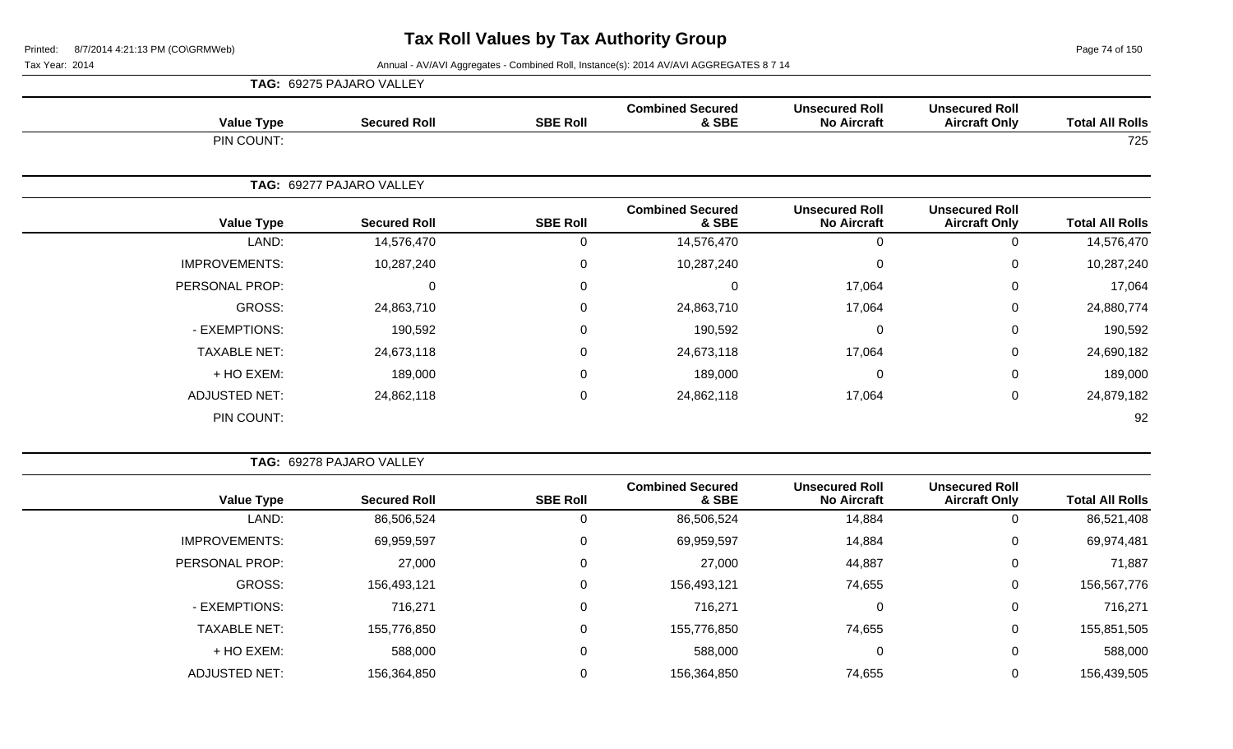Page 74 of 150

| TAG: 69275 PAJARO VALLEY |                          |                 |                                  |                                             |                                               |                        |
|--------------------------|--------------------------|-----------------|----------------------------------|---------------------------------------------|-----------------------------------------------|------------------------|
| <b>Value Type</b>        | <b>Secured Roll</b>      | <b>SBE Roll</b> | <b>Combined Secured</b><br>& SBE | <b>Unsecured Roll</b><br><b>No Aircraft</b> | <b>Unsecured Roll</b><br><b>Aircraft Only</b> | <b>Total All Rolls</b> |
| PIN COUNT:               |                          |                 |                                  |                                             |                                               | 725                    |
|                          | TAG: 69277 PAJARO VALLEY |                 |                                  |                                             |                                               |                        |
| <b>Value Type</b>        | <b>Secured Roll</b>      | <b>SBE Roll</b> | <b>Combined Secured</b><br>& SBE | <b>Unsecured Roll</b><br><b>No Aircraft</b> | <b>Unsecured Roll</b><br><b>Aircraft Only</b> | <b>Total All Rolls</b> |
| LAND:                    | 14,576,470               | 0               | 14,576,470                       | $\mathbf{0}$                                | 0                                             | 14,576,470             |
| <b>IMPROVEMENTS:</b>     | 10,287,240               | 0               | 10,287,240                       | $\Omega$                                    | $\Omega$                                      | 10,287,240             |
| PERSONAL PROP:           | $\Omega$                 | 0               | $\mathbf 0$                      | 17,064                                      | 0                                             | 17,064                 |
| GROSS:                   | 24,863,710               | 0               | 24,863,710                       | 17,064                                      | 0                                             | 24,880,774             |
| - EXEMPTIONS:            | 190,592                  | 0               | 190,592                          | $\Omega$                                    | $\mathbf 0$                                   | 190,592                |
| <b>TAXABLE NET:</b>      | 24,673,118               | 0               | 24,673,118                       | 17,064                                      | 0                                             | 24,690,182             |
| + HO EXEM:               | 189,000                  | $\mathbf 0$     | 189,000                          | $\Omega$                                    | 0                                             | 189,000                |
| <b>ADJUSTED NET:</b>     | 24,862,118               | 0               | 24,862,118                       | 17,064                                      | $\mathbf 0$                                   | 24,879,182             |
| PIN COUNT:               |                          |                 |                                  |                                             |                                               | 92                     |

|  |  |  | TAG: 69278 PAJARO VALLEY |  |
|--|--|--|--------------------------|--|
|--|--|--|--------------------------|--|

|                      |                     |                 | <b>Combined Secured</b> | <b>Unsecured Roll</b> |                                               |                        |
|----------------------|---------------------|-----------------|-------------------------|-----------------------|-----------------------------------------------|------------------------|
| <b>Value Type</b>    | <b>Secured Roll</b> | <b>SBE Roll</b> | & SBE                   | <b>No Aircraft</b>    | <b>Unsecured Roll</b><br><b>Aircraft Only</b> | <b>Total All Rolls</b> |
| LAND:                | 86,506,524          |                 | 86,506,524              | 14,884                |                                               | 86,521,408             |
| <b>IMPROVEMENTS:</b> | 69,959,597          |                 | 69,959,597              | 14,884                | 0                                             | 69,974,481             |
| PERSONAL PROP:       | 27,000              |                 | 27,000                  | 44,887                | 0                                             | 71,887                 |
| GROSS:               | 156,493,121         |                 | 156,493,121             | 74,655                | 0                                             | 156,567,776            |
| - EXEMPTIONS:        | 716,271             |                 | 716,271                 |                       | 0                                             | 716,271                |
| <b>TAXABLE NET:</b>  | 155,776,850         |                 | 155,776,850             | 74,655                | 0                                             | 155,851,505            |
| + HO EXEM:           | 588,000             |                 | 588,000                 | 0                     | 0                                             | 588,000                |
| <b>ADJUSTED NET:</b> | 156,364,850         |                 | 156,364,850             | 74,655                |                                               | 156,439,505            |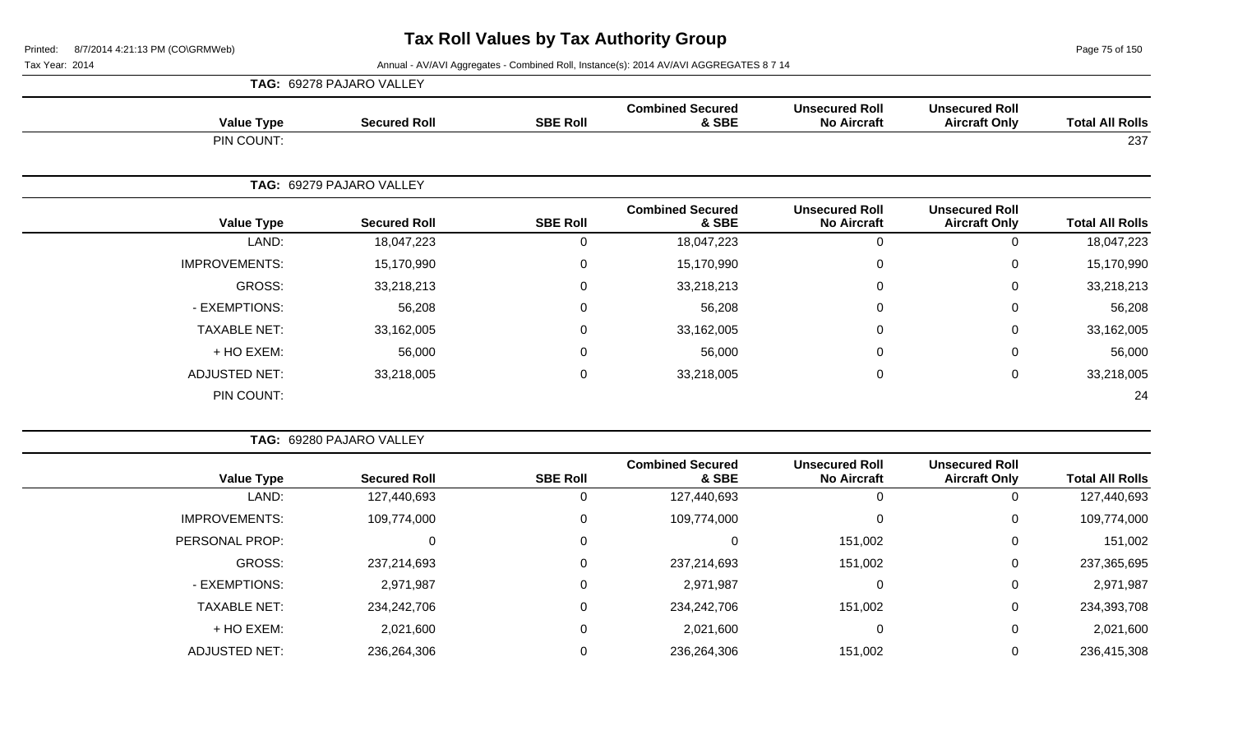Page 75 of 150

|                        | <b>Unsecured Roll</b><br><b>Aircraft Only</b> |                                             | <b>Combined Secured</b><br>& SBE |                 | TAG: 69278 PAJARO VALLEY |                      |
|------------------------|-----------------------------------------------|---------------------------------------------|----------------------------------|-----------------|--------------------------|----------------------|
| <b>Total All Rolls</b> |                                               | <b>Unsecured Roll</b><br><b>No Aircraft</b> |                                  | <b>SBE Roll</b> | <b>Secured Roll</b>      | <b>Value Type</b>    |
| 237                    |                                               |                                             |                                  |                 |                          | PIN COUNT:           |
|                        |                                               |                                             |                                  |                 | TAG: 69279 PAJARO VALLEY |                      |
| <b>Total All Rolls</b> | <b>Unsecured Roll</b><br><b>Aircraft Only</b> | <b>Unsecured Roll</b><br><b>No Aircraft</b> | <b>Combined Secured</b><br>& SBE | <b>SBE Roll</b> | <b>Secured Roll</b>      | <b>Value Type</b>    |
| 18,047,223             | $\mathbf 0$                                   | $\mathbf{0}$                                | 18,047,223                       | 0               | 18,047,223               | LAND:                |
| 15,170,990             | $\mathbf 0$                                   | 0                                           | 15,170,990                       | 0               | 15,170,990               | <b>IMPROVEMENTS:</b> |
| 33,218,213             | $\mathbf 0$                                   | 0                                           | 33,218,213                       | 0               | 33,218,213               | <b>GROSS:</b>        |
| 56,208                 | 0                                             | $\Omega$                                    | 56,208                           | 0               | 56,208                   | - EXEMPTIONS:        |
| 33,162,005             | 0                                             | 0                                           | 33,162,005                       | 0               | 33,162,005               | <b>TAXABLE NET:</b>  |
| 56,000                 | $\mathbf 0$                                   |                                             | 56,000                           | 0               | 56,000                   | + HO EXEM:           |
| 33,218,005             | $\mathbf 0$                                   | 0                                           | 33,218,005                       | 0               | 33,218,005               | <b>ADJUSTED NET:</b> |
| 24                     |                                               |                                             |                                  |                 |                          | PIN COUNT:           |
|                        |                                               |                                             |                                  |                 | TAG: 69280 PAJARO VALLEY |                      |
|                        | <b>The and contract Profit</b>                | The algorithm all the U.S.                  | Openedictor of Opening of        |                 |                          |                      |

| <b>Value Type</b>    | <b>Secured Roll</b> | <b>SBE Roll</b> | <b>Combined Secured</b><br>& SBE | <b>Unsecured Roll</b><br><b>No Aircraft</b> | <b>Unsecured Roll</b><br><b>Aircraft Only</b> | <b>Total All Rolls</b> |
|----------------------|---------------------|-----------------|----------------------------------|---------------------------------------------|-----------------------------------------------|------------------------|
| LAND:                | 127,440,693         | υ               | 127,440,693                      | 0                                           |                                               | 127,440,693            |
| <b>IMPROVEMENTS:</b> | 109,774,000         | 0               | 109,774,000                      | $\mathbf 0$                                 | 0                                             | 109,774,000            |
| PERSONAL PROP:       | 0                   | 0               |                                  | 151,002                                     | 0                                             | 151,002                |
| GROSS:               | 237,214,693         | 0               | 237,214,693                      | 151,002                                     | 0                                             | 237,365,695            |
| - EXEMPTIONS:        | 2,971,987           | 0               | 2,971,987                        | 0                                           | 0                                             | 2,971,987              |
| <b>TAXABLE NET:</b>  | 234,242,706         | 0               | 234,242,706                      | 151,002                                     | 0                                             | 234,393,708            |
| + HO EXEM:           | 2,021,600           | 0               | 2,021,600                        | $\mathbf 0$                                 | 0                                             | 2,021,600              |
| <b>ADJUSTED NET:</b> | 236,264,306         | $\mathbf{0}$    | 236,264,306                      | 151,002                                     |                                               | 236,415,308            |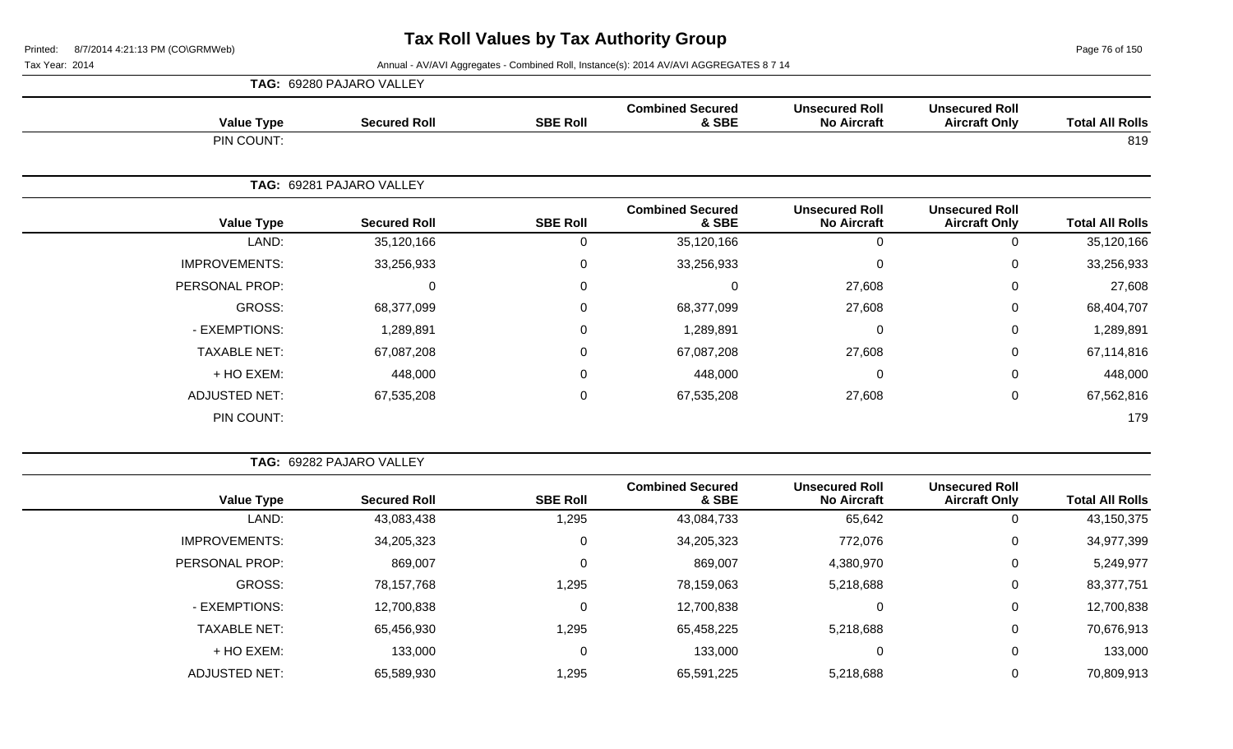Page 76 of 150

|                      | TAG: 69280 PAJARO VALLEY |                 |                                  |                                             |                                               |                        |
|----------------------|--------------------------|-----------------|----------------------------------|---------------------------------------------|-----------------------------------------------|------------------------|
| <b>Value Type</b>    | <b>Secured Roll</b>      | <b>SBE Roll</b> | <b>Combined Secured</b><br>& SBE | <b>Unsecured Roll</b><br><b>No Aircraft</b> | <b>Unsecured Roll</b><br><b>Aircraft Only</b> | <b>Total All Rolls</b> |
| PIN COUNT:           |                          |                 |                                  |                                             |                                               | 819                    |
|                      | TAG: 69281 PAJARO VALLEY |                 |                                  |                                             |                                               |                        |
| <b>Value Type</b>    | <b>Secured Roll</b>      | <b>SBE Roll</b> | <b>Combined Secured</b><br>& SBE | <b>Unsecured Roll</b><br><b>No Aircraft</b> | <b>Unsecured Roll</b><br><b>Aircraft Only</b> | <b>Total All Rolls</b> |
| LAND:                | 35,120,166               | 0               | 35,120,166                       | 0                                           | 0                                             | 35,120,166             |
| <b>IMPROVEMENTS:</b> | 33,256,933               | 0               | 33,256,933                       | $\Omega$                                    | 0                                             | 33,256,933             |
| PERSONAL PROP:       | $\mathbf{0}$             | 0               | $\Omega$                         | 27,608                                      | 0                                             | 27,608                 |
| GROSS:               | 68,377,099               | 0               | 68,377,099                       | 27,608                                      | $\mathbf 0$                                   | 68,404,707             |
| - EXEMPTIONS:        | 1,289,891                | 0               | 1,289,891                        | 0                                           | $\mathbf 0$                                   | 1,289,891              |
| <b>TAXABLE NET:</b>  | 67,087,208               | 0               | 67,087,208                       | 27,608                                      | $\mathbf 0$                                   | 67,114,816             |
| + HO EXEM:           | 448,000                  | 0               | 448,000                          | $\Omega$                                    | 0                                             | 448,000                |
| <b>ADJUSTED NET:</b> | 67,535,208               | 0               | 67,535,208                       | 27,608                                      | $\mathbf 0$                                   | 67,562,816             |
| PIN COUNT:           |                          |                 |                                  |                                             |                                               | 179                    |

| TAG: 69282 PAJARO VALLEY |                     |                 |                                  |                                             |                                               |                        |
|--------------------------|---------------------|-----------------|----------------------------------|---------------------------------------------|-----------------------------------------------|------------------------|
| <b>Value Type</b>        | <b>Secured Roll</b> | <b>SBE Roll</b> | <b>Combined Secured</b><br>& SBE | <b>Unsecured Roll</b><br><b>No Aircraft</b> | <b>Unsecured Roll</b><br><b>Aircraft Only</b> | <b>Total All Rolls</b> |
| LAND:                    | 43,083,438          | 1,295           | 43,084,733                       | 65,642                                      | U                                             | 43,150,375             |
| <b>IMPROVEMENTS:</b>     | 34,205,323          | 0               | 34,205,323                       | 772,076                                     | 0                                             | 34,977,399             |
| <b>PERSONAL PROP:</b>    | 869,007             | 0               | 869,007                          | 4,380,970                                   | 0                                             | 5,249,977              |
| GROSS:                   | 78,157,768          | 1,295           | 78,159,063                       | 5,218,688                                   | 0                                             | 83,377,751             |
| - EXEMPTIONS:            | 12,700,838          | 0               | 12,700,838                       | 0                                           | 0                                             | 12,700,838             |
| <b>TAXABLE NET:</b>      | 65,456,930          | 1,295           | 65,458,225                       | 5,218,688                                   | 0                                             | 70,676,913             |
| + HO EXEM:               | 133,000             | 0               | 133,000                          | 0                                           | 0                                             | 133,000                |
| <b>ADJUSTED NET:</b>     | 65,589,930          | 1,295           | 65,591,225                       | 5,218,688                                   | 0                                             | 70,809,913             |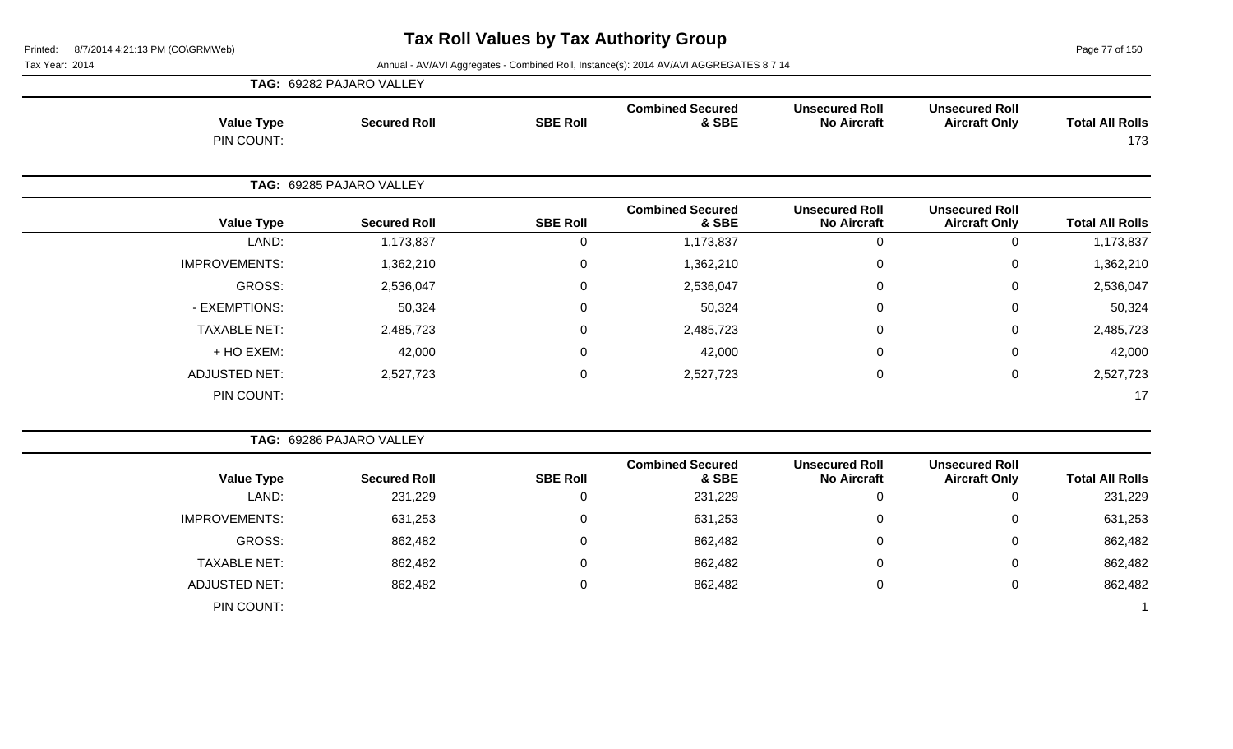Page 77 of 150

|                        | <b>Unsecured Roll</b><br><b>Aircraft Only</b> |                                             |                                  |                 | TAG: 69282 PAJARO VALLEY |                      |
|------------------------|-----------------------------------------------|---------------------------------------------|----------------------------------|-----------------|--------------------------|----------------------|
| <b>Total All Rolls</b> |                                               | <b>Unsecured Roll</b><br><b>No Aircraft</b> | <b>Combined Secured</b><br>& SBE | <b>SBE Roll</b> | <b>Secured Roll</b>      | <b>Value Type</b>    |
| 173                    |                                               |                                             |                                  |                 |                          | PIN COUNT:           |
|                        |                                               |                                             |                                  |                 | TAG: 69285 PAJARO VALLEY |                      |
| <b>Total All Rolls</b> | <b>Unsecured Roll</b><br><b>Aircraft Only</b> | <b>Unsecured Roll</b><br><b>No Aircraft</b> | <b>Combined Secured</b><br>& SBE | <b>SBE Roll</b> | <b>Secured Roll</b>      | <b>Value Type</b>    |
| 1,173,837              | $\mathbf 0$                                   | $\mathbf 0$                                 | 1,173,837                        | $\mathsf 0$     | 1,173,837                | LAND:                |
| 1,362,210              | 0                                             | $\Omega$                                    | 1,362,210                        | 0               | 1,362,210                | <b>IMPROVEMENTS:</b> |
| 2,536,047              | 0                                             | $\Omega$                                    | 2,536,047                        | 0               | 2,536,047                | <b>GROSS:</b>        |
| 50,324                 | $\mathbf 0$                                   | $\Omega$                                    | 50,324                           | $\mathbf 0$     | 50,324                   | - EXEMPTIONS:        |
| 2,485,723              | $\mathbf 0$                                   | $\Omega$                                    | 2,485,723                        | 0               | 2,485,723                | <b>TAXABLE NET:</b>  |
| 42,000                 | $\mathbf 0$                                   | $\Omega$                                    | 42,000                           | $\mathbf 0$     | 42,000                   | + HO EXEM:           |
| 2,527,723              | $\mathsf{O}\xspace$                           | $\mathbf 0$                                 | 2,527,723                        | $\mathbf 0$     | 2,527,723                | <b>ADJUSTED NET:</b> |
| 17                     |                                               |                                             |                                  |                 |                          | PIN COUNT:           |
|                        |                                               |                                             |                                  |                 | TAG: 69286 PAJARO VALLEY |                      |
| <b>Total All Rolls</b> | <b>Unsecured Roll</b><br><b>Aircraft Only</b> | <b>Unsecured Roll</b><br><b>No Aircraft</b> | <b>Combined Secured</b><br>& SBE | <b>SBE Roll</b> | <b>Secured Roll</b>      | <b>Value Type</b>    |
| 231,229                | $\mathbf 0$                                   | $\mathbf 0$                                 | 231,229                          | $\mathsf 0$     | 231,229                  | LAND:                |
| 631,253                | $\mathbf 0$                                   | $\mathbf 0$                                 | 631,253                          | $\mathbf 0$     | 631,253                  | <b>IMPROVEMENTS:</b> |
| 862,482                | $\mathbf 0$                                   | $\Omega$                                    | 862,482                          | $\mathbf 0$     | 862,482                  | <b>GROSS:</b>        |
| 862,482                | $\mathbf 0$                                   | $\pmb{0}$                                   | 862,482                          | $\mathbf 0$     | 862,482                  | <b>TAXABLE NET:</b>  |
| 862,482                | $\boldsymbol{0}$                              | $\mathbf 0$                                 | 862,482                          | $\pmb{0}$       | 862,482                  | <b>ADJUSTED NET:</b> |
|                        |                                               |                                             |                                  |                 |                          | PIN COUNT:           |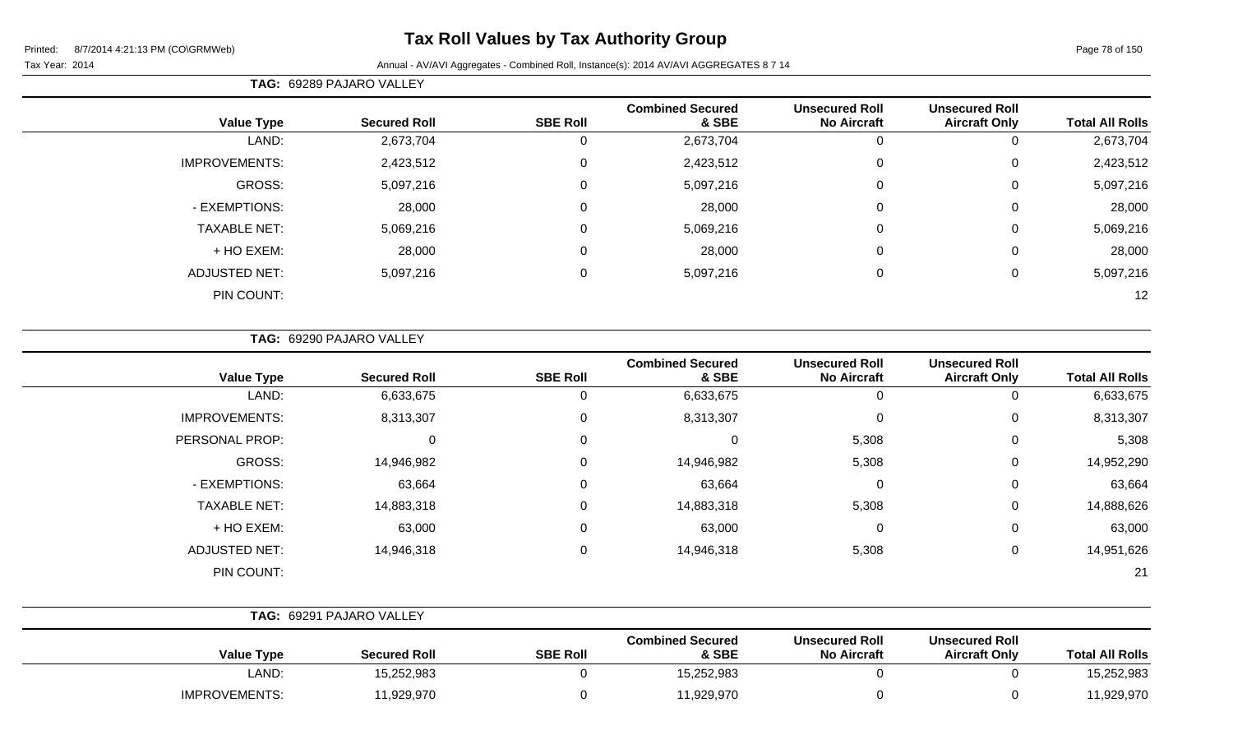# **Tax Roll Values by Tax Authority Group**

#### Tax Year: 2014 **Annual - AV/AVI Aggregates - Combined Roll**, Instance(s): 2014 AV/AVI AGGREGATES 8 7 14

**TAG:** 69289 PAJARO VALLEY

| <b>Total All Rolls</b> | <b>Unsecured Roll</b><br><b>Aircraft Only</b> | <b>Unsecured Roll</b><br><b>No Aircraft</b> | <b>Combined Secured</b><br>& SBE | <b>SBE Roll</b> | <b>Secured Roll</b> | <b>Value Type</b>    |
|------------------------|-----------------------------------------------|---------------------------------------------|----------------------------------|-----------------|---------------------|----------------------|
| 2,673,704              | υ                                             | 0                                           | 2,673,704                        | 0               | 2,673,704           | LAND:                |
| 2,423,512              | 0                                             | 0                                           | 2,423,512                        | $\mathbf 0$     | 2,423,512           | <b>IMPROVEMENTS:</b> |
| 5,097,216              | 0                                             | 0                                           | 5,097,216                        | $\mathbf 0$     | 5,097,216           | GROSS:               |
| 28,000                 | 0                                             | 0                                           | 28,000                           | $\mathbf 0$     | 28,000              | - EXEMPTIONS:        |
| 5,069,216              | 0                                             | 0                                           | 5,069,216                        | $\mathbf 0$     | 5,069,216           | <b>TAXABLE NET:</b>  |
| 28,000                 | 0                                             | 0                                           | 28,000                           | 0               | 28,000              | + HO EXEM:           |
| 5,097,216              | 0                                             | 0                                           | 5,097,216                        | $\mathbf 0$     | 5,097,216           | <b>ADJUSTED NET:</b> |
| 12                     |                                               |                                             |                                  |                 |                     | PIN COUNT:           |
|                        |                                               |                                             |                                  |                 |                     |                      |

**TAG:** 69290 PAJARO VALLEY

| <b>Value Type</b>    | <b>Secured Roll</b> | <b>SBE Roll</b> | <b>Combined Secured</b><br>& SBE | <b>Unsecured Roll</b><br><b>No Aircraft</b> | <b>Unsecured Roll</b><br><b>Aircraft Only</b> | <b>Total All Rolls</b> |
|----------------------|---------------------|-----------------|----------------------------------|---------------------------------------------|-----------------------------------------------|------------------------|
| LAND:                | 6,633,675           |                 | 6,633,675                        | 0                                           |                                               | 6,633,675              |
| <b>IMPROVEMENTS:</b> | 8,313,307           | 0               | 8,313,307                        | $\mathbf 0$                                 | 0                                             | 8,313,307              |
| PERSONAL PROP:       | 0                   | 0               | 0                                | 5,308                                       | 0                                             | 5,308                  |
| GROSS:               | 14,946,982          |                 | 14,946,982                       | 5,308                                       | 0                                             | 14,952,290             |
| - EXEMPTIONS:        | 63,664              |                 | 63,664                           | 0                                           | 0                                             | 63,664                 |
| <b>TAXABLE NET:</b>  | 14,883,318          | $\Omega$        | 14,883,318                       | 5,308                                       | 0                                             | 14,888,626             |
| + HO EXEM:           | 63,000              | $\Omega$        | 63,000                           | $\mathbf 0$                                 | 0                                             | 63,000                 |
| <b>ADJUSTED NET:</b> | 14,946,318          | $\Omega$        | 14,946,318                       | 5,308                                       | 0                                             | 14,951,626             |
| PIN COUNT:           |                     |                 |                                  |                                             |                                               | 21                     |

|                      | TAG: 69291 PAJARO VALLEY |                 |                                  |                                             |                                               |                        |
|----------------------|--------------------------|-----------------|----------------------------------|---------------------------------------------|-----------------------------------------------|------------------------|
| <b>Value Type</b>    | <b>Secured Roll</b>      | <b>SBE Roll</b> | <b>Combined Secured</b><br>& SBE | <b>Unsecured Roll</b><br><b>No Aircraft</b> | <b>Unsecured Roll</b><br><b>Aircraft Only</b> | <b>Total All Rolls</b> |
| LAND:                | 15,252,983               |                 | 15,252,983                       |                                             |                                               | 15,252,983             |
| <b>IMPROVEMENTS:</b> | 11,929,970               |                 | 11,929,970                       |                                             |                                               | 11,929,970             |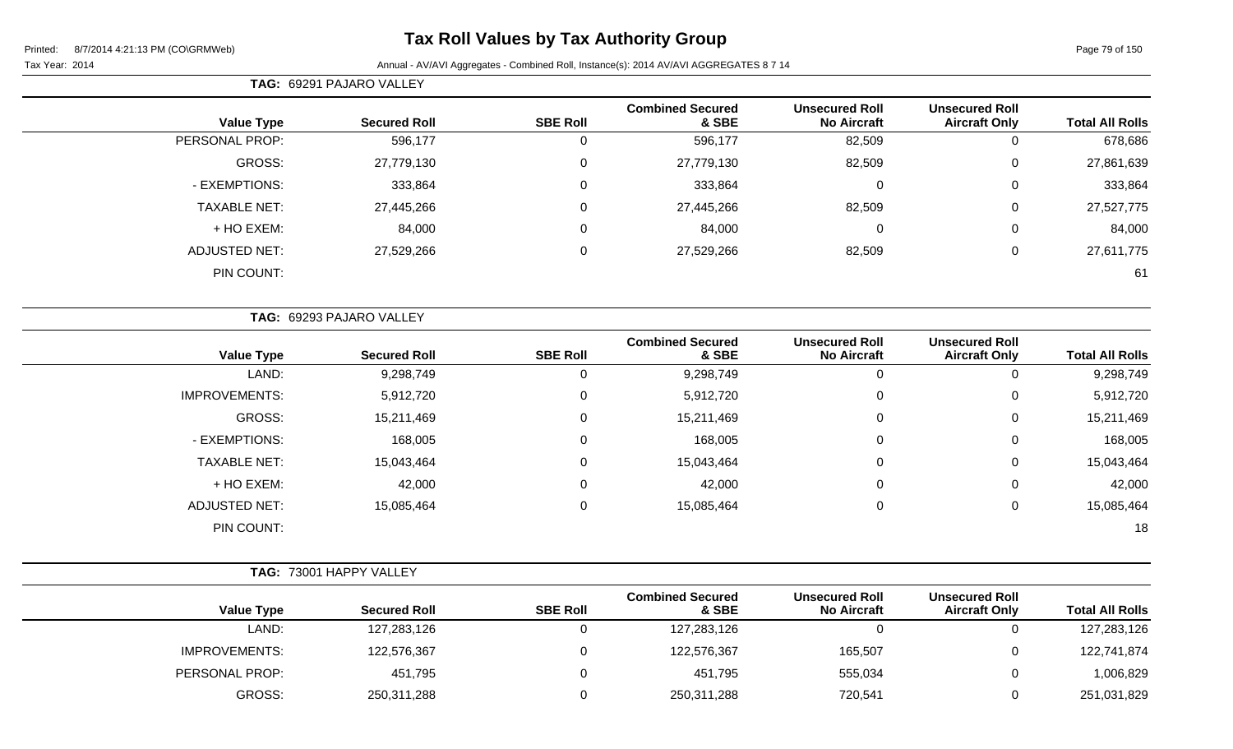# **Tax Roll Values by Tax Authority Group**

|                      | TAG: 69291 PAJARO VALLEY |                 |                                  |                                             |                                               |                        |
|----------------------|--------------------------|-----------------|----------------------------------|---------------------------------------------|-----------------------------------------------|------------------------|
| <b>Value Type</b>    | <b>Secured Roll</b>      | <b>SBE Roll</b> | <b>Combined Secured</b><br>& SBE | <b>Unsecured Roll</b><br><b>No Aircraft</b> | <b>Unsecured Roll</b><br><b>Aircraft Only</b> | <b>Total All Rolls</b> |
| PERSONAL PROP:       | 596,177                  | 0               | 596,177                          | 82,509                                      | 0                                             | 678,686                |
| GROSS:               | 27,779,130               | $\mathbf 0$     | 27,779,130                       | 82,509                                      | 0                                             | 27,861,639             |
| - EXEMPTIONS:        | 333,864                  | $\mathbf 0$     | 333,864                          | 0                                           | $\overline{0}$                                | 333,864                |
| <b>TAXABLE NET:</b>  | 27,445,266               | $\mathbf 0$     | 27,445,266                       | 82,509                                      | 0                                             | 27,527,775             |
| + HO EXEM:           | 84,000                   | $\mathbf 0$     | 84,000                           | 0                                           | 0                                             | 84,000                 |
| <b>ADJUSTED NET:</b> | 27,529,266               | $\mathbf 0$     | 27,529,266                       | 82,509                                      | 0                                             | 27,611,775             |
| PIN COUNT:           |                          |                 |                                  |                                             |                                               | 61                     |

|                      | TAG: 69293 PAJARO VALLEY |                 |                                  |                                             |                                               |                        |  |
|----------------------|--------------------------|-----------------|----------------------------------|---------------------------------------------|-----------------------------------------------|------------------------|--|
| <b>Value Type</b>    | <b>Secured Roll</b>      | <b>SBE Roll</b> | <b>Combined Secured</b><br>& SBE | <b>Unsecured Roll</b><br><b>No Aircraft</b> | <b>Unsecured Roll</b><br><b>Aircraft Only</b> | <b>Total All Rolls</b> |  |
| LAND:                | 9,298,749                | 0               | 9,298,749                        | 0                                           | 0                                             | 9,298,749              |  |
| <b>IMPROVEMENTS:</b> | 5,912,720                | 0               | 5,912,720                        | $\mathbf 0$                                 | 0                                             | 5,912,720              |  |
| GROSS:               | 15,211,469               | 0               | 15,211,469                       | $\mathbf 0$                                 | 0                                             | 15,211,469             |  |
| - EXEMPTIONS:        | 168,005                  | 0               | 168,005                          | $\mathbf 0$                                 | 0                                             | 168,005                |  |
| <b>TAXABLE NET:</b>  | 15,043,464               | 0               | 15,043,464                       | $\mathbf 0$                                 | 0                                             | 15,043,464             |  |
| + HO EXEM:           | 42,000                   | 0               | 42,000                           | 0                                           | 0                                             | 42,000                 |  |
| <b>ADJUSTED NET:</b> | 15,085,464               | $\mathbf 0$     | 15,085,464                       | $\mathbf 0$                                 | 0                                             | 15,085,464             |  |
| PIN COUNT:           |                          |                 |                                  |                                             |                                               | 18                     |  |

|                        |                                               |                                             |                                  |                 | TAG: 73001 HAPPY VALLEY |                      |
|------------------------|-----------------------------------------------|---------------------------------------------|----------------------------------|-----------------|-------------------------|----------------------|
| <b>Total All Rolls</b> | <b>Unsecured Roll</b><br><b>Aircraft Only</b> | <b>Unsecured Roll</b><br><b>No Aircraft</b> | <b>Combined Secured</b><br>& SBE | <b>SBE Roll</b> | <b>Secured Roll</b>     | <b>Value Type</b>    |
| 127,283,126            |                                               |                                             | 127,283,126                      |                 | 127,283,126             | LAND:                |
| 122,741,874            |                                               | 165,507                                     | 122,576,367                      |                 | 122,576,367             | <b>IMPROVEMENTS:</b> |
| 1,006,829              |                                               | 555,034                                     | 451,795                          |                 | 451,795                 | PERSONAL PROP:       |
| 251,031,829            |                                               | 720,541                                     | 250,311,288                      |                 | 250,311,288             | <b>GROSS:</b>        |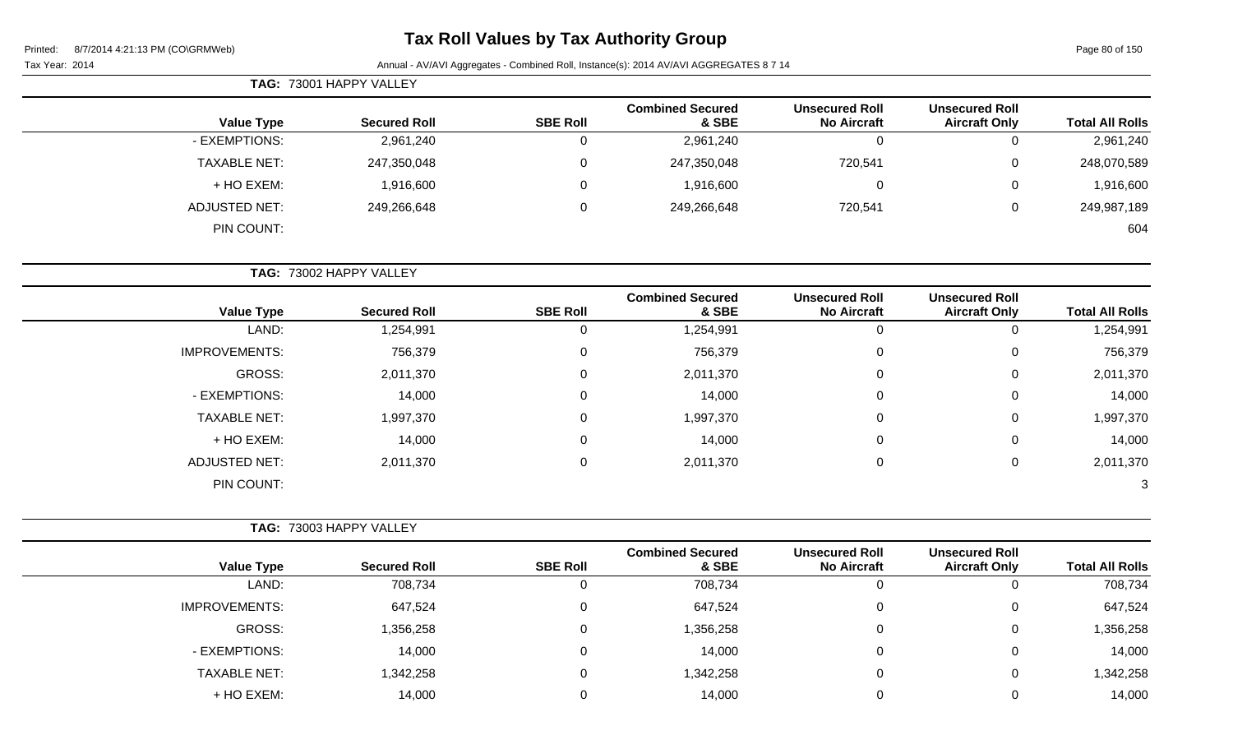Page 80 of 150

#### Tax Year: 2014 **Annual - AV/AVI Aggregates - Combined Roll**, Instance(s): 2014 AV/AVI AGGREGATES 8 7 14

| <b>TAG: 73001 HAPPY VALLEY</b> |                     |                 |                                  |                                             |                                               |                        |  |
|--------------------------------|---------------------|-----------------|----------------------------------|---------------------------------------------|-----------------------------------------------|------------------------|--|
| <b>Value Type</b>              | <b>Secured Roll</b> | <b>SBE Roll</b> | <b>Combined Secured</b><br>& SBE | <b>Unsecured Roll</b><br><b>No Aircraft</b> | <b>Unsecured Roll</b><br><b>Aircraft Only</b> | <b>Total All Rolls</b> |  |
| - EXEMPTIONS:                  | 2,961,240           | 0               | 2,961,240                        | 0                                           |                                               | 2,961,240              |  |
| <b>TAXABLE NET:</b>            | 247,350,048         | 0               | 247,350,048                      | 720,541                                     | 0                                             | 248,070,589            |  |
| + HO EXEM:                     | 1,916,600           | 0               | 1,916,600                        | 0                                           | $\Omega$                                      | 1,916,600              |  |
| ADJUSTED NET:                  | 249,266,648         | 0               | 249,266,648                      | 720,541                                     | 0                                             | 249,987,189            |  |
| PIN COUNT:                     |                     |                 |                                  |                                             |                                               | 604                    |  |

**TAG:** 73002 HAPPY VALLEY

| <b>Value Type</b>    | <b>Secured Roll</b> | <b>SBE Roll</b> | <b>Combined Secured</b><br>& SBE | <b>Unsecured Roll</b><br><b>No Aircraft</b> | <b>Unsecured Roll</b><br><b>Aircraft Only</b> | <b>Total All Rolls</b> |
|----------------------|---------------------|-----------------|----------------------------------|---------------------------------------------|-----------------------------------------------|------------------------|
| LAND:                | 1,254,991           | 0               | 1,254,991                        | 0                                           |                                               | 1,254,991              |
| <b>IMPROVEMENTS:</b> | 756,379             | 0               | 756,379                          | 0                                           | 0                                             | 756,379                |
| GROSS:               | 2,011,370           | 0               | 2,011,370                        | 0                                           | 0                                             | 2,011,370              |
| - EXEMPTIONS:        | 14,000              | 0               | 14,000                           | 0                                           | 0                                             | 14,000                 |
| <b>TAXABLE NET:</b>  | 1,997,370           | 0               | 1,997,370                        | 0                                           | 0                                             | 1,997,370              |
| + HO EXEM:           | 14,000              | 0               | 14,000                           | 0                                           | 0                                             | 14,000                 |
| <b>ADJUSTED NET:</b> | 2,011,370           | 0               | 2,011,370                        | 0                                           | 0                                             | 2,011,370              |
| PIN COUNT:           |                     |                 |                                  |                                             |                                               | 3                      |

|                      | <b>TAG: 73003 HAPPY VALLEY</b> |                 |                                  |                                             |                                               |                        |  |
|----------------------|--------------------------------|-----------------|----------------------------------|---------------------------------------------|-----------------------------------------------|------------------------|--|
| <b>Value Type</b>    | <b>Secured Roll</b>            | <b>SBE Roll</b> | <b>Combined Secured</b><br>& SBE | <b>Unsecured Roll</b><br><b>No Aircraft</b> | <b>Unsecured Roll</b><br><b>Aircraft Only</b> | <b>Total All Rolls</b> |  |
| LAND:                | 708,734                        | 0               | 708,734                          | υ                                           |                                               | 708,734                |  |
| <b>IMPROVEMENTS:</b> | 647,524                        | 0               | 647,524                          | 0                                           | 0                                             | 647,524                |  |
| <b>GROSS:</b>        | 1,356,258                      | 0               | 1,356,258                        | $\mathbf 0$                                 | 0                                             | 1,356,258              |  |
| - EXEMPTIONS:        | 14,000                         | 0               | 14,000                           | 0                                           | 0                                             | 14,000                 |  |
| <b>TAXABLE NET:</b>  | 1,342,258                      | 0               | 1,342,258                        | 0                                           | 0                                             | 1,342,258              |  |
| + HO EXEM:           | 14,000                         | 0               | 14,000                           |                                             |                                               | 14,000                 |  |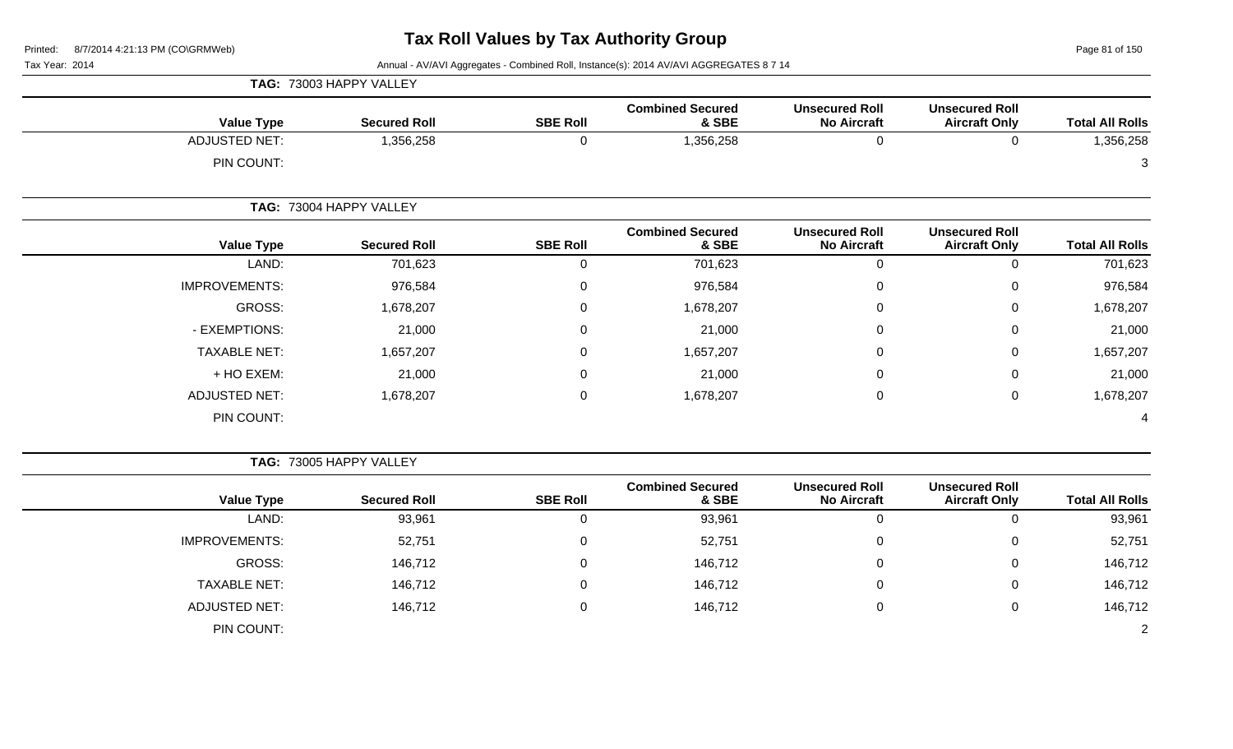Page 81 of 150

|                      |                         | TAG: 73003 HAPPY VALLEY |                                  |                                             |                                               |                        |  |  |
|----------------------|-------------------------|-------------------------|----------------------------------|---------------------------------------------|-----------------------------------------------|------------------------|--|--|
| <b>Value Type</b>    | <b>Secured Roll</b>     | <b>SBE Roll</b>         | <b>Combined Secured</b><br>& SBE | <b>Unsecured Roll</b><br><b>No Aircraft</b> | <b>Unsecured Roll</b><br><b>Aircraft Only</b> | <b>Total All Rolls</b> |  |  |
| <b>ADJUSTED NET:</b> | 1,356,258               | 0                       | 1,356,258                        | 0                                           | $\mathbf 0$                                   | 1,356,258              |  |  |
| PIN COUNT:           |                         |                         |                                  |                                             |                                               | 3                      |  |  |
|                      | TAG: 73004 HAPPY VALLEY |                         |                                  |                                             |                                               |                        |  |  |
| <b>Value Type</b>    | <b>Secured Roll</b>     | <b>SBE Roll</b>         | <b>Combined Secured</b><br>& SBE | <b>Unsecured Roll</b><br><b>No Aircraft</b> | <b>Unsecured Roll</b><br><b>Aircraft Only</b> | <b>Total All Rolls</b> |  |  |
| LAND:                | 701,623                 | 0                       | 701,623                          | 0                                           | $\mathbf 0$                                   | 701,623                |  |  |
| <b>IMPROVEMENTS:</b> | 976,584                 | 0                       | 976,584                          | 0                                           | $\mathbf 0$                                   | 976,584                |  |  |
| GROSS:               | 1,678,207               | 0                       | 1,678,207                        | 0                                           | $\mathbf 0$                                   | 1,678,207              |  |  |
| - EXEMPTIONS:        | 21,000                  | 0                       | 21,000                           | 0                                           | $\mathbf 0$                                   | 21,000                 |  |  |
| <b>TAXABLE NET:</b>  | 1,657,207               | 0                       | 1,657,207                        | 0                                           | $\pmb{0}$                                     | 1,657,207              |  |  |
| + HO EXEM:           | 21,000                  | 0                       | 21,000                           | 0                                           | $\mathbf 0$                                   | 21,000                 |  |  |
| <b>ADJUSTED NET:</b> | 1,678,207               | 0                       | 1,678,207                        | 0                                           | $\mathbf 0$                                   | 1,678,207              |  |  |
| PIN COUNT:           |                         |                         |                                  |                                             |                                               | 4                      |  |  |

|                      | TAG: 73005 HAPPY VALLEY |                 |                                  |                                             |                                               |                        |  |  |  |
|----------------------|-------------------------|-----------------|----------------------------------|---------------------------------------------|-----------------------------------------------|------------------------|--|--|--|
| <b>Value Type</b>    | <b>Secured Roll</b>     | <b>SBE Roll</b> | <b>Combined Secured</b><br>& SBE | <b>Unsecured Roll</b><br><b>No Aircraft</b> | <b>Unsecured Roll</b><br><b>Aircraft Only</b> | <b>Total All Rolls</b> |  |  |  |
| LAND:                | 93,961                  | 0               | 93,961                           | 0                                           |                                               | 93,961                 |  |  |  |
| <b>IMPROVEMENTS:</b> | 52,751                  | $\mathbf 0$     | 52,751                           | 0                                           | 0                                             | 52,751                 |  |  |  |
| GROSS:               | 146,712                 | $\mathbf 0$     | 146,712                          | 0                                           | 0                                             | 146,712                |  |  |  |
| <b>TAXABLE NET:</b>  | 146,712                 | $\mathbf 0$     | 146,712                          | 0                                           | 0                                             | 146,712                |  |  |  |
| <b>ADJUSTED NET:</b> | 146,712                 | 0               | 146,712                          | 0                                           | 0                                             | 146,712                |  |  |  |
| PIN COUNT:           |                         |                 |                                  |                                             |                                               |                        |  |  |  |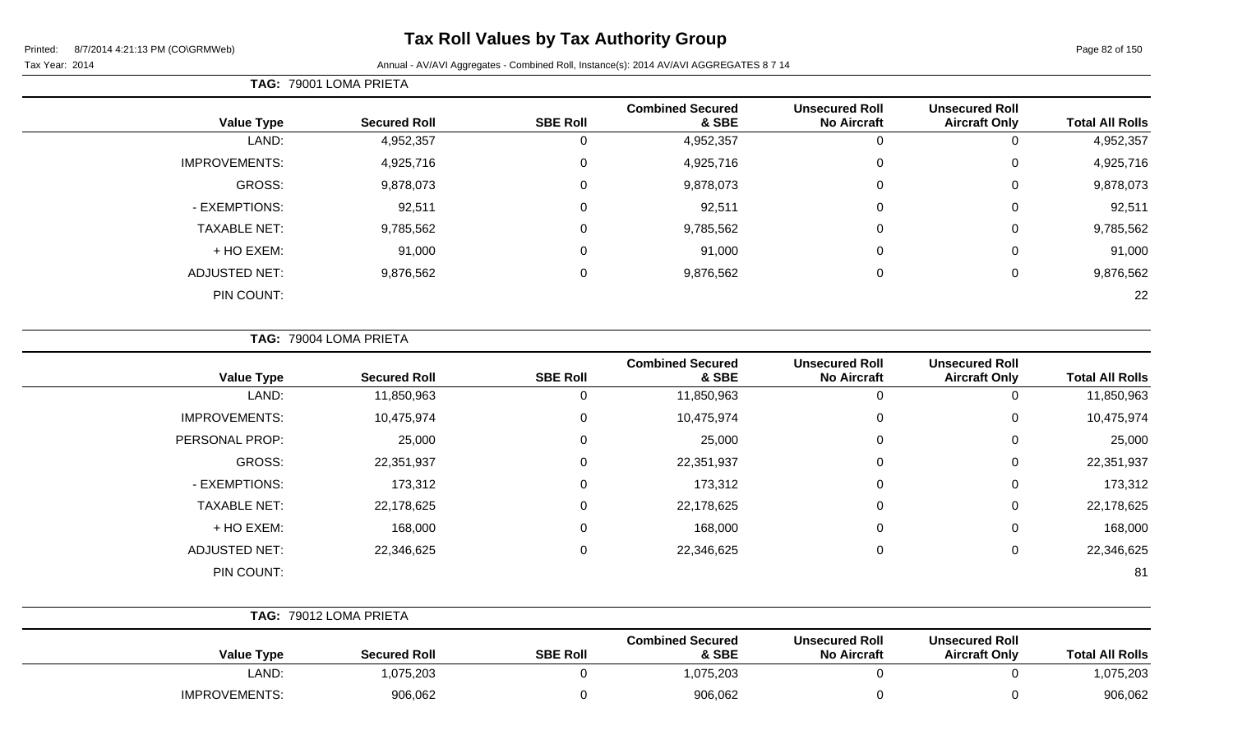# **Tax Roll Values by Tax Authority Group**

#### Tax Year: 2014 **Annual - AV/AVI Aggregates - Combined Roll**, Instance(s): 2014 AV/AVI AGGREGATES 8 7 14

**TAG:** 79001 LOMA PRIETA

| <b>Total All Rolls</b> | <b>Unsecured Roll</b><br><b>Aircraft Only</b> | <b>Unsecured Roll</b><br><b>No Aircraft</b> | <b>Combined Secured</b><br>& SBE | <b>SBE Roll</b> | <b>Secured Roll</b> | <b>Value Type</b>    |
|------------------------|-----------------------------------------------|---------------------------------------------|----------------------------------|-----------------|---------------------|----------------------|
| 4,952,357              | U                                             | 0                                           | 4,952,357                        | U               | 4,952,357           | LAND:                |
| 4,925,716              | 0                                             | 0                                           | 4,925,716                        | 0               | 4,925,716           | <b>IMPROVEMENTS:</b> |
| 9,878,073              | 0                                             | 0                                           | 9,878,073                        | 0               | 9,878,073           | GROSS:               |
| 92,511                 | 0                                             | 0                                           | 92,511                           | 0               | 92,511              | - EXEMPTIONS:        |
| 9,785,562              | 0                                             | 0                                           | 9,785,562                        | 0               | 9,785,562           | <b>TAXABLE NET:</b>  |
| 91,000                 | 0                                             | 0                                           | 91,000                           | 0               | 91,000              | + HO EXEM:           |
| 9,876,562              | 0                                             | $\mathbf 0$                                 | 9,876,562                        | 0               | 9,876,562           | <b>ADJUSTED NET:</b> |
| 22                     |                                               |                                             |                                  |                 |                     | PIN COUNT:           |

**TAG:** 79004 LOMA PRIETA

| <b>Value Type</b>    | <b>Secured Roll</b> | <b>SBE Roll</b> | <b>Combined Secured</b><br>& SBE | <b>Unsecured Roll</b><br><b>No Aircraft</b> | <b>Unsecured Roll</b><br><b>Aircraft Only</b> | <b>Total All Rolls</b> |
|----------------------|---------------------|-----------------|----------------------------------|---------------------------------------------|-----------------------------------------------|------------------------|
| LAND:                | 11,850,963          |                 | 11,850,963                       | 0                                           | 0                                             | 11,850,963             |
| <b>IMPROVEMENTS:</b> | 10,475,974          | $\Omega$        | 10,475,974                       | 0                                           | 0                                             | 10,475,974             |
| PERSONAL PROP:       | 25,000              | 0               | 25,000                           | 0                                           | 0                                             | 25,000                 |
| GROSS:               | 22,351,937          | $\Omega$        | 22,351,937                       | 0                                           | 0                                             | 22,351,937             |
| - EXEMPTIONS:        | 173,312             | 0               | 173,312                          | 0                                           | 0                                             | 173,312                |
| <b>TAXABLE NET:</b>  | 22,178,625          | $\Omega$        | 22,178,625                       | 0                                           | 0                                             | 22,178,625             |
| + HO EXEM:           | 168,000             | 0               | 168,000                          | 0                                           | 0                                             | 168,000                |
| <b>ADJUSTED NET:</b> | 22,346,625          | $\Omega$        | 22,346,625                       | $\pmb{0}$                                   | 0                                             | 22,346,625             |
| PIN COUNT:           |                     |                 |                                  |                                             |                                               | 81                     |

|                      | TAG: 79012 LOMA PRIETA |                 |                                  |                                             |                                               |                        |
|----------------------|------------------------|-----------------|----------------------------------|---------------------------------------------|-----------------------------------------------|------------------------|
| <b>Value Type</b>    | <b>Secured Roll</b>    | <b>SBE Roll</b> | <b>Combined Secured</b><br>& SBE | <b>Unsecured Roll</b><br><b>No Aircraft</b> | <b>Unsecured Roll</b><br><b>Aircraft Only</b> | <b>Total All Rolls</b> |
| LAND:                | 1,075,203              |                 | 1,075,203                        |                                             |                                               | 1,075,203              |
| <b>IMPROVEMENTS:</b> | 906,062                |                 | 906,062                          |                                             |                                               | 906,062                |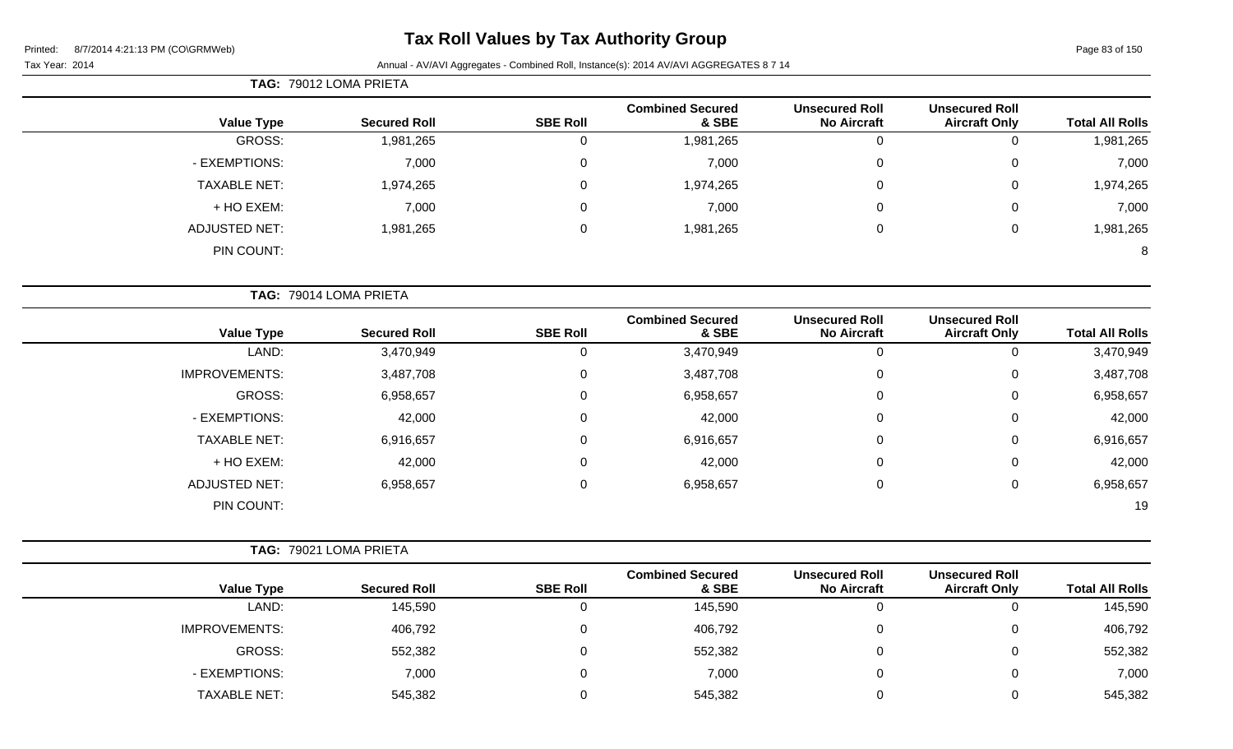| <b>Total All Rolls</b> | <b>Unsecured Roll</b><br><b>Aircraft Only</b> | <b>Unsecured Roll</b><br><b>No Aircraft</b> | <b>Combined Secured</b><br>& SBE | <b>SBE Roll</b> | <b>Secured Roll</b>    | <b>Value Type</b>    |
|------------------------|-----------------------------------------------|---------------------------------------------|----------------------------------|-----------------|------------------------|----------------------|
| 1,981,265              | $\mathbf 0$                                   | 0                                           | 1,981,265                        | $\overline{0}$  | 1,981,265              | <b>GROSS:</b>        |
| 7,000                  | $\Omega$                                      | 0                                           | 7,000                            | $\mathbf 0$     | 7,000                  | - EXEMPTIONS:        |
| 1,974,265              | 0                                             | 0                                           | 1,974,265                        | $\mathbf 0$     | 1,974,265              | <b>TAXABLE NET:</b>  |
| 7,000                  | 0                                             | 0                                           | 7,000                            | 0               | 7,000                  | + HO EXEM:           |
| 1,981,265              | $\boldsymbol{0}$                              | 0                                           | 1,981,265                        | $\mathbf 0$     | 1,981,265              | <b>ADJUSTED NET:</b> |
| 8                      |                                               |                                             |                                  |                 |                        | PIN COUNT:           |
|                        |                                               |                                             |                                  |                 | TAG: 79014 LOMA PRIETA |                      |
| <b>Total All Rolls</b> | <b>Unsecured Roll</b><br><b>Aircraft Only</b> | <b>Unsecured Roll</b><br><b>No Aircraft</b> | <b>Combined Secured</b><br>& SBE | <b>SBE Roll</b> | <b>Secured Roll</b>    | <b>Value Type</b>    |
| 3,470,949              | 0                                             | $\mathbf 0$                                 | 3,470,949                        | $\mathbf 0$     | 3,470,949              | LAND:                |
| 3,487,708              | $\Omega$                                      | 0                                           | 3,487,708                        | 0               | 3,487,708              | <b>IMPROVEMENTS:</b> |
| 6,958,657              | $\Omega$                                      | 0                                           | 6,958,657                        | $\mathbf 0$     | 6,958,657              | <b>GROSS:</b>        |
| 42,000                 | 0                                             | 0                                           | 42,000                           | 0               | 42,000                 | - EXEMPTIONS:        |
| 6,916,657              | 0                                             | 0                                           | 6,916,657                        | 0               | 6,916,657              | <b>TAXABLE NET:</b>  |
| 42,000                 | 0                                             | 0                                           | 42,000                           | $\mathbf 0$     | 42,000                 | + HO EXEM:           |
| 6,958,657              | 0                                             | 0                                           | 6,958,657                        | $\mathbf 0$     | 6,958,657              | <b>ADJUSTED NET:</b> |
| 19                     |                                               |                                             |                                  |                 |                        | PIN COUNT:           |
|                        |                                               |                                             |                                  |                 | TAG: 79021 LOMA PRIETA |                      |
|                        |                                               |                                             |                                  |                 |                        |                      |

|                      |                     |                 | <b>Combined Secured</b> | <b>Unsecured Roll</b> | <b>Unsecured Roll</b> |                        |
|----------------------|---------------------|-----------------|-------------------------|-----------------------|-----------------------|------------------------|
| <b>Value Type</b>    | <b>Secured Roll</b> | <b>SBE Roll</b> | & SBE                   | <b>No Aircraft</b>    | <b>Aircraft Only</b>  | <b>Total All Rolls</b> |
| LAND:                | 145,590             |                 | 145,590                 |                       | O                     | 145,590                |
| <b>IMPROVEMENTS:</b> | 406,792             |                 | 406,792                 |                       | 0                     | 406,792                |
| GROSS:               | 552,382             |                 | 552,382                 |                       | 0                     | 552,382                |
| - EXEMPTIONS:        | 7,000               |                 | 7,000                   |                       | 0                     | 7,000                  |
| <b>TAXABLE NET:</b>  | 545,382             |                 | 545,382                 |                       | 0                     | 545,382                |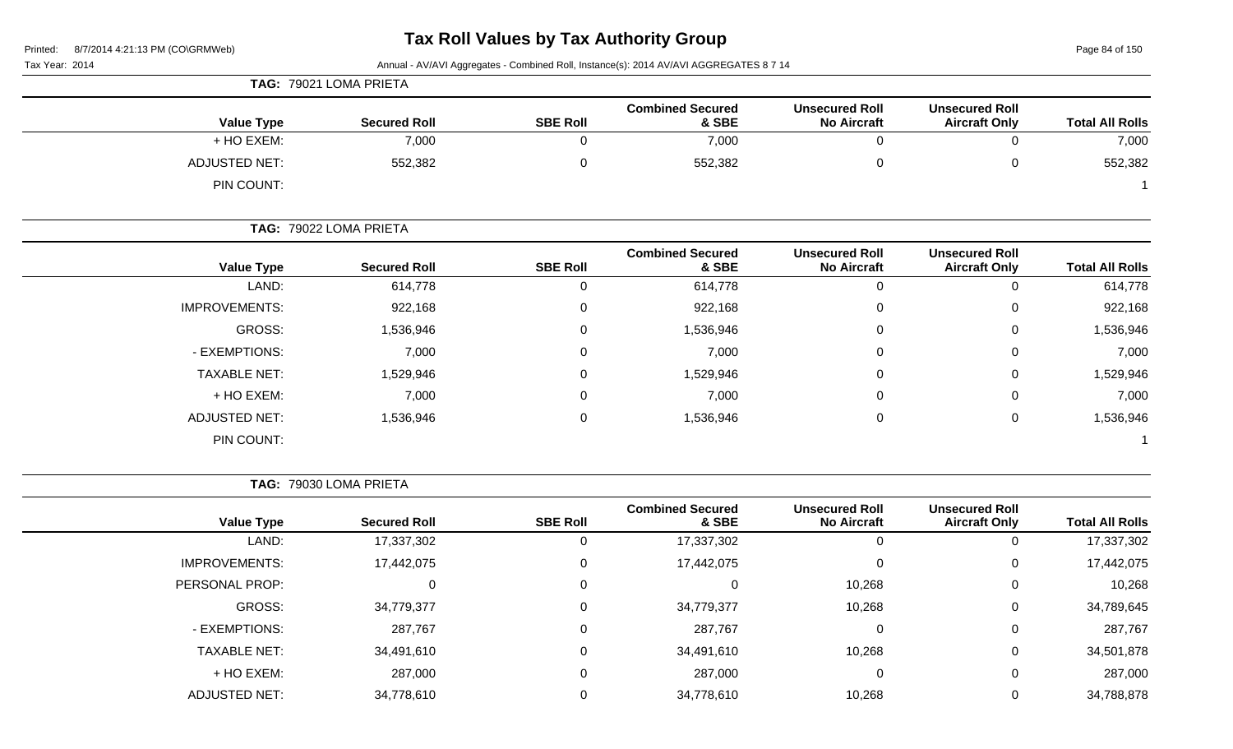Page 84 of 150

Tax Year: 2014 Annual - AV/AVI Aggregates - Combined Roll, Instance(s): 2014 AV/AVI AGGREGATES 8 7 14

|                      | TAG: 79021 LOMA PRIETA |                 |                                  |                                             |                                               |                        |
|----------------------|------------------------|-----------------|----------------------------------|---------------------------------------------|-----------------------------------------------|------------------------|
| <b>Value Type</b>    | <b>Secured Roll</b>    | <b>SBE Roll</b> | <b>Combined Secured</b><br>& SBE | <b>Unsecured Roll</b><br><b>No Aircraft</b> | <b>Unsecured Roll</b><br><b>Aircraft Only</b> | <b>Total All Rolls</b> |
| + HO EXEM:           | 7,000                  |                 | 7,000                            |                                             |                                               | 7,000                  |
| <b>ADJUSTED NET:</b> | 552,382                |                 | 552,382                          |                                             |                                               | 552,382                |
| PIN COUNT:           |                        |                 |                                  |                                             |                                               |                        |

|                      | TAG: 79022 LOMA PRIETA |                 |                                  |                                             |                                               |                        |
|----------------------|------------------------|-----------------|----------------------------------|---------------------------------------------|-----------------------------------------------|------------------------|
| <b>Value Type</b>    | <b>Secured Roll</b>    | <b>SBE Roll</b> | <b>Combined Secured</b><br>& SBE | <b>Unsecured Roll</b><br><b>No Aircraft</b> | <b>Unsecured Roll</b><br><b>Aircraft Only</b> | <b>Total All Rolls</b> |
| LAND:                | 614,778                | $\Omega$        | 614,778                          |                                             |                                               | 614,778                |
| <b>IMPROVEMENTS:</b> | 922,168                | 0               | 922,168                          | 0                                           | 0                                             | 922,168                |
| GROSS:               | 1,536,946              | 0               | 1,536,946                        | $\Omega$                                    | 0                                             | 1,536,946              |
| - EXEMPTIONS:        | 7,000                  | $\Omega$        | 7,000                            | $\Omega$                                    | 0                                             | 7,000                  |
| <b>TAXABLE NET:</b>  | 1,529,946              | 0               | 1,529,946                        | $\Omega$                                    | $\Omega$                                      | 1,529,946              |
| + HO EXEM:           | 7,000                  | 0               | 7,000                            | $\Omega$                                    | 0                                             | 7,000                  |
| <b>ADJUSTED NET:</b> | 1,536,946              | 0               | 1,536,946                        |                                             |                                               | 1,536,946              |

**TAG:** 79030 LOMA PRIETA

**Value Type Secured Roll SBE Roll Combined Secured & SBE Unsecured Roll No Aircraft Unsecured Roll Aircraft Only Total All Rolls** LAND: 17,337,302 0 17,337,302 0 0 17,337,302 IMPROVEMENTS: 17,442,075 0 17,442,075 0 0 17,442,075 PERSONAL PROP: 0 0 0 10,268 0 10,268 GROSS: 34,779,377 0 34,779,377 10,268 0 34,789,645 - EXEMPTIONS: 287,767 0 287,767 0 0 287,767 TAXABLE NET: 34,491,610 0 34,491,610 10,268 0 34,501,878 + HO EXEM: 287,000 0 287,000 0 0 287,000 ADJUSTED NET: 34,778,610 0 34,778,610 10,268 0 34,788,878

PIN COUNT: 1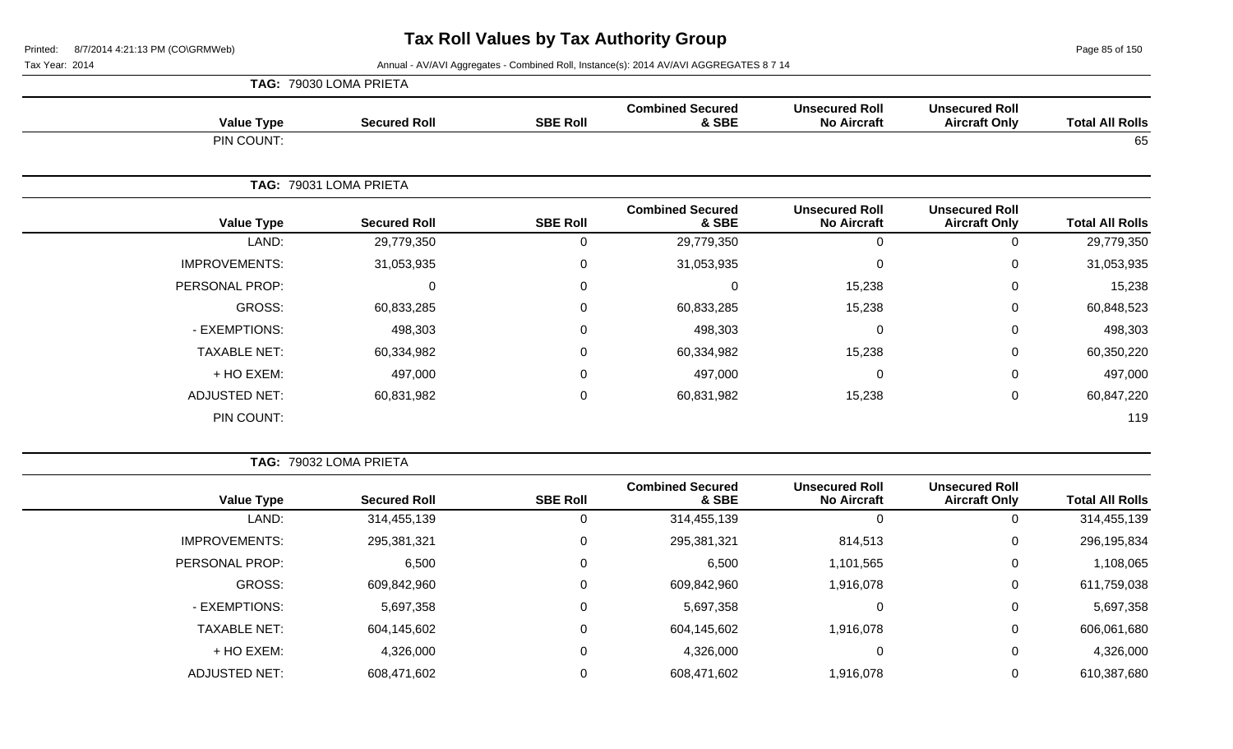Page 85 of 150

|                      | TAG: 79030 LOMA PRIETA |                 |                                  |                                             |                                               |                        |
|----------------------|------------------------|-----------------|----------------------------------|---------------------------------------------|-----------------------------------------------|------------------------|
| <b>Value Type</b>    | <b>Secured Roll</b>    | <b>SBE Roll</b> | <b>Combined Secured</b><br>& SBE | <b>Unsecured Roll</b><br><b>No Aircraft</b> | <b>Unsecured Roll</b><br><b>Aircraft Only</b> | <b>Total All Rolls</b> |
| PIN COUNT:           |                        |                 |                                  |                                             |                                               | 65                     |
| TAG:                 | 79031 LOMA PRIETA      |                 |                                  |                                             |                                               |                        |
| <b>Value Type</b>    | <b>Secured Roll</b>    | <b>SBE Roll</b> | <b>Combined Secured</b><br>& SBE | <b>Unsecured Roll</b><br><b>No Aircraft</b> | <b>Unsecured Roll</b><br><b>Aircraft Only</b> | <b>Total All Rolls</b> |
| LAND:                | 29,779,350             | 0               | 29,779,350                       | $\Omega$                                    | 0                                             | 29,779,350             |
| <b>IMPROVEMENTS:</b> | 31,053,935             | 0               | 31,053,935                       | $\Omega$                                    | $\mathbf 0$                                   | 31,053,935             |
| PERSONAL PROP:       | 0                      | 0               | $\mathbf 0$                      | 15,238                                      | $\mathbf 0$                                   | 15,238                 |
| GROSS:               | 60,833,285             | $\mathbf 0$     | 60,833,285                       | 15,238                                      | $\mathbf 0$                                   | 60,848,523             |
| - EXEMPTIONS:        | 498,303                | 0               | 498,303                          | $\Omega$                                    | $\mathbf 0$                                   | 498,303                |
| <b>TAXABLE NET:</b>  | 60,334,982             | $\mathbf 0$     | 60,334,982                       | 15,238                                      | $\mathbf 0$                                   | 60,350,220             |
| + HO EXEM:           | 497,000                | 0               | 497,000                          | $\Omega$                                    | $\mathbf 0$                                   | 497,000                |
| <b>ADJUSTED NET:</b> | 60,831,982             | 0               | 60,831,982                       | 15,238                                      | $\mathbf 0$                                   | 60,847,220             |
| PIN COUNT:           |                        |                 |                                  |                                             |                                               | 119                    |

| <b>Total All Rolls</b> | <b>Unsecured Roll</b><br><b>Aircraft Only</b> | <b>Unsecured Roll</b><br><b>No Aircraft</b> | <b>Combined Secured</b><br>& SBE | <b>SBE Roll</b> | <b>Secured Roll</b> | <b>Value Type</b>    |
|------------------------|-----------------------------------------------|---------------------------------------------|----------------------------------|-----------------|---------------------|----------------------|
| 314,455,139            | 0                                             | $\theta$                                    | 314,455,139                      |                 | 314,455,139         | LAND:                |
| 296,195,834            | 0                                             | 814,513                                     | 295,381,321                      | 0               | 295,381,321         | <b>IMPROVEMENTS:</b> |
| 1,108,065              | 0                                             | 1,101,565                                   | 6,500                            | 0               | 6,500               | PERSONAL PROP:       |
| 611,759,038            | 0                                             | 1,916,078                                   | 609,842,960                      |                 | 609,842,960         | GROSS:               |
| 5,697,358              | $\mathbf 0$                                   | $\Omega$                                    | 5,697,358                        | 0               | 5,697,358           | - EXEMPTIONS:        |
| 606,061,680            | 0                                             | 1,916,078                                   | 604,145,602                      | $\Omega$        | 604,145,602         | <b>TAXABLE NET:</b>  |
| 4,326,000              | $\mathbf 0$                                   | 0                                           | 4,326,000                        | 0               | 4,326,000           | + HO EXEM:           |
| 610,387,680            | 0                                             | 1,916,078                                   | 608,471,602                      |                 | 608,471,602         | <b>ADJUSTED NET:</b> |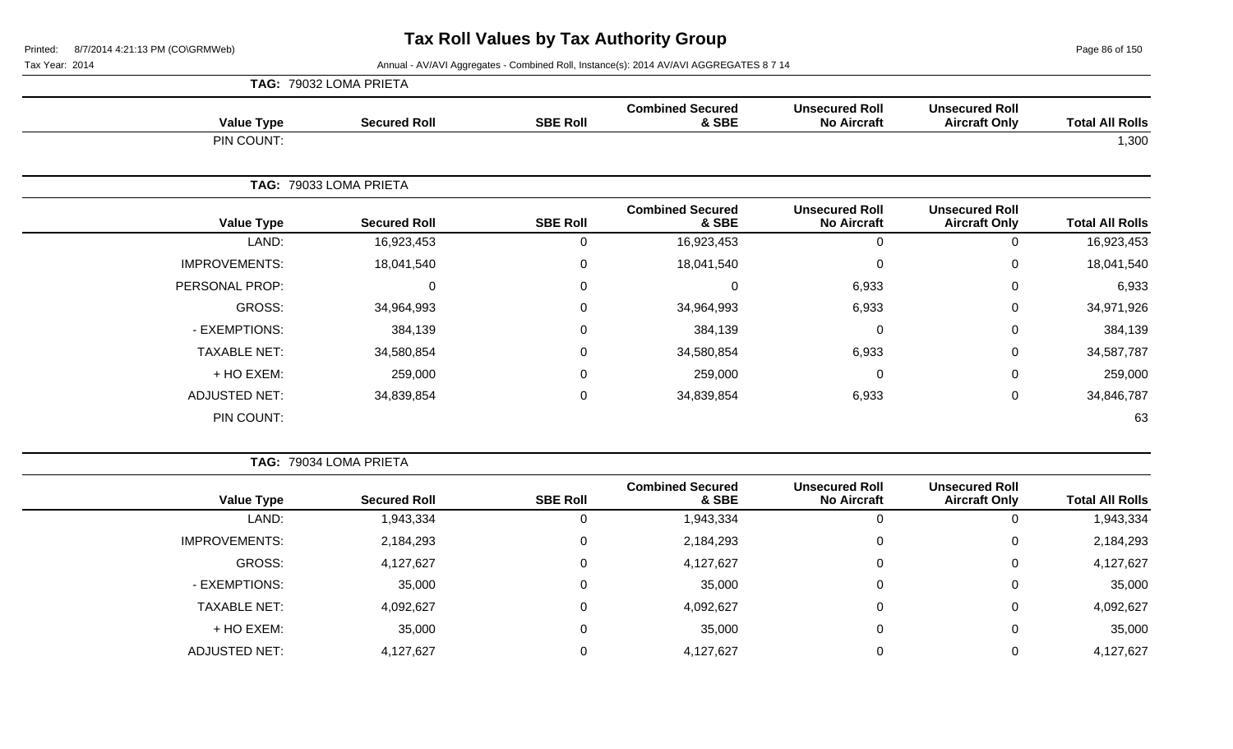Page 86 of 150

Tax Year: 2014 **Annual - AV/AVI Aggregates - Combined Roll**, Instance(s): 2014 AV/AVI AGGREGATES 8 7 14

| TAG:                 | 79032 LOMA PRIETA      |                 |                                  |                                             |                                               |                        |
|----------------------|------------------------|-----------------|----------------------------------|---------------------------------------------|-----------------------------------------------|------------------------|
| <b>Value Type</b>    | <b>Secured Roll</b>    | <b>SBE Roll</b> | <b>Combined Secured</b><br>& SBE | <b>Unsecured Roll</b><br><b>No Aircraft</b> | <b>Unsecured Roll</b><br><b>Aircraft Only</b> | <b>Total All Rolls</b> |
| PIN COUNT:           |                        |                 |                                  |                                             |                                               | 1,300                  |
|                      | TAG: 79033 LOMA PRIETA |                 |                                  |                                             |                                               |                        |
| <b>Value Type</b>    | <b>Secured Roll</b>    | <b>SBE Roll</b> | <b>Combined Secured</b><br>& SBE | <b>Unsecured Roll</b><br><b>No Aircraft</b> | <b>Unsecured Roll</b><br><b>Aircraft Only</b> | <b>Total All Rolls</b> |
| LAND:                | 16,923,453             | 0               | 16,923,453                       | 0                                           | 0                                             | 16,923,453             |
| <b>IMPROVEMENTS:</b> | 18,041,540             | 0               | 18,041,540                       | 0                                           | $\mathbf 0$                                   | 18,041,540             |
| PERSONAL PROP:       | 0                      | 0               | 0                                | 6,933                                       | $\mathbf 0$                                   | 6,933                  |
| GROSS:               | 34,964,993             | 0               | 34,964,993                       | 6,933                                       | $\mathbf 0$                                   | 34,971,926             |
| - EXEMPTIONS:        | 384,139                | $\mathbf 0$     | 384,139                          | $\Omega$                                    | 0                                             | 384,139                |
| <b>TAXABLE NET:</b>  | 34,580,854             | 0               | 34,580,854                       | 6,933                                       | 0                                             | 34,587,787             |
| + HO EXEM:           | 259,000                | 0               | 259,000                          | $\Omega$                                    | $\mathbf 0$                                   | 259,000                |
| <b>ADJUSTED NET:</b> | 34,839,854             | $\pmb{0}$       | 34,839,854                       | 6,933                                       | $\mathbf 0$                                   | 34,846,787             |
| PIN COUNT:           |                        |                 |                                  |                                             |                                               | 63                     |

**TAG:** 79034 LOMA PRIETA

|                      |                     |                 | <b>Combined Secured</b> | <b>Unsecured Roll</b> | <b>Unsecured Roll</b> |                        |
|----------------------|---------------------|-----------------|-------------------------|-----------------------|-----------------------|------------------------|
| <b>Value Type</b>    | <b>Secured Roll</b> | <b>SBE Roll</b> | & SBE                   | <b>No Aircraft</b>    | <b>Aircraft Only</b>  | <b>Total All Rolls</b> |
| LAND:                | 1,943,334           |                 | 1,943,334               | 0                     | 0                     | 1,943,334              |
| <b>IMPROVEMENTS:</b> | 2,184,293           |                 | 2,184,293               | 0                     | 0                     | 2,184,293              |
| GROSS:               | 4,127,627           |                 | 4,127,627               | 0                     | 0                     | 4,127,627              |
| - EXEMPTIONS:        | 35,000              |                 | 35,000                  | 0                     | 0                     | 35,000                 |
| <b>TAXABLE NET:</b>  | 4,092,627           |                 | 4,092,627               | 0                     | 0                     | 4,092,627              |
| + HO EXEM:           | 35,000              |                 | 35,000                  | 0                     | 0                     | 35,000                 |
| <b>ADJUSTED NET:</b> | 4,127,627           |                 | 4,127,627               | 0                     | 0                     | 4,127,627              |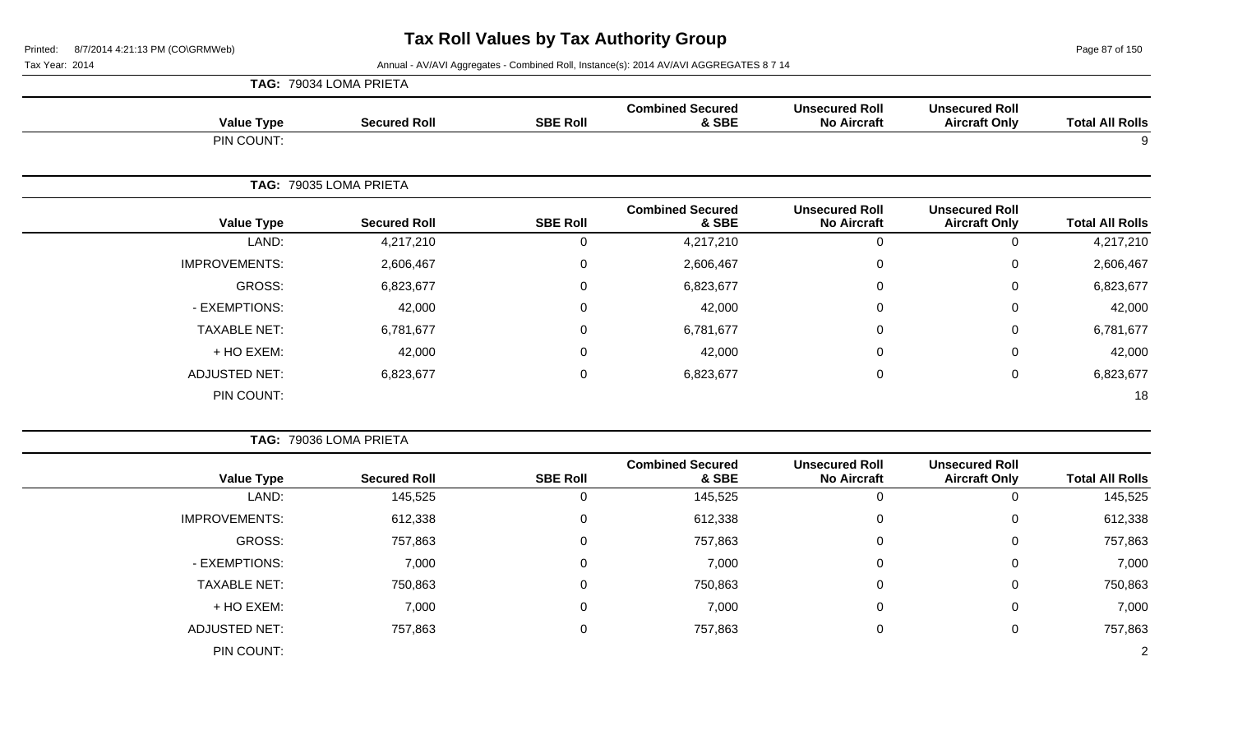Page 87 of 150

Tax Year: 2014 **Annual - AV/AVI Aggregates - Combined Roll, Instance(s): 2014 AV/AVI AGGREGATES 8 7 14** 

|                        |                                               |                                             |                                  |                 | TAG: 79034 LOMA PRIETA |                      |
|------------------------|-----------------------------------------------|---------------------------------------------|----------------------------------|-----------------|------------------------|----------------------|
| <b>Total All Rolls</b> | <b>Unsecured Roll</b><br><b>Aircraft Only</b> | <b>Unsecured Roll</b><br><b>No Aircraft</b> | <b>Combined Secured</b><br>& SBE | <b>SBE Roll</b> | <b>Secured Roll</b>    | <b>Value Type</b>    |
| 9                      |                                               |                                             |                                  |                 |                        | PIN COUNT:           |
|                        |                                               |                                             |                                  |                 | TAG: 79035 LOMA PRIETA |                      |
| <b>Total All Rolls</b> | <b>Unsecured Roll</b><br><b>Aircraft Only</b> | <b>Unsecured Roll</b><br><b>No Aircraft</b> | <b>Combined Secured</b><br>& SBE | <b>SBE Roll</b> | <b>Secured Roll</b>    | <b>Value Type</b>    |
| 4,217,210              | $\mathbf 0$                                   | $\mathbf 0$                                 | 4,217,210                        | $\mathbf 0$     | 4,217,210              | LAND:                |
| 2,606,467              | $\mathbf 0$                                   | $\mathbf 0$                                 | 2,606,467                        | $\mathsf 0$     | 2,606,467              | <b>IMPROVEMENTS:</b> |
| 6,823,677              | $\mathbf 0$                                   | $\mathbf 0$                                 | 6,823,677                        | $\mathbf 0$     | 6,823,677              | <b>GROSS:</b>        |
| 42,000                 | $\mathbf 0$                                   | 0                                           | 42,000                           | $\mathbf 0$     | 42,000                 | - EXEMPTIONS:        |
| 6,781,677              | $\mathbf 0$                                   | 0                                           | 6,781,677                        | $\mathsf 0$     | 6,781,677              | <b>TAXABLE NET:</b>  |
| 42,000                 | $\mathbf 0$                                   | 0                                           | 42,000                           | 0               | 42,000                 | + HO EXEM:           |
| 6,823,677              | $\mathbf 0$                                   | $\mathbf 0$                                 | 6,823,677                        | $\mathbf 0$     | 6,823,677              | <b>ADJUSTED NET:</b> |
| 18                     |                                               |                                             |                                  |                 |                        | PIN COUNT:           |
|                        |                                               | TAG: 79036 LOMA PRIETA                      |                                  |                 |                        |                      |
| <b>Total All Rolls</b> | <b>Unsecured Roll</b><br><b>Aircraft Only</b> | <b>Unsecured Roll</b><br><b>No Aircraft</b> | <b>Combined Secured</b><br>& SBE | <b>SBE Roll</b> | <b>Secured Roll</b>    | <b>Value Type</b>    |
| 145,525                | $\mathbf 0$                                   | $\mathbf{0}$                                | 145,525                          | $\mathbf 0$     | 145,525                | LAND:                |
| 612,338                | $\mathbf 0$                                   | $\Omega$                                    | 612,338                          | $\mathbf 0$     | 612,338                | <b>IMPROVEMENTS:</b> |
| 757,863                | $\mathbf 0$                                   | 0                                           | 757,863                          | 0               | 757,863                | <b>GROSS:</b>        |
| 7,000                  | $\mathbf 0$                                   | $\Omega$                                    | 7,000                            | $\mathbf 0$     | 7,000                  | - EXEMPTIONS:        |
| 750,863                | $\mathbf 0$                                   | 0                                           | 750,863                          | 0               | 750,863                | <b>TAXABLE NET:</b>  |
| 7,000                  | $\mathbf 0$                                   | 0                                           | 7,000                            | 0               | 7,000                  | + HO EXEM:           |
|                        |                                               |                                             |                                  |                 |                        |                      |

ADJUSTED NET: 757,863 0 757,863 0 0 757,863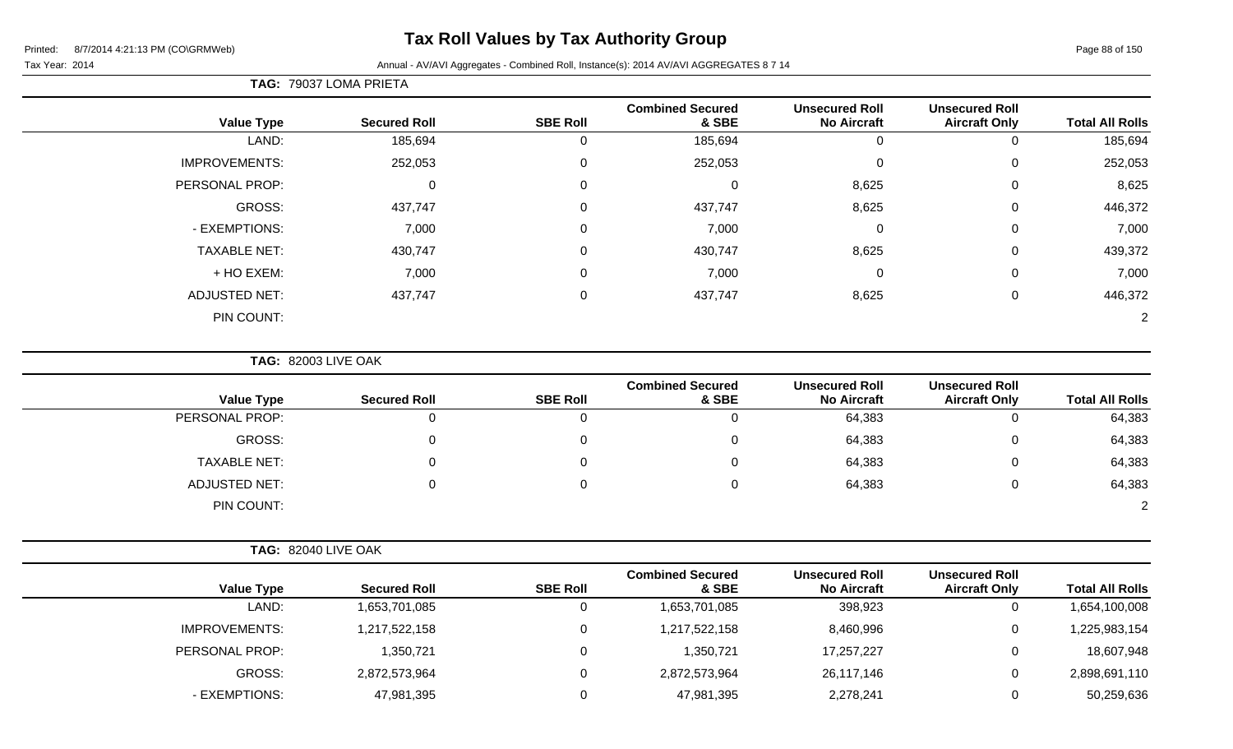# **Tax Roll Values by Tax Authority Group**

#### Tax Year: 2014 **Annual - AV/AVI Aggregates - Combined Roll**, Instance(s): 2014 AV/AVI AGGREGATES 8 7 14

## **TAG:** 79037 LOMA PRIETA

| <b>Total All Rolls</b> | <b>Unsecured Roll</b><br><b>Aircraft Only</b> | <b>Unsecured Roll</b><br><b>No Aircraft</b> | <b>Combined Secured</b><br>& SBE | <b>SBE Roll</b> | <b>Secured Roll</b> | <b>Value Type</b>    |
|------------------------|-----------------------------------------------|---------------------------------------------|----------------------------------|-----------------|---------------------|----------------------|
| 185,694                |                                               | 0                                           | 185,694                          | Ü               | 185,694             | LAND:                |
| 252,053                | 0                                             | $\mathbf{0}$                                | 252,053                          | 0               | 252,053             | <b>IMPROVEMENTS:</b> |
| 8,625                  | $\pmb{0}$                                     | 8,625                                       | $\mathbf 0$                      | $\mathbf 0$     | 0                   | PERSONAL PROP:       |
| 446,372                | $\mathbf 0$                                   | 8,625                                       | 437,747                          | 0               | 437,747             | GROSS:               |
| 7,000                  | 0                                             | $\mathbf{0}$                                | 7,000                            | 0               | 7,000               | - EXEMPTIONS:        |
| 439,372                | 0                                             | 8,625                                       | 430,747                          | 0               | 430,747             | <b>TAXABLE NET:</b>  |
| 7,000                  | 0                                             | $\mathbf 0$                                 | 7,000                            | 0               | 7,000               | + HO EXEM:           |
| 446,372                | 0                                             | 8,625                                       | 437,747                          | 0               | 437,747             | <b>ADJUSTED NET:</b> |
| 2                      |                                               |                                             |                                  |                 |                     | PIN COUNT:           |

**TAG:** 82003 LIVE OAK

|                      |                     |                 | <b>Combined Secured</b> | <b>Unsecured Roll</b> | <b>Unsecured Roll</b> |                        |
|----------------------|---------------------|-----------------|-------------------------|-----------------------|-----------------------|------------------------|
| <b>Value Type</b>    | <b>Secured Roll</b> | <b>SBE Roll</b> | & SBE                   | <b>No Aircraft</b>    | <b>Aircraft Only</b>  | <b>Total All Rolls</b> |
| PERSONAL PROP:       |                     |                 |                         | 64,383                |                       | 64,383                 |
| GROSS:               |                     |                 |                         | 64,383                | 0                     | 64,383                 |
| <b>TAXABLE NET:</b>  |                     |                 |                         | 64,383                | $\Omega$              | 64,383                 |
| <b>ADJUSTED NET:</b> |                     |                 |                         | 64,383                | 0                     | 64,383                 |
| PIN COUNT:           |                     |                 |                         |                       |                       | 2                      |

| <b>Value Type</b> | <b>Secured Roll</b> | <b>SBE Roll</b> | <b>Combined Secured</b><br>& SBE | <b>Unsecured Roll</b><br><b>No Aircraft</b> | <b>Unsecured Roll</b><br><b>Aircraft Only</b> | <b>Total All Rolls</b> |
|-------------------|---------------------|-----------------|----------------------------------|---------------------------------------------|-----------------------------------------------|------------------------|
| LAND:             | 1,653,701,085       |                 | 1,653,701,085                    | 398,923                                     |                                               | 1,654,100,008          |
| IMPROVEMENTS:     | ,217,522,158        |                 | 1,217,522,158                    | 8,460,996                                   |                                               | 1,225,983,154          |
| PERSONAL PROP:    | 1,350,721           |                 | 1,350,721                        | 17,257,227                                  |                                               | 18,607,948             |
| GROSS:            | 2,872,573,964       |                 | 2,872,573,964                    | 26,117,146                                  |                                               | 2,898,691,110          |
| - EXEMPTIONS:     | 47,981,395          |                 | 47,981,395                       | 2,278,241                                   |                                               | 50,259,636             |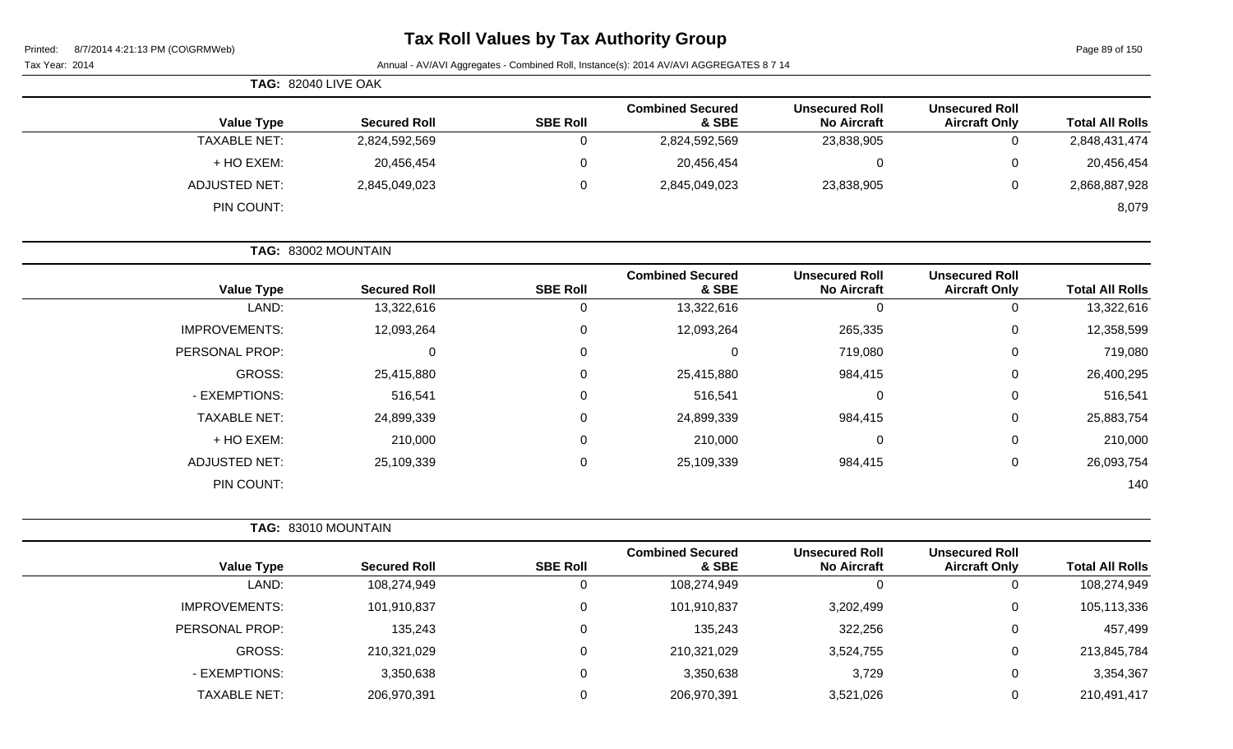| Printed: | 8/7/2014 4:21:13 PM (CO\GRMWeb) |  |
|----------|---------------------------------|--|
|          |                                 |  |

# **Tax Roll Values by Tax Authority Group**

Page 89 of 150

|                      | <b>TAG: 82040 LIVE OAK</b> |                 |                                  |                                             |                                               |                        |
|----------------------|----------------------------|-----------------|----------------------------------|---------------------------------------------|-----------------------------------------------|------------------------|
| <b>Value Type</b>    | <b>Secured Roll</b>        | <b>SBE Roll</b> | <b>Combined Secured</b><br>& SBE | <b>Unsecured Roll</b><br><b>No Aircraft</b> | <b>Unsecured Roll</b><br><b>Aircraft Only</b> | <b>Total All Rolls</b> |
| <b>TAXABLE NET:</b>  | 2,824,592,569              | 0               | 2,824,592,569                    | 23,838,905                                  | 0                                             | 2,848,431,474          |
| + HO EXEM:           | 20,456,454                 | $\Omega$        | 20,456,454                       | $\mathbf 0$                                 | 0                                             | 20,456,454             |
| <b>ADJUSTED NET:</b> | 2,845,049,023              | $\Omega$        | 2,845,049,023                    | 23,838,905                                  | 0                                             | 2,868,887,928          |
| PIN COUNT:           |                            |                 |                                  |                                             |                                               | 8,079                  |
|                      | TAG: 83002 MOUNTAIN        |                 |                                  |                                             |                                               |                        |
| <b>Value Type</b>    | <b>Secured Roll</b>        | <b>SBE Roll</b> | <b>Combined Secured</b><br>& SBE | <b>Unsecured Roll</b><br><b>No Aircraft</b> | <b>Unsecured Roll</b><br><b>Aircraft Only</b> | <b>Total All Rolls</b> |
| LAND:                | 13,322,616                 |                 | 13,322,616                       | 0                                           |                                               | 13,322,616             |

| 13,322,010 | U | U       | 13,322,010 | U        | 13,322,616 | LAND:                |
|------------|---|---------|------------|----------|------------|----------------------|
| 12,358,599 | 0 | 265,335 | 12,093,264 | 0        | 12,093,264 | <b>IMPROVEMENTS:</b> |
| 719,080    | 0 | 719,080 |            | $\Omega$ | 0          | PERSONAL PROP:       |
| 26,400,295 | 0 | 984,415 | 25,415,880 | 0        | 25,415,880 | GROSS:               |
| 516,541    | 0 | 0       | 516,541    | 0        | 516,541    | - EXEMPTIONS:        |
| 25,883,754 | 0 | 984,415 | 24,899,339 | 0        | 24,899,339 | <b>TAXABLE NET:</b>  |
| 210,000    | 0 | 0       | 210,000    | $\Omega$ | 210,000    | + HO EXEM:           |
| 26,093,754 | 0 | 984,415 | 25,109,339 | 0        | 25,109,339 | <b>ADJUSTED NET:</b> |
| 140        |   |         |            |          |            | PIN COUNT:           |

|                      | TAG: 83010 MOUNTAIN |                 |                                  |                                             |                                               |                        |  |
|----------------------|---------------------|-----------------|----------------------------------|---------------------------------------------|-----------------------------------------------|------------------------|--|
| <b>Value Type</b>    | <b>Secured Roll</b> | <b>SBE Roll</b> | <b>Combined Secured</b><br>& SBE | <b>Unsecured Roll</b><br><b>No Aircraft</b> | <b>Unsecured Roll</b><br><b>Aircraft Only</b> | <b>Total All Rolls</b> |  |
| LAND:                | 108,274,949         | 0               | 108,274,949                      |                                             | 0                                             | 108,274,949            |  |
| <b>IMPROVEMENTS:</b> | 101,910,837         | 0               | 101,910,837                      | 3,202,499                                   | 0                                             | 105,113,336            |  |
| PERSONAL PROP:       | 135,243             | 0               | 135,243                          | 322,256                                     | 0                                             | 457,499                |  |
| GROSS:               | 210,321,029         | 0               | 210,321,029                      | 3,524,755                                   | 0                                             | 213,845,784            |  |
| - EXEMPTIONS:        | 3,350,638           | 0               | 3,350,638                        | 3,729                                       | 0                                             | 3,354,367              |  |
| TAXABLE NET:         | 206,970,391         | 0               | 206,970,391                      | 3,521,026                                   | 0                                             | 210,491,417            |  |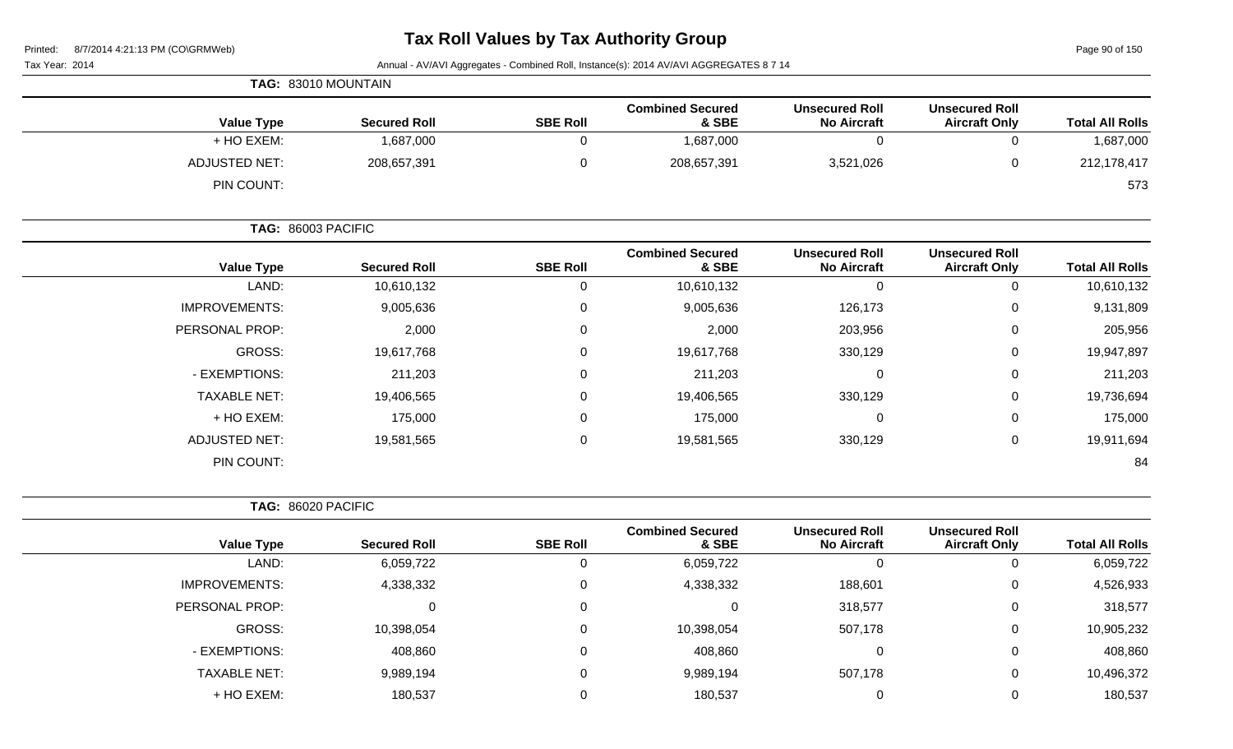Page 90 of 150

| TAG: 83010 MOUNTAIN  |  |                     |                 |                                  |  |                                             |                                               |                        |
|----------------------|--|---------------------|-----------------|----------------------------------|--|---------------------------------------------|-----------------------------------------------|------------------------|
| <b>Value Type</b>    |  | <b>Secured Roll</b> | <b>SBE Roll</b> | <b>Combined Secured</b><br>& SBE |  | <b>Unsecured Roll</b><br><b>No Aircraft</b> | <b>Unsecured Roll</b><br><b>Aircraft Only</b> | <b>Total All Rolls</b> |
| + HO EXEM:           |  | 1,687,000           |                 | 1,687,000                        |  | 0                                           |                                               | 1,687,000              |
| <b>ADJUSTED NET:</b> |  | 208,657,391         |                 | 208,657,391                      |  | 3,521,026                                   |                                               | 212,178,417            |
| PIN COUNT:           |  |                     |                 |                                  |  |                                             |                                               | 573                    |

|                      | TAG: 86003 PACIFIC  |                 |                                  |                                             |                                               |                        |
|----------------------|---------------------|-----------------|----------------------------------|---------------------------------------------|-----------------------------------------------|------------------------|
| <b>Value Type</b>    | <b>Secured Roll</b> | <b>SBE Roll</b> | <b>Combined Secured</b><br>& SBE | <b>Unsecured Roll</b><br><b>No Aircraft</b> | <b>Unsecured Roll</b><br><b>Aircraft Only</b> | <b>Total All Rolls</b> |
| LAND:                | 10,610,132          | 0               | 10,610,132                       | 0                                           | 0                                             | 10,610,132             |
| <b>IMPROVEMENTS:</b> | 9,005,636           | $\mathbf 0$     | 9,005,636                        | 126,173                                     | 0                                             | 9,131,809              |
| PERSONAL PROP:       | 2,000               | 0               | 2,000                            | 203,956                                     | 0                                             | 205,956                |
| <b>GROSS:</b>        | 19,617,768          | $\mathbf 0$     | 19,617,768                       | 330,129                                     | 0                                             | 19,947,897             |
| - EXEMPTIONS:        | 211,203             | 0               | 211,203                          | 0                                           | 0                                             | 211,203                |
| <b>TAXABLE NET:</b>  | 19,406,565          | $\mathbf 0$     | 19,406,565                       | 330,129                                     | 0                                             | 19,736,694             |
| + HO EXEM:           | 175,000             | $\mathbf 0$     | 175,000                          | 0                                           | 0                                             | 175,000                |
| <b>ADJUSTED NET:</b> | 19,581,565          | $\mathbf 0$     | 19,581,565                       | 330,129                                     | 0                                             | 19,911,694             |
| PIN COUNT:           |                     |                 |                                  |                                             |                                               | 84                     |

|  | TAG: 86020 PACIFIC |
|--|--------------------|
|--|--------------------|

|                        | <b>Unsecured Roll</b> | <b>Unsecured Roll</b> | <b>Combined Secured</b> |                 |                     |                      |
|------------------------|-----------------------|-----------------------|-------------------------|-----------------|---------------------|----------------------|
| <b>Total All Rolls</b> | <b>Aircraft Only</b>  | <b>No Aircraft</b>    | & SBE                   | <b>SBE Roll</b> | <b>Secured Roll</b> | <b>Value Type</b>    |
| 6,059,722              | 0                     |                       | 6,059,722               |                 | 6,059,722           | LAND:                |
| 4,526,933              | 0                     | 188,601               | 4,338,332               | 0               | 4,338,332           | <b>IMPROVEMENTS:</b> |
| 318,577                | 0                     | 318,577               | $\Omega$                | $\Omega$        | 0                   | PERSONAL PROP:       |
| 10,905,232             | 0                     | 507,178               | 10,398,054              | $\Omega$        | 10,398,054          | <b>GROSS:</b>        |
| 408,860                | $\mathbf 0$           |                       | 408,860                 | 0               | 408,860             | - EXEMPTIONS:        |
| 10,496,372             | 0                     | 507,178               | 9,989,194               | $\Omega$        | 9,989,194           | <b>TAXABLE NET:</b>  |
| 180,537                | 0                     |                       | 180,537                 |                 | 180,537             | + HO EXEM:           |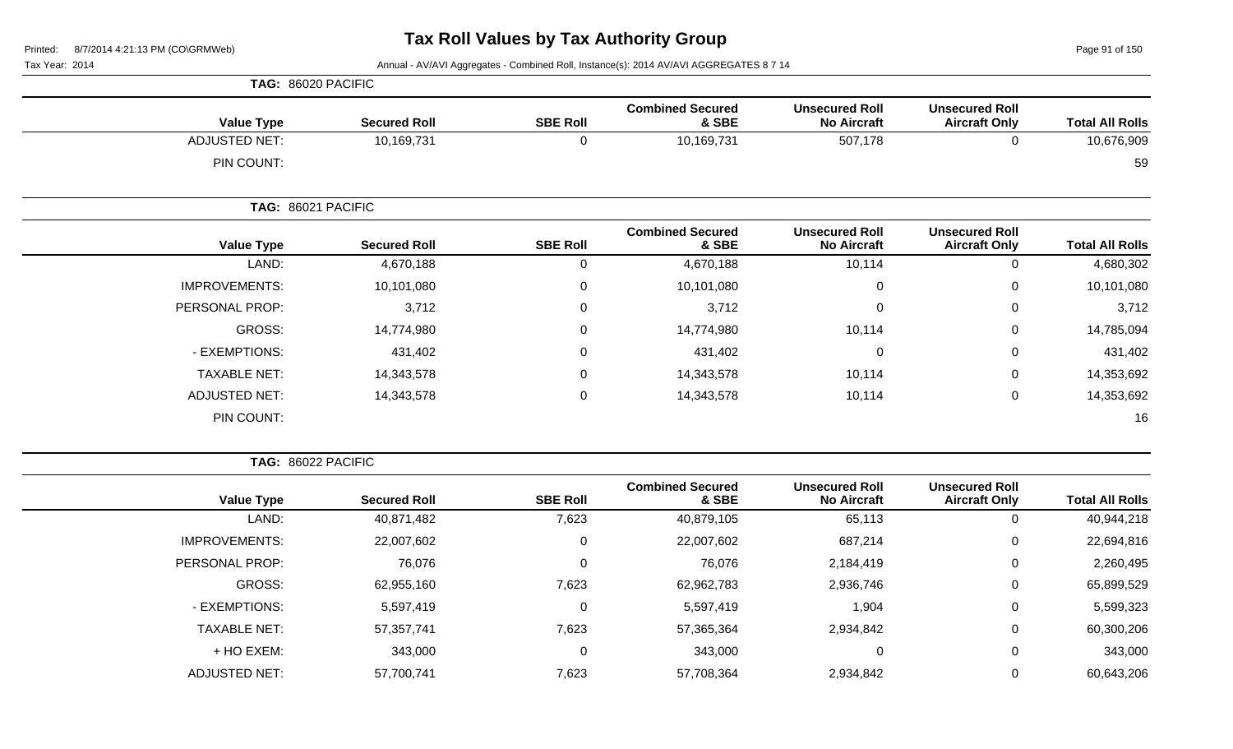Page 91 of 150

#### Tax Year: 2014 **Annual - AV/AVI Aggregates - Combined Roll**, Instance(s): 2014 AV/AVI AGGREGATES 8 7 14

| TAG: 86020 PACIFIC   |                     |                 |                                  |                                             |                                               |                        |
|----------------------|---------------------|-----------------|----------------------------------|---------------------------------------------|-----------------------------------------------|------------------------|
| <b>Value Type</b>    | <b>Secured Roll</b> | <b>SBE Roll</b> | <b>Combined Secured</b><br>& SBE | <b>Unsecured Roll</b><br><b>No Aircraft</b> | <b>Unsecured Roll</b><br><b>Aircraft Only</b> | <b>Total All Rolls</b> |
| <b>ADJUSTED NET:</b> | 10,169,731          | 0               | 10,169,731                       | 507,178                                     | 0                                             | 10,676,909             |
| PIN COUNT:           |                     |                 |                                  |                                             |                                               | 59                     |
|                      | TAG: 86021 PACIFIC  |                 |                                  |                                             |                                               |                        |
| <b>Value Type</b>    | <b>Secured Roll</b> | <b>SBE Roll</b> | <b>Combined Secured</b><br>& SBE | <b>Unsecured Roll</b><br><b>No Aircraft</b> | <b>Unsecured Roll</b><br><b>Aircraft Only</b> | <b>Total All Rolls</b> |
| LAND:                | 4,670,188           | 0               | 4,670,188                        | 10,114                                      | 0                                             | 4,680,302              |
| <b>IMPROVEMENTS:</b> | 10,101,080          | 0               | 10,101,080                       | $\mathbf 0$                                 | 0                                             | 10,101,080             |
| PERSONAL PROP:       | 3,712               | $\mathbf 0$     | 3,712                            | $\mathbf 0$                                 | 0                                             | 3,712                  |
| GROSS:               | 14,774,980          | $\Omega$        | 14,774,980                       | 10,114                                      | 0                                             | 14,785,094             |
| - EXEMPTIONS:        | 431,402             | $\mathbf 0$     | 431,402                          | 0                                           | 0                                             | 431,402                |
| <b>TAXABLE NET:</b>  | 14,343,578          | $\mathbf 0$     | 14,343,578                       | 10,114                                      | 0                                             | 14,353,692             |
| <b>ADJUSTED NET:</b> | 14,343,578          | 0               | 14,343,578                       | 10,114                                      | 0                                             | 14,353,692             |
| PIN COUNT:           |                     |                 |                                  |                                             |                                               | 16                     |

**TAG:** 86022 PACIFIC

|                      |                     |                 | <b>Combined Secured</b> | <b>Unsecured Roll</b> | <b>Unsecured Roll</b> |                        |
|----------------------|---------------------|-----------------|-------------------------|-----------------------|-----------------------|------------------------|
| <b>Value Type</b>    | <b>Secured Roll</b> | <b>SBE Roll</b> | & SBE                   | <b>No Aircraft</b>    | <b>Aircraft Only</b>  | <b>Total All Rolls</b> |
| LAND:                | 40,871,482          | 7,623           | 40,879,105              | 65,113                | 0                     | 40,944,218             |
| <b>IMPROVEMENTS:</b> | 22,007,602          | 0               | 22,007,602              | 687,214               | 0                     | 22,694,816             |
| PERSONAL PROP:       | 76,076              | $\Omega$        | 76,076                  | 2,184,419             | 0                     | 2,260,495              |
| GROSS:               | 62,955,160          | 7,623           | 62,962,783              | 2,936,746             | 0                     | 65,899,529             |
| - EXEMPTIONS:        | 5,597,419           | 0               | 5,597,419               | 1,904                 | $\mathbf 0$           | 5,599,323              |
| <b>TAXABLE NET:</b>  | 57,357,741          | 7,623           | 57,365,364              | 2,934,842             | 0                     | 60,300,206             |
| + HO EXEM:           | 343,000             | $\Omega$        | 343,000                 | 0                     | 0                     | 343,000                |
| <b>ADJUSTED NET:</b> | 57,700,741          | 7,623           | 57,708,364              | 2,934,842             | 0                     | 60,643,206             |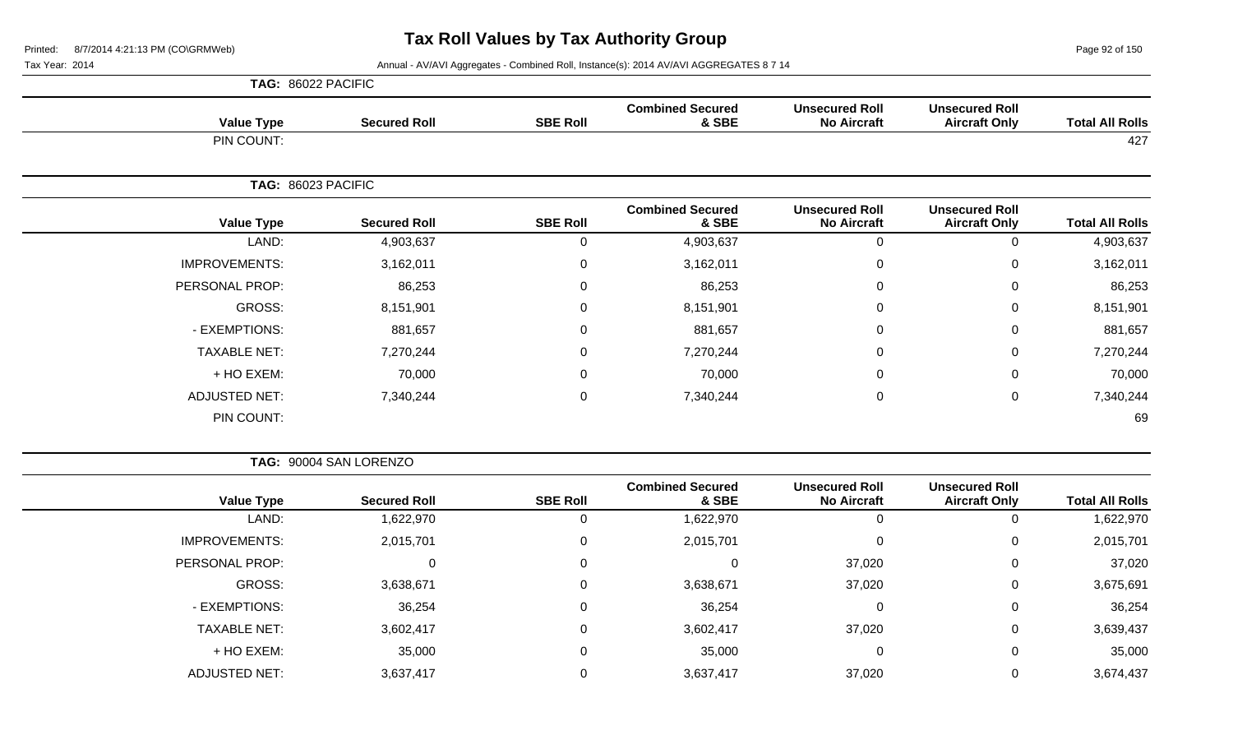Page 92 of 150

|                      | TAG: 86022 PACIFIC  |                 |                                  |                                             |                                               |                        |
|----------------------|---------------------|-----------------|----------------------------------|---------------------------------------------|-----------------------------------------------|------------------------|
| <b>Value Type</b>    | <b>Secured Roll</b> | <b>SBE Roll</b> | <b>Combined Secured</b><br>& SBE | <b>Unsecured Roll</b><br><b>No Aircraft</b> | <b>Unsecured Roll</b><br><b>Aircraft Only</b> | <b>Total All Rolls</b> |
| PIN COUNT:           |                     |                 |                                  |                                             |                                               | 427                    |
|                      | TAG: 86023 PACIFIC  |                 |                                  |                                             |                                               |                        |
| <b>Value Type</b>    | <b>Secured Roll</b> | <b>SBE Roll</b> | <b>Combined Secured</b><br>& SBE | <b>Unsecured Roll</b><br><b>No Aircraft</b> | <b>Unsecured Roll</b><br><b>Aircraft Only</b> | <b>Total All Rolls</b> |
| LAND:                | 4,903,637           | 0               | 4,903,637                        | 0                                           | $\mathbf 0$                                   | 4,903,637              |
| <b>IMPROVEMENTS:</b> | 3,162,011           | 0               | 3,162,011                        | 0                                           | 0                                             | 3,162,011              |
| PERSONAL PROP:       | 86,253              | 0               | 86,253                           | $\mathbf 0$                                 | 0                                             | 86,253                 |
| GROSS:               | 8,151,901           | $\mathbf 0$     | 8,151,901                        | $\mathbf 0$                                 | 0                                             | 8,151,901              |
| - EXEMPTIONS:        | 881,657             | $\mathbf 0$     | 881,657                          | $\mathbf 0$                                 | $\mathbf 0$                                   | 881,657                |
| <b>TAXABLE NET:</b>  | 7,270,244           | $\mathbf 0$     | 7,270,244                        | $\mathbf 0$                                 | 0                                             | 7,270,244              |
| + HO EXEM:           | 70,000              | $\mathbf 0$     | 70,000                           | $\mathbf 0$                                 | $\mathbf 0$                                   | 70,000                 |
| <b>ADJUSTED NET:</b> | 7,340,244           | 0               | 7,340,244                        | $\mathbf 0$                                 | 0                                             | 7,340,244              |
| PIN COUNT:           |                     |                 |                                  |                                             |                                               | 69                     |

|                        |                                               |                                             |                                  | TAG: 90004 SAN LORENZO |                     |                      |  |  |  |
|------------------------|-----------------------------------------------|---------------------------------------------|----------------------------------|------------------------|---------------------|----------------------|--|--|--|
| <b>Total All Rolls</b> | <b>Unsecured Roll</b><br><b>Aircraft Only</b> | <b>Unsecured Roll</b><br><b>No Aircraft</b> | <b>Combined Secured</b><br>& SBE | <b>SBE Roll</b>        | <b>Secured Roll</b> | <b>Value Type</b>    |  |  |  |
| 1,622,970              | υ                                             | 0                                           | 1,622,970                        |                        | 1,622,970           | LAND:                |  |  |  |
| 2,015,701              | 0                                             | 0                                           | 2,015,701                        | 0                      | 2,015,701           | <b>IMPROVEMENTS:</b> |  |  |  |
| 37,020                 | 0                                             | 37,020                                      | 0                                |                        | 0                   | PERSONAL PROP:       |  |  |  |
| 3,675,691              | 0                                             | 37,020                                      | 3,638,671                        | 0                      | 3,638,671           | GROSS:               |  |  |  |
| 36,254                 | 0                                             | 0                                           | 36,254                           | 0                      | 36,254              | - EXEMPTIONS:        |  |  |  |
| 3,639,437              | 0                                             | 37,020                                      | 3,602,417                        |                        | 3,602,417           | <b>TAXABLE NET:</b>  |  |  |  |
| 35,000                 | 0                                             | 0                                           | 35,000                           | 0                      | 35,000              | + HO EXEM:           |  |  |  |
| 3,674,437              | 0                                             | 37,020                                      | 3,637,417                        |                        | 3,637,417           | <b>ADJUSTED NET:</b> |  |  |  |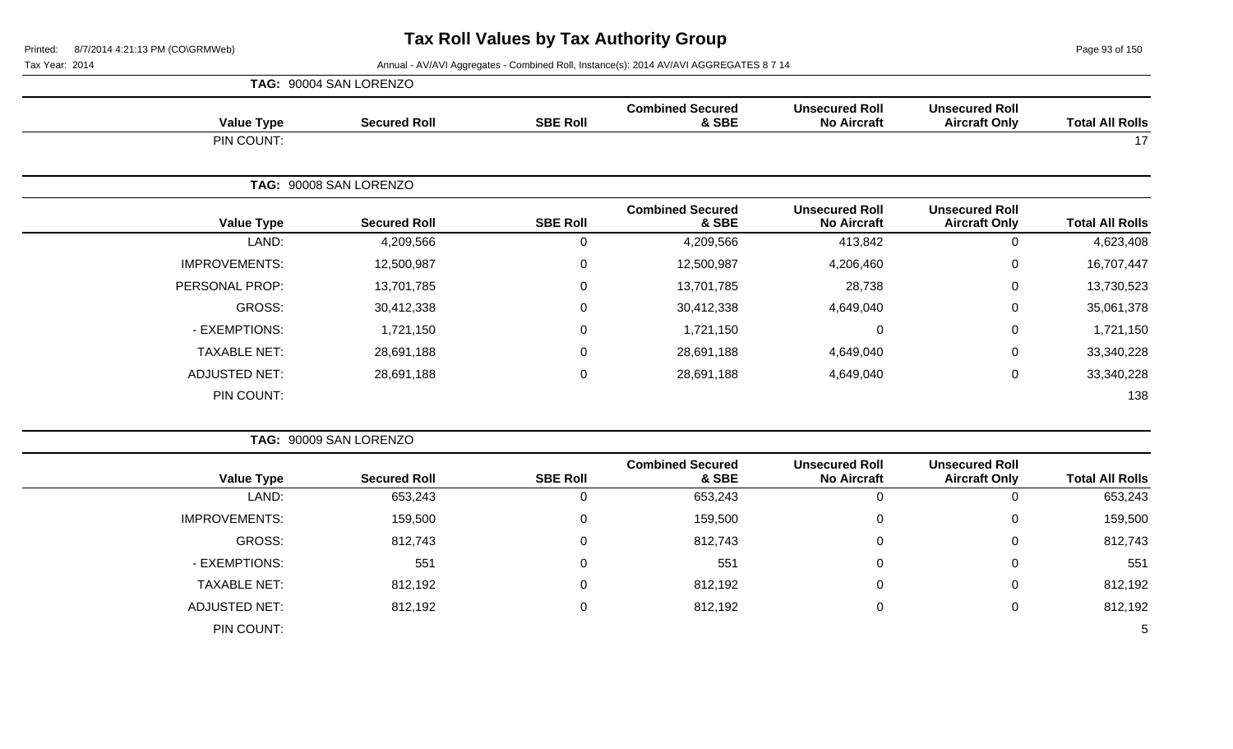**TAG:** 90004 SAN LORENZO

Page 93 of 150

| <b>Value Type</b>    | <b>Secured Roll</b>    | <b>SBE Roll</b> | <b>Combined Secured</b><br>& SBE | <b>Unsecured Roll</b><br><b>No Aircraft</b> | <b>Unsecured Roll</b><br><b>Aircraft Only</b> | <b>Total All Rolls</b> |
|----------------------|------------------------|-----------------|----------------------------------|---------------------------------------------|-----------------------------------------------|------------------------|
| PIN COUNT:           |                        |                 |                                  |                                             |                                               | 17                     |
|                      | TAG: 90008 SAN LORENZO |                 |                                  |                                             |                                               |                        |
| <b>Value Type</b>    | <b>Secured Roll</b>    | <b>SBE Roll</b> | <b>Combined Secured</b><br>& SBE | <b>Unsecured Roll</b><br><b>No Aircraft</b> | <b>Unsecured Roll</b><br><b>Aircraft Only</b> | <b>Total All Rolls</b> |
| LAND:                | 4,209,566              | $\overline{0}$  | 4,209,566                        | 413,842                                     | $\mathsf 0$                                   | 4,623,408              |
| <b>IMPROVEMENTS:</b> | 12,500,987             | $\mathbf 0$     | 12,500,987                       | 4,206,460                                   | 0                                             | 16,707,447             |
| PERSONAL PROP:       | 13,701,785             | $\mathbf 0$     | 13,701,785                       | 28,738                                      | $\mathbf 0$                                   | 13,730,523             |
| <b>GROSS:</b>        | 30,412,338             | $\mathbf 0$     | 30,412,338                       | 4,649,040                                   | $\mathbf 0$                                   | 35,061,378             |
| - EXEMPTIONS:        | 1,721,150              | $\mathbf 0$     | 1,721,150                        | $\Omega$                                    | 0                                             | 1,721,150              |
| <b>TAXABLE NET:</b>  | 28,691,188             | $\mathbf 0$     | 28,691,188                       | 4,649,040                                   | 0                                             | 33,340,228             |
| <b>ADJUSTED NET:</b> | 28,691,188             | $\mathbf 0$     | 28,691,188                       | 4,649,040                                   | $\mathbf 0$                                   | 33,340,228             |
| PIN COUNT:           |                        |                 |                                  |                                             |                                               | 138                    |
|                      | TAG: 90009 SAN LORENZO |                 |                                  |                                             |                                               |                        |
| <b>Value Type</b>    | <b>Secured Roll</b>    | <b>SBE Roll</b> | <b>Combined Secured</b><br>& SBE | <b>Unsecured Roll</b><br><b>No Aircraft</b> | <b>Unsecured Roll</b><br><b>Aircraft Only</b> | <b>Total All Rolls</b> |
| LAND:                | 653,243                | $\overline{0}$  | 653,243                          | $\mathbf 0$                                 | $\mathsf 0$                                   | 653,243                |
| <b>IMPROVEMENTS:</b> | 159,500                | 0               | 159,500                          | $\Omega$                                    | $\Omega$                                      | 159,500                |
| <b>GROSS:</b>        | 812,743                | $\overline{0}$  | 812,743                          | 0                                           | 0                                             | 812,743                |
| - EXEMPTIONS:        | 551                    | $\mathbf 0$     | 551                              | $\Omega$                                    | 0                                             | 551                    |
| <b>TAXABLE NET:</b>  | 812,192                | $\mathbf 0$     | 812,192                          | $\pmb{0}$                                   | $\mathsf 0$                                   | 812,192                |
| <b>ADJUSTED NET:</b> | 812,192                | $\mathbf 0$     | 812,192                          | $\pmb{0}$                                   | $\mathsf 0$                                   | 812,192                |
| PIN COUNT:           |                        |                 |                                  |                                             |                                               | 5                      |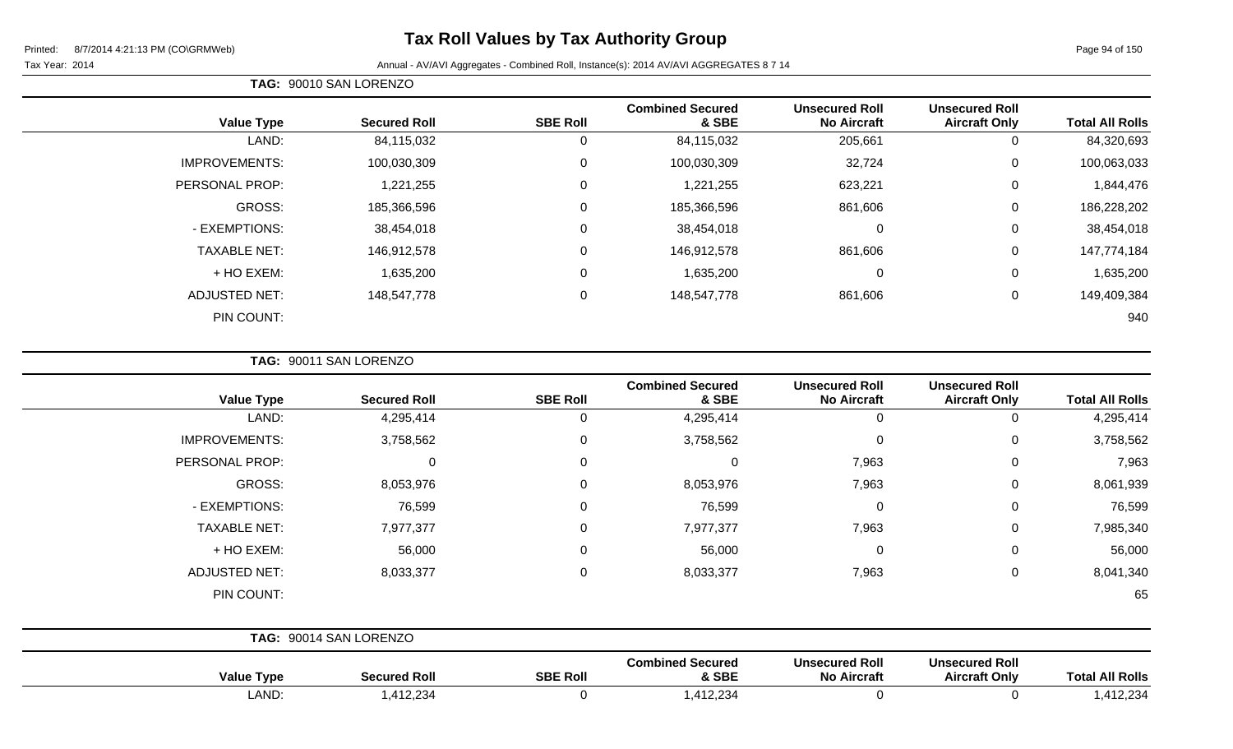#### Tax Year: 2014 Annual - AV/AVI Aggregates - Combined Roll, Instance(s): 2014 AV/AVI AGGREGATES 8 7 14

| TAG: 90010 SAN LORENZO |
|------------------------|
|                        |

|                      |                     |                 | <b>Combined Secured</b> | <b>Unsecured Roll</b> | <b>Unsecured Roll</b> |                        |
|----------------------|---------------------|-----------------|-------------------------|-----------------------|-----------------------|------------------------|
| <b>Value Type</b>    | <b>Secured Roll</b> | <b>SBE Roll</b> | & SBE                   | <b>No Aircraft</b>    | <b>Aircraft Only</b>  | <b>Total All Rolls</b> |
| LAND:                | 84,115,032          | 0               | 84,115,032              | 205,661               | 0                     | 84,320,693             |
| <b>IMPROVEMENTS:</b> | 100,030,309         | $\Omega$        | 100,030,309             | 32,724                | 0                     | 100,063,033            |
| PERSONAL PROP:       | 1,221,255           | $\Omega$        | 1,221,255               | 623,221               | 0                     | 1,844,476              |
| GROSS:               | 185,366,596         | $\Omega$        | 185,366,596             | 861,606               | 0                     | 186,228,202            |
| - EXEMPTIONS:        | 38,454,018          | $\Omega$        | 38,454,018              | $\Omega$              | 0                     | 38,454,018             |
| <b>TAXABLE NET:</b>  | 146,912,578         | $\Omega$        | 146,912,578             | 861,606               | 0                     | 147,774,184            |
| + HO EXEM:           | 1,635,200           | $\Omega$        | 1,635,200               | $\mathbf 0$           | 0                     | 1,635,200              |
| <b>ADJUSTED NET:</b> | 148,547,778         | $\Omega$        | 148,547,778             | 861,606               | 0                     | 149,409,384            |
| PIN COUNT:           |                     |                 |                         |                       |                       | 940                    |

**TAG:** 90011 SAN LORENZO

| <b>Value Type</b>    |                        | <b>Secured Roll</b> | <b>SBE Roll</b> | <b>Combined Secured</b><br>& SBE | <b>Unsecured Roll</b><br><b>No Aircraft</b> | <b>Unsecured Roll</b><br><b>Aircraft Only</b> | <b>Total All Rolls</b> |
|----------------------|------------------------|---------------------|-----------------|----------------------------------|---------------------------------------------|-----------------------------------------------|------------------------|
|                      | LAND:                  | 4,295,414           | 0               | 4,295,414                        | $\mathbf 0$                                 | 0                                             | 4,295,414              |
| <b>IMPROVEMENTS:</b> |                        | 3,758,562           | $\Omega$        | 3,758,562                        | $\mathbf 0$                                 | 0                                             | 3,758,562              |
| PERSONAL PROP:       |                        | 0                   | $\Omega$        | 0                                | 7,963                                       | 0                                             | 7,963                  |
| GROSS:               |                        | 8,053,976           | $\Omega$        | 8,053,976                        | 7,963                                       | 0                                             | 8,061,939              |
| - EXEMPTIONS:        |                        | 76,599              | $\Omega$        | 76,599                           | $\mathbf 0$                                 | 0                                             | 76,599                 |
| <b>TAXABLE NET:</b>  |                        | 7,977,377           | 0               | 7,977,377                        | 7,963                                       | $\mathbf 0$                                   | 7,985,340              |
| + HO EXEM:           |                        | 56,000              | 0               | 56,000                           | $\mathbf 0$                                 | $\mathbf 0$                                   | 56,000                 |
| <b>ADJUSTED NET:</b> |                        | 8,033,377           | $\Omega$        | 8,033,377                        | 7,963                                       | 0                                             | 8,041,340              |
| PIN COUNT:           |                        |                     |                 |                                  |                                             |                                               | 65                     |
|                      | TAG: 90014 SAN LORENZO |                     |                 |                                  |                                             |                                               |                        |
| <b>Value Type</b>    |                        | <b>Secured Roll</b> | <b>SBE Roll</b> | <b>Combined Secured</b><br>& SBE | <b>Unsecured Roll</b><br><b>No Aircraft</b> | <b>Unsecured Roll</b><br><b>Aircraft Only</b> | <b>Total All Rolls</b> |

LAND: 1,412,234 0 1,412,234 0 0 1,412,234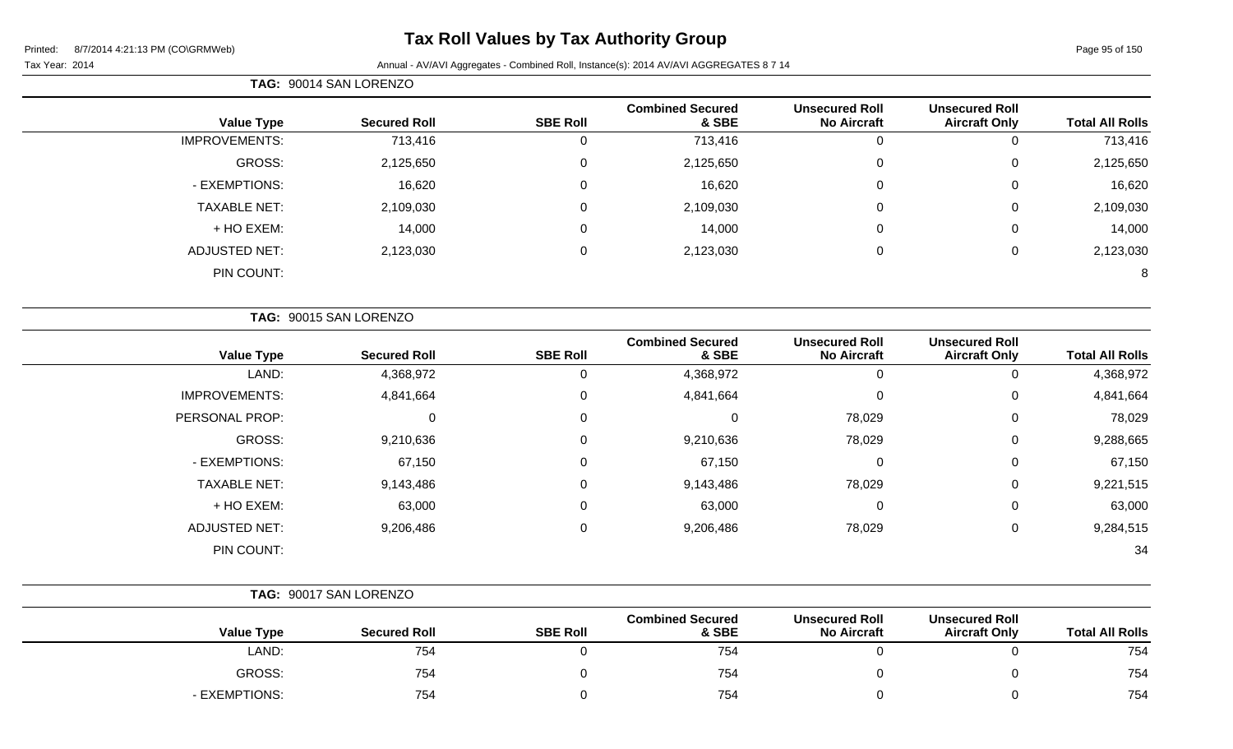# **Tax Roll Values by Tax Authority Group**

|  | TAG: 90014 SAN LORENZO |
|--|------------------------|
|--|------------------------|

| <b>Total All Rolls</b> | <b>Unsecured Roll</b><br><b>Aircraft Only</b> | <b>Unsecured Roll</b><br><b>No Aircraft</b> | <b>Combined Secured</b><br>& SBE | <b>SBE Roll</b> | <b>Secured Roll</b> | <b>Value Type</b>    |
|------------------------|-----------------------------------------------|---------------------------------------------|----------------------------------|-----------------|---------------------|----------------------|
| 713,416                | 0                                             | U                                           | 713,416                          |                 | 713,416             | <b>IMPROVEMENTS:</b> |
| 2,125,650              | $\mathbf 0$                                   | 0                                           | 2,125,650                        | 0               | 2,125,650           | GROSS:               |
| 16,620                 | 0                                             | 0                                           | 16,620                           | 0               | 16,620              | - EXEMPTIONS:        |
| 2,109,030              | 0                                             | U                                           | 2,109,030                        | 0               | 2,109,030           | <b>TAXABLE NET:</b>  |
| 14,000                 | 0                                             | 0                                           | 14,000                           | 0               | 14,000              | + HO EXEM:           |
| 2,123,030              | 0                                             | U                                           | 2,123,030                        | 0               | 2,123,030           | <b>ADJUSTED NET:</b> |
| 8                      |                                               |                                             |                                  |                 |                     | PIN COUNT:           |
|                        |                                               |                                             |                                  |                 |                     |                      |

| TAG: 90015 SAN LORENZO |                     |                 |                                  |                                             |                                               |                        |
|------------------------|---------------------|-----------------|----------------------------------|---------------------------------------------|-----------------------------------------------|------------------------|
| <b>Value Type</b>      | <b>Secured Roll</b> | <b>SBE Roll</b> | <b>Combined Secured</b><br>& SBE | <b>Unsecured Roll</b><br><b>No Aircraft</b> | <b>Unsecured Roll</b><br><b>Aircraft Only</b> | <b>Total All Rolls</b> |
| LAND:                  | 4,368,972           | 0               | 4,368,972                        | $\Omega$                                    | 0                                             | 4,368,972              |
| <b>IMPROVEMENTS:</b>   | 4,841,664           | $\mathbf 0$     | 4,841,664                        | 0                                           | 0                                             | 4,841,664              |
| PERSONAL PROP:         | 0                   | 0               | 0                                | 78,029                                      | 0                                             | 78,029                 |
| GROSS:                 | 9,210,636           | 0               | 9,210,636                        | 78,029                                      | 0                                             | 9,288,665              |
| - EXEMPTIONS:          | 67,150              | 0               | 67,150                           | 0                                           | 0                                             | 67,150                 |
| <b>TAXABLE NET:</b>    | 9,143,486           | 0               | 9,143,486                        | 78,029                                      | 0                                             | 9,221,515              |
| + HO EXEM:             | 63,000              | $\mathbf 0$     | 63,000                           | 0                                           | 0                                             | 63,000                 |
| <b>ADJUSTED NET:</b>   | 9,206,486           | $\mathbf 0$     | 9,206,486                        | 78,029                                      | 0                                             | 9,284,515              |
| PIN COUNT:             |                     |                 |                                  |                                             |                                               | 34                     |

|  | <b>Value Type</b> | <b>Secured Roll</b> | <b>SBE Roll</b> | <b>Combined Secured</b><br>& SBE | <b>Unsecured Roll</b><br><b>No Aircraft</b> | <b>Unsecured Roll</b><br><b>Aircraft Only</b> | <b>Total All Rolls</b> |
|--|-------------------|---------------------|-----------------|----------------------------------|---------------------------------------------|-----------------------------------------------|------------------------|
|  | LAND:             | 754                 |                 | 754                              |                                             |                                               | 754                    |
|  | <b>GROSS:</b>     | 754                 |                 | 754                              |                                             |                                               | 754                    |
|  | - EXEMPTIONS:     | 754                 |                 | 754                              |                                             |                                               | 754                    |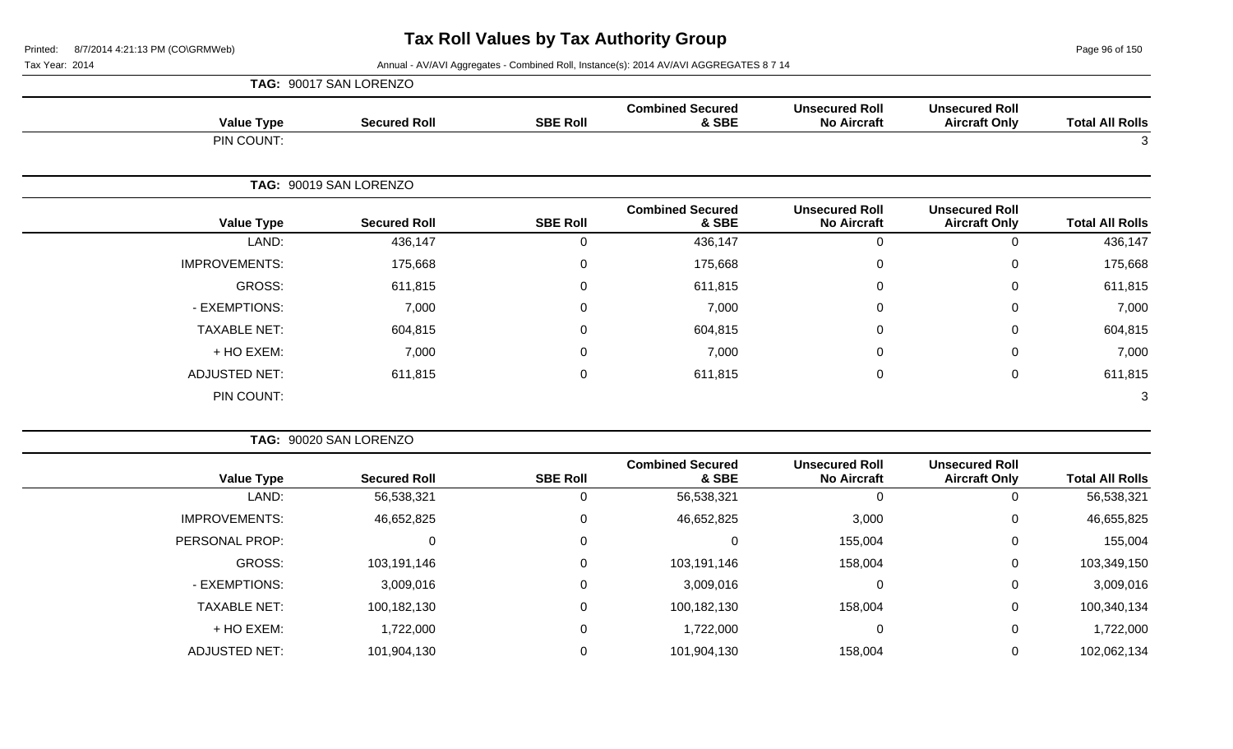Page 96 of 150

Tax Year: 2014 **Annual - AV/AVI Aggregates - Combined Roll, Instance(s): 2014 AV/AVI AGGREGATES 8 7 14** 

|                        |                                               |                                             |                                  |                 | TAG: 90017 SAN LORENZO |                      |
|------------------------|-----------------------------------------------|---------------------------------------------|----------------------------------|-----------------|------------------------|----------------------|
| <b>Total All Rolls</b> | <b>Unsecured Roll</b><br><b>Aircraft Only</b> | <b>Unsecured Roll</b><br><b>No Aircraft</b> | <b>Combined Secured</b><br>& SBE | <b>SBE Roll</b> | <b>Secured Roll</b>    | <b>Value Type</b>    |
| 3                      |                                               |                                             |                                  |                 |                        | PIN COUNT:           |
|                        |                                               |                                             |                                  |                 | TAG: 90019 SAN LORENZO |                      |
| <b>Total All Rolls</b> | <b>Unsecured Roll</b><br><b>Aircraft Only</b> | <b>Unsecured Roll</b><br><b>No Aircraft</b> | <b>Combined Secured</b><br>& SBE | <b>SBE Roll</b> | <b>Secured Roll</b>    | <b>Value Type</b>    |
| 436,147                | $\pmb{0}$                                     | $\boldsymbol{0}$                            | 436,147                          | $\mathbf 0$     | 436,147                | LAND:                |
| 175,668                | 0                                             | $\mathbf 0$                                 | 175,668                          | $\Omega$        | 175,668                | <b>IMPROVEMENTS:</b> |
| 611,815                | $\mathbf 0$                                   | $\Omega$                                    | 611,815                          | 0               | 611,815                | <b>GROSS:</b>        |
| 7,000                  | 0                                             | 0                                           | 7,000                            | 0               | 7,000                  | - EXEMPTIONS:        |
| 604,815                | 0                                             | 0                                           | 604,815                          | 0               | 604,815                | <b>TAXABLE NET:</b>  |
| 7,000                  | 0                                             | $\mathbf 0$                                 | 7,000                            | 0               | 7,000                  | + HO EXEM:           |
| 611,815                | $\pmb{0}$                                     | $\mathbf 0$                                 | 611,815                          | $\mathbf 0$     | 611,815                | <b>ADJUSTED NET:</b> |
| 3                      |                                               |                                             |                                  |                 |                        | PIN COUNT:           |
|                        |                                               |                                             |                                  |                 | TAG: 90020 SAN LORENZO |                      |
| <b>Total All Rolls</b> | <b>Unsecured Roll</b><br><b>Aircraft Only</b> | <b>Unsecured Roll</b><br><b>No Aircraft</b> | <b>Combined Secured</b><br>& SBE | <b>SBE Roll</b> | <b>Secured Roll</b>    | <b>Value Type</b>    |
| 56,538,321             | $\mathbf 0$                                   | $\mathbf 0$                                 | 56,538,321                       | $\mathbf 0$     | 56,538,321             | LAND:                |
| 46,655,825             | 0                                             | 3,000                                       | 46,652,825                       | 0               | 46,652,825             | <b>IMPROVEMENTS:</b> |
| 155,004                | 0                                             | 155,004                                     | $\mathbf 0$                      | 0               | 0                      | PERSONAL PROP:       |
| 103,349,150            | $\mathbf 0$                                   | 158,004                                     | 103,191,146                      | $\mathbf 0$     | 103,191,146            | <b>GROSS:</b>        |
| 3,009,016              | 0                                             | $\mathbf 0$                                 | 3,009,016                        | $\pmb{0}$       | 3,009,016              | - EXEMPTIONS:        |

TAXABLE NET: 100,182,130 0 100,182,130 158,004 0 100,340,134 + HO EXEM: 1,722,000 0 1,722,000 0 0 1,722,000

ADJUSTED NET: 101,904,130 0 101,904,130 158,004 0 102,062,134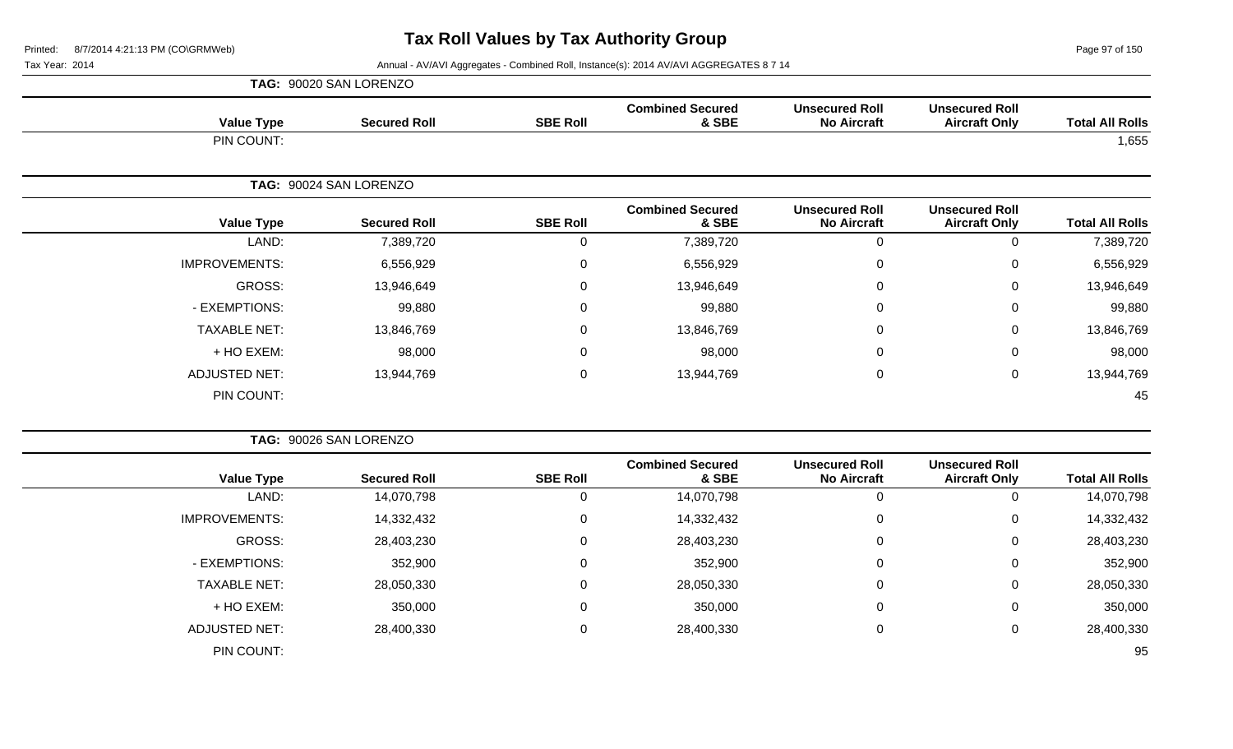Page 97 of 150

|                        |                                               |                                             |                                  |                 | TAG: 90020 SAN LORENZO |                      |
|------------------------|-----------------------------------------------|---------------------------------------------|----------------------------------|-----------------|------------------------|----------------------|
| <b>Total All Rolls</b> | <b>Unsecured Roll</b><br><b>Aircraft Only</b> | <b>Unsecured Roll</b><br><b>No Aircraft</b> | <b>Combined Secured</b><br>& SBE | <b>SBE Roll</b> | <b>Secured Roll</b>    | <b>Value Type</b>    |
| 1,655                  |                                               |                                             |                                  |                 |                        | PIN COUNT:           |
|                        |                                               |                                             |                                  |                 | TAG: 90024 SAN LORENZO |                      |
| <b>Total All Rolls</b> | <b>Unsecured Roll</b><br><b>Aircraft Only</b> | <b>Unsecured Roll</b><br><b>No Aircraft</b> | <b>Combined Secured</b><br>& SBE | <b>SBE Roll</b> | <b>Secured Roll</b>    | <b>Value Type</b>    |
| 7,389,720              | 0                                             | 0                                           | 7,389,720                        | 0               | 7,389,720              | LAND:                |
| 6,556,929              | $\mathbf 0$                                   | 0                                           | 6,556,929                        | 0               | 6,556,929              | <b>IMPROVEMENTS:</b> |
| 13,946,649             | $\mathbf 0$                                   | 0                                           | 13,946,649                       | $\mathbf 0$     | 13,946,649             | GROSS:               |
| 99,880                 | 0                                             | 0                                           | 99,880                           | $\mathbf 0$     | 99,880                 | - EXEMPTIONS:        |
| 13,846,769             | $\mathbf 0$                                   | 0                                           | 13,846,769                       | 0               | 13,846,769             | <b>TAXABLE NET:</b>  |
| 98,000                 | $\mathbf 0$                                   | 0                                           | 98,000                           | $\mathbf 0$     | 98,000                 | + HO EXEM:           |
| 13,944,769             | $\mathbf 0$                                   | $\mathbf 0$                                 | 13,944,769                       | $\mathbf 0$     | 13,944,769             | <b>ADJUSTED NET:</b> |
| 45                     |                                               |                                             |                                  |                 |                        | PIN COUNT:           |
|                        |                                               |                                             |                                  |                 | TAG: 90026 SAN LORENZO |                      |
|                        | <b>Unsecured Roll</b>                         | <b>Unsecured Roll</b>                       | <b>Combined Secured</b>          |                 |                        |                      |

| <b>Value Type</b>    | <b>Secured Roll</b> | <b>SBE Roll</b> | <b>Combined Secured</b><br>& SBE | <b>Unsecured Roll</b><br><b>No Aircraft</b> | <b>Unsecured Roll</b><br><b>Aircraft Only</b> | <b>Total All Rolls</b> |
|----------------------|---------------------|-----------------|----------------------------------|---------------------------------------------|-----------------------------------------------|------------------------|
| LAND:                | 14,070,798          | U               | 14,070,798                       | 0                                           |                                               | 14,070,798             |
| <b>IMPROVEMENTS:</b> | 14,332,432          | 0               | 14,332,432                       | $\overline{0}$                              | 0                                             | 14,332,432             |
| GROSS:               | 28,403,230          | $\Omega$        | 28,403,230                       | $\mathbf 0$                                 | 0                                             | 28,403,230             |
| - EXEMPTIONS:        | 352,900             | $\Omega$        | 352,900                          | 0                                           | $\Omega$                                      | 352,900                |
| <b>TAXABLE NET:</b>  | 28,050,330          | $\Omega$        | 28,050,330                       | 0                                           | 0                                             | 28,050,330             |
| + HO EXEM:           | 350,000             | $\Omega$        | 350,000                          | 0                                           |                                               | 350,000                |
| <b>ADJUSTED NET:</b> | 28,400,330          | $\Omega$        | 28,400,330                       | $\mathbf 0$                                 | 0                                             | 28,400,330             |
| PIN COUNT:           |                     |                 |                                  |                                             |                                               | 95                     |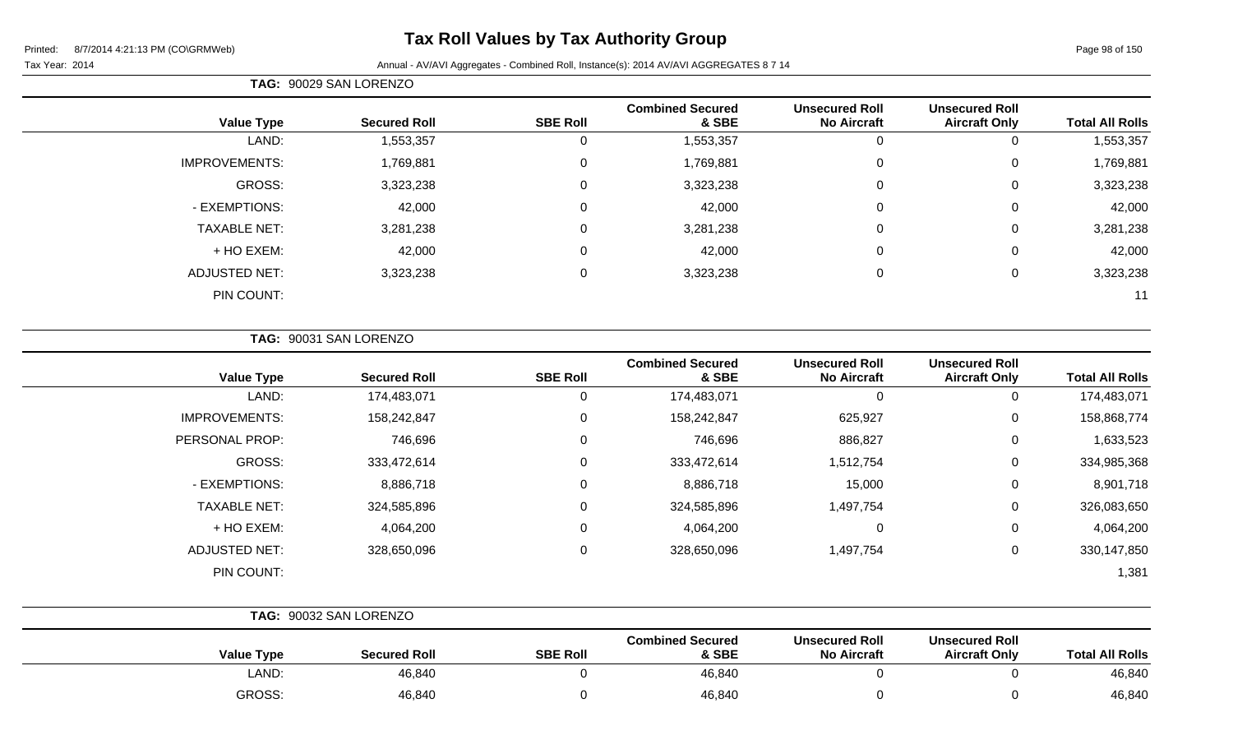# **Tax Roll Values by Tax Authority Group**

#### Tax Year: 2014 **Annual - AV/AVI Aggregates - Combined Roll**, Instance(s): 2014 AV/AVI AGGREGATES 8 7 14

**TAG:** 90029 SAN LORENZO

| <b>Total All Rolls</b> | <b>Unsecured Roll</b><br><b>Aircraft Only</b> | <b>Unsecured Roll</b><br><b>No Aircraft</b> | <b>Combined Secured</b><br>& SBE | <b>SBE Roll</b> | <b>Secured Roll</b> | <b>Value Type</b>    |
|------------------------|-----------------------------------------------|---------------------------------------------|----------------------------------|-----------------|---------------------|----------------------|
| 1,553,357              | 0                                             | 0                                           | 1,553,357                        | $\Omega$        | 1,553,357           | LAND:                |
| 1,769,881              | 0                                             | $\mathbf 0$                                 | 1,769,881                        | 0               | 1,769,881           | <b>IMPROVEMENTS:</b> |
| 3,323,238              | 0                                             | $\mathbf 0$                                 | 3,323,238                        | 0               | 3,323,238           | GROSS:               |
| 42,000                 | 0                                             | $\mathbf 0$                                 | 42,000                           | $\Omega$        | 42,000              | - EXEMPTIONS:        |
| 3,281,238              | 0                                             | $\mathbf 0$                                 | 3,281,238                        | $\mathbf 0$     | 3,281,238           | <b>TAXABLE NET:</b>  |
| 42,000                 | 0                                             | $\mathbf 0$                                 | 42,000                           | $\mathbf 0$     | 42,000              | + HO EXEM:           |
| 3,323,238              | $\Omega$                                      | $\mathbf 0$                                 | 3,323,238                        | 0               | 3,323,238           | <b>ADJUSTED NET:</b> |
| 11                     |                                               |                                             |                                  |                 |                     | PIN COUNT:           |

|  | <b>TAG: 90031 SAN LORENZO</b> |
|--|-------------------------------|
|  |                               |

| <b>Value Type</b>    | <b>Secured Roll</b> | <b>SBE Roll</b> | <b>Combined Secured</b><br>& SBE | <b>Unsecured Roll</b><br><b>No Aircraft</b> | <b>Unsecured Roll</b><br><b>Aircraft Only</b> | <b>Total All Rolls</b> |
|----------------------|---------------------|-----------------|----------------------------------|---------------------------------------------|-----------------------------------------------|------------------------|
| LAND:                | 174,483,071         | 0               | 174,483,071                      |                                             | 0                                             | 174,483,071            |
| <b>IMPROVEMENTS:</b> | 158,242,847         | 0               | 158,242,847                      | 625,927                                     | 0                                             | 158,868,774            |
| PERSONAL PROP:       | 746,696             | 0               | 746,696                          | 886,827                                     | 0                                             | 1,633,523              |
| GROSS:               | 333,472,614         | 0               | 333,472,614                      | 1,512,754                                   | 0                                             | 334,985,368            |
| - EXEMPTIONS:        | 8,886,718           | 0               | 8,886,718                        | 15,000                                      | 0                                             | 8,901,718              |
| <b>TAXABLE NET:</b>  | 324,585,896         | 0               | 324,585,896                      | 1,497,754                                   | 0                                             | 326,083,650            |
| + HO EXEM:           | 4,064,200           | 0               | 4,064,200                        | 0                                           | 0                                             | 4,064,200              |
| ADJUSTED NET:        | 328,650,096         | 0               | 328,650,096                      | 1,497,754                                   | 0                                             | 330,147,850            |
| PIN COUNT:           |                     |                 |                                  |                                             |                                               | 1,381                  |

|  | TAG: 90032 SAN LORENZO |                     |                 |                                  |                                             |                                               |                        |
|--|------------------------|---------------------|-----------------|----------------------------------|---------------------------------------------|-----------------------------------------------|------------------------|
|  | <b>Value Type</b>      | <b>Secured Roll</b> | <b>SBE Roll</b> | <b>Combined Secured</b><br>& SBE | <b>Unsecured Roll</b><br><b>No Aircraft</b> | <b>Unsecured Roll</b><br><b>Aircraft Only</b> | <b>Total All Rolls</b> |
|  | LAND:                  | 46,840              |                 | 46,840                           |                                             |                                               | 46,840                 |
|  | <b>GROSS:</b>          | 46,840              |                 | 46,840                           |                                             |                                               | 46,840                 |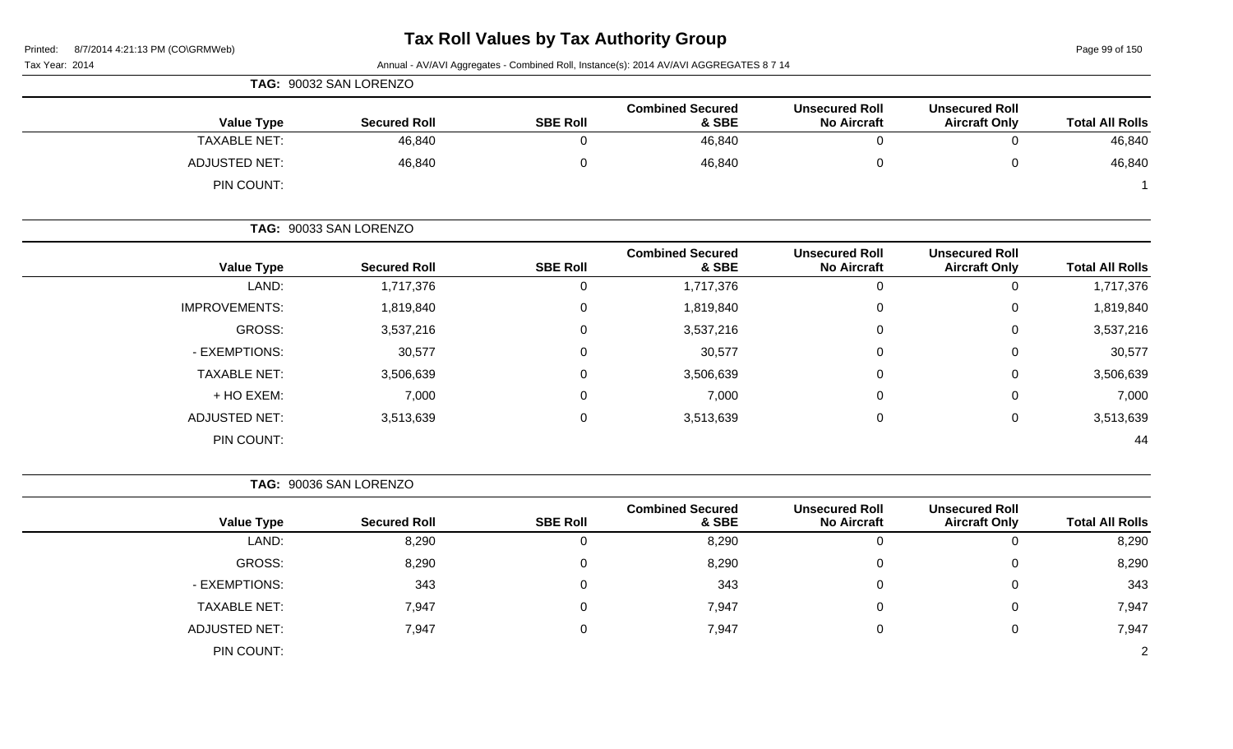Page 99 of 150

|                      | TAG: 90032 SAN LORENZO |                 |                                  |                                             |                                               |                        |
|----------------------|------------------------|-----------------|----------------------------------|---------------------------------------------|-----------------------------------------------|------------------------|
| <b>Value Type</b>    | <b>Secured Roll</b>    | <b>SBE Roll</b> | <b>Combined Secured</b><br>& SBE | <b>Unsecured Roll</b><br><b>No Aircraft</b> | <b>Unsecured Roll</b><br><b>Aircraft Only</b> | <b>Total All Rolls</b> |
| <b>TAXABLE NET:</b>  | 46,840                 |                 | 46,840                           |                                             |                                               | 46,840                 |
| <b>ADJUSTED NET:</b> | 46,840                 |                 | 46,840                           |                                             |                                               | 46,840                 |
| PIN COUNT:           |                        |                 |                                  |                                             |                                               |                        |

|                      | TAG: 90033 SAN LORENZO |                 |                                  |                                             |                                               |                        |
|----------------------|------------------------|-----------------|----------------------------------|---------------------------------------------|-----------------------------------------------|------------------------|
| <b>Value Type</b>    | <b>Secured Roll</b>    | <b>SBE Roll</b> | <b>Combined Secured</b><br>& SBE | <b>Unsecured Roll</b><br><b>No Aircraft</b> | <b>Unsecured Roll</b><br><b>Aircraft Only</b> | <b>Total All Rolls</b> |
| LAND:                | 1,717,376              | 0               | 1,717,376                        |                                             | 0                                             | 1,717,376              |
| <b>IMPROVEMENTS:</b> | 1,819,840              | 0               | 1,819,840                        |                                             | 0                                             | 1,819,840              |
| GROSS:               | 3,537,216              | $\mathbf 0$     | 3,537,216                        |                                             | $\mathbf 0$                                   | 3,537,216              |
| - EXEMPTIONS:        | 30,577                 | 0               | 30,577                           |                                             | 0                                             | 30,577                 |
| <b>TAXABLE NET:</b>  | 3,506,639              | 0               | 3,506,639                        |                                             | $\mathbf 0$                                   | 3,506,639              |
| + HO EXEM:           | 7,000                  | 0               | 7,000                            |                                             | 0                                             | 7,000                  |
| <b>ADJUSTED NET:</b> | 3,513,639              | 0               | 3,513,639                        |                                             | 0                                             | 3,513,639              |
| PIN COUNT:           |                        |                 |                                  |                                             |                                               | 44                     |

| 90036 SAN LORENZO<br>TAG: . |
|-----------------------------|
|                             |

| <b>Value Type</b>    | <b>Secured Roll</b> | <b>SBE Roll</b> | <b>Combined Secured</b><br>& SBE | <b>Unsecured Roll</b><br><b>No Aircraft</b> | <b>Unsecured Roll</b><br><b>Aircraft Only</b> | <b>Total All Rolls</b> |
|----------------------|---------------------|-----------------|----------------------------------|---------------------------------------------|-----------------------------------------------|------------------------|
| LAND:                | 8,290               | 0               | 8,290                            | U                                           | 0                                             | 8,290                  |
| GROSS:               | 8,290               | 0               | 8,290                            |                                             | $\mathbf 0$                                   | 8,290                  |
| - EXEMPTIONS:        | 343                 | 0               | 343                              | 0                                           | 0                                             | 343                    |
| <b>TAXABLE NET:</b>  | 7,947               | 0               | 7,947                            | 0                                           | 0                                             | 7,947                  |
| <b>ADJUSTED NET:</b> | 7,947               | 0               | 7,947                            | 0                                           | 0                                             | 7,947                  |
| PIN COUNT:           |                     |                 |                                  |                                             |                                               | $\overline{2}$         |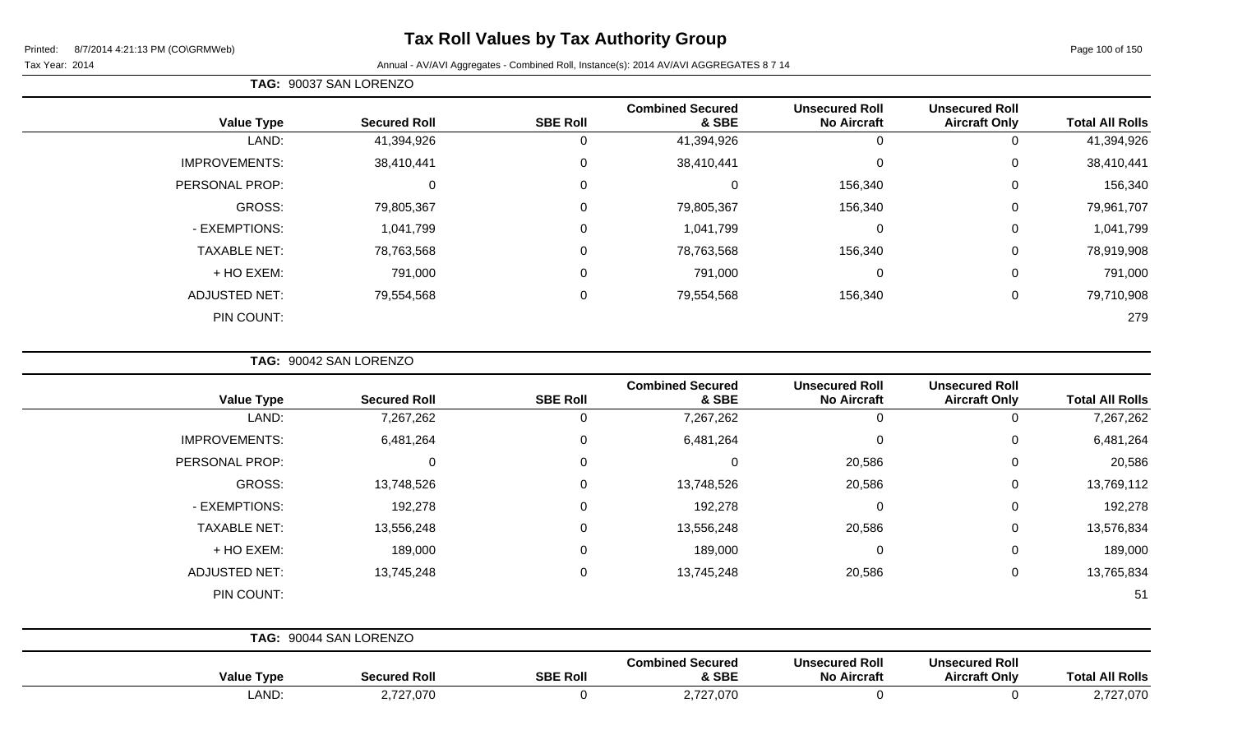# **Tax Roll Values by Tax Authority Group**

#### Tax Year: 2014 Annual - AV/AVI Aggregates - Combined Roll, Instance(s): 2014 AV/AVI AGGREGATES 8 7 14

| <b>Total All Rolls</b> | <b>Unsecured Roll</b><br><b>Aircraft Only</b> | <b>Unsecured Roll</b><br><b>No Aircraft</b> | <b>Combined Secured</b><br>& SBE | <b>SBE Roll</b> | <b>Secured Roll</b> | <b>Value Type</b>    |
|------------------------|-----------------------------------------------|---------------------------------------------|----------------------------------|-----------------|---------------------|----------------------|
| 41,394,926             | 0                                             | 0                                           | 41,394,926                       | 0               | 41,394,926          | LAND:                |
| 38,410,441             | 0                                             | $\mathbf 0$                                 | 38,410,441                       | 0               | 38,410,441          | <b>IMPROVEMENTS:</b> |
| 156,340                | 0                                             | 156,340                                     |                                  | $\overline{0}$  | $\mathbf 0$         | PERSONAL PROP:       |
| 79,961,707             | 0                                             | 156,340                                     | 79,805,367                       | 0               | 79,805,367          | GROSS:               |
| 1,041,799              | 0                                             | 0                                           | 1,041,799                        | $\mathbf 0$     | 1,041,799           | - EXEMPTIONS:        |
| 78,919,908             | $\Omega$                                      | 156,340                                     | 78,763,568                       | 0               | 78,763,568          | <b>TAXABLE NET:</b>  |
| 791,000                | $\mathbf 0$                                   | 0                                           | 791,000                          | $\mathbf 0$     | 791,000             | + HO EXEM:           |
| 79,710,908             | 0                                             | 156,340                                     | 79,554,568                       | $\mathbf 0$     | 79,554,568          | <b>ADJUSTED NET:</b> |
| 279                    |                                               |                                             |                                  |                 |                     | PIN COUNT:           |
|                        |                                               |                                             |                                  |                 |                     |                      |

**TAG:** 90042 SAN LORENZO

| <b>Value Type</b>    | <b>Secured Roll</b>    | <b>SBE Roll</b> | <b>Combined Secured</b><br>& SBE | <b>Unsecured Roll</b><br><b>No Aircraft</b> | <b>Unsecured Roll</b><br><b>Aircraft Only</b> | <b>Total All Rolls</b> |
|----------------------|------------------------|-----------------|----------------------------------|---------------------------------------------|-----------------------------------------------|------------------------|
| LAND:                | 7,267,262              | 0               | 7,267,262                        | $\mathbf 0$                                 |                                               | 7,267,262              |
| <b>IMPROVEMENTS:</b> | 6,481,264              | 0               | 6,481,264                        | $\mathbf 0$                                 | 0                                             | 6,481,264              |
| PERSONAL PROP:       | 0                      | $\mathbf 0$     | $\Omega$                         | 20,586                                      | 0                                             | 20,586                 |
| GROSS:               | 13,748,526             | 0               | 13,748,526                       | 20,586                                      | $\mathbf 0$                                   | 13,769,112             |
| - EXEMPTIONS:        | 192,278                | $\mathbf 0$     | 192,278                          | $\mathbf 0$                                 | 0                                             | 192,278                |
| <b>TAXABLE NET:</b>  | 13,556,248             | 0               | 13,556,248                       | 20,586                                      | 0                                             | 13,576,834             |
| + HO EXEM:           | 189,000                | 0               | 189,000                          | $\mathbf 0$                                 | 0                                             | 189,000                |
| <b>ADJUSTED NET:</b> | 13,745,248             | $\mathbf 0$     | 13,745,248                       | 20,586                                      | 0                                             | 13,765,834             |
| PIN COUNT:           |                        |                 |                                  |                                             |                                               | 51                     |
|                      | TAG: 90044 SAN LORENZO |                 |                                  |                                             |                                               |                        |
| <b>Value Type</b>    | <b>Secured Roll</b>    | <b>SBE Roll</b> | <b>Combined Secured</b><br>& SBE | <b>Unsecured Roll</b><br><b>No Aircraft</b> | <b>Unsecured Roll</b><br><b>Aircraft Only</b> | <b>Total All Rolls</b> |

LAND: 2,727,070 0 2,727,070 0 0 2,727,070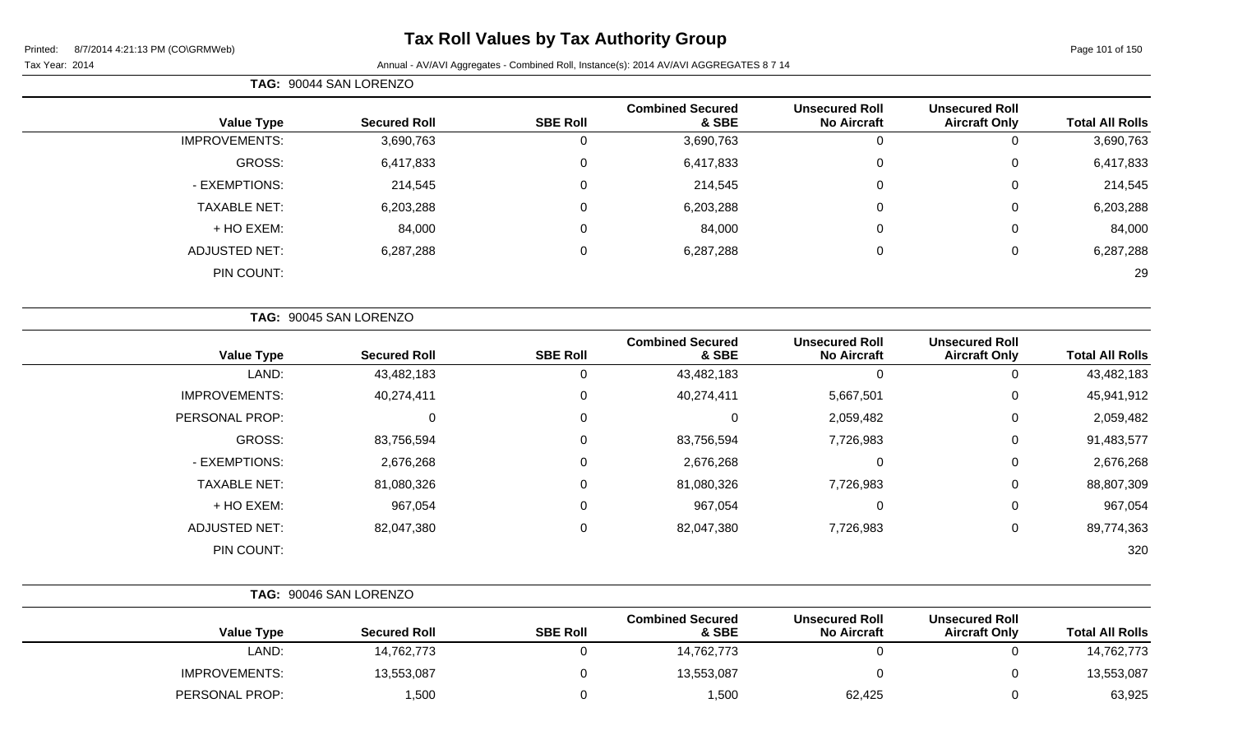# **Tax Roll Values by Tax Authority Group**

|                        |                                               |                                             |                                  |                 | TAG: 90044 SAN LORENZO |                      |  |  |
|------------------------|-----------------------------------------------|---------------------------------------------|----------------------------------|-----------------|------------------------|----------------------|--|--|
| <b>Total All Rolls</b> | <b>Unsecured Roll</b><br><b>Aircraft Only</b> | <b>Unsecured Roll</b><br><b>No Aircraft</b> | <b>Combined Secured</b><br>& SBE | <b>SBE Roll</b> | <b>Secured Roll</b>    | <b>Value Type</b>    |  |  |
| 3,690,763              | 0                                             |                                             | 3,690,763                        | 0               | 3,690,763              | <b>IMPROVEMENTS:</b> |  |  |
| 6,417,833              | 0                                             | 0                                           | 6,417,833                        | 0               | 6,417,833              | GROSS:               |  |  |
| 214,545                | 0                                             | 0                                           | 214,545                          | 0               | 214,545                | - EXEMPTIONS:        |  |  |
| 6,203,288              | 0                                             | 0                                           | 6,203,288                        | 0               | 6,203,288              | <b>TAXABLE NET:</b>  |  |  |
| 84,000                 | 0                                             | 0                                           | 84,000                           | 0               | 84,000                 | + HO EXEM:           |  |  |
| 6,287,288              | 0                                             | 0                                           | 6,287,288                        | 0               | 6,287,288              | <b>ADJUSTED NET:</b> |  |  |
| 29                     |                                               |                                             |                                  |                 |                        | PIN COUNT:           |  |  |
|                        |                                               |                                             |                                  |                 |                        |                      |  |  |

|                      | TAG: 90045 SAN LORENZO |                 |                                  |                                             |                                               |                        |
|----------------------|------------------------|-----------------|----------------------------------|---------------------------------------------|-----------------------------------------------|------------------------|
| <b>Value Type</b>    | <b>Secured Roll</b>    | <b>SBE Roll</b> | <b>Combined Secured</b><br>& SBE | <b>Unsecured Roll</b><br><b>No Aircraft</b> | <b>Unsecured Roll</b><br><b>Aircraft Only</b> | <b>Total All Rolls</b> |
| LAND:                | 43,482,183             | 0               | 43,482,183                       | 0                                           | 0                                             | 43,482,183             |
| <b>IMPROVEMENTS:</b> | 40,274,411             | 0               | 40,274,411                       | 5,667,501                                   | 0                                             | 45,941,912             |
| PERSONAL PROP:       | 0                      | 0               | 0                                | 2,059,482                                   | 0                                             | 2,059,482              |
| <b>GROSS:</b>        | 83,756,594             | 0               | 83,756,594                       | 7,726,983                                   | 0                                             | 91,483,577             |
| - EXEMPTIONS:        | 2,676,268              | 0               | 2,676,268                        | 0                                           | 0                                             | 2,676,268              |
| <b>TAXABLE NET:</b>  | 81,080,326             | 0               | 81,080,326                       | 7,726,983                                   | 0                                             | 88,807,309             |
| + HO EXEM:           | 967,054                | 0               | 967,054                          | 0                                           | 0                                             | 967,054                |
| <b>ADJUSTED NET:</b> | 82,047,380             | 0               | 82,047,380                       | 7,726,983                                   | 0                                             | 89,774,363             |
| PIN COUNT:           |                        |                 |                                  |                                             |                                               | 320                    |

|                        |                                               |                                             |                                  | TAG: 90046 SAN LORENZO |                     |                      |  |  |  |
|------------------------|-----------------------------------------------|---------------------------------------------|----------------------------------|------------------------|---------------------|----------------------|--|--|--|
| <b>Total All Rolls</b> | <b>Unsecured Roll</b><br><b>Aircraft Only</b> | <b>Unsecured Roll</b><br><b>No Aircraft</b> | <b>Combined Secured</b><br>& SBE | <b>SBE Roll</b>        | <b>Secured Roll</b> | <b>Value Type</b>    |  |  |  |
| 14,762,773             |                                               |                                             | 14,762,773                       |                        | 14,762,773          | ∟AND:                |  |  |  |
| 13,553,087             |                                               |                                             | 13,553,087                       |                        | 13,553,087          | <b>IMPROVEMENTS:</b> |  |  |  |
| 63,925                 |                                               | 62,425                                      | 1,500                            |                        | 1,500               | PERSONAL PROP:       |  |  |  |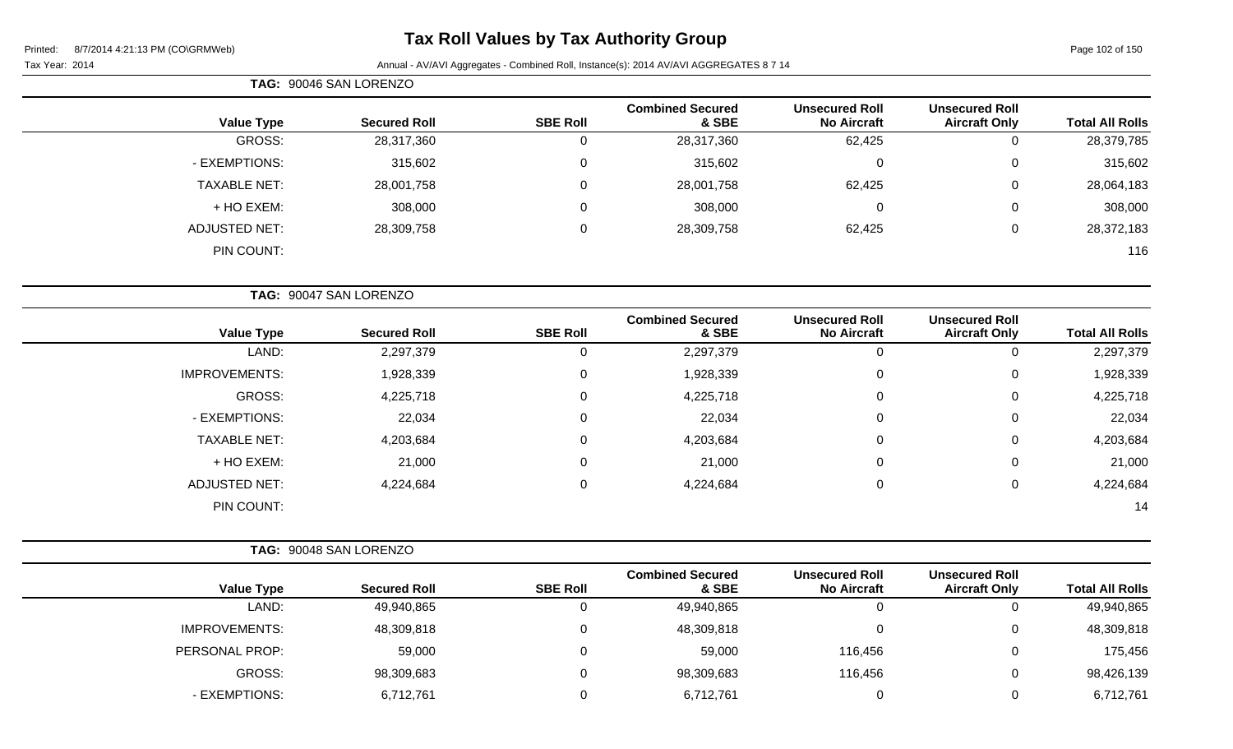# **Tax Roll Values by Tax Authority Group**

|                      | TAG: 90046 SAN LORENZO |                 |                                  |                                             |                                               |                        |
|----------------------|------------------------|-----------------|----------------------------------|---------------------------------------------|-----------------------------------------------|------------------------|
| <b>Value Type</b>    | <b>Secured Roll</b>    | <b>SBE Roll</b> | <b>Combined Secured</b><br>& SBE | <b>Unsecured Roll</b><br><b>No Aircraft</b> | <b>Unsecured Roll</b><br><b>Aircraft Only</b> | <b>Total All Rolls</b> |
| GROSS:               | 28,317,360             | $\mathbf 0$     | 28,317,360                       | 62,425                                      | $\mathbf 0$                                   | 28,379,785             |
| - EXEMPTIONS:        | 315,602                | $\mathbf 0$     | 315,602                          | $\mathbf 0$                                 | $\mathbf 0$                                   | 315,602                |
| <b>TAXABLE NET:</b>  | 28,001,758             | $\mathbf 0$     | 28,001,758                       | 62,425                                      | $\pmb{0}$                                     | 28,064,183             |
| + HO EXEM:           | 308,000                | 0               | 308,000                          | $\mathbf 0$                                 | $\mathsf 0$                                   | 308,000                |
| <b>ADJUSTED NET:</b> | 28,309,758             | $\mathbf 0$     | 28,309,758                       | 62,425                                      | $\mathsf 0$                                   | 28,372,183             |
| PIN COUNT:           |                        |                 |                                  |                                             |                                               | 116                    |
|                      | TAG: 90047 SAN LORENZO |                 |                                  |                                             |                                               |                        |
| <b>Value Type</b>    | <b>Secured Roll</b>    | <b>SBE Roll</b> | <b>Combined Secured</b><br>& SBE | <b>Unsecured Roll</b><br><b>No Aircraft</b> | <b>Unsecured Roll</b><br><b>Aircraft Only</b> | <b>Total All Rolls</b> |
| LAND:                | 2,297,379              | $\mathbf 0$     | 2,297,379                        | $\mathbf 0$                                 | $\mathsf 0$                                   | 2,297,379              |
| <b>IMPROVEMENTS:</b> | 1,928,339              | $\mathbf 0$     | 1,928,339                        | $\pmb{0}$                                   | $\mathbf 0$                                   | 1,928,339              |
| GROSS:               | 4,225,718              | 0               | 4,225,718                        | $\mathbf 0$                                 | 0                                             | 4,225,718              |
| - EXEMPTIONS:        | 22,034                 | $\mathbf 0$     | 22,034                           | $\mathbf 0$                                 | $\mathbf 0$                                   | 22,034                 |
| <b>TAXABLE NET:</b>  | 4,203,684              | $\mathbf 0$     | 4,203,684                        | $\pmb{0}$                                   | $\mathsf 0$                                   | 4,203,684              |
| + HO EXEM:           | 21,000                 | 0               | 21,000                           | $\mathbf 0$                                 | 0                                             | 21,000                 |
| <b>ADJUSTED NET:</b> | 4,224,684              | $\mathbf 0$     | 4,224,684                        | $\mathbf 0$                                 | $\mathsf 0$                                   | 4,224,684              |
| PIN COUNT:           |                        |                 |                                  |                                             |                                               | 14                     |
|                      | TAG: 90048 SAN LORENZO |                 |                                  |                                             |                                               |                        |

| <b>Value Type</b>    | <b>Secured Roll</b> | <b>SBE Roll</b> | <b>Combined Secured</b><br>& SBE | <b>Unsecured Roll</b><br><b>No Aircraft</b> | <b>Unsecured Roll</b><br><b>Aircraft Only</b> | <b>Total All Rolls</b> |
|----------------------|---------------------|-----------------|----------------------------------|---------------------------------------------|-----------------------------------------------|------------------------|
| LAND:                | 49,940,865          |                 | 49,940,865                       |                                             |                                               | 49,940,865             |
| <b>IMPROVEMENTS:</b> | 48,309,818          |                 | 48,309,818                       |                                             | U                                             | 48,309,818             |
| PERSONAL PROP:       | 59,000              |                 | 59,000                           | 116,456                                     | 0                                             | 175,456                |
| <b>GROSS:</b>        | 98,309,683          |                 | 98,309,683                       | 116,456                                     | U                                             | 98,426,139             |
| - EXEMPTIONS:        | 6,712,761           |                 | 6,712,761                        |                                             | U                                             | 6,712,761              |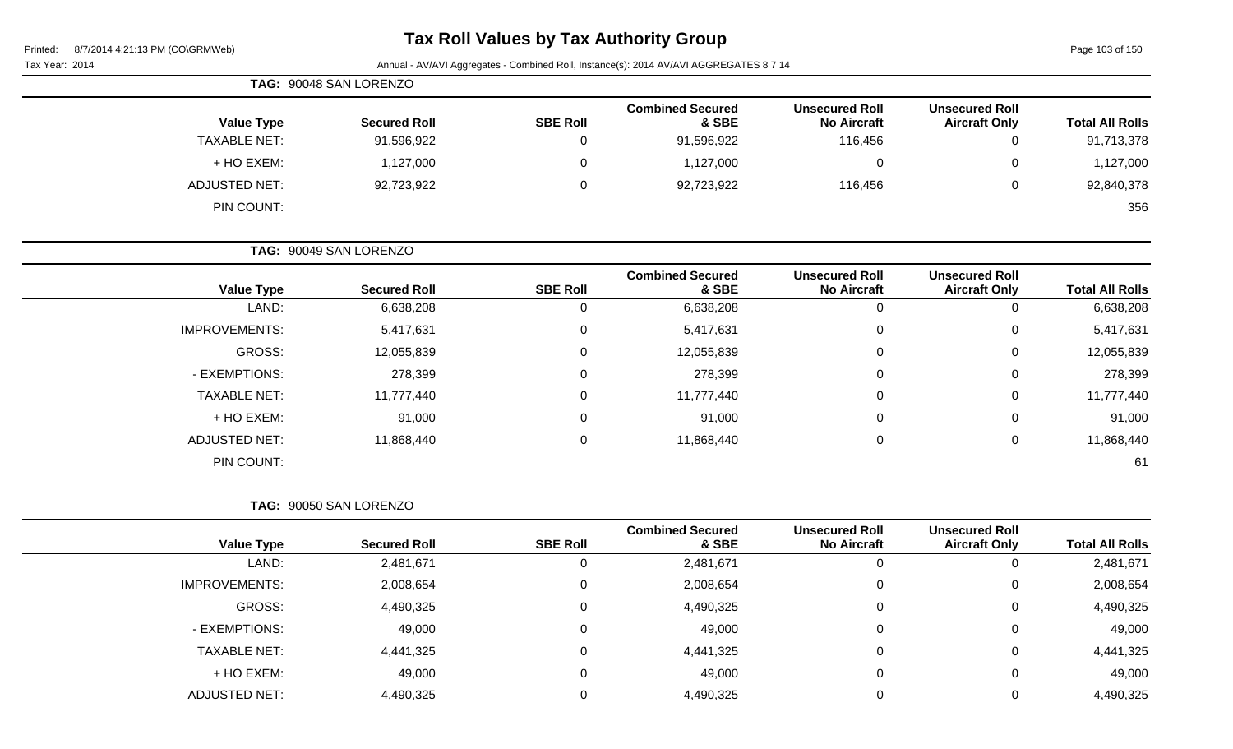Printe<sup>®</sup>

## **Tax Roll Values by Tax Authority Group**

103 of 150

| $\frac{1}{2}$<br>8/7/2014 4:21:13 PM (CO\GRMWeb)<br>Printed: |       |                                                                                        |                 |                                  |                                             | Page 103 of 150                               |                        |  |  |
|--------------------------------------------------------------|-------|----------------------------------------------------------------------------------------|-----------------|----------------------------------|---------------------------------------------|-----------------------------------------------|------------------------|--|--|
| Tax Year: 2014                                               |       | Annual - AV/AVI Aggregates - Combined Roll, Instance(s): 2014 AV/AVI AGGREGATES 8 7 14 |                 |                                  |                                             |                                               |                        |  |  |
|                                                              |       | TAG: 90048 SAN LORENZO                                                                 |                 |                                  |                                             |                                               |                        |  |  |
| <b>Value Type</b>                                            |       | <b>Secured Roll</b>                                                                    | <b>SBE Roll</b> | <b>Combined Secured</b><br>& SBE | <b>Unsecured Roll</b><br><b>No Aircraft</b> | <b>Unsecured Roll</b><br><b>Aircraft Only</b> | <b>Total All Rolls</b> |  |  |
| <b>TAXABLE NET:</b>                                          |       | 91,596,922                                                                             | 0               | 91,596,922                       | 116,456                                     | 0                                             | 91,713,378             |  |  |
| + HO EXEM:                                                   |       | 1,127,000                                                                              | 0               | 1,127,000                        | 0                                           | 0                                             | 1,127,000              |  |  |
| <b>ADJUSTED NET:</b>                                         |       | 92,723,922                                                                             | 0               | 92,723,922                       | 116,456                                     | $\mathbf 0$                                   | 92,840,378             |  |  |
| PIN COUNT:                                                   |       |                                                                                        |                 |                                  |                                             |                                               | 356                    |  |  |
|                                                              |       | TAG: 90049 SAN LORENZO                                                                 |                 |                                  |                                             |                                               |                        |  |  |
| <b>Value Type</b>                                            |       | <b>Secured Roll</b>                                                                    | <b>SBE Roll</b> | <b>Combined Secured</b><br>& SBE | <b>Unsecured Roll</b><br><b>No Aircraft</b> | <b>Unsecured Roll</b><br><b>Aircraft Only</b> | <b>Total All Rolls</b> |  |  |
|                                                              | LAND: | 6,638,208                                                                              | 0               | 6,638,208                        | $\mathbf 0$                                 | $\mathbf 0$                                   | 6,638,208              |  |  |
| <b>IMPROVEMENTS:</b>                                         |       | 5,417,631                                                                              | 0               | 5,417,631                        | 0                                           | 0                                             | 5,417,631              |  |  |
| <b>GROSS:</b>                                                |       | 12,055,839                                                                             | 0               | 12,055,839                       | 0                                           | 0                                             | 12,055,839             |  |  |
| - EXEMPTIONS:                                                |       | 278,399                                                                                | 0               | 278,399                          | 0                                           | 0                                             | 278,399                |  |  |
| <b>TAXABLE NET:</b>                                          |       | 11,777,440                                                                             | 0               | 11,777,440                       | 0                                           | 0                                             | 11,777,440             |  |  |
| + HO EXEM:                                                   |       | 91,000                                                                                 | 0               | 91,000                           | 0                                           | 0                                             | 91,000                 |  |  |
| <b>ADJUSTED NET:</b>                                         |       | 11,868,440                                                                             | 0               | 11,868,440                       | 0                                           | $\mathbf 0$                                   | 11,868,440             |  |  |
| PIN COUNT:                                                   |       |                                                                                        |                 |                                  |                                             |                                               | 61                     |  |  |
|                                                              |       | TAG: 90050 SAN LORENZO                                                                 |                 |                                  |                                             |                                               |                        |  |  |
| <b>Value Type</b>                                            |       | <b>Secured Roll</b>                                                                    | <b>SBE Roll</b> | <b>Combined Secured</b><br>& SBE | <b>Unsecured Roll</b><br><b>No Aircraft</b> | <b>Unsecured Roll</b><br><b>Aircraft Only</b> | <b>Total All Rolls</b> |  |  |
|                                                              | LAND: | 2,481,671                                                                              | 0               | 2,481,671                        | 0                                           | $\mathbf{0}$                                  | 2,481,671              |  |  |
| <b>IMPROVEMENTS:</b>                                         |       | 2,008,654                                                                              | 0               | 2,008,654                        | 0                                           | 0                                             | 2,008,654              |  |  |
| GROSS:                                                       |       | 4,490,325                                                                              | 0               | 4,490,325                        | $\mathbf 0$                                 | $\boldsymbol{0}$                              | 4,490,325              |  |  |
| - EXEMPTIONS:                                                |       | 49,000                                                                                 | 0               | 49,000                           | 0                                           | $\pmb{0}$                                     | 49,000                 |  |  |
| <b>TAXABLE NET:</b>                                          |       | 4,441,325                                                                              | 0               | 4,441,325                        | 0                                           | $\pmb{0}$                                     | 4,441,325              |  |  |
| + HO EXEM:                                                   |       | 49,000                                                                                 | 0               | 49,000                           | 0                                           | $\pmb{0}$                                     | 49,000                 |  |  |
| <b>ADJUSTED NET:</b>                                         |       | 4,490,325                                                                              | 0               | 4,490,325                        | 0                                           | $\pmb{0}$                                     | 4,490,325              |  |  |
|                                                              |       |                                                                                        |                 |                                  |                                             |                                               |                        |  |  |
|                                                              |       |                                                                                        |                 |                                  |                                             |                                               |                        |  |  |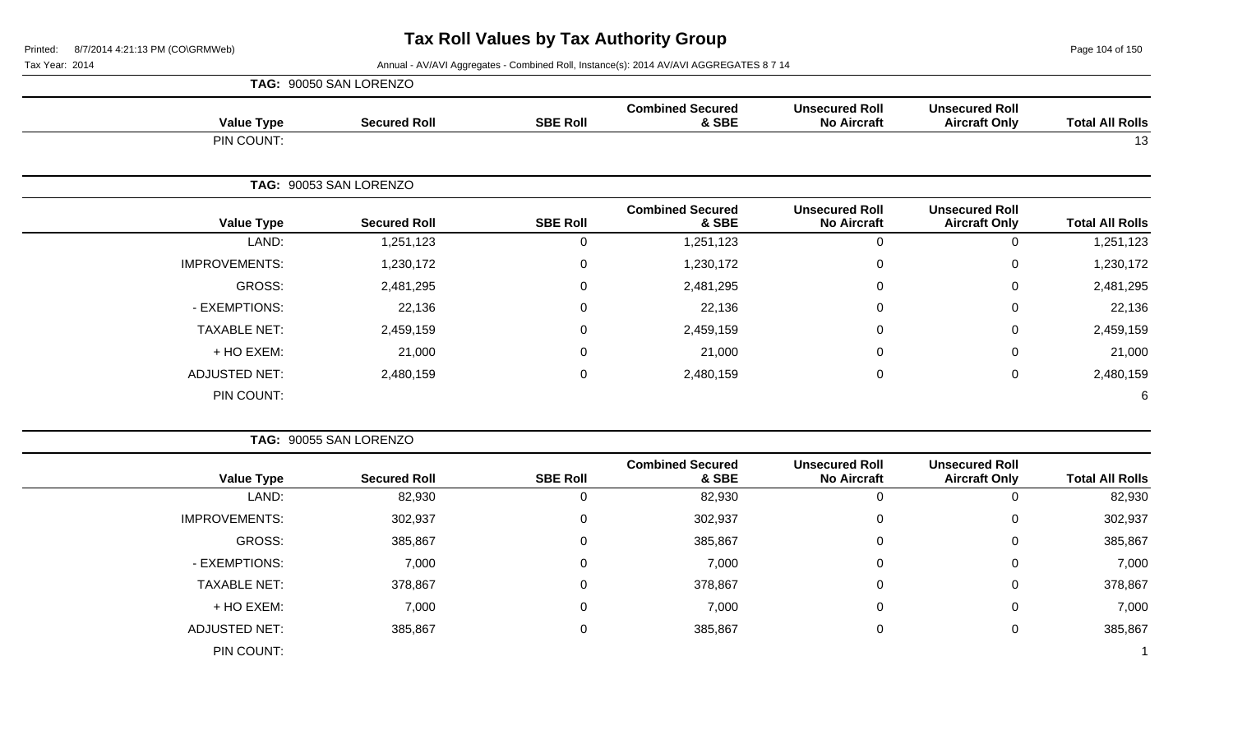Page 104 of 150

Tax Year: 2014 **Annual - AV/AVI Aggregates - Combined Roll, Instance(s): 2014 AV/AVI AGGREGATES 8 7 14** 

|                        |                                               |                                             |                                  |                 | TAG: 90050 SAN LORENZO |                      |
|------------------------|-----------------------------------------------|---------------------------------------------|----------------------------------|-----------------|------------------------|----------------------|
| <b>Total All Rolls</b> | <b>Unsecured Roll</b><br><b>Aircraft Only</b> | <b>Unsecured Roll</b><br><b>No Aircraft</b> | <b>Combined Secured</b><br>& SBE | <b>SBE Roll</b> | <b>Secured Roll</b>    | <b>Value Type</b>    |
| 13                     |                                               |                                             |                                  |                 |                        | PIN COUNT:           |
|                        |                                               |                                             |                                  |                 | TAG: 90053 SAN LORENZO |                      |
| <b>Total All Rolls</b> | <b>Unsecured Roll</b><br><b>Aircraft Only</b> | <b>Unsecured Roll</b><br><b>No Aircraft</b> | <b>Combined Secured</b><br>& SBE | <b>SBE Roll</b> | <b>Secured Roll</b>    | <b>Value Type</b>    |
| 1,251,123              | $\mathbf 0$                                   | $\mathbf 0$                                 | 1,251,123                        | $\mathbf 0$     | 1,251,123              | LAND:                |
| 1,230,172              | $\mathbf 0$                                   | 0                                           | 1,230,172                        | 0               | 1,230,172              | <b>IMPROVEMENTS:</b> |
| 2,481,295              | $\mathbf 0$                                   | $\Omega$                                    | 2,481,295                        | $\pmb{0}$       | 2,481,295              | <b>GROSS:</b>        |
| 22,136                 | 0                                             | 0                                           | 22,136                           | 0               | 22,136                 | - EXEMPTIONS:        |
| 2,459,159              | 0                                             | $\Omega$                                    | 2,459,159                        | 0               | 2,459,159              | <b>TAXABLE NET:</b>  |
| 21,000                 | 0                                             | 0                                           | 21,000                           | 0               | 21,000                 | + HO EXEM:           |
| 2,480,159              | $\mathbf 0$                                   | $\pmb{0}$                                   | 2,480,159                        | $\mathbf 0$     | 2,480,159              | <b>ADJUSTED NET:</b> |
| 6                      |                                               |                                             |                                  |                 |                        | PIN COUNT:           |
|                        |                                               |                                             |                                  |                 | TAG: 90055 SAN LORENZO |                      |
| <b>Total All Rolls</b> | <b>Unsecured Roll</b><br><b>Aircraft Only</b> | <b>Unsecured Roll</b><br><b>No Aircraft</b> | <b>Combined Secured</b><br>& SBE | <b>SBE Roll</b> | <b>Secured Roll</b>    | <b>Value Type</b>    |
| 82,930                 | $\overline{0}$                                | $\overline{0}$                              | 82,930                           | $\mathbf 0$     | 82,930                 | LAND:                |
| 302,937                | $\mathbf 0$                                   | $\Omega$                                    | 302,937                          | $\Omega$        | 302,937                | <b>IMPROVEMENTS:</b> |
| 385,867                | $\mathbf 0$                                   | $\pmb{0}$                                   | 385,867                          | $\pmb{0}$       | 385,867                | <b>GROSS:</b>        |
| 7,000                  | $\mathbf 0$                                   | $\Omega$                                    | 7,000                            | $\mathbf 0$     | 7,000                  | - EXEMPTIONS:        |
| 378,867                | 0                                             | $\pmb{0}$                                   | 378,867                          | 0               | 378,867                | <b>TAXABLE NET:</b>  |

+ HO EXEM: 7,000 0 7,000 0 0 7,000

ADJUSTED NET: 385,867 0 385,867 0 0 385,867

PIN COUNT: 1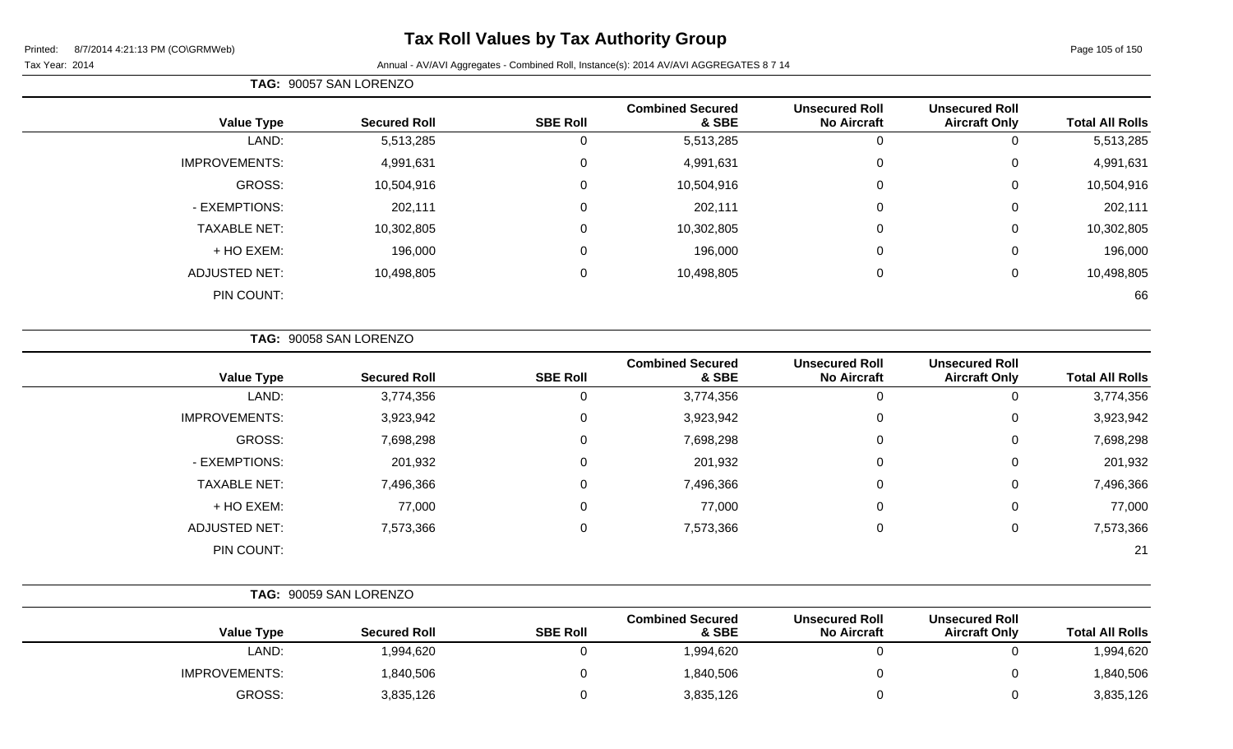# **Tax Roll Values by Tax Authority Group**

#### Tax Year: 2014 **Annual - AV/AVI Aggregates - Combined Roll**, Instance(s): 2014 AV/AVI AGGREGATES 8 7 14

| TAG: 90057 SAN LORENZO |                     |                 |                                  |                                             |                                               |                        |
|------------------------|---------------------|-----------------|----------------------------------|---------------------------------------------|-----------------------------------------------|------------------------|
| <b>Value Type</b>      | <b>Secured Roll</b> | <b>SBE Roll</b> | <b>Combined Secured</b><br>& SBE | <b>Unsecured Roll</b><br><b>No Aircraft</b> | <b>Unsecured Roll</b><br><b>Aircraft Only</b> | <b>Total All Rolls</b> |
| LAND:                  | 5,513,285           |                 | 5,513,285                        | 0                                           | 0                                             | 5,513,285              |
| <b>IMPROVEMENTS:</b>   | 4,991,631           | 0               | 4,991,631                        | 0                                           | 0                                             | 4,991,631              |
| GROSS:                 | 10,504,916          | $\Omega$        | 10,504,916                       | 0                                           | $\Omega$                                      | 10,504,916             |
| - EXEMPTIONS:          | 202,111             | $\Omega$        | 202,111                          | 0                                           | 0                                             | 202,111                |
| <b>TAXABLE NET:</b>    | 10,302,805          | $\Omega$        | 10,302,805                       | 0                                           | 0                                             | 10,302,805             |
| + HO EXEM:             | 196,000             | $\Omega$        | 196,000                          | 0                                           | 0                                             | 196,000                |
| <b>ADJUSTED NET:</b>   | 10,498,805          | $\mathbf 0$     | 10,498,805                       | 0                                           | 0                                             | 10,498,805             |
| PIN COUNT:             |                     |                 |                                  |                                             |                                               | 66                     |

**TAG:** 90058 SAN LORENZO

| <b>Value Type</b>    | <b>Secured Roll</b> | <b>SBE Roll</b> | <b>Combined Secured</b><br>& SBE | <b>Unsecured Roll</b><br><b>No Aircraft</b> | <b>Unsecured Roll</b><br><b>Aircraft Only</b> | <b>Total All Rolls</b> |
|----------------------|---------------------|-----------------|----------------------------------|---------------------------------------------|-----------------------------------------------|------------------------|
| LAND:                | 3,774,356           |                 | 3,774,356                        | 0                                           | U                                             | 3,774,356              |
| <b>IMPROVEMENTS:</b> | 3,923,942           | 0               | 3,923,942                        | 0                                           | 0                                             | 3,923,942              |
| <b>GROSS:</b>        | 7,698,298           |                 | 7,698,298                        | 0                                           | 0                                             | 7,698,298              |
| - EXEMPTIONS:        | 201,932             | $\Omega$        | 201,932                          | 0                                           | 0                                             | 201,932                |
| <b>TAXABLE NET:</b>  | 7,496,366           | $\Omega$        | 7,496,366                        | 0                                           | 0                                             | 7,496,366              |
| + HO EXEM:           | 77,000              |                 | 77,000                           | 0                                           | 0                                             | 77,000                 |
| <b>ADJUSTED NET:</b> | 7,573,366           | 0               | 7,573,366                        | 0                                           | 0                                             | 7,573,366              |
| PIN COUNT:           |                     |                 |                                  |                                             |                                               | 21                     |

|                      | TAG: 90059 SAN LORENZO |                 |                                  |                                             |                                               |                        |
|----------------------|------------------------|-----------------|----------------------------------|---------------------------------------------|-----------------------------------------------|------------------------|
| <b>Value Type</b>    | <b>Secured Roll</b>    | <b>SBE Roll</b> | <b>Combined Secured</b><br>& SBE | <b>Unsecured Roll</b><br><b>No Aircraft</b> | <b>Unsecured Roll</b><br><b>Aircraft Only</b> | <b>Total All Rolls</b> |
| LAND:                | 1,994,620              |                 | 1,994,620                        |                                             |                                               | 1,994,620              |
| <b>IMPROVEMENTS:</b> | 1,840,506              |                 | 1,840,506                        |                                             |                                               | 1,840,506              |
| GROSS:               | 3,835,126              |                 | 3,835,126                        |                                             | ັ                                             | 3,835,126              |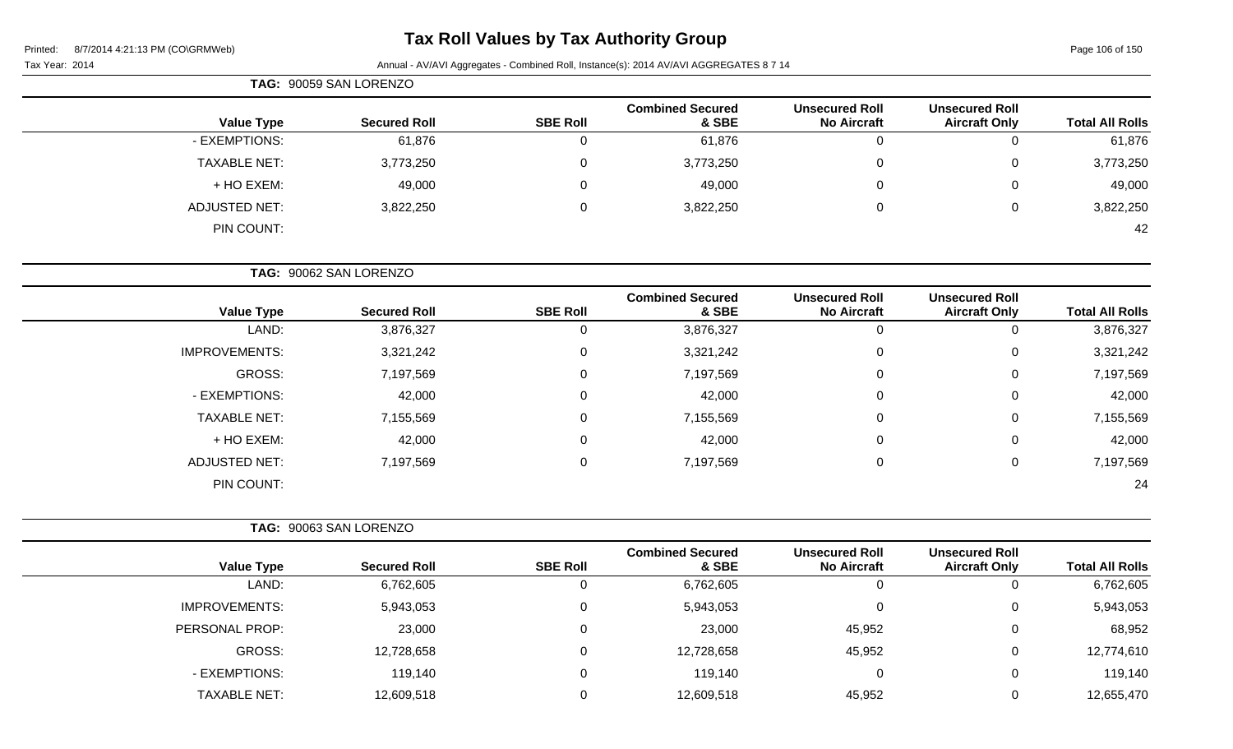Page 106 of 150

|                     | TAG: 90059 SAN LORENZO |                 |                                  |                                             |                                               |                        |
|---------------------|------------------------|-----------------|----------------------------------|---------------------------------------------|-----------------------------------------------|------------------------|
| <b>Value Type</b>   | <b>Secured Roll</b>    | <b>SBE Roll</b> | <b>Combined Secured</b><br>& SBE | <b>Unsecured Roll</b><br><b>No Aircraft</b> | <b>Unsecured Roll</b><br><b>Aircraft Only</b> | <b>Total All Rolls</b> |
| - EXEMPTIONS:       | 61,876                 |                 | 61,876                           |                                             | 0                                             | 61,876                 |
| <b>TAXABLE NET:</b> | 3,773,250              | 0               | 3,773,250                        |                                             | 0                                             | 3,773,250              |
| + HO EXEM:          | 49,000                 |                 | 49,000                           |                                             | 0                                             | 49,000                 |
| ADJUSTED NET:       | 3,822,250              |                 | 3,822,250                        |                                             | 0                                             | 3,822,250              |
| PIN COUNT:          |                        |                 |                                  |                                             |                                               | 42                     |

| TAG: 90062 SAN LORENZO |  |
|------------------------|--|
|                        |  |

| <b>Value Type</b>    | <b>Secured Roll</b> | <b>SBE Roll</b> | <b>Combined Secured</b><br>& SBE | <b>Unsecured Roll</b><br><b>No Aircraft</b> | <b>Unsecured Roll</b><br><b>Aircraft Only</b> | <b>Total All Rolls</b> |
|----------------------|---------------------|-----------------|----------------------------------|---------------------------------------------|-----------------------------------------------|------------------------|
| LAND:                | 3,876,327           | U               | 3,876,327                        | 0                                           | 0                                             | 3,876,327              |
| <b>IMPROVEMENTS:</b> | 3,321,242           | 0               | 3,321,242                        | 0                                           | 0                                             | 3,321,242              |
| GROSS:               | 7,197,569           | 0               | 7,197,569                        | 0                                           | 0                                             | 7,197,569              |
| - EXEMPTIONS:        | 42,000              | 0               | 42,000                           | 0                                           | 0                                             | 42,000                 |
| <b>TAXABLE NET:</b>  | 7,155,569           | 0               | 7,155,569                        | 0                                           | 0                                             | 7,155,569              |
| + HO EXEM:           | 42,000              | 0               | 42,000                           | 0                                           | 0                                             | 42,000                 |
| <b>ADJUSTED NET:</b> | 7,197,569           | 0               | 7,197,569                        | 0                                           | $\mathbf 0$                                   | 7,197,569              |
| PIN COUNT:           |                     |                 |                                  |                                             |                                               | 24                     |

|                      | TAG: 90063 SAN LORENZO |                 |                                  |                                             |                                               |                        |
|----------------------|------------------------|-----------------|----------------------------------|---------------------------------------------|-----------------------------------------------|------------------------|
| <b>Value Type</b>    | <b>Secured Roll</b>    | <b>SBE Roll</b> | <b>Combined Secured</b><br>& SBE | <b>Unsecured Roll</b><br><b>No Aircraft</b> | <b>Unsecured Roll</b><br><b>Aircraft Only</b> | <b>Total All Rolls</b> |
| LAND:                | 6,762,605              | 0               | 6,762,605                        | $\overline{0}$                              |                                               | 6,762,605              |
| <b>IMPROVEMENTS:</b> | 5,943,053              | 0               | 5,943,053                        | $\overline{0}$                              | 0                                             | 5,943,053              |
| PERSONAL PROP:       | 23,000                 | 0               | 23,000                           | 45,952                                      | 0                                             | 68,952                 |
| GROSS:               | 12,728,658             | $\Omega$        | 12,728,658                       | 45,952                                      | 0                                             | 12,774,610             |
| - EXEMPTIONS:        | 119,140                | 0               | 119,140                          | 0                                           | $\Omega$                                      | 119,140                |
| TAXABLE NET:         | 12,609,518             | 0               | 12,609,518                       | 45,952                                      |                                               | 12,655,470             |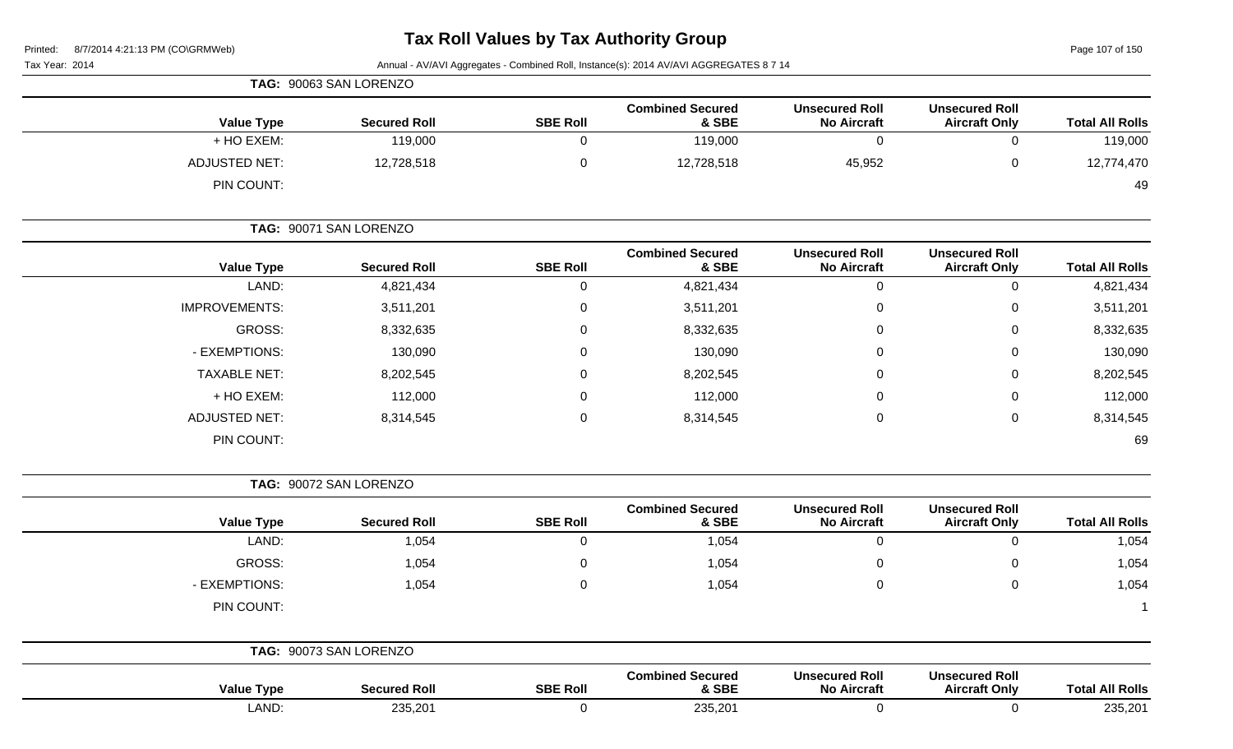Page 107 of 150

| Tax Year: 2014       |                        |                 | Annual - AV/AVI Aggregates - Combined Roll, Instance(s): 2014 AV/AVI AGGREGATES 8 7 14 |                                             |                                               |                        |
|----------------------|------------------------|-----------------|----------------------------------------------------------------------------------------|---------------------------------------------|-----------------------------------------------|------------------------|
|                      | TAG: 90063 SAN LORENZO |                 |                                                                                        |                                             |                                               |                        |
| <b>Value Type</b>    | <b>Secured Roll</b>    | <b>SBE Roll</b> | <b>Combined Secured</b><br>& SBE                                                       | <b>Unsecured Roll</b><br><b>No Aircraft</b> | <b>Unsecured Roll</b><br><b>Aircraft Only</b> | <b>Total All Rolls</b> |
| + HO EXEM:           | 119,000                | 0               | 119,000                                                                                | $\mathbf 0$                                 | $\mathbf 0$                                   | 119,000                |
| <b>ADJUSTED NET:</b> | 12,728,518             | $\pmb{0}$       | 12,728,518                                                                             | 45,952                                      | $\mathbf 0$                                   | 12,774,470             |
| PIN COUNT:           |                        |                 |                                                                                        |                                             |                                               | 49                     |
|                      | TAG: 90071 SAN LORENZO |                 |                                                                                        |                                             |                                               |                        |
| <b>Value Type</b>    | <b>Secured Roll</b>    | <b>SBE Roll</b> | <b>Combined Secured</b><br>& SBE                                                       | <b>Unsecured Roll</b><br><b>No Aircraft</b> | <b>Unsecured Roll</b><br><b>Aircraft Only</b> | <b>Total All Rolls</b> |
| LAND:                | 4,821,434              | 0               | 4,821,434                                                                              | 0                                           | $\mathbf 0$                                   | 4,821,434              |
| <b>IMPROVEMENTS:</b> | 3,511,201              | 0               | 3,511,201                                                                              | 0                                           | 0                                             | 3,511,201              |
| GROSS:               | 8,332,635              | 0               | 8,332,635                                                                              | 0                                           | 0                                             | 8,332,635              |
| - EXEMPTIONS:        | 130,090                | 0               | 130,090                                                                                | $\Omega$                                    | 0                                             | 130,090                |
| <b>TAXABLE NET:</b>  | 8,202,545              | 0               | 8,202,545                                                                              | 0                                           | 0                                             | 8,202,545              |
| + HO EXEM:           | 112,000                | 0               | 112,000                                                                                | 0                                           | 0                                             | 112,000                |
| <b>ADJUSTED NET:</b> | 8,314,545              | 0               | 8,314,545                                                                              | 0                                           | 0                                             | 8,314,545              |
| PIN COUNT:           |                        |                 |                                                                                        |                                             |                                               | 69                     |
|                      | TAG: 90072 SAN LORENZO |                 |                                                                                        |                                             |                                               |                        |
| <b>Value Type</b>    | <b>Secured Roll</b>    | <b>SBE Roll</b> | <b>Combined Secured</b><br>& SBE                                                       | <b>Unsecured Roll</b><br><b>No Aircraft</b> | <b>Unsecured Roll</b><br><b>Aircraft Only</b> | <b>Total All Rolls</b> |
| LAND:                | 1,054                  | $\mathbf 0$     | 1,054                                                                                  | $\mathbf 0$                                 | $\mathbf 0$                                   | 1,054                  |
| <b>GROSS:</b>        | 1,054                  | 0               | 1,054                                                                                  | 0                                           | 0                                             | 1,054                  |
| - EXEMPTIONS:        | 1,054                  | 0               | 1,054                                                                                  | $\mathbf 0$                                 | $\mathbf 0$                                   | 1,054                  |
| PIN COUNT:           |                        |                 |                                                                                        |                                             |                                               |                        |
|                      | TAG: 90073 SAN LORENZO |                 |                                                                                        |                                             |                                               |                        |
| <b>Value Type</b>    | <b>Secured Roll</b>    | <b>SBE Roll</b> | <b>Combined Secured</b><br>& SBE                                                       | <b>Unsecured Roll</b><br><b>No Aircraft</b> | <b>Unsecured Roll</b><br><b>Aircraft Only</b> | <b>Total All Rolls</b> |
| LAND:                | 235,201                | $\mathbf 0$     | 235,201                                                                                | $\overline{0}$                              | $\overline{0}$                                | 235,201                |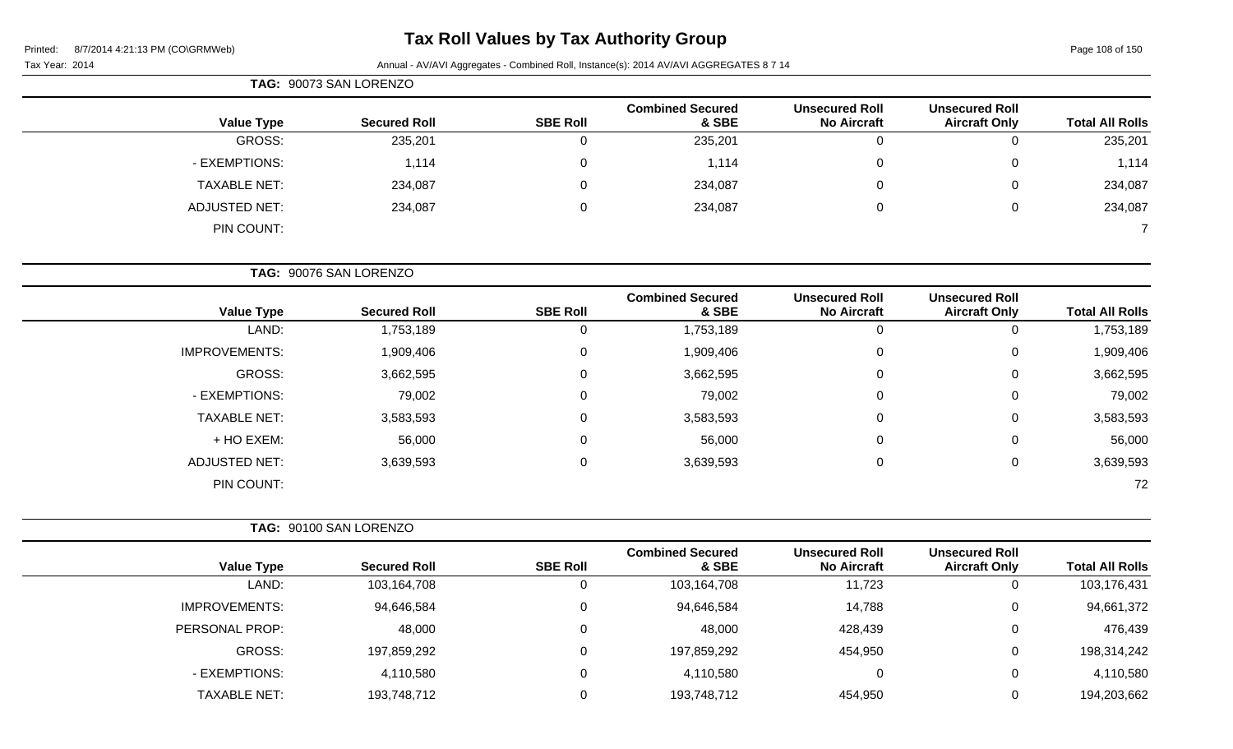Page 108 of 150

#### Tax Year: 2014 **Annual - AV/AVI Aggregates - Combined Roll**, Instance(s): 2014 AV/AVI AGGREGATES 8 7 14

| TAG: 90073 SAN LORENZO |                     |                 |                                  |                                             |                                               |                        |
|------------------------|---------------------|-----------------|----------------------------------|---------------------------------------------|-----------------------------------------------|------------------------|
| <b>Value Type</b>      | <b>Secured Roll</b> | <b>SBE Roll</b> | <b>Combined Secured</b><br>& SBE | <b>Unsecured Roll</b><br><b>No Aircraft</b> | <b>Unsecured Roll</b><br><b>Aircraft Only</b> | <b>Total All Rolls</b> |
| GROSS:                 | 235,201             | 0               | 235,201                          | 0                                           |                                               | 235,201                |
| - EXEMPTIONS:          | 1,114               | 0               | 1,114                            | $\overline{0}$                              | 0                                             | 1,114                  |
| <b>TAXABLE NET:</b>    | 234,087             | 0               | 234,087                          | 0                                           | 0                                             | 234,087                |
| <b>ADJUSTED NET:</b>   | 234,087             | 0               | 234,087                          | 0                                           | 0                                             | 234,087                |
| PIN COUNT:             |                     |                 |                                  |                                             |                                               |                        |

**TAG:** 90076 SAN LORENZO

| <b>Value Type</b>    | <b>Secured Roll</b> | <b>SBE Roll</b> | <b>Combined Secured</b><br>& SBE | <b>Unsecured Roll</b><br><b>No Aircraft</b> | <b>Unsecured Roll</b><br><b>Aircraft Only</b> | <b>Total All Rolls</b> |
|----------------------|---------------------|-----------------|----------------------------------|---------------------------------------------|-----------------------------------------------|------------------------|
| LAND:                | 1,753,189           |                 | 1,753,189                        |                                             | 0                                             | 1,753,189              |
| <b>IMPROVEMENTS:</b> | 1,909,406           | 0               | 1,909,406                        | 0                                           | 0                                             | 1,909,406              |
| GROSS:               | 3,662,595           | 0               | 3,662,595                        | 0                                           | 0                                             | 3,662,595              |
| - EXEMPTIONS:        | 79,002              | 0               | 79,002                           | $\Omega$                                    | 0                                             | 79,002                 |
| <b>TAXABLE NET:</b>  | 3,583,593           | 0               | 3,583,593                        | $\Omega$                                    | 0                                             | 3,583,593              |
| + HO EXEM:           | 56,000              | 0               | 56,000                           | $\Omega$                                    | 0                                             | 56,000                 |
| <b>ADJUSTED NET:</b> | 3,639,593           | 0               | 3,639,593                        | 0                                           | 0                                             | 3,639,593              |
| PIN COUNT:           |                     |                 |                                  |                                             |                                               | 72                     |

|                      | TAG: 90100 SAN LORENZO |                 |                                  |                                             |                                               |                        |
|----------------------|------------------------|-----------------|----------------------------------|---------------------------------------------|-----------------------------------------------|------------------------|
| <b>Value Type</b>    | <b>Secured Roll</b>    | <b>SBE Roll</b> | <b>Combined Secured</b><br>& SBE | <b>Unsecured Roll</b><br><b>No Aircraft</b> | <b>Unsecured Roll</b><br><b>Aircraft Only</b> | <b>Total All Rolls</b> |
| LAND:                | 103,164,708            | 0               | 103,164,708                      | 11,723                                      | U                                             | 103,176,431            |
| <b>IMPROVEMENTS:</b> | 94,646,584             | 0               | 94,646,584                       | 14,788                                      | 0                                             | 94,661,372             |
| PERSONAL PROP:       | 48,000                 | 0               | 48,000                           | 428,439                                     | 0                                             | 476,439                |
| GROSS:               | 197,859,292            | $\Omega$        | 197,859,292                      | 454,950                                     | 0                                             | 198,314,242            |
| - EXEMPTIONS:        | 4,110,580              | 0               | 4,110,580                        | 0                                           | 0                                             | 4,110,580              |
| TAXABLE NET:         | 193,748,712            | 0               | 193,748,712                      | 454,950                                     | 0                                             | 194,203,662            |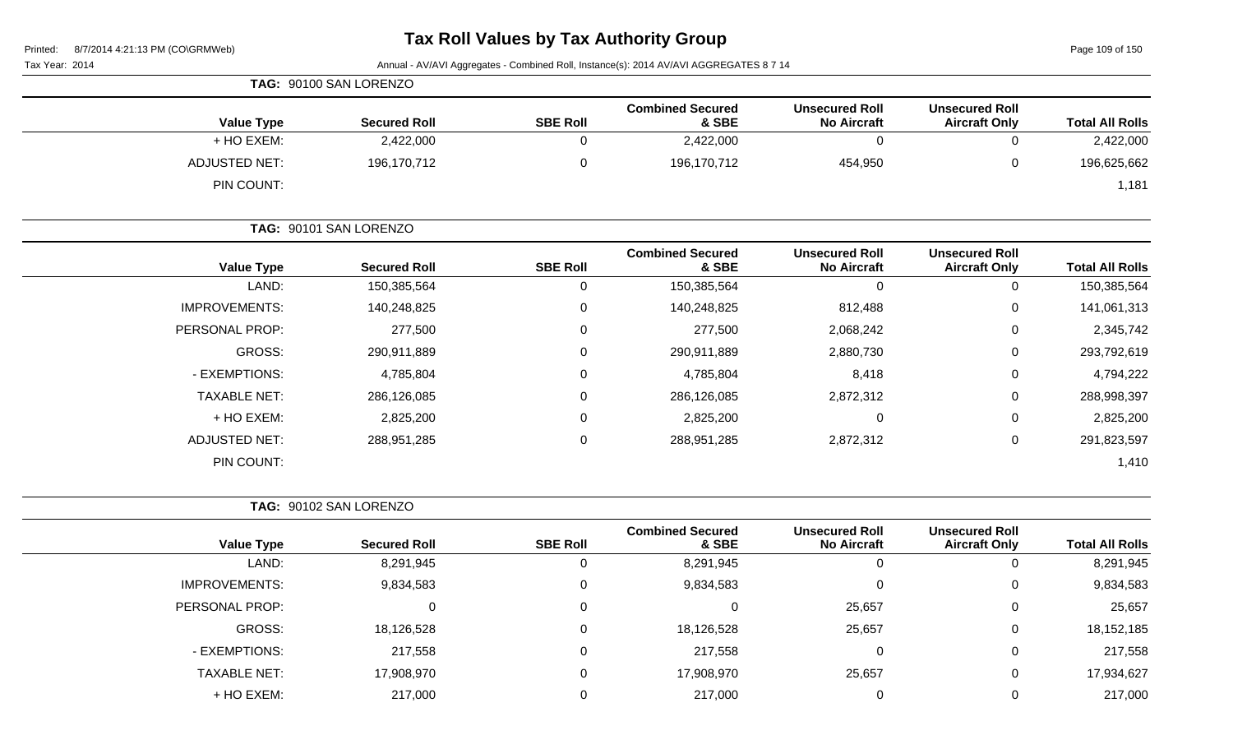Page 109 of 150

| Tax Year: 2014 | Annual - AV/AVI Aggregates - Combined Roll, Instance(s): 2014 AV/AVI AGGREGATES 8 7 14 |
|----------------|----------------------------------------------------------------------------------------|
|                |                                                                                        |
|                |                                                                                        |

|                                    | TAG: 90100 SAN LORENZO |                 |                                  |                                             |                                               |                        |
|------------------------------------|------------------------|-----------------|----------------------------------|---------------------------------------------|-----------------------------------------------|------------------------|
| <b>Value Type</b>                  | <b>Secured Roll</b>    | <b>SBE Roll</b> | <b>Combined Secured</b><br>& SBE | <b>Unsecured Roll</b><br><b>No Aircraft</b> | <b>Unsecured Roll</b><br><b>Aircraft Only</b> | <b>Total All Rolls</b> |
| + HO EXEM:                         | 2,422,000              |                 | 2,422,000                        |                                             | ັ                                             | 2,422,000              |
| <b>ADJUSTED NET:</b><br>PIN COUNT: | 196,170,712            |                 | 196,170,712                      | 454,950                                     | ັ                                             | 196,625,662<br>181,،   |

|                      | TAG: 90101 SAN LORENZO |                 |                                  |                                             |                                               |                        |
|----------------------|------------------------|-----------------|----------------------------------|---------------------------------------------|-----------------------------------------------|------------------------|
| <b>Value Type</b>    | <b>Secured Roll</b>    | <b>SBE Roll</b> | <b>Combined Secured</b><br>& SBE | <b>Unsecured Roll</b><br><b>No Aircraft</b> | <b>Unsecured Roll</b><br><b>Aircraft Only</b> | <b>Total All Rolls</b> |
| LAND:                | 150,385,564            | 0               | 150,385,564                      | 0                                           | 0                                             | 150,385,564            |
| <b>IMPROVEMENTS:</b> | 140,248,825            | $\Omega$        | 140,248,825                      | 812,488                                     | $\mathbf 0$                                   | 141,061,313            |
| PERSONAL PROP:       | 277,500                | 0               | 277,500                          | 2,068,242                                   | $\mathbf 0$                                   | 2,345,742              |
| <b>GROSS:</b>        | 290,911,889            | 0               | 290,911,889                      | 2,880,730                                   | 0                                             | 293,792,619            |
| - EXEMPTIONS:        | 4,785,804              | $\Omega$        | 4,785,804                        | 8,418                                       | 0                                             | 4,794,222              |
| <b>TAXABLE NET:</b>  | 286,126,085            | 0               | 286,126,085                      | 2,872,312                                   | $\mathbf 0$                                   | 288,998,397            |
| + HO EXEM:           | 2,825,200              | $\Omega$        | 2,825,200                        | 0                                           | 0                                             | 2,825,200              |
| <b>ADJUSTED NET:</b> | 288,951,285            | 0               | 288,951,285                      | 2,872,312                                   | 0                                             | 291,823,597            |
| PIN COUNT:           |                        |                 |                                  |                                             |                                               | 1,410                  |

|                        |                                               |                                             |                                  | TAG: 90102 SAN LORENZO |                     |                      |  |  |
|------------------------|-----------------------------------------------|---------------------------------------------|----------------------------------|------------------------|---------------------|----------------------|--|--|
| <b>Total All Rolls</b> | <b>Unsecured Roll</b><br><b>Aircraft Only</b> | <b>Unsecured Roll</b><br><b>No Aircraft</b> | <b>Combined Secured</b><br>& SBE | <b>SBE Roll</b>        | <b>Secured Roll</b> | <b>Value Type</b>    |  |  |
| 8,291,945              |                                               |                                             | 8,291,945                        |                        | 8,291,945           | LAND:                |  |  |
| 9,834,583              | 0                                             |                                             | 9,834,583                        | 0                      | 9,834,583           | <b>IMPROVEMENTS:</b> |  |  |
| 25,657                 | $\Omega$                                      | 25,657                                      | 0                                | $\Omega$               | U                   | PERSONAL PROP:       |  |  |
| 18, 152, 185           | 0                                             | 25,657                                      | 18,126,528                       | 0                      | 18,126,528          | GROSS:               |  |  |
| 217,558                | $\Omega$                                      | 0                                           | 217,558                          | $\Omega$               | 217,558             | - EXEMPTIONS:        |  |  |
| 17,934,627             | 0                                             | 25,657                                      | 17,908,970                       | $\Omega$               | 17,908,970          | <b>TAXABLE NET:</b>  |  |  |
| 217,000                |                                               |                                             | 217,000                          |                        | 217,000             | + HO EXEM:           |  |  |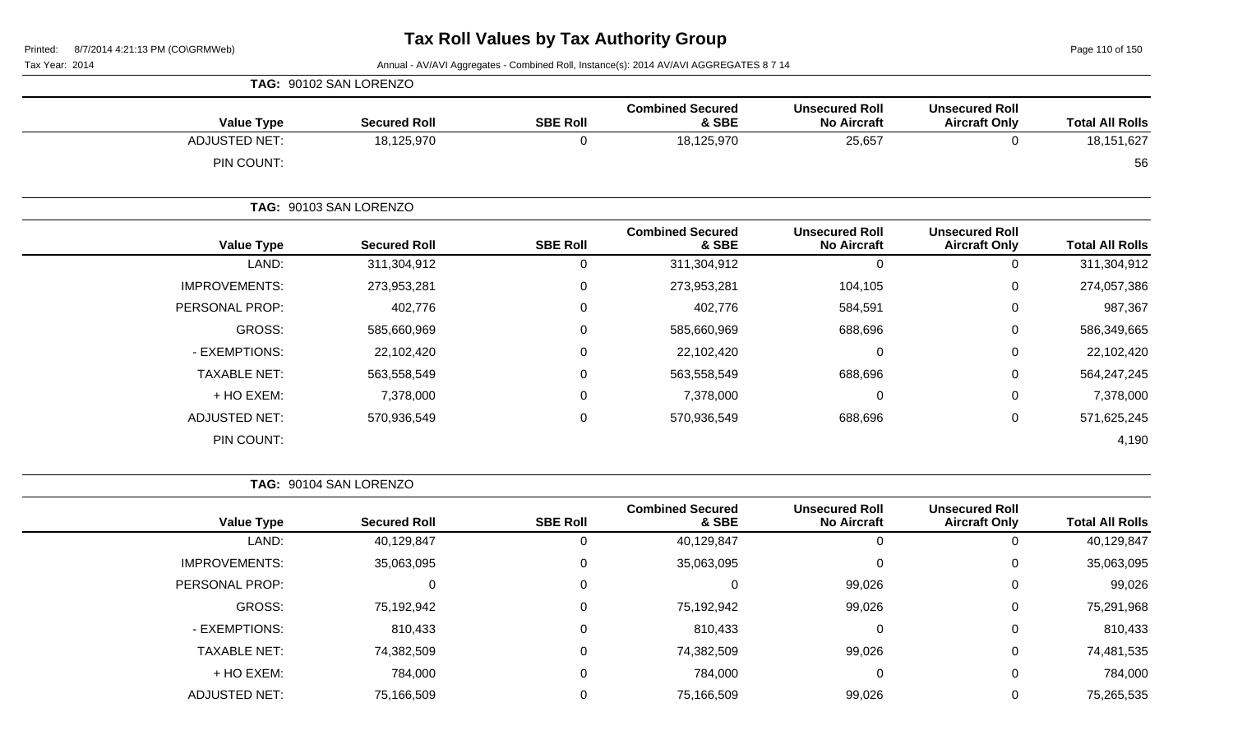Page 110 of 150

Tax Year: 2014 **Annual - AV/AVI Aggregates - Combined Roll**, Instance(s): 2014 AV/AVI AGGREGATES 8 7 14

| <b>Value Type</b>    | <b>Secured Roll</b>    | <b>SBE Roll</b> | <b>Combined Secured</b><br>& SBE | <b>Unsecured Roll</b><br><b>No Aircraft</b> | <b>Unsecured Roll</b><br><b>Aircraft Only</b> | <b>Total All Rolls</b> |
|----------------------|------------------------|-----------------|----------------------------------|---------------------------------------------|-----------------------------------------------|------------------------|
| <b>ADJUSTED NET:</b> | 18,125,970             | $\mathbf 0$     | 18,125,970                       | 25,657                                      | 0                                             | 18, 151, 627           |
| PIN COUNT:           |                        |                 |                                  |                                             |                                               | 56                     |
|                      | TAG: 90103 SAN LORENZO |                 |                                  |                                             |                                               |                        |
| <b>Value Type</b>    | <b>Secured Roll</b>    | <b>SBE Roll</b> | <b>Combined Secured</b><br>& SBE | <b>Unsecured Roll</b><br><b>No Aircraft</b> | <b>Unsecured Roll</b><br><b>Aircraft Only</b> | <b>Total All Rolls</b> |
| LAND:                | 311,304,912            | 0               | 311,304,912                      | $\mathbf 0$                                 | 0                                             | 311,304,912            |
| <b>IMPROVEMENTS:</b> | 273,953,281            | $\mathbf 0$     | 273,953,281                      | 104,105                                     | 0                                             | 274,057,386            |
| PERSONAL PROP:       | 402,776                | 0               | 402,776                          | 584,591                                     | 0                                             | 987,367                |
| GROSS:               | 585,660,969            | 0               | 585,660,969                      | 688,696                                     | 0                                             | 586,349,665            |
| - EXEMPTIONS:        | 22,102,420             | 0               | 22,102,420                       | $\mathbf 0$                                 | 0                                             | 22,102,420             |
| <b>TAXABLE NET:</b>  | 563,558,549            | 0               | 563,558,549                      | 688,696                                     | 0                                             | 564,247,245            |
| + HO EXEM:           | 7,378,000              | $\mathbf 0$     | 7,378,000                        | 0                                           | 0                                             | 7,378,000              |
| <b>ADJUSTED NET:</b> | 570,936,549            | $\mathbf 0$     | 570,936,549                      | 688,696                                     | 0                                             | 571,625,245            |
| PIN COUNT:           |                        |                 |                                  |                                             |                                               | 4,190                  |

**TAG:** 90104 SAN LORENZO

**TAG:** 90102 SAN LORENZO

| <b>Value Type</b>    | <b>Secured Roll</b> | <b>SBE Roll</b> | <b>Combined Secured</b><br>& SBE | <b>Unsecured Roll</b><br><b>No Aircraft</b> | <b>Unsecured Roll</b><br><b>Aircraft Only</b> | <b>Total All Rolls</b> |
|----------------------|---------------------|-----------------|----------------------------------|---------------------------------------------|-----------------------------------------------|------------------------|
| LAND:                | 40,129,847          |                 | 40,129,847                       | 0                                           | O                                             | 40,129,847             |
| <b>IMPROVEMENTS:</b> | 35,063,095          | 0               | 35,063,095                       | 0                                           | $\overline{0}$                                | 35,063,095             |
| PERSONAL PROP:       | 0                   |                 |                                  | 99,026                                      | $\mathbf 0$                                   | 99,026                 |
| <b>GROSS:</b>        | 75,192,942          |                 | 75,192,942                       | 99,026                                      | 0                                             | 75,291,968             |
| - EXEMPTIONS:        | 810,433             |                 | 810,433                          | $\Omega$                                    | 0                                             | 810,433                |
| <b>TAXABLE NET:</b>  | 74,382,509          |                 | 74,382,509                       | 99,026                                      | 0                                             | 74,481,535             |
| + HO EXEM:           | 784,000             |                 | 784,000                          | 0                                           | $\mathbf 0$                                   | 784,000                |
| <b>ADJUSTED NET:</b> | 75,166,509          |                 | 75,166,509                       | 99,026                                      | 0                                             | 75,265,535             |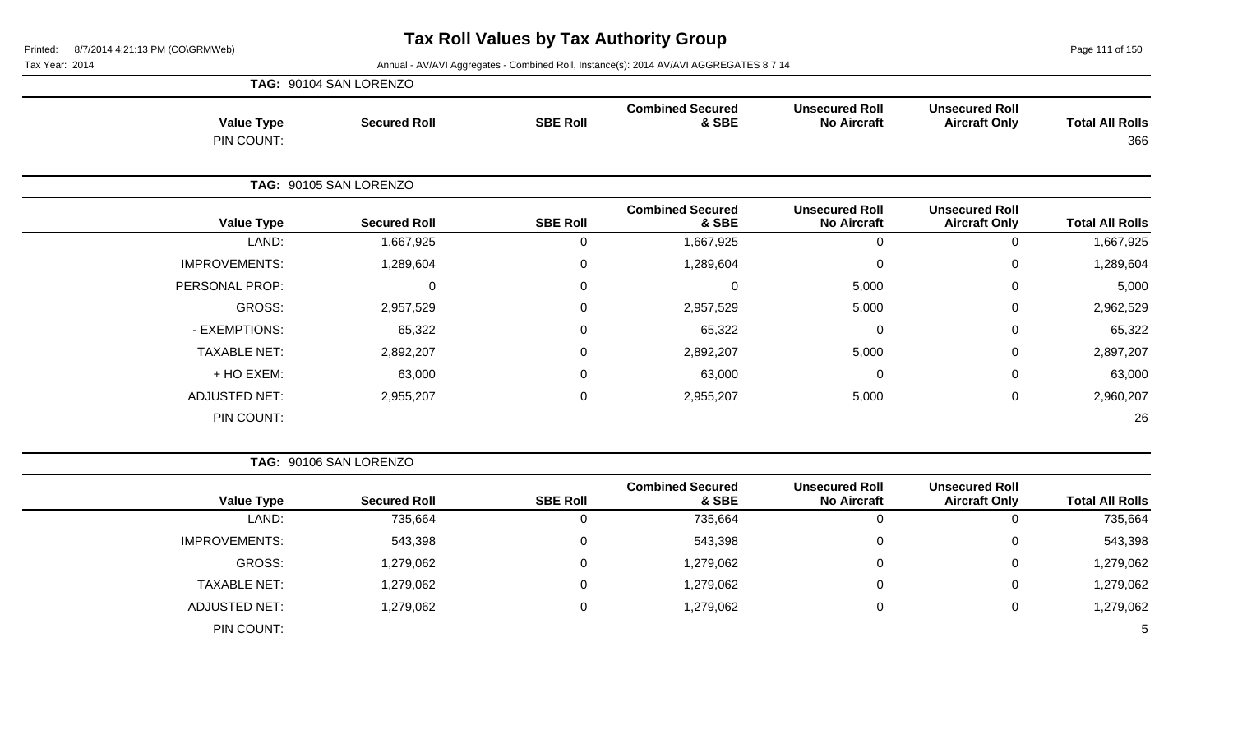Page 111 of 150

|                      | TAG: 90104 SAN LORENZO |                 |                                  |                                             |                                               |                        |
|----------------------|------------------------|-----------------|----------------------------------|---------------------------------------------|-----------------------------------------------|------------------------|
| <b>Value Type</b>    | <b>Secured Roll</b>    | <b>SBE Roll</b> | <b>Combined Secured</b><br>& SBE | <b>Unsecured Roll</b><br><b>No Aircraft</b> | <b>Unsecured Roll</b><br><b>Aircraft Only</b> | <b>Total All Rolls</b> |
| PIN COUNT:           |                        |                 |                                  |                                             |                                               | 366                    |
|                      | TAG: 90105 SAN LORENZO |                 |                                  |                                             |                                               |                        |
| <b>Value Type</b>    | <b>Secured Roll</b>    | <b>SBE Roll</b> | <b>Combined Secured</b><br>& SBE | <b>Unsecured Roll</b><br><b>No Aircraft</b> | <b>Unsecured Roll</b><br><b>Aircraft Only</b> | <b>Total All Rolls</b> |
| LAND:                | 1,667,925              | $\mathbf 0$     | 1,667,925                        | 0                                           | $\mathbf 0$                                   | 1,667,925              |
| <b>IMPROVEMENTS:</b> | 1,289,604              | $\mathbf 0$     | 1,289,604                        | 0                                           | 0                                             | 1,289,604              |
| PERSONAL PROP:       | 0                      | $\mathbf 0$     | 0                                | 5,000                                       | 0                                             | 5,000                  |
| GROSS:               | 2,957,529              | $\mathbf 0$     | 2,957,529                        | 5,000                                       | 0                                             | 2,962,529              |
| - EXEMPTIONS:        | 65,322                 | $\mathbf 0$     | 65,322                           | $\mathbf 0$                                 | $\mathbf 0$                                   | 65,322                 |
| <b>TAXABLE NET:</b>  | 2,892,207              | $\mathbf 0$     | 2,892,207                        | 5,000                                       | 0                                             | 2,897,207              |
| + HO EXEM:           | 63,000                 | $\mathbf 0$     | 63,000                           | $\mathbf 0$                                 | 0                                             | 63,000                 |
| <b>ADJUSTED NET:</b> | 2,955,207              | $\pmb{0}$       | 2,955,207                        | 5,000                                       | $\mathbf 0$                                   | 2,960,207              |
| PIN COUNT:           |                        |                 |                                  |                                             |                                               | 26                     |

|                        |                                               |                                             |                                  |                 | TAG: 90106 SAN LORENZO |                      |
|------------------------|-----------------------------------------------|---------------------------------------------|----------------------------------|-----------------|------------------------|----------------------|
| <b>Total All Rolls</b> | <b>Unsecured Roll</b><br><b>Aircraft Only</b> | <b>Unsecured Roll</b><br><b>No Aircraft</b> | <b>Combined Secured</b><br>& SBE | <b>SBE Roll</b> | <b>Secured Roll</b>    | <b>Value Type</b>    |
| 735,664                |                                               | υ                                           | 735,664                          |                 | 735,664                | LAND:                |
| 543,398                | 0                                             | 0                                           | 543,398                          | 0               | 543,398                | <b>IMPROVEMENTS:</b> |
| 1,279,062              | 0                                             | 0                                           | 1,279,062                        | 0               | 1,279,062              | GROSS:               |
| 1,279,062              | 0                                             | 0                                           | 1,279,062                        |                 | 1,279,062              | <b>TAXABLE NET:</b>  |
| 1,279,062              |                                               | 0                                           | 1,279,062                        | 0               | 1,279,062              | ADJUSTED NET:        |
| 5                      |                                               |                                             |                                  |                 |                        | PIN COUNT:           |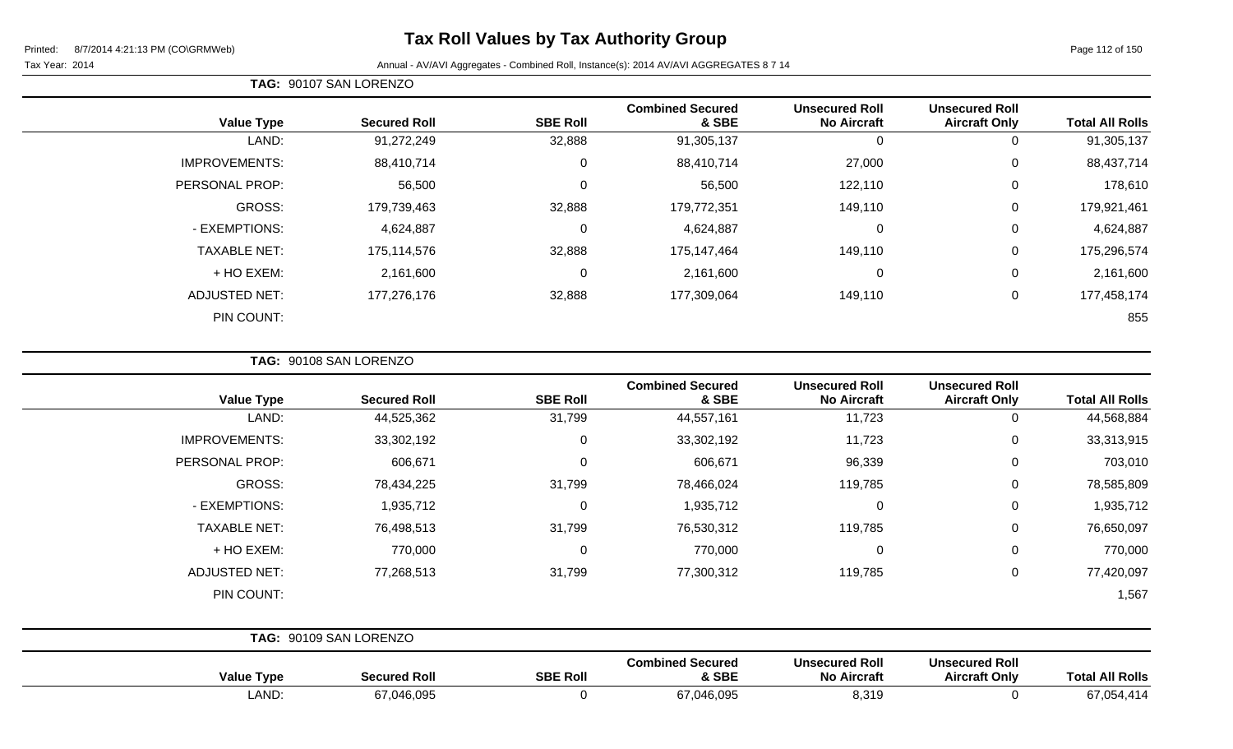# **Tax Roll Values by Tax Authority Group**

#### Tax Year: 2014 **Annual - AV/AVI Aggregates - Combined Roll**, Instance(s): 2014 AV/AVI AGGREGATES 8 7 14

**TAG:** 90107 SAN LORENZO

| <b>Value Type</b>    | <b>Secured Roll</b> | <b>SBE Roll</b> | <b>Combined Secured</b><br>& SBE | <b>Unsecured Roll</b><br><b>No Aircraft</b> | <b>Unsecured Roll</b><br><b>Aircraft Only</b> | <b>Total All Rolls</b> |
|----------------------|---------------------|-----------------|----------------------------------|---------------------------------------------|-----------------------------------------------|------------------------|
| LAND:                | 91,272,249          | 32,888          | 91,305,137                       | $\mathbf 0$                                 | 0                                             | 91,305,137             |
| <b>IMPROVEMENTS:</b> | 88,410,714          | 0               | 88,410,714                       | 27,000                                      | 0                                             | 88,437,714             |
| PERSONAL PROP:       | 56,500              | 0               | 56,500                           | 122,110                                     | 0                                             | 178,610                |
| <b>GROSS:</b>        | 179,739,463         | 32,888          | 179,772,351                      | 149,110                                     | 0                                             | 179,921,461            |
| - EXEMPTIONS:        | 4,624,887           | 0               | 4,624,887                        | $\mathbf 0$                                 | 0                                             | 4,624,887              |
| <b>TAXABLE NET:</b>  | 175,114,576         | 32,888          | 175,147,464                      | 149,110                                     | 0                                             | 175,296,574            |
| + HO EXEM:           | 2,161,600           | $\mathbf 0$     | 2,161,600                        | $\mathbf 0$                                 | 0                                             | 2,161,600              |
| <b>ADJUSTED NET:</b> | 177,276,176         | 32,888          | 177,309,064                      | 149,110                                     | 0                                             | 177,458,174            |
| PIN COUNT:           |                     |                 |                                  |                                             |                                               | 855                    |

| <b>Value Type</b>    | <b>Secured Roll</b>    | <b>SBE Roll</b> | <b>Combined Secured</b><br>& SBE | <b>Unsecured Roll</b><br><b>No Aircraft</b> | <b>Unsecured Roll</b><br><b>Aircraft Only</b> | <b>Total All Rolls</b> |
|----------------------|------------------------|-----------------|----------------------------------|---------------------------------------------|-----------------------------------------------|------------------------|
| LAND:                | 44,525,362             | 31,799          | 44,557,161                       | 11,723                                      | 0                                             | 44,568,884             |
| <b>IMPROVEMENTS:</b> | 33,302,192             | $\mathbf 0$     | 33,302,192                       | 11,723                                      | $\mathbf 0$                                   | 33,313,915             |
| PERSONAL PROP:       | 606,671                | $\Omega$        | 606,671                          | 96,339                                      | 0                                             | 703,010                |
| GROSS:               | 78,434,225             | 31,799          | 78,466,024                       | 119,785                                     | $\mathbf 0$                                   | 78,585,809             |
| - EXEMPTIONS:        | 1,935,712              | 0               | 1,935,712                        | $\mathbf 0$                                 | $\mathbf 0$                                   | 1,935,712              |
| <b>TAXABLE NET:</b>  | 76,498,513             | 31,799          | 76,530,312                       | 119,785                                     | $\mathbf 0$                                   | 76,650,097             |
| + HO EXEM:           | 770,000                | $\Omega$        | 770,000                          | 0                                           | $\mathbf 0$                                   | 770,000                |
| <b>ADJUSTED NET:</b> | 77,268,513             | 31,799          | 77,300,312                       | 119,785                                     | $\mathbf 0$                                   | 77,420,097             |
| PIN COUNT:           |                        |                 |                                  |                                             |                                               | 1,567                  |
|                      |                        |                 |                                  |                                             |                                               |                        |
|                      | TAC: 00400 CAN LODENZO |                 |                                  |                                             |                                               |                        |

|                   | TAG: 90109 SAN LORENZO |                 |                                  |                                             |                                               |                        |
|-------------------|------------------------|-----------------|----------------------------------|---------------------------------------------|-----------------------------------------------|------------------------|
| <b>Value Type</b> | <b>Secured Roll</b>    | <b>SBE Roll</b> | <b>Combined Secured</b><br>& SBE | <b>Unsecured Roll</b><br><b>No Aircraft</b> | <b>Unsecured Roll</b><br><b>Aircraft Only</b> | <b>Total All Rolls</b> |
| LAND:             | 67,046,095             |                 | 67,046,095                       | 8,319                                       |                                               | 67,054,414             |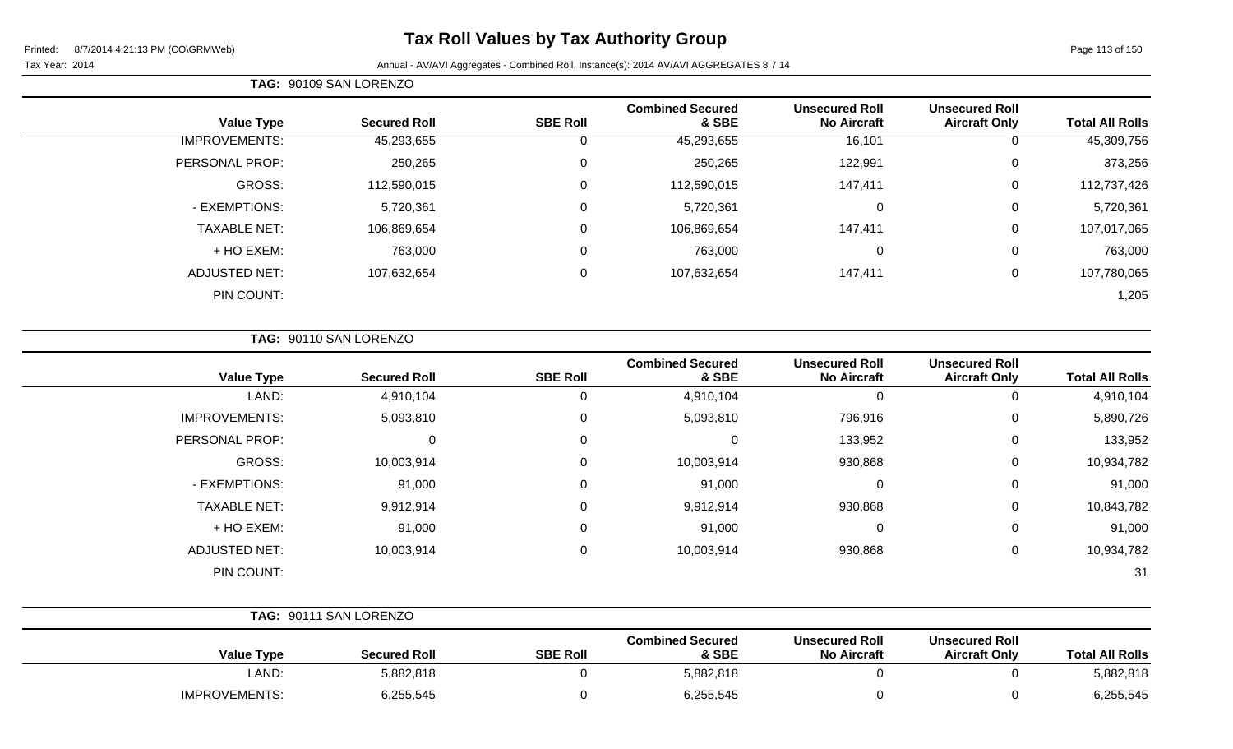# **Tax Roll Values by Tax Authority Group**

#### Tax Year: 2014 **Annual - AV/AVI Aggregates - Combined Roll**, Instance(s): 2014 AV/AVI AGGREGATES 8 7 14

| TAG: 90109 SAN LORENZO |
|------------------------|
|                        |

| <b>Total All Rolls</b> | <b>Unsecured Roll</b><br><b>Aircraft Only</b> | <b>Unsecured Roll</b><br><b>No Aircraft</b> | <b>Combined Secured</b><br>& SBE | <b>SBE Roll</b> | <b>Secured Roll</b> | <b>Value Type</b>    |
|------------------------|-----------------------------------------------|---------------------------------------------|----------------------------------|-----------------|---------------------|----------------------|
| 45,309,756             | U                                             | 16,101                                      | 45,293,655                       | U               | 45,293,655          | <b>IMPROVEMENTS:</b> |
| 373,256                | 0                                             | 122,991                                     | 250,265                          | $\Omega$        | 250,265             | PERSONAL PROP:       |
| 112,737,426            | 0                                             | 147,411                                     | 112,590,015                      | $\mathbf 0$     | 112,590,015         | GROSS:               |
| 5,720,361              | 0                                             | 0                                           | 5,720,361                        | 0               | 5,720,361           | - EXEMPTIONS:        |
| 107,017,065            | 0                                             | 147,411                                     | 106,869,654                      | $\Omega$        | 106,869,654         | <b>TAXABLE NET:</b>  |
| 763,000                | 0                                             | $\mathbf 0$                                 | 763,000                          | $\mathbf 0$     | 763,000             | + HO EXEM:           |
| 107,780,065            | 0                                             | 147,411                                     | 107,632,654                      | 0               | 107,632,654         | <b>ADJUSTED NET:</b> |
| 1,205                  |                                               |                                             |                                  |                 |                     | PIN COUNT:           |
|                        |                                               |                                             |                                  |                 |                     |                      |

**TAG:** 90110 SAN LORENZO

| <b>Value Type</b>    | <b>Secured Roll</b> | <b>SBE Roll</b> | <b>Combined Secured</b><br>& SBE | <b>Unsecured Roll</b><br><b>No Aircraft</b> | <b>Unsecured Roll</b><br><b>Aircraft Only</b> | <b>Total All Rolls</b> |
|----------------------|---------------------|-----------------|----------------------------------|---------------------------------------------|-----------------------------------------------|------------------------|
| LAND:                | 4,910,104           |                 | 4,910,104                        | -0                                          | 0                                             | 4,910,104              |
| <b>IMPROVEMENTS:</b> | 5,093,810           | $\Omega$        | 5,093,810                        | 796,916                                     | 0                                             | 5,890,726              |
| PERSONAL PROP:       |                     |                 |                                  | 133,952                                     | 0                                             | 133,952                |
| GROSS:               | 10,003,914          |                 | 10,003,914                       | 930,868                                     | $\mathbf{0}$                                  | 10,934,782             |
| - EXEMPTIONS:        | 91,000              | 0               | 91,000                           | 0                                           | 0                                             | 91,000                 |
| <b>TAXABLE NET:</b>  | 9,912,914           | $\Omega$        | 9,912,914                        | 930,868                                     | 0                                             | 10,843,782             |
| $+$ HO EXEM:         | 91,000              | $\Omega$        | 91,000                           | $\mathbf 0$                                 | 0                                             | 91,000                 |
| <b>ADJUSTED NET:</b> | 10,003,914          | $\Omega$        | 10,003,914                       | 930,868                                     | 0                                             | 10,934,782             |
| PIN COUNT:           |                     |                 |                                  |                                             |                                               | 31                     |

|                      | TAG: 90111 SAN LORENZO |                 |                                  |                                             |                                               |                        |  |
|----------------------|------------------------|-----------------|----------------------------------|---------------------------------------------|-----------------------------------------------|------------------------|--|
| <b>Value Type</b>    | <b>Secured Roll</b>    | <b>SBE Roll</b> | <b>Combined Secured</b><br>& SBE | <b>Unsecured Roll</b><br><b>No Aircraft</b> | <b>Unsecured Roll</b><br><b>Aircraft Only</b> | <b>Total All Rolls</b> |  |
| LAND:                | 5,882,818              |                 | 5,882,818                        |                                             |                                               | 5,882,818              |  |
| <b>IMPROVEMENTS:</b> | 6,255,545              |                 | 6,255,545                        |                                             |                                               | 6,255,545              |  |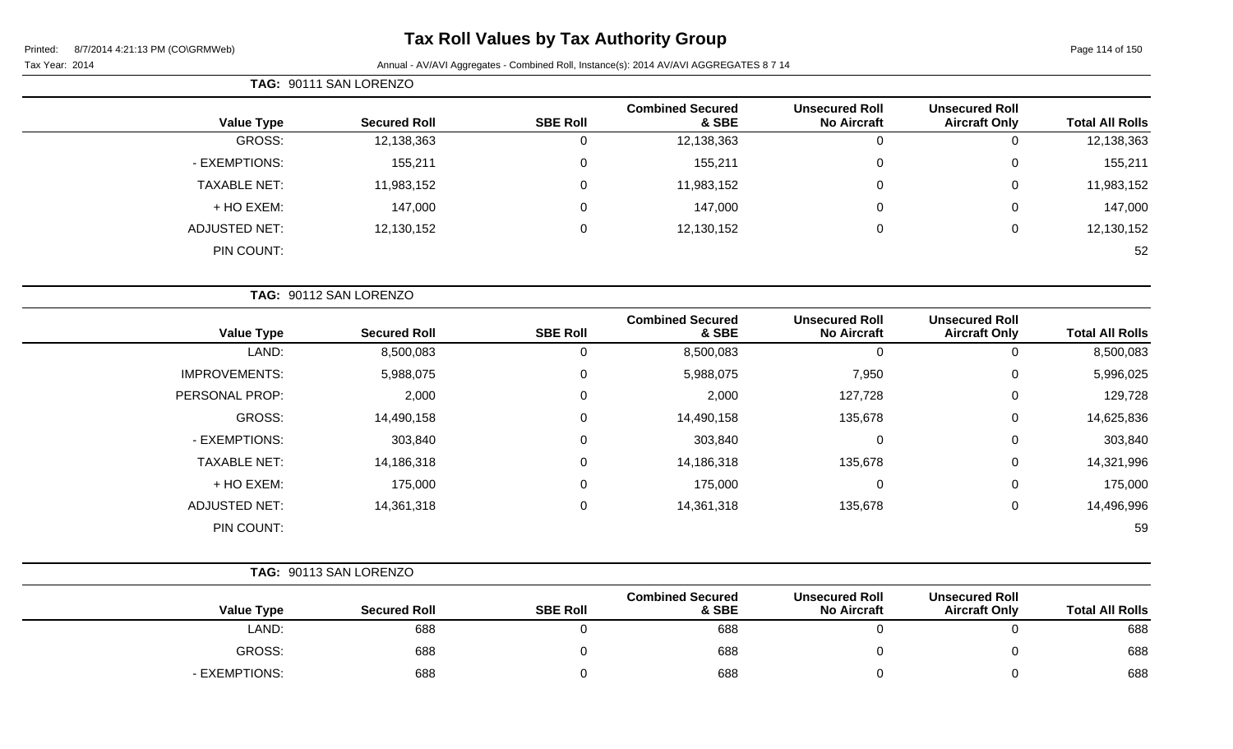# **Tax Roll Values by Tax Authority Group**

#### Tax Year: 2014 Annual - AV/AVI Aggregates - Combined Roll, Instance(s): 2014 AV/AVI AGGREGATES 8 7 14

|                     | TAG: 90111 SAN LORENZO |                 |                                  |                                             |                                               |                        |
|---------------------|------------------------|-----------------|----------------------------------|---------------------------------------------|-----------------------------------------------|------------------------|
| <b>Value Type</b>   | <b>Secured Roll</b>    | <b>SBE Roll</b> | <b>Combined Secured</b><br>& SBE | <b>Unsecured Roll</b><br><b>No Aircraft</b> | <b>Unsecured Roll</b><br><b>Aircraft Only</b> | <b>Total All Rolls</b> |
| GROSS:              | 12,138,363             | 0               | 12,138,363                       | 0                                           |                                               | 12,138,363             |
| - EXEMPTIONS:       | 155,211                | 0               | 155,211                          | 0                                           | $\Omega$                                      | 155,211                |
| <b>TAXABLE NET:</b> | 11,983,152             | 0               | 11,983,152                       | 0                                           | 0                                             | 11,983,152             |
| + HO EXEM:          | 147,000                | 0               | 147,000                          | $\mathbf{0}$                                | $\Omega$                                      | 147,000                |
| ADJUSTED NET:       | 12,130,152             | 0               | 12,130,152                       | 0                                           | 0                                             | 12,130,152             |
| PIN COUNT:          |                        |                 |                                  |                                             |                                               | 52                     |

|                        | <b>Unsecured Roll</b> | <b>Unsecured Roll</b> | <b>Combined Secured</b> |                 |                     |                      |
|------------------------|-----------------------|-----------------------|-------------------------|-----------------|---------------------|----------------------|
| <b>Total All Rolls</b> | <b>Aircraft Only</b>  | <b>No Aircraft</b>    | & SBE                   | <b>SBE Roll</b> | <b>Secured Roll</b> | <b>Value Type</b>    |
| 8,500,083              | 0                     | 0                     | 8,500,083               | 0               | 8,500,083           | LAND:                |
| 5,996,025              | 0                     | 7,950                 | 5,988,075               | 0               | 5,988,075           | <b>IMPROVEMENTS:</b> |
| 129,728                | $\mathbf 0$           | 127,728               | 2,000                   | 0               | 2,000               | PERSONAL PROP:       |
| 14,625,836             | $\mathbf 0$           | 135,678               | 14,490,158              | $\mathbf 0$     | 14,490,158          | GROSS:               |
| 303,840                | 0                     | 0                     | 303,840                 | 0               | 303,840             | - EXEMPTIONS:        |
| 14,321,996             | $\mathbf 0$           | 135,678               | 14,186,318              | $\mathbf 0$     | 14,186,318          | <b>TAXABLE NET:</b>  |
| 175,000                | $\mathbf 0$           | $\mathbf 0$           | 175,000                 | 0               | 175,000             | + HO EXEM:           |
| 14,496,996             | 0                     | 135,678               | 14,361,318              | 0               | 14,361,318          | <b>ADJUSTED NET:</b> |
| 59                     |                       |                       |                         |                 |                     | PIN COUNT:           |

#### **TAG:** 90113 SAN LORENZO **Value Type Secured Roll SBE Roll Combined Secured & SBE Unsecured Roll No Aircraft Unsecured Roll Total All Rolls** LAND: 688 0 688 0 0 688 GROSS: 688 0 688 0 0 688

- EXEMPTIONS: 688 0 688 0 0 688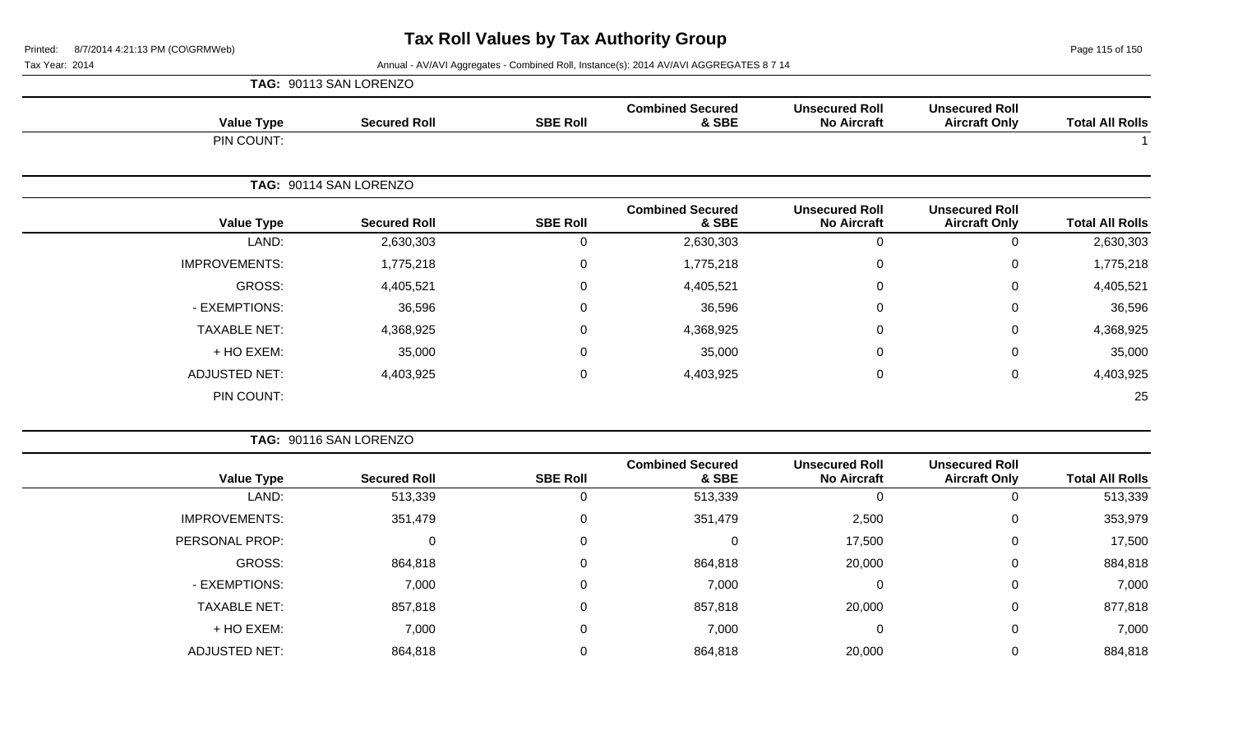**TAG:** 90113 SAN LORENZO

Page 115 of 150

Tax Year: 2014 **Annual - AV/AVI Aggregates - Combined Roll, Instance(s): 2014 AV/AVI AGGREGATES 8 7 14** 

| <b>Total All Rolls</b> | <b>Unsecured Roll</b><br><b>Aircraft Only</b> | <b>Unsecured Roll</b><br><b>No Aircraft</b> | <b>Combined Secured</b><br>& SBE | <b>SBE Roll</b> | <b>Secured Roll</b>    | <b>Value Type</b>    |
|------------------------|-----------------------------------------------|---------------------------------------------|----------------------------------|-----------------|------------------------|----------------------|
|                        |                                               |                                             |                                  |                 |                        | PIN COUNT:           |
|                        |                                               |                                             |                                  |                 | TAG: 90114 SAN LORENZO |                      |
| <b>Total All Rolls</b> | <b>Unsecured Roll</b><br><b>Aircraft Only</b> | <b>Unsecured Roll</b><br><b>No Aircraft</b> | <b>Combined Secured</b><br>& SBE | <b>SBE Roll</b> | <b>Secured Roll</b>    | <b>Value Type</b>    |
| 2,630,303              | $\mathbf 0$                                   | $\mathbf 0$                                 | 2,630,303                        | $\mathbf 0$     | 2,630,303              | LAND:                |
| 1,775,218              | 0                                             | $\mathbf 0$                                 | 1,775,218                        | $\mathbf 0$     | 1,775,218              | <b>IMPROVEMENTS:</b> |
| 4,405,521              | 0                                             | $\mathbf 0$                                 | 4,405,521                        | 0               | 4,405,521              | <b>GROSS:</b>        |
| 36,596                 | 0                                             | $\Omega$                                    | 36,596                           | 0               | 36,596                 | - EXEMPTIONS:        |
| 4,368,925              | $\mathbf 0$                                   | 0                                           | 4,368,925                        | 0               | 4,368,925              | <b>TAXABLE NET:</b>  |
| 35,000                 | $\mathbf 0$                                   | 0                                           | 35,000                           | 0               | 35,000                 | + HO EXEM:           |
| 4,403,925              | $\mathbf 0$                                   | $\mathbf 0$                                 | 4,403,925                        | $\mathbf 0$     | 4,403,925              | <b>ADJUSTED NET:</b> |
| 25                     |                                               |                                             |                                  |                 |                        | PIN COUNT:           |
|                        |                                               |                                             |                                  |                 | TAG: 90116 SAN LORENZO |                      |
| <b>Total All Rolls</b> | <b>Unsecured Roll</b><br><b>Aircraft Only</b> | <b>Unsecured Roll</b><br><b>No Aircraft</b> | <b>Combined Secured</b><br>& SBE | <b>SBE Roll</b> | <b>Secured Roll</b>    | <b>Value Type</b>    |
| 513,339                | $\mathbf 0$                                   | $\mathbf 0$                                 | 513,339                          | $\mathbf 0$     | 513,339                | LAND:                |
| 353,979                | 0                                             | 2,500                                       | 351,479                          | $\mathsf 0$     | 351,479                | <b>IMPROVEMENTS:</b> |
| 17,500                 | 0                                             | 17,500                                      | $\mathbf 0$                      | $\mathsf 0$     | $\mathbf 0$            | PERSONAL PROP:       |
| 884,818                | $\mathbf 0$                                   | 20,000                                      | 864,818                          | $\mathbf 0$     | 864,818                | <b>GROSS:</b>        |
| 7,000                  | $\mathsf 0$                                   | $\mathbf 0$                                 | 7,000                            | $\mathsf 0$     | 7,000                  | - EXEMPTIONS:        |
| 877,818                | $\pmb{0}$                                     | 20,000                                      | 857,818                          | $\mathsf 0$     | 857,818                | <b>TAXABLE NET:</b>  |
| 7,000                  | $\pmb{0}$                                     | $\mathbf 0$                                 | 7,000                            | $\pmb{0}$       | 7,000                  | + HO EXEM:           |
|                        |                                               |                                             |                                  |                 |                        |                      |

ADJUSTED NET: 864,818 0 864,818 20,000 0 884,818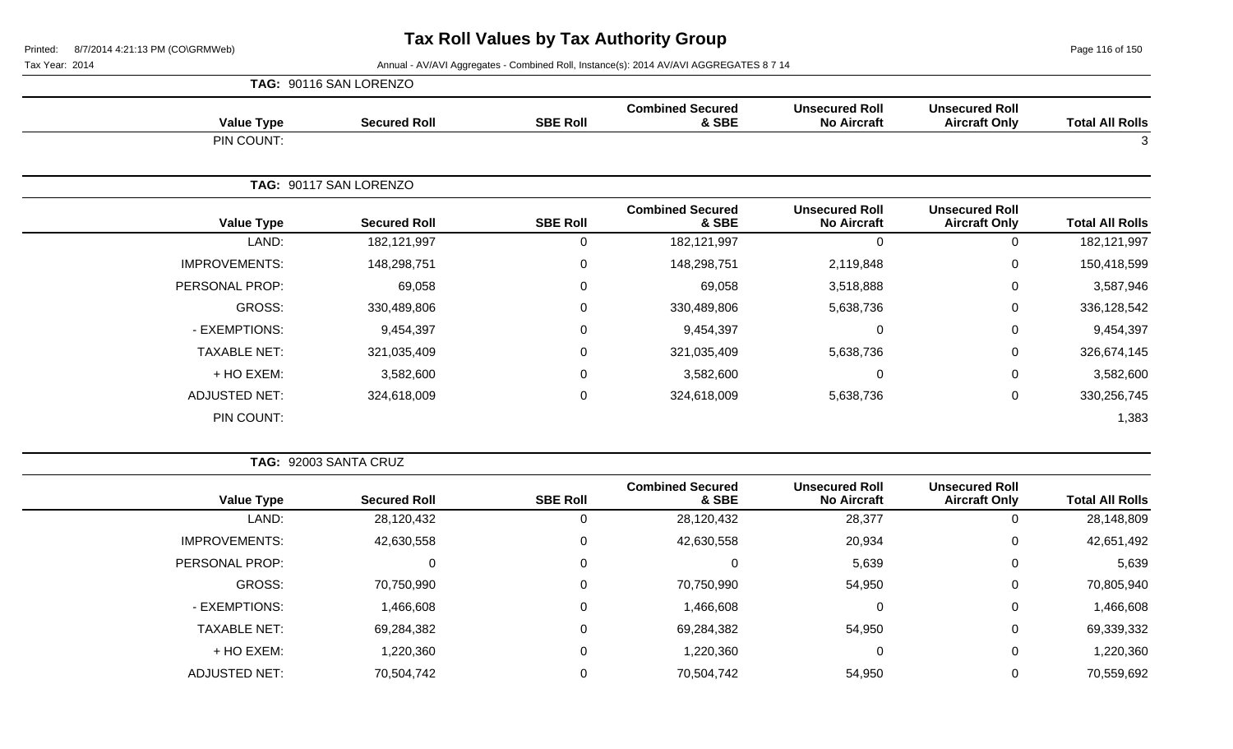Page 116 of 150

|                      | TAG: 90116 SAN LORENZO |                 |                                  |                                             |                                               |                        |
|----------------------|------------------------|-----------------|----------------------------------|---------------------------------------------|-----------------------------------------------|------------------------|
| <b>Value Type</b>    | <b>Secured Roll</b>    | <b>SBE Roll</b> | <b>Combined Secured</b><br>& SBE | <b>Unsecured Roll</b><br><b>No Aircraft</b> | <b>Unsecured Roll</b><br><b>Aircraft Only</b> | <b>Total All Rolls</b> |
| PIN COUNT:           |                        |                 |                                  |                                             |                                               | 3                      |
|                      | TAG: 90117 SAN LORENZO |                 |                                  |                                             |                                               |                        |
| <b>Value Type</b>    | <b>Secured Roll</b>    | <b>SBE Roll</b> | <b>Combined Secured</b><br>& SBE | <b>Unsecured Roll</b><br><b>No Aircraft</b> | <b>Unsecured Roll</b><br><b>Aircraft Only</b> | <b>Total All Rolls</b> |
| LAND:                | 182,121,997            | $\Omega$        | 182, 121, 997                    | $\mathbf{0}$                                | $\mathbf 0$                                   | 182,121,997            |
| <b>IMPROVEMENTS:</b> | 148,298,751            | 0               | 148,298,751                      | 2,119,848                                   | 0                                             | 150,418,599            |
| PERSONAL PROP:       | 69,058                 | 0               | 69,058                           | 3,518,888                                   | 0                                             | 3,587,946              |
| GROSS:               | 330,489,806            | 0               | 330,489,806                      | 5,638,736                                   | $\mathbf 0$                                   | 336,128,542            |
| - EXEMPTIONS:        | 9,454,397              | 0               | 9,454,397                        | $\mathbf 0$                                 | $\mathbf 0$                                   | 9,454,397              |
| <b>TAXABLE NET:</b>  | 321,035,409            | $\mathbf 0$     | 321,035,409                      | 5,638,736                                   | $\mathbf 0$                                   | 326,674,145            |
| + HO EXEM:           | 3,582,600              | 0               | 3,582,600                        | $\mathbf 0$                                 | 0                                             | 3,582,600              |
| <b>ADJUSTED NET:</b> | 324,618,009            | 0               | 324,618,009                      | 5,638,736                                   | $\mathbf 0$                                   | 330,256,745            |
| PIN COUNT:           |                        |                 |                                  |                                             |                                               | 1,383                  |

| <b>TAG: 92003 SANTA CRUZ</b> |  |
|------------------------------|--|
|                              |  |

| <b>Total All Rolls</b> | <b>Unsecured Roll</b><br><b>Aircraft Only</b> | <b>Unsecured Roll</b><br><b>No Aircraft</b> | <b>Combined Secured</b><br>& SBE | <b>SBE Roll</b> | <b>Secured Roll</b> | <b>Value Type</b>    |
|------------------------|-----------------------------------------------|---------------------------------------------|----------------------------------|-----------------|---------------------|----------------------|
| 28,148,809             |                                               | 28,377                                      | 28,120,432                       |                 | 28,120,432          | LAND:                |
| 42,651,492             | 0                                             | 20,934                                      | 42,630,558                       | 0               | 42,630,558          | <b>IMPROVEMENTS:</b> |
| 5,639                  | 0                                             | 5,639                                       |                                  | 0               |                     | PERSONAL PROP:       |
| 70,805,940             |                                               | 54,950                                      | 70,750,990                       | 0               | 70,750,990          | GROSS:               |
| 1,466,608              |                                               |                                             | 1,466,608                        | 0               | 1,466,608           | - EXEMPTIONS:        |
| 69,339,332             | 0                                             | 54,950                                      | 69,284,382                       | 0               | 69,284,382          | <b>TAXABLE NET:</b>  |
| 1,220,360              |                                               |                                             | 1,220,360                        | 0               | 1,220,360           | + HO EXEM:           |
| 70,559,692             |                                               | 54,950                                      | 70,504,742                       |                 | 70,504,742          | <b>ADJUSTED NET:</b> |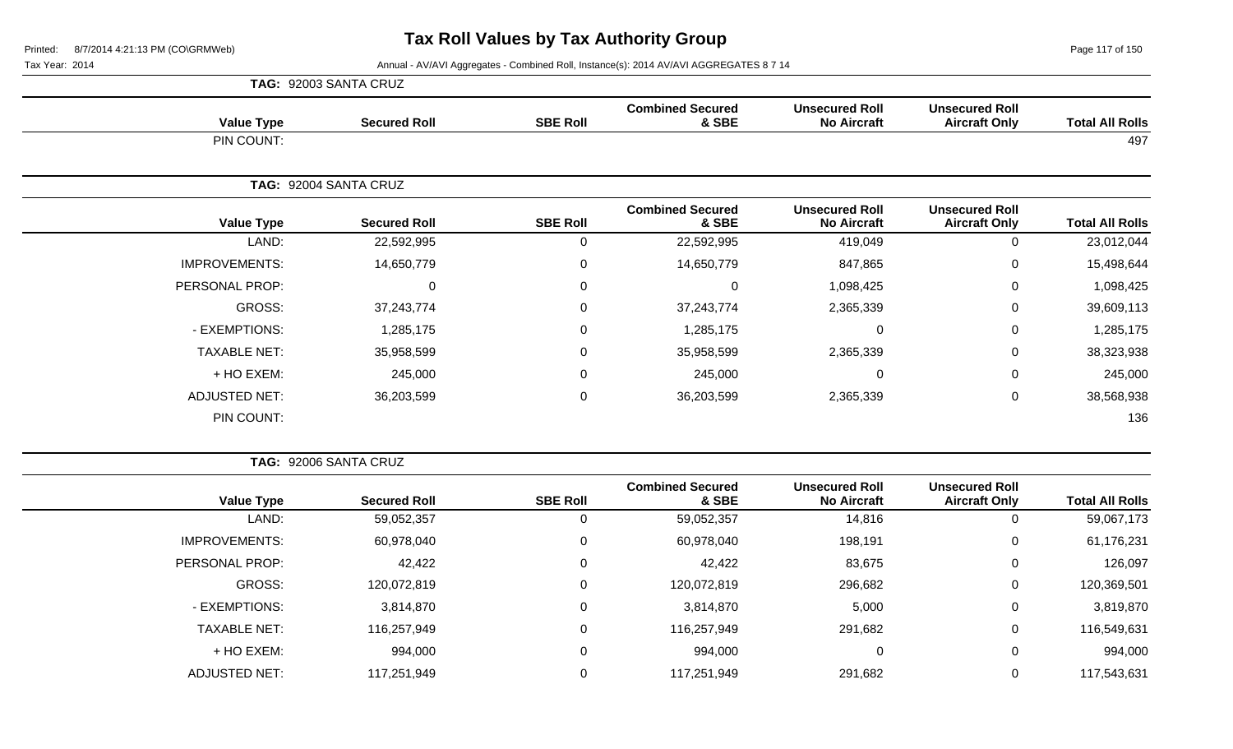Page 117 of 150

Tax Year: 2014 **Annual - AV/AVI Aggregates - Combined Roll**, Instance(s): 2014 AV/AVI AGGREGATES 8 7 14

|                      | TAG: 92003 SANTA CRUZ |                  |                                  |                                             |                                               |                        |
|----------------------|-----------------------|------------------|----------------------------------|---------------------------------------------|-----------------------------------------------|------------------------|
| <b>Value Type</b>    | <b>Secured Roll</b>   | <b>SBE Roll</b>  | <b>Combined Secured</b><br>& SBE | <b>Unsecured Roll</b><br><b>No Aircraft</b> | <b>Unsecured Roll</b><br><b>Aircraft Only</b> | <b>Total All Rolls</b> |
| PIN COUNT:           |                       |                  |                                  |                                             |                                               | 497                    |
|                      | TAG: 92004 SANTA CRUZ |                  |                                  |                                             |                                               |                        |
| <b>Value Type</b>    | <b>Secured Roll</b>   | <b>SBE Roll</b>  | <b>Combined Secured</b><br>& SBE | <b>Unsecured Roll</b><br><b>No Aircraft</b> | <b>Unsecured Roll</b><br><b>Aircraft Only</b> | <b>Total All Rolls</b> |
| LAND:                | 22,592,995            | 0                | 22,592,995                       | 419,049                                     | 0                                             | 23,012,044             |
| <b>IMPROVEMENTS:</b> | 14,650,779            | $\mathbf 0$      | 14,650,779                       | 847,865                                     | $\mathbf 0$                                   | 15,498,644             |
| PERSONAL PROP:       | 0                     | $\mathbf 0$      | $\Omega$                         | 1,098,425                                   | $\mathbf 0$                                   | 1,098,425              |
| GROSS:               | 37,243,774            | $\mathbf 0$      | 37,243,774                       | 2,365,339                                   | $\mathbf 0$                                   | 39,609,113             |
| - EXEMPTIONS:        | 1,285,175             | 0                | 1,285,175                        | $\Omega$                                    | 0                                             | 1,285,175              |
| <b>TAXABLE NET:</b>  | 35,958,599            | $\boldsymbol{0}$ | 35,958,599                       | 2,365,339                                   | $\mathbf 0$                                   | 38,323,938             |
| + HO EXEM:           | 245,000               | 0                | 245,000                          | $\Omega$                                    | 0                                             | 245,000                |
| <b>ADJUSTED NET:</b> | 36,203,599            | $\mathbf 0$      | 36,203,599                       | 2,365,339                                   | $\mathbf 0$                                   | 38,568,938             |
| PIN COUNT:           |                       |                  |                                  |                                             |                                               | 136                    |

**TAG:** 92006 SANTA CRUZ

| <b>Total All Rolls</b> | <b>Unsecured Roll</b><br><b>Aircraft Only</b> | <b>Unsecured Roll</b><br><b>No Aircraft</b> | <b>Combined Secured</b><br>& SBE | <b>SBE Roll</b> | <b>Secured Roll</b> | <b>Value Type</b>    |
|------------------------|-----------------------------------------------|---------------------------------------------|----------------------------------|-----------------|---------------------|----------------------|
| 59,067,173             |                                               | 14,816                                      | 59,052,357                       | 0               | 59,052,357          | LAND:                |
| 61,176,231             | 0                                             | 198,191                                     | 60,978,040                       | 0               | 60,978,040          | <b>IMPROVEMENTS:</b> |
| 126,097                | $\overline{0}$                                | 83,675                                      | 42,422                           | $\mathbf 0$     | 42,422              | PERSONAL PROP:       |
| 120,369,501            | 0                                             | 296,682                                     | 120,072,819                      | 0               | 120,072,819         | GROSS:               |
| 3,819,870              | $\overline{0}$                                | 5,000                                       | 3,814,870                        | 0               | 3,814,870           | - EXEMPTIONS:        |
| 116,549,631            | 0                                             | 291,682                                     | 116,257,949                      | $\Omega$        | 116,257,949         | <b>TAXABLE NET:</b>  |
| 994,000                | $\overline{0}$                                | 0                                           | 994,000                          | 0               | 994,000             | + HO EXEM:           |
| 117,543,631            |                                               | 291,682                                     | 117,251,949                      | $\mathbf 0$     | 117,251,949         | <b>ADJUSTED NET:</b> |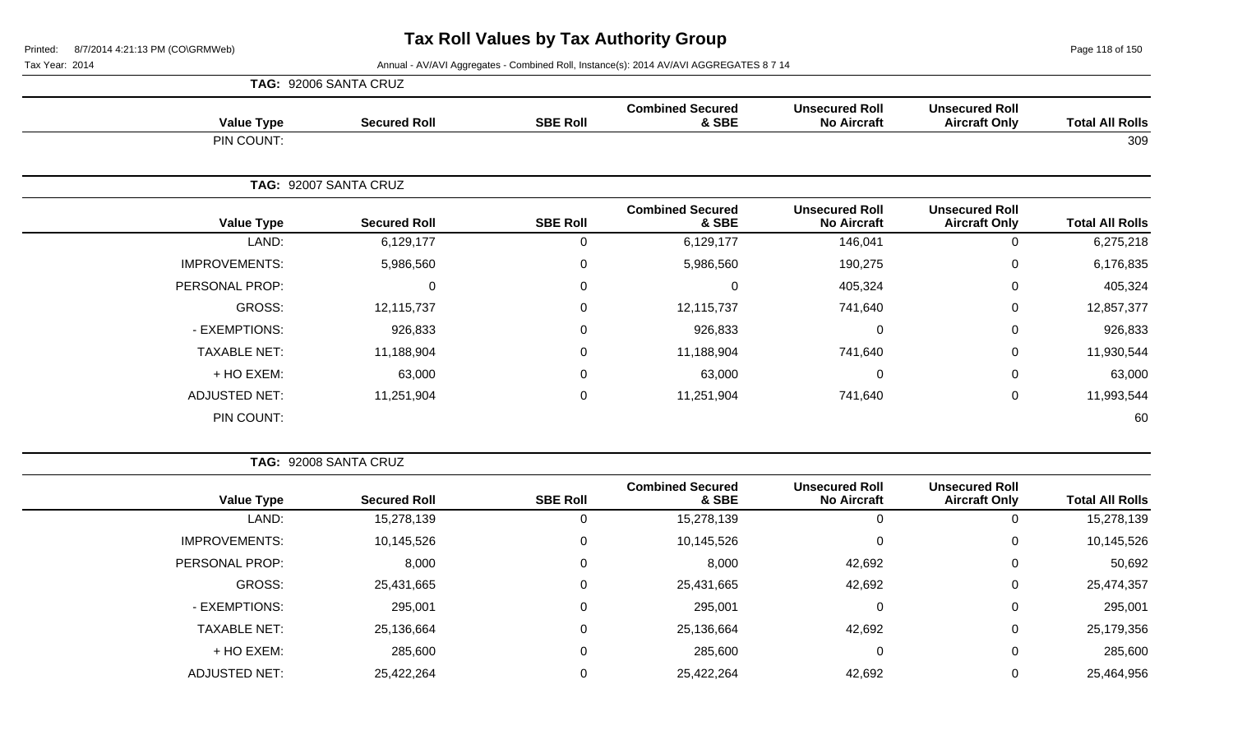Page 118 of 150

Tax Year: 2014 **Annual - AV/AVI Aggregates - Combined Roll**, Instance(s): 2014 AV/AVI AGGREGATES 8 7 14

|                      | TAG: 92006 SANTA CRUZ |                 |                                  |                                             |                                               |                        |
|----------------------|-----------------------|-----------------|----------------------------------|---------------------------------------------|-----------------------------------------------|------------------------|
| <b>Value Type</b>    | <b>Secured Roll</b>   | <b>SBE Roll</b> | <b>Combined Secured</b><br>& SBE | <b>Unsecured Roll</b><br><b>No Aircraft</b> | <b>Unsecured Roll</b><br><b>Aircraft Only</b> | <b>Total All Rolls</b> |
| PIN COUNT:           |                       |                 |                                  |                                             |                                               | 309                    |
|                      | TAG: 92007 SANTA CRUZ |                 |                                  |                                             |                                               |                        |
| <b>Value Type</b>    | <b>Secured Roll</b>   | <b>SBE Roll</b> | <b>Combined Secured</b><br>& SBE | <b>Unsecured Roll</b><br><b>No Aircraft</b> | <b>Unsecured Roll</b><br><b>Aircraft Only</b> | <b>Total All Rolls</b> |
| LAND:                | 6,129,177             | 0               | 6,129,177                        | 146,041                                     | 0                                             | 6,275,218              |
| <b>IMPROVEMENTS:</b> | 5,986,560             | $\mathbf 0$     | 5,986,560                        | 190,275                                     | $\mathsf{O}$                                  | 6,176,835              |
| PERSONAL PROP:       | $\mathbf 0$           | 0               | 0                                | 405,324                                     | $\mathbf 0$                                   | 405,324                |
| GROSS:               | 12,115,737            | $\Omega$        | 12,115,737                       | 741,640                                     | $\mathsf{O}$                                  | 12,857,377             |
| - EXEMPTIONS:        | 926,833               | $\Omega$        | 926,833                          | 0                                           | 0                                             | 926,833                |
| <b>TAXABLE NET:</b>  | 11,188,904            | $\mathbf 0$     | 11,188,904                       | 741,640                                     | $\mathsf{O}$                                  | 11,930,544             |
| + HO EXEM:           | 63,000                | $\Omega$        | 63,000                           | $\Omega$                                    | 0                                             | 63,000                 |
| <b>ADJUSTED NET:</b> | 11,251,904            | $\mathbf 0$     | 11,251,904                       | 741,640                                     | $\mathbf 0$                                   | 11,993,544             |
| PIN COUNT:           |                       |                 |                                  |                                             |                                               | 60                     |

**TAG:** 92008 SANTA CRUZ

| <b>Total All Rolls</b> | <b>Unsecured Roll</b><br><b>Aircraft Only</b> | <b>Unsecured Roll</b><br><b>No Aircraft</b> | <b>Combined Secured</b><br>& SBE | <b>SBE Roll</b> | <b>Secured Roll</b> | <b>Value Type</b>    |
|------------------------|-----------------------------------------------|---------------------------------------------|----------------------------------|-----------------|---------------------|----------------------|
| 15,278,139             | 0                                             | 0                                           | 15,278,139                       | υ               | 15,278,139          | LAND:                |
| 10,145,526             | 0                                             | 0                                           | 10,145,526                       | 0               | 10,145,526          | <b>IMPROVEMENTS:</b> |
| 50,692                 | 0                                             | 42,692                                      | 8,000                            | 0               | 8,000               | PERSONAL PROP:       |
| 25,474,357             | 0                                             | 42,692                                      | 25,431,665                       | 0               | 25,431,665          | GROSS:               |
| 295,001                | 0                                             | $\mathbf 0$                                 | 295,001                          | 0               | 295,001             | - EXEMPTIONS:        |
| 25,179,356             | 0                                             | 42,692                                      | 25,136,664                       | 0               | 25,136,664          | <b>TAXABLE NET:</b>  |
| 285,600                | 0                                             | 0                                           | 285,600                          | 0               | 285,600             | $+$ HO EXEM:         |
| 25,464,956             | 0                                             | 42,692                                      | 25,422,264                       |                 | 25,422,264          | ADJUSTED NET:        |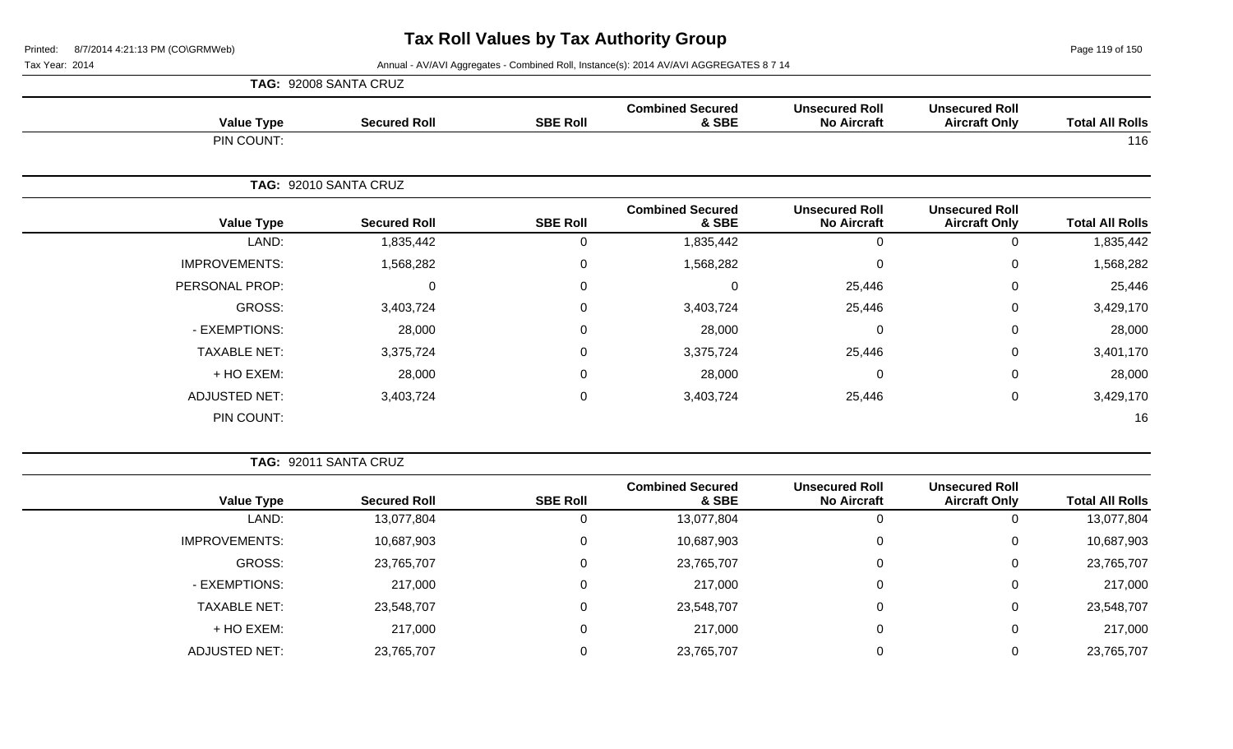Page 119 of 150

Tax Year: 2014 **Annual - AV/AVI Aggregates - Combined Roll**, Instance(s): 2014 AV/AVI AGGREGATES 8 7 14

|                      | TAG: 92008 SANTA CRUZ |                 |                                  |                                             |                                               |                        |
|----------------------|-----------------------|-----------------|----------------------------------|---------------------------------------------|-----------------------------------------------|------------------------|
| <b>Value Type</b>    | <b>Secured Roll</b>   | <b>SBE Roll</b> | <b>Combined Secured</b><br>& SBE | <b>Unsecured Roll</b><br><b>No Aircraft</b> | <b>Unsecured Roll</b><br><b>Aircraft Only</b> | <b>Total All Rolls</b> |
| PIN COUNT:           |                       |                 |                                  |                                             |                                               | 116                    |
|                      | TAG: 92010 SANTA CRUZ |                 |                                  |                                             |                                               |                        |
| <b>Value Type</b>    | <b>Secured Roll</b>   | <b>SBE Roll</b> | <b>Combined Secured</b><br>& SBE | <b>Unsecured Roll</b><br><b>No Aircraft</b> | <b>Unsecured Roll</b><br><b>Aircraft Only</b> | <b>Total All Rolls</b> |
| LAND:                | 1,835,442             | 0               | 1,835,442                        | $\Omega$                                    | $\overline{0}$                                | 1,835,442              |
| <b>IMPROVEMENTS:</b> | 1,568,282             | 0               | 1,568,282                        | $\Omega$                                    | $\mathbf 0$                                   | 1,568,282              |
| PERSONAL PROP:       | 0                     | $\mathbf 0$     | $\Omega$                         | 25,446                                      | $\mathbf 0$                                   | 25,446                 |
| GROSS:               | 3,403,724             | 0               | 3,403,724                        | 25,446                                      | $\mathbf 0$                                   | 3,429,170              |
| - EXEMPTIONS:        | 28,000                | 0               | 28,000                           | $\Omega$                                    | $\mathbf 0$                                   | 28,000                 |
| <b>TAXABLE NET:</b>  | 3,375,724             | $\mathbf 0$     | 3,375,724                        | 25,446                                      | $\mathbf 0$                                   | 3,401,170              |
| + HO EXEM:           | 28,000                | 0               | 28,000                           | $\Omega$                                    | 0                                             | 28,000                 |
| <b>ADJUSTED NET:</b> | 3,403,724             | 0               | 3,403,724                        | 25,446                                      | $\mathbf 0$                                   | 3,429,170              |
| PIN COUNT:           |                       |                 |                                  |                                             |                                               | 16                     |

**TAG:** 92011 SANTA CRUZ

|                      |                     |                 | <b>Combined Secured</b> | <b>Unsecured Roll</b> | <b>Unsecured Roll</b> |                        |
|----------------------|---------------------|-----------------|-------------------------|-----------------------|-----------------------|------------------------|
| <b>Value Type</b>    | <b>Secured Roll</b> | <b>SBE Roll</b> | & SBE                   | <b>No Aircraft</b>    | <b>Aircraft Only</b>  | <b>Total All Rolls</b> |
| LAND:                | 13,077,804          | 0               | 13,077,804              | U                     |                       | 13,077,804             |
| <b>IMPROVEMENTS:</b> | 10,687,903          | 0               | 10,687,903              | $\Omega$              | U                     | 10,687,903             |
| GROSS:               | 23,765,707          | 0               | 23,765,707              | 0                     | 0                     | 23,765,707             |
| - EXEMPTIONS:        | 217,000             | 0               | 217,000                 | 0                     |                       | 217,000                |
| <b>TAXABLE NET:</b>  | 23,548,707          | 0               | 23,548,707              | $\Omega$              | 0                     | 23,548,707             |
| + HO EXEM:           | 217,000             | 0               | 217,000                 | 0                     |                       | 217,000                |
| ADJUSTED NET:        | 23,765,707          | 0               | 23,765,707              |                       |                       | 23,765,707             |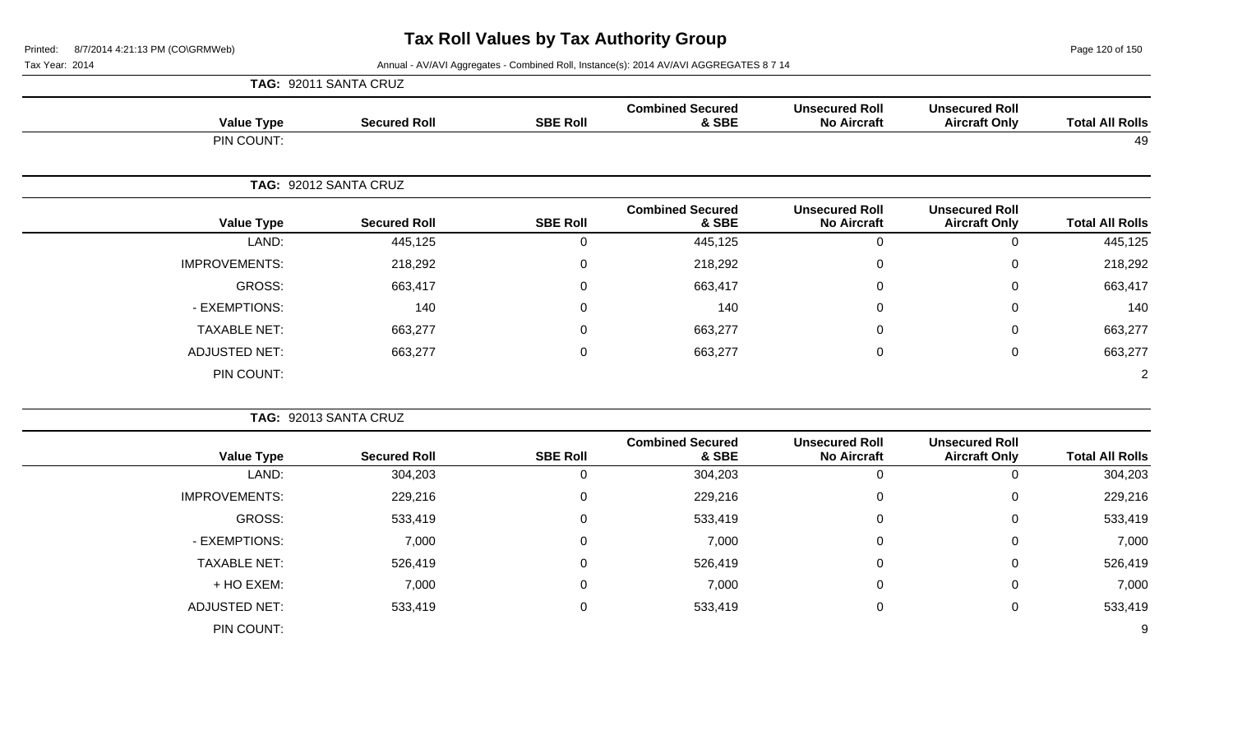Page 120 of 150

|                        |                                               |                                             |                                  |                 | TAG: 92011 SANTA CRUZ |                      |
|------------------------|-----------------------------------------------|---------------------------------------------|----------------------------------|-----------------|-----------------------|----------------------|
| <b>Total All Rolls</b> | <b>Unsecured Roll</b><br><b>Aircraft Only</b> | <b>Unsecured Roll</b><br><b>No Aircraft</b> | <b>Combined Secured</b><br>& SBE | <b>SBE Roll</b> | <b>Secured Roll</b>   | <b>Value Type</b>    |
| 49                     |                                               |                                             |                                  |                 |                       | PIN COUNT:           |
|                        |                                               |                                             |                                  |                 | TAG: 92012 SANTA CRUZ |                      |
| <b>Total All Rolls</b> | <b>Unsecured Roll</b><br><b>Aircraft Only</b> | <b>Unsecured Roll</b><br><b>No Aircraft</b> | <b>Combined Secured</b><br>& SBE | <b>SBE Roll</b> | <b>Secured Roll</b>   | <b>Value Type</b>    |
| 445,125                | $\mathbf 0$                                   | $\mathbf 0$                                 | 445,125                          | $\mathbf 0$     | 445,125               | LAND:                |
| 218,292                | $\mathbf 0$                                   | 0                                           | 218,292                          | 0               | 218,292               | <b>IMPROVEMENTS:</b> |
| 663,417                | $\mathbf 0$                                   | 0                                           | 663,417                          | 0               | 663,417               | <b>GROSS:</b>        |
| 140                    | $\pmb{0}$                                     | 0                                           | 140                              | $\mathbf 0$     | 140                   | - EXEMPTIONS:        |
| 663,277                | $\pmb{0}$                                     | 0                                           | 663,277                          | $\mathbf 0$     | 663,277               | <b>TAXABLE NET:</b>  |
| 663,277                | $\mathbf 0$                                   | $\boldsymbol{0}$                            | 663,277                          | $\mathbf 0$     | 663,277               | <b>ADJUSTED NET:</b> |
| $\overline{2}$         |                                               |                                             |                                  |                 |                       | PIN COUNT:           |
|                        |                                               |                                             |                                  |                 | TAG: 92013 SANTA CRUZ |                      |
| <b>Total All Rolls</b> | <b>Unsecured Roll</b><br><b>Aircraft Only</b> | <b>Unsecured Roll</b><br><b>No Aircraft</b> | <b>Combined Secured</b><br>& SBE | <b>SBE Roll</b> | <b>Secured Roll</b>   | <b>Value Type</b>    |
| 304,203                | $\mathbf 0$                                   | $\overline{0}$                              | 304,203                          | $\mathbf 0$     | 304,203               | LAND:                |
| 229,216                | $\mathbf 0$                                   | $\Omega$                                    | 229,216                          | 0               | 229,216               | <b>IMPROVEMENTS:</b> |
| 533,419                | $\mathbf 0$                                   | $\Omega$                                    | 533,419                          | 0               | 533,419               | <b>GROSS:</b>        |
| 7,000                  | $\mathbf 0$                                   | 0                                           | 7,000                            | 0               | 7,000                 | - EXEMPTIONS:        |
| 526,419                | $\mathbf 0$                                   | 0                                           | 526,419                          | $\mathbf 0$     | 526,419               | <b>TAXABLE NET:</b>  |
| 7,000                  | $\mathbf 0$                                   | 0                                           | 7,000                            | 0               | 7,000                 | + HO EXEM:           |
| 533,419                | $\boldsymbol{0}$                              | $\boldsymbol{0}$                            | 533,419                          | $\mathbf 0$     | 533,419               | <b>ADJUSTED NET:</b> |
| 9                      |                                               |                                             |                                  |                 |                       | PIN COUNT:           |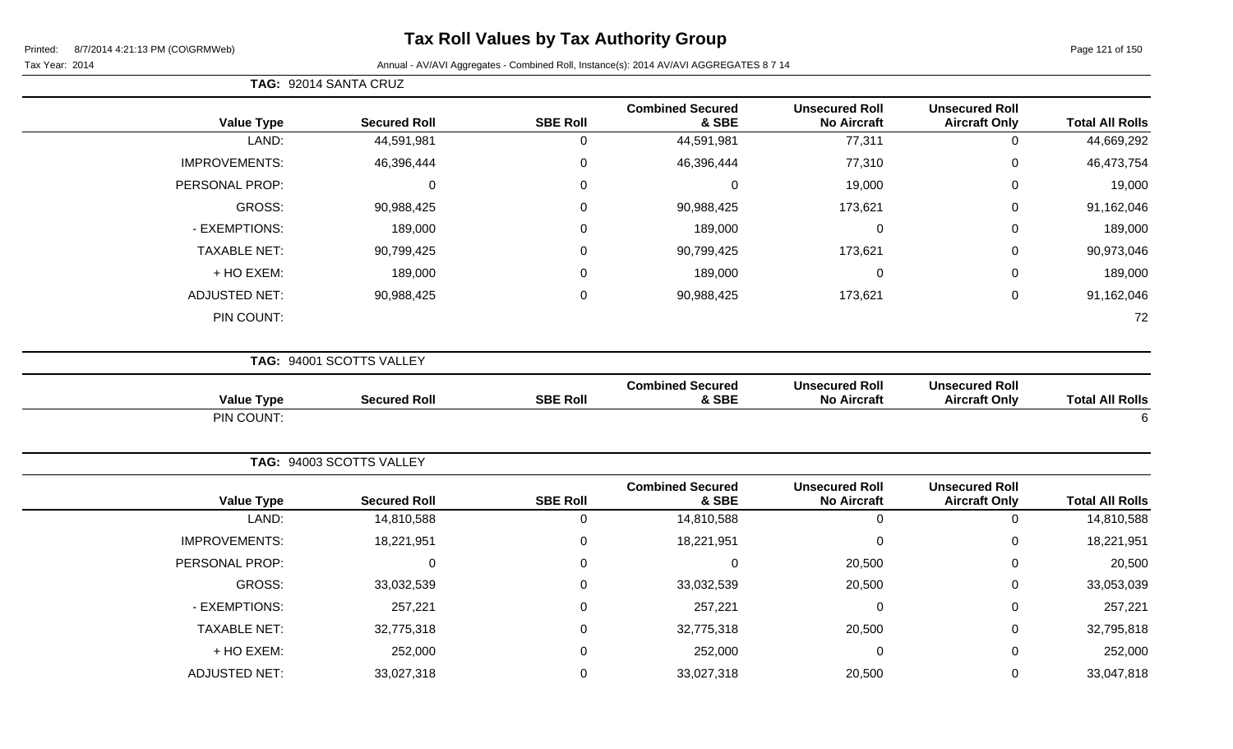**TAG:** 92014 SANTA CRUZ

Page 121 of 150

| <b>Value Type</b>    | <b>Secured Roll</b>      | <b>SBE Roll</b>  | <b>Combined Secured</b><br>& SBE | <b>Unsecured Roll</b><br><b>No Aircraft</b> | <b>Unsecured Roll</b><br><b>Aircraft Only</b> | <b>Total All Rolls</b> |
|----------------------|--------------------------|------------------|----------------------------------|---------------------------------------------|-----------------------------------------------|------------------------|
| LAND:                | 44,591,981               | $\mathbf 0$      | 44,591,981                       | 77,311                                      | $\mathbf 0$                                   | 44,669,292             |
| <b>IMPROVEMENTS:</b> | 46,396,444               | 0                | 46,396,444                       | 77,310                                      | $\mathbf 0$                                   | 46,473,754             |
| PERSONAL PROP:       | $\pmb{0}$                | 0                | $\mathbf 0$                      | 19,000                                      | $\mathbf 0$                                   | 19,000                 |
| <b>GROSS:</b>        | 90,988,425               | 0                | 90,988,425                       | 173,621                                     | $\mathbf 0$                                   | 91,162,046             |
| - EXEMPTIONS:        | 189,000                  | 0                | 189,000                          | $\mathbf 0$                                 | $\mathbf 0$                                   | 189,000                |
| <b>TAXABLE NET:</b>  | 90,799,425               | 0                | 90,799,425                       | 173,621                                     | $\pmb{0}$                                     | 90,973,046             |
| + HO EXEM:           | 189,000                  | 0                | 189,000                          | 0                                           | $\mathbf 0$                                   | 189,000                |
| <b>ADJUSTED NET:</b> | 90,988,425               | 0                | 90,988,425                       | 173,621                                     | $\pmb{0}$                                     | 91,162,046             |
| PIN COUNT:           |                          |                  |                                  |                                             |                                               | 72                     |
|                      | TAG: 94001 SCOTTS VALLEY |                  |                                  |                                             |                                               |                        |
| <b>Value Type</b>    | <b>Secured Roll</b>      | <b>SBE Roll</b>  | <b>Combined Secured</b><br>& SBE | <b>Unsecured Roll</b><br><b>No Aircraft</b> | <b>Unsecured Roll</b><br><b>Aircraft Only</b> | <b>Total All Rolls</b> |
| PIN COUNT:           |                          |                  |                                  |                                             |                                               | 6                      |
|                      | TAG: 94003 SCOTTS VALLEY |                  |                                  |                                             |                                               |                        |
| <b>Value Type</b>    | <b>Secured Roll</b>      | <b>SBE Roll</b>  | <b>Combined Secured</b><br>& SBE | <b>Unsecured Roll</b><br><b>No Aircraft</b> | <b>Unsecured Roll</b><br><b>Aircraft Only</b> | <b>Total All Rolls</b> |
| LAND:                | 14,810,588               | $\boldsymbol{0}$ | 14,810,588                       | $\mathsf{O}$                                | $\mathbf 0$                                   | 14,810,588             |
| <b>IMPROVEMENTS:</b> | 18,221,951               | 0                | 18,221,951                       | 0                                           | $\mathbf 0$                                   | 18,221,951             |
| PERSONAL PROP:       | $\mathbf 0$              | 0                | $\mathsf 0$                      | 20,500                                      | $\mathbf 0$                                   | 20,500                 |
| <b>GROSS:</b>        | 33,032,539               | $\pmb{0}$        | 33,032,539                       | 20,500                                      | $\pmb{0}$                                     | 33,053,039             |
| - EXEMPTIONS:        | 257,221                  | 0                | 257,221                          | $\mathbf 0$                                 | $\mathbf 0$                                   | 257,221                |
| <b>TAXABLE NET:</b>  | 32,775,318               | $\mathbf 0$      | 32,775,318                       | 20,500                                      | $\pmb{0}$                                     | 32,795,818             |
| + HO EXEM:           | 252,000                  | 0                | 252,000                          | 0                                           | $\mathbf 0$                                   | 252,000                |
| <b>ADJUSTED NET:</b> | 33,027,318               | 0                | 33,027,318                       | 20,500                                      | $\pmb{0}$                                     | 33,047,818             |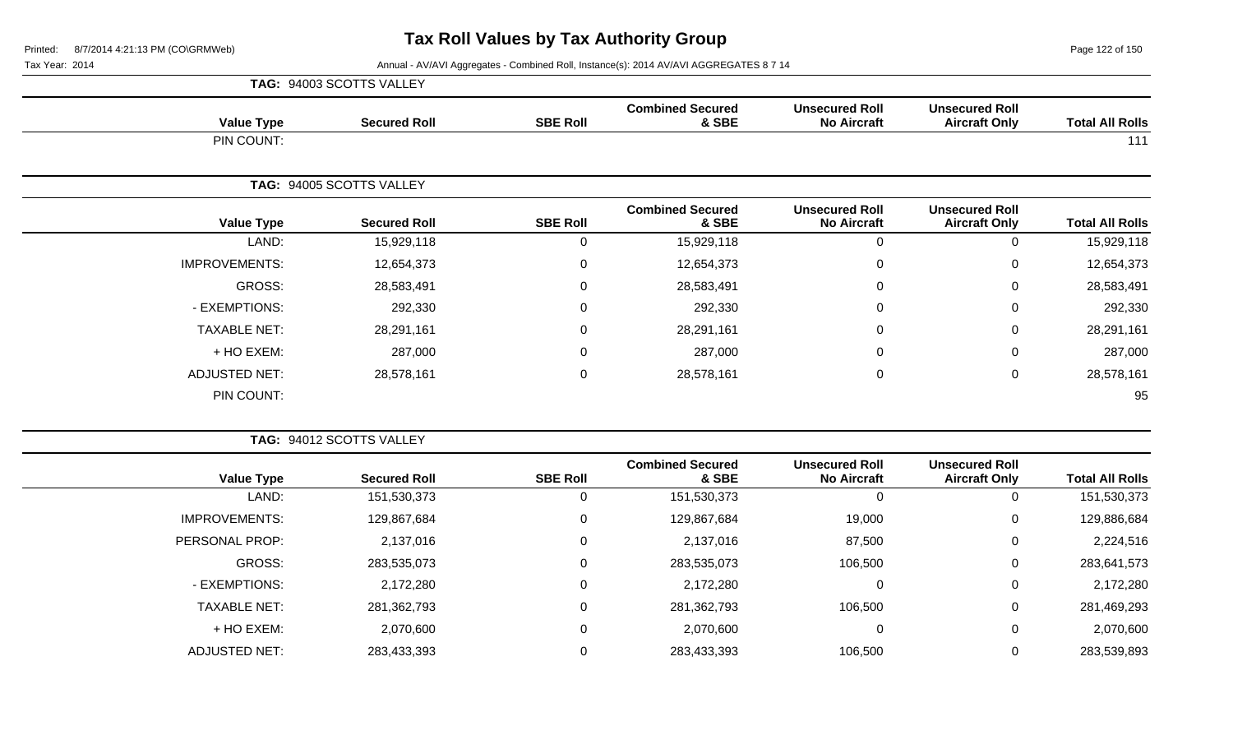Page 122 of 150

|                      | TAG: 94003 SCOTTS VALLEY |                 |                                  |                                             |                                               |                        |
|----------------------|--------------------------|-----------------|----------------------------------|---------------------------------------------|-----------------------------------------------|------------------------|
| <b>Value Type</b>    | <b>Secured Roll</b>      | <b>SBE Roll</b> | <b>Combined Secured</b><br>& SBE | <b>Unsecured Roll</b><br><b>No Aircraft</b> | <b>Unsecured Roll</b><br><b>Aircraft Only</b> | <b>Total All Rolls</b> |
| PIN COUNT:           |                          |                 |                                  |                                             |                                               | 111                    |
|                      | TAG: 94005 SCOTTS VALLEY |                 |                                  |                                             |                                               |                        |
| <b>Value Type</b>    | <b>Secured Roll</b>      | <b>SBE Roll</b> | <b>Combined Secured</b><br>& SBE | <b>Unsecured Roll</b><br><b>No Aircraft</b> | <b>Unsecured Roll</b><br><b>Aircraft Only</b> | <b>Total All Rolls</b> |
| LAND:                | 15,929,118               | 0               | 15,929,118                       | $\Omega$                                    | $\mathbf 0$                                   | 15,929,118             |
| <b>IMPROVEMENTS:</b> | 12,654,373               | 0               | 12,654,373                       | $\Omega$                                    | $\pmb{0}$                                     | 12,654,373             |
| GROSS:               | 28,583,491               | $\mathbf 0$     | 28,583,491                       | $\Omega$                                    | $\mathbf 0$                                   | 28,583,491             |
| - EXEMPTIONS:        | 292,330                  | $\mathbf 0$     | 292,330                          | $\Omega$                                    | $\boldsymbol{0}$                              | 292,330                |
| <b>TAXABLE NET:</b>  | 28,291,161               | 0               | 28,291,161                       | 0                                           | $\mathbf 0$                                   | 28,291,161             |
| + HO EXEM:           | 287,000                  | 0               | 287,000                          | $\Omega$                                    | $\mathbf 0$                                   | 287,000                |
| <b>ADJUSTED NET:</b> | 28,578,161               | $\mathbf 0$     | 28,578,161                       | $\mathbf 0$                                 | 0                                             | 28,578,161             |
| PIN COUNT:           |                          |                 |                                  |                                             |                                               | 95                     |

|                      | <b>TAG: 94012 SCOTTS VALLEY</b> |                 |                                  |                                             |                                               |                        |
|----------------------|---------------------------------|-----------------|----------------------------------|---------------------------------------------|-----------------------------------------------|------------------------|
| <b>Value Type</b>    | <b>Secured Roll</b>             | <b>SBE Roll</b> | <b>Combined Secured</b><br>& SBE | <b>Unsecured Roll</b><br><b>No Aircraft</b> | <b>Unsecured Roll</b><br><b>Aircraft Only</b> | <b>Total All Rolls</b> |
| LAND:                | 151,530,373                     |                 | 151,530,373                      | 0                                           | 0                                             | 151,530,373            |
| <b>IMPROVEMENTS:</b> | 129,867,684                     | 0               | 129,867,684                      | 19,000                                      | 0                                             | 129,886,684            |
| PERSONAL PROP:       | 2,137,016                       | 0               | 2,137,016                        | 87,500                                      | 0                                             | 2,224,516              |
| GROSS:               | 283,535,073                     | 0               | 283,535,073                      | 106,500                                     | 0                                             | 283,641,573            |
| - EXEMPTIONS:        | 2,172,280                       | 0               | 2,172,280                        | 0                                           | 0                                             | 2,172,280              |
| <b>TAXABLE NET:</b>  | 281,362,793                     | 0               | 281,362,793                      | 106,500                                     | $\mathbf 0$                                   | 281,469,293            |
| + HO EXEM:           | 2,070,600                       | 0               | 2,070,600                        | 0                                           | $\mathbf 0$                                   | 2,070,600              |
| <b>ADJUSTED NET:</b> | 283,433,393                     |                 | 283,433,393                      | 106,500                                     | 0                                             | 283,539,893            |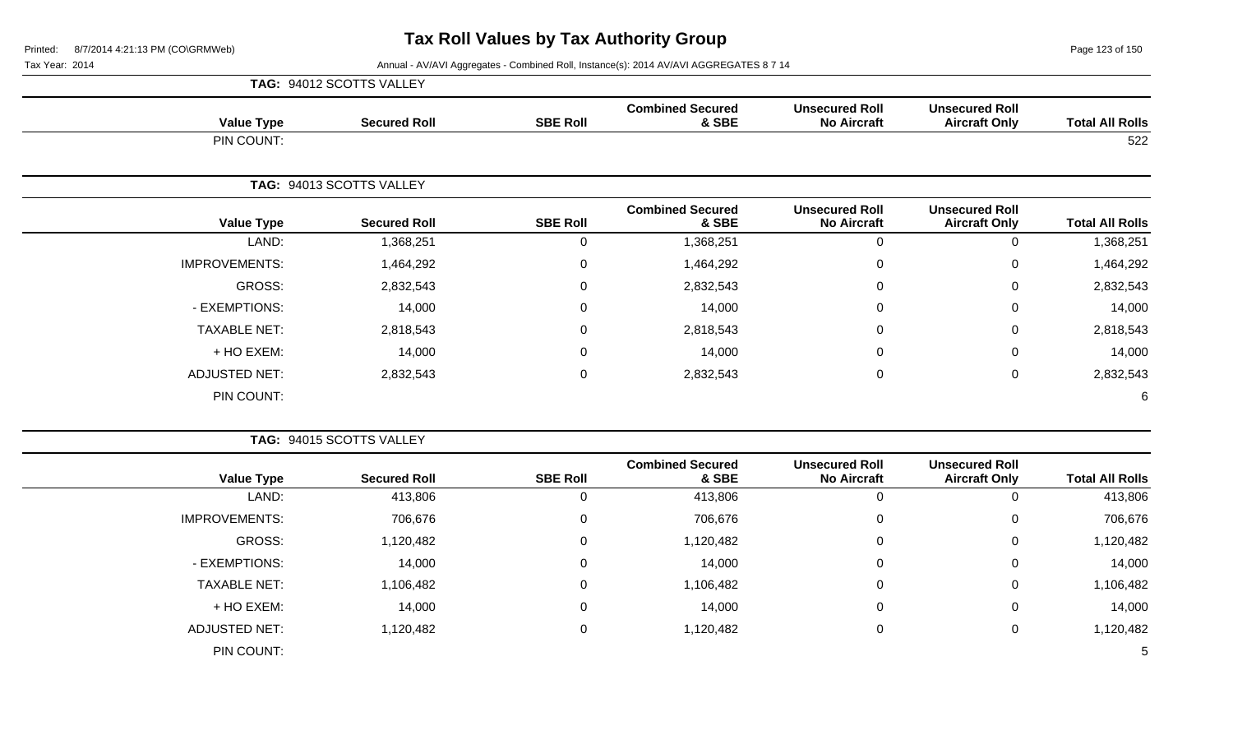**TAG:** 94012 SCOTTS VALLEY

Page 123 of 150

Tax Year: 2014 **Annual - AV/AVI Aggregates - Combined Roll, Instance(s): 2014 AV/AVI AGGREGATES 8 7 14** 

| <b>Value Type</b>    | <b>Secured Roll</b>      | <b>SBE Roll</b>  | <b>Combined Secured</b><br>& SBE | <b>Unsecured Roll</b><br><b>No Aircraft</b> | <b>Unsecured Roll</b><br><b>Aircraft Only</b> | <b>Total All Rolls</b> |
|----------------------|--------------------------|------------------|----------------------------------|---------------------------------------------|-----------------------------------------------|------------------------|
| PIN COUNT:           |                          |                  |                                  |                                             |                                               | 522                    |
|                      | TAG: 94013 SCOTTS VALLEY |                  |                                  |                                             |                                               |                        |
| <b>Value Type</b>    | <b>Secured Roll</b>      | <b>SBE Roll</b>  | <b>Combined Secured</b><br>& SBE | <b>Unsecured Roll</b><br><b>No Aircraft</b> | <b>Unsecured Roll</b><br><b>Aircraft Only</b> | <b>Total All Rolls</b> |
| LAND:                | 1,368,251                | $\mathbf 0$      | 1,368,251                        | $\mathbf 0$                                 | 0                                             | 1,368,251              |
| <b>IMPROVEMENTS:</b> | 1,464,292                | $\boldsymbol{0}$ | 1,464,292                        | $\mathbf 0$                                 | 0                                             | 1,464,292              |
| <b>GROSS:</b>        | 2,832,543                | 0                | 2,832,543                        | 0                                           | 0                                             | 2,832,543              |
| - EXEMPTIONS:        | 14,000                   | $\boldsymbol{0}$ | 14,000                           | $\Omega$                                    | 0                                             | 14,000                 |
| <b>TAXABLE NET:</b>  | 2,818,543                | $\boldsymbol{0}$ | 2,818,543                        | $\mathbf 0$                                 | 0                                             | 2,818,543              |
| + HO EXEM:           | 14,000                   | $\boldsymbol{0}$ | 14,000                           | $\Omega$                                    | 0                                             | 14,000                 |
| <b>ADJUSTED NET:</b> | 2,832,543                | $\mathbf 0$      | 2,832,543                        | $\mathbf 0$                                 | 0                                             | 2,832,543              |
| PIN COUNT:           |                          |                  |                                  |                                             |                                               | 6                      |
|                      | TAG: 94015 SCOTTS VALLEY |                  |                                  |                                             |                                               |                        |
| <b>Value Type</b>    | <b>Secured Roll</b>      | <b>SBE Roll</b>  | <b>Combined Secured</b><br>& SBE | <b>Unsecured Roll</b><br><b>No Aircraft</b> | <b>Unsecured Roll</b><br><b>Aircraft Only</b> | <b>Total All Rolls</b> |
| LAND:                | 413,806                  | $\mathbf 0$      | 413,806                          | $\mathbf 0$                                 | 0                                             | 413,806                |
| <b>IMPROVEMENTS:</b> | 706,676                  | $\mathbf 0$      | 706,676                          | $\overline{0}$                              | 0                                             | 706,676                |
| <b>GROSS:</b>        | 1,120,482                | $\mathbf 0$      | 1,120,482                        | 0                                           | 0                                             | 1,120,482              |
| - EXEMPTIONS:        | 14,000                   | $\mathbf 0$      | 14,000                           | $\Omega$                                    | 0                                             | 14,000                 |
| <b>TAXABLE NET:</b>  | 1,106,482                | $\mathbf 0$      | 1,106,482                        | $\Omega$                                    | 0                                             | 1,106,482              |
| + HO EXEM:           | 14,000                   | $\mathbf 0$      | 14,000                           | $\mathbf 0$                                 | 0                                             | 14,000                 |

ADJUSTED NET: 1,120,482 0 1,120,482 0 1,120,482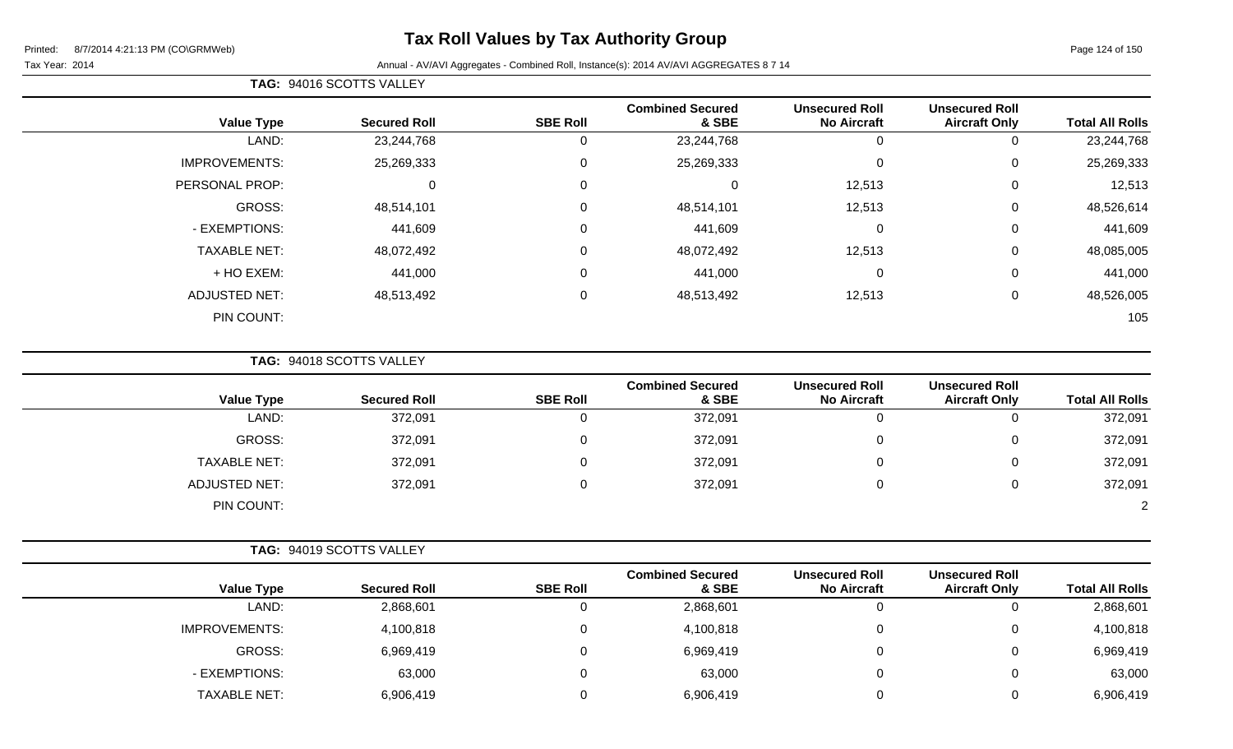# **Tax Roll Values by Tax Authority Group**

#### Tax Year: 2014 **Annual - AV/AVI Aggregates - Combined Roll**, Instance(s): 2014 AV/AVI AGGREGATES 8 7 14

| <b>TAG: 94016 SCOTTS VALLEY</b> |
|---------------------------------|
|---------------------------------|

| <b>Total All Rolls</b> | <b>Unsecured Roll</b><br><b>Aircraft Only</b> | <b>Unsecured Roll</b><br><b>No Aircraft</b> | <b>Combined Secured</b><br>& SBE | <b>SBE Roll</b> | <b>Secured Roll</b> | <b>Value Type</b>    |
|------------------------|-----------------------------------------------|---------------------------------------------|----------------------------------|-----------------|---------------------|----------------------|
| 23,244,768             | υ                                             | 0                                           | 23,244,768                       | υ               | 23,244,768          | LAND:                |
| 25,269,333             | 0                                             | 0                                           | 25,269,333                       | $\mathbf 0$     | 25,269,333          | <b>IMPROVEMENTS:</b> |
| 12,513                 | 0                                             | 12,513                                      | 0                                | $\mathbf 0$     | 0                   | PERSONAL PROP:       |
| 48,526,614             | 0                                             | 12,513                                      | 48,514,101                       | 0               | 48,514,101          | GROSS:               |
| 441,609                | 0                                             | 0                                           | 441,609                          | 0               | 441,609             | - EXEMPTIONS:        |
| 48,085,005             | $\mathbf 0$                                   | 12,513                                      | 48,072,492                       | 0               | 48,072,492          | <b>TAXABLE NET:</b>  |
| 441,000                | 0                                             | 0                                           | 441,000                          | 0               | 441,000             | + HO EXEM:           |
| 48,526,005             | 0                                             | 12,513                                      | 48,513,492                       | 0               | 48,513,492          | <b>ADJUSTED NET:</b> |
| 105                    |                                               |                                             |                                  |                 |                     | PIN COUNT:           |
|                        |                                               |                                             |                                  |                 |                     |                      |

**TAG:** 94018 SCOTTS VALLEY

| <b>Value Type</b>    | <b>Secured Roll</b> | <b>SBE Roll</b> | <b>Combined Secured</b><br>& SBE | <b>Unsecured Roll</b><br><b>No Aircraft</b> | <b>Unsecured Roll</b><br><b>Aircraft Only</b> | <b>Total All Rolls</b> |
|----------------------|---------------------|-----------------|----------------------------------|---------------------------------------------|-----------------------------------------------|------------------------|
| LAND:                | 372,091             |                 | 372,091                          | 0                                           |                                               | 372,091                |
| GROSS:               | 372,091             |                 | 372,091                          | 0                                           |                                               | 372,091                |
| <b>TAXABLE NET:</b>  | 372,091             |                 | 372,091                          | 0                                           |                                               | 372,091                |
| <b>ADJUSTED NET:</b> | 372,091             |                 | 372,091                          | 0                                           |                                               | 372,091                |
| PIN COUNT:           |                     |                 |                                  |                                             |                                               | $\mathcal{D}$          |

| <b>Value Type</b>    | <b>Secured Roll</b> | <b>SBE Roll</b> | <b>Combined Secured</b><br>& SBE | <b>Unsecured Roll</b><br><b>No Aircraft</b> | <b>Unsecured Roll</b><br><b>Aircraft Only</b> | <b>Total All Rolls</b> |
|----------------------|---------------------|-----------------|----------------------------------|---------------------------------------------|-----------------------------------------------|------------------------|
| LAND:                | 2,868,601           |                 | 2,868,601                        | 0                                           | v                                             | 2,868,601              |
| <b>IMPROVEMENTS:</b> | 4,100,818           |                 | 4,100,818                        | 0                                           |                                               | 4,100,818              |
| GROSS:               | 6,969,419           |                 | 6,969,419                        | 0                                           | ັ                                             | 6,969,419              |
| - EXEMPTIONS:        | 63,000              |                 | 63,000                           | 0                                           |                                               | 63,000                 |
| <b>TAXABLE NET:</b>  | 6,906,419           |                 | 6,906,419                        | 0                                           |                                               | 6,906,419              |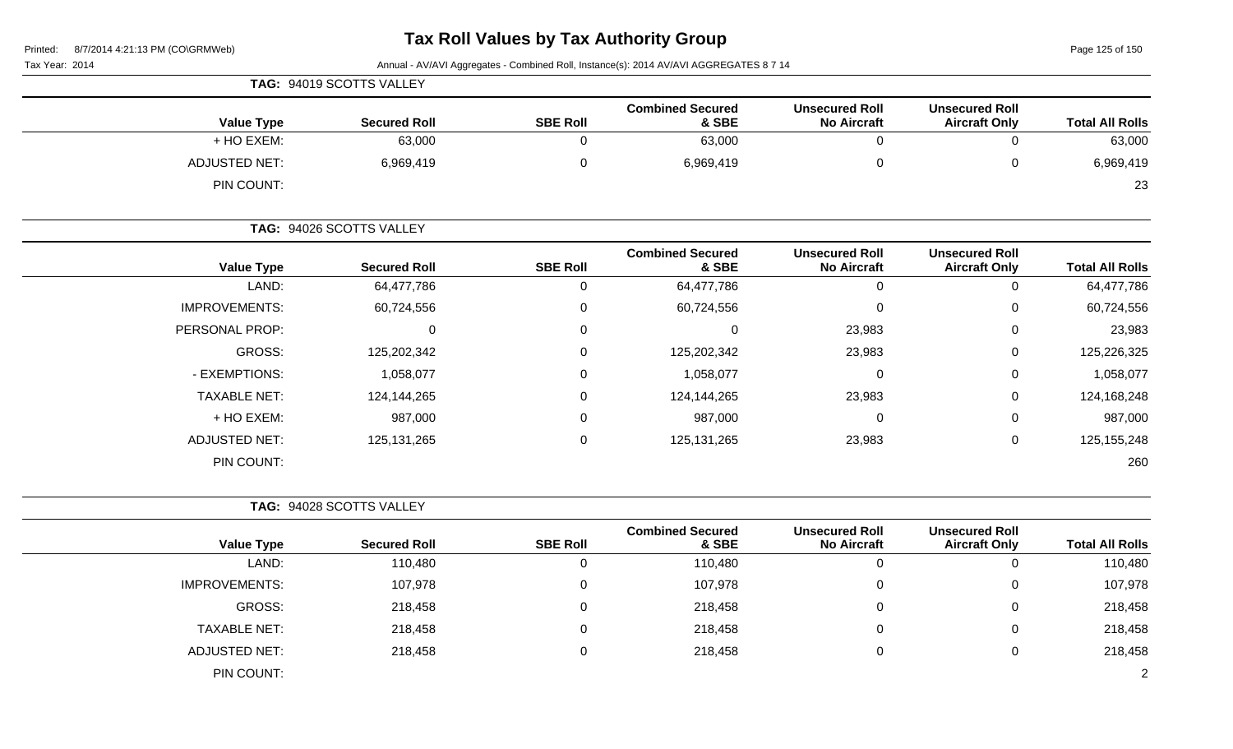Page 125 of 150

| Tax Year: 2014 |  |
|----------------|--|
|----------------|--|

Annual - AV/AVI Aggregates - Combined Roll, Instance(s): 2014 AV/AVI AGGREGATES 8 7 14

|                             | TAG: 94019 SCOTTS VALLEY |                 |                                  |                                             |                                               |                        |
|-----------------------------|--------------------------|-----------------|----------------------------------|---------------------------------------------|-----------------------------------------------|------------------------|
| <b>Value Type</b>           | <b>Secured Roll</b>      | <b>SBE Roll</b> | <b>Combined Secured</b><br>& SBE | <b>Unsecured Roll</b><br><b>No Aircraft</b> | <b>Unsecured Roll</b><br><b>Aircraft Only</b> | <b>Total All Rolls</b> |
| + HO EXEM:                  | 63,000                   |                 | 63,000                           |                                             |                                               | 63,000                 |
| ADJUSTED NET:<br>PIN COUNT: | 6,969,419                |                 | 6,969,419                        |                                             |                                               | 6,969,419<br>23        |

|                       | TAG: 94026 SCOTTS VALLEY |                 |                                  |                                             |                                               |                        |
|-----------------------|--------------------------|-----------------|----------------------------------|---------------------------------------------|-----------------------------------------------|------------------------|
| <b>Value Type</b>     | <b>Secured Roll</b>      | <b>SBE Roll</b> | <b>Combined Secured</b><br>& SBE | <b>Unsecured Roll</b><br><b>No Aircraft</b> | <b>Unsecured Roll</b><br><b>Aircraft Only</b> | <b>Total All Rolls</b> |
| LAND:                 | 64,477,786               | U               | 64,477,786                       | O                                           | 0                                             | 64,477,786             |
| <b>IMPROVEMENTS:</b>  | 60,724,556               | 0               | 60,724,556                       | $\Omega$                                    | 0                                             | 60,724,556             |
| <b>PERSONAL PROP:</b> | 0                        | 0               | 0                                | 23,983                                      | 0                                             | 23,983                 |
| GROSS:                | 125,202,342              | 0               | 125,202,342                      | 23,983                                      | 0                                             | 125,226,325            |
| - EXEMPTIONS:         | 1,058,077                | 0               | 1,058,077                        | $\Omega$                                    | 0                                             | 1,058,077              |
| <b>TAXABLE NET:</b>   | 124,144,265              | 0               | 124,144,265                      | 23,983                                      | 0                                             | 124,168,248            |
| + HO EXEM:            | 987,000                  | 0               | 987,000                          | $\Omega$                                    | 0                                             | 987,000                |
| <b>ADJUSTED NET:</b>  | 125, 131, 265            | 0               | 125, 131, 265                    | 23,983                                      | 0                                             | 125, 155, 248          |
| PIN COUNT:            |                          |                 |                                  |                                             |                                               | 260                    |

|                      | TAG: 94028 SCOTTS VALLEY |                 |                                  |                                             |                                               |                        |
|----------------------|--------------------------|-----------------|----------------------------------|---------------------------------------------|-----------------------------------------------|------------------------|
| <b>Value Type</b>    | <b>Secured Roll</b>      | <b>SBE Roll</b> | <b>Combined Secured</b><br>& SBE | <b>Unsecured Roll</b><br><b>No Aircraft</b> | <b>Unsecured Roll</b><br><b>Aircraft Only</b> | <b>Total All Rolls</b> |
| LAND:                | 110,480                  |                 | 110,480                          |                                             |                                               | 110,480                |
| <b>IMPROVEMENTS:</b> | 107,978                  |                 | 107,978                          |                                             |                                               | 107,978                |
| GROSS:               | 218,458                  | v               | 218,458                          |                                             |                                               | 218,458                |
| <b>TAXABLE NET:</b>  | 218,458                  |                 | 218,458                          |                                             |                                               | 218,458                |

|               | $-1$ $ -$      | $-1$ $ -$ |  | - . - - |
|---------------|----------------|-----------|--|---------|
| ADJUSTED NET: | 218,458<br>- - | 218,458   |  | 218,458 |
| PIN COUNT:    |                |           |  |         |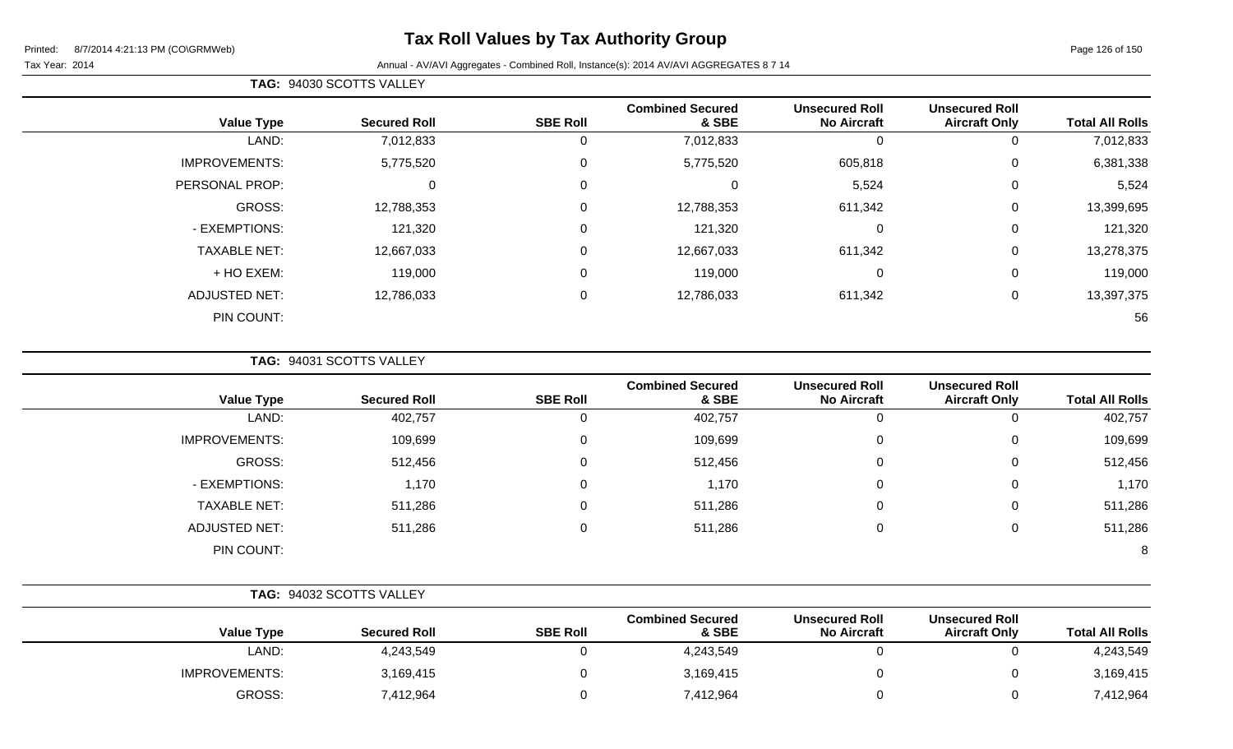# **Tax Roll Values by Tax Authority Group**

#### Tax Year: 2014 **Annual - AV/AVI Aggregates - Combined Roll**, Instance(s): 2014 AV/AVI AGGREGATES 8 7 14

| <b>TAG: 94030 SCOTTS VALLEY</b> |
|---------------------------------|
|                                 |

|                      |                     |                 | <b>Combined Secured</b> | <b>Unsecured Roll</b> | <b>Unsecured Roll</b> |                        |
|----------------------|---------------------|-----------------|-------------------------|-----------------------|-----------------------|------------------------|
| <b>Value Type</b>    | <b>Secured Roll</b> | <b>SBE Roll</b> | & SBE                   | <b>No Aircraft</b>    | <b>Aircraft Only</b>  | <b>Total All Rolls</b> |
| LAND:                | 7,012,833           | U               | 7,012,833               | 0                     | 0                     | 7,012,833              |
| <b>IMPROVEMENTS:</b> | 5,775,520           | 0               | 5,775,520               | 605,818               | 0                     | 6,381,338              |
| PERSONAL PROP:       | 0                   | 0               | 0                       | 5,524                 | 0                     | 5,524                  |
| GROSS:               | 12,788,353          | $\Omega$        | 12,788,353              | 611,342               | 0                     | 13,399,695             |
| - EXEMPTIONS:        | 121,320             | $\Omega$        | 121,320                 | 0                     | 0                     | 121,320                |
| <b>TAXABLE NET:</b>  | 12,667,033          | $\Omega$        | 12,667,033              | 611,342               | 0                     | 13,278,375             |
| + HO EXEM:           | 119,000             | $\mathbf 0$     | 119,000                 | 0                     | 0                     | 119,000                |
| <b>ADJUSTED NET:</b> | 12,786,033          | 0               | 12,786,033              | 611,342               | 0                     | 13,397,375             |
| PIN COUNT:           |                     |                 |                         |                       |                       | 56                     |

**TAG:** 94031 SCOTTS VALLEY

| <b>Value Type</b>    | <b>Secured Roll</b> | <b>SBE Roll</b> | <b>Combined Secured</b><br>& SBE | <b>Unsecured Roll</b><br><b>No Aircraft</b> | <b>Unsecured Roll</b><br><b>Aircraft Only</b> | <b>Total All Rolls</b> |
|----------------------|---------------------|-----------------|----------------------------------|---------------------------------------------|-----------------------------------------------|------------------------|
| LAND:                | 402,757             | U               | 402,757                          |                                             | 0                                             | 402,757                |
| <b>IMPROVEMENTS:</b> | 109,699             | 0               | 109,699                          |                                             | 0                                             | 109,699                |
| GROSS:               | 512,456             | 0               | 512,456                          | $\Omega$                                    | 0                                             | 512,456                |
| - EXEMPTIONS:        | 1,170               | 0               | 1,170                            |                                             | 0                                             | 1,170                  |
| <b>TAXABLE NET:</b>  | 511,286             | 0               | 511,286                          | $\Omega$                                    | 0                                             | 511,286                |
| ADJUSTED NET:        | 511,286             | 0               | 511,286                          |                                             | 0                                             | 511,286                |
| PIN COUNT:           |                     |                 |                                  |                                             |                                               | 8                      |

|                      | TAG: 94032 SCOTTS VALLEY |                 |                                  |                                             |                                               |                        |
|----------------------|--------------------------|-----------------|----------------------------------|---------------------------------------------|-----------------------------------------------|------------------------|
| <b>Value Type</b>    | <b>Secured Roll</b>      | <b>SBE Roll</b> | <b>Combined Secured</b><br>& SBE | <b>Unsecured Roll</b><br><b>No Aircraft</b> | <b>Unsecured Roll</b><br><b>Aircraft Only</b> | <b>Total All Rolls</b> |
| LAND:                | 4,243,549                |                 | 4,243,549                        |                                             |                                               | 4,243,549              |
| <b>IMPROVEMENTS:</b> | 3,169,415                |                 | 3,169,415                        |                                             |                                               | 3,169,415              |
| GROSS:               | 7,412,964                |                 | 7,412,964                        |                                             |                                               | 7,412,964              |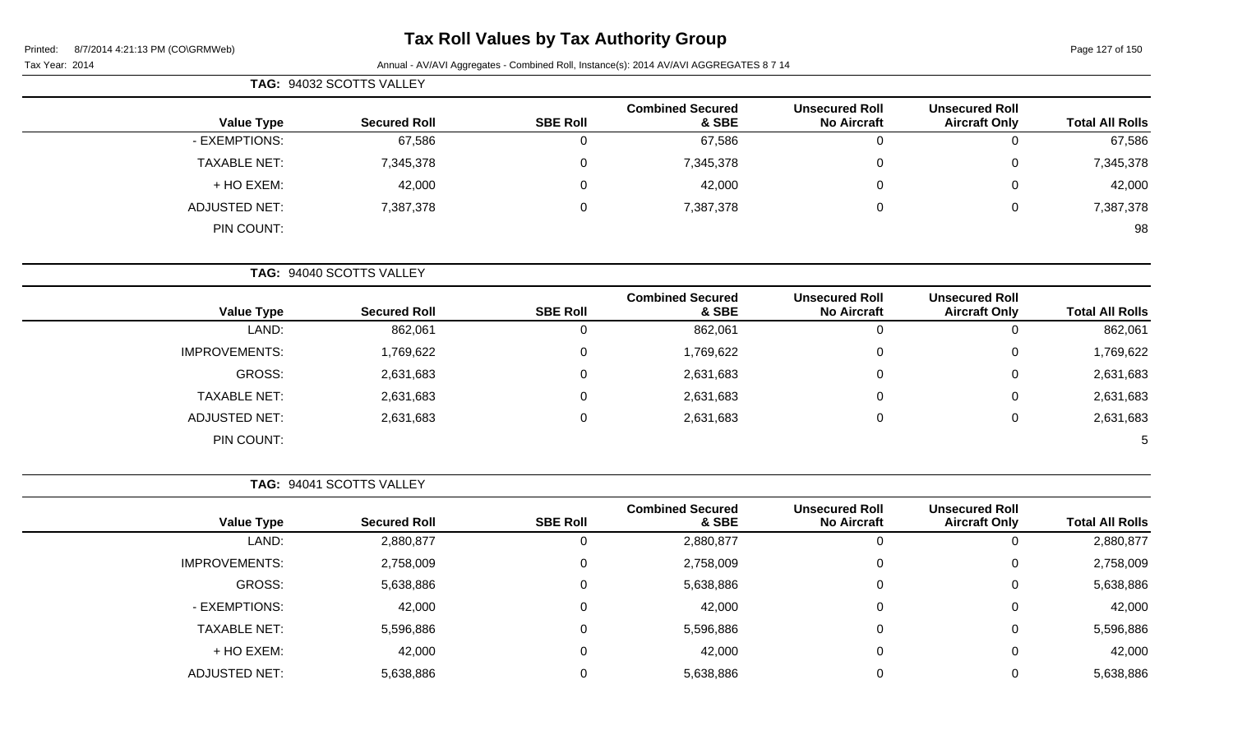Page 127 of 150

Tax Year: 2014 **Annual - AV/AVI Aggregates - Combined Roll**, Instance(s): 2014 AV/AVI AGGREGATES 8 7 14

| <b>Total All Rolls</b> |                                               |                                             |                                  |                 | TAG: 94032 SCOTTS VALLEY |                     |  |
|------------------------|-----------------------------------------------|---------------------------------------------|----------------------------------|-----------------|--------------------------|---------------------|--|
|                        | <b>Unsecured Roll</b><br><b>Aircraft Only</b> | <b>Unsecured Roll</b><br><b>No Aircraft</b> | <b>Combined Secured</b><br>& SBE | <b>SBE Roll</b> | <b>Secured Roll</b>      | <b>Value Type</b>   |  |
| 67,586                 | 0                                             | 0                                           | 67,586                           | U               | 67,586                   | - EXEMPTIONS:       |  |
| 7,345,378              | 0                                             | 0                                           | 7,345,378                        | 0               | 7,345,378                | <b>TAXABLE NET:</b> |  |
| 42,000                 | $\overline{0}$                                | $\Omega$                                    | 42,000                           | $\Omega$        | 42,000                   | + HO EXEM:          |  |
| 7,387,378              | 0                                             | 0                                           | 7,387,378                        | $\mathbf 0$     | 7,387,378                | ADJUSTED NET:       |  |
| 98                     |                                               |                                             |                                  |                 |                          | PIN COUNT:          |  |

**TAG:** 94040 SCOTTS VALLEY

|                      |                     |                 | <b>Combined Secured</b> | <b>Unsecured Roll</b> | <b>Unsecured Roll</b> |                        |
|----------------------|---------------------|-----------------|-------------------------|-----------------------|-----------------------|------------------------|
| <b>Value Type</b>    | <b>Secured Roll</b> | <b>SBE Roll</b> | & SBE                   | <b>No Aircraft</b>    | <b>Aircraft Only</b>  | <b>Total All Rolls</b> |
| LAND:                | 862,061             |                 | 862,061                 | U                     |                       | 862,061                |
| <b>IMPROVEMENTS:</b> | 1,769,622           |                 | 1,769,622               | 0                     | 0                     | 1,769,622              |
| GROSS:               | 2,631,683           |                 | 2,631,683               | 0                     | 0                     | 2,631,683              |
| <b>TAXABLE NET:</b>  | 2,631,683           |                 | 2,631,683               | 0                     | Ü                     | 2,631,683              |
| ADJUSTED NET:        | 2,631,683           |                 | 2,631,683               | 0                     | 0                     | 2,631,683              |
| PIN COUNT:           |                     |                 |                         |                       |                       | 5                      |

**TAG:** 94041 SCOTTS VALLEY

|                      |                     |                 | <b>Combined Secured</b> | <b>Unsecured Roll</b> | <b>Unsecured Roll</b> |                        |
|----------------------|---------------------|-----------------|-------------------------|-----------------------|-----------------------|------------------------|
| <b>Value Type</b>    | <b>Secured Roll</b> | <b>SBE Roll</b> | & SBE                   | <b>No Aircraft</b>    | <b>Aircraft Only</b>  | <b>Total All Rolls</b> |
| LAND:                | 2,880,877           | 0               | 2,880,877               | υ                     | O                     | 2,880,877              |
| <b>IMPROVEMENTS:</b> | 2,758,009           | $\Omega$        | 2,758,009               | 0                     | 0                     | 2,758,009              |
| GROSS:               | 5,638,886           | $\Omega$        | 5,638,886               | 0                     | 0                     | 5,638,886              |
| - EXEMPTIONS:        | 42,000              | 0               | 42,000                  | 0                     | 0                     | 42,000                 |
| <b>TAXABLE NET:</b>  | 5,596,886           | $\Omega$        | 5,596,886               | 0                     | 0                     | 5,596,886              |
| + HO EXEM:           | 42,000              | $\Omega$        | 42,000                  | 0                     | 0                     | 42,000                 |
| <b>ADJUSTED NET:</b> | 5,638,886           | $\mathbf{0}$    | 5,638,886               |                       | 0                     | 5,638,886              |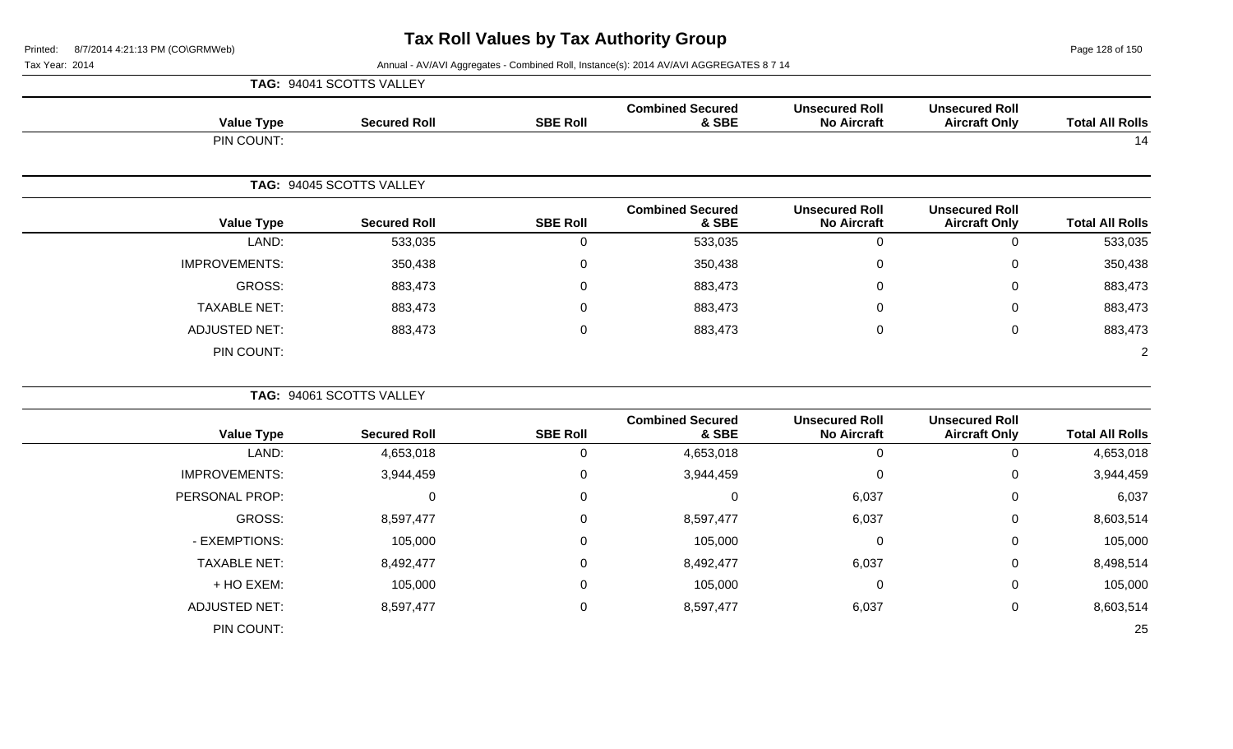**TAG:** 94041 SCOTTS VALLEY

Page 128 of 150

| <b>Total All Rolls</b> | <b>Unsecured Roll</b><br><b>Aircraft Only</b> | <b>Unsecured Roll</b><br><b>No Aircraft</b> | <b>Combined Secured</b><br>& SBE | <b>SBE Roll</b> | <b>Secured Roll</b>      | <b>Value Type</b>    |
|------------------------|-----------------------------------------------|---------------------------------------------|----------------------------------|-----------------|--------------------------|----------------------|
| 14                     |                                               |                                             |                                  |                 |                          | PIN COUNT:           |
|                        |                                               |                                             |                                  |                 | TAG: 94045 SCOTTS VALLEY |                      |
| <b>Total All Rolls</b> | <b>Unsecured Roll</b><br><b>Aircraft Only</b> | <b>Unsecured Roll</b><br><b>No Aircraft</b> | <b>Combined Secured</b><br>& SBE | <b>SBE Roll</b> | <b>Secured Roll</b>      | <b>Value Type</b>    |
| 533,035                | $\mathbf 0$                                   | $\mathbf 0$                                 | 533,035                          | $\overline{0}$  | 533,035                  | LAND:                |
| 350,438                | $\boldsymbol{0}$                              | 0                                           | 350,438                          | $\mathbf 0$     | 350,438                  | <b>IMPROVEMENTS:</b> |
| 883,473                | $\mathbf 0$                                   | $\Omega$                                    | 883,473                          | $\mathbf 0$     | 883,473                  | <b>GROSS:</b>        |
| 883,473                | $\boldsymbol{0}$                              | 0                                           | 883,473                          | $\mathbf 0$     | 883,473                  | <b>TAXABLE NET:</b>  |
| 883,473                | $\pmb{0}$                                     | $\mathbf 0$                                 | 883,473                          | $\mathbf 0$     | 883,473                  | <b>ADJUSTED NET:</b> |
| $\overline{2}$         |                                               |                                             |                                  |                 |                          | PIN COUNT:           |
|                        |                                               |                                             |                                  |                 | TAG: 94061 SCOTTS VALLEY |                      |
| <b>Total All Rolls</b> | <b>Unsecured Roll</b><br><b>Aircraft Only</b> | <b>Unsecured Roll</b><br><b>No Aircraft</b> | <b>Combined Secured</b><br>& SBE | <b>SBE Roll</b> | <b>Secured Roll</b>      | <b>Value Type</b>    |
| 4,653,018              | $\mathbf 0$                                   | $\mathbf 0$                                 | 4,653,018                        | $\overline{0}$  | 4,653,018                | LAND:                |
| 3,944,459              | $\boldsymbol{0}$                              | $\mathbf 0$                                 | 3,944,459                        | $\mathbf 0$     | 3,944,459                | <b>IMPROVEMENTS:</b> |
| 6,037                  | $\mathbf 0$                                   | 6,037                                       | 0                                | $\overline{0}$  | $\mathbf 0$              | PERSONAL PROP:       |
| 8,603,514              | $\mathbf 0$                                   | 6,037                                       | 8,597,477                        | $\overline{0}$  | 8,597,477                | <b>GROSS:</b>        |
| 105,000                | $\mathbf 0$                                   | $\mathbf 0$                                 | 105,000                          | $\overline{0}$  | 105,000                  | - EXEMPTIONS:        |
| 8,498,514              | $\mathbf 0$                                   | 6,037                                       | 8,492,477                        | $\mathbf 0$     | 8,492,477                | <b>TAXABLE NET:</b>  |
| 105,000                | $\pmb{0}$                                     | 0                                           | 105,000                          | $\mathbf 0$     | 105,000                  | + HO EXEM:           |
| 8,603,514              | $\pmb{0}$                                     | 6,037                                       | 8,597,477                        | $\mathsf 0$     | 8,597,477                | <b>ADJUSTED NET:</b> |
| 25                     |                                               |                                             |                                  |                 |                          | PIN COUNT:           |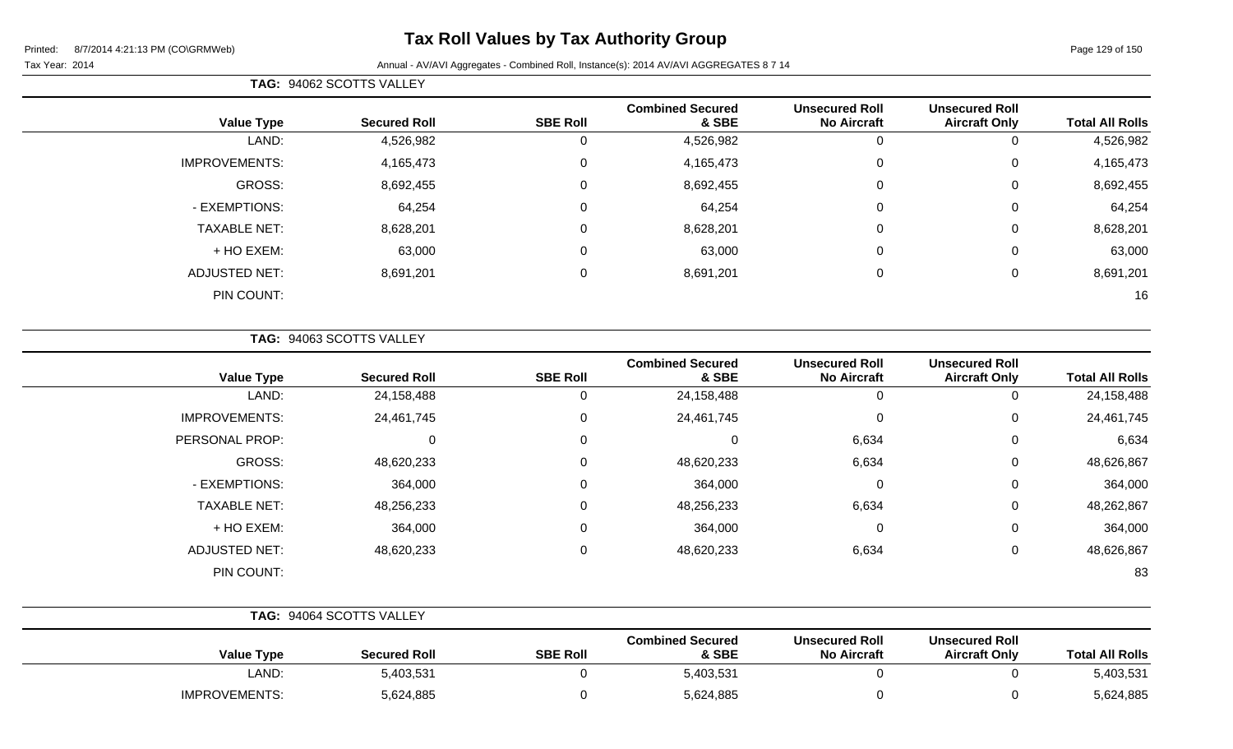# **Tax Roll Values by Tax Authority Group**

|                        |                                               |                                             |                                  | TAG: 94062 SCOTTS VALLEY |                     |                      |  |  |  |
|------------------------|-----------------------------------------------|---------------------------------------------|----------------------------------|--------------------------|---------------------|----------------------|--|--|--|
| <b>Total All Rolls</b> | <b>Unsecured Roll</b><br><b>Aircraft Only</b> | <b>Unsecured Roll</b><br><b>No Aircraft</b> | <b>Combined Secured</b><br>& SBE | <b>SBE Roll</b>          | <b>Secured Roll</b> | <b>Value Type</b>    |  |  |  |
| 4,526,982              |                                               |                                             | 4,526,982                        | 0                        | 4,526,982           | LAND:                |  |  |  |
| 4,165,473              | 0                                             | $\Omega$                                    | 4,165,473                        | 0                        | 4,165,473           | <b>IMPROVEMENTS:</b> |  |  |  |
| 8,692,455              | 0                                             | $\Omega$                                    | 8,692,455                        | $\mathbf 0$              | 8,692,455           | GROSS:               |  |  |  |
| 64,254                 | 0                                             | $\Omega$                                    | 64,254                           | 0                        | 64,254              | - EXEMPTIONS:        |  |  |  |
| 8,628,201              | 0                                             | $\Omega$                                    | 8,628,201                        | 0                        | 8,628,201           | <b>TAXABLE NET:</b>  |  |  |  |
| 63,000                 | 0                                             | $\Omega$                                    | 63,000                           | 0                        | 63,000              | + HO EXEM:           |  |  |  |
| 8,691,201              |                                               | $\Omega$                                    | 8,691,201                        | 0                        | 8,691,201           | <b>ADJUSTED NET:</b> |  |  |  |
| 16                     |                                               |                                             |                                  |                          |                     | PIN COUNT:           |  |  |  |

|  | <b>TAG: 94063 SCOTTS VALLEY</b> |  |
|--|---------------------------------|--|
|  |                                 |  |

| <b>Value Type</b>    | <b>Secured Roll</b> | <b>SBE Roll</b> | <b>Combined Secured</b><br>& SBE | <b>Unsecured Roll</b><br><b>No Aircraft</b> | <b>Unsecured Roll</b><br><b>Aircraft Only</b> | <b>Total All Rolls</b> |
|----------------------|---------------------|-----------------|----------------------------------|---------------------------------------------|-----------------------------------------------|------------------------|
| LAND:                | 24,158,488          | 0               | 24,158,488                       | 0                                           | O                                             | 24,158,488             |
| <b>IMPROVEMENTS:</b> | 24,461,745          | 0               | 24,461,745                       | 0                                           | 0                                             | 24,461,745             |
| PERSONAL PROP:       | U                   | 0               | 0                                | 6,634                                       | 0                                             | 6,634                  |
| GROSS:               | 48,620,233          | 0               | 48,620,233                       | 6,634                                       | 0                                             | 48,626,867             |
| - EXEMPTIONS:        | 364,000             | 0               | 364,000                          | 0                                           | 0                                             | 364,000                |
| <b>TAXABLE NET:</b>  | 48,256,233          | 0               | 48,256,233                       | 6,634                                       | 0                                             | 48,262,867             |
| + HO EXEM:           | 364,000             | 0               | 364,000                          | $\overline{0}$                              | 0                                             | 364,000                |
| <b>ADJUSTED NET:</b> | 48,620,233          | 0               | 48,620,233                       | 6,634                                       | 0                                             | 48,626,867             |
| PIN COUNT:           |                     |                 |                                  |                                             |                                               | 83                     |

|                      | <b>TAG: 94064 SCOTTS VALLEY</b> |                 |                                  |                                             |                                               |                        |
|----------------------|---------------------------------|-----------------|----------------------------------|---------------------------------------------|-----------------------------------------------|------------------------|
| <b>Value Type</b>    | <b>Secured Roll</b>             | <b>SBE Roll</b> | <b>Combined Secured</b><br>& SBE | <b>Unsecured Roll</b><br><b>No Aircraft</b> | <b>Unsecured Roll</b><br><b>Aircraft Only</b> | <b>Total All Rolls</b> |
| LAND:                | 5,403,531                       |                 | 5,403,531                        |                                             |                                               | 5,403,531              |
| <b>IMPROVEMENTS:</b> | 5,624,885                       |                 | 5,624,885                        |                                             |                                               | 5,624,885              |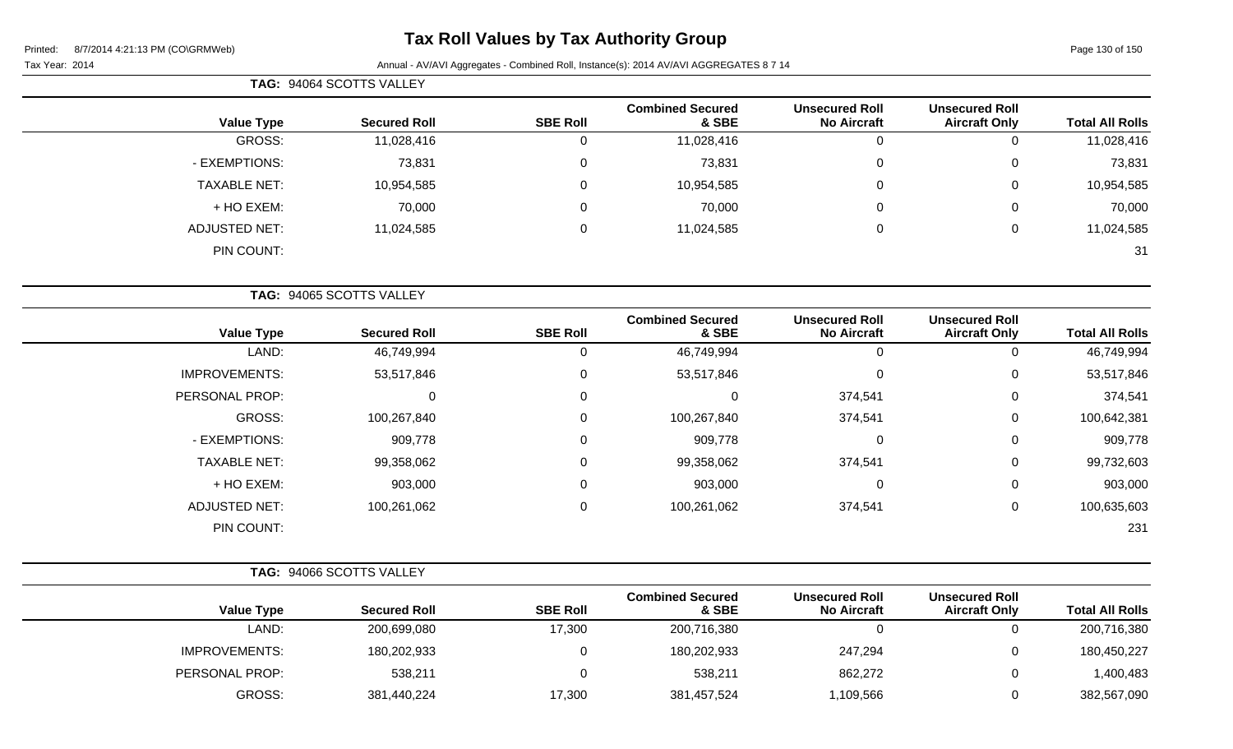| TAG: 94064 SCOTTS VALLEY |                     |                 |                                  |                                             |                                               |                        |
|--------------------------|---------------------|-----------------|----------------------------------|---------------------------------------------|-----------------------------------------------|------------------------|
| <b>Value Type</b>        | <b>Secured Roll</b> | <b>SBE Roll</b> | <b>Combined Secured</b><br>& SBE | <b>Unsecured Roll</b><br><b>No Aircraft</b> | <b>Unsecured Roll</b><br><b>Aircraft Only</b> | <b>Total All Rolls</b> |
| GROSS:                   | 11,028,416          | 0               | 11,028,416                       |                                             | 0                                             | 11,028,416             |
| - EXEMPTIONS:            | 73,831              | 0               | 73,831                           | 0                                           | 0                                             | 73,831                 |
| <b>TAXABLE NET:</b>      | 10,954,585          | 0               | 10,954,585                       | 0                                           | 0                                             | 10,954,585             |
| + HO EXEM:               | 70,000              | 0               | 70,000                           | 0                                           | 0                                             | 70,000                 |
| <b>ADJUSTED NET:</b>     | 11,024,585          | 0               | 11,024,585                       | $\Omega$                                    | 0                                             | 11,024,585             |
| PIN COUNT:               |                     |                 |                                  |                                             |                                               | 31                     |
|                          |                     |                 |                                  |                                             |                                               |                        |

| TAG: 94065 SCOTTS VALLEY |                     |                 |                                  |                                             |                                               |                        |
|--------------------------|---------------------|-----------------|----------------------------------|---------------------------------------------|-----------------------------------------------|------------------------|
| <b>Value Type</b>        | <b>Secured Roll</b> | <b>SBE Roll</b> | <b>Combined Secured</b><br>& SBE | <b>Unsecured Roll</b><br><b>No Aircraft</b> | <b>Unsecured Roll</b><br><b>Aircraft Only</b> | <b>Total All Rolls</b> |
| LAND:                    | 46,749,994          | 0               | 46,749,994                       | 0                                           | 0                                             | 46,749,994             |
| <b>IMPROVEMENTS:</b>     | 53,517,846          | 0               | 53,517,846                       | $\pmb{0}$                                   | 0                                             | 53,517,846             |
| PERSONAL PROP:           | 0                   | 0               | 0                                | 374,541                                     | 0                                             | 374,541                |
| GROSS:                   | 100,267,840         | 0               | 100,267,840                      | 374,541                                     | 0                                             | 100,642,381            |
| - EXEMPTIONS:            | 909,778             | 0               | 909,778                          | $\pmb{0}$                                   | 0                                             | 909,778                |
| <b>TAXABLE NET:</b>      | 99,358,062          | 0               | 99,358,062                       | 374,541                                     | 0                                             | 99,732,603             |
| + HO EXEM:               | 903,000             | 0               | 903,000                          | 0                                           | 0                                             | 903,000                |
| <b>ADJUSTED NET:</b>     | 100,261,062         | 0               | 100,261,062                      | 374,541                                     | 0                                             | 100,635,603            |
| PIN COUNT:               |                     |                 |                                  |                                             |                                               | 231                    |

|                        |                                               |                                             | TAG: 94066 SCOTTS VALLEY         |                 |                     |                      |
|------------------------|-----------------------------------------------|---------------------------------------------|----------------------------------|-----------------|---------------------|----------------------|
| <b>Total All Rolls</b> | <b>Unsecured Roll</b><br><b>Aircraft Only</b> | <b>Unsecured Roll</b><br><b>No Aircraft</b> | <b>Combined Secured</b><br>& SBE | <b>SBE Roll</b> | <b>Secured Roll</b> | <b>Value Type</b>    |
| 200,716,380            |                                               |                                             | 200,716,380                      | 17,300          | 200,699,080         | LAND:                |
| 180,450,227            |                                               | 247,294                                     | 180,202,933                      |                 | 180,202,933         | <b>IMPROVEMENTS:</b> |
| 1,400,483              |                                               | 862,272                                     | 538,211                          |                 | 538,211             | PERSONAL PROP:       |
| 382,567,090            |                                               | ,109,566                                    | 381,457,524                      | 17,300          | 381,440,224         | GROSS:               |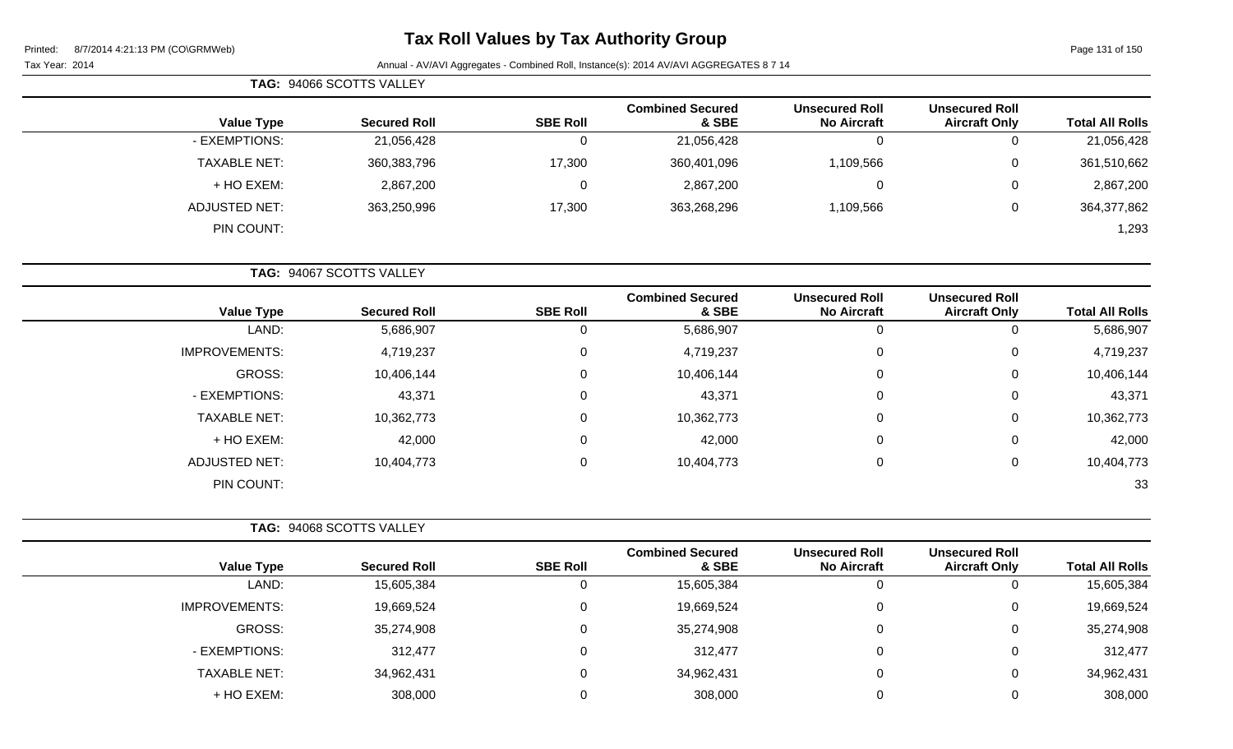Page 131 of 150

| <b>TAG: 94066 SCOTTS VALLEY</b> |                     |                 |                                  |                                             |                                               |                        |
|---------------------------------|---------------------|-----------------|----------------------------------|---------------------------------------------|-----------------------------------------------|------------------------|
| <b>Value Type</b>               | <b>Secured Roll</b> | <b>SBE Roll</b> | <b>Combined Secured</b><br>& SBE | <b>Unsecured Roll</b><br><b>No Aircraft</b> | <b>Unsecured Roll</b><br><b>Aircraft Only</b> | <b>Total All Rolls</b> |
| - EXEMPTIONS:                   | 21,056,428          |                 | 21,056,428                       |                                             | 0                                             | 21,056,428             |
| <b>TAXABLE NET:</b>             | 360,383,796         | 17,300          | 360,401,096                      | 1,109,566                                   | 0                                             | 361,510,662            |
| + HO EXEM:                      | 2,867,200           |                 | 2,867,200                        |                                             | 0                                             | 2,867,200              |
| ADJUSTED NET:                   | 363,250,996         | 17,300          | 363,268,296                      | 1,109,566                                   | $\overline{0}$                                | 364,377,862            |
| PIN COUNT:                      |                     |                 |                                  |                                             |                                               | 1,293                  |

| TAG: 94067 SCOTTS VALLEY |                     |                 |                                  |                                             |                                               |                        |
|--------------------------|---------------------|-----------------|----------------------------------|---------------------------------------------|-----------------------------------------------|------------------------|
| <b>Value Type</b>        | <b>Secured Roll</b> | <b>SBE Roll</b> | <b>Combined Secured</b><br>& SBE | <b>Unsecured Roll</b><br><b>No Aircraft</b> | <b>Unsecured Roll</b><br><b>Aircraft Only</b> | <b>Total All Rolls</b> |
| LAND:                    | 5,686,907           | 0               | 5,686,907                        | 0                                           | υ                                             | 5,686,907              |
| <b>IMPROVEMENTS:</b>     | 4,719,237           | 0               | 4,719,237                        | 0                                           | 0                                             | 4,719,237              |
| GROSS:                   | 10,406,144          | 0               | 10,406,144                       | 0                                           | 0                                             | 10,406,144             |
| - EXEMPTIONS:            | 43,371              | $\mathbf 0$     | 43,371                           | 0                                           | 0                                             | 43,371                 |
| <b>TAXABLE NET:</b>      | 10,362,773          | 0               | 10,362,773                       | 0                                           | 0                                             | 10,362,773             |
| + HO EXEM:               | 42,000              | $\mathbf 0$     | 42,000                           | 0                                           | 0                                             | 42,000                 |
| <b>ADJUSTED NET:</b>     | 10,404,773          | 0               | 10,404,773                       | 0                                           | 0                                             | 10,404,773             |
| PIN COUNT:               |                     |                 |                                  |                                             |                                               | 33                     |

|                      | TAG: 94068 SCOTTS VALLEY |                 |                                  |                                             |                                               |                        |
|----------------------|--------------------------|-----------------|----------------------------------|---------------------------------------------|-----------------------------------------------|------------------------|
| <b>Value Type</b>    | <b>Secured Roll</b>      | <b>SBE Roll</b> | <b>Combined Secured</b><br>& SBE | <b>Unsecured Roll</b><br><b>No Aircraft</b> | <b>Unsecured Roll</b><br><b>Aircraft Only</b> | <b>Total All Rolls</b> |
| LAND:                | 15,605,384               |                 | 15,605,384                       | U                                           | U                                             | 15,605,384             |
| <b>IMPROVEMENTS:</b> | 19,669,524               |                 | 19,669,524                       | 0                                           | U                                             | 19,669,524             |
| GROSS:               | 35,274,908               |                 | 35,274,908                       |                                             | U                                             | 35,274,908             |
| - EXEMPTIONS:        | 312,477                  |                 | 312,477                          | 0                                           | U                                             | 312,477                |
| <b>TAXABLE NET:</b>  | 34,962,431               |                 | 34,962,431                       |                                             | U                                             | 34,962,431             |
| + HO EXEM:           | 308,000                  |                 | 308,000                          |                                             | U                                             | 308,000                |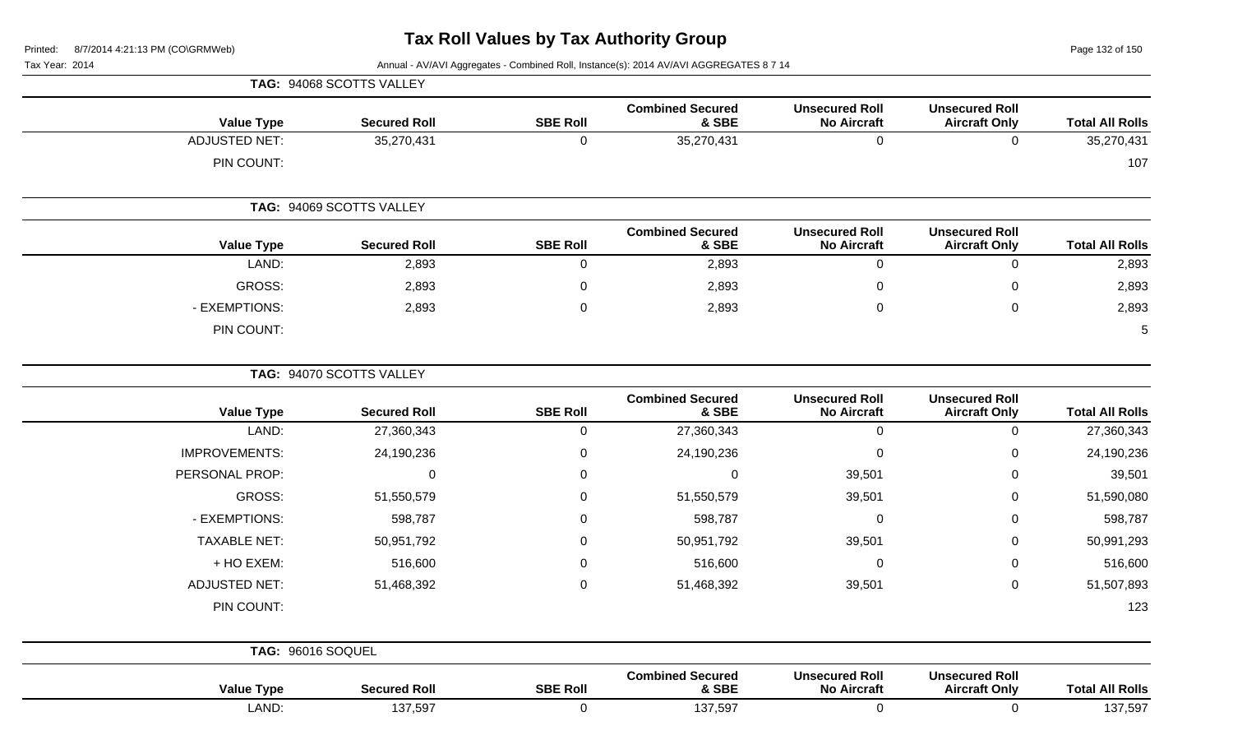Page 132 of 150

|                        |                                               |                                             |                                  |                          | TAG: 94068 SCOTTS VALLEY |                      |  |  |
|------------------------|-----------------------------------------------|---------------------------------------------|----------------------------------|--------------------------|--------------------------|----------------------|--|--|
| <b>Total All Rolls</b> | <b>Unsecured Roll</b><br><b>Aircraft Only</b> | <b>Unsecured Roll</b><br><b>No Aircraft</b> | <b>Combined Secured</b><br>& SBE | <b>SBE Roll</b>          | <b>Secured Roll</b>      | <b>Value Type</b>    |  |  |
| 35,270,431             | $\mathbf 0$                                   | $\mathbf 0$                                 | 35,270,431                       | $\mathbf 0$              | 35,270,431               | <b>ADJUSTED NET:</b> |  |  |
| 107                    |                                               |                                             |                                  |                          |                          | PIN COUNT:           |  |  |
|                        |                                               |                                             |                                  | TAG: 94069 SCOTTS VALLEY |                          |                      |  |  |
| <b>Total All Rolls</b> | <b>Unsecured Roll</b><br><b>Aircraft Only</b> | <b>Unsecured Roll</b><br><b>No Aircraft</b> | <b>Combined Secured</b><br>& SBE | <b>SBE Roll</b>          | <b>Secured Roll</b>      | <b>Value Type</b>    |  |  |
| 2,893                  | $\mathbf 0$                                   | $\mathbf 0$                                 | 2,893                            | $\pmb{0}$                | 2,893                    | LAND:                |  |  |
| 2,893                  | $\mathbf 0$                                   | $\mathbf 0$                                 | 2,893                            | $\pmb{0}$                | 2,893                    | <b>GROSS:</b>        |  |  |
| 2,893                  | $\mathsf{O}\xspace$                           | $\pmb{0}$                                   | 2,893                            | $\mathbf 0$              | 2,893                    | - EXEMPTIONS:        |  |  |
| 5                      |                                               |                                             |                                  |                          |                          | PIN COUNT:           |  |  |
|                        |                                               |                                             |                                  |                          | TAG: 94070 SCOTTS VALLEY |                      |  |  |
| <b>Total All Rolls</b> | <b>Unsecured Roll</b><br><b>Aircraft Only</b> | <b>Unsecured Roll</b><br><b>No Aircraft</b> | <b>Combined Secured</b><br>& SBE | <b>SBE Roll</b>          | <b>Secured Roll</b>      | <b>Value Type</b>    |  |  |
| 27,360,343             | $\mathsf{O}\xspace$                           | $\mathbf 0$                                 | 27,360,343                       | $\mathbf 0$              | 27,360,343               | LAND:                |  |  |
| 24,190,236             | $\mathsf 0$                                   | $\pmb{0}$                                   | 24,190,236                       | $\pmb{0}$                | 24,190,236               | <b>IMPROVEMENTS:</b> |  |  |
| 39,501                 | $\mathbf 0$                                   | 39,501                                      | 0                                | $\pmb{0}$                | $\mathbf 0$              | PERSONAL PROP:       |  |  |
| 51,590,080             | $\mathbf 0$                                   | 39,501                                      | 51,550,579                       | $\mathbf 0$              | 51,550,579               | <b>GROSS:</b>        |  |  |
| 598,787                | $\pmb{0}$                                     | $\boldsymbol{0}$                            | 598,787                          | $\pmb{0}$                | 598,787                  | - EXEMPTIONS:        |  |  |
| 50,991,293             | $\mathbf 0$                                   | 39,501                                      | 50,951,792                       | 0                        | 50,951,792               | <b>TAXABLE NET:</b>  |  |  |
| 516,600                | $\pmb{0}$                                     | $\pmb{0}$                                   | 516,600                          | 0                        | 516,600                  | + HO EXEM:           |  |  |
| 51,507,893             | $\mathbf 0$                                   | 39,501                                      | 51,468,392                       | $\pmb{0}$                | 51,468,392               | <b>ADJUSTED NET:</b> |  |  |
| 123                    |                                               |                                             |                                  |                          |                          | PIN COUNT:           |  |  |
|                        |                                               |                                             |                                  |                          |                          | TAG: 96016 SOQUEL    |  |  |
| <b>Total All Rolls</b> | <b>Unsecured Roll</b><br><b>Aircraft Only</b> | <b>Unsecured Roll</b><br><b>No Aircraft</b> | <b>Combined Secured</b><br>& SBE | <b>SBE Roll</b>          | <b>Secured Roll</b>      | <b>Value Type</b>    |  |  |
| 137,597                | $\mathbf 0$                                   | $\mathbf 0$                                 | 137,597                          | $\mathbf 0$              | 137,597                  | LAND:                |  |  |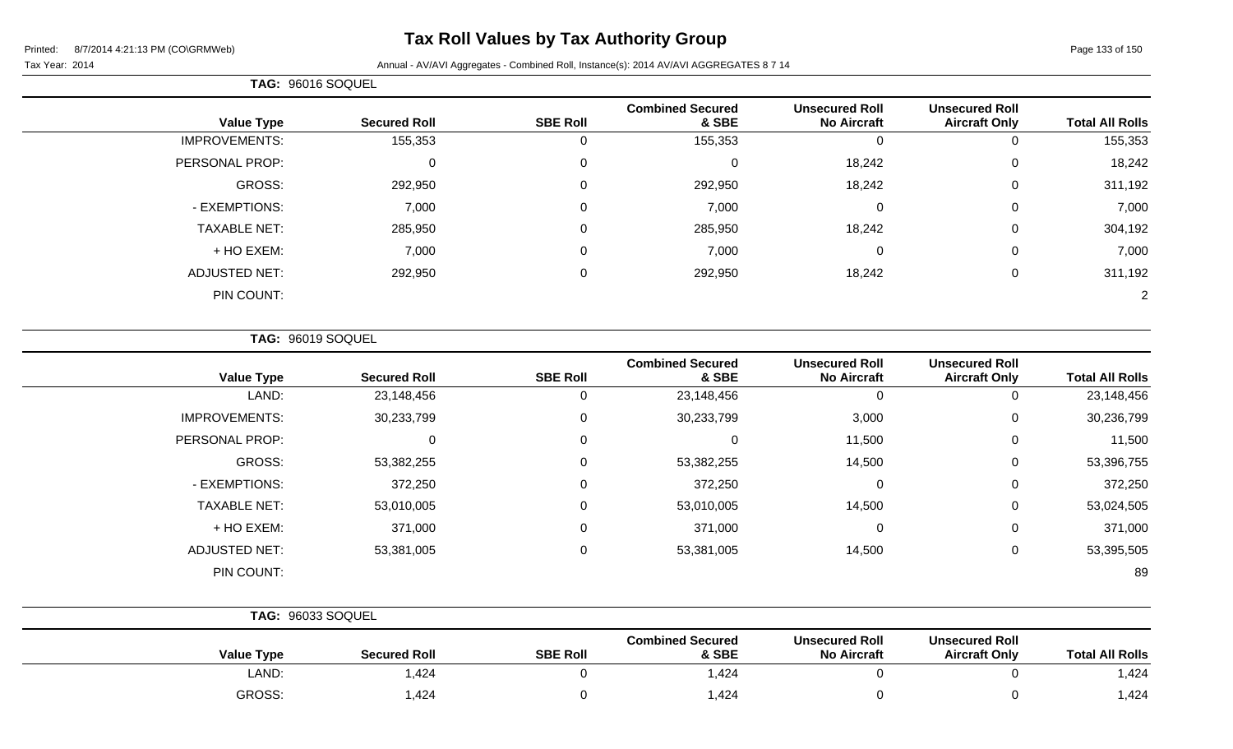# **Tax Roll Values by Tax Authority Group**

#### Tax Year: 2014 **Annual - AV/AVI Aggregates - Combined Roll**, Instance(s): 2014 AV/AVI AGGREGATES 8 7 14

|                      | TAG: 96016 SOQUEL   |                 |                                  |                                             |                                               |                        |  |
|----------------------|---------------------|-----------------|----------------------------------|---------------------------------------------|-----------------------------------------------|------------------------|--|
| <b>Value Type</b>    | <b>Secured Roll</b> | <b>SBE Roll</b> | <b>Combined Secured</b><br>& SBE | <b>Unsecured Roll</b><br><b>No Aircraft</b> | <b>Unsecured Roll</b><br><b>Aircraft Only</b> | <b>Total All Rolls</b> |  |
| <b>IMPROVEMENTS:</b> | 155,353             |                 | 155,353                          | 0                                           | 0                                             | 155,353                |  |
| PERSONAL PROP:       | 0                   |                 | $\mathbf 0$                      | 18,242                                      | 0                                             | 18,242                 |  |
| GROSS:               | 292,950             |                 | 292,950                          | 18,242                                      | $\mathbf 0$                                   | 311,192                |  |
| - EXEMPTIONS:        | 7,000               |                 | 7,000                            | 0                                           | $\mathbf 0$                                   | 7,000                  |  |
| <b>TAXABLE NET:</b>  | 285,950             | $\Omega$        | 285,950                          | 18,242                                      | $\mathbf 0$                                   | 304,192                |  |
| + HO EXEM:           | 7,000               | 0               | 7,000                            | 0                                           | $\mathbf 0$                                   | 7,000                  |  |
| <b>ADJUSTED NET:</b> | 292,950             | $\Omega$        | 292,950                          | 18,242                                      | $\mathbf 0$                                   | 311,192                |  |
| PIN COUNT:           |                     |                 |                                  |                                             |                                               |                        |  |

**TAG:** 96019 SOQUEL

| <b>Value Type</b>    | <b>Secured Roll</b> | <b>SBE Roll</b> | <b>Combined Secured</b><br>& SBE | <b>Unsecured Roll</b><br><b>No Aircraft</b> | <b>Unsecured Roll</b><br><b>Aircraft Only</b> | <b>Total All Rolls</b> |
|----------------------|---------------------|-----------------|----------------------------------|---------------------------------------------|-----------------------------------------------|------------------------|
| LAND:                | 23,148,456          | 0               | 23,148,456                       | 0                                           | 0                                             | 23,148,456             |
| <b>IMPROVEMENTS:</b> | 30,233,799          | 0               | 30,233,799                       | 3,000                                       | 0                                             | 30,236,799             |
| PERSONAL PROP:       | 0                   | 0               | 0                                | 11,500                                      | 0                                             | 11,500                 |
| GROSS:               | 53,382,255          | 0               | 53,382,255                       | 14,500                                      | 0                                             | 53,396,755             |
| - EXEMPTIONS:        | 372,250             | 0               | 372,250                          | $\mathbf 0$                                 | 0                                             | 372,250                |
| <b>TAXABLE NET:</b>  | 53,010,005          | 0               | 53,010,005                       | 14,500                                      | 0                                             | 53,024,505             |
| + HO EXEM:           | 371,000             | $\mathbf 0$     | 371,000                          | $\mathbf 0$                                 | 0                                             | 371,000                |
| <b>ADJUSTED NET:</b> | 53,381,005          | $\mathbf 0$     | 53,381,005                       | 14,500                                      | 0                                             | 53,395,505             |
| PIN COUNT:           |                     |                 |                                  |                                             |                                               | 89                     |

|                   | <b>TAG: 96033 SOQUEL</b> |                 |                                  |                                             |                                               |                        |  |
|-------------------|--------------------------|-----------------|----------------------------------|---------------------------------------------|-----------------------------------------------|------------------------|--|
| <b>Value Type</b> | <b>Secured Roll</b>      | <b>SBE Roll</b> | <b>Combined Secured</b><br>& SBE | <b>Unsecured Roll</b><br><b>No Aircraft</b> | <b>Unsecured Roll</b><br><b>Aircraft Only</b> | <b>Total All Rolls</b> |  |
| LAND:             | 1,424                    |                 | .424,                            |                                             |                                               | ,424                   |  |
| GROSS:            | 1,424                    |                 | 1,424                            |                                             |                                               | ,424                   |  |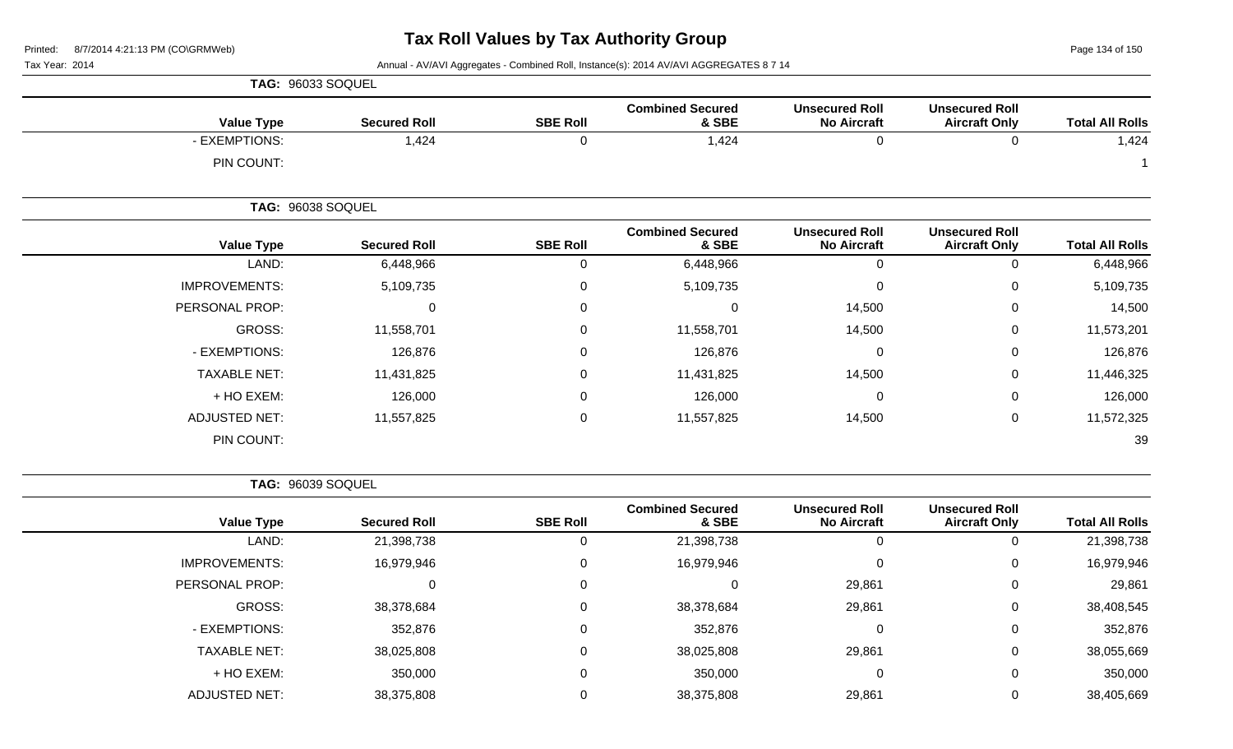Page 134 of 150

Tax Year: 2014 **Annual - AV/AVI Aggregates - Combined Roll**, Instance(s): 2014 AV/AVI AGGREGATES 8 7 14

|                      | <b>TAG: 96033 SOQUEL</b> |                 |                                  |                                             |                                               |                        |
|----------------------|--------------------------|-----------------|----------------------------------|---------------------------------------------|-----------------------------------------------|------------------------|
| <b>Value Type</b>    | <b>Secured Roll</b>      | <b>SBE Roll</b> | <b>Combined Secured</b><br>& SBE | <b>Unsecured Roll</b><br><b>No Aircraft</b> | <b>Unsecured Roll</b><br><b>Aircraft Only</b> | <b>Total All Rolls</b> |
| - EXEMPTIONS:        | 1,424                    | 0               | 1,424                            | 0                                           | 0                                             | 1,424                  |
| PIN COUNT:           |                          |                 |                                  |                                             |                                               |                        |
|                      | <b>TAG: 96038 SOQUEL</b> |                 |                                  |                                             |                                               |                        |
| <b>Value Type</b>    | <b>Secured Roll</b>      | <b>SBE Roll</b> | <b>Combined Secured</b><br>& SBE | <b>Unsecured Roll</b><br><b>No Aircraft</b> | <b>Unsecured Roll</b><br><b>Aircraft Only</b> | <b>Total All Rolls</b> |
| LAND:                | 6,448,966                | 0               | 6,448,966                        | $\boldsymbol{0}$                            | 0                                             | 6,448,966              |
| <b>IMPROVEMENTS:</b> | 5,109,735                | 0               | 5,109,735                        | $\mathbf 0$                                 | 0                                             | 5,109,735              |
| PERSONAL PROP:       | 0                        | 0               | 0                                | 14,500                                      | 0                                             | 14,500                 |
| GROSS:               | 11,558,701               | 0               | 11,558,701                       | 14,500                                      | $\mathbf 0$                                   | 11,573,201             |
| - EXEMPTIONS:        | 126,876                  | 0               | 126,876                          | 0                                           | 0                                             | 126,876                |
| <b>TAXABLE NET:</b>  | 11,431,825               | 0               | 11,431,825                       | 14,500                                      | 0                                             | 11,446,325             |
| + HO EXEM:           | 126,000                  | 0               | 126,000                          | $\mathbf 0$                                 | 0                                             | 126,000                |
| <b>ADJUSTED NET:</b> | 11,557,825               | 0               | 11,557,825                       | 14,500                                      | 0                                             | 11,572,325             |
| PIN COUNT:           |                          |                 |                                  |                                             |                                               | 39                     |

**TAG:** 96039 SOQUEL

|                      |                     |                 | <b>Combined Secured</b> | <b>Unsecured Roll</b> | <b>Unsecured Roll</b> |                        |
|----------------------|---------------------|-----------------|-------------------------|-----------------------|-----------------------|------------------------|
| <b>Value Type</b>    | <b>Secured Roll</b> | <b>SBE Roll</b> | & SBE                   | <b>No Aircraft</b>    | <b>Aircraft Only</b>  | <b>Total All Rolls</b> |
| LAND:                | 21,398,738          | 0               | 21,398,738              | 0                     |                       | 21,398,738             |
| <b>IMPROVEMENTS:</b> | 16,979,946          | 0               | 16,979,946              | 0                     | 0                     | 16,979,946             |
| PERSONAL PROP:       |                     | 0               | $\Omega$                | 29,861                | $\overline{0}$        | 29,861                 |
| GROSS:               | 38,378,684          | 0               | 38,378,684              | 29,861                | 0                     | 38,408,545             |
| - EXEMPTIONS:        | 352,876             | 0               | 352,876                 | 0                     | $\overline{0}$        | 352,876                |
| <b>TAXABLE NET:</b>  | 38,025,808          | 0               | 38,025,808              | 29,861                | $\overline{0}$        | 38,055,669             |
| + HO EXEM:           | 350,000             | 0               | 350,000                 | 0                     | $\mathbf 0$           | 350,000                |
| <b>ADJUSTED NET:</b> | 38,375,808          | 0               | 38,375,808              | 29,861                | 0                     | 38,405,669             |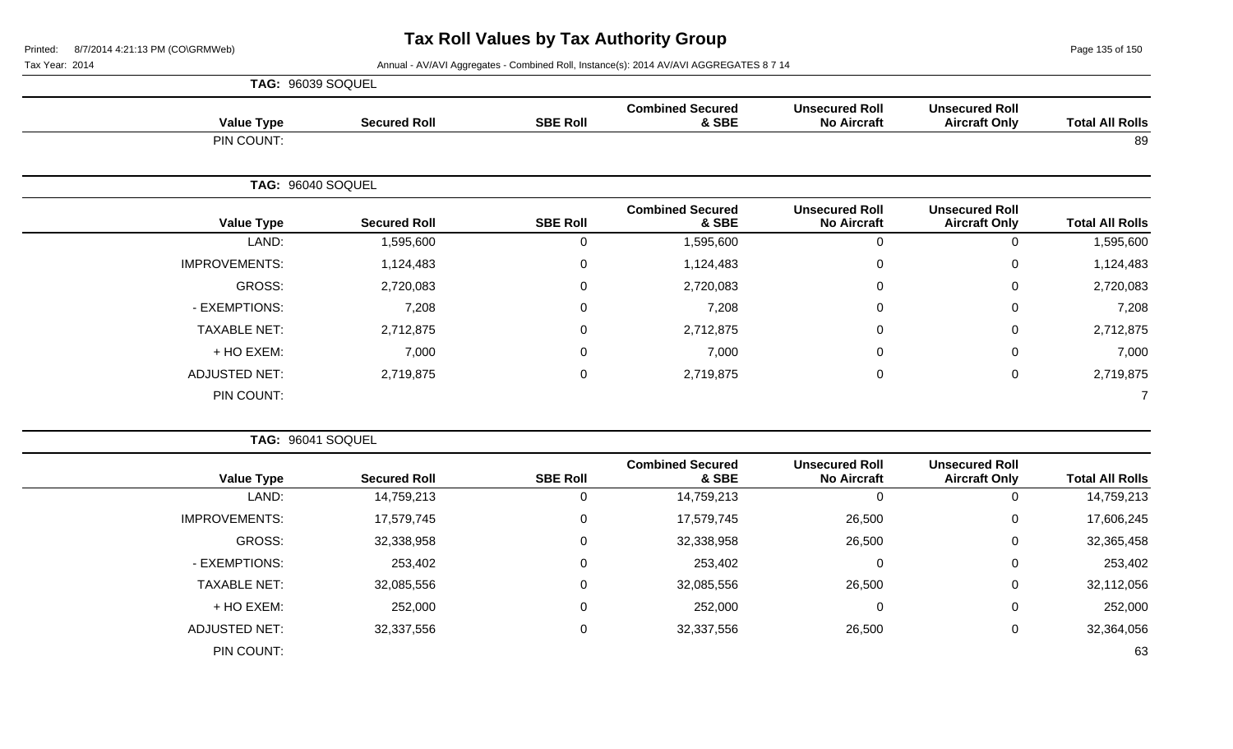Page 135 of 150

|                      | TAG: 96039 SOQUEL   |                 |                                  |                                             |                                               |                        |
|----------------------|---------------------|-----------------|----------------------------------|---------------------------------------------|-----------------------------------------------|------------------------|
| <b>Value Type</b>    | <b>Secured Roll</b> | <b>SBE Roll</b> | <b>Combined Secured</b><br>& SBE | <b>Unsecured Roll</b><br><b>No Aircraft</b> | <b>Unsecured Roll</b><br><b>Aircraft Only</b> | <b>Total All Rolls</b> |
| PIN COUNT:           |                     |                 |                                  |                                             |                                               | 89                     |
|                      | TAG: 96040 SOQUEL   |                 |                                  |                                             |                                               |                        |
| <b>Value Type</b>    | <b>Secured Roll</b> | <b>SBE Roll</b> | <b>Combined Secured</b><br>& SBE | <b>Unsecured Roll</b><br><b>No Aircraft</b> | <b>Unsecured Roll</b><br><b>Aircraft Only</b> | <b>Total All Rolls</b> |
| LAND:                | 1,595,600           | 0               | 1,595,600                        | $\mathbf{0}$                                | $\overline{0}$                                | 1,595,600              |
| <b>IMPROVEMENTS:</b> | 1,124,483           | $\mathbf 0$     | 1,124,483                        | $\mathbf 0$                                 | $\mathbf 0$                                   | 1,124,483              |
| GROSS:               | 2,720,083           | $\mathbf 0$     | 2,720,083                        | $\mathbf 0$                                 | $\mathbf 0$                                   | 2,720,083              |
| - EXEMPTIONS:        | 7,208               | $\mathbf 0$     | 7,208                            | 0                                           | $\mathbf 0$                                   | 7,208                  |
| <b>TAXABLE NET:</b>  | 2,712,875           | $\mathbf 0$     | 2,712,875                        | 0                                           | $\mathbf 0$                                   | 2,712,875              |
| + HO EXEM:           | 7,000               | $\mathbf 0$     | 7,000                            | 0                                           | $\mathbf 0$                                   | 7,000                  |
| <b>ADJUSTED NET:</b> | 2,719,875           | $\mathbf 0$     | 2,719,875                        | 0                                           | $\mathbf 0$                                   | 2,719,875              |
| PIN COUNT:           |                     |                 |                                  |                                             |                                               |                        |

| <b>TAG: 96041 SOQUEL</b> |                     |                 |                                  |                                             |                                               |                        |
|--------------------------|---------------------|-----------------|----------------------------------|---------------------------------------------|-----------------------------------------------|------------------------|
| <b>Value Type</b>        | <b>Secured Roll</b> | <b>SBE Roll</b> | <b>Combined Secured</b><br>& SBE | <b>Unsecured Roll</b><br><b>No Aircraft</b> | <b>Unsecured Roll</b><br><b>Aircraft Only</b> | <b>Total All Rolls</b> |
| LAND:                    | 14,759,213          | 0               | 14,759,213                       | 0                                           | 0                                             | 14,759,213             |
| <b>IMPROVEMENTS:</b>     | 17,579,745          | 0               | 17,579,745                       | 26,500                                      | 0                                             | 17,606,245             |
| GROSS:                   | 32,338,958          | 0               | 32,338,958                       | 26,500                                      | 0                                             | 32,365,458             |
| - EXEMPTIONS:            | 253,402             | 0               | 253,402                          | 0                                           | 0                                             | 253,402                |
| <b>TAXABLE NET:</b>      | 32,085,556          | 0               | 32,085,556                       | 26,500                                      | 0                                             | 32,112,056             |
| + HO EXEM:               | 252,000             | 0               | 252,000                          | 0                                           | 0                                             | 252,000                |
| ADJUSTED NET:            | 32,337,556          | 0               | 32,337,556                       | 26,500                                      | 0                                             | 32,364,056             |
| PIN COUNT:               |                     |                 |                                  |                                             |                                               | 63                     |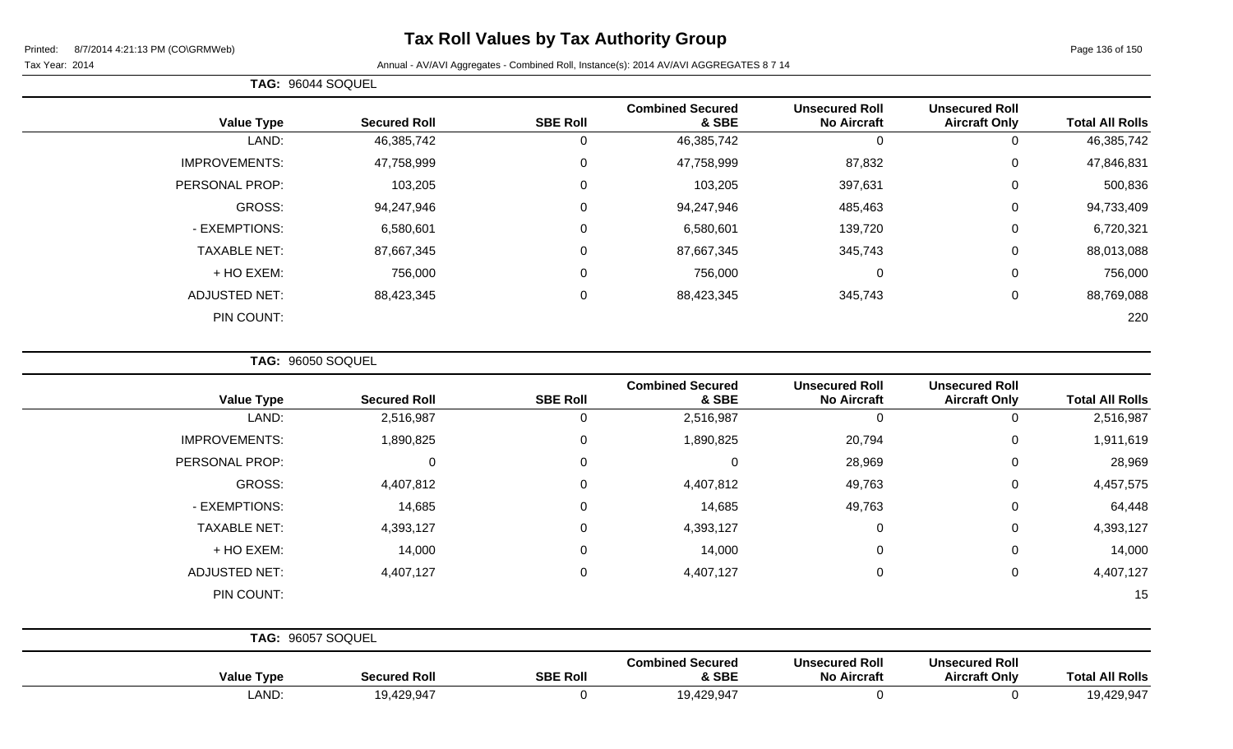# **Tax Roll Values by Tax Authority Group**

# Tax Year: 2014 **Annual - AV/AVI Aggregates - Combined Roll**, Instance(s): 2014 AV/AVI AGGREGATES 8 7 14

|                        |                                               |                                             |                                  |                  |                     | TAG: 96044 SOQUEL    |
|------------------------|-----------------------------------------------|---------------------------------------------|----------------------------------|------------------|---------------------|----------------------|
| <b>Total All Rolls</b> | <b>Unsecured Roll</b><br><b>Aircraft Only</b> | <b>Unsecured Roll</b><br><b>No Aircraft</b> | <b>Combined Secured</b><br>& SBE | <b>SBE Roll</b>  | <b>Secured Roll</b> | <b>Value Type</b>    |
| 46,385,742             | 0                                             | 0                                           | 46,385,742                       | 0                | 46,385,742          | LAND:                |
| 47,846,831             | 0                                             | 87,832                                      | 47,758,999                       | $\mathbf 0$      | 47,758,999          | <b>IMPROVEMENTS:</b> |
| 500,836                | $\overline{0}$                                | 397,631                                     | 103,205                          | 0                | 103,205             | PERSONAL PROP:       |
| 94,733,409             | 0                                             | 485,463                                     | 94,247,946                       | $\mathbf 0$      | 94,247,946          | GROSS:               |
| 6,720,321              | 0                                             | 139,720                                     | 6,580,601                        | 0                | 6,580,601           | - EXEMPTIONS:        |
| 88,013,088             | 0                                             | 345,743                                     | 87,667,345                       | $\mathbf 0$      | 87,667,345          | <b>TAXABLE NET:</b>  |
| 756,000                | 0                                             | $\mathbf 0$                                 | 756,000                          | $\boldsymbol{0}$ | 756,000             | + HO EXEM:           |
| 88,769,088             | $\overline{0}$                                | 345,743                                     | 88,423,345                       | $\mathbf 0$      | 88,423,345          | <b>ADJUSTED NET:</b> |
| 220                    |                                               |                                             |                                  |                  |                     | PIN COUNT:           |
|                        |                                               |                                             |                                  |                  |                     |                      |

**TAG:** 96050 SOQUEL

| <b>Value Type</b>    | <b>Secured Roll</b> | <b>SBE Roll</b> | <b>Combined Secured</b><br>& SBE | <b>Unsecured Roll</b><br><b>No Aircraft</b> | <b>Unsecured Roll</b><br><b>Aircraft Only</b> | <b>Total All Rolls</b> |
|----------------------|---------------------|-----------------|----------------------------------|---------------------------------------------|-----------------------------------------------|------------------------|
| LAND:                | 2,516,987           | 0               | 2,516,987                        | 0                                           | 0                                             | 2,516,987              |
| <b>IMPROVEMENTS:</b> | 1,890,825           | 0               | 1,890,825                        | 20,794                                      | $\mathbf 0$                                   | 1,911,619              |
| PERSONAL PROP:       | 0                   | $\Omega$        | $\Omega$                         | 28,969                                      | $\mathbf 0$                                   | 28,969                 |
| GROSS:               | 4,407,812           | $\Omega$        | 4,407,812                        | 49,763                                      | $\mathbf 0$                                   | 4,457,575              |
| - EXEMPTIONS:        | 14,685              | $\Omega$        | 14,685                           | 49,763                                      | $\mathbf 0$                                   | 64,448                 |
| <b>TAXABLE NET:</b>  | 4,393,127           | 0               | 4,393,127                        | $\mathbf 0$                                 | $\mathbf 0$                                   | 4,393,127              |
| + HO EXEM:           | 14,000              | $\Omega$        | 14,000                           | $\mathbf 0$                                 | $\mathbf 0$                                   | 14,000                 |
| <b>ADJUSTED NET:</b> | 4,407,127           | 0               | 4,407,127                        | $\mathbf 0$                                 | $\mathbf 0$                                   | 4,407,127              |
| PIN COUNT:           |                     |                 |                                  |                                             |                                               | 15                     |
| TAG: 96057 SOQUEL    |                     |                 |                                  |                                             |                                               |                        |
|                      |                     |                 | <b>Combined Secured</b>          | <b>Unsecured Roll</b>                       | <b>Unsecured Roll</b>                         |                        |

| े‼ Rolls<br>Tota         | unsecured Roll<br><b>t Only</b><br>Aircraft | unsecured Roll<br>No.<br>Aircraft | <b>Secured</b><br>nnea .<br><b>CDE</b><br>: JDC           | <b>SBE Roll</b> | . .<br>SACIIrad<br>I RO | <b>Tvpe</b><br>value |
|--------------------------|---------------------------------------------|-----------------------------------|-----------------------------------------------------------|-----------------|-------------------------|----------------------|
| $19.429.94$ <sup>-</sup> |                                             |                                   | 1Ω.<br>$\sqrt{2}$<br><u>, u</u><br>. . <i>.</i><br>12 J.V |                 | 19,429,94               | <b>AND</b>           |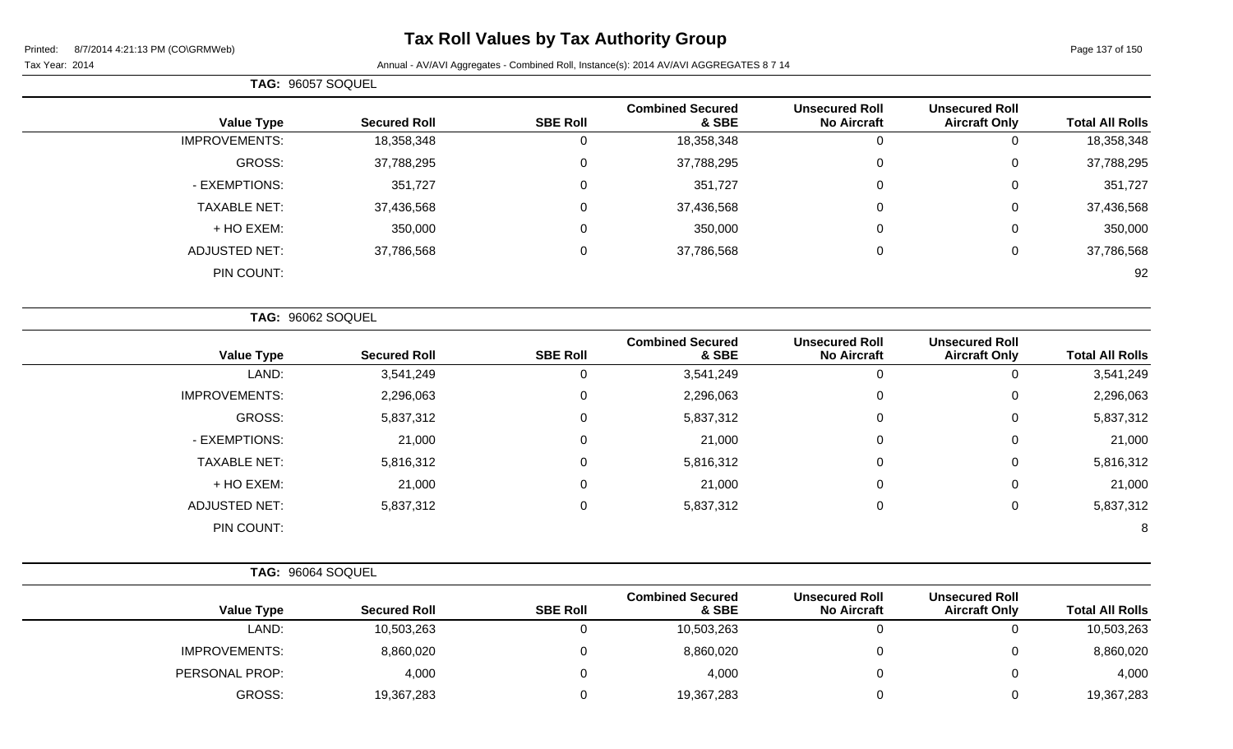# **Tax Roll Values by Tax Authority Group**

|                      | TAG: 96057 SOQUEL   |                 |                                  |                                             |                                               |                        |
|----------------------|---------------------|-----------------|----------------------------------|---------------------------------------------|-----------------------------------------------|------------------------|
| <b>Value Type</b>    | <b>Secured Roll</b> | <b>SBE Roll</b> | <b>Combined Secured</b><br>& SBE | <b>Unsecured Roll</b><br><b>No Aircraft</b> | <b>Unsecured Roll</b><br><b>Aircraft Only</b> | <b>Total All Rolls</b> |
| <b>IMPROVEMENTS:</b> | 18,358,348          |                 | 18,358,348                       | 0                                           | 0                                             | 18,358,348             |
| <b>GROSS:</b>        | 37,788,295          |                 | 37,788,295                       | $\mathbf 0$                                 | 0                                             | 37,788,295             |
| - EXEMPTIONS:        | 351,727             |                 | 351,727                          | 0                                           | 0                                             | 351,727                |
| <b>TAXABLE NET:</b>  | 37,436,568          |                 | 37,436,568                       | 0                                           | 0                                             | 37,436,568             |
| + HO EXEM:           | 350,000             |                 | 350,000                          | $\mathbf 0$                                 | 0                                             | 350,000                |
| <b>ADJUSTED NET:</b> | 37,786,568          |                 | 37,786,568                       | 0                                           | 0                                             | 37,786,568             |
| PIN COUNT:           |                     |                 |                                  |                                             |                                               | 92                     |
|                      |                     |                 |                                  |                                             |                                               |                        |

|                      | TAG: 96062 SOQUEL   |                 |                                  |                                             |                                               |                        |
|----------------------|---------------------|-----------------|----------------------------------|---------------------------------------------|-----------------------------------------------|------------------------|
| <b>Value Type</b>    | <b>Secured Roll</b> | <b>SBE Roll</b> | <b>Combined Secured</b><br>& SBE | <b>Unsecured Roll</b><br><b>No Aircraft</b> | <b>Unsecured Roll</b><br><b>Aircraft Only</b> | <b>Total All Rolls</b> |
| LAND:                | 3,541,249           | 0               | 3,541,249                        | $\theta$                                    | 0                                             | 3,541,249              |
| <b>IMPROVEMENTS:</b> | 2,296,063           | 0               | 2,296,063                        | 0                                           | 0                                             | 2,296,063              |
| GROSS:               | 5,837,312           | $\mathbf 0$     | 5,837,312                        | 0                                           | 0                                             | 5,837,312              |
| - EXEMPTIONS:        | 21,000              | 0               | 21,000                           | 0                                           | 0                                             | 21,000                 |
| <b>TAXABLE NET:</b>  | 5,816,312           | 0               | 5,816,312                        | 0                                           | 0                                             | 5,816,312              |
| + HO EXEM:           | 21,000              | 0               | 21,000                           | $\mathbf 0$                                 | 0                                             | 21,000                 |
| <b>ADJUSTED NET:</b> | 5,837,312           | 0               | 5,837,312                        | 0                                           | 0                                             | 5,837,312              |
| PIN COUNT:           |                     |                 |                                  |                                             |                                               | 8                      |

| <b>Value Type</b>    | <b>Secured Roll</b> | <b>SBE Roll</b> | <b>Combined Secured</b><br>& SBE | <b>Unsecured Roll</b><br><b>No Aircraft</b> | <b>Unsecured Roll</b><br><b>Aircraft Only</b> | <b>Total All Rolls</b> |
|----------------------|---------------------|-----------------|----------------------------------|---------------------------------------------|-----------------------------------------------|------------------------|
| LAND:                | 10,503,263          |                 | 10,503,263                       |                                             |                                               | 10,503,263             |
| <b>IMPROVEMENTS:</b> | 8,860,020           |                 | 8,860,020                        |                                             |                                               | 8,860,020              |
| PERSONAL PROP:       | 4,000               |                 | 4,000                            |                                             |                                               | 4,000                  |
| GROSS:               | 19,367,283          |                 | 19,367,283                       |                                             |                                               | 19,367,283             |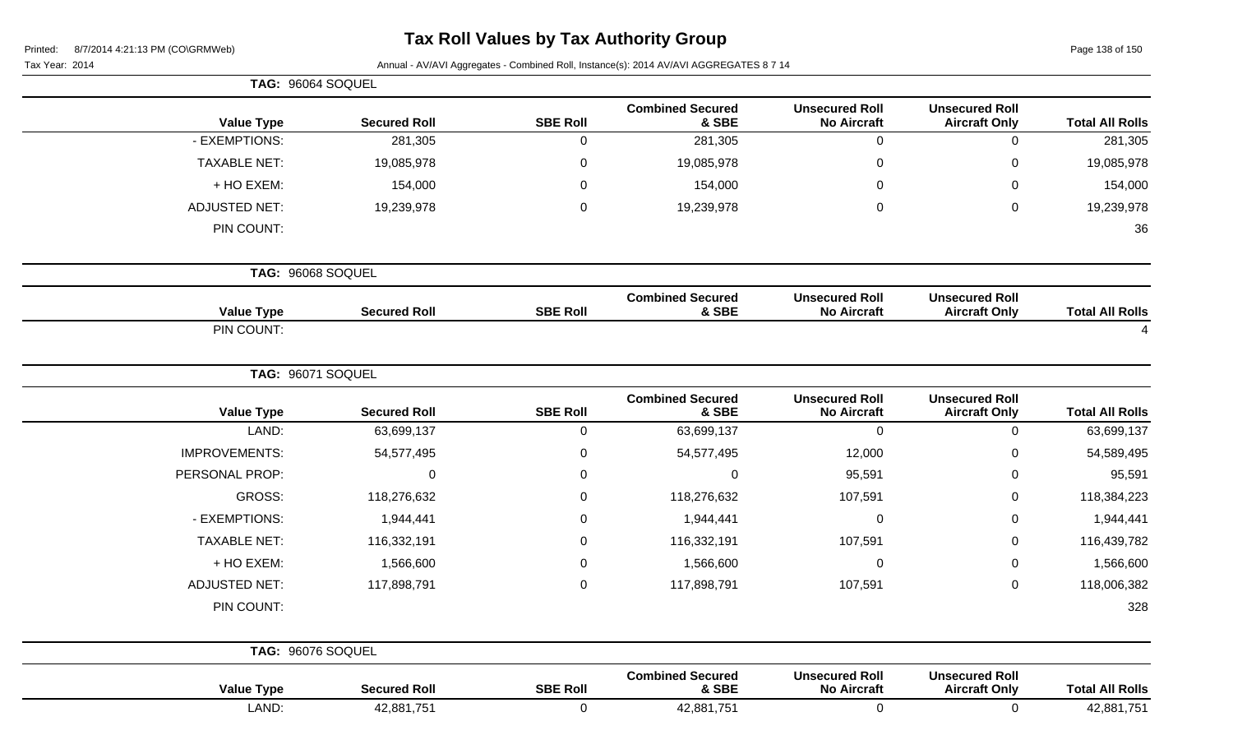| Printed: |  | 8/7/2014 4:21:13 PM (CO\GRMWeb) |  |
|----------|--|---------------------------------|--|
|          |  |                                 |  |

Page 138 of 150

| Tax Year: 2014       |                     |                 | Annual - AV/AVI Aggregates - Combined Roll, Instance(s): 2014 AV/AVI AGGREGATES 8 7 14 |                                             |                                               |                        |
|----------------------|---------------------|-----------------|----------------------------------------------------------------------------------------|---------------------------------------------|-----------------------------------------------|------------------------|
| TAG: 96064 SOQUEL    |                     |                 |                                                                                        |                                             |                                               |                        |
| <b>Value Type</b>    | <b>Secured Roll</b> | <b>SBE Roll</b> | <b>Combined Secured</b><br>& SBE                                                       | <b>Unsecured Roll</b><br><b>No Aircraft</b> | <b>Unsecured Roll</b><br><b>Aircraft Only</b> | <b>Total All Rolls</b> |
| - EXEMPTIONS:        | 281,305             | 0               | 281,305                                                                                | 0                                           | $\Omega$                                      | 281,305                |
| <b>TAXABLE NET:</b>  | 19,085,978          | 0               | 19,085,978                                                                             | $\pmb{0}$                                   | ∩                                             | 19,085,978             |
| + HO EXEM:           | 154,000             | 0               | 154,000                                                                                | 0                                           | ∩                                             | 154,000                |
| <b>ADJUSTED NET:</b> | 19,239,978          | 0               | 19,239,978                                                                             | $\pmb{0}$                                   | 0                                             | 19,239,978             |
| PIN COUNT:           |                     |                 |                                                                                        |                                             |                                               | 36                     |
| TAG: 96068 SOQUEL    |                     |                 |                                                                                        |                                             |                                               |                        |
| <b>Value Type</b>    | <b>Secured Roll</b> | <b>SBE Roll</b> | <b>Combined Secured</b><br>& SBE                                                       | <b>Unsecured Roll</b><br><b>No Aircraft</b> | <b>Unsecured Roll</b><br><b>Aircraft Only</b> | <b>Total All Rolls</b> |
| PIN COUNT:           |                     |                 |                                                                                        |                                             |                                               |                        |
| TAG: 96071 SOQUEL    |                     |                 |                                                                                        |                                             |                                               |                        |
| <b>Value Type</b>    | <b>Secured Roll</b> | <b>SBE Roll</b> | <b>Combined Secured</b><br>& SBE                                                       | <b>Unsecured Roll</b><br><b>No Aircraft</b> | <b>Unsecured Roll</b><br><b>Aircraft Only</b> | <b>Total All Rolls</b> |
| LAND:                | 63,699,137          | 0               | 63,699,137                                                                             | $\mathbf 0$                                 | $\Omega$                                      | 63,699,137             |
| <b>IMPROVEMENTS:</b> | 54,577,495          | 0               | 54,577,495                                                                             | 12,000                                      | $\Omega$                                      | 54,589,495             |
| PERSONAL PROP:       | $\mathbf 0$         | 0               | $\mathbf 0$                                                                            | 95,591                                      | 0                                             | 95,591                 |
| <b>GROSS:</b>        | 118,276,632         | 0               | 118,276,632                                                                            | 107,591                                     | 0                                             | 118,384,223            |
| - EXEMPTIONS:        | 1,944,441           | 0               | 1,944,441                                                                              | $\pmb{0}$                                   | 0                                             | 1,944,441              |
| <b>TAXABLE NET:</b>  | 116,332,191         | 0               | 116,332,191                                                                            | 107,591                                     | 0                                             | 116,439,782            |
| + HO EXEM:           | 1,566,600           | 0               | 1,566,600                                                                              | $\pmb{0}$                                   | 0                                             | 1,566,600              |
| <b>ADJUSTED NET:</b> | 117,898,791         | 0               | 117,898,791                                                                            | 107,591                                     | 0                                             | 118,006,382            |
| PIN COUNT:           |                     |                 |                                                                                        |                                             |                                               | 328                    |
| TAG: 96076 SOQUEL    |                     |                 |                                                                                        |                                             |                                               |                        |
| <b>Value Type</b>    | <b>Secured Roll</b> | <b>SBE Roll</b> | <b>Combined Secured</b><br>& SBE                                                       | <b>Unsecured Roll</b><br><b>No Aircraft</b> | <b>Unsecured Roll</b><br><b>Aircraft Only</b> | <b>Total All Rolls</b> |

LAND: 42,881,751 0 42,881,751 0 0 42,881,751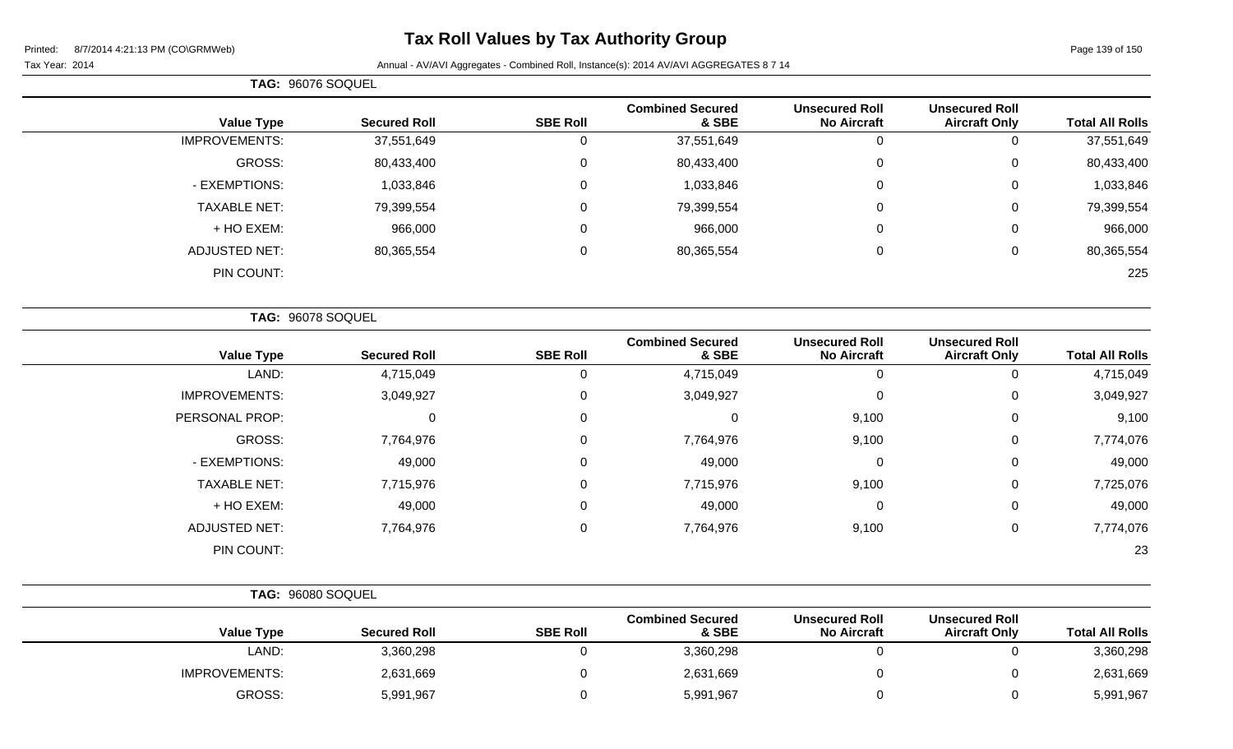# **Tax Roll Values by Tax Authority Group**

 $\overline{\phantom{0}}$ 

|                   |  | $\cdots$ |
|-------------------|--|----------|
| TAG: 96076 SOQUEL |  |          |

| <b>Total All Rolls</b> | <b>Unsecured Roll</b><br><b>Aircraft Only</b> | <b>Unsecured Roll</b><br><b>No Aircraft</b> | <b>Combined Secured</b><br>& SBE | <b>SBE Roll</b> | <b>Secured Roll</b> | <b>Value Type</b>    |  |  |
|------------------------|-----------------------------------------------|---------------------------------------------|----------------------------------|-----------------|---------------------|----------------------|--|--|
| 37,551,649             | 0                                             | U                                           | 37,551,649                       |                 | 37,551,649          | <b>IMPROVEMENTS:</b> |  |  |
| 80,433,400             | 0                                             | 0                                           | 80,433,400                       |                 | 80,433,400          | GROSS:               |  |  |
| 1,033,846              | 0                                             | 0                                           | 1,033,846                        |                 | 1,033,846           | - EXEMPTIONS:        |  |  |
| 79,399,554             | 0                                             | 0                                           | 79,399,554                       |                 | 79,399,554          | <b>TAXABLE NET:</b>  |  |  |
| 966,000                | 0                                             | 0                                           | 966,000                          |                 | 966,000             | + HO EXEM:           |  |  |
| 80,365,554             | 0                                             | 0                                           | 80,365,554                       |                 | 80,365,554          | <b>ADJUSTED NET:</b> |  |  |
| 225                    |                                               |                                             |                                  |                 |                     | PIN COUNT:           |  |  |
|                        |                                               |                                             |                                  |                 |                     |                      |  |  |

|                      | TAG: 96078 SOQUEL   |                 |                                  |                                             |                                               |                        |
|----------------------|---------------------|-----------------|----------------------------------|---------------------------------------------|-----------------------------------------------|------------------------|
| <b>Value Type</b>    | <b>Secured Roll</b> | <b>SBE Roll</b> | <b>Combined Secured</b><br>& SBE | <b>Unsecured Roll</b><br><b>No Aircraft</b> | <b>Unsecured Roll</b><br><b>Aircraft Only</b> | <b>Total All Rolls</b> |
| LAND:                | 4,715,049           |                 | 4,715,049                        |                                             | 0                                             | 4,715,049              |
| <b>IMPROVEMENTS:</b> | 3,049,927           | $\mathbf 0$     | 3,049,927                        | 0                                           | 0                                             | 3,049,927              |
| PERSONAL PROP:       | 0                   | 0               | $\mathbf 0$                      | 9,100                                       | 0                                             | 9,100                  |
| <b>GROSS:</b>        | 7,764,976           | 0               | 7,764,976                        | 9,100                                       | 0                                             | 7,774,076              |
| - EXEMPTIONS:        | 49,000              | $\mathbf 0$     | 49,000                           | 0                                           | 0                                             | 49,000                 |
| <b>TAXABLE NET:</b>  | 7,715,976           | 0               | 7,715,976                        | 9,100                                       | $\mathbf 0$                                   | 7,725,076              |
| + HO EXEM:           | 49,000              | 0               | 49,000                           | $\mathbf 0$                                 | $\mathbf 0$                                   | 49,000                 |
| <b>ADJUSTED NET:</b> | 7,764,976           | 0               | 7,764,976                        | 9,100                                       | 0                                             | 7,774,076              |
| PIN COUNT:           |                     |                 |                                  |                                             |                                               | 23                     |

| TAG: 96080 SOQUEL    |                     |                 |                                  |                                             |                                               |                        |
|----------------------|---------------------|-----------------|----------------------------------|---------------------------------------------|-----------------------------------------------|------------------------|
| <b>Value Type</b>    | <b>Secured Roll</b> | <b>SBE Roll</b> | <b>Combined Secured</b><br>& SBE | <b>Unsecured Roll</b><br><b>No Aircraft</b> | <b>Unsecured Roll</b><br><b>Aircraft Only</b> | <b>Total All Rolls</b> |
| LAND:                | 3,360,298           |                 | 3,360,298                        |                                             |                                               | 3,360,298              |
| <b>IMPROVEMENTS:</b> | 2,631,669           |                 | 2,631,669                        |                                             |                                               | 2,631,669              |
| GROSS:               | 5,991,967           |                 | 5,991,967                        |                                             |                                               | 5,991,967              |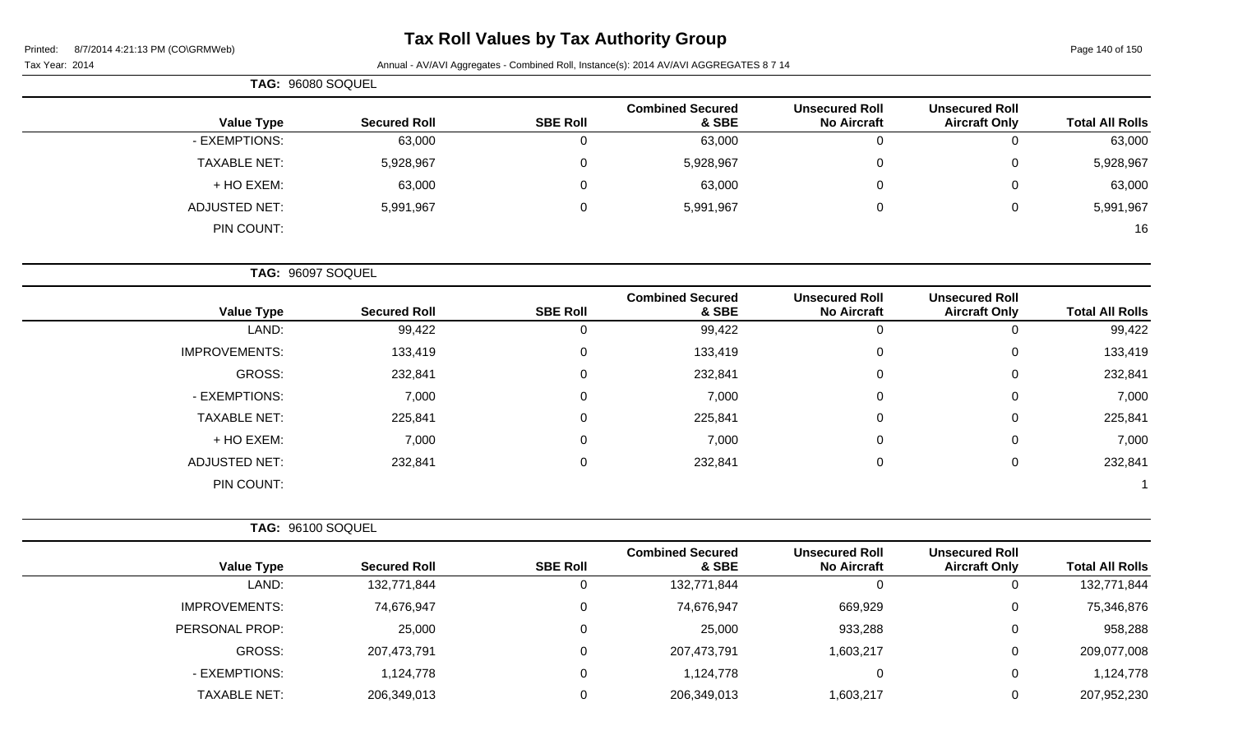|                        |                                               |                                             |                                  |                 |                     | TAG: 96080 SOQUEL    |
|------------------------|-----------------------------------------------|---------------------------------------------|----------------------------------|-----------------|---------------------|----------------------|
| <b>Total All Rolls</b> | <b>Unsecured Roll</b><br><b>Aircraft Only</b> | <b>Unsecured Roll</b><br><b>No Aircraft</b> | <b>Combined Secured</b><br>& SBE | <b>SBE Roll</b> | <b>Secured Roll</b> | <b>Value Type</b>    |
| 63,000                 | $\mathbf 0$                                   | 0                                           | 63,000                           | $\mathbf 0$     | 63,000              | - EXEMPTIONS:        |
| 5,928,967              | $\mathbf 0$                                   | 0                                           | 5,928,967                        | $\mathbf 0$     | 5,928,967           | <b>TAXABLE NET:</b>  |
| 63,000                 | 0                                             | 0                                           | 63,000                           | $\Omega$        | 63,000              | + HO EXEM:           |
| 5,991,967              | $\mathbf 0$                                   | 0                                           | 5,991,967                        | $\Omega$        | 5,991,967           | <b>ADJUSTED NET:</b> |
| 16                     |                                               |                                             |                                  |                 |                     | PIN COUNT:           |
|                        |                                               |                                             |                                  |                 |                     | TAG: 96097 SOQUEL    |
| <b>Total All Rolls</b> | <b>Unsecured Roll</b><br><b>Aircraft Only</b> | <b>Unsecured Roll</b><br><b>No Aircraft</b> | <b>Combined Secured</b><br>& SBE | <b>SBE Roll</b> | <b>Secured Roll</b> | <b>Value Type</b>    |
| 99,422                 | 0                                             | 0                                           | 99,422                           | $\mathbf 0$     | 99,422              | LAND:                |
| 133,419                | $\mathbf 0$                                   | 0                                           | 133,419                          | $\mathbf 0$     | 133,419             | <b>IMPROVEMENTS:</b> |
| 232,841                | $\boldsymbol{0}$                              | $\pmb{0}$                                   | 232,841                          | $\mathbf 0$     | 232,841             | GROSS:               |
| 7,000                  | 0                                             | 0                                           | 7,000                            | $\mathbf 0$     | 7,000               | - EXEMPTIONS:        |
| 225,841                | $\mathbf 0$                                   | 0                                           | 225,841                          | 0               | 225,841             | <b>TAXABLE NET:</b>  |
| 7,000                  | 0                                             | 0                                           | 7,000                            | $\mathbf 0$     | 7,000               | + HO EXEM:           |
| 232,841                | $\mathbf 0$                                   | 0                                           | 232,841                          | $\Omega$        | 232,841             | <b>ADJUSTED NET:</b> |
|                        |                                               |                                             |                                  |                 |                     | PIN COUNT:           |
|                        |                                               |                                             |                                  |                 |                     | TAG: 96100 SOQUEL    |
| <b>Total All Rolls</b> | <b>Unsecured Roll</b><br><b>Aircraft Only</b> | <b>Unsecured Roll</b><br><b>No Aircraft</b> | <b>Combined Secured</b><br>& SBE | <b>SBE Roll</b> | <b>Secured Roll</b> | <b>Value Type</b>    |
| 400.774.044            | $\sim$                                        | $\sim$                                      | 400.774.044                      | $\sim$          | 400.774.044         | I ANIM.              |

| Total All Rolls | <b>AIRCRATT ONLY</b> | NO AIrcraft | & SBE       | SBE ROIL | Secured Roll | value Type           |
|-----------------|----------------------|-------------|-------------|----------|--------------|----------------------|
| 132,771,844     | U                    | C           | 132,771,844 |          | 132,771,844  | LAND:                |
| 75,346,876      |                      | 669,929     | 74,676,947  |          | 74,676,947   | <b>IMPROVEMENTS:</b> |
| 958,288         |                      | 933,288     | 25,000      |          | 25,000       | PERSONAL PROP:       |
| 209,077,008     |                      | 1,603,217   | 207,473,791 |          | 207,473,791  | <b>GROSS:</b>        |
| 1,124,778       |                      |             | 1,124,778   |          | 1,124,778    | - EXEMPTIONS:        |
| 207,952,230     |                      | 1,603,217   | 206,349,013 |          | 206,349,013  | <b>TAXABLE NET:</b>  |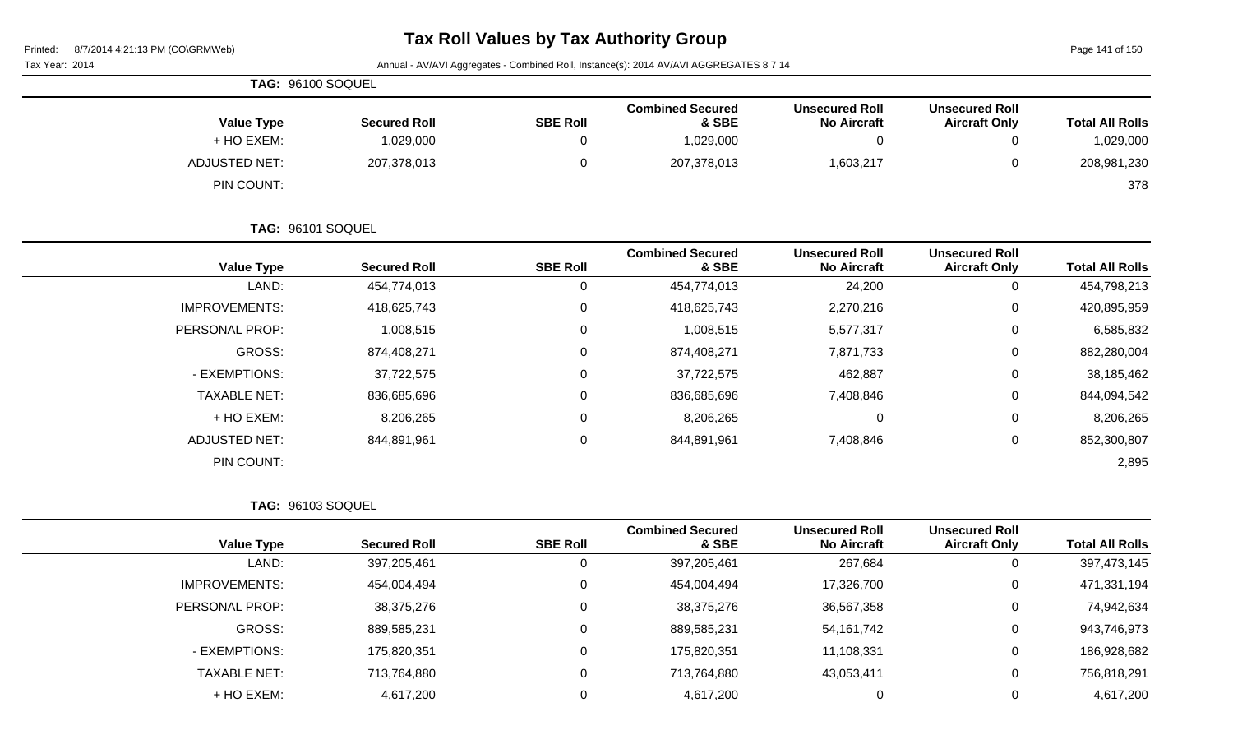Tax Year: 2014 Annual - AV/AVI Aggregates - Combined Roll, Instance(s): 2014 AV/AVI AGGREGATES 8 7 14

Page 141 of 150

|                      | TAG: 96100 SOQUEL        |                 |                                  |                                             |                                               |                        |
|----------------------|--------------------------|-----------------|----------------------------------|---------------------------------------------|-----------------------------------------------|------------------------|
| <b>Value Type</b>    | <b>Secured Roll</b>      | <b>SBE Roll</b> | <b>Combined Secured</b><br>& SBE | <b>Unsecured Roll</b><br><b>No Aircraft</b> | <b>Unsecured Roll</b><br><b>Aircraft Only</b> | <b>Total All Rolls</b> |
| + HO EXEM:           | 1,029,000                | $\mathbf 0$     | 1,029,000                        | $\mathbf 0$                                 | $\mathbf 0$                                   | 1,029,000              |
| <b>ADJUSTED NET:</b> | 207,378,013              | $\mathbf 0$     | 207,378,013                      | 1,603,217                                   | $\pmb{0}$                                     | 208,981,230            |
| PIN COUNT:           |                          |                 |                                  |                                             |                                               | 378                    |
|                      | TAG: 96101 SOQUEL        |                 |                                  |                                             |                                               |                        |
| <b>Value Type</b>    | <b>Secured Roll</b>      | <b>SBE Roll</b> | <b>Combined Secured</b><br>& SBE | <b>Unsecured Roll</b><br><b>No Aircraft</b> | <b>Unsecured Roll</b><br><b>Aircraft Only</b> | <b>Total All Rolls</b> |
| LAND:                | 454,774,013              | $\mathbf 0$     | 454,774,013                      | 24,200                                      | $\mathbf 0$                                   | 454,798,213            |
| <b>IMPROVEMENTS:</b> | 418,625,743              | $\mathbf 0$     | 418,625,743                      | 2,270,216                                   | 0                                             | 420,895,959            |
| PERSONAL PROP:       | 1,008,515                | 0               | 1,008,515                        | 5,577,317                                   | 0                                             | 6,585,832              |
| <b>GROSS:</b>        | 874,408,271              | $\mathbf 0$     | 874,408,271                      | 7,871,733                                   | 0                                             | 882,280,004            |
| - EXEMPTIONS:        | 37,722,575               | $\mathbf 0$     | 37,722,575                       | 462,887                                     | 0                                             | 38,185,462             |
| <b>TAXABLE NET:</b>  | 836,685,696              | $\mathbf 0$     | 836,685,696                      | 7,408,846                                   | 0                                             | 844,094,542            |
| + HO EXEM:           | 8,206,265                | $\mathbf 0$     | 8,206,265                        | $\mathbf 0$                                 | $\mathbf 0$                                   | 8,206,265              |
| <b>ADJUSTED NET:</b> | 844,891,961              | $\mathbf 0$     | 844,891,961                      | 7,408,846                                   | $\pmb{0}$                                     | 852,300,807            |
| PIN COUNT:           |                          |                 |                                  |                                             |                                               | 2,895                  |
|                      | <b>TAG: 96103 SOQUEL</b> |                 |                                  |                                             |                                               |                        |
| <b>Value Type</b>    | <b>Secured Roll</b>      | <b>SBE Roll</b> | <b>Combined Secured</b><br>& SBE | <b>Unsecured Roll</b><br><b>No Aircraft</b> | <b>Unsecured Roll</b><br><b>Aircraft Only</b> | <b>Total All Rolls</b> |
| LAND:                | 397,205,461              | $\mathbf 0$     | 397,205,461                      | 267,684                                     | $\pmb{0}$                                     | 397,473,145            |
| <b>IMPROVEMENTS:</b> | 454,004,494              | $\pmb{0}$       | 454,004,494                      | 17,326,700                                  | 0                                             | 471,331,194            |
| PERSONAL PROP:       | 38,375,276               | $\mathbf 0$     | 38,375,276                       | 36,567,358                                  | 0                                             | 74,942,634             |
| <b>GROSS:</b>        | 889,585,231              | $\mathbf 0$     | 889,585,231                      | 54, 161, 742                                | 0                                             | 943,746,973            |
| - EXEMPTIONS:        | 175,820,351              | $\mathbf 0$     | 175,820,351                      | 11,108,331                                  | 0                                             | 186,928,682            |
| <b>TAXABLE NET:</b>  | 713,764,880              | $\pmb{0}$       | 713,764,880                      | 43,053,411                                  | 0                                             | 756,818,291            |
| + HO EXEM:           | 4,617,200                | $\mathbf 0$     | 4,617,200                        | $\boldsymbol{0}$                            | 0                                             | 4,617,200              |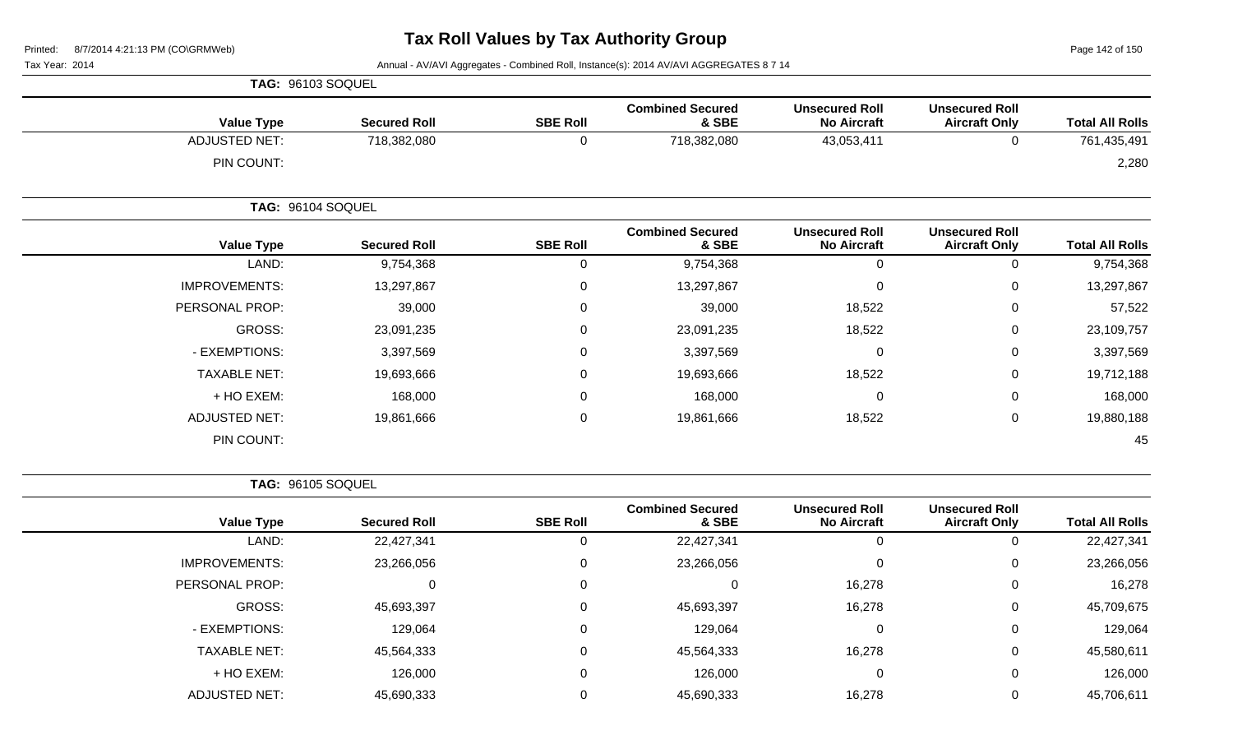Page 142 of 150

Tax Year: 2014 **Annual - AV/AVI Aggregates - Combined Roll**, Instance(s): 2014 AV/AVI AGGREGATES 8 7 14

|                      | <b>TAG: 96103 SOQUEL</b> |                 |                                  |                                             |                                               |                        |
|----------------------|--------------------------|-----------------|----------------------------------|---------------------------------------------|-----------------------------------------------|------------------------|
| <b>Value Type</b>    | <b>Secured Roll</b>      | <b>SBE Roll</b> | <b>Combined Secured</b><br>& SBE | <b>Unsecured Roll</b><br><b>No Aircraft</b> | <b>Unsecured Roll</b><br><b>Aircraft Only</b> | <b>Total All Rolls</b> |
| <b>ADJUSTED NET:</b> | 718,382,080              | 0               | 718,382,080                      | 43,053,411                                  | 0                                             | 761,435,491            |
| PIN COUNT:           |                          |                 |                                  |                                             |                                               | 2,280                  |
|                      | <b>TAG: 96104 SOQUEL</b> |                 |                                  |                                             |                                               |                        |
| <b>Value Type</b>    | <b>Secured Roll</b>      | <b>SBE Roll</b> | <b>Combined Secured</b><br>& SBE | <b>Unsecured Roll</b><br><b>No Aircraft</b> | <b>Unsecured Roll</b><br><b>Aircraft Only</b> | <b>Total All Rolls</b> |
| LAND:                | 9,754,368                | 0               | 9,754,368                        | $\mathbf 0$                                 | $\mathbf 0$                                   | 9,754,368              |
| <b>IMPROVEMENTS:</b> | 13,297,867               | 0               | 13,297,867                       | $\pmb{0}$                                   | $\pmb{0}$                                     | 13,297,867             |
| PERSONAL PROP:       | 39,000                   | 0               | 39,000                           | 18,522                                      | 0                                             | 57,522                 |
| GROSS:               | 23,091,235               | 0               | 23,091,235                       | 18,522                                      | $\mathbf 0$                                   | 23,109,757             |
| - EXEMPTIONS:        | 3,397,569                | 0               | 3,397,569                        | 0                                           | 0                                             | 3,397,569              |
| <b>TAXABLE NET:</b>  | 19,693,666               | 0               | 19,693,666                       | 18,522                                      | $\mathbf 0$                                   | 19,712,188             |
| + HO EXEM:           | 168,000                  | 0               | 168,000                          | $\pmb{0}$                                   | $\pmb{0}$                                     | 168,000                |
| <b>ADJUSTED NET:</b> | 19,861,666               | 0               | 19,861,666                       | 18,522                                      | 0                                             | 19,880,188             |
| PIN COUNT:           |                          |                 |                                  |                                             |                                               | 45                     |

**TAG:** 96105 SOQUEL

|                      |                     |                 | <b>Combined Secured</b> | <b>Unsecured Roll</b> | <b>Unsecured Roll</b> |                        |
|----------------------|---------------------|-----------------|-------------------------|-----------------------|-----------------------|------------------------|
| <b>Value Type</b>    | <b>Secured Roll</b> | <b>SBE Roll</b> | & SBE                   | <b>No Aircraft</b>    | <b>Aircraft Only</b>  | <b>Total All Rolls</b> |
| LAND:                | 22,427,341          | 0               | 22,427,341              | 0                     | O                     | 22,427,341             |
| <b>IMPROVEMENTS:</b> | 23,266,056          | 0               | 23,266,056              | 0                     | 0                     | 23,266,056             |
| PERSONAL PROP:       | 0                   | 0               | $\Omega$                | 16,278                | 0                     | 16,278                 |
| GROSS:               | 45,693,397          | 0               | 45,693,397              | 16,278                | 0                     | 45,709,675             |
| - EXEMPTIONS:        | 129,064             | 0               | 129,064                 | 0                     | 0                     | 129,064                |
| <b>TAXABLE NET:</b>  | 45,564,333          | 0               | 45,564,333              | 16,278                | 0                     | 45,580,611             |
| + HO EXEM:           | 126,000             | $\mathbf 0$     | 126,000                 | 0                     | 0                     | 126,000                |
| <b>ADJUSTED NET:</b> | 45,690,333          | 0               | 45,690,333              | 16,278                | 0                     | 45,706,611             |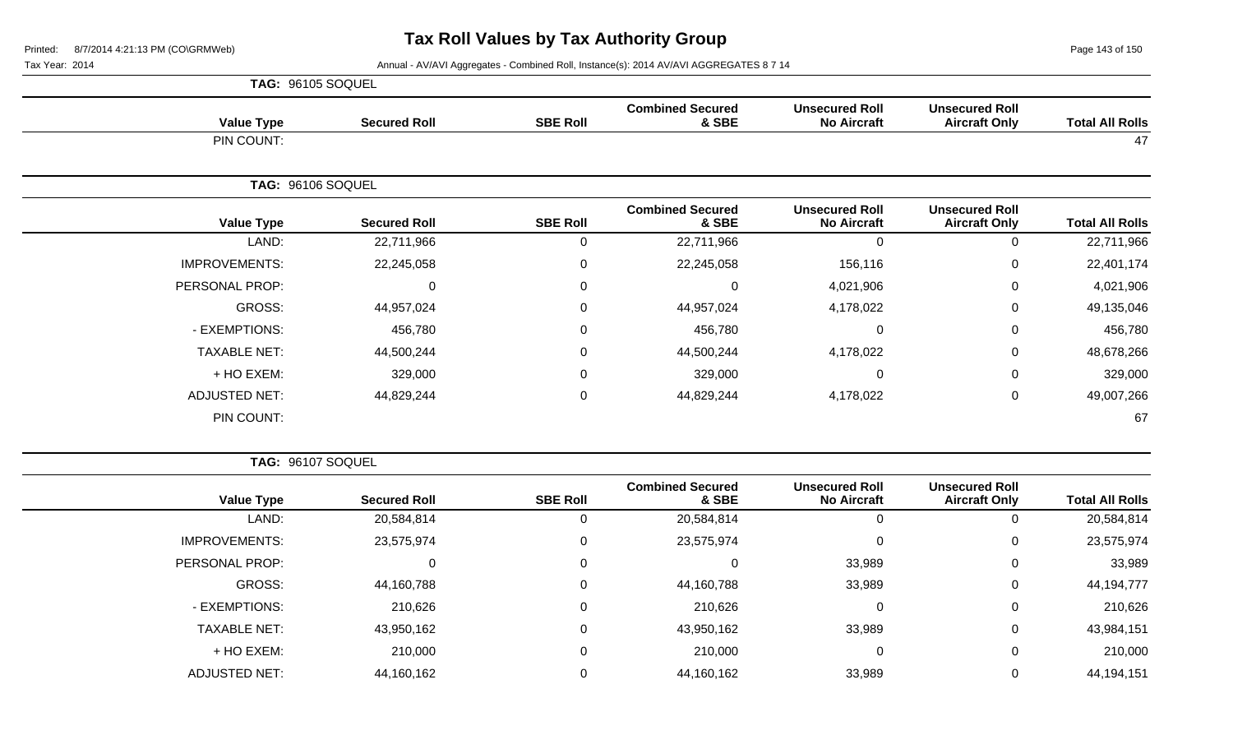Page 143 of 150

Tax Year: 2014 **Annual - AV/AVI Aggregates - Combined Roll**, Instance(s): 2014 AV/AVI AGGREGATES 8 7 14

|                      | TAG: 96105 SOQUEL |                     |                 |                                  |                                             |                                               |                        |  |  |
|----------------------|-------------------|---------------------|-----------------|----------------------------------|---------------------------------------------|-----------------------------------------------|------------------------|--|--|
| <b>Value Type</b>    |                   | <b>Secured Roll</b> | <b>SBE Roll</b> | <b>Combined Secured</b><br>& SBE | <b>Unsecured Roll</b><br><b>No Aircraft</b> | <b>Unsecured Roll</b><br><b>Aircraft Only</b> | <b>Total All Rolls</b> |  |  |
| PIN COUNT:           |                   |                     |                 |                                  |                                             |                                               | 47                     |  |  |
|                      | TAG: 96106 SOQUEL |                     |                 |                                  |                                             |                                               |                        |  |  |
| <b>Value Type</b>    |                   | <b>Secured Roll</b> | <b>SBE Roll</b> | <b>Combined Secured</b><br>& SBE | <b>Unsecured Roll</b><br><b>No Aircraft</b> | <b>Unsecured Roll</b><br><b>Aircraft Only</b> | <b>Total All Rolls</b> |  |  |
| LAND:                |                   | 22,711,966          | $\Omega$        | 22,711,966                       | $\Omega$                                    | 0                                             | 22,711,966             |  |  |
| <b>IMPROVEMENTS:</b> |                   | 22,245,058          | 0               | 22,245,058                       | 156,116                                     | $\mathbf 0$                                   | 22,401,174             |  |  |
| PERSONAL PROP:       |                   | 0                   | 0               | 0                                | 4,021,906                                   | 0                                             | 4,021,906              |  |  |
| GROSS:               |                   | 44,957,024          | $\Omega$        | 44,957,024                       | 4,178,022                                   | $\mathbf 0$                                   | 49,135,046             |  |  |
| - EXEMPTIONS:        |                   | 456,780             | 0               | 456,780                          | $\mathbf 0$                                 | $\mathbf 0$                                   | 456,780                |  |  |
| <b>TAXABLE NET:</b>  |                   | 44,500,244          | 0               | 44,500,244                       | 4,178,022                                   | $\mathbf 0$                                   | 48,678,266             |  |  |
| + HO EXEM:           |                   | 329,000             | 0               | 329,000                          | 0                                           | $\mathbf 0$                                   | 329,000                |  |  |
| <b>ADJUSTED NET:</b> |                   | 44,829,244          | 0               | 44,829,244                       | 4,178,022                                   | $\mathbf 0$                                   | 49,007,266             |  |  |
| PIN COUNT:           |                   |                     |                 |                                  |                                             |                                               | 67                     |  |  |

**TAG:** 96107 SOQUEL

| <b>Total All Rolls</b> | <b>Unsecured Roll</b><br><b>Aircraft Only</b> | <b>Unsecured Roll</b><br><b>No Aircraft</b> | <b>Combined Secured</b><br>& SBE | <b>SBE Roll</b> | <b>Secured Roll</b> | <b>Value Type</b>    |
|------------------------|-----------------------------------------------|---------------------------------------------|----------------------------------|-----------------|---------------------|----------------------|
| 20,584,814             | 0                                             | O                                           | 20,584,814                       |                 | 20,584,814          | LAND:                |
| 23,575,974             | 0                                             | $\Omega$                                    | 23,575,974                       | 0               | 23,575,974          | <b>IMPROVEMENTS:</b> |
| 33,989                 | 0                                             | 33,989                                      |                                  | 0               |                     | PERSONAL PROP:       |
| 44,194,777             | 0                                             | 33,989                                      | 44,160,788                       | 0               | 44,160,788          | GROSS:               |
| 210,626                | 0                                             | $\Omega$                                    | 210,626                          | 0               | 210,626             | - EXEMPTIONS:        |
| 43,984,151             | 0                                             | 33,989                                      | 43,950,162                       | $\Omega$        | 43,950,162          | <b>TAXABLE NET:</b>  |
| 210,000                | 0                                             | 0                                           | 210,000                          | 0               | 210,000             | + HO EXEM:           |
| 44,194,151             | $\overline{0}$                                | 33,989                                      | 44,160,162                       |                 | 44,160,162          | <b>ADJUSTED NET:</b> |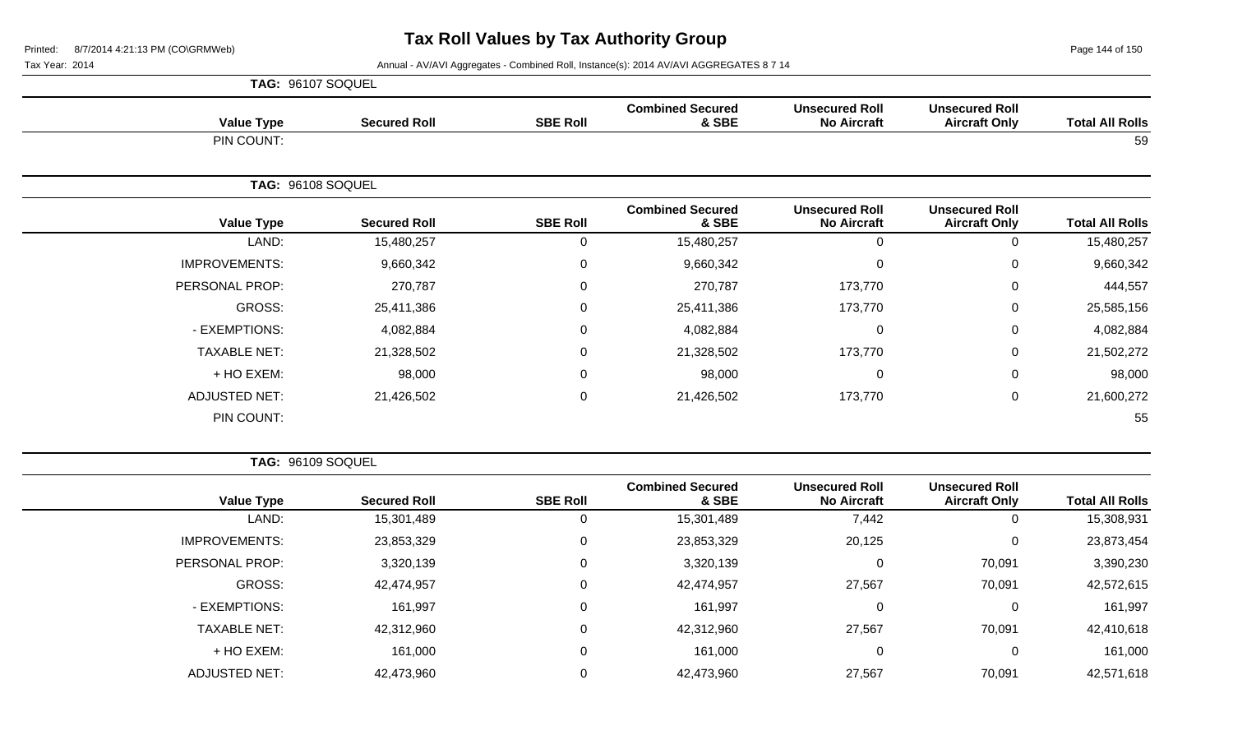Page 144 of 150

Tax Year: 2014 **Annual - AV/AVI Aggregates - Combined Roll**, Instance(s): 2014 AV/AVI AGGREGATES 8 7 14

| TAG: 96107 SOQUEL    |                     |                  |                                  |                                             |                                               |                        |
|----------------------|---------------------|------------------|----------------------------------|---------------------------------------------|-----------------------------------------------|------------------------|
| <b>Value Type</b>    | <b>Secured Roll</b> | <b>SBE Roll</b>  | <b>Combined Secured</b><br>& SBE | <b>Unsecured Roll</b><br><b>No Aircraft</b> | <b>Unsecured Roll</b><br><b>Aircraft Only</b> | <b>Total All Rolls</b> |
| PIN COUNT:           |                     |                  |                                  |                                             |                                               | 59                     |
|                      | TAG: 96108 SOQUEL   |                  |                                  |                                             |                                               |                        |
| <b>Value Type</b>    | <b>Secured Roll</b> | <b>SBE Roll</b>  | <b>Combined Secured</b><br>& SBE | <b>Unsecured Roll</b><br><b>No Aircraft</b> | <b>Unsecured Roll</b><br><b>Aircraft Only</b> | <b>Total All Rolls</b> |
| LAND:                | 15,480,257          | $\Omega$         | 15,480,257                       | 0                                           | $\Omega$                                      | 15,480,257             |
| <b>IMPROVEMENTS:</b> | 9,660,342           | 0                | 9,660,342                        | 0                                           | 0                                             | 9,660,342              |
| PERSONAL PROP:       | 270,787             | 0                | 270,787                          | 173,770                                     | 0                                             | 444,557                |
| GROSS:               | 25,411,386          | $\Omega$         | 25,411,386                       | 173,770                                     | $\mathbf 0$                                   | 25,585,156             |
| - EXEMPTIONS:        | 4,082,884           | $\Omega$         | 4,082,884                        | $\Omega$                                    | $\mathbf 0$                                   | 4,082,884              |
| <b>TAXABLE NET:</b>  | 21,328,502          | 0                | 21,328,502                       | 173,770                                     | 0                                             | 21,502,272             |
| + HO EXEM:           | 98,000              | $\Omega$         | 98,000                           | $\mathbf 0$                                 | $\mathbf 0$                                   | 98,000                 |
| <b>ADJUSTED NET:</b> | 21,426,502          | $\boldsymbol{0}$ | 21,426,502                       | 173,770                                     | $\mathbf 0$                                   | 21,600,272             |
| PIN COUNT:           |                     |                  |                                  |                                             |                                               | 55                     |

**TAG:** 96109 SOQUEL

| <b>Total All Rolls</b> | <b>Unsecured Roll</b><br><b>Aircraft Only</b> | <b>Unsecured Roll</b><br><b>No Aircraft</b> | <b>Combined Secured</b><br>& SBE | <b>SBE Roll</b> | <b>Secured Roll</b> | <b>Value Type</b>    |
|------------------------|-----------------------------------------------|---------------------------------------------|----------------------------------|-----------------|---------------------|----------------------|
| 15,308,931             | $\overline{0}$                                | 7,442                                       | 15,301,489                       | U               | 15,301,489          | LAND:                |
| 23,873,454             | 0                                             | 20,125                                      | 23,853,329                       | 0               | 23,853,329          | <b>IMPROVEMENTS:</b> |
| 3,390,230              | 70,091                                        | 0                                           | 3,320,139                        | $\Omega$        | 3,320,139           | PERSONAL PROP:       |
| 42,572,615             | 70,091                                        | 27,567                                      | 42,474,957                       | $\Omega$        | 42,474,957          | GROSS:               |
| 161,997                | $\mathbf 0$                                   | 0                                           | 161,997                          | $\Omega$        | 161,997             | - EXEMPTIONS:        |
| 42,410,618             | 70,091                                        | 27,567                                      | 42,312,960                       | $\Omega$        | 42,312,960          | <b>TAXABLE NET:</b>  |
| 161,000                | 0                                             | 0                                           | 161,000                          | $\Omega$        | 161,000             | $+$ HO EXEM:         |
| 42,571,618             | 70,091                                        | 27,567                                      | 42,473,960                       | 0               | 42,473,960          | <b>ADJUSTED NET:</b> |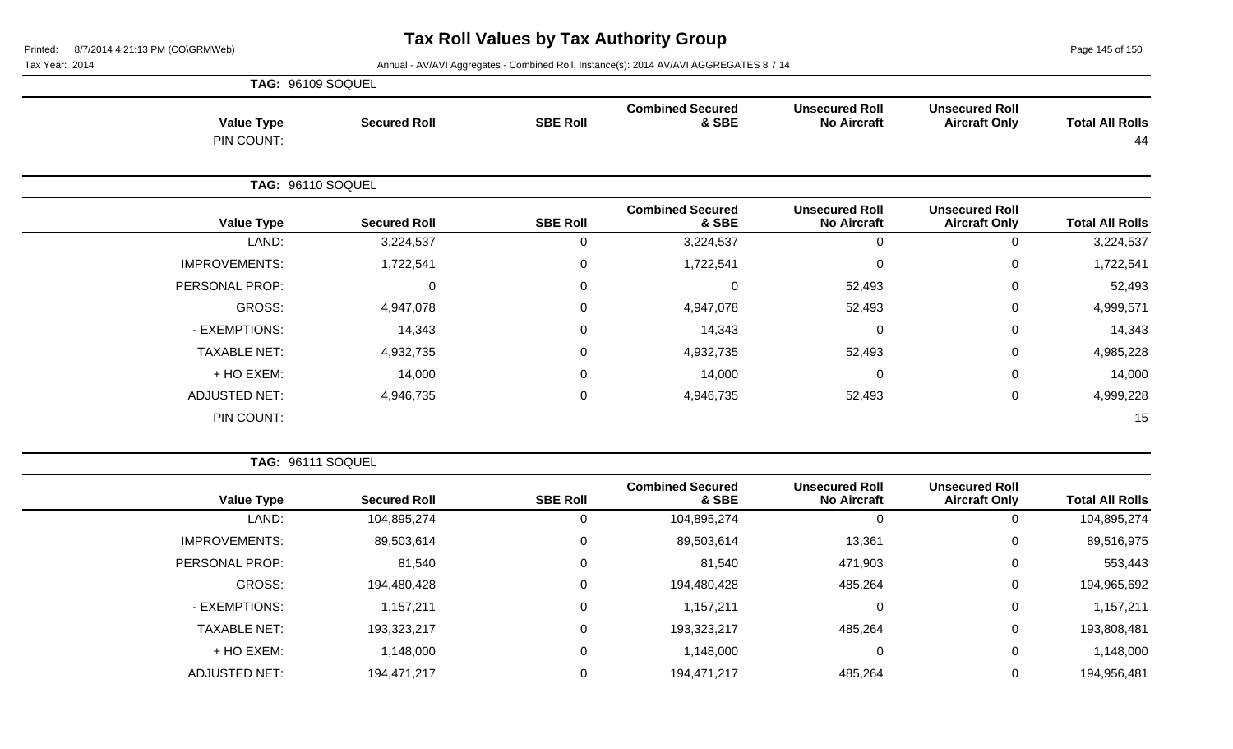Page 145 of 150

Tax Year: 2014 **Annual - AV/AVI Aggregates - Combined Roll**, Instance(s): 2014 AV/AVI AGGREGATES 8 7 14

| TAG: 96109 SOQUEL    |                     |                 |                                  |                                             |                                               |                        |
|----------------------|---------------------|-----------------|----------------------------------|---------------------------------------------|-----------------------------------------------|------------------------|
| <b>Value Type</b>    | <b>Secured Roll</b> | <b>SBE Roll</b> | <b>Combined Secured</b><br>& SBE | <b>Unsecured Roll</b><br><b>No Aircraft</b> | <b>Unsecured Roll</b><br><b>Aircraft Only</b> | <b>Total All Rolls</b> |
| PIN COUNT:           |                     |                 |                                  |                                             |                                               | 44                     |
|                      | TAG: 96110 SOQUEL   |                 |                                  |                                             |                                               |                        |
| <b>Value Type</b>    | <b>Secured Roll</b> | <b>SBE Roll</b> | <b>Combined Secured</b><br>& SBE | <b>Unsecured Roll</b><br><b>No Aircraft</b> | <b>Unsecured Roll</b><br><b>Aircraft Only</b> | <b>Total All Rolls</b> |
| LAND:                | 3,224,537           | 0               | 3,224,537                        | $\mathbf 0$                                 | 0                                             | 3,224,537              |
| <b>IMPROVEMENTS:</b> | 1,722,541           | $\mathbf 0$     | 1,722,541                        | $\mathbf 0$                                 | 0                                             | 1,722,541              |
| PERSONAL PROP:       | 0                   | 0               | $\mathbf 0$                      | 52,493                                      | 0                                             | 52,493                 |
| GROSS:               | 4,947,078           | $\mathbf 0$     | 4,947,078                        | 52,493                                      | 0                                             | 4,999,571              |
| - EXEMPTIONS:        | 14,343              | $\mathbf 0$     | 14,343                           | $\mathbf 0$                                 | 0                                             | 14,343                 |
| <b>TAXABLE NET:</b>  | 4,932,735           | $\mathbf 0$     | 4,932,735                        | 52,493                                      | 0                                             | 4,985,228              |
| + HO EXEM:           | 14,000              | $\mathbf 0$     | 14,000                           | $\mathbf 0$                                 | 0                                             | 14,000                 |
| <b>ADJUSTED NET:</b> | 4,946,735           | $\mathsf 0$     | 4,946,735                        | 52,493                                      | 0                                             | 4,999,228              |
| PIN COUNT:           |                     |                 |                                  |                                             |                                               | 15                     |

**TAG:** 96111 SOQUEL

| <b>Total All Rolls</b> | <b>Unsecured Roll</b><br><b>Aircraft Only</b> | <b>Unsecured Roll</b><br><b>No Aircraft</b> | <b>Combined Secured</b><br>& SBE | <b>SBE Roll</b> | <b>Secured Roll</b> | <b>Value Type</b>    |
|------------------------|-----------------------------------------------|---------------------------------------------|----------------------------------|-----------------|---------------------|----------------------|
| 104,895,274            |                                               | 0                                           | 104,895,274                      |                 | 104,895,274         | LAND:                |
| 89,516,975             | 0                                             | 13,361                                      | 89,503,614                       |                 | 89,503,614          | <b>IMPROVEMENTS:</b> |
| 553,443                | 0                                             | 471,903                                     | 81,540                           |                 | 81,540              | PERSONAL PROP:       |
| 194,965,692            | 0                                             | 485,264                                     | 194,480,428                      |                 | 194,480,428         | GROSS:               |
| 1,157,211              | 0                                             | 0                                           | 1,157,211                        |                 | 1,157,211           | - EXEMPTIONS:        |
| 193,808,481            | 0                                             | 485,264                                     | 193,323,217                      |                 | 193,323,217         | <b>TAXABLE NET:</b>  |
| 1,148,000              | 0                                             | 0                                           | 1,148,000                        |                 | 1,148,000           | + HO EXEM:           |
| 194,956,481            | 0                                             | 485,264                                     | 194,471,217                      |                 | 194,471,217         | <b>ADJUSTED NET:</b> |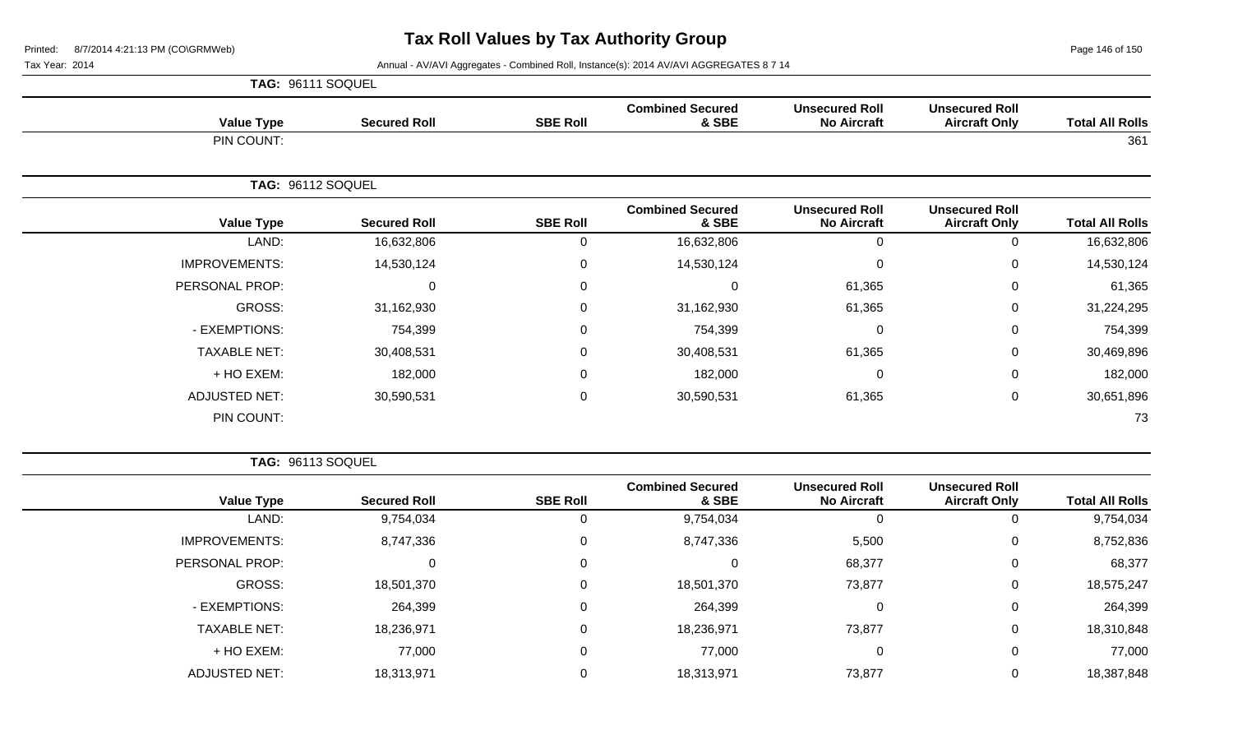Page 146 of 150

Tax Year: 2014 **Annual - AV/AVI Aggregates - Combined Roll**, Instance(s): 2014 AV/AVI AGGREGATES 8 7 14

|                      | TAG: 96111 SOQUEL   |                 |                                  |                                             |                                               |                        |
|----------------------|---------------------|-----------------|----------------------------------|---------------------------------------------|-----------------------------------------------|------------------------|
| <b>Value Type</b>    | <b>Secured Roll</b> | <b>SBE Roll</b> | <b>Combined Secured</b><br>& SBE | <b>Unsecured Roll</b><br><b>No Aircraft</b> | <b>Unsecured Roll</b><br><b>Aircraft Only</b> | <b>Total All Rolls</b> |
| PIN COUNT:           |                     |                 |                                  |                                             |                                               | 361                    |
|                      | TAG: 96112 SOQUEL   |                 |                                  |                                             |                                               |                        |
| <b>Value Type</b>    | <b>Secured Roll</b> | <b>SBE Roll</b> | <b>Combined Secured</b><br>& SBE | <b>Unsecured Roll</b><br><b>No Aircraft</b> | <b>Unsecured Roll</b><br><b>Aircraft Only</b> | <b>Total All Rolls</b> |
| LAND:                | 16,632,806          | $\mathbf 0$     | 16,632,806                       | $\Omega$                                    | 0                                             | 16,632,806             |
| <b>IMPROVEMENTS:</b> | 14,530,124          | 0               | 14,530,124                       | $\pmb{0}$                                   | 0                                             | 14,530,124             |
| PERSONAL PROP:       | $\Omega$            | $\mathbf 0$     | $\Omega$                         | 61,365                                      | 0                                             | 61,365                 |
| GROSS:               | 31,162,930          | $\mathsf 0$     | 31,162,930                       | 61,365                                      | 0                                             | 31,224,295             |
| - EXEMPTIONS:        | 754,399             | $\mathbf 0$     | 754,399                          | 0                                           | 0                                             | 754,399                |
| <b>TAXABLE NET:</b>  | 30,408,531          | $\mathbf 0$     | 30,408,531                       | 61,365                                      | 0                                             | 30,469,896             |
| + HO EXEM:           | 182,000             | $\mathbf 0$     | 182,000                          | 0                                           | 0                                             | 182,000                |
| <b>ADJUSTED NET:</b> | 30,590,531          | $\mathbf 0$     | 30,590,531                       | 61,365                                      | 0                                             | 30,651,896             |
| PIN COUNT:           |                     |                 |                                  |                                             |                                               | 73                     |

**TAG:** 96113 SOQUEL

| <b>Total All Rolls</b> | <b>Unsecured Roll</b><br><b>Aircraft Only</b> | <b>Unsecured Roll</b><br><b>No Aircraft</b> | <b>Combined Secured</b><br>& SBE | <b>SBE Roll</b> | <b>Secured Roll</b> | <b>Value Type</b>    |
|------------------------|-----------------------------------------------|---------------------------------------------|----------------------------------|-----------------|---------------------|----------------------|
| 9,754,034              | 0                                             | 0                                           | 9,754,034                        | 0               | 9,754,034           | LAND:                |
| 8,752,836              | 0                                             | 5,500                                       | 8,747,336                        | 0               | 8,747,336           | <b>IMPROVEMENTS:</b> |
| 68,377                 | 0                                             | 68,377                                      | 0                                | 0               | 0                   | PERSONAL PROP:       |
| 18,575,247             | 0                                             | 73,877                                      | 18,501,370                       | 0               | 18,501,370          | GROSS:               |
| 264,399                | 0                                             | 0                                           | 264,399                          | 0               | 264,399             | - EXEMPTIONS:        |
| 18,310,848             | 0                                             | 73,877                                      | 18,236,971                       | 0               | 18,236,971          | <b>TAXABLE NET:</b>  |
| 77,000                 | 0                                             | 0                                           | 77,000                           | 0               | 77,000              | + HO EXEM:           |
| 18,387,848             | 0                                             | 73,877                                      | 18,313,971                       | 0               | 18,313,971          | <b>ADJUSTED NET:</b> |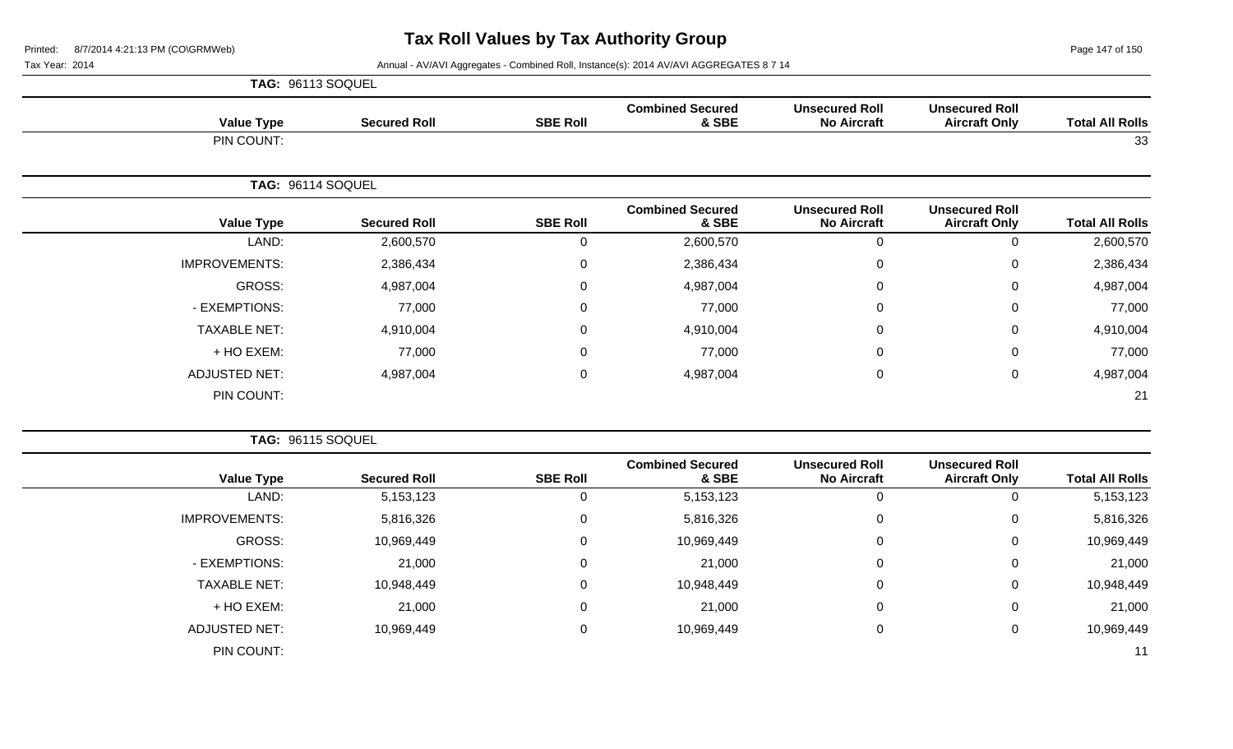Page 147 of 150

## Tax Year: 2014 **Annual - AV/AVI Aggregates - Combined Roll, Instance(s): 2014 AV/AVI AGGREGATES 8 7 14**

|                      | TAG: 96113 SOQUEL   |                 |                                  |                                             |                                               |                        |
|----------------------|---------------------|-----------------|----------------------------------|---------------------------------------------|-----------------------------------------------|------------------------|
| <b>Value Type</b>    | <b>Secured Roll</b> | <b>SBE Roll</b> | <b>Combined Secured</b><br>& SBE | <b>Unsecured Roll</b><br><b>No Aircraft</b> | <b>Unsecured Roll</b><br><b>Aircraft Only</b> | <b>Total All Rolls</b> |
| PIN COUNT:           |                     |                 |                                  |                                             |                                               | 33                     |
|                      | TAG: 96114 SOQUEL   |                 |                                  |                                             |                                               |                        |
| <b>Value Type</b>    | <b>Secured Roll</b> | <b>SBE Roll</b> | <b>Combined Secured</b><br>& SBE | <b>Unsecured Roll</b><br><b>No Aircraft</b> | <b>Unsecured Roll</b><br><b>Aircraft Only</b> | <b>Total All Rolls</b> |
| LAND:                | 2,600,570           | 0               | 2,600,570                        | $\mathbf 0$                                 | $\Omega$                                      | 2,600,570              |
| <b>IMPROVEMENTS:</b> | 2,386,434           | 0               | 2,386,434                        | $\mathbf 0$                                 | $\mathbf 0$                                   | 2,386,434              |
| <b>GROSS:</b>        | 4,987,004           | $\mathbf 0$     | 4,987,004                        | $\mathbf 0$                                 | $\mathbf 0$                                   | 4,987,004              |
| - EXEMPTIONS:        | 77,000              | 0               | 77,000                           | $\mathbf 0$                                 | 0                                             | 77,000                 |
| <b>TAXABLE NET:</b>  | 4,910,004           | 0               | 4,910,004                        | $\mathbf 0$                                 | $\mathbf 0$                                   | 4,910,004              |
| + HO EXEM:           | 77,000              | 0               | 77,000                           | $\mathbf 0$                                 | $\mathbf 0$                                   | 77,000                 |
| <b>ADJUSTED NET:</b> | 4,987,004           | 0               | 4,987,004                        | $\mathbf 0$                                 | $\mathbf 0$                                   | 4,987,004              |
| PIN COUNT:           |                     |                 |                                  |                                             |                                               | 21                     |

|                        |                                               |                                             |                                  | TAG: 96115 SOQUEL |                     |                      |  |
|------------------------|-----------------------------------------------|---------------------------------------------|----------------------------------|-------------------|---------------------|----------------------|--|
| <b>Total All Rolls</b> | <b>Unsecured Roll</b><br><b>Aircraft Only</b> | <b>Unsecured Roll</b><br><b>No Aircraft</b> | <b>Combined Secured</b><br>& SBE | <b>SBE Roll</b>   | <b>Secured Roll</b> | <b>Value Type</b>    |  |
| 5,153,123              | 0                                             |                                             | 5, 153, 123                      | 0                 | 5, 153, 123         | LAND:                |  |
| 5,816,326              | 0                                             | 0                                           | 5,816,326                        | $\mathbf 0$       | 5,816,326           | <b>IMPROVEMENTS:</b> |  |
| 10,969,449             | $\overline{0}$                                | 0                                           | 10,969,449                       | 0                 | 10,969,449          | GROSS:               |  |
| 21,000                 | 0                                             | 0                                           | 21,000                           | 0                 | 21,000              | - EXEMPTIONS:        |  |
| 10,948,449             | 0                                             | 0                                           | 10,948,449                       | $\mathbf 0$       | 10,948,449          | <b>TAXABLE NET:</b>  |  |
| 21,000                 | 0                                             | 0                                           | 21,000                           | $\mathbf 0$       | 21,000              | + HO EXEM:           |  |
| 10,969,449             | 0                                             | 0                                           | 10,969,449                       | $\mathbf 0$       | 10,969,449          | <b>ADJUSTED NET:</b> |  |
| 11                     |                                               |                                             |                                  |                   |                     | PIN COUNT:           |  |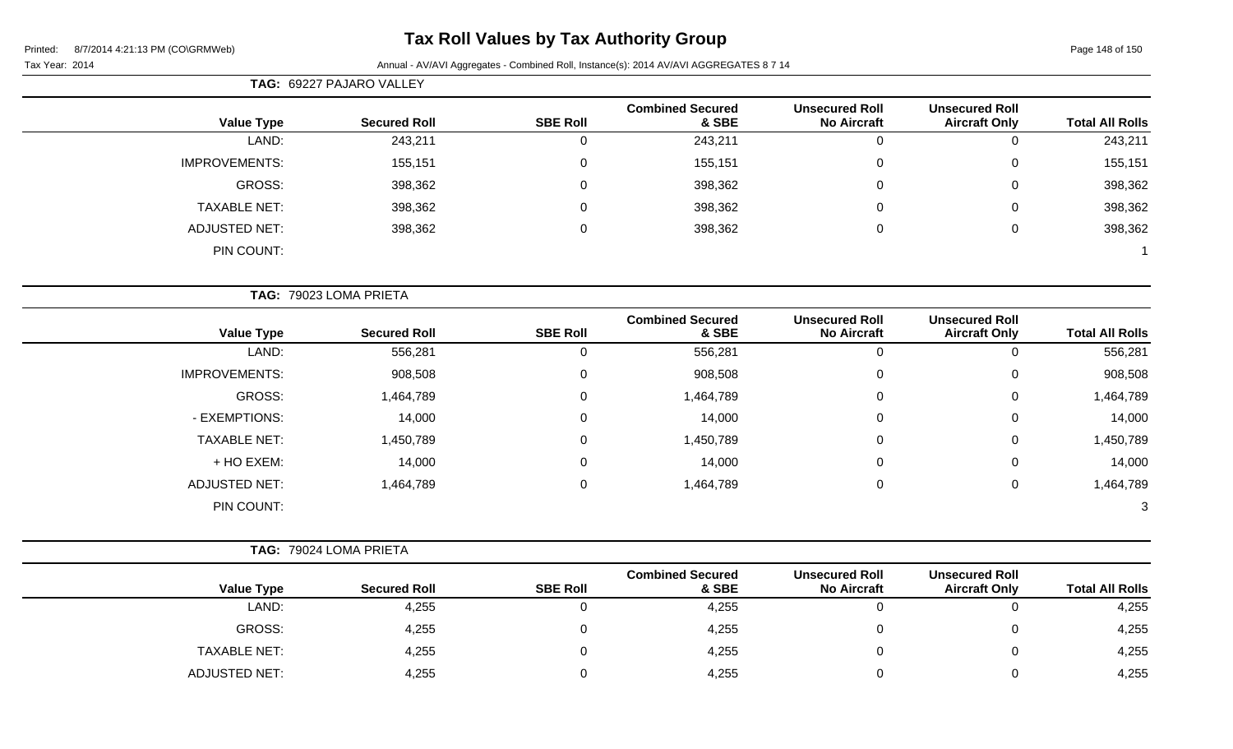## **Tax Roll Values by Tax Authority Group**

## Tax Year: 2014 **Annual - AV/AVI Aggregates - Combined Roll, Instance(s): 2014 AV/AVI AGGREGATES 8 7 14**

|                      | TAG: 69227 PAJARO VALLEY |                 |                                  |                                             |                                               |                        |
|----------------------|--------------------------|-----------------|----------------------------------|---------------------------------------------|-----------------------------------------------|------------------------|
| <b>Value Type</b>    | <b>Secured Roll</b>      | <b>SBE Roll</b> | <b>Combined Secured</b><br>& SBE | <b>Unsecured Roll</b><br><b>No Aircraft</b> | <b>Unsecured Roll</b><br><b>Aircraft Only</b> | <b>Total All Rolls</b> |
| LAND:                | 243,211                  | $\mathbf 0$     | 243,211                          | $\mathbf 0$                                 | 0                                             | 243,211                |
| <b>IMPROVEMENTS:</b> | 155,151                  | $\pmb{0}$       | 155,151                          | $\mathbf 0$                                 | 0                                             | 155,151                |
| <b>GROSS:</b>        | 398,362                  | $\pmb{0}$       | 398,362                          | $\Omega$                                    | 0                                             | 398,362                |
| <b>TAXABLE NET:</b>  | 398,362                  | $\mathbf 0$     | 398,362                          | $\Omega$                                    | 0                                             | 398,362                |
| <b>ADJUSTED NET:</b> | 398,362                  | $\mathsf 0$     | 398,362                          | $\mathbf 0$                                 | 0                                             | 398,362                |
| PIN COUNT:           |                          |                 |                                  |                                             |                                               |                        |
|                      | TAG: 79023 LOMA PRIETA   |                 |                                  |                                             |                                               |                        |
| <b>Value Type</b>    | <b>Secured Roll</b>      | <b>SBE Roll</b> | <b>Combined Secured</b><br>& SBE | <b>Unsecured Roll</b><br><b>No Aircraft</b> | <b>Unsecured Roll</b><br><b>Aircraft Only</b> | <b>Total All Rolls</b> |
| LAND:                | 556,281                  | $\pmb{0}$       | 556,281                          | $\mathbf 0$                                 | 0                                             | 556,281                |
| <b>IMPROVEMENTS:</b> | 908,508                  | $\mathsf 0$     | 908,508                          | $\mathbf 0$                                 | 0                                             | 908,508                |
| GROSS:               | 1,464,789                | $\mathsf 0$     | 1,464,789                        | $\Omega$                                    | 0                                             | 1,464,789              |
| - EXEMPTIONS:        | 14,000                   | 0               | 14,000                           | $\Omega$                                    | 0                                             | 14,000                 |
| <b>TAXABLE NET:</b>  | 1,450,789                | $\mathsf 0$     | 1,450,789                        | $\overline{0}$                              | 0                                             | 1,450,789              |
| + HO EXEM:           | 14,000                   | $\mathsf 0$     | 14,000                           | $\Omega$                                    | 0                                             | 14,000                 |
| <b>ADJUSTED NET:</b> | 1,464,789                | $\pmb{0}$       | 1,464,789                        | $\boldsymbol{0}$                            | $\boldsymbol{0}$                              | 1,464,789              |
| PIN COUNT:           |                          |                 |                                  |                                             |                                               | 3                      |
|                      | TAG: 79024 LOMA PRIETA   |                 |                                  |                                             |                                               |                        |
| <b>Value Type</b>    | <b>Secured Roll</b>      | <b>SBE Roll</b> | <b>Combined Secured</b><br>& SBE | <b>Unsecured Roll</b><br><b>No Aircraft</b> | <b>Unsecured Roll</b><br><b>Aircraft Only</b> | <b>Total All Rolls</b> |
| LAND:                | 4,255                    | $\mathbf 0$     | 4,255                            | $\mathbf 0$                                 | 0                                             | 4,255                  |
| <b>GROSS:</b>        | 4,255                    | $\mathsf 0$     | 4,255                            | $\boldsymbol{0}$                            | 0                                             | 4,255                  |

TAXABLE NET: 4,255 0 4,255 0 0 4,255 ADJUSTED NET: 4,255 0 4,255 0 0 4,255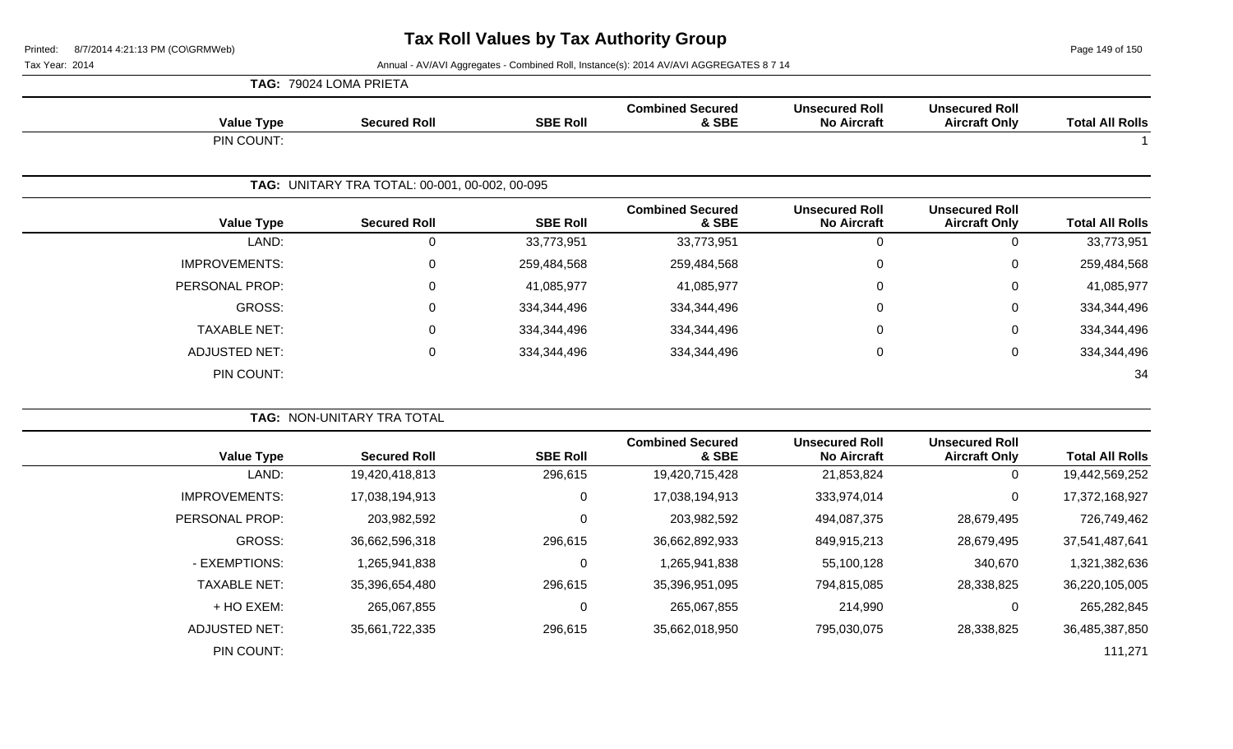**TAG:** 79024 LOMA PRIETA

Page 149 of 150

Tax Year: 2014 **Annual - AV/AVI Aggregates - Combined Roll, Instance(s): 2014 AV/AVI AGGREGATES 8 7 14** 

| <b>Value Type</b>    | <b>Secured Roll</b>                            | <b>SBE Roll</b> | <b>Combined Secured</b><br>& SBE | <b>Unsecured Roll</b><br><b>No Aircraft</b> | <b>Unsecured Roll</b><br><b>Aircraft Only</b> | <b>Total All Rolls</b> |
|----------------------|------------------------------------------------|-----------------|----------------------------------|---------------------------------------------|-----------------------------------------------|------------------------|
| PIN COUNT:           |                                                |                 |                                  |                                             |                                               | $\overline{1}$         |
|                      | TAG: UNITARY TRA TOTAL: 00-001, 00-002, 00-095 |                 |                                  |                                             |                                               |                        |
| <b>Value Type</b>    | <b>Secured Roll</b>                            | <b>SBE Roll</b> | <b>Combined Secured</b><br>& SBE | <b>Unsecured Roll</b><br><b>No Aircraft</b> | <b>Unsecured Roll</b><br><b>Aircraft Only</b> | <b>Total All Rolls</b> |
| LAND:                | $\pmb{0}$                                      | 33,773,951      | 33,773,951                       | $\overline{0}$                              | $\mathbf 0$                                   | 33,773,951             |
| <b>IMPROVEMENTS:</b> | 0                                              | 259,484,568     | 259,484,568                      | $\mathbf 0$                                 | $\Omega$                                      | 259,484,568            |
| PERSONAL PROP:       | 0                                              | 41,085,977      | 41,085,977                       | 0                                           | 0                                             | 41,085,977             |
| <b>GROSS:</b>        | 0                                              | 334,344,496     | 334,344,496                      | 0                                           | $\Omega$                                      | 334,344,496            |
| <b>TAXABLE NET:</b>  | $\Omega$                                       | 334,344,496     | 334,344,496                      | $\Omega$                                    | $\Omega$                                      | 334,344,496            |
| <b>ADJUSTED NET:</b> | $\pmb{0}$                                      | 334,344,496     | 334,344,496                      | 0                                           | $\mathbf 0$                                   | 334,344,496            |
| PIN COUNT:           |                                                |                 |                                  |                                             |                                               | 34                     |
|                      | TAG: NON-UNITARY TRA TOTAL                     |                 |                                  |                                             |                                               |                        |
| <b>Value Type</b>    | <b>Secured Roll</b>                            | <b>SBE Roll</b> | <b>Combined Secured</b><br>& SBE | <b>Unsecured Roll</b><br><b>No Aircraft</b> | <b>Unsecured Roll</b><br><b>Aircraft Only</b> | <b>Total All Rolls</b> |
| LAND:                | 19,420,418,813                                 | 296,615         | 19,420,715,428                   | 21,853,824                                  | $\Omega$                                      | 19,442,569,252         |
| <b>IMPROVEMENTS:</b> | 17,038,194,913                                 | $\mathbf 0$     | 17,038,194,913                   | 333,974,014                                 | 0                                             | 17,372,168,927         |
| PERSONAL PROP:       | 203,982,592                                    | $\mathbf 0$     | 203,982,592                      | 494,087,375                                 | 28,679,495                                    | 726,749,462            |
| <b>GROSS:</b>        | 36,662,596,318                                 | 296,615         | 36,662,892,933                   | 849,915,213                                 | 28,679,495                                    | 37,541,487,641         |
| - EXEMPTIONS:        | 1,265,941,838                                  | $\mathbf 0$     | 1,265,941,838                    | 55,100,128                                  | 340,670                                       | 1,321,382,636          |
| <b>TAXABLE NET:</b>  | 35,396,654,480                                 | 296,615         | 35,396,951,095                   | 794,815,085                                 | 28,338,825                                    | 36,220,105,005         |
| + HO EXEM:           | 265,067,855                                    | $\pmb{0}$       | 265,067,855                      | 214,990                                     | $\mathbf 0$                                   | 265,282,845            |
| <b>ADJUSTED NET:</b> | 35,661,722,335                                 | 296,615         | 35,662,018,950                   | 795,030,075                                 | 28,338,825                                    | 36,485,387,850         |
| PIN COUNT:           |                                                |                 |                                  |                                             |                                               | 111,271                |